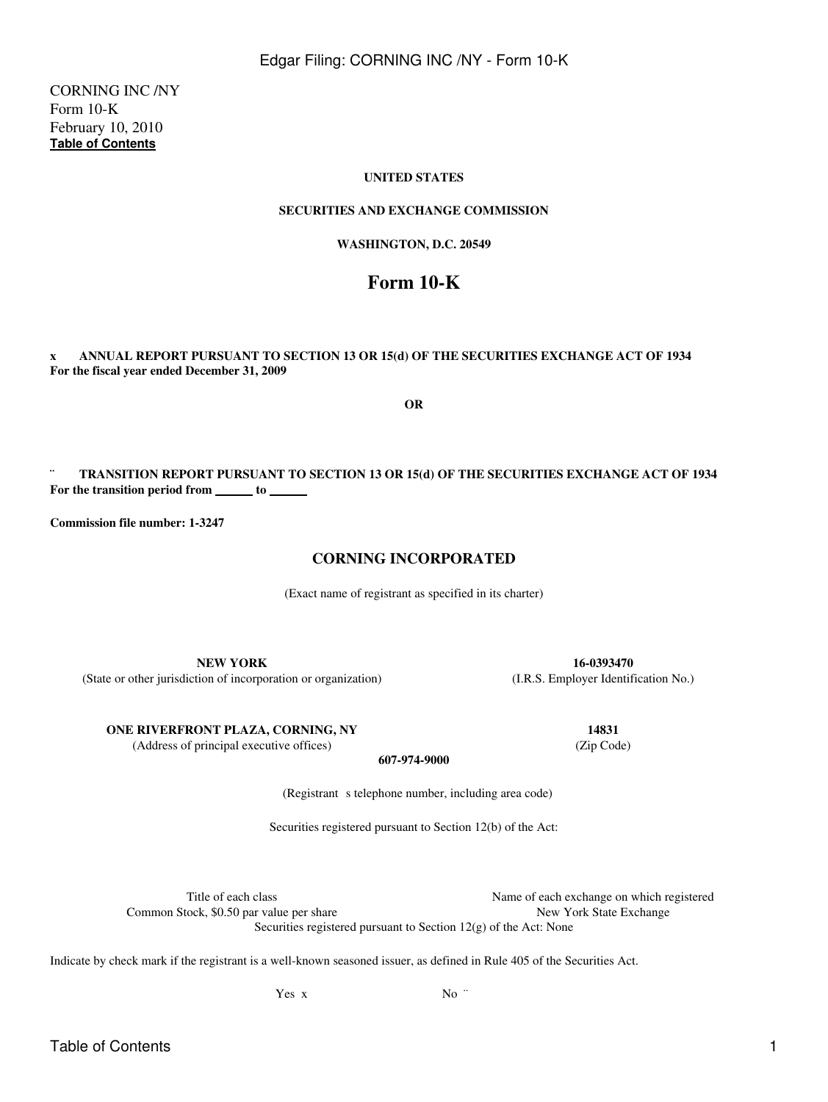CORNING INC /NY Form 10-K February 10, 2010 **[Table of Contents](#page-102-0)**

# **UNITED STATES**

# **SECURITIES AND EXCHANGE COMMISSION**

# **WASHINGTON, D.C. 20549**

# **Form 10-K**

**x ANNUAL REPORT PURSUANT TO SECTION 13 OR 15(d) OF THE SECURITIES EXCHANGE ACT OF 1934 For the fiscal year ended December 31, 2009**

**OR**

**¨ TRANSITION REPORT PURSUANT TO SECTION 13 OR 15(d) OF THE SECURITIES EXCHANGE ACT OF 1934** For the transition period from \_\_\_\_\_\_\_ to \_\_\_\_\_\_\_

**Commission file number: 1-3247**

# **CORNING INCORPORATED**

(Exact name of registrant as specified in its charter)

**NEW YORK 16-0393470** (State or other jurisdiction of incorporation or organization) (I.R.S. Employer Identification No.)

**ONE RIVERFRONT PLAZA, CORNING, NY 14831**

(Address of principal executive offices) (Zip Code)

**607-974-9000**

(Registrant s telephone number, including area code)

Securities registered pursuant to Section 12(b) of the Act:

Common Stock, \$0.50 par value per share New York State Exchange

Title of each class Name of each exchange on which registered

Indicate by check mark if the registrant is a well-known seasoned issuer, as defined in Rule 405 of the Securities Act.

Securities registered pursuant to Section 12(g) of the Act: None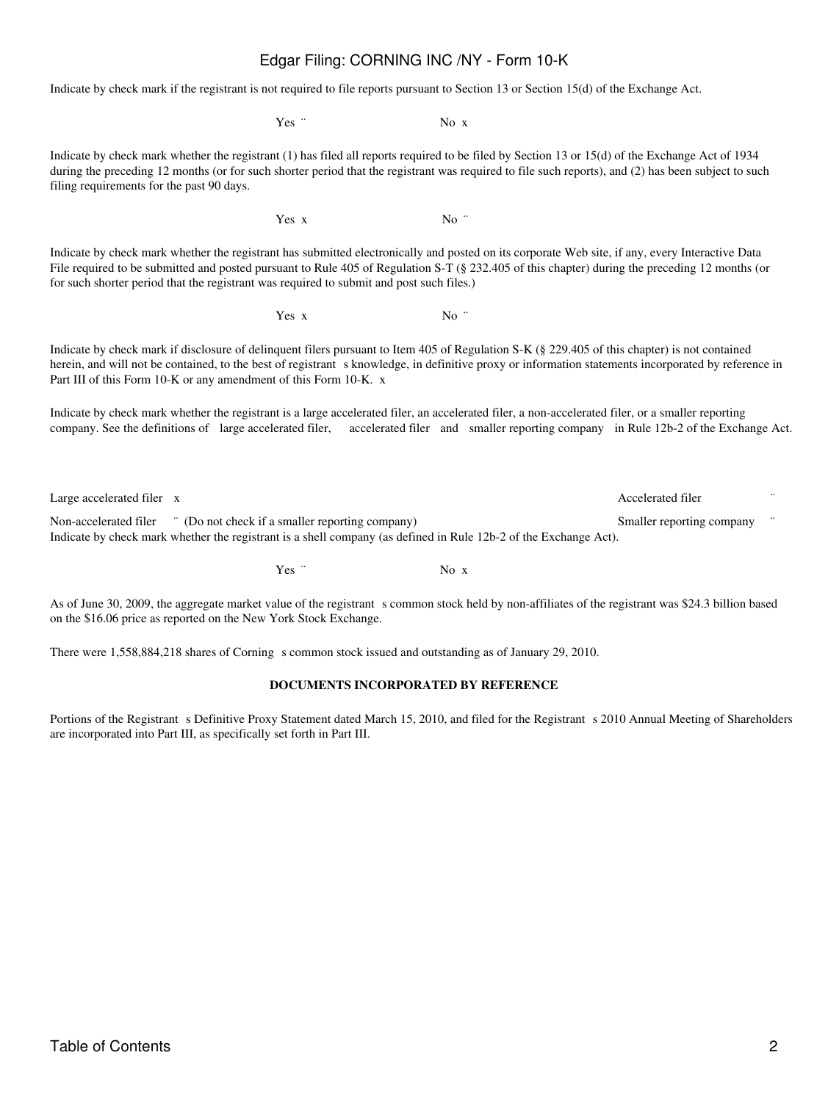Indicate by check mark if the registrant is not required to file reports pursuant to Section 13 or Section 15(d) of the Exchange Act.

Indicate by check mark whether the registrant (1) has filed all reports required to be filed by Section 13 or 15(d) of the Exchange Act of 1934 during the preceding 12 months (or for such shorter period that the registrant was required to file such reports), and (2) has been subject to such filing requirements for the past 90 days.

Indicate by check mark whether the registrant has submitted electronically and posted on its corporate Web site, if any, every Interactive Data File required to be submitted and posted pursuant to Rule 405 of Regulation S-T (§ 232.405 of this chapter) during the preceding 12 months (or for such shorter period that the registrant was required to submit and post such files.)

Yes x No  $\blacksquare$ 

Yes ¨ No x

Yes x No  $\blacksquare$ 

Indicate by check mark if disclosure of delinquent filers pursuant to Item 405 of Regulation S-K (§ 229.405 of this chapter) is not contained herein, and will not be contained, to the best of registrant s knowledge, in definitive proxy or information statements incorporated by reference in Part III of this Form 10-K or any amendment of this Form 10-K. x

Indicate by check mark whether the registrant is a large accelerated filer, an accelerated filer, a non-accelerated filer, or a smaller reporting company. See the definitions of large accelerated filer, accelerated filer and smaller reporting company in Rule 12b-2 of the Exchange Act.

Large accelerated filer v Accelerated filer  $\bar{x}$ Non-accelerated filer <sup>"</sup> (Do not check if a smaller reporting company) Smaller reporting company Indicate by check mark whether the registrant is a shell company (as defined in Rule 12b-2 of the Exchange Act).

Yes ¨ No x

As of June 30, 2009, the aggregate market value of the registrant s common stock held by non-affiliates of the registrant was \$24.3 billion based on the \$16.06 price as reported on the New York Stock Exchange.

There were 1,558,884,218 shares of Corning s common stock issued and outstanding as of January 29, 2010.

## **DOCUMENTS INCORPORATED BY REFERENCE**

Portions of the Registrant s Definitive Proxy Statement dated March 15, 2010, and filed for the Registrant s 2010 Annual Meeting of Shareholders are incorporated into Part III, as specifically set forth in Part III.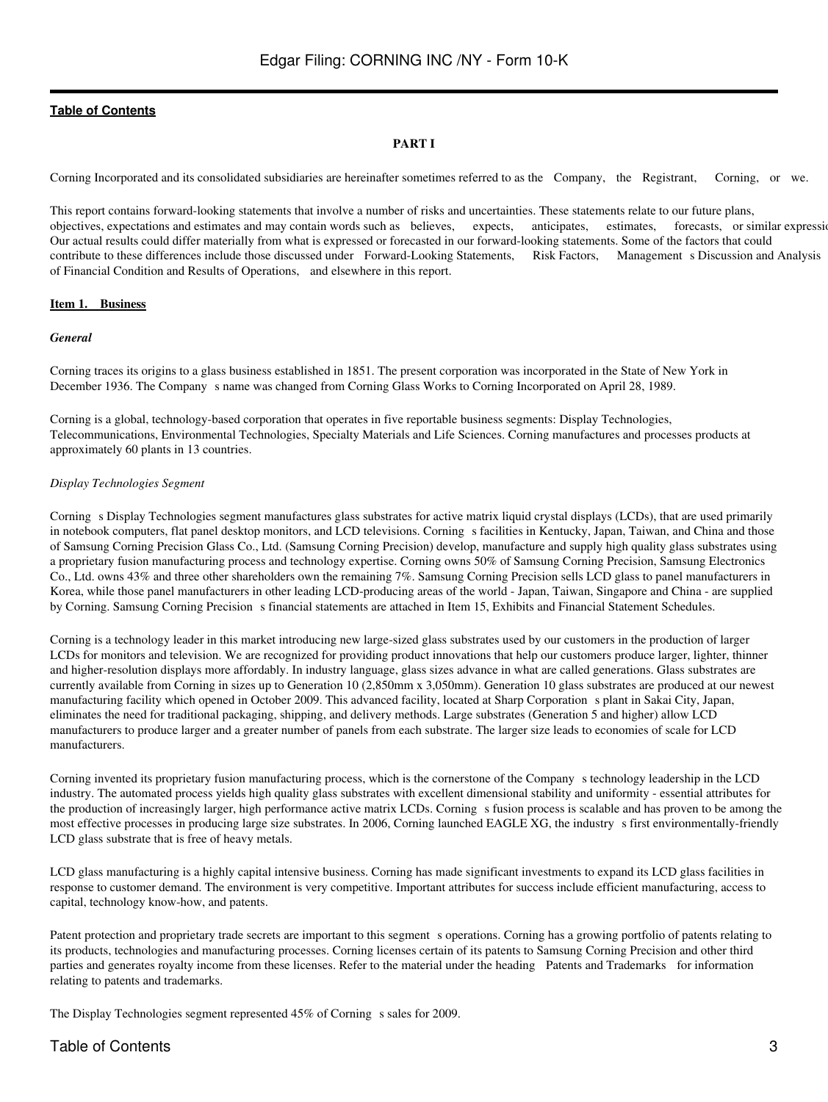## **PART I**

Corning Incorporated and its consolidated subsidiaries are hereinafter sometimes referred to as the Company, the Registrant, Corning, or we.

This report contains forward-looking statements that involve a number of risks and uncertainties. These statements relate to our future plans, objectives, expectations and estimates and may contain words such as believes, expects, anticipates, estimates, forecasts, or similar expressions. Our actual results could differ materially from what is expressed or forecasted in our forward-looking statements. Some of the factors that could contribute to these differences include those discussed under Forward-Looking Statements, Risk Factors, Management s Discussion and Analysis of Financial Condition and Results of Operations, and elsewhere in this report.

## **Item 1. Business**

### *General*

Corning traces its origins to a glass business established in 1851. The present corporation was incorporated in the State of New York in December 1936. The Company s name was changed from Corning Glass Works to Corning Incorporated on April 28, 1989.

Corning is a global, technology-based corporation that operates in five reportable business segments: Display Technologies, Telecommunications, Environmental Technologies, Specialty Materials and Life Sciences. Corning manufactures and processes products at approximately 60 plants in 13 countries.

#### *Display Technologies Segment*

Corning s Display Technologies segment manufactures glass substrates for active matrix liquid crystal displays (LCDs), that are used primarily in notebook computers, flat panel desktop monitors, and LCD televisions. Corning s facilities in Kentucky, Japan, Taiwan, and China and those of Samsung Corning Precision Glass Co., Ltd. (Samsung Corning Precision) develop, manufacture and supply high quality glass substrates using a proprietary fusion manufacturing process and technology expertise. Corning owns 50% of Samsung Corning Precision, Samsung Electronics Co., Ltd. owns 43% and three other shareholders own the remaining 7%. Samsung Corning Precision sells LCD glass to panel manufacturers in Korea, while those panel manufacturers in other leading LCD-producing areas of the world - Japan, Taiwan, Singapore and China - are supplied by Corning. Samsung Corning Precision s financial statements are attached in Item 15, Exhibits and Financial Statement Schedules.

Corning is a technology leader in this market introducing new large-sized glass substrates used by our customers in the production of larger LCDs for monitors and television. We are recognized for providing product innovations that help our customers produce larger, lighter, thinner and higher-resolution displays more affordably. In industry language, glass sizes advance in what are called generations. Glass substrates are currently available from Corning in sizes up to Generation 10 (2,850mm x 3,050mm). Generation 10 glass substrates are produced at our newest manufacturing facility which opened in October 2009. This advanced facility, located at Sharp Corporations plant in Sakai City, Japan, eliminates the need for traditional packaging, shipping, and delivery methods. Large substrates (Generation 5 and higher) allow LCD manufacturers to produce larger and a greater number of panels from each substrate. The larger size leads to economies of scale for LCD manufacturers.

Corning invented its proprietary fusion manufacturing process, which is the cornerstone of the Company s technology leadership in the LCD industry. The automated process yields high quality glass substrates with excellent dimensional stability and uniformity - essential attributes for the production of increasingly larger, high performance active matrix LCDs. Corning s fusion process is scalable and has proven to be among the most effective processes in producing large size substrates. In 2006, Corning launched EAGLE XG, the industry s first environmentally-friendly LCD glass substrate that is free of heavy metals.

LCD glass manufacturing is a highly capital intensive business. Corning has made significant investments to expand its LCD glass facilities in response to customer demand. The environment is very competitive. Important attributes for success include efficient manufacturing, access to capital, technology know-how, and patents.

Patent protection and proprietary trade secrets are important to this segment s operations. Corning has a growing portfolio of patents relating to its products, technologies and manufacturing processes. Corning licenses certain of its patents to Samsung Corning Precision and other third parties and generates royalty income from these licenses. Refer to the material under the heading Patents and Trademarks for information relating to patents and trademarks.

The Display Technologies segment represented 45% of Corning s sales for 2009.

# Table of Contents 3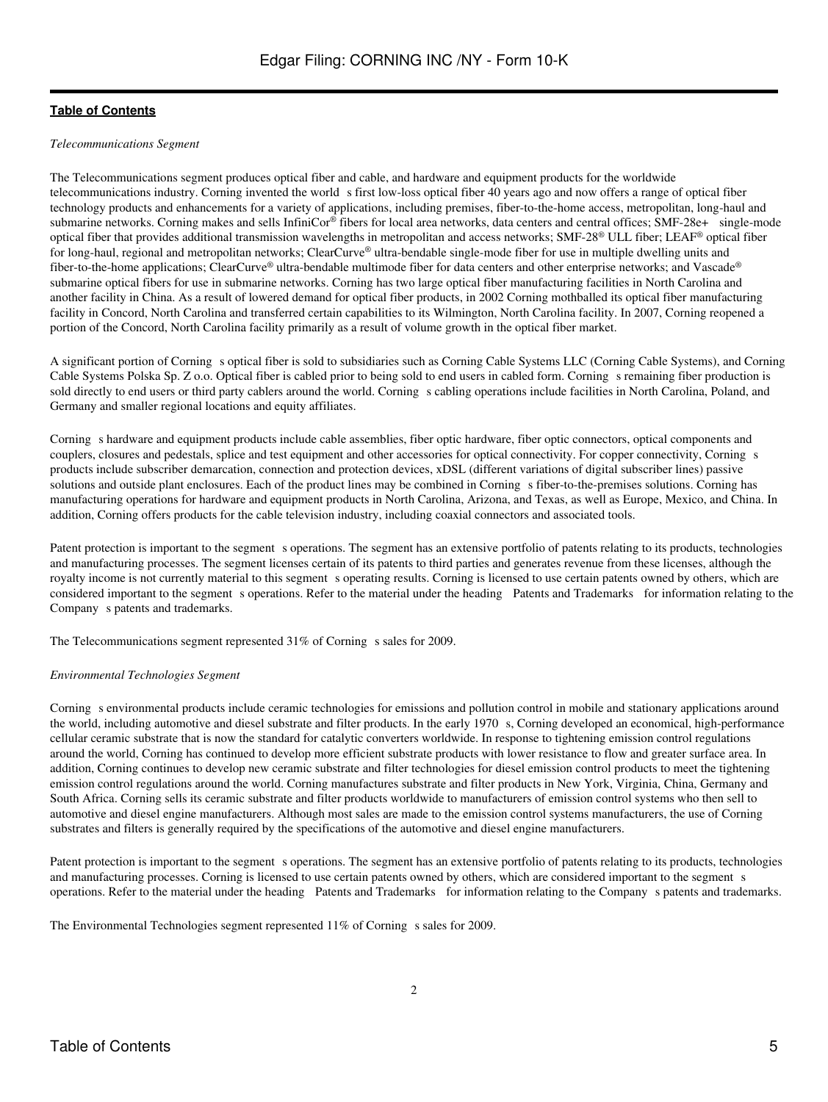### *Telecommunications Segment*

The Telecommunications segment produces optical fiber and cable, and hardware and equipment products for the worldwide telecommunications industry. Corning invented the world s first low-loss optical fiber 40 years ago and now offers a range of optical fiber technology products and enhancements for a variety of applications, including premises, fiber-to-the-home access, metropolitan, long-haul and submarine networks. Corning makes and sells InfiniCor® fibers for local area networks, data centers and central offices; SMF-28e+ single-mode optical fiber that provides additional transmission wavelengths in metropolitan and access networks; SMF-28® ULL fiber; LEAF® optical fiber for long-haul, regional and metropolitan networks; ClearCurve® ultra-bendable single-mode fiber for use in multiple dwelling units and fiber-to-the-home applications; ClearCurve® ultra-bendable multimode fiber for data centers and other enterprise networks; and Vascade® submarine optical fibers for use in submarine networks. Corning has two large optical fiber manufacturing facilities in North Carolina and another facility in China. As a result of lowered demand for optical fiber products, in 2002 Corning mothballed its optical fiber manufacturing facility in Concord, North Carolina and transferred certain capabilities to its Wilmington, North Carolina facility. In 2007, Corning reopened a portion of the Concord, North Carolina facility primarily as a result of volume growth in the optical fiber market.

A significant portion of Corning s optical fiber is sold to subsidiaries such as Corning Cable Systems LLC (Corning Cable Systems), and Corning Cable Systems Polska Sp. Z o.o. Optical fiber is cabled prior to being sold to end users in cabled form. Corning s remaining fiber production is sold directly to end users or third party cablers around the world. Corning s cabling operations include facilities in North Carolina, Poland, and Germany and smaller regional locations and equity affiliates.

Corning s hardware and equipment products include cable assemblies, fiber optic hardware, fiber optic connectors, optical components and couplers, closures and pedestals, splice and test equipment and other accessories for optical connectivity. For copper connectivity, Corning s products include subscriber demarcation, connection and protection devices, xDSL (different variations of digital subscriber lines) passive solutions and outside plant enclosures. Each of the product lines may be combined in Corning s fiber-to-the-premises solutions. Corning has manufacturing operations for hardware and equipment products in North Carolina, Arizona, and Texas, as well as Europe, Mexico, and China. In addition, Corning offers products for the cable television industry, including coaxial connectors and associated tools.

Patent protection is important to the segment s operations. The segment has an extensive portfolio of patents relating to its products, technologies and manufacturing processes. The segment licenses certain of its patents to third parties and generates revenue from these licenses, although the royalty income is not currently material to this segment s operating results. Corning is licensed to use certain patents owned by others, which are considered important to the segment s operations. Refer to the material under the heading Patents and Trademarks for information relating to the Company s patents and trademarks.

The Telecommunications segment represented 31% of Corning s sales for 2009.

#### *Environmental Technologies Segment*

Corning s environmental products include ceramic technologies for emissions and pollution control in mobile and stationary applications around the world, including automotive and diesel substrate and filter products. In the early 1970 s, Corning developed an economical, high-performance cellular ceramic substrate that is now the standard for catalytic converters worldwide. In response to tightening emission control regulations around the world, Corning has continued to develop more efficient substrate products with lower resistance to flow and greater surface area. In addition, Corning continues to develop new ceramic substrate and filter technologies for diesel emission control products to meet the tightening emission control regulations around the world. Corning manufactures substrate and filter products in New York, Virginia, China, Germany and South Africa. Corning sells its ceramic substrate and filter products worldwide to manufacturers of emission control systems who then sell to automotive and diesel engine manufacturers. Although most sales are made to the emission control systems manufacturers, the use of Corning substrates and filters is generally required by the specifications of the automotive and diesel engine manufacturers.

Patent protection is important to the segment s operations. The segment has an extensive portfolio of patents relating to its products, technologies and manufacturing processes. Corning is licensed to use certain patents owned by others, which are considered important to the segment s operations. Refer to the material under the heading Patents and Trademarks for information relating to the Companys patents and trademarks.

The Environmental Technologies segment represented  $11\%$  of Corning s sales for 2009.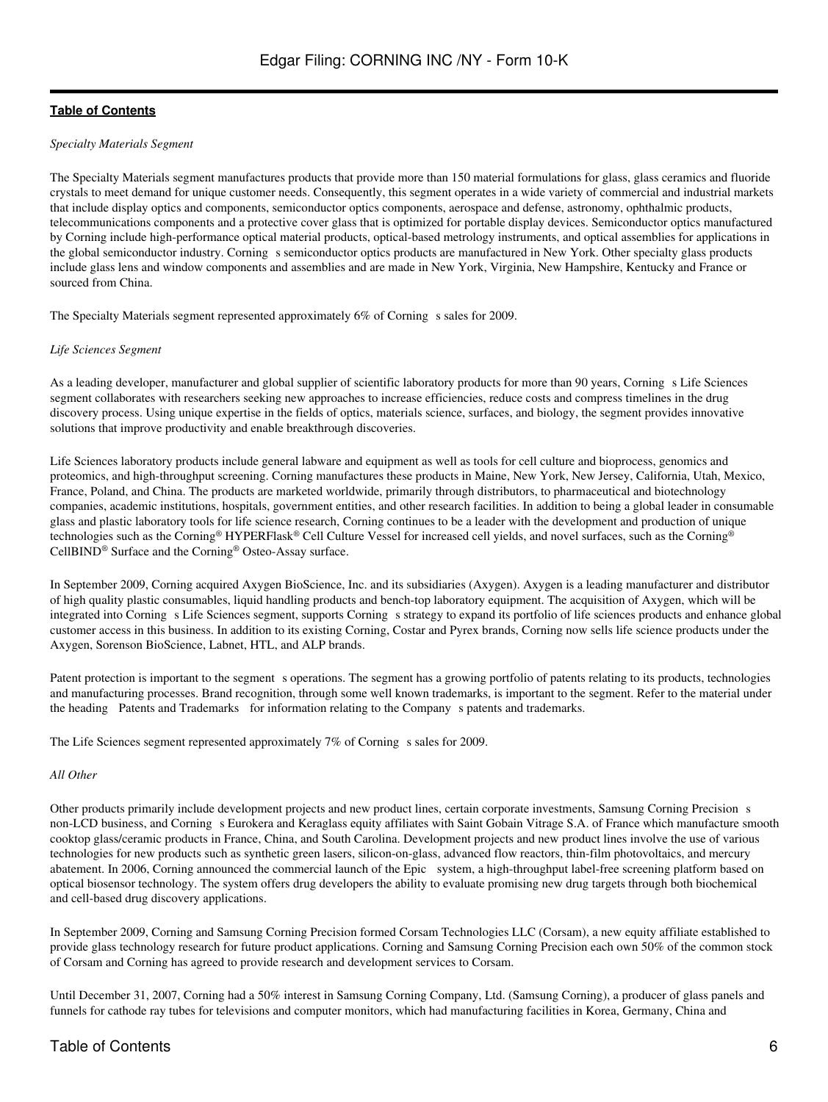### *Specialty Materials Segment*

The Specialty Materials segment manufactures products that provide more than 150 material formulations for glass, glass ceramics and fluoride crystals to meet demand for unique customer needs. Consequently, this segment operates in a wide variety of commercial and industrial markets that include display optics and components, semiconductor optics components, aerospace and defense, astronomy, ophthalmic products, telecommunications components and a protective cover glass that is optimized for portable display devices. Semiconductor optics manufactured by Corning include high-performance optical material products, optical-based metrology instruments, and optical assemblies for applications in the global semiconductor industry. Corning s semiconductor optics products are manufactured in New York. Other specialty glass products include glass lens and window components and assemblies and are made in New York, Virginia, New Hampshire, Kentucky and France or sourced from China.

The Specialty Materials segment represented approximately  $6\%$  of Corning s sales for 2009.

### *Life Sciences Segment*

As a leading developer, manufacturer and global supplier of scientific laboratory products for more than 90 years, Corning s Life Sciences segment collaborates with researchers seeking new approaches to increase efficiencies, reduce costs and compress timelines in the drug discovery process. Using unique expertise in the fields of optics, materials science, surfaces, and biology, the segment provides innovative solutions that improve productivity and enable breakthrough discoveries.

Life Sciences laboratory products include general labware and equipment as well as tools for cell culture and bioprocess, genomics and proteomics, and high-throughput screening. Corning manufactures these products in Maine, New York, New Jersey, California, Utah, Mexico, France, Poland, and China. The products are marketed worldwide, primarily through distributors, to pharmaceutical and biotechnology companies, academic institutions, hospitals, government entities, and other research facilities. In addition to being a global leader in consumable glass and plastic laboratory tools for life science research, Corning continues to be a leader with the development and production of unique technologies such as the Corning® HYPERFlask® Cell Culture Vessel for increased cell yields, and novel surfaces, such as the Corning® CellBIND® Surface and the Corning® Osteo-Assay surface.

In September 2009, Corning acquired Axygen BioScience, Inc. and its subsidiaries (Axygen). Axygen is a leading manufacturer and distributor of high quality plastic consumables, liquid handling products and bench-top laboratory equipment. The acquisition of Axygen, which will be integrated into Corning s Life Sciences segment, supports Corning s strategy to expand its portfolio of life sciences products and enhance global customer access in this business. In addition to its existing Corning, Costar and Pyrex brands, Corning now sells life science products under the Axygen, Sorenson BioScience, Labnet, HTL, and ALP brands.

Patent protection is important to the segment s operations. The segment has a growing portfolio of patents relating to its products, technologies and manufacturing processes. Brand recognition, through some well known trademarks, is important to the segment. Refer to the material under the heading Patents and Trademarks for information relating to the Companys patents and trademarks.

The Life Sciences segment represented approximately  $7\%$  of Corning s sales for 2009.

#### *All Other*

Other products primarily include development projects and new product lines, certain corporate investments, Samsung Corning Precisions non-LCD business, and Corning s Eurokera and Keraglass equity affiliates with Saint Gobain Vitrage S.A. of France which manufacture smooth cooktop glass/ceramic products in France, China, and South Carolina. Development projects and new product lines involve the use of various technologies for new products such as synthetic green lasers, silicon-on-glass, advanced flow reactors, thin-film photovoltaics, and mercury abatement. In 2006, Corning announced the commercial launch of the Epic system, a high-throughput label-free screening platform based on optical biosensor technology. The system offers drug developers the ability to evaluate promising new drug targets through both biochemical and cell-based drug discovery applications.

In September 2009, Corning and Samsung Corning Precision formed Corsam Technologies LLC (Corsam), a new equity affiliate established to provide glass technology research for future product applications. Corning and Samsung Corning Precision each own 50% of the common stock of Corsam and Corning has agreed to provide research and development services to Corsam.

Until December 31, 2007, Corning had a 50% interest in Samsung Corning Company, Ltd. (Samsung Corning), a producer of glass panels and funnels for cathode ray tubes for televisions and computer monitors, which had manufacturing facilities in Korea, Germany, China and

# Table of Contents 6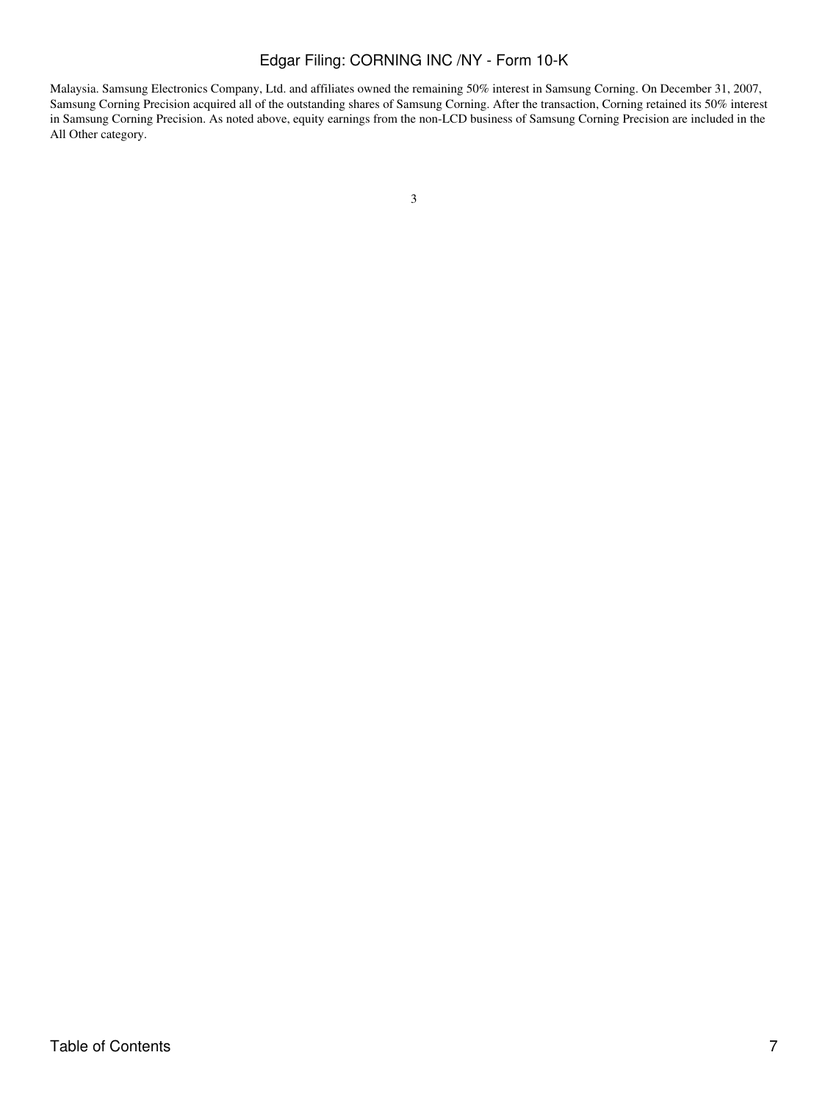Malaysia. Samsung Electronics Company, Ltd. and affiliates owned the remaining 50% interest in Samsung Corning. On December 31, 2007, Samsung Corning Precision acquired all of the outstanding shares of Samsung Corning. After the transaction, Corning retained its 50% interest in Samsung Corning Precision. As noted above, equity earnings from the non-LCD business of Samsung Corning Precision are included in the All Other category.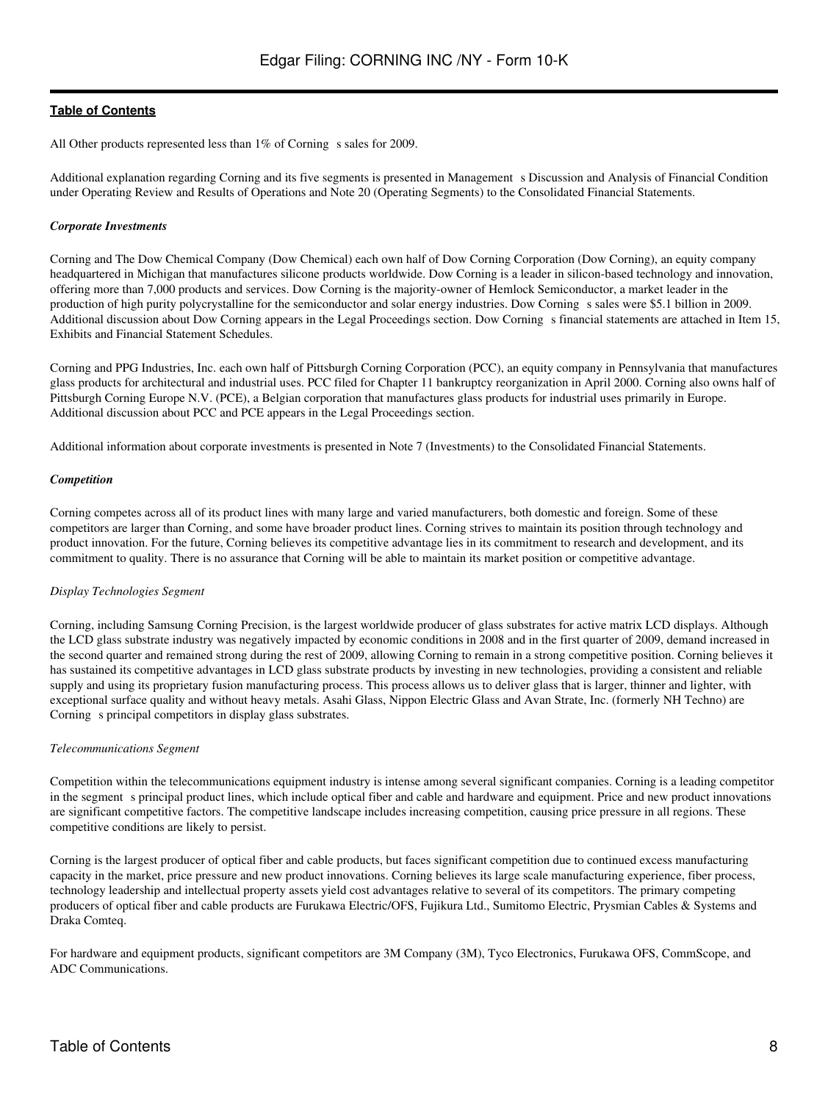All Other products represented less than  $1\%$  of Corning s sales for 2009.

Additional explanation regarding Corning and its five segments is presented in Management s Discussion and Analysis of Financial Condition under Operating Review and Results of Operations and Note 20 (Operating Segments) to the Consolidated Financial Statements.

## *Corporate Investments*

Corning and The Dow Chemical Company (Dow Chemical) each own half of Dow Corning Corporation (Dow Corning), an equity company headquartered in Michigan that manufactures silicone products worldwide. Dow Corning is a leader in silicon-based technology and innovation, offering more than 7,000 products and services. Dow Corning is the majority-owner of Hemlock Semiconductor, a market leader in the production of high purity polycrystalline for the semiconductor and solar energy industries. Dow Corning s sales were \$5.1 billion in 2009. Additional discussion about Dow Corning appears in the Legal Proceedings section. Dow Corning s financial statements are attached in Item 15, Exhibits and Financial Statement Schedules.

Corning and PPG Industries, Inc. each own half of Pittsburgh Corning Corporation (PCC), an equity company in Pennsylvania that manufactures glass products for architectural and industrial uses. PCC filed for Chapter 11 bankruptcy reorganization in April 2000. Corning also owns half of Pittsburgh Corning Europe N.V. (PCE), a Belgian corporation that manufactures glass products for industrial uses primarily in Europe. Additional discussion about PCC and PCE appears in the Legal Proceedings section.

Additional information about corporate investments is presented in Note 7 (Investments) to the Consolidated Financial Statements.

## *Competition*

Corning competes across all of its product lines with many large and varied manufacturers, both domestic and foreign. Some of these competitors are larger than Corning, and some have broader product lines. Corning strives to maintain its position through technology and product innovation. For the future, Corning believes its competitive advantage lies in its commitment to research and development, and its commitment to quality. There is no assurance that Corning will be able to maintain its market position or competitive advantage.

## *Display Technologies Segment*

Corning, including Samsung Corning Precision, is the largest worldwide producer of glass substrates for active matrix LCD displays. Although the LCD glass substrate industry was negatively impacted by economic conditions in 2008 and in the first quarter of 2009, demand increased in the second quarter and remained strong during the rest of 2009, allowing Corning to remain in a strong competitive position. Corning believes it has sustained its competitive advantages in LCD glass substrate products by investing in new technologies, providing a consistent and reliable supply and using its proprietary fusion manufacturing process. This process allows us to deliver glass that is larger, thinner and lighter, with exceptional surface quality and without heavy metals. Asahi Glass, Nippon Electric Glass and Avan Strate, Inc. (formerly NH Techno) are Corning s principal competitors in display glass substrates.

## *Telecommunications Segment*

Competition within the telecommunications equipment industry is intense among several significant companies. Corning is a leading competitor in the segment s principal product lines, which include optical fiber and cable and hardware and equipment. Price and new product innovations are significant competitive factors. The competitive landscape includes increasing competition, causing price pressure in all regions. These competitive conditions are likely to persist.

Corning is the largest producer of optical fiber and cable products, but faces significant competition due to continued excess manufacturing capacity in the market, price pressure and new product innovations. Corning believes its large scale manufacturing experience, fiber process, technology leadership and intellectual property assets yield cost advantages relative to several of its competitors. The primary competing producers of optical fiber and cable products are Furukawa Electric/OFS, Fujikura Ltd., Sumitomo Electric, Prysmian Cables & Systems and Draka Comteq.

For hardware and equipment products, significant competitors are 3M Company (3M), Tyco Electronics, Furukawa OFS, CommScope, and ADC Communications.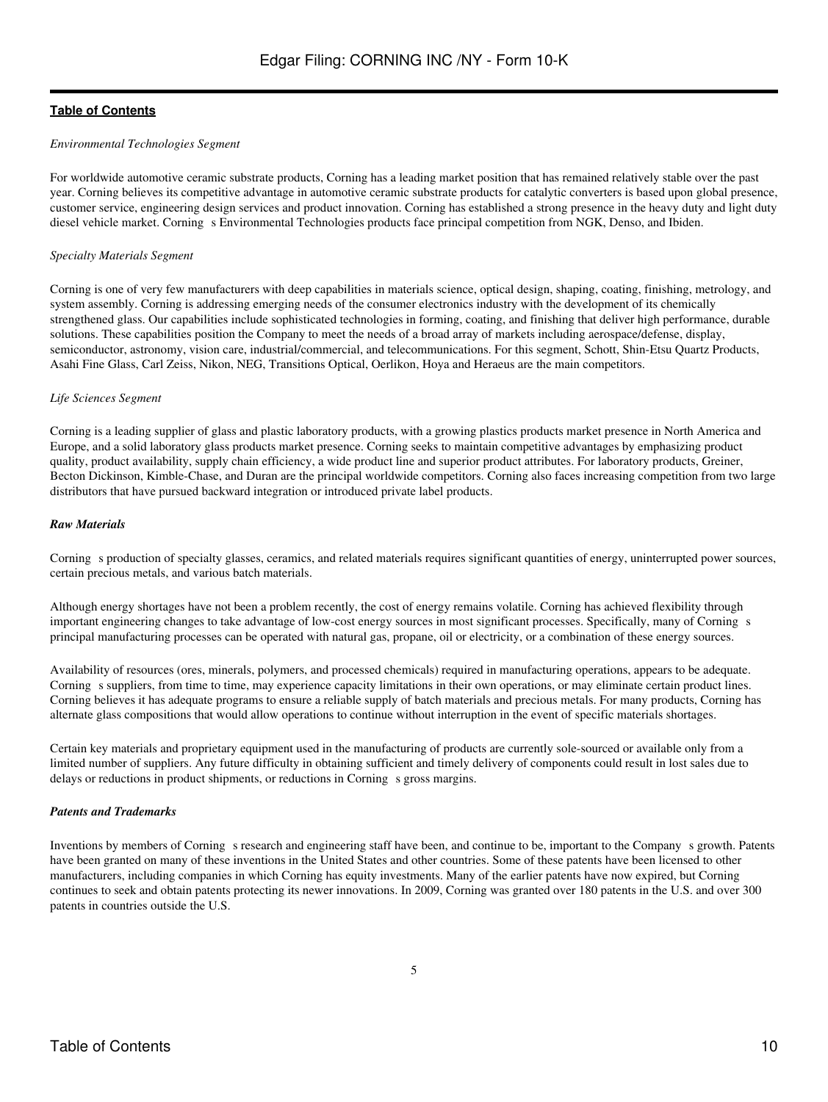### *Environmental Technologies Segment*

For worldwide automotive ceramic substrate products, Corning has a leading market position that has remained relatively stable over the past year. Corning believes its competitive advantage in automotive ceramic substrate products for catalytic converters is based upon global presence, customer service, engineering design services and product innovation. Corning has established a strong presence in the heavy duty and light duty diesel vehicle market. Corning s Environmental Technologies products face principal competition from NGK, Denso, and Ibiden.

### *Specialty Materials Segment*

Corning is one of very few manufacturers with deep capabilities in materials science, optical design, shaping, coating, finishing, metrology, and system assembly. Corning is addressing emerging needs of the consumer electronics industry with the development of its chemically strengthened glass. Our capabilities include sophisticated technologies in forming, coating, and finishing that deliver high performance, durable solutions. These capabilities position the Company to meet the needs of a broad array of markets including aerospace/defense, display, semiconductor, astronomy, vision care, industrial/commercial, and telecommunications. For this segment, Schott, Shin-Etsu Quartz Products, Asahi Fine Glass, Carl Zeiss, Nikon, NEG, Transitions Optical, Oerlikon, Hoya and Heraeus are the main competitors.

### *Life Sciences Segment*

Corning is a leading supplier of glass and plastic laboratory products, with a growing plastics products market presence in North America and Europe, and a solid laboratory glass products market presence. Corning seeks to maintain competitive advantages by emphasizing product quality, product availability, supply chain efficiency, a wide product line and superior product attributes. For laboratory products, Greiner, Becton Dickinson, Kimble-Chase, and Duran are the principal worldwide competitors. Corning also faces increasing competition from two large distributors that have pursued backward integration or introduced private label products.

### *Raw Materials*

Corning s production of specialty glasses, ceramics, and related materials requires significant quantities of energy, uninterrupted power sources, certain precious metals, and various batch materials.

Although energy shortages have not been a problem recently, the cost of energy remains volatile. Corning has achieved flexibility through important engineering changes to take advantage of low-cost energy sources in most significant processes. Specifically, many of Corning s principal manufacturing processes can be operated with natural gas, propane, oil or electricity, or a combination of these energy sources.

Availability of resources (ores, minerals, polymers, and processed chemicals) required in manufacturing operations, appears to be adequate. Corning s suppliers, from time to time, may experience capacity limitations in their own operations, or may eliminate certain product lines. Corning believes it has adequate programs to ensure a reliable supply of batch materials and precious metals. For many products, Corning has alternate glass compositions that would allow operations to continue without interruption in the event of specific materials shortages.

Certain key materials and proprietary equipment used in the manufacturing of products are currently sole-sourced or available only from a limited number of suppliers. Any future difficulty in obtaining sufficient and timely delivery of components could result in lost sales due to delays or reductions in product shipments, or reductions in Corning s gross margins.

## *Patents and Trademarks*

Inventions by members of Corning s research and engineering staff have been, and continue to be, important to the Company s growth. Patents have been granted on many of these inventions in the United States and other countries. Some of these patents have been licensed to other manufacturers, including companies in which Corning has equity investments. Many of the earlier patents have now expired, but Corning continues to seek and obtain patents protecting its newer innovations. In 2009, Corning was granted over 180 patents in the U.S. and over 300 patents in countries outside the U.S.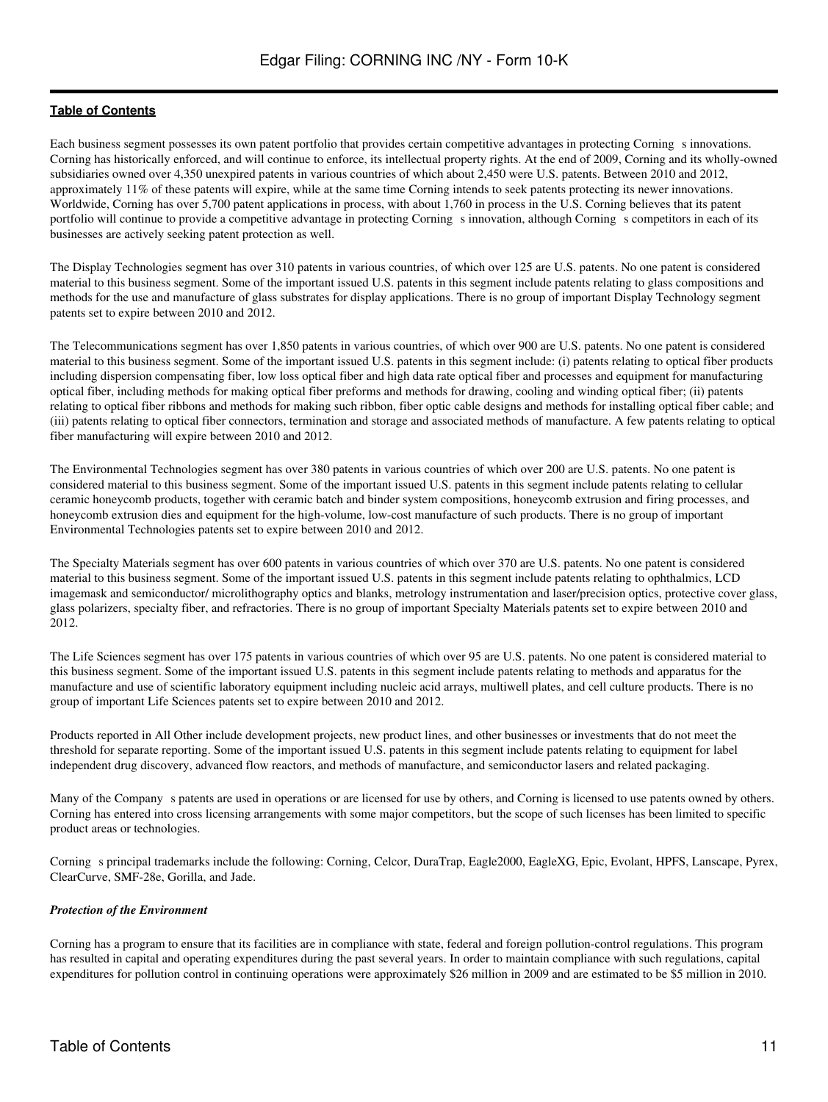Each business segment possesses its own patent portfolio that provides certain competitive advantages in protecting Corning s innovations. Corning has historically enforced, and will continue to enforce, its intellectual property rights. At the end of 2009, Corning and its wholly-owned subsidiaries owned over 4,350 unexpired patents in various countries of which about 2,450 were U.S. patents. Between 2010 and 2012, approximately 11% of these patents will expire, while at the same time Corning intends to seek patents protecting its newer innovations. Worldwide, Corning has over 5,700 patent applications in process, with about 1,760 in process in the U.S. Corning believes that its patent portfolio will continue to provide a competitive advantage in protecting Corning s innovation, although Corning s competitors in each of its businesses are actively seeking patent protection as well.

The Display Technologies segment has over 310 patents in various countries, of which over 125 are U.S. patents. No one patent is considered material to this business segment. Some of the important issued U.S. patents in this segment include patents relating to glass compositions and methods for the use and manufacture of glass substrates for display applications. There is no group of important Display Technology segment patents set to expire between 2010 and 2012.

The Telecommunications segment has over 1,850 patents in various countries, of which over 900 are U.S. patents. No one patent is considered material to this business segment. Some of the important issued U.S. patents in this segment include: (i) patents relating to optical fiber products including dispersion compensating fiber, low loss optical fiber and high data rate optical fiber and processes and equipment for manufacturing optical fiber, including methods for making optical fiber preforms and methods for drawing, cooling and winding optical fiber; (ii) patents relating to optical fiber ribbons and methods for making such ribbon, fiber optic cable designs and methods for installing optical fiber cable; and (iii) patents relating to optical fiber connectors, termination and storage and associated methods of manufacture. A few patents relating to optical fiber manufacturing will expire between 2010 and 2012.

The Environmental Technologies segment has over 380 patents in various countries of which over 200 are U.S. patents. No one patent is considered material to this business segment. Some of the important issued U.S. patents in this segment include patents relating to cellular ceramic honeycomb products, together with ceramic batch and binder system compositions, honeycomb extrusion and firing processes, and honeycomb extrusion dies and equipment for the high-volume, low-cost manufacture of such products. There is no group of important Environmental Technologies patents set to expire between 2010 and 2012.

The Specialty Materials segment has over 600 patents in various countries of which over 370 are U.S. patents. No one patent is considered material to this business segment. Some of the important issued U.S. patents in this segment include patents relating to ophthalmics, LCD imagemask and semiconductor/ microlithography optics and blanks, metrology instrumentation and laser/precision optics, protective cover glass, glass polarizers, specialty fiber, and refractories. There is no group of important Specialty Materials patents set to expire between 2010 and 2012.

The Life Sciences segment has over 175 patents in various countries of which over 95 are U.S. patents. No one patent is considered material to this business segment. Some of the important issued U.S. patents in this segment include patents relating to methods and apparatus for the manufacture and use of scientific laboratory equipment including nucleic acid arrays, multiwell plates, and cell culture products. There is no group of important Life Sciences patents set to expire between 2010 and 2012.

Products reported in All Other include development projects, new product lines, and other businesses or investments that do not meet the threshold for separate reporting. Some of the important issued U.S. patents in this segment include patents relating to equipment for label independent drug discovery, advanced flow reactors, and methods of manufacture, and semiconductor lasers and related packaging.

Many of the Company s patents are used in operations or are licensed for use by others, and Corning is licensed to use patents owned by others. Corning has entered into cross licensing arrangements with some major competitors, but the scope of such licenses has been limited to specific product areas or technologies.

Corning s principal trademarks include the following: Corning, Celcor, DuraTrap, Eagle2000, EagleXG, Epic, Evolant, HPFS, Lanscape, Pyrex, ClearCurve, SMF-28e, Gorilla, and Jade.

## *Protection of the Environment*

Corning has a program to ensure that its facilities are in compliance with state, federal and foreign pollution-control regulations. This program has resulted in capital and operating expenditures during the past several years. In order to maintain compliance with such regulations, capital expenditures for pollution control in continuing operations were approximately \$26 million in 2009 and are estimated to be \$5 million in 2010.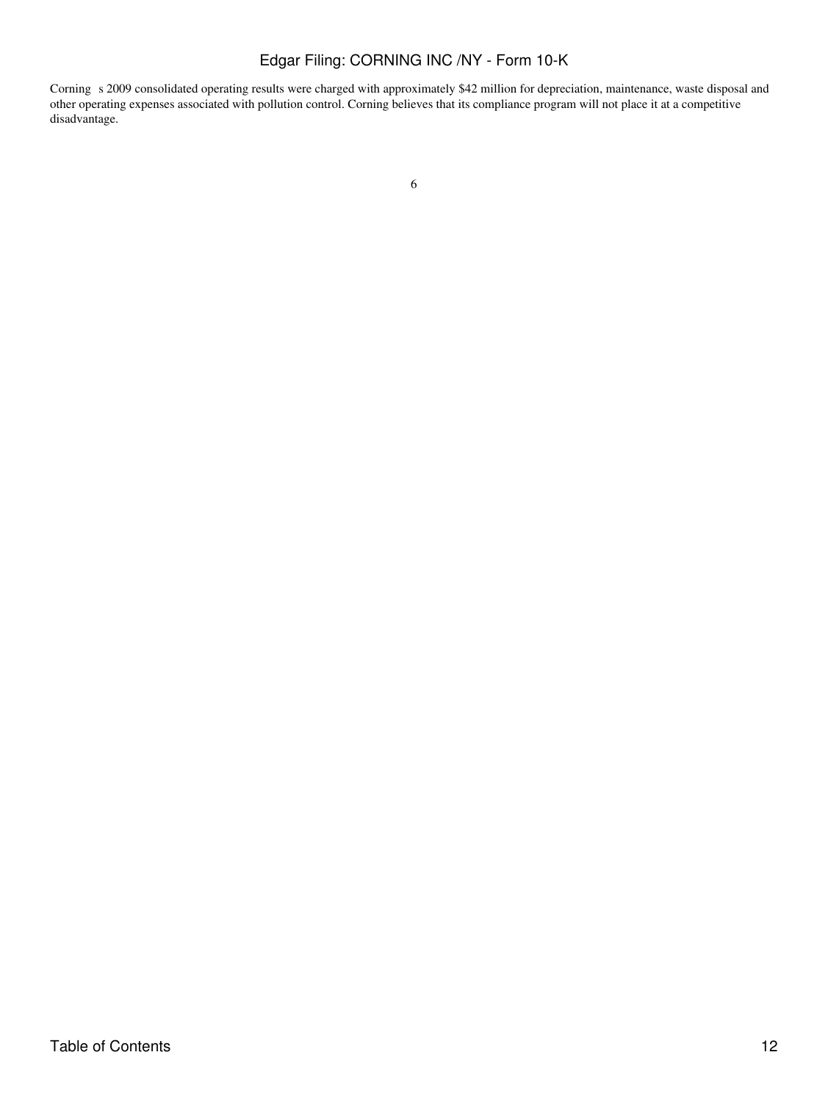Corning s 2009 consolidated operating results were charged with approximately \$42 million for depreciation, maintenance, waste disposal and other operating expenses associated with pollution control. Corning believes that its compliance program will not place it at a competitive disadvantage.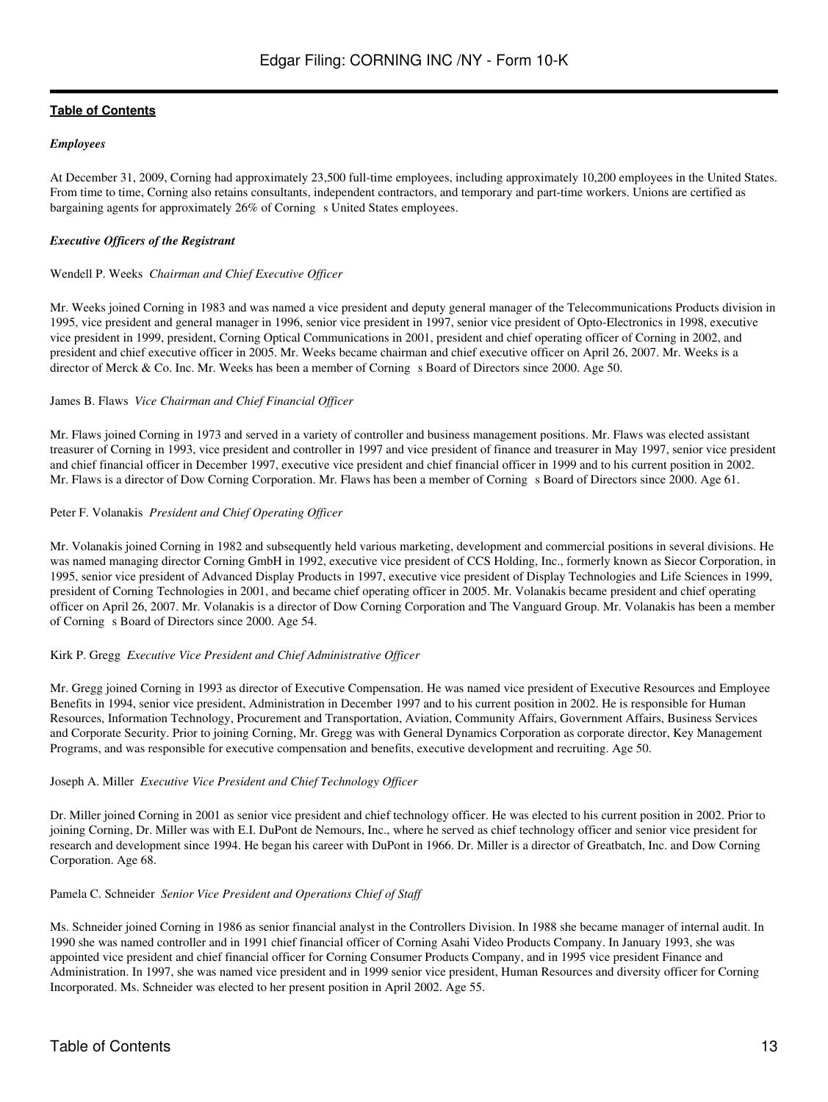## *Employees*

At December 31, 2009, Corning had approximately 23,500 full-time employees, including approximately 10,200 employees in the United States. From time to time, Corning also retains consultants, independent contractors, and temporary and part-time workers. Unions are certified as bargaining agents for approximately 26% of Corning s United States employees.

# *Executive Officers of the Registrant*

## Wendell P. Weeks *Chairman and Chief Executive Officer*

Mr. Weeks joined Corning in 1983 and was named a vice president and deputy general manager of the Telecommunications Products division in 1995, vice president and general manager in 1996, senior vice president in 1997, senior vice president of Opto-Electronics in 1998, executive vice president in 1999, president, Corning Optical Communications in 2001, president and chief operating officer of Corning in 2002, and president and chief executive officer in 2005. Mr. Weeks became chairman and chief executive officer on April 26, 2007. Mr. Weeks is a director of Merck & Co. Inc. Mr. Weeks has been a member of Corning s Board of Directors since 2000. Age 50.

# James B. Flaws *Vice Chairman and Chief Financial Officer*

Mr. Flaws joined Corning in 1973 and served in a variety of controller and business management positions. Mr. Flaws was elected assistant treasurer of Corning in 1993, vice president and controller in 1997 and vice president of finance and treasurer in May 1997, senior vice president and chief financial officer in December 1997, executive vice president and chief financial officer in 1999 and to his current position in 2002. Mr. Flaws is a director of Dow Corning Corporation. Mr. Flaws has been a member of Corning s Board of Directors since 2000. Age 61.

## Peter F. Volanakis *President and Chief Operating Officer*

Mr. Volanakis joined Corning in 1982 and subsequently held various marketing, development and commercial positions in several divisions. He was named managing director Corning GmbH in 1992, executive vice president of CCS Holding, Inc., formerly known as Siecor Corporation, in 1995, senior vice president of Advanced Display Products in 1997, executive vice president of Display Technologies and Life Sciences in 1999, president of Corning Technologies in 2001, and became chief operating officer in 2005. Mr. Volanakis became president and chief operating officer on April 26, 2007. Mr. Volanakis is a director of Dow Corning Corporation and The Vanguard Group. Mr. Volanakis has been a member of Corning s Board of Directors since 2000. Age 54.

## Kirk P. Gregg *Executive Vice President and Chief Administrative Officer*

Mr. Gregg joined Corning in 1993 as director of Executive Compensation. He was named vice president of Executive Resources and Employee Benefits in 1994, senior vice president, Administration in December 1997 and to his current position in 2002. He is responsible for Human Resources, Information Technology, Procurement and Transportation, Aviation, Community Affairs, Government Affairs, Business Services and Corporate Security. Prior to joining Corning, Mr. Gregg was with General Dynamics Corporation as corporate director, Key Management Programs, and was responsible for executive compensation and benefits, executive development and recruiting. Age 50.

## Joseph A. Miller *Executive Vice President and Chief Technology Officer*

Dr. Miller joined Corning in 2001 as senior vice president and chief technology officer. He was elected to his current position in 2002. Prior to joining Corning, Dr. Miller was with E.I. DuPont de Nemours, Inc., where he served as chief technology officer and senior vice president for research and development since 1994. He began his career with DuPont in 1966. Dr. Miller is a director of Greatbatch, Inc. and Dow Corning Corporation. Age 68.

## Pamela C. Schneider *Senior Vice President and Operations Chief of Staff*

Ms. Schneider joined Corning in 1986 as senior financial analyst in the Controllers Division. In 1988 she became manager of internal audit. In 1990 she was named controller and in 1991 chief financial officer of Corning Asahi Video Products Company. In January 1993, she was appointed vice president and chief financial officer for Corning Consumer Products Company, and in 1995 vice president Finance and Administration. In 1997, she was named vice president and in 1999 senior vice president, Human Resources and diversity officer for Corning Incorporated. Ms. Schneider was elected to her present position in April 2002. Age 55.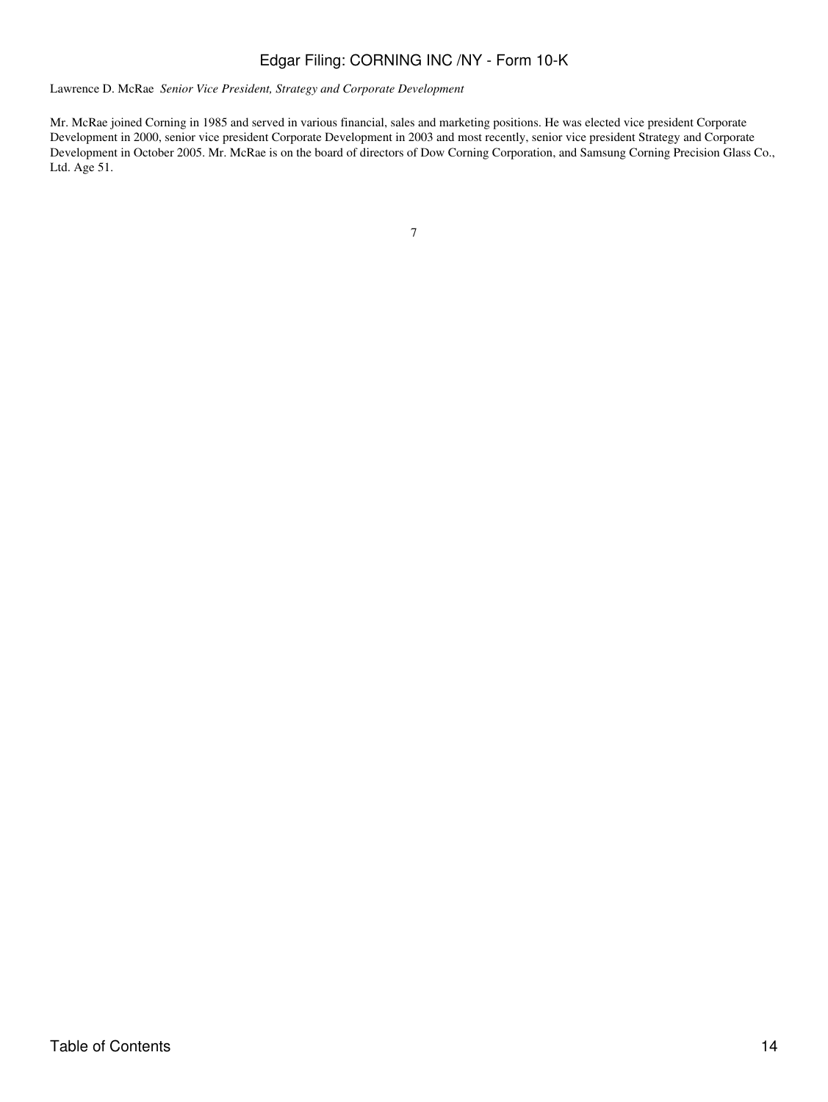Lawrence D. McRae *Senior Vice President, Strategy and Corporate Development*

Mr. McRae joined Corning in 1985 and served in various financial, sales and marketing positions. He was elected vice president Corporate Development in 2000, senior vice president Corporate Development in 2003 and most recently, senior vice president Strategy and Corporate Development in October 2005. Mr. McRae is on the board of directors of Dow Corning Corporation, and Samsung Corning Precision Glass Co., Ltd. Age 51.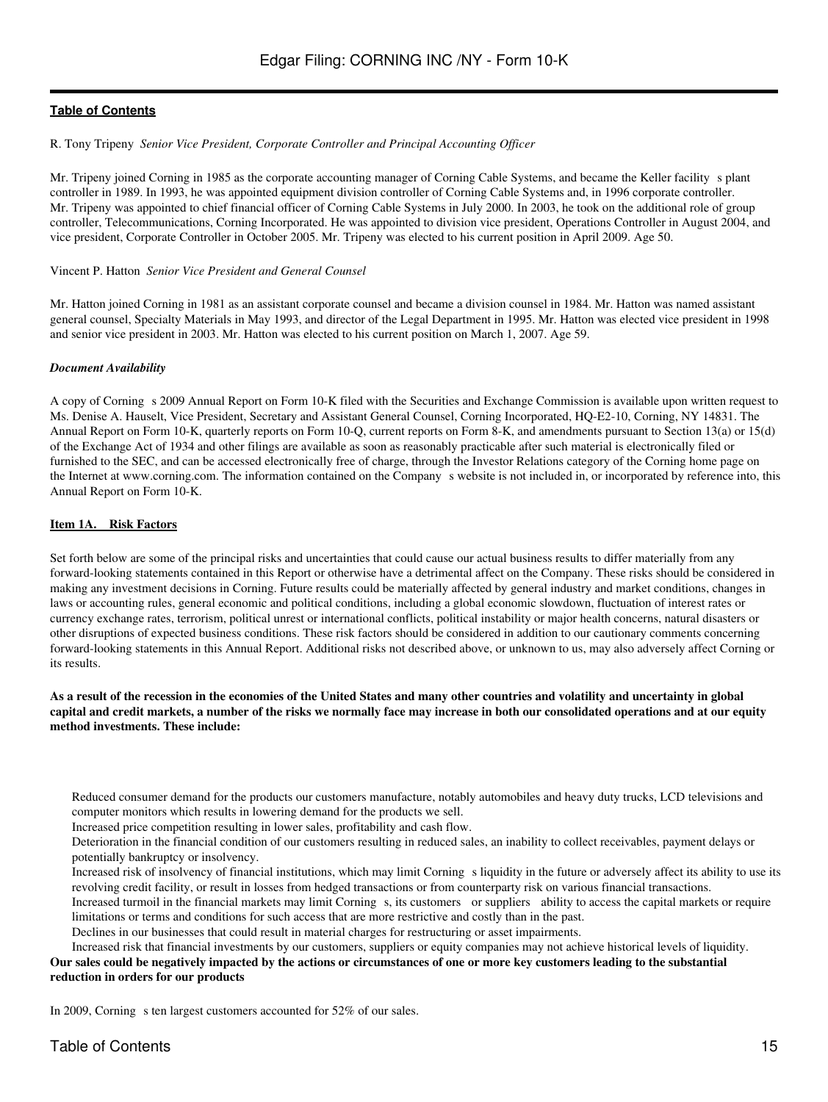### R. Tony Tripeny *Senior Vice President, Corporate Controller and Principal Accounting Officer*

Mr. Tripeny joined Corning in 1985 as the corporate accounting manager of Corning Cable Systems, and became the Keller facility s plant controller in 1989. In 1993, he was appointed equipment division controller of Corning Cable Systems and, in 1996 corporate controller. Mr. Tripeny was appointed to chief financial officer of Corning Cable Systems in July 2000. In 2003, he took on the additional role of group controller, Telecommunications, Corning Incorporated. He was appointed to division vice president, Operations Controller in August 2004, and vice president, Corporate Controller in October 2005. Mr. Tripeny was elected to his current position in April 2009. Age 50.

### Vincent P. Hatton *Senior Vice President and General Counsel*

Mr. Hatton joined Corning in 1981 as an assistant corporate counsel and became a division counsel in 1984. Mr. Hatton was named assistant general counsel, Specialty Materials in May 1993, and director of the Legal Department in 1995. Mr. Hatton was elected vice president in 1998 and senior vice president in 2003. Mr. Hatton was elected to his current position on March 1, 2007. Age 59.

### *Document Availability*

A copy of Corning s 2009 Annual Report on Form 10-K filed with the Securities and Exchange Commission is available upon written request to Ms. Denise A. Hauselt, Vice President, Secretary and Assistant General Counsel, Corning Incorporated, HQ-E2-10, Corning, NY 14831. The Annual Report on Form 10-K, quarterly reports on Form 10-Q, current reports on Form 8-K, and amendments pursuant to Section 13(a) or 15(d) of the Exchange Act of 1934 and other filings are available as soon as reasonably practicable after such material is electronically filed or furnished to the SEC, and can be accessed electronically free of charge, through the Investor Relations category of the Corning home page on the Internet at www.corning.com. The information contained on the Companys website is not included in, or incorporated by reference into, this Annual Report on Form 10-K.

### **Item 1A. Risk Factors**

Set forth below are some of the principal risks and uncertainties that could cause our actual business results to differ materially from any forward-looking statements contained in this Report or otherwise have a detrimental affect on the Company. These risks should be considered in making any investment decisions in Corning. Future results could be materially affected by general industry and market conditions, changes in laws or accounting rules, general economic and political conditions, including a global economic slowdown, fluctuation of interest rates or currency exchange rates, terrorism, political unrest or international conflicts, political instability or major health concerns, natural disasters or other disruptions of expected business conditions. These risk factors should be considered in addition to our cautionary comments concerning forward-looking statements in this Annual Report. Additional risks not described above, or unknown to us, may also adversely affect Corning or its results.

**As a result of the recession in the economies of the United States and many other countries and volatility and uncertainty in global capital and credit markets, a number of the risks we normally face may increase in both our consolidated operations and at our equity method investments. These include:**

Reduced consumer demand for the products our customers manufacture, notably automobiles and heavy duty trucks, LCD televisions and computer monitors which results in lowering demand for the products we sell.

Increased price competition resulting in lower sales, profitability and cash flow.

Deterioration in the financial condition of our customers resulting in reduced sales, an inability to collect receivables, payment delays or potentially bankruptcy or insolvency.

Increased risk of insolvency of financial institutions, which may limit Corning s liquidity in the future or adversely affect its ability to use its revolving credit facility, or result in losses from hedged transactions or from counterparty risk on various financial transactions.

Increased turmoil in the financial markets may limit Corning s, its customers or suppliers ability to access the capital markets or require limitations or terms and conditions for such access that are more restrictive and costly than in the past.

Declines in our businesses that could result in material charges for restructuring or asset impairments.

Increased risk that financial investments by our customers, suppliers or equity companies may not achieve historical levels of liquidity. **Our sales could be negatively impacted by the actions or circumstances of one or more key customers leading to the substantial reduction in orders for our products**

In 2009, Corning s ten largest customers accounted for 52% of our sales.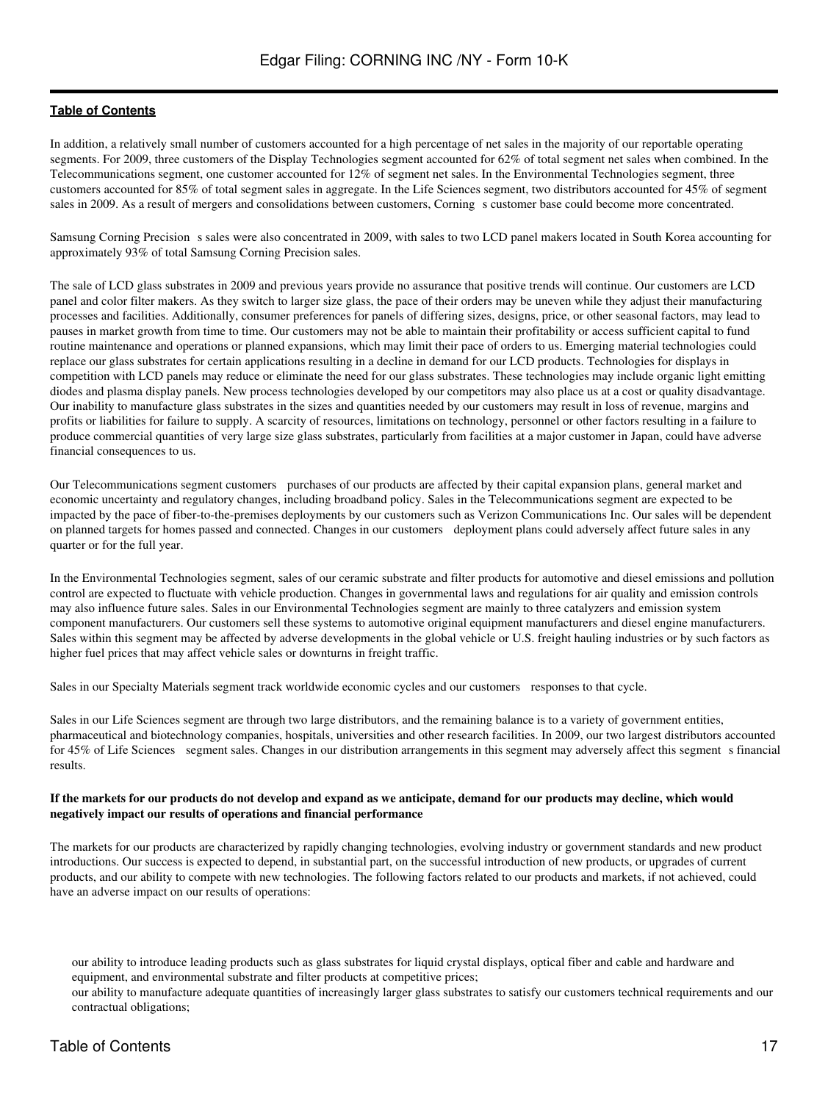In addition, a relatively small number of customers accounted for a high percentage of net sales in the majority of our reportable operating segments. For 2009, three customers of the Display Technologies segment accounted for 62% of total segment net sales when combined. In the Telecommunications segment, one customer accounted for 12% of segment net sales. In the Environmental Technologies segment, three customers accounted for 85% of total segment sales in aggregate. In the Life Sciences segment, two distributors accounted for 45% of segment sales in 2009. As a result of mergers and consolidations between customers, Corning s customer base could become more concentrated.

Samsung Corning Precision s sales were also concentrated in 2009, with sales to two LCD panel makers located in South Korea accounting for approximately 93% of total Samsung Corning Precision sales.

The sale of LCD glass substrates in 2009 and previous years provide no assurance that positive trends will continue. Our customers are LCD panel and color filter makers. As they switch to larger size glass, the pace of their orders may be uneven while they adjust their manufacturing processes and facilities. Additionally, consumer preferences for panels of differing sizes, designs, price, or other seasonal factors, may lead to pauses in market growth from time to time. Our customers may not be able to maintain their profitability or access sufficient capital to fund routine maintenance and operations or planned expansions, which may limit their pace of orders to us. Emerging material technologies could replace our glass substrates for certain applications resulting in a decline in demand for our LCD products. Technologies for displays in competition with LCD panels may reduce or eliminate the need for our glass substrates. These technologies may include organic light emitting diodes and plasma display panels. New process technologies developed by our competitors may also place us at a cost or quality disadvantage. Our inability to manufacture glass substrates in the sizes and quantities needed by our customers may result in loss of revenue, margins and profits or liabilities for failure to supply. A scarcity of resources, limitations on technology, personnel or other factors resulting in a failure to produce commercial quantities of very large size glass substrates, particularly from facilities at a major customer in Japan, could have adverse financial consequences to us.

Our Telecommunications segment customers purchases of our products are affected by their capital expansion plans, general market and economic uncertainty and regulatory changes, including broadband policy. Sales in the Telecommunications segment are expected to be impacted by the pace of fiber-to-the-premises deployments by our customers such as Verizon Communications Inc. Our sales will be dependent on planned targets for homes passed and connected. Changes in our customers deployment plans could adversely affect future sales in any quarter or for the full year.

In the Environmental Technologies segment, sales of our ceramic substrate and filter products for automotive and diesel emissions and pollution control are expected to fluctuate with vehicle production. Changes in governmental laws and regulations for air quality and emission controls may also influence future sales. Sales in our Environmental Technologies segment are mainly to three catalyzers and emission system component manufacturers. Our customers sell these systems to automotive original equipment manufacturers and diesel engine manufacturers. Sales within this segment may be affected by adverse developments in the global vehicle or U.S. freight hauling industries or by such factors as higher fuel prices that may affect vehicle sales or downturns in freight traffic.

Sales in our Specialty Materials segment track worldwide economic cycles and our customers responses to that cycle.

Sales in our Life Sciences segment are through two large distributors, and the remaining balance is to a variety of government entities, pharmaceutical and biotechnology companies, hospitals, universities and other research facilities. In 2009, our two largest distributors accounted for 45% of Life Sciences segment sales. Changes in our distribution arrangements in this segment may adversely affect this segment s financial results.

## **If the markets for our products do not develop and expand as we anticipate, demand for our products may decline, which would negatively impact our results of operations and financial performance**

The markets for our products are characterized by rapidly changing technologies, evolving industry or government standards and new product introductions. Our success is expected to depend, in substantial part, on the successful introduction of new products, or upgrades of current products, and our ability to compete with new technologies. The following factors related to our products and markets, if not achieved, could have an adverse impact on our results of operations:

our ability to introduce leading products such as glass substrates for liquid crystal displays, optical fiber and cable and hardware and equipment, and environmental substrate and filter products at competitive prices;

our ability to manufacture adequate quantities of increasingly larger glass substrates to satisfy our customers technical requirements and our contractual obligations;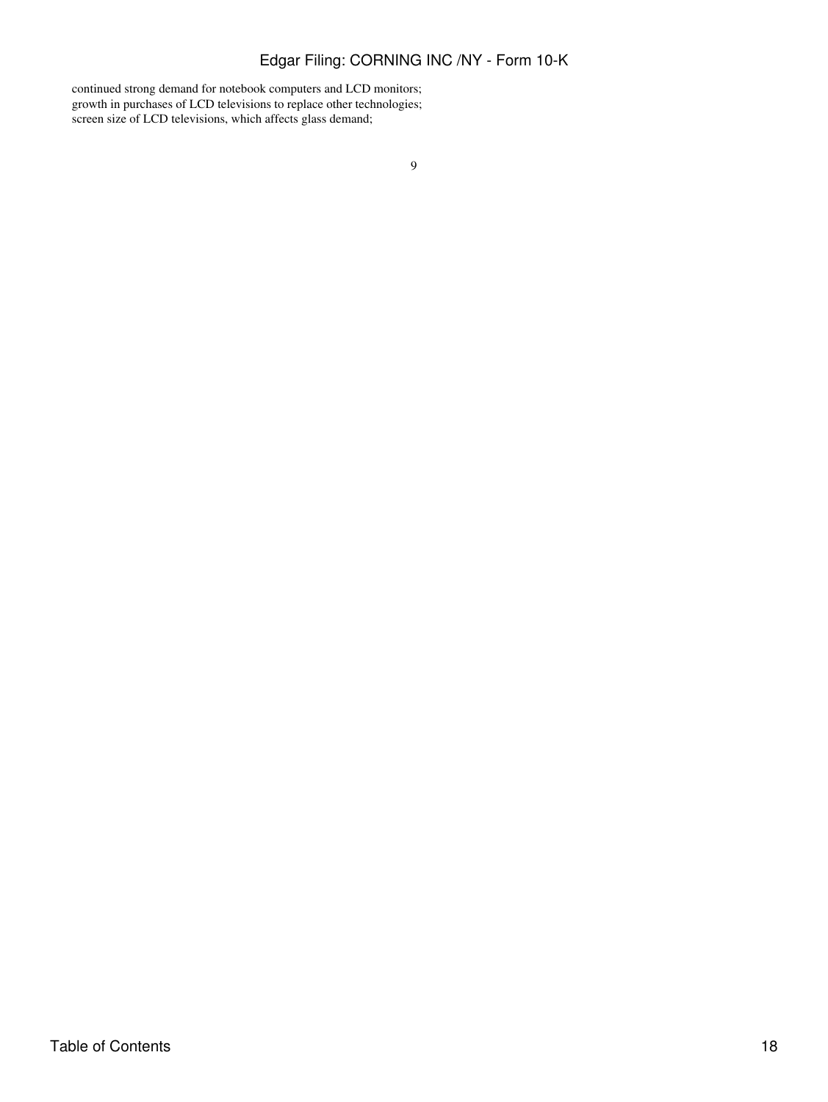continued strong demand for notebook computers and LCD monitors; growth in purchases of LCD televisions to replace other technologies; screen size of LCD televisions, which affects glass demand;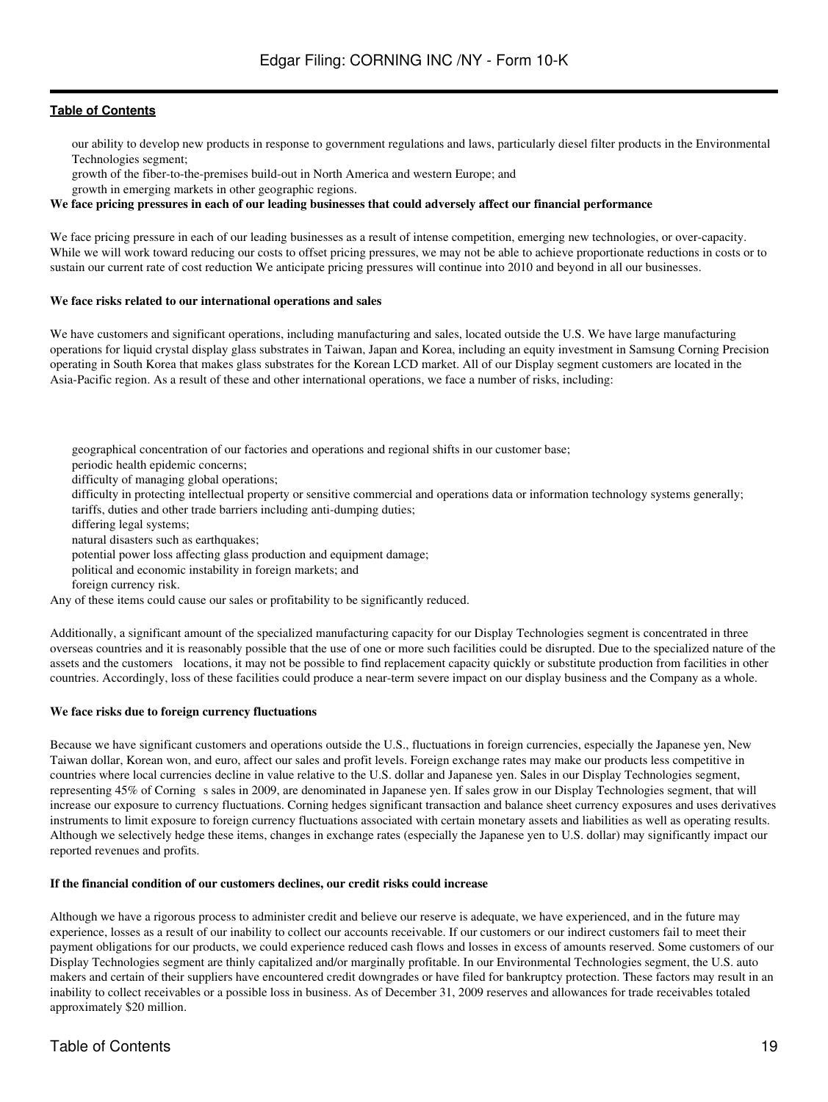our ability to develop new products in response to government regulations and laws, particularly diesel filter products in the Environmental Technologies segment;

growth of the fiber-to-the-premises build-out in North America and western Europe; and

growth in emerging markets in other geographic regions.

### **We face pricing pressures in each of our leading businesses that could adversely affect our financial performance**

We face pricing pressure in each of our leading businesses as a result of intense competition, emerging new technologies, or over-capacity. While we will work toward reducing our costs to offset pricing pressures, we may not be able to achieve proportionate reductions in costs or to sustain our current rate of cost reduction We anticipate pricing pressures will continue into 2010 and beyond in all our businesses.

### **We face risks related to our international operations and sales**

We have customers and significant operations, including manufacturing and sales, located outside the U.S. We have large manufacturing operations for liquid crystal display glass substrates in Taiwan, Japan and Korea, including an equity investment in Samsung Corning Precision operating in South Korea that makes glass substrates for the Korean LCD market. All of our Display segment customers are located in the Asia-Pacific region. As a result of these and other international operations, we face a number of risks, including:

geographical concentration of our factories and operations and regional shifts in our customer base;

periodic health epidemic concerns;

difficulty of managing global operations;

difficulty in protecting intellectual property or sensitive commercial and operations data or information technology systems generally; tariffs, duties and other trade barriers including anti-dumping duties;

differing legal systems;

natural disasters such as earthquakes;

potential power loss affecting glass production and equipment damage;

political and economic instability in foreign markets; and

foreign currency risk.

Any of these items could cause our sales or profitability to be significantly reduced.

Additionally, a significant amount of the specialized manufacturing capacity for our Display Technologies segment is concentrated in three overseas countries and it is reasonably possible that the use of one or more such facilities could be disrupted. Due to the specialized nature of the assets and the customers locations, it may not be possible to find replacement capacity quickly or substitute production from facilities in other countries. Accordingly, loss of these facilities could produce a near-term severe impact on our display business and the Company as a whole.

## **We face risks due to foreign currency fluctuations**

Because we have significant customers and operations outside the U.S., fluctuations in foreign currencies, especially the Japanese yen, New Taiwan dollar, Korean won, and euro, affect our sales and profit levels. Foreign exchange rates may make our products less competitive in countries where local currencies decline in value relative to the U.S. dollar and Japanese yen. Sales in our Display Technologies segment, representing 45% of Corning s sales in 2009, are denominated in Japanese yen. If sales grow in our Display Technologies segment, that will increase our exposure to currency fluctuations. Corning hedges significant transaction and balance sheet currency exposures and uses derivatives instruments to limit exposure to foreign currency fluctuations associated with certain monetary assets and liabilities as well as operating results. Although we selectively hedge these items, changes in exchange rates (especially the Japanese yen to U.S. dollar) may significantly impact our reported revenues and profits.

#### **If the financial condition of our customers declines, our credit risks could increase**

Although we have a rigorous process to administer credit and believe our reserve is adequate, we have experienced, and in the future may experience, losses as a result of our inability to collect our accounts receivable. If our customers or our indirect customers fail to meet their payment obligations for our products, we could experience reduced cash flows and losses in excess of amounts reserved. Some customers of our Display Technologies segment are thinly capitalized and/or marginally profitable. In our Environmental Technologies segment, the U.S. auto makers and certain of their suppliers have encountered credit downgrades or have filed for bankruptcy protection. These factors may result in an inability to collect receivables or a possible loss in business. As of December 31, 2009 reserves and allowances for trade receivables totaled approximately \$20 million.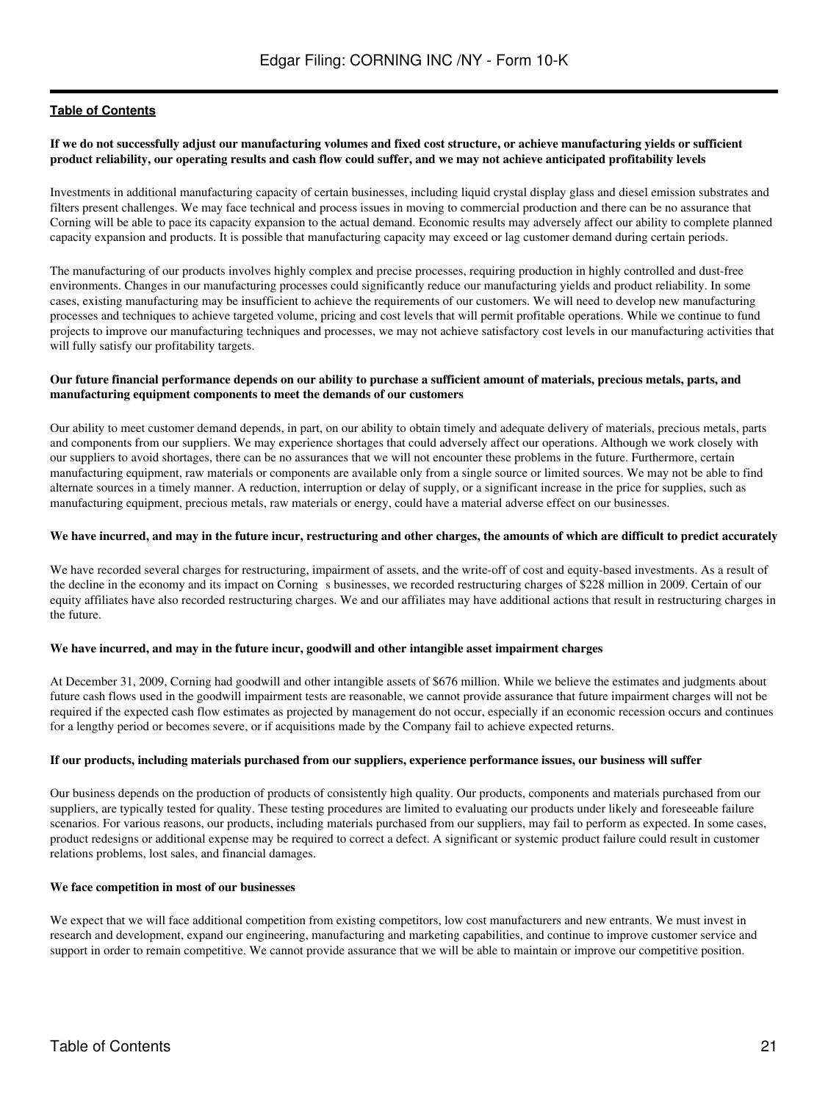### **If we do not successfully adjust our manufacturing volumes and fixed cost structure, or achieve manufacturing yields or sufficient product reliability, our operating results and cash flow could suffer, and we may not achieve anticipated profitability levels**

Investments in additional manufacturing capacity of certain businesses, including liquid crystal display glass and diesel emission substrates and filters present challenges. We may face technical and process issues in moving to commercial production and there can be no assurance that Corning will be able to pace its capacity expansion to the actual demand. Economic results may adversely affect our ability to complete planned capacity expansion and products. It is possible that manufacturing capacity may exceed or lag customer demand during certain periods.

The manufacturing of our products involves highly complex and precise processes, requiring production in highly controlled and dust-free environments. Changes in our manufacturing processes could significantly reduce our manufacturing yields and product reliability. In some cases, existing manufacturing may be insufficient to achieve the requirements of our customers. We will need to develop new manufacturing processes and techniques to achieve targeted volume, pricing and cost levels that will permit profitable operations. While we continue to fund projects to improve our manufacturing techniques and processes, we may not achieve satisfactory cost levels in our manufacturing activities that will fully satisfy our profitability targets.

### **Our future financial performance depends on our ability to purchase a sufficient amount of materials, precious metals, parts, and manufacturing equipment components to meet the demands of our customers**

Our ability to meet customer demand depends, in part, on our ability to obtain timely and adequate delivery of materials, precious metals, parts and components from our suppliers. We may experience shortages that could adversely affect our operations. Although we work closely with our suppliers to avoid shortages, there can be no assurances that we will not encounter these problems in the future. Furthermore, certain manufacturing equipment, raw materials or components are available only from a single source or limited sources. We may not be able to find alternate sources in a timely manner. A reduction, interruption or delay of supply, or a significant increase in the price for supplies, such as manufacturing equipment, precious metals, raw materials or energy, could have a material adverse effect on our businesses.

### **We have incurred, and may in the future incur, restructuring and other charges, the amounts of which are difficult to predict accurately**

We have recorded several charges for restructuring, impairment of assets, and the write-off of cost and equity-based investments. As a result of the decline in the economy and its impact on Corning s businesses, we recorded restructuring charges of \$228 million in 2009. Certain of our equity affiliates have also recorded restructuring charges. We and our affiliates may have additional actions that result in restructuring charges in the future.

#### **We have incurred, and may in the future incur, goodwill and other intangible asset impairment charges**

At December 31, 2009, Corning had goodwill and other intangible assets of \$676 million. While we believe the estimates and judgments about future cash flows used in the goodwill impairment tests are reasonable, we cannot provide assurance that future impairment charges will not be required if the expected cash flow estimates as projected by management do not occur, especially if an economic recession occurs and continues for a lengthy period or becomes severe, or if acquisitions made by the Company fail to achieve expected returns.

#### **If our products, including materials purchased from our suppliers, experience performance issues, our business will suffer**

Our business depends on the production of products of consistently high quality. Our products, components and materials purchased from our suppliers, are typically tested for quality. These testing procedures are limited to evaluating our products under likely and foreseeable failure scenarios. For various reasons, our products, including materials purchased from our suppliers, may fail to perform as expected. In some cases, product redesigns or additional expense may be required to correct a defect. A significant or systemic product failure could result in customer relations problems, lost sales, and financial damages.

#### **We face competition in most of our businesses**

We expect that we will face additional competition from existing competitors, low cost manufacturers and new entrants. We must invest in research and development, expand our engineering, manufacturing and marketing capabilities, and continue to improve customer service and support in order to remain competitive. We cannot provide assurance that we will be able to maintain or improve our competitive position.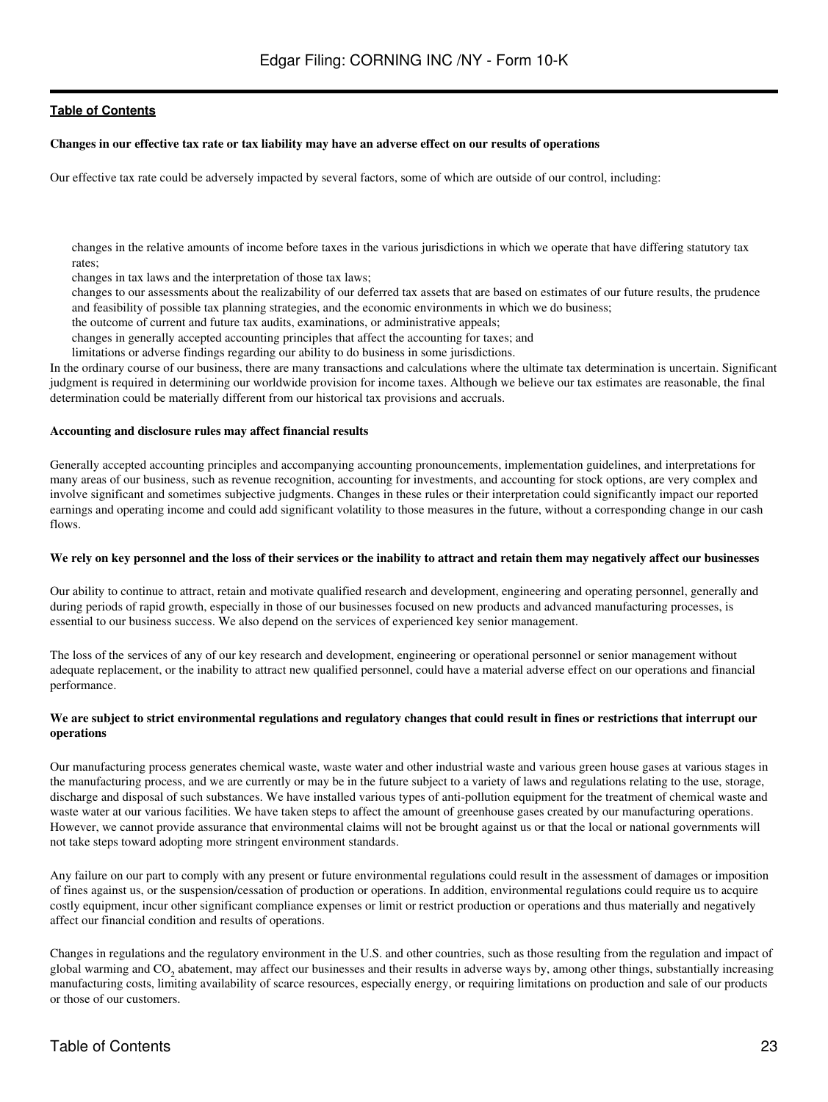### **Changes in our effective tax rate or tax liability may have an adverse effect on our results of operations**

Our effective tax rate could be adversely impacted by several factors, some of which are outside of our control, including:

changes in the relative amounts of income before taxes in the various jurisdictions in which we operate that have differing statutory tax rates;

changes in tax laws and the interpretation of those tax laws;

changes to our assessments about the realizability of our deferred tax assets that are based on estimates of our future results, the prudence and feasibility of possible tax planning strategies, and the economic environments in which we do business;

the outcome of current and future tax audits, examinations, or administrative appeals;

changes in generally accepted accounting principles that affect the accounting for taxes; and

limitations or adverse findings regarding our ability to do business in some jurisdictions.

In the ordinary course of our business, there are many transactions and calculations where the ultimate tax determination is uncertain. Significant judgment is required in determining our worldwide provision for income taxes. Although we believe our tax estimates are reasonable, the final determination could be materially different from our historical tax provisions and accruals.

#### **Accounting and disclosure rules may affect financial results**

Generally accepted accounting principles and accompanying accounting pronouncements, implementation guidelines, and interpretations for many areas of our business, such as revenue recognition, accounting for investments, and accounting for stock options, are very complex and involve significant and sometimes subjective judgments. Changes in these rules or their interpretation could significantly impact our reported earnings and operating income and could add significant volatility to those measures in the future, without a corresponding change in our cash flows.

#### **We rely on key personnel and the loss of their services or the inability to attract and retain them may negatively affect our businesses**

Our ability to continue to attract, retain and motivate qualified research and development, engineering and operating personnel, generally and during periods of rapid growth, especially in those of our businesses focused on new products and advanced manufacturing processes, is essential to our business success. We also depend on the services of experienced key senior management.

The loss of the services of any of our key research and development, engineering or operational personnel or senior management without adequate replacement, or the inability to attract new qualified personnel, could have a material adverse effect on our operations and financial performance.

## **We are subject to strict environmental regulations and regulatory changes that could result in fines or restrictions that interrupt our operations**

Our manufacturing process generates chemical waste, waste water and other industrial waste and various green house gases at various stages in the manufacturing process, and we are currently or may be in the future subject to a variety of laws and regulations relating to the use, storage, discharge and disposal of such substances. We have installed various types of anti-pollution equipment for the treatment of chemical waste and waste water at our various facilities. We have taken steps to affect the amount of greenhouse gases created by our manufacturing operations. However, we cannot provide assurance that environmental claims will not be brought against us or that the local or national governments will not take steps toward adopting more stringent environment standards.

Any failure on our part to comply with any present or future environmental regulations could result in the assessment of damages or imposition of fines against us, or the suspension/cessation of production or operations. In addition, environmental regulations could require us to acquire costly equipment, incur other significant compliance expenses or limit or restrict production or operations and thus materially and negatively affect our financial condition and results of operations.

Changes in regulations and the regulatory environment in the U.S. and other countries, such as those resulting from the regulation and impact of global warming and  $\mathrm{CO}_2$  abatement, may affect our businesses and their results in adverse ways by, among other things, substantially increasing manufacturing costs, limiting availability of scarce resources, especially energy, or requiring limitations on production and sale of our products or those of our customers.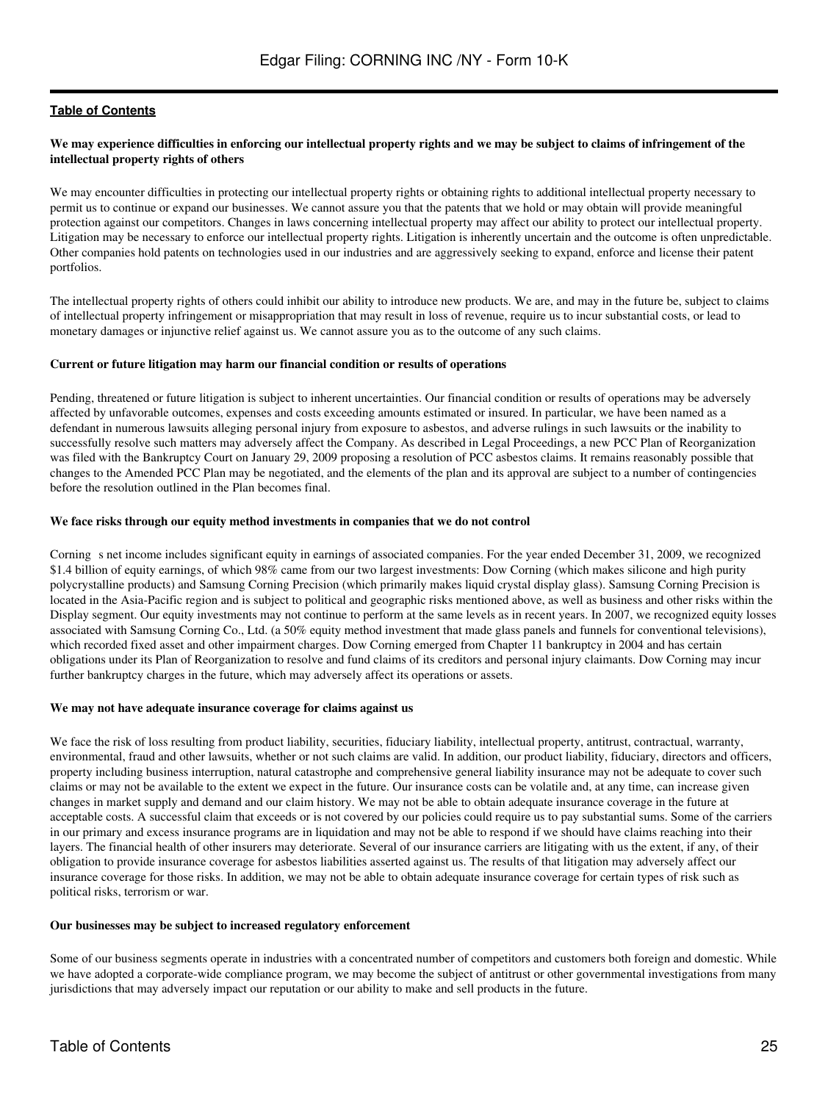### **We may experience difficulties in enforcing our intellectual property rights and we may be subject to claims of infringement of the intellectual property rights of others**

We may encounter difficulties in protecting our intellectual property rights or obtaining rights to additional intellectual property necessary to permit us to continue or expand our businesses. We cannot assure you that the patents that we hold or may obtain will provide meaningful protection against our competitors. Changes in laws concerning intellectual property may affect our ability to protect our intellectual property. Litigation may be necessary to enforce our intellectual property rights. Litigation is inherently uncertain and the outcome is often unpredictable. Other companies hold patents on technologies used in our industries and are aggressively seeking to expand, enforce and license their patent portfolios.

The intellectual property rights of others could inhibit our ability to introduce new products. We are, and may in the future be, subject to claims of intellectual property infringement or misappropriation that may result in loss of revenue, require us to incur substantial costs, or lead to monetary damages or injunctive relief against us. We cannot assure you as to the outcome of any such claims.

### **Current or future litigation may harm our financial condition or results of operations**

Pending, threatened or future litigation is subject to inherent uncertainties. Our financial condition or results of operations may be adversely affected by unfavorable outcomes, expenses and costs exceeding amounts estimated or insured. In particular, we have been named as a defendant in numerous lawsuits alleging personal injury from exposure to asbestos, and adverse rulings in such lawsuits or the inability to successfully resolve such matters may adversely affect the Company. As described in Legal Proceedings, a new PCC Plan of Reorganization was filed with the Bankruptcy Court on January 29, 2009 proposing a resolution of PCC asbestos claims. It remains reasonably possible that changes to the Amended PCC Plan may be negotiated, and the elements of the plan and its approval are subject to a number of contingencies before the resolution outlined in the Plan becomes final.

### **We face risks through our equity method investments in companies that we do not control**

Corning s net income includes significant equity in earnings of associated companies. For the year ended December 31, 2009, we recognized \$1.4 billion of equity earnings, of which 98% came from our two largest investments: Dow Corning (which makes silicone and high purity polycrystalline products) and Samsung Corning Precision (which primarily makes liquid crystal display glass). Samsung Corning Precision is located in the Asia-Pacific region and is subject to political and geographic risks mentioned above, as well as business and other risks within the Display segment. Our equity investments may not continue to perform at the same levels as in recent years. In 2007, we recognized equity losses associated with Samsung Corning Co., Ltd. (a 50% equity method investment that made glass panels and funnels for conventional televisions), which recorded fixed asset and other impairment charges. Dow Corning emerged from Chapter 11 bankruptcy in 2004 and has certain obligations under its Plan of Reorganization to resolve and fund claims of its creditors and personal injury claimants. Dow Corning may incur further bankruptcy charges in the future, which may adversely affect its operations or assets.

## **We may not have adequate insurance coverage for claims against us**

We face the risk of loss resulting from product liability, securities, fiduciary liability, intellectual property, antitrust, contractual, warranty, environmental, fraud and other lawsuits, whether or not such claims are valid. In addition, our product liability, fiduciary, directors and officers, property including business interruption, natural catastrophe and comprehensive general liability insurance may not be adequate to cover such claims or may not be available to the extent we expect in the future. Our insurance costs can be volatile and, at any time, can increase given changes in market supply and demand and our claim history. We may not be able to obtain adequate insurance coverage in the future at acceptable costs. A successful claim that exceeds or is not covered by our policies could require us to pay substantial sums. Some of the carriers in our primary and excess insurance programs are in liquidation and may not be able to respond if we should have claims reaching into their layers. The financial health of other insurers may deteriorate. Several of our insurance carriers are litigating with us the extent, if any, of their obligation to provide insurance coverage for asbestos liabilities asserted against us. The results of that litigation may adversely affect our insurance coverage for those risks. In addition, we may not be able to obtain adequate insurance coverage for certain types of risk such as political risks, terrorism or war.

#### **Our businesses may be subject to increased regulatory enforcement**

Some of our business segments operate in industries with a concentrated number of competitors and customers both foreign and domestic. While we have adopted a corporate-wide compliance program, we may become the subject of antitrust or other governmental investigations from many jurisdictions that may adversely impact our reputation or our ability to make and sell products in the future.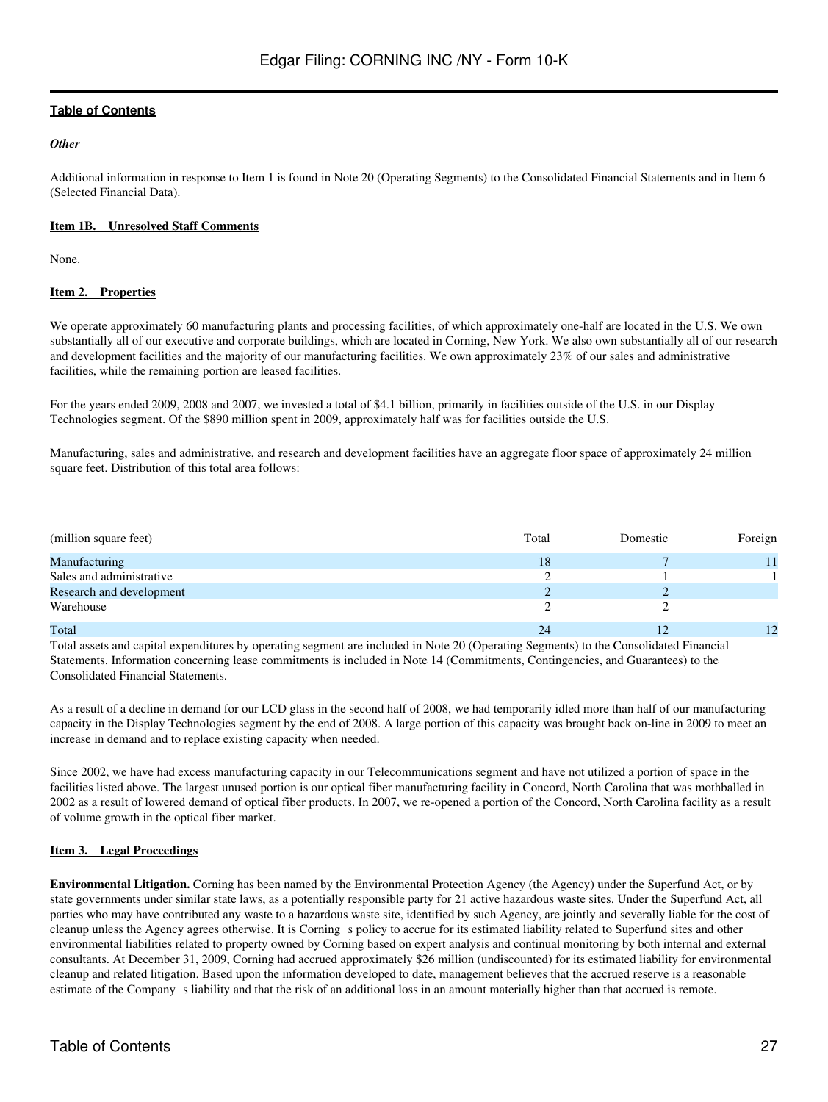## *Other*

Additional information in response to Item 1 is found in Note 20 (Operating Segments) to the Consolidated Financial Statements and in Item 6 (Selected Financial Data).

## **Item 1B. Unresolved Staff Comments**

None.

# **Item 2. Properties**

We operate approximately 60 manufacturing plants and processing facilities, of which approximately one-half are located in the U.S. We own substantially all of our executive and corporate buildings, which are located in Corning, New York. We also own substantially all of our research and development facilities and the majority of our manufacturing facilities. We own approximately 23% of our sales and administrative facilities, while the remaining portion are leased facilities.

For the years ended 2009, 2008 and 2007, we invested a total of \$4.1 billion, primarily in facilities outside of the U.S. in our Display Technologies segment. Of the \$890 million spent in 2009, approximately half was for facilities outside the U.S.

Manufacturing, sales and administrative, and research and development facilities have an aggregate floor space of approximately 24 million square feet. Distribution of this total area follows:

| (million square feet)    | Total | Domestic | Foreign |
|--------------------------|-------|----------|---------|
| <b>Manufacturing</b>     | 18    |          |         |
| Sales and administrative |       |          |         |
| Research and development |       |          |         |
| Warehouse                |       |          |         |
| Total                    | 24    |          | 12      |

Total assets and capital expenditures by operating segment are included in Note 20 (Operating Segments) to the Consolidated Financial Statements. Information concerning lease commitments is included in Note 14 (Commitments, Contingencies, and Guarantees) to the Consolidated Financial Statements.

As a result of a decline in demand for our LCD glass in the second half of 2008, we had temporarily idled more than half of our manufacturing capacity in the Display Technologies segment by the end of 2008. A large portion of this capacity was brought back on-line in 2009 to meet an increase in demand and to replace existing capacity when needed.

Since 2002, we have had excess manufacturing capacity in our Telecommunications segment and have not utilized a portion of space in the facilities listed above. The largest unused portion is our optical fiber manufacturing facility in Concord, North Carolina that was mothballed in 2002 as a result of lowered demand of optical fiber products. In 2007, we re-opened a portion of the Concord, North Carolina facility as a result of volume growth in the optical fiber market.

# **Item 3. Legal Proceedings**

**Environmental Litigation.** Corning has been named by the Environmental Protection Agency (the Agency) under the Superfund Act, or by state governments under similar state laws, as a potentially responsible party for 21 active hazardous waste sites. Under the Superfund Act, all parties who may have contributed any waste to a hazardous waste site, identified by such Agency, are jointly and severally liable for the cost of cleanup unless the Agency agrees otherwise. It is Corning s policy to accrue for its estimated liability related to Superfund sites and other environmental liabilities related to property owned by Corning based on expert analysis and continual monitoring by both internal and external consultants. At December 31, 2009, Corning had accrued approximately \$26 million (undiscounted) for its estimated liability for environmental cleanup and related litigation. Based upon the information developed to date, management believes that the accrued reserve is a reasonable estimate of the Company s liability and that the risk of an additional loss in an amount materially higher than that accrued is remote.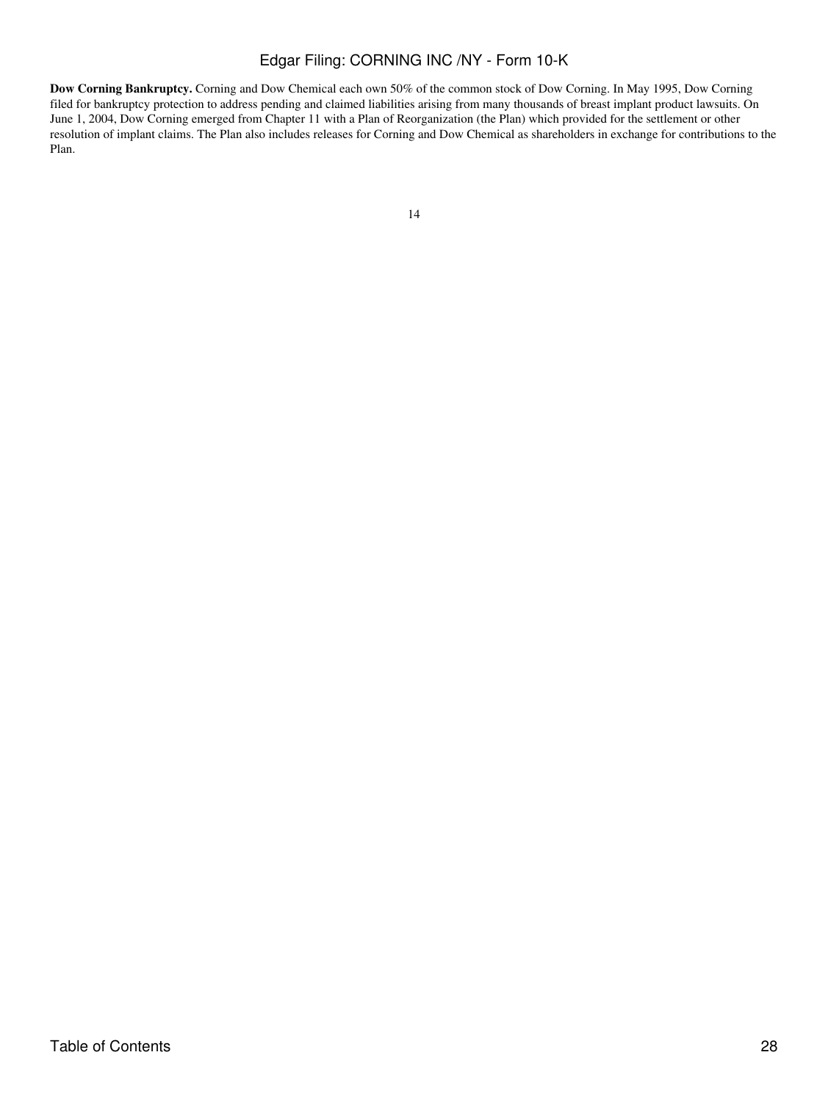**Dow Corning Bankruptcy.** Corning and Dow Chemical each own 50% of the common stock of Dow Corning. In May 1995, Dow Corning filed for bankruptcy protection to address pending and claimed liabilities arising from many thousands of breast implant product lawsuits. On June 1, 2004, Dow Corning emerged from Chapter 11 with a Plan of Reorganization (the Plan) which provided for the settlement or other resolution of implant claims. The Plan also includes releases for Corning and Dow Chemical as shareholders in exchange for contributions to the Plan.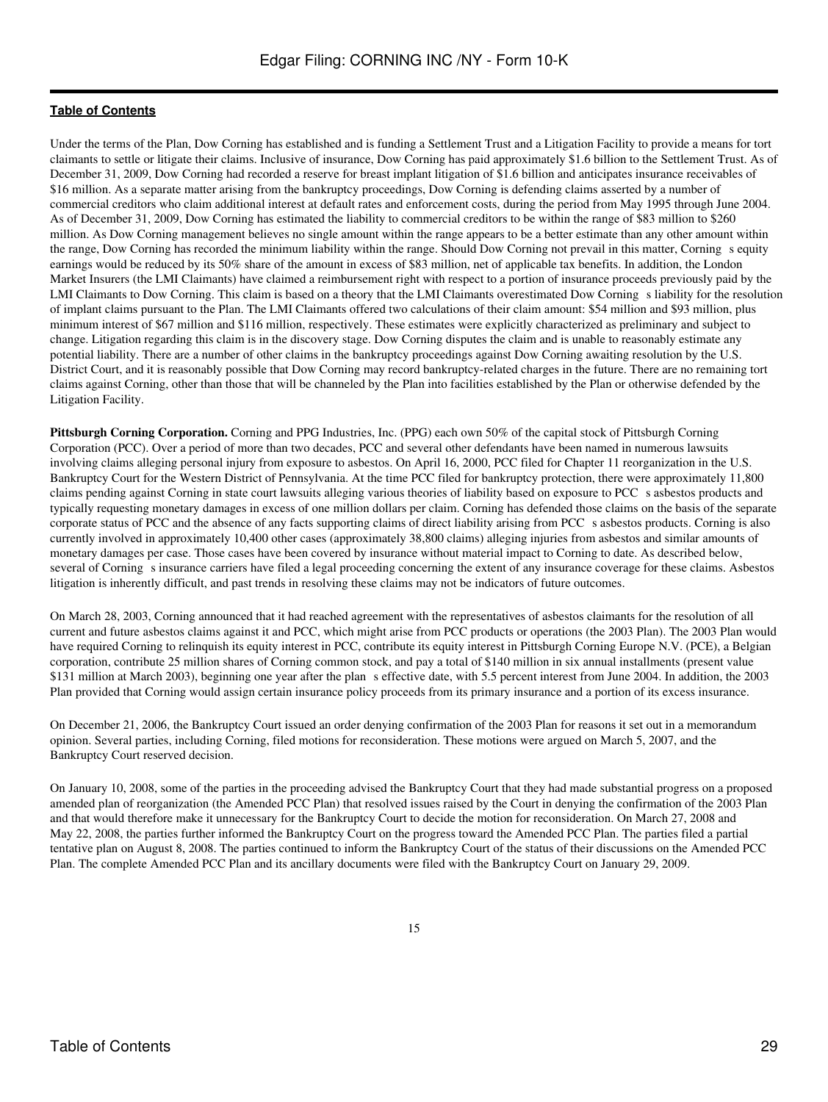Under the terms of the Plan, Dow Corning has established and is funding a Settlement Trust and a Litigation Facility to provide a means for tort claimants to settle or litigate their claims. Inclusive of insurance, Dow Corning has paid approximately \$1.6 billion to the Settlement Trust. As of December 31, 2009, Dow Corning had recorded a reserve for breast implant litigation of \$1.6 billion and anticipates insurance receivables of \$16 million. As a separate matter arising from the bankruptcy proceedings, Dow Corning is defending claims asserted by a number of commercial creditors who claim additional interest at default rates and enforcement costs, during the period from May 1995 through June 2004. As of December 31, 2009, Dow Corning has estimated the liability to commercial creditors to be within the range of \$83 million to \$260 million. As Dow Corning management believes no single amount within the range appears to be a better estimate than any other amount within the range, Dow Corning has recorded the minimum liability within the range. Should Dow Corning not prevail in this matter, Cornings equity earnings would be reduced by its 50% share of the amount in excess of \$83 million, net of applicable tax benefits. In addition, the London Market Insurers (the LMI Claimants) have claimed a reimbursement right with respect to a portion of insurance proceeds previously paid by the LMI Claimants to Dow Corning. This claim is based on a theory that the LMI Claimants overestimated Dow Corning s liability for the resolution of implant claims pursuant to the Plan. The LMI Claimants offered two calculations of their claim amount: \$54 million and \$93 million, plus minimum interest of \$67 million and \$116 million, respectively. These estimates were explicitly characterized as preliminary and subject to change. Litigation regarding this claim is in the discovery stage. Dow Corning disputes the claim and is unable to reasonably estimate any potential liability. There are a number of other claims in the bankruptcy proceedings against Dow Corning awaiting resolution by the U.S. District Court, and it is reasonably possible that Dow Corning may record bankruptcy-related charges in the future. There are no remaining tort claims against Corning, other than those that will be channeled by the Plan into facilities established by the Plan or otherwise defended by the Litigation Facility.

**Pittsburgh Corning Corporation.** Corning and PPG Industries, Inc. (PPG) each own 50% of the capital stock of Pittsburgh Corning Corporation (PCC). Over a period of more than two decades, PCC and several other defendants have been named in numerous lawsuits involving claims alleging personal injury from exposure to asbestos. On April 16, 2000, PCC filed for Chapter 11 reorganization in the U.S. Bankruptcy Court for the Western District of Pennsylvania. At the time PCC filed for bankruptcy protection, there were approximately 11,800 claims pending against Corning in state court lawsuits alleging various theories of liability based on exposure to PCC s asbestos products and typically requesting monetary damages in excess of one million dollars per claim. Corning has defended those claims on the basis of the separate corporate status of PCC and the absence of any facts supporting claims of direct liability arising from PCC s asbestos products. Corning is also currently involved in approximately 10,400 other cases (approximately 38,800 claims) alleging injuries from asbestos and similar amounts of monetary damages per case. Those cases have been covered by insurance without material impact to Corning to date. As described below, several of Corning s insurance carriers have filed a legal proceeding concerning the extent of any insurance coverage for these claims. Asbestos litigation is inherently difficult, and past trends in resolving these claims may not be indicators of future outcomes.

On March 28, 2003, Corning announced that it had reached agreement with the representatives of asbestos claimants for the resolution of all current and future asbestos claims against it and PCC, which might arise from PCC products or operations (the 2003 Plan). The 2003 Plan would have required Corning to relinquish its equity interest in PCC, contribute its equity interest in Pittsburgh Corning Europe N.V. (PCE), a Belgian corporation, contribute 25 million shares of Corning common stock, and pay a total of \$140 million in six annual installments (present value \$131 million at March 2003), beginning one year after the plan s effective date, with 5.5 percent interest from June 2004. In addition, the 2003 Plan provided that Corning would assign certain insurance policy proceeds from its primary insurance and a portion of its excess insurance.

On December 21, 2006, the Bankruptcy Court issued an order denying confirmation of the 2003 Plan for reasons it set out in a memorandum opinion. Several parties, including Corning, filed motions for reconsideration. These motions were argued on March 5, 2007, and the Bankruptcy Court reserved decision.

On January 10, 2008, some of the parties in the proceeding advised the Bankruptcy Court that they had made substantial progress on a proposed amended plan of reorganization (the Amended PCC Plan) that resolved issues raised by the Court in denying the confirmation of the 2003 Plan and that would therefore make it unnecessary for the Bankruptcy Court to decide the motion for reconsideration. On March 27, 2008 and May 22, 2008, the parties further informed the Bankruptcy Court on the progress toward the Amended PCC Plan. The parties filed a partial tentative plan on August 8, 2008. The parties continued to inform the Bankruptcy Court of the status of their discussions on the Amended PCC Plan. The complete Amended PCC Plan and its ancillary documents were filed with the Bankruptcy Court on January 29, 2009.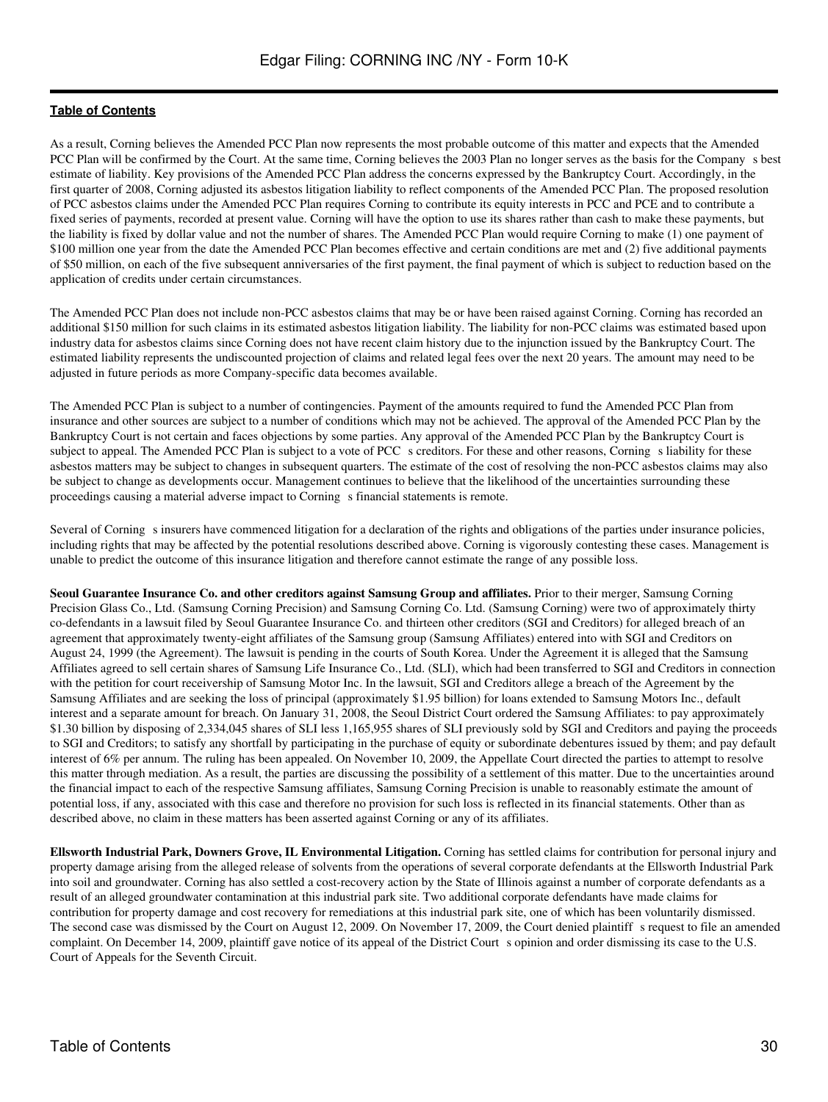As a result, Corning believes the Amended PCC Plan now represents the most probable outcome of this matter and expects that the Amended PCC Plan will be confirmed by the Court. At the same time, Corning believes the 2003 Plan no longer serves as the basis for the Company s best estimate of liability. Key provisions of the Amended PCC Plan address the concerns expressed by the Bankruptcy Court. Accordingly, in the first quarter of 2008, Corning adjusted its asbestos litigation liability to reflect components of the Amended PCC Plan. The proposed resolution of PCC asbestos claims under the Amended PCC Plan requires Corning to contribute its equity interests in PCC and PCE and to contribute a fixed series of payments, recorded at present value. Corning will have the option to use its shares rather than cash to make these payments, but the liability is fixed by dollar value and not the number of shares. The Amended PCC Plan would require Corning to make (1) one payment of \$100 million one year from the date the Amended PCC Plan becomes effective and certain conditions are met and (2) five additional payments of \$50 million, on each of the five subsequent anniversaries of the first payment, the final payment of which is subject to reduction based on the application of credits under certain circumstances.

The Amended PCC Plan does not include non-PCC asbestos claims that may be or have been raised against Corning. Corning has recorded an additional \$150 million for such claims in its estimated asbestos litigation liability. The liability for non-PCC claims was estimated based upon industry data for asbestos claims since Corning does not have recent claim history due to the injunction issued by the Bankruptcy Court. The estimated liability represents the undiscounted projection of claims and related legal fees over the next 20 years. The amount may need to be adjusted in future periods as more Company-specific data becomes available.

The Amended PCC Plan is subject to a number of contingencies. Payment of the amounts required to fund the Amended PCC Plan from insurance and other sources are subject to a number of conditions which may not be achieved. The approval of the Amended PCC Plan by the Bankruptcy Court is not certain and faces objections by some parties. Any approval of the Amended PCC Plan by the Bankruptcy Court is subject to appeal. The Amended PCC Plan is subject to a vote of PCC s creditors. For these and other reasons, Corning s liability for these asbestos matters may be subject to changes in subsequent quarters. The estimate of the cost of resolving the non-PCC asbestos claims may also be subject to change as developments occur. Management continues to believe that the likelihood of the uncertainties surrounding these proceedings causing a material adverse impact to Corning s financial statements is remote.

Several of Corning s insurers have commenced litigation for a declaration of the rights and obligations of the parties under insurance policies, including rights that may be affected by the potential resolutions described above. Corning is vigorously contesting these cases. Management is unable to predict the outcome of this insurance litigation and therefore cannot estimate the range of any possible loss.

**Seoul Guarantee Insurance Co. and other creditors against Samsung Group and affiliates.** Prior to their merger, Samsung Corning Precision Glass Co., Ltd. (Samsung Corning Precision) and Samsung Corning Co. Ltd. (Samsung Corning) were two of approximately thirty co-defendants in a lawsuit filed by Seoul Guarantee Insurance Co. and thirteen other creditors (SGI and Creditors) for alleged breach of an agreement that approximately twenty-eight affiliates of the Samsung group (Samsung Affiliates) entered into with SGI and Creditors on August 24, 1999 (the Agreement). The lawsuit is pending in the courts of South Korea. Under the Agreement it is alleged that the Samsung Affiliates agreed to sell certain shares of Samsung Life Insurance Co., Ltd. (SLI), which had been transferred to SGI and Creditors in connection with the petition for court receivership of Samsung Motor Inc. In the lawsuit, SGI and Creditors allege a breach of the Agreement by the Samsung Affiliates and are seeking the loss of principal (approximately \$1.95 billion) for loans extended to Samsung Motors Inc., default interest and a separate amount for breach. On January 31, 2008, the Seoul District Court ordered the Samsung Affiliates: to pay approximately \$1.30 billion by disposing of 2,334,045 shares of SLI less 1,165,955 shares of SLI previously sold by SGI and Creditors and paying the proceeds to SGI and Creditors; to satisfy any shortfall by participating in the purchase of equity or subordinate debentures issued by them; and pay default interest of 6% per annum. The ruling has been appealed. On November 10, 2009, the Appellate Court directed the parties to attempt to resolve this matter through mediation. As a result, the parties are discussing the possibility of a settlement of this matter. Due to the uncertainties around the financial impact to each of the respective Samsung affiliates, Samsung Corning Precision is unable to reasonably estimate the amount of potential loss, if any, associated with this case and therefore no provision for such loss is reflected in its financial statements. Other than as described above, no claim in these matters has been asserted against Corning or any of its affiliates.

**Ellsworth Industrial Park, Downers Grove, IL Environmental Litigation.** Corning has settled claims for contribution for personal injury and property damage arising from the alleged release of solvents from the operations of several corporate defendants at the Ellsworth Industrial Park into soil and groundwater. Corning has also settled a cost-recovery action by the State of Illinois against a number of corporate defendants as a result of an alleged groundwater contamination at this industrial park site. Two additional corporate defendants have made claims for contribution for property damage and cost recovery for remediations at this industrial park site, one of which has been voluntarily dismissed. The second case was dismissed by the Court on August 12, 2009. On November 17, 2009, the Court denied plaintiff s request to file an amended complaint. On December 14, 2009, plaintiff gave notice of its appeal of the District Court s opinion and order dismissing its case to the U.S. Court of Appeals for the Seventh Circuit.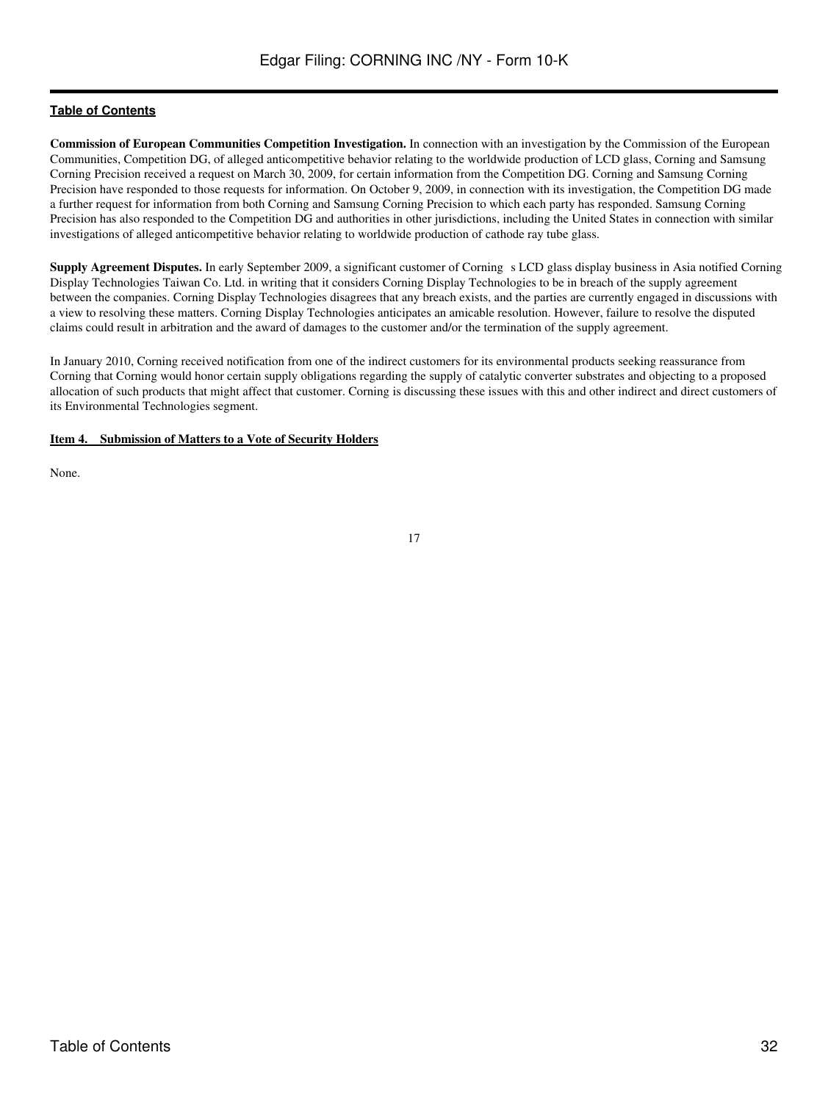**Commission of European Communities Competition Investigation.** In connection with an investigation by the Commission of the European Communities, Competition DG, of alleged anticompetitive behavior relating to the worldwide production of LCD glass, Corning and Samsung Corning Precision received a request on March 30, 2009, for certain information from the Competition DG. Corning and Samsung Corning Precision have responded to those requests for information. On October 9, 2009, in connection with its investigation, the Competition DG made a further request for information from both Corning and Samsung Corning Precision to which each party has responded. Samsung Corning Precision has also responded to the Competition DG and authorities in other jurisdictions, including the United States in connection with similar investigations of alleged anticompetitive behavior relating to worldwide production of cathode ray tube glass.

**Supply Agreement Disputes.** In early September 2009, a significant customer of Corning s LCD glass display business in Asia notified Corning Display Technologies Taiwan Co. Ltd. in writing that it considers Corning Display Technologies to be in breach of the supply agreement between the companies. Corning Display Technologies disagrees that any breach exists, and the parties are currently engaged in discussions with a view to resolving these matters. Corning Display Technologies anticipates an amicable resolution. However, failure to resolve the disputed claims could result in arbitration and the award of damages to the customer and/or the termination of the supply agreement.

In January 2010, Corning received notification from one of the indirect customers for its environmental products seeking reassurance from Corning that Corning would honor certain supply obligations regarding the supply of catalytic converter substrates and objecting to a proposed allocation of such products that might affect that customer. Corning is discussing these issues with this and other indirect and direct customers of its Environmental Technologies segment.

## **Item 4. Submission of Matters to a Vote of Security Holders**

None.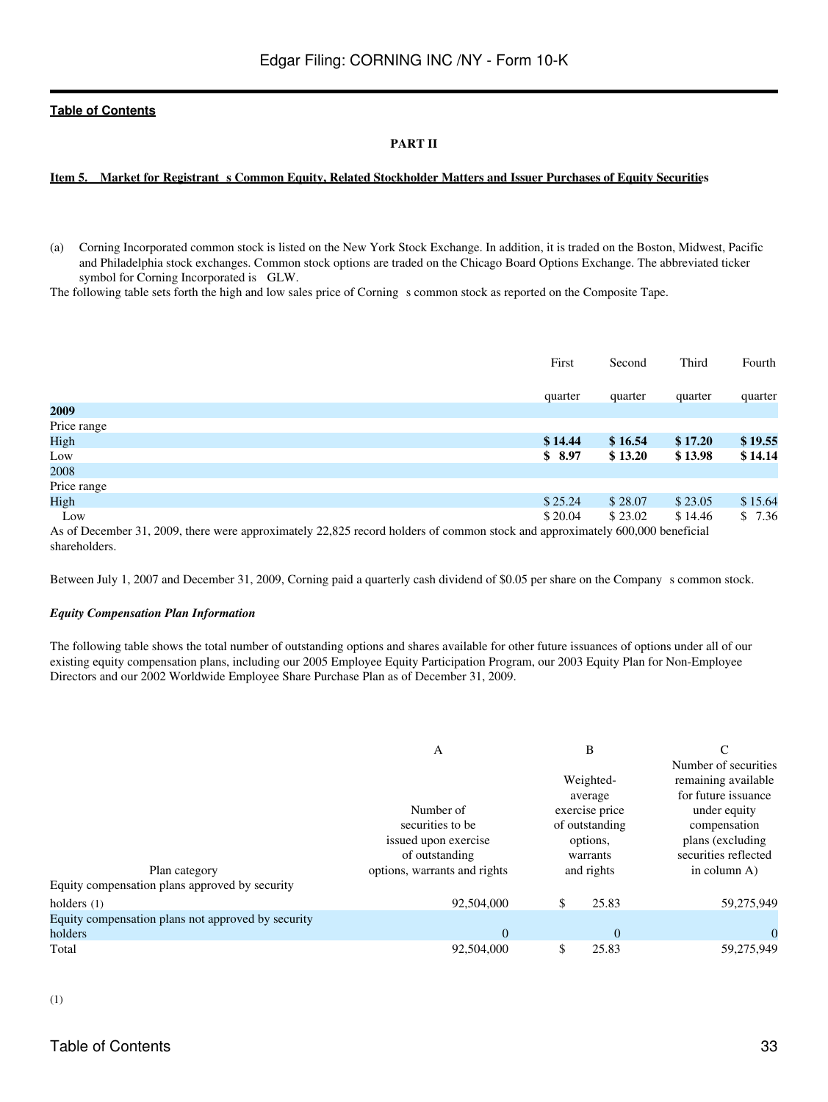## **PART II**

### **Item 5. Market for Registrant s Common Equity, Related Stockholder Matters and Issuer Purchases of Equity Securities**

(a) Corning Incorporated common stock is listed on the New York Stock Exchange. In addition, it is traded on the Boston, Midwest, Pacific and Philadelphia stock exchanges. Common stock options are traded on the Chicago Board Options Exchange. The abbreviated ticker symbol for Corning Incorporated is GLW.

The following table sets forth the high and low sales price of Corning s common stock as reported on the Composite Tape.

|                                                                   |                                           |             | First   | Second  | Third                | Fourth  |
|-------------------------------------------------------------------|-------------------------------------------|-------------|---------|---------|----------------------|---------|
|                                                                   |                                           |             |         |         |                      |         |
|                                                                   |                                           |             | quarter | quarter | quarter              | quarter |
| 2009                                                              |                                           |             |         |         |                      |         |
| Price range                                                       |                                           |             |         |         |                      |         |
| High                                                              |                                           |             | \$14.44 | \$16.54 | \$17.20              | \$19.55 |
| Low                                                               |                                           |             | \$8.97  | \$13.20 | \$13.98              | \$14.14 |
| 2008                                                              |                                           |             |         |         |                      |         |
| Price range                                                       |                                           |             |         |         |                      |         |
| High                                                              |                                           |             | \$25.24 | \$28.07 | \$23.05              | \$15.64 |
| Low                                                               |                                           |             | \$20.04 | \$23.02 | \$14.46              | \$7.36  |
| $\sim$ $\sim$ $\sim$<br>$\sim$ $\sim$ $\sim$ $\sim$ $\sim$ $\sim$ | $\sim$ $\sim$ $\sim$ $\sim$ $\sim$ $\sim$ | .<br>$\sim$ |         |         | $\sim$ $\sim$ $\sim$ |         |

As of December 31, 2009, there were approximately 22,825 record holders of common stock and approximately 600,000 beneficial shareholders.

Between July 1, 2007 and December 31, 2009, Corning paid a quarterly cash dividend of \$0.05 per share on the Companys common stock.

#### *Equity Compensation Plan Information*

The following table shows the total number of outstanding options and shares available for other future issuances of options under all of our existing equity compensation plans, including our 2005 Employee Equity Participation Program, our 2003 Equity Plan for Non-Employee Directors and our 2002 Worldwide Employee Share Purchase Plan as of December 31, 2009.

|                                                    | А                            |                            | B            |                      |  |
|----------------------------------------------------|------------------------------|----------------------------|--------------|----------------------|--|
|                                                    |                              |                            |              | Number of securities |  |
|                                                    |                              |                            | Weighted-    | remaining available  |  |
|                                                    |                              |                            | average      | for future issuance  |  |
|                                                    | Number of                    | exercise price             |              | under equity         |  |
| securities to be<br>issued upon exercise           |                              | of outstanding<br>options, |              | compensation         |  |
|                                                    |                              |                            |              | plans (excluding)    |  |
|                                                    | of outstanding               |                            | warrants     | securities reflected |  |
| Plan category                                      | options, warrants and rights | and rights                 |              | in column A)         |  |
| Equity compensation plans approved by security     |                              |                            |              |                      |  |
| holders $(1)$                                      | 92,504,000                   | S                          | 25.83        | 59,275,949           |  |
| Equity compensation plans not approved by security |                              |                            |              |                      |  |
| holders                                            | $\theta$                     |                            | $\mathbf{0}$ | $\theta$             |  |
| Total                                              | 92,504,000                   |                            | 25.83        | 59.275.949           |  |

<sup>(1)</sup>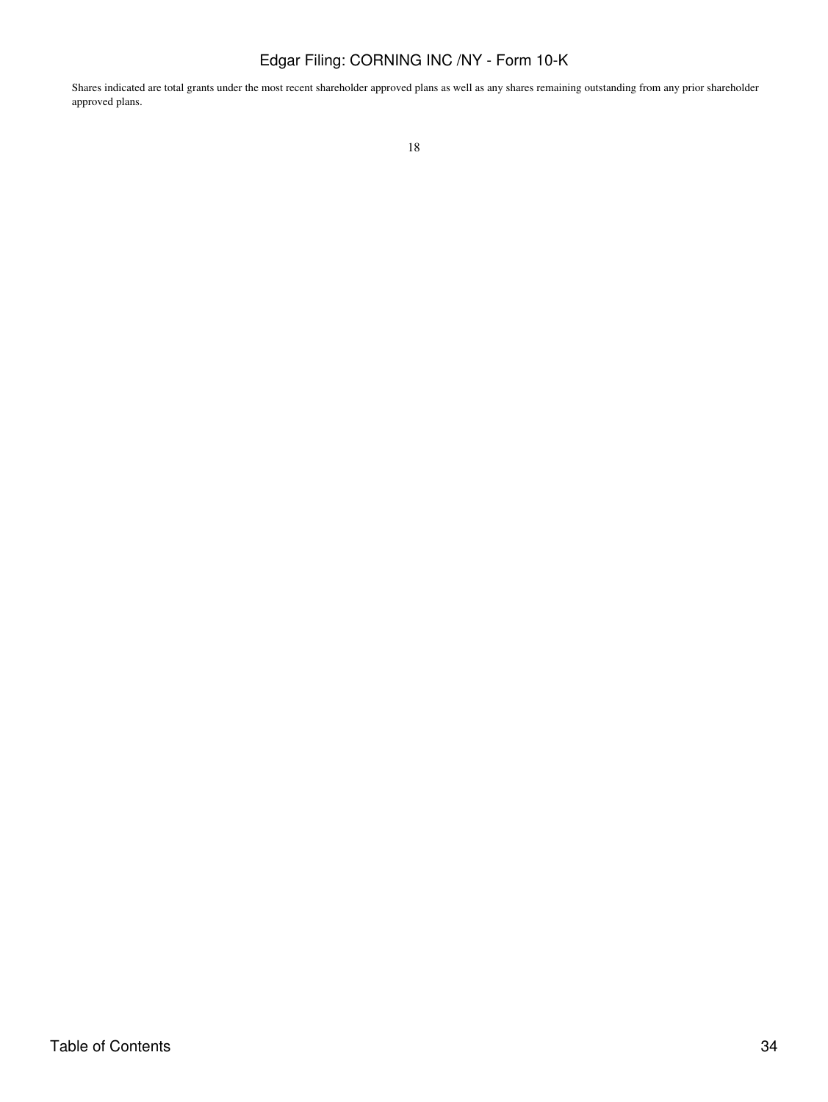Shares indicated are total grants under the most recent shareholder approved plans as well as any shares remaining outstanding from any prior shareholder approved plans.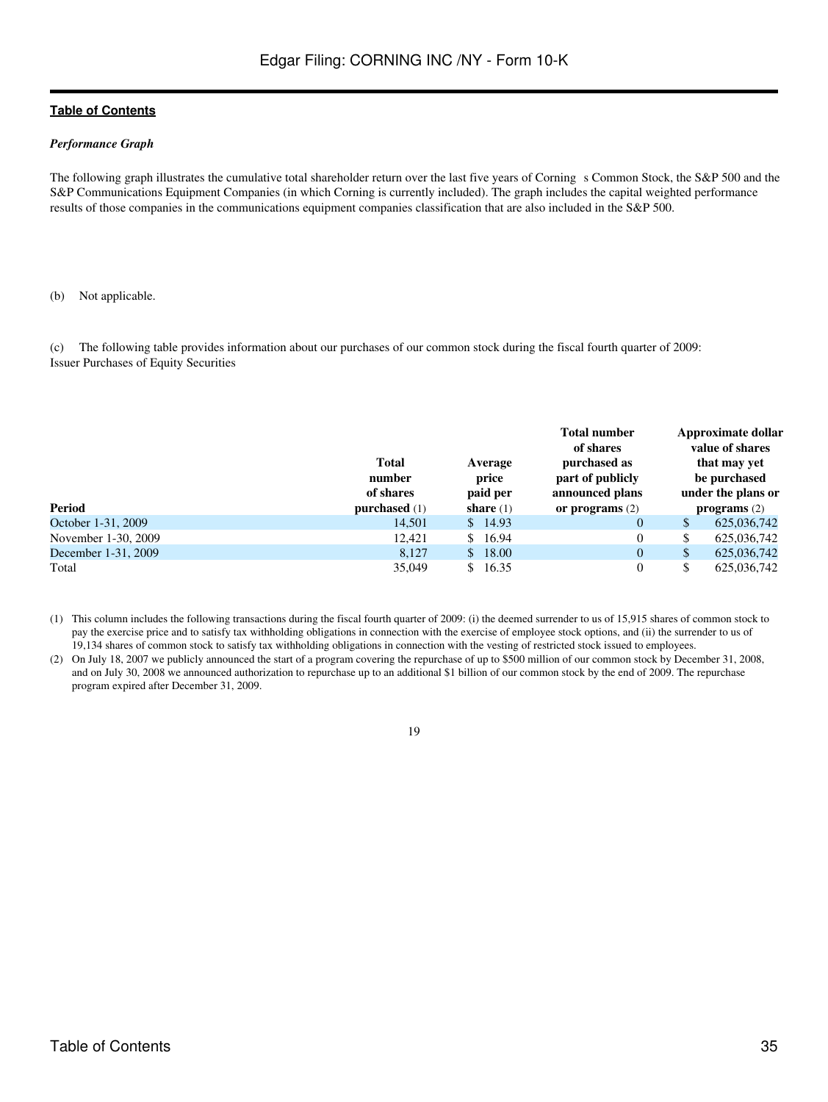## *Performance Graph*

The following graph illustrates the cumulative total shareholder return over the last five years of Corning s Common Stock, the S&P 500 and the S&P Communications Equipment Companies (in which Corning is currently included). The graph includes the capital weighted performance results of those companies in the communications equipment companies classification that are also included in the S&P 500.

(b) Not applicable.

(c) The following table provides information about our purchases of our common stock during the fiscal fourth quarter of 2009: Issuer Purchases of Equity Securities

|                     | <b>Total</b><br>number<br>of shares | Average<br>price<br>paid per | <b>Total number</b><br>of shares<br>purchased as<br>part of publicly<br>announced plans | <b>Approximate dollar</b><br>value of shares<br>that may yet<br>be purchased<br>under the plans or |
|---------------------|-------------------------------------|------------------------------|-----------------------------------------------------------------------------------------|----------------------------------------------------------------------------------------------------|
| Period              | purchased $(1)$                     | share $(1)$                  | or programs $(2)$                                                                       | $\mathbf{programs}$ (2)                                                                            |
| October 1-31, 2009  | 14,501                              | \$14.93                      | 0                                                                                       | 625,036,742                                                                                        |
| November 1-30, 2009 | 12.421                              | \$16.94                      | 0                                                                                       | 625,036,742                                                                                        |
| December 1-31, 2009 | 8.127                               | \$18.00                      | $\overline{0}$                                                                          | 625,036,742                                                                                        |
| Total               | 35,049                              | \$16.35                      | 0                                                                                       | 625,036,742                                                                                        |

- (1) This column includes the following transactions during the fiscal fourth quarter of 2009: (i) the deemed surrender to us of 15,915 shares of common stock to pay the exercise price and to satisfy tax withholding obligations in connection with the exercise of employee stock options, and (ii) the surrender to us of 19,134 shares of common stock to satisfy tax withholding obligations in connection with the vesting of restricted stock issued to employees.
- (2) On July 18, 2007 we publicly announced the start of a program covering the repurchase of up to \$500 million of our common stock by December 31, 2008, and on July 30, 2008 we announced authorization to repurchase up to an additional \$1 billion of our common stock by the end of 2009. The repurchase program expired after December 31, 2009.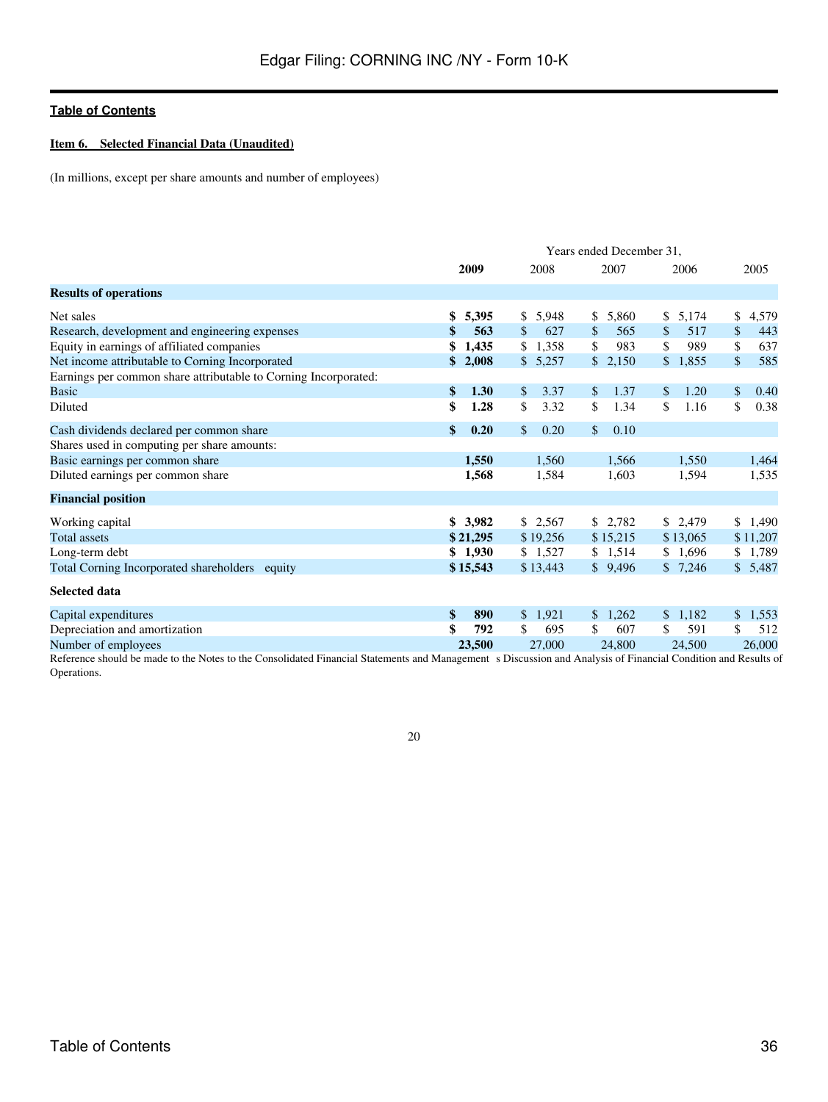# **Item 6. Selected Financial Data (Unaudited)**

(In millions, except per share amounts and number of employees)

|                                                                 | Years ended December 31, |                      |             |                       |             |  |
|-----------------------------------------------------------------|--------------------------|----------------------|-------------|-----------------------|-------------|--|
|                                                                 | 2009                     | 2008                 | 2007        | 2006                  | 2005        |  |
| <b>Results of operations</b>                                    |                          |                      |             |                       |             |  |
| Net sales                                                       | \$<br>5,395              | \$<br>5,948          | \$<br>5.860 | 5.174<br>\$           | \$<br>4,579 |  |
| Research, development and engineering expenses                  | \$<br>563                | 627<br>\$            | \$<br>565   | \$<br>517             | \$<br>443   |  |
| Equity in earnings of affiliated companies                      | 1,435<br>\$              | 1,358<br>\$          | \$<br>983   | \$<br>989             | \$<br>637   |  |
| Net income attributable to Corning Incorporated                 | \$<br>2,008              | \$5,257              | \$2,150     | $\mathbb{S}$<br>1,855 | \$<br>585   |  |
| Earnings per common share attributable to Corning Incorporated: |                          |                      |             |                       |             |  |
| <b>Basic</b>                                                    | 1.30<br>\$               | 3.37<br>\$           | 1.37<br>\$  | $\mathbb{S}$<br>1.20  | \$<br>0.40  |  |
| Diluted                                                         | \$<br>1.28               | \$<br>3.32           | \$<br>1.34  | \$<br>1.16            | \$<br>0.38  |  |
| Cash dividends declared per common share                        | 0.20<br>\$               | $\mathbb{S}$<br>0.20 | \$<br>0.10  |                       |             |  |
| Shares used in computing per share amounts:                     |                          |                      |             |                       |             |  |
| Basic earnings per common share                                 | 1,550                    | 1,560                | 1,566       | 1.550                 | 1,464       |  |
| Diluted earnings per common share                               | 1,568                    | 1,584                | 1,603       | 1,594                 | 1,535       |  |
| <b>Financial position</b>                                       |                          |                      |             |                       |             |  |
| Working capital                                                 | \$3,982                  | \$2,567              | \$2,782     | \$2,479               | \$1,490     |  |
| <b>Total assets</b>                                             | \$21,295                 | \$19,256             | \$15,215    | \$13,065              | \$11,207    |  |
| Long-term debt                                                  | \$1,930                  | \$1,527              | \$1,514     | \$1.696               | \$1,789     |  |
| Total Corning Incorporated shareholders equity                  | \$15,543                 | \$13,443             | \$9,496     | \$7,246               | \$5,487     |  |
| <b>Selected data</b>                                            |                          |                      |             |                       |             |  |
| Capital expenditures                                            | \$<br>890                | \$1,921              | \$1,262     | \$1,182               | 1,553<br>\$ |  |
| Depreciation and amortization                                   | \$<br>792                | \$<br>695            | 607<br>\$   | 591<br>\$             | \$<br>512   |  |
| Number of employees                                             | 23,500                   | 27,000               | 24,800      | 24,500                | 26,000      |  |

Reference should be made to the Notes to the Consolidated Financial Statements and Management s Discussion and Analysis of Financial Condition and Results of Operations.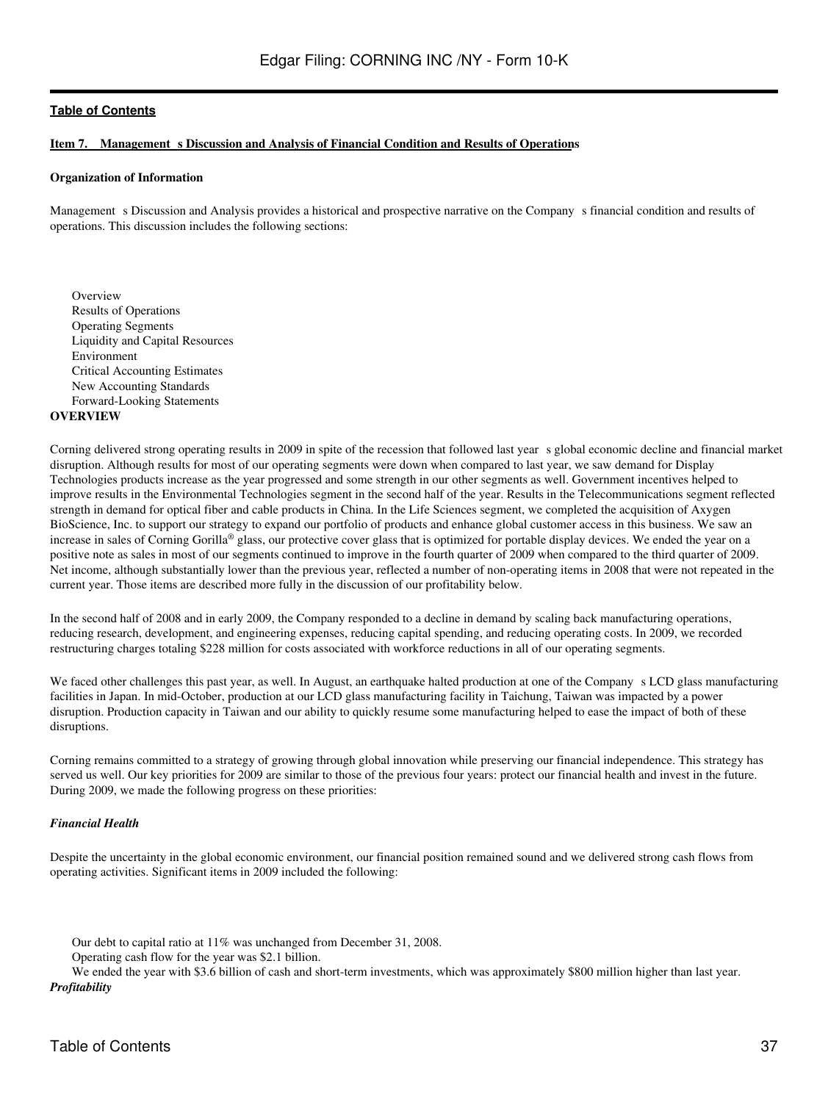### **Item 7. Management s Discussion and Analysis of Financial Condition and Results of Operations**

#### **Organization of Information**

Management s Discussion and Analysis provides a historical and prospective narrative on the Company s financial condition and results of operations. This discussion includes the following sections:

**Overview** Results of Operations Operating Segments Liquidity and Capital Resources Environment Critical Accounting Estimates New Accounting Standards Forward-Looking Statements

#### **OVERVIEW**

Corning delivered strong operating results in 2009 in spite of the recession that followed last year s global economic decline and financial market disruption. Although results for most of our operating segments were down when compared to last year, we saw demand for Display Technologies products increase as the year progressed and some strength in our other segments as well. Government incentives helped to improve results in the Environmental Technologies segment in the second half of the year. Results in the Telecommunications segment reflected strength in demand for optical fiber and cable products in China. In the Life Sciences segment, we completed the acquisition of Axygen BioScience, Inc. to support our strategy to expand our portfolio of products and enhance global customer access in this business. We saw an increase in sales of Corning Gorilla® glass, our protective cover glass that is optimized for portable display devices. We ended the year on a positive note as sales in most of our segments continued to improve in the fourth quarter of 2009 when compared to the third quarter of 2009. Net income, although substantially lower than the previous year, reflected a number of non-operating items in 2008 that were not repeated in the current year. Those items are described more fully in the discussion of our profitability below.

In the second half of 2008 and in early 2009, the Company responded to a decline in demand by scaling back manufacturing operations, reducing research, development, and engineering expenses, reducing capital spending, and reducing operating costs. In 2009, we recorded restructuring charges totaling \$228 million for costs associated with workforce reductions in all of our operating segments.

We faced other challenges this past year, as well. In August, an earthquake halted production at one of the Company s LCD glass manufacturing facilities in Japan. In mid-October, production at our LCD glass manufacturing facility in Taichung, Taiwan was impacted by a power disruption. Production capacity in Taiwan and our ability to quickly resume some manufacturing helped to ease the impact of both of these disruptions.

Corning remains committed to a strategy of growing through global innovation while preserving our financial independence. This strategy has served us well. Our key priorities for 2009 are similar to those of the previous four years: protect our financial health and invest in the future. During 2009, we made the following progress on these priorities:

#### *Financial Health*

Despite the uncertainty in the global economic environment, our financial position remained sound and we delivered strong cash flows from operating activities. Significant items in 2009 included the following:

Our debt to capital ratio at 11% was unchanged from December 31, 2008.

Operating cash flow for the year was \$2.1 billion.

We ended the year with \$3.6 billion of cash and short-term investments, which was approximately \$800 million higher than last year. *Profitability*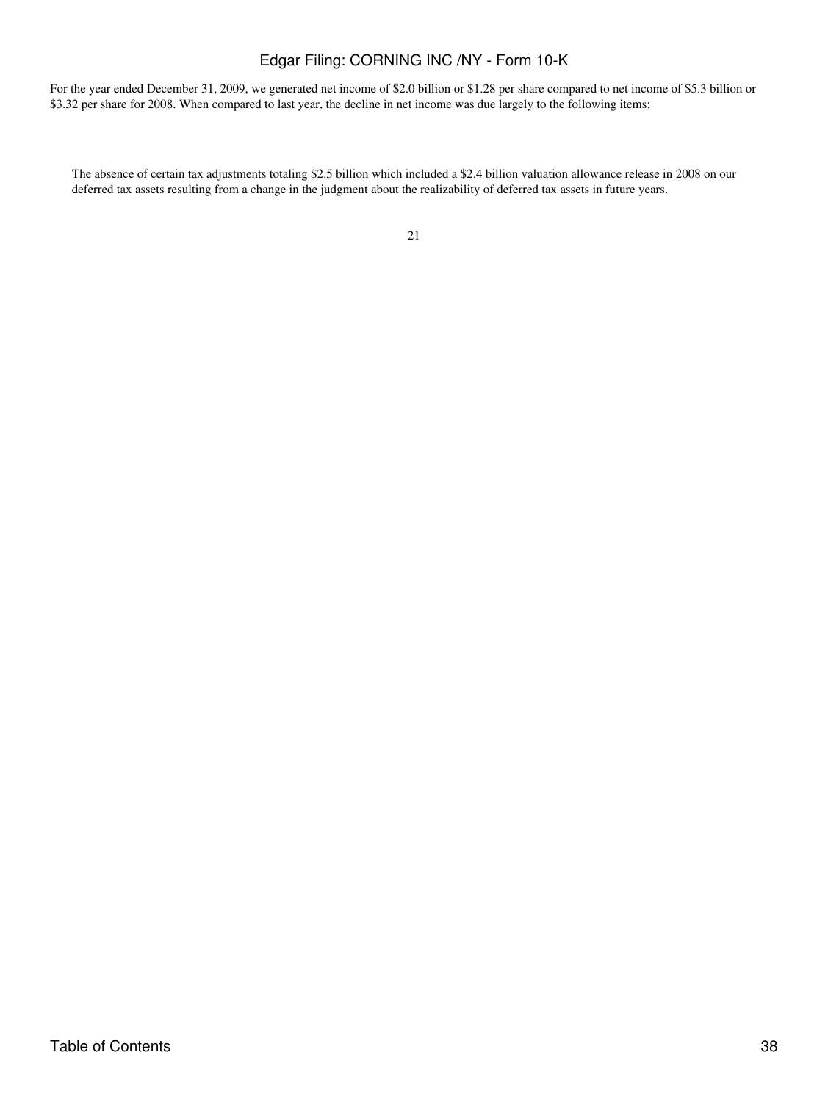For the year ended December 31, 2009, we generated net income of \$2.0 billion or \$1.28 per share compared to net income of \$5.3 billion or \$3.32 per share for 2008. When compared to last year, the decline in net income was due largely to the following items:

The absence of certain tax adjustments totaling \$2.5 billion which included a \$2.4 billion valuation allowance release in 2008 on our deferred tax assets resulting from a change in the judgment about the realizability of deferred tax assets in future years.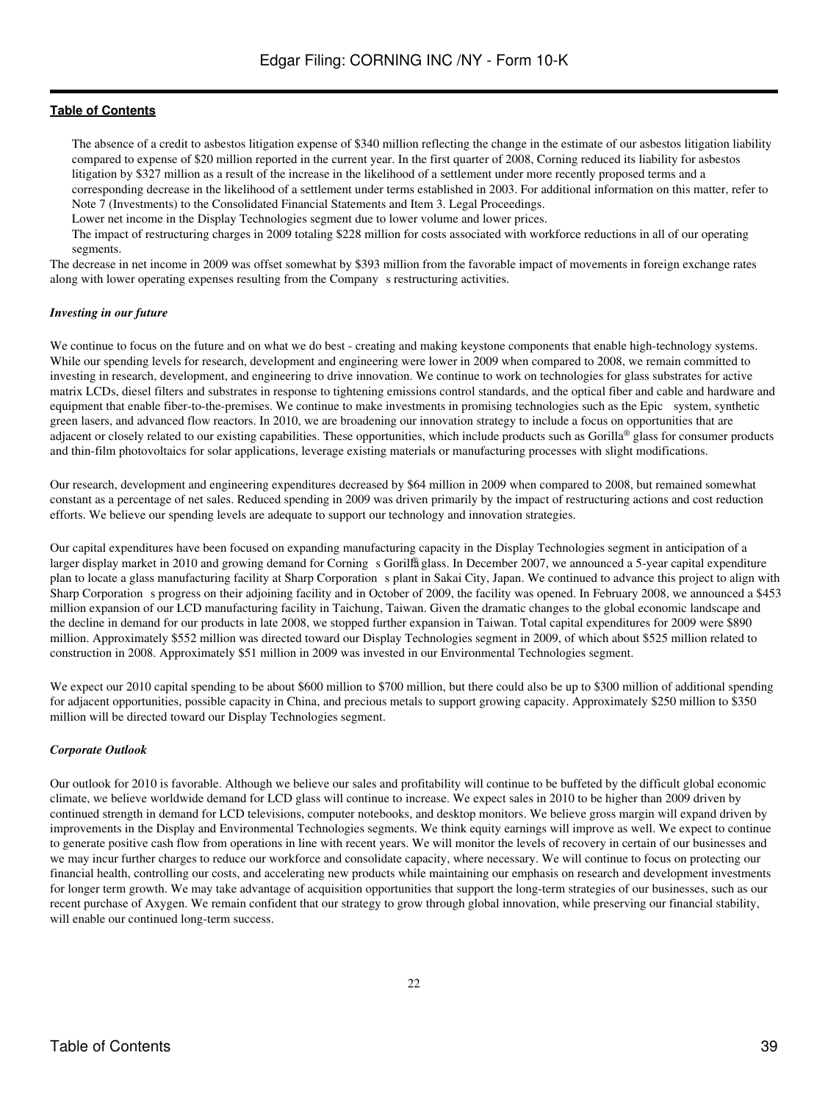The absence of a credit to asbestos litigation expense of \$340 million reflecting the change in the estimate of our asbestos litigation liability compared to expense of \$20 million reported in the current year. In the first quarter of 2008, Corning reduced its liability for asbestos litigation by \$327 million as a result of the increase in the likelihood of a settlement under more recently proposed terms and a corresponding decrease in the likelihood of a settlement under terms established in 2003. For additional information on this matter, refer to Note 7 (Investments) to the Consolidated Financial Statements and Item 3. Legal Proceedings.

Lower net income in the Display Technologies segment due to lower volume and lower prices.

The impact of restructuring charges in 2009 totaling \$228 million for costs associated with workforce reductions in all of our operating segments.

The decrease in net income in 2009 was offset somewhat by \$393 million from the favorable impact of movements in foreign exchange rates along with lower operating expenses resulting from the Companys restructuring activities.

### *Investing in our future*

We continue to focus on the future and on what we do best - creating and making keystone components that enable high-technology systems. While our spending levels for research, development and engineering were lower in 2009 when compared to 2008, we remain committed to investing in research, development, and engineering to drive innovation. We continue to work on technologies for glass substrates for active matrix LCDs, diesel filters and substrates in response to tightening emissions control standards, and the optical fiber and cable and hardware and equipment that enable fiber-to-the-premises. We continue to make investments in promising technologies such as the Epic system, synthetic green lasers, and advanced flow reactors. In 2010, we are broadening our innovation strategy to include a focus on opportunities that are adjacent or closely related to our existing capabilities. These opportunities, which include products such as Gorilla® glass for consumer products and thin-film photovoltaics for solar applications, leverage existing materials or manufacturing processes with slight modifications.

Our research, development and engineering expenditures decreased by \$64 million in 2009 when compared to 2008, but remained somewhat constant as a percentage of net sales. Reduced spending in 2009 was driven primarily by the impact of restructuring actions and cost reduction efforts. We believe our spending levels are adequate to support our technology and innovation strategies.

Our capital expenditures have been focused on expanding manufacturing capacity in the Display Technologies segment in anticipation of a larger display market in 2010 and growing demand for Corning s Gorilla glass. In December 2007, we announced a 5-year capital expenditure plan to locate a glass manufacturing facility at Sharp Corporation s plant in Sakai City, Japan. We continued to advance this project to align with Sharp Corporation s progress on their adjoining facility and in October of 2009, the facility was opened. In February 2008, we announced a \$453 million expansion of our LCD manufacturing facility in Taichung, Taiwan. Given the dramatic changes to the global economic landscape and the decline in demand for our products in late 2008, we stopped further expansion in Taiwan. Total capital expenditures for 2009 were \$890 million. Approximately \$552 million was directed toward our Display Technologies segment in 2009, of which about \$525 million related to construction in 2008. Approximately \$51 million in 2009 was invested in our Environmental Technologies segment.

We expect our 2010 capital spending to be about \$600 million to \$700 million, but there could also be up to \$300 million of additional spending for adjacent opportunities, possible capacity in China, and precious metals to support growing capacity. Approximately \$250 million to \$350 million will be directed toward our Display Technologies segment.

## *Corporate Outlook*

Our outlook for 2010 is favorable. Although we believe our sales and profitability will continue to be buffeted by the difficult global economic climate, we believe worldwide demand for LCD glass will continue to increase. We expect sales in 2010 to be higher than 2009 driven by continued strength in demand for LCD televisions, computer notebooks, and desktop monitors. We believe gross margin will expand driven by improvements in the Display and Environmental Technologies segments. We think equity earnings will improve as well. We expect to continue to generate positive cash flow from operations in line with recent years. We will monitor the levels of recovery in certain of our businesses and we may incur further charges to reduce our workforce and consolidate capacity, where necessary. We will continue to focus on protecting our financial health, controlling our costs, and accelerating new products while maintaining our emphasis on research and development investments for longer term growth. We may take advantage of acquisition opportunities that support the long-term strategies of our businesses, such as our recent purchase of Axygen. We remain confident that our strategy to grow through global innovation, while preserving our financial stability, will enable our continued long-term success.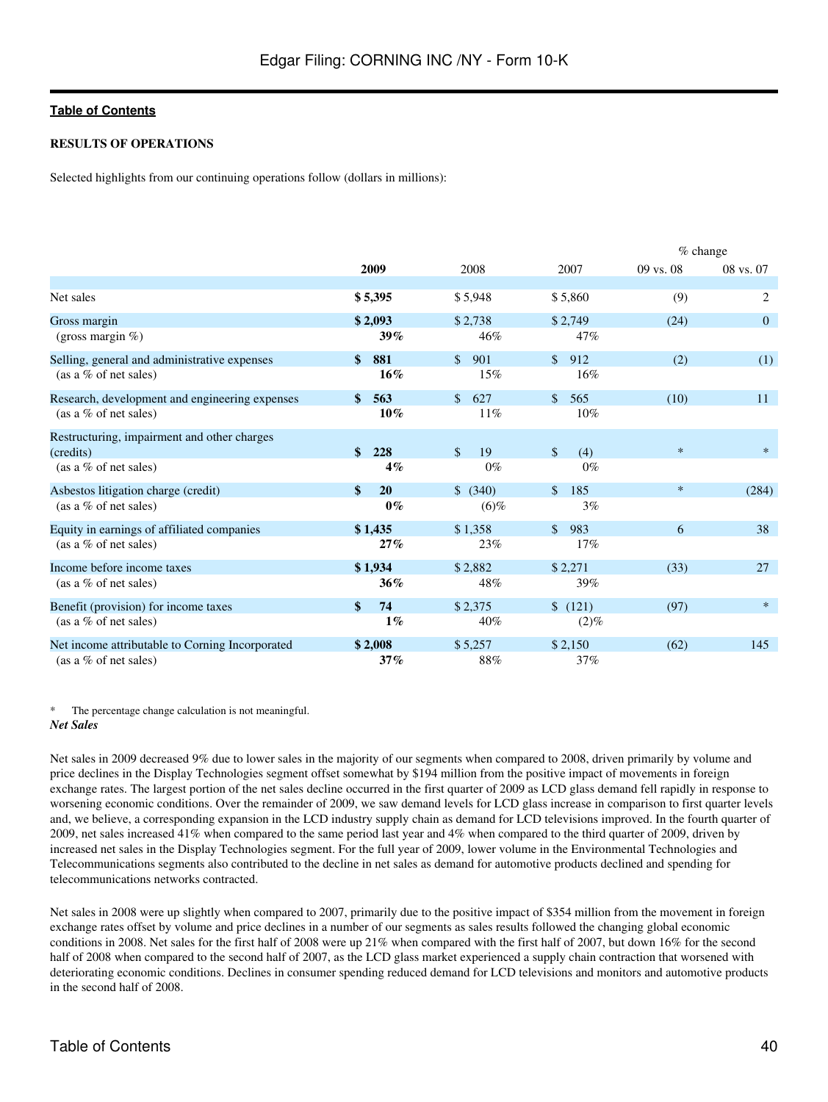## **RESULTS OF OPERATIONS**

Selected highlights from our continuing operations follow (dollars in millions):

|                                                                                     |                     |                             |                              | $%$ change |           |
|-------------------------------------------------------------------------------------|---------------------|-----------------------------|------------------------------|------------|-----------|
|                                                                                     | 2009                | 2008                        | 2007                         | 09 vs. 08  | 08 vs. 07 |
| Net sales                                                                           | \$5,395             | \$5,948                     | \$5,860                      | (9)        | 2         |
| Gross margin<br>(gross margin %)                                                    | \$2,093<br>39%      | \$2,738<br>46%              | \$2,749<br>47%               | (24)       | $\Omega$  |
| Selling, general and administrative expenses<br>(as a $\%$ of net sales)            | \$<br>881<br>$16\%$ | 901<br>$\mathcal{S}$<br>15% | $\mathcal{S}$<br>912<br>16%  | (2)        | (1)       |
| Research, development and engineering expenses<br>(as a $\%$ of net sales)          | 563<br>\$<br>$10\%$ | 627<br>$\mathbb{S}$<br>11%  | $\mathbb{S}$<br>565<br>10%   | (10)       | 11        |
| Restructuring, impairment and other charges<br>(credits)<br>(as a $%$ of net sales) | \$<br>228<br>$4\%$  | $\mathbb{S}$<br>19<br>$0\%$ | $\mathbb{S}$<br>(4)<br>$0\%$ | $\ast$     | $\ast$    |
| Asbestos litigation charge (credit)<br>(as a $%$ of net sales)                      | \$<br>20<br>$0\%$   | \$ (340)<br>$(6)$ %         | $\mathcal{S}$<br>185<br>3%   | $\ast$     | (284)     |
| Equity in earnings of affiliated companies<br>(as a $%$ of net sales)               | \$1,435<br>27%      | \$1,358<br>23%              | 983<br>$\mathbb{S}$<br>17%   | 6          | 38        |
| Income before income taxes<br>(as a $\%$ of net sales)                              | \$1,934<br>36%      | \$2,882<br>48%              | \$2,271<br>39%               | (33)       | 27        |
| Benefit (provision) for income taxes<br>(as a $\%$ of net sales)                    | \$<br>74<br>$1\%$   | \$2,375<br>40%              | \$ (121)<br>(2)%             | (97)       | $\ast$    |
| Net income attributable to Corning Incorporated<br>(as a $\%$ of net sales)         | \$2,008<br>37%      | \$5,257<br>88%              | \$2,150<br>37%               | (62)       | 145       |

The percentage change calculation is not meaningful.

# *Net Sales*

Net sales in 2009 decreased 9% due to lower sales in the majority of our segments when compared to 2008, driven primarily by volume and price declines in the Display Technologies segment offset somewhat by \$194 million from the positive impact of movements in foreign exchange rates. The largest portion of the net sales decline occurred in the first quarter of 2009 as LCD glass demand fell rapidly in response to worsening economic conditions. Over the remainder of 2009, we saw demand levels for LCD glass increase in comparison to first quarter levels and, we believe, a corresponding expansion in the LCD industry supply chain as demand for LCD televisions improved. In the fourth quarter of 2009, net sales increased 41% when compared to the same period last year and 4% when compared to the third quarter of 2009, driven by increased net sales in the Display Technologies segment. For the full year of 2009, lower volume in the Environmental Technologies and Telecommunications segments also contributed to the decline in net sales as demand for automotive products declined and spending for telecommunications networks contracted.

Net sales in 2008 were up slightly when compared to 2007, primarily due to the positive impact of \$354 million from the movement in foreign exchange rates offset by volume and price declines in a number of our segments as sales results followed the changing global economic conditions in 2008. Net sales for the first half of 2008 were up 21% when compared with the first half of 2007, but down 16% for the second half of 2008 when compared to the second half of 2007, as the LCD glass market experienced a supply chain contraction that worsened with deteriorating economic conditions. Declines in consumer spending reduced demand for LCD televisions and monitors and automotive products in the second half of 2008.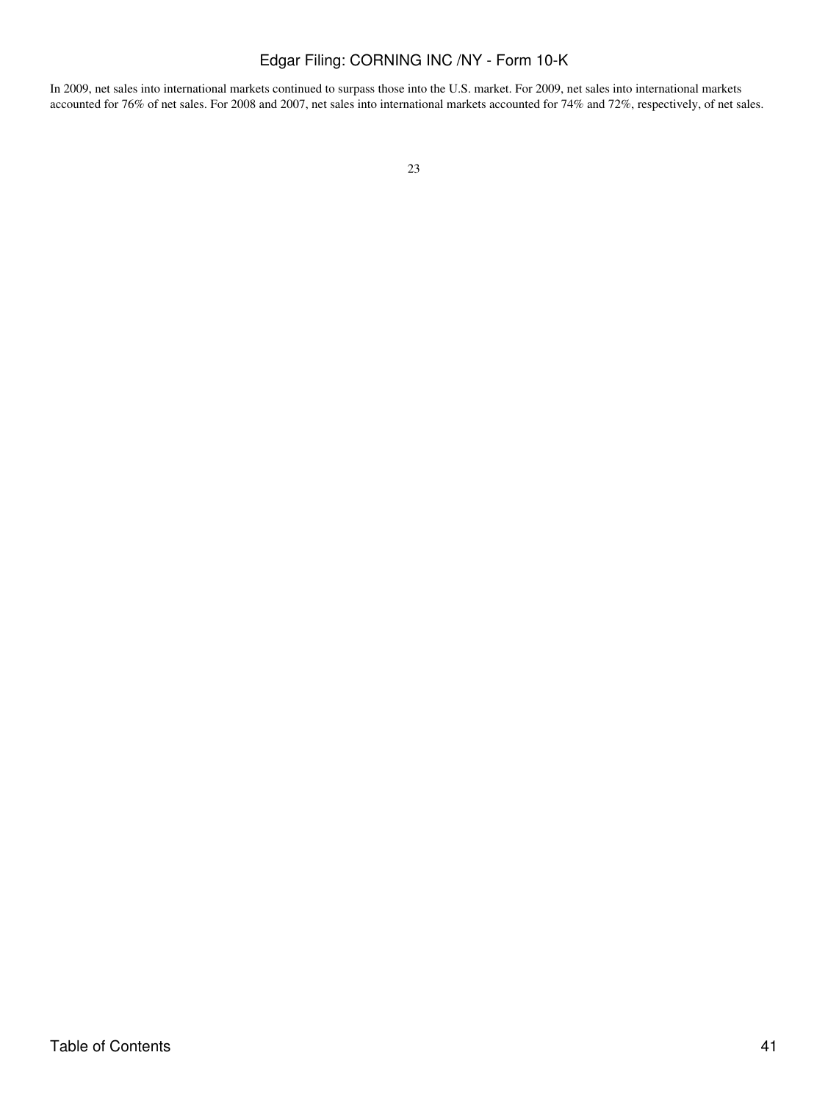In 2009, net sales into international markets continued to surpass those into the U.S. market. For 2009, net sales into international markets accounted for 76% of net sales. For 2008 and 2007, net sales into international markets accounted for 74% and 72%, respectively, of net sales.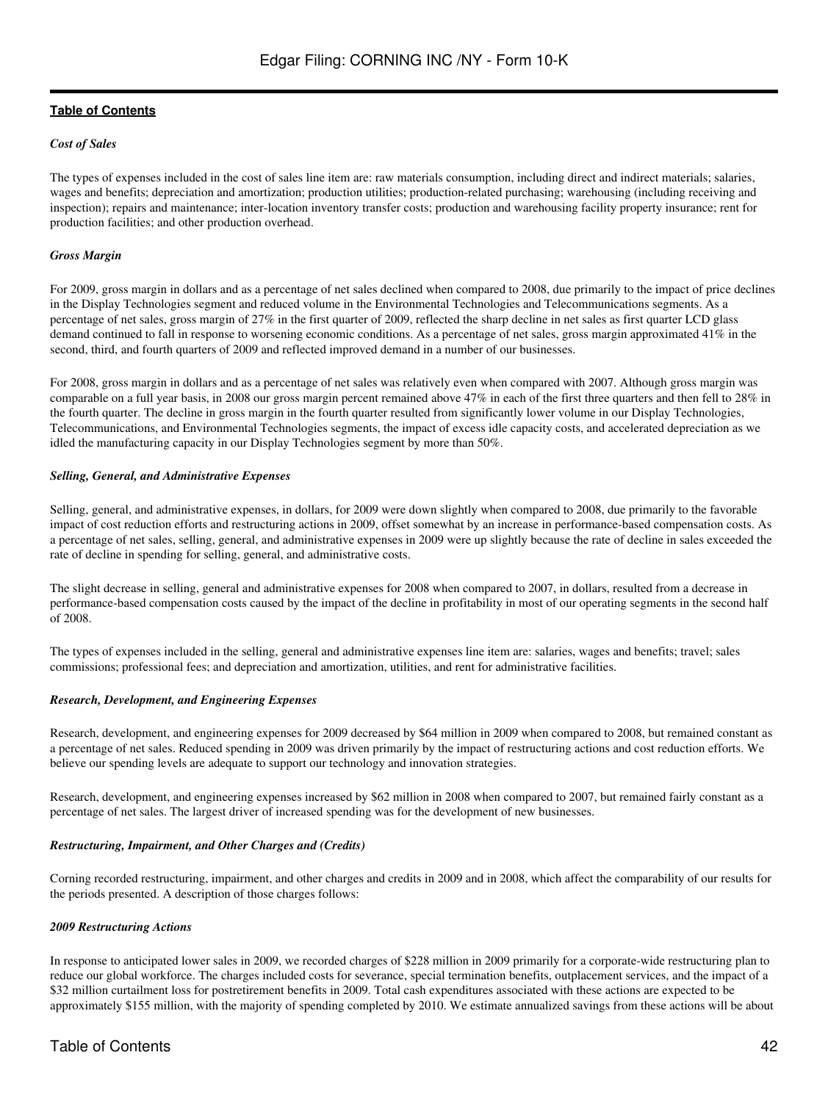## *Cost of Sales*

The types of expenses included in the cost of sales line item are: raw materials consumption, including direct and indirect materials; salaries, wages and benefits; depreciation and amortization; production utilities; production-related purchasing; warehousing (including receiving and inspection); repairs and maintenance; inter-location inventory transfer costs; production and warehousing facility property insurance; rent for production facilities; and other production overhead.

# *Gross Margin*

For 2009, gross margin in dollars and as a percentage of net sales declined when compared to 2008, due primarily to the impact of price declines in the Display Technologies segment and reduced volume in the Environmental Technologies and Telecommunications segments. As a percentage of net sales, gross margin of 27% in the first quarter of 2009, reflected the sharp decline in net sales as first quarter LCD glass demand continued to fall in response to worsening economic conditions. As a percentage of net sales, gross margin approximated 41% in the second, third, and fourth quarters of 2009 and reflected improved demand in a number of our businesses.

For 2008, gross margin in dollars and as a percentage of net sales was relatively even when compared with 2007. Although gross margin was comparable on a full year basis, in 2008 our gross margin percent remained above 47% in each of the first three quarters and then fell to 28% in the fourth quarter. The decline in gross margin in the fourth quarter resulted from significantly lower volume in our Display Technologies, Telecommunications, and Environmental Technologies segments, the impact of excess idle capacity costs, and accelerated depreciation as we idled the manufacturing capacity in our Display Technologies segment by more than 50%.

## *Selling, General, and Administrative Expenses*

Selling, general, and administrative expenses, in dollars, for 2009 were down slightly when compared to 2008, due primarily to the favorable impact of cost reduction efforts and restructuring actions in 2009, offset somewhat by an increase in performance-based compensation costs. As a percentage of net sales, selling, general, and administrative expenses in 2009 were up slightly because the rate of decline in sales exceeded the rate of decline in spending for selling, general, and administrative costs.

The slight decrease in selling, general and administrative expenses for 2008 when compared to 2007, in dollars, resulted from a decrease in performance-based compensation costs caused by the impact of the decline in profitability in most of our operating segments in the second half of 2008.

The types of expenses included in the selling, general and administrative expenses line item are: salaries, wages and benefits; travel; sales commissions; professional fees; and depreciation and amortization, utilities, and rent for administrative facilities.

## *Research, Development, and Engineering Expenses*

Research, development, and engineering expenses for 2009 decreased by \$64 million in 2009 when compared to 2008, but remained constant as a percentage of net sales. Reduced spending in 2009 was driven primarily by the impact of restructuring actions and cost reduction efforts. We believe our spending levels are adequate to support our technology and innovation strategies.

Research, development, and engineering expenses increased by \$62 million in 2008 when compared to 2007, but remained fairly constant as a percentage of net sales. The largest driver of increased spending was for the development of new businesses.

# *Restructuring, Impairment, and Other Charges and (Credits)*

Corning recorded restructuring, impairment, and other charges and credits in 2009 and in 2008, which affect the comparability of our results for the periods presented. A description of those charges follows:

## *2009 Restructuring Actions*

In response to anticipated lower sales in 2009, we recorded charges of \$228 million in 2009 primarily for a corporate-wide restructuring plan to reduce our global workforce. The charges included costs for severance, special termination benefits, outplacement services, and the impact of a \$32 million curtailment loss for postretirement benefits in 2009. Total cash expenditures associated with these actions are expected to be approximately \$155 million, with the majority of spending completed by 2010. We estimate annualized savings from these actions will be about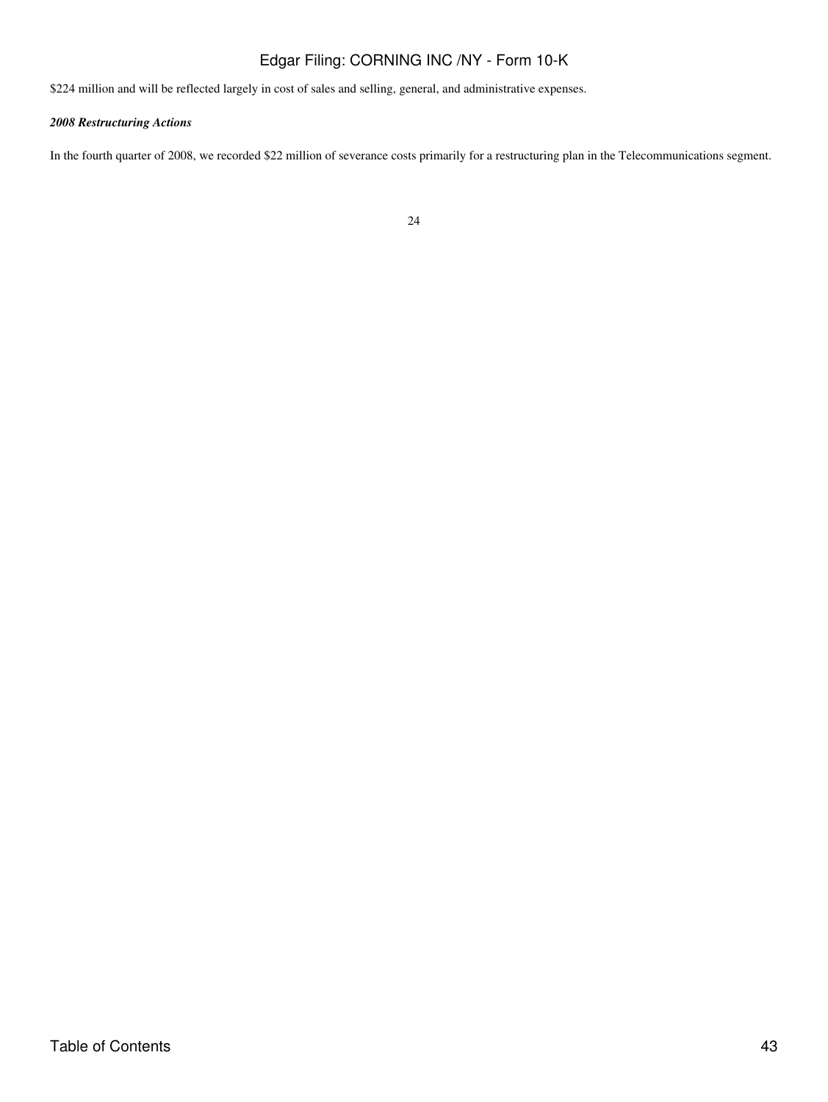\$224 million and will be reflected largely in cost of sales and selling, general, and administrative expenses.

# *2008 Restructuring Actions*

In the fourth quarter of 2008, we recorded \$22 million of severance costs primarily for a restructuring plan in the Telecommunications segment.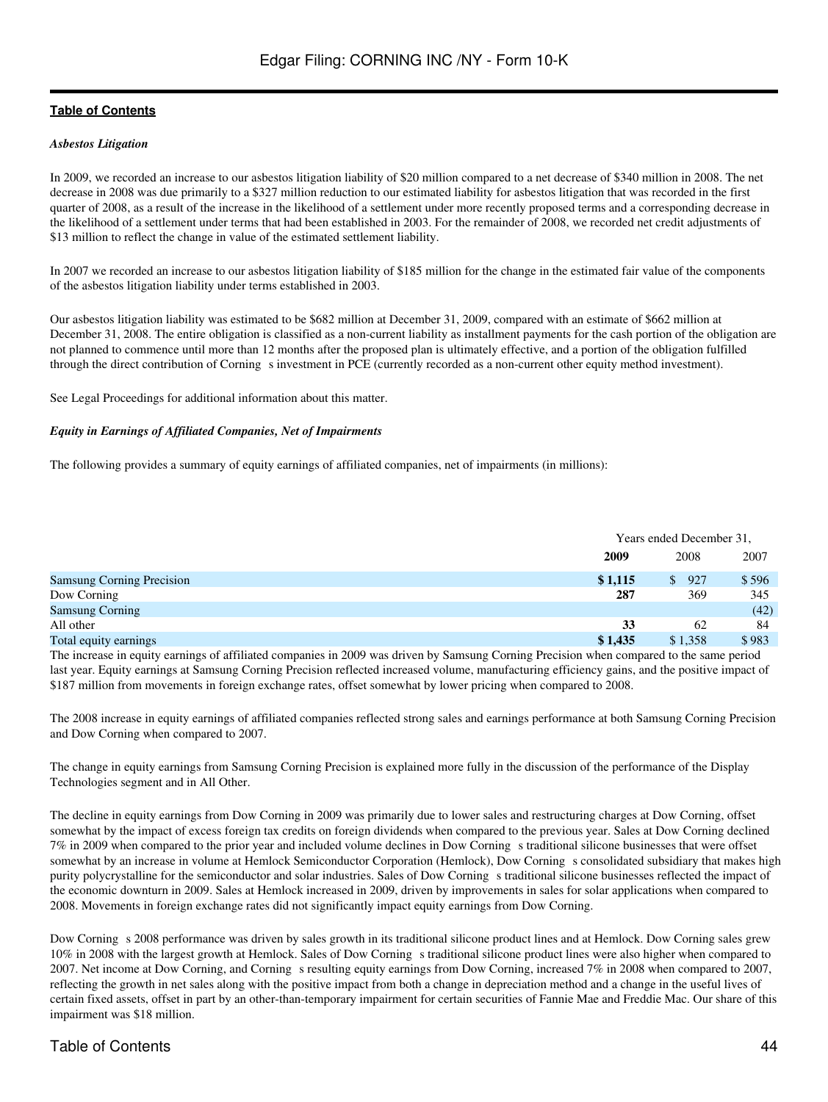### *Asbestos Litigation*

In 2009, we recorded an increase to our asbestos litigation liability of \$20 million compared to a net decrease of \$340 million in 2008. The net decrease in 2008 was due primarily to a \$327 million reduction to our estimated liability for asbestos litigation that was recorded in the first quarter of 2008, as a result of the increase in the likelihood of a settlement under more recently proposed terms and a corresponding decrease in the likelihood of a settlement under terms that had been established in 2003. For the remainder of 2008, we recorded net credit adjustments of \$13 million to reflect the change in value of the estimated settlement liability.

In 2007 we recorded an increase to our asbestos litigation liability of \$185 million for the change in the estimated fair value of the components of the asbestos litigation liability under terms established in 2003.

Our asbestos litigation liability was estimated to be \$682 million at December 31, 2009, compared with an estimate of \$662 million at December 31, 2008. The entire obligation is classified as a non-current liability as installment payments for the cash portion of the obligation are not planned to commence until more than 12 months after the proposed plan is ultimately effective, and a portion of the obligation fulfilled through the direct contribution of Corning s investment in PCE (currently recorded as a non-current other equity method investment).

See Legal Proceedings for additional information about this matter.

## *Equity in Earnings of Affiliated Companies, Net of Impairments*

The following provides a summary of equity earnings of affiliated companies, net of impairments (in millions):

|                                  |         | Years ended December 31, |       |  |
|----------------------------------|---------|--------------------------|-------|--|
|                                  | 2009    | 2008                     | 2007  |  |
| <b>Samsung Corning Precision</b> | \$1,115 | 927<br>$\mathbb{S}^-$    | \$596 |  |
| Dow Corning                      | 287     | 369                      | 345   |  |
| <b>Samsung Corning</b>           |         |                          | (42)  |  |
| All other                        | 33      | 62                       | 84    |  |
| Total equity earnings            | \$1,435 | \$1,358                  | \$983 |  |

The increase in equity earnings of affiliated companies in 2009 was driven by Samsung Corning Precision when compared to the same period last year. Equity earnings at Samsung Corning Precision reflected increased volume, manufacturing efficiency gains, and the positive impact of \$187 million from movements in foreign exchange rates, offset somewhat by lower pricing when compared to 2008.

The 2008 increase in equity earnings of affiliated companies reflected strong sales and earnings performance at both Samsung Corning Precision and Dow Corning when compared to 2007.

The change in equity earnings from Samsung Corning Precision is explained more fully in the discussion of the performance of the Display Technologies segment and in All Other.

The decline in equity earnings from Dow Corning in 2009 was primarily due to lower sales and restructuring charges at Dow Corning, offset somewhat by the impact of excess foreign tax credits on foreign dividends when compared to the previous year. Sales at Dow Corning declined 7% in 2009 when compared to the prior year and included volume declines in Dow Corning straditional silicone businesses that were offset somewhat by an increase in volume at Hemlock Semiconductor Corporation (Hemlock), Dow Corning s consolidated subsidiary that makes high purity polycrystalline for the semiconductor and solar industries. Sales of Dow Corning s traditional silicone businesses reflected the impact of the economic downturn in 2009. Sales at Hemlock increased in 2009, driven by improvements in sales for solar applications when compared to 2008. Movements in foreign exchange rates did not significantly impact equity earnings from Dow Corning.

Dow Corning s 2008 performance was driven by sales growth in its traditional silicone product lines and at Hemlock. Dow Corning sales grew 10% in 2008 with the largest growth at Hemlock. Sales of Dow Corning s traditional silicone product lines were also higher when compared to 2007. Net income at Dow Corning, and Corning s resulting equity earnings from Dow Corning, increased 7% in 2008 when compared to 2007, reflecting the growth in net sales along with the positive impact from both a change in depreciation method and a change in the useful lives of certain fixed assets, offset in part by an other-than-temporary impairment for certain securities of Fannie Mae and Freddie Mac. Our share of this impairment was \$18 million.

# Table of Contents 44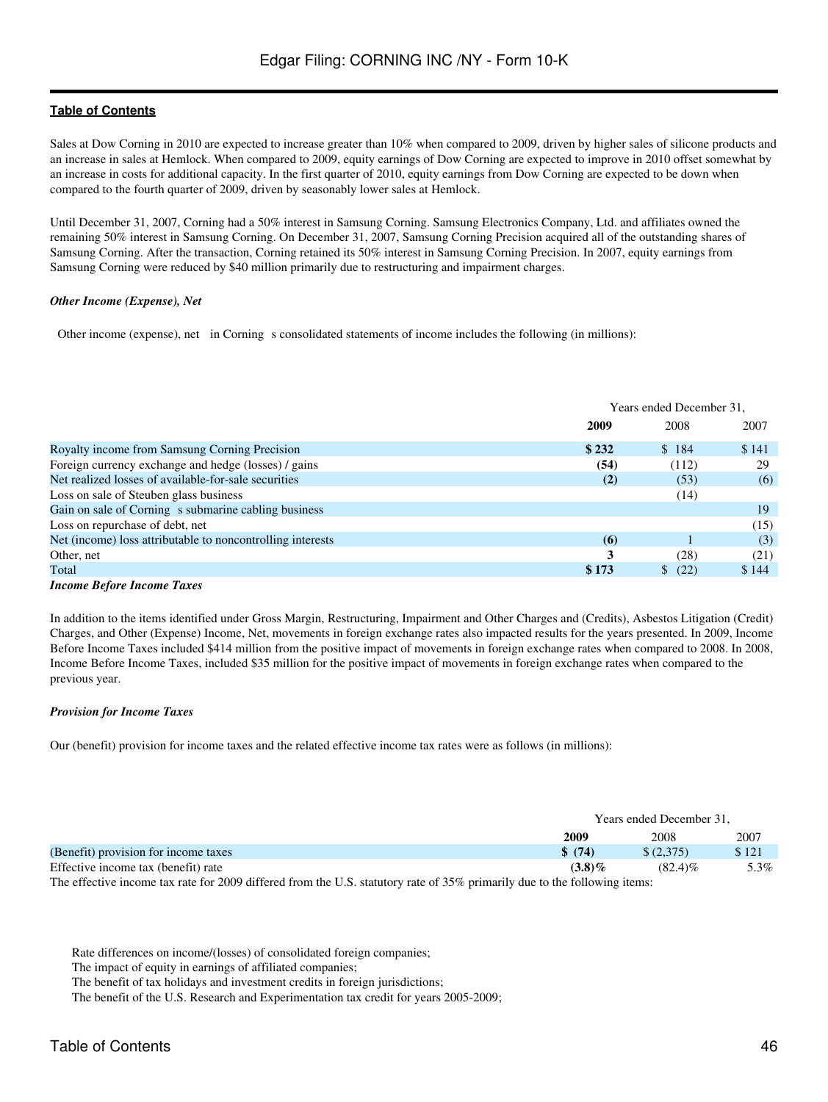Sales at Dow Corning in 2010 are expected to increase greater than 10% when compared to 2009, driven by higher sales of silicone products and an increase in sales at Hemlock. When compared to 2009, equity earnings of Dow Corning are expected to improve in 2010 offset somewhat by an increase in costs for additional capacity. In the first quarter of 2010, equity earnings from Dow Corning are expected to be down when compared to the fourth quarter of 2009, driven by seasonably lower sales at Hemlock.

Until December 31, 2007, Corning had a 50% interest in Samsung Corning. Samsung Electronics Company, Ltd. and affiliates owned the remaining 50% interest in Samsung Corning. On December 31, 2007, Samsung Corning Precision acquired all of the outstanding shares of Samsung Corning. After the transaction, Corning retained its 50% interest in Samsung Corning Precision. In 2007, equity earnings from Samsung Corning were reduced by \$40 million primarily due to restructuring and impairment charges.

## *Other Income (Expense), Net*

Other income (expense), net in Corning s consolidated statements of income includes the following (in millions):

|                                                            | Years ended December 31, |       |       |
|------------------------------------------------------------|--------------------------|-------|-------|
|                                                            | 2009                     | 2008  | 2007  |
| Royalty income from Samsung Corning Precision              | \$232                    | \$184 | \$141 |
| Foreign currency exchange and hedge (losses) / gains       | (54)                     | (112) | 29    |
| Net realized losses of available-for-sale securities       | (2)                      | (53)  | (6)   |
| Loss on sale of Steuben glass business                     |                          | (14)  |       |
| Gain on sale of Corning s submarine cabling business       |                          |       | 19    |
| Loss on repurchase of debt, net                            |                          |       | (15)  |
| Net (income) loss attributable to noncontrolling interests | (6)                      |       | (3)   |
| Other, net                                                 |                          | (28)  | (21)  |
| Total                                                      | \$173                    | (22)  | \$144 |
|                                                            |                          |       |       |

#### *Income Before Income Taxes*

In addition to the items identified under Gross Margin, Restructuring, Impairment and Other Charges and (Credits), Asbestos Litigation (Credit) Charges, and Other (Expense) Income, Net, movements in foreign exchange rates also impacted results for the years presented. In 2009, Income Before Income Taxes included \$414 million from the positive impact of movements in foreign exchange rates when compared to 2008. In 2008, Income Before Income Taxes, included \$35 million for the positive impact of movements in foreign exchange rates when compared to the previous year.

#### *Provision for Income Taxes*

Our (benefit) provision for income taxes and the related effective income tax rates were as follows (in millions):

|                                      |           | Years ended December 31. |       |  |
|--------------------------------------|-----------|--------------------------|-------|--|
|                                      | 2009      | 2008                     | 2007  |  |
| (Benefit) provision for income taxes | \$ (74)   | \$ (2.375)               | \$121 |  |
| Effective income tax (benefit) rate  | $(3.8)\%$ | $(82.4)\%$               | 5.3%  |  |

The effective income tax rate for 2009 differed from the U.S. statutory rate of 35% primarily due to the following items:

Rate differences on income/(losses) of consolidated foreign companies;

The impact of equity in earnings of affiliated companies;

The benefit of tax holidays and investment credits in foreign jurisdictions;

The benefit of the U.S. Research and Experimentation tax credit for years 2005-2009;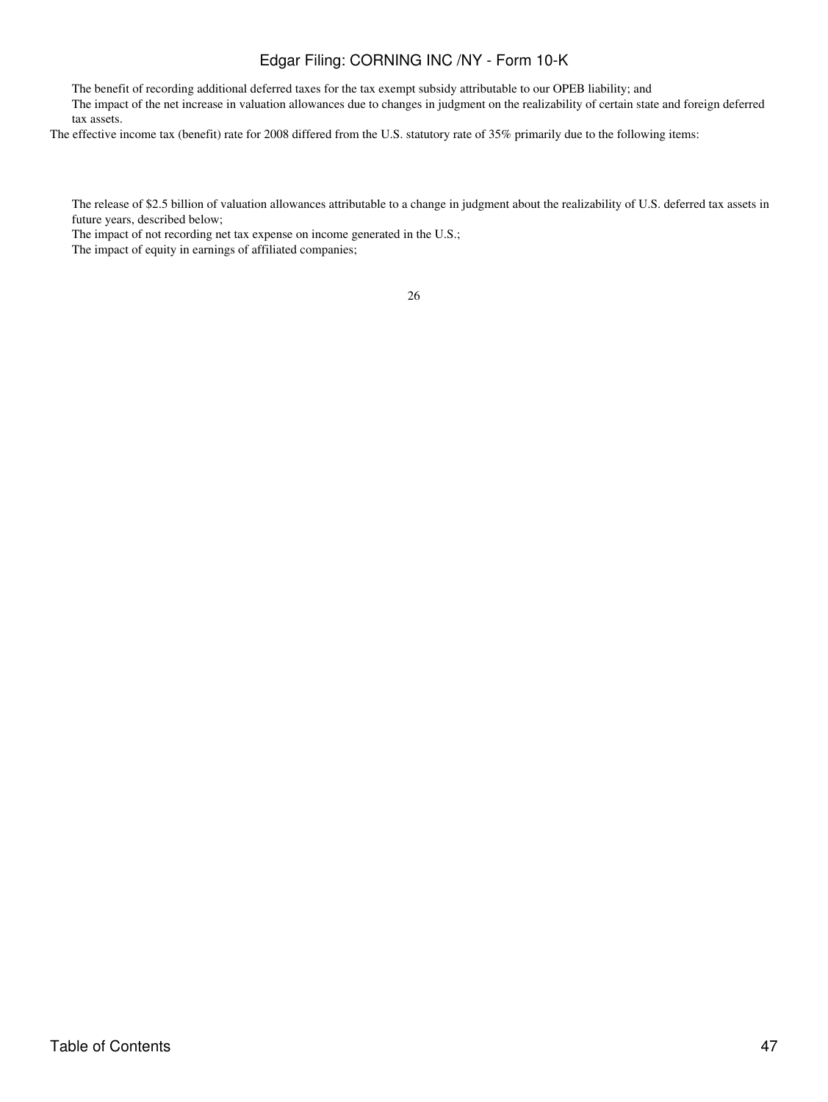The benefit of recording additional deferred taxes for the tax exempt subsidy attributable to our OPEB liability; and

The impact of the net increase in valuation allowances due to changes in judgment on the realizability of certain state and foreign deferred tax assets.

The effective income tax (benefit) rate for 2008 differed from the U.S. statutory rate of 35% primarily due to the following items:

The release of \$2.5 billion of valuation allowances attributable to a change in judgment about the realizability of U.S. deferred tax assets in future years, described below;

The impact of not recording net tax expense on income generated in the U.S.;

The impact of equity in earnings of affiliated companies;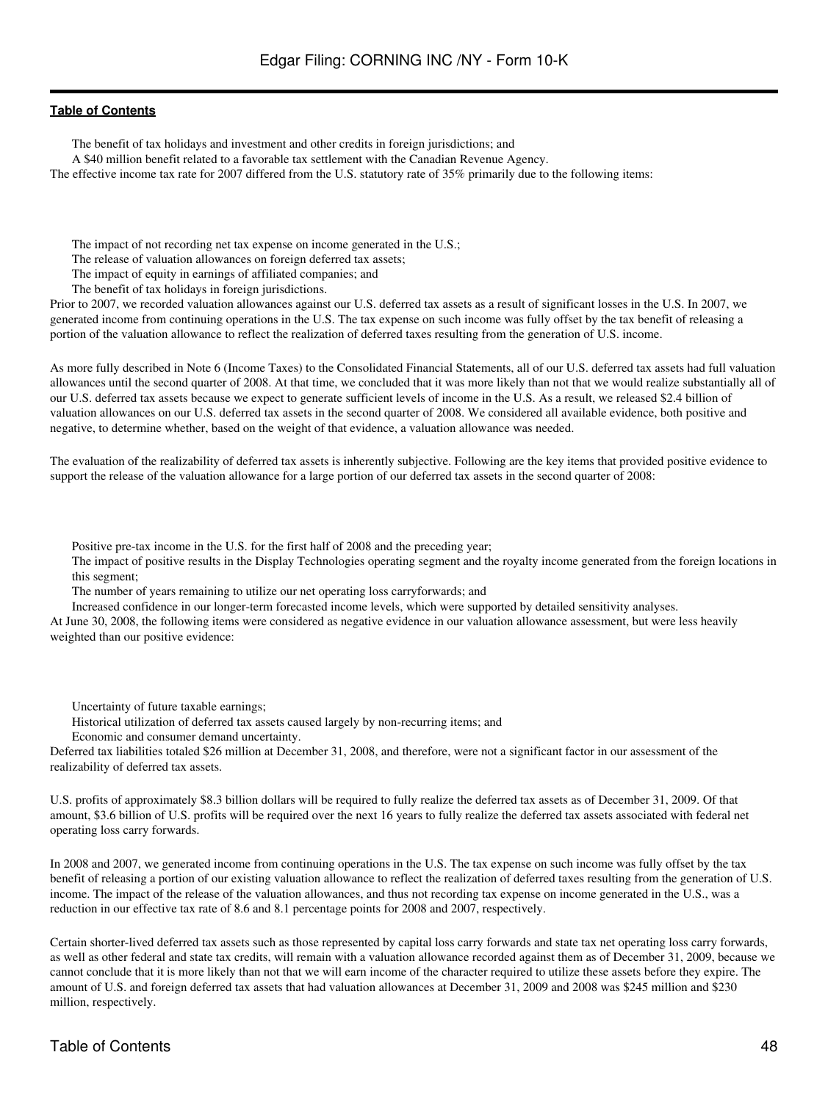The benefit of tax holidays and investment and other credits in foreign jurisdictions; and

A \$40 million benefit related to a favorable tax settlement with the Canadian Revenue Agency.

The effective income tax rate for 2007 differed from the U.S. statutory rate of 35% primarily due to the following items:

The impact of not recording net tax expense on income generated in the U.S.;

The release of valuation allowances on foreign deferred tax assets;

The impact of equity in earnings of affiliated companies; and

The benefit of tax holidays in foreign jurisdictions.

Prior to 2007, we recorded valuation allowances against our U.S. deferred tax assets as a result of significant losses in the U.S. In 2007, we generated income from continuing operations in the U.S. The tax expense on such income was fully offset by the tax benefit of releasing a portion of the valuation allowance to reflect the realization of deferred taxes resulting from the generation of U.S. income.

As more fully described in Note 6 (Income Taxes) to the Consolidated Financial Statements, all of our U.S. deferred tax assets had full valuation allowances until the second quarter of 2008. At that time, we concluded that it was more likely than not that we would realize substantially all of our U.S. deferred tax assets because we expect to generate sufficient levels of income in the U.S. As a result, we released \$2.4 billion of valuation allowances on our U.S. deferred tax assets in the second quarter of 2008. We considered all available evidence, both positive and negative, to determine whether, based on the weight of that evidence, a valuation allowance was needed.

The evaluation of the realizability of deferred tax assets is inherently subjective. Following are the key items that provided positive evidence to support the release of the valuation allowance for a large portion of our deferred tax assets in the second quarter of 2008:

Positive pre-tax income in the U.S. for the first half of 2008 and the preceding year;

The impact of positive results in the Display Technologies operating segment and the royalty income generated from the foreign locations in this segment;

The number of years remaining to utilize our net operating loss carryforwards; and

Increased confidence in our longer-term forecasted income levels, which were supported by detailed sensitivity analyses.

At June 30, 2008, the following items were considered as negative evidence in our valuation allowance assessment, but were less heavily weighted than our positive evidence:

Uncertainty of future taxable earnings;

Historical utilization of deferred tax assets caused largely by non-recurring items; and

Economic and consumer demand uncertainty.

Deferred tax liabilities totaled \$26 million at December 31, 2008, and therefore, were not a significant factor in our assessment of the realizability of deferred tax assets.

U.S. profits of approximately \$8.3 billion dollars will be required to fully realize the deferred tax assets as of December 31, 2009. Of that amount, \$3.6 billion of U.S. profits will be required over the next 16 years to fully realize the deferred tax assets associated with federal net operating loss carry forwards.

In 2008 and 2007, we generated income from continuing operations in the U.S. The tax expense on such income was fully offset by the tax benefit of releasing a portion of our existing valuation allowance to reflect the realization of deferred taxes resulting from the generation of U.S. income. The impact of the release of the valuation allowances, and thus not recording tax expense on income generated in the U.S., was a reduction in our effective tax rate of 8.6 and 8.1 percentage points for 2008 and 2007, respectively.

Certain shorter-lived deferred tax assets such as those represented by capital loss carry forwards and state tax net operating loss carry forwards, as well as other federal and state tax credits, will remain with a valuation allowance recorded against them as of December 31, 2009, because we cannot conclude that it is more likely than not that we will earn income of the character required to utilize these assets before they expire. The amount of U.S. and foreign deferred tax assets that had valuation allowances at December 31, 2009 and 2008 was \$245 million and \$230 million, respectively.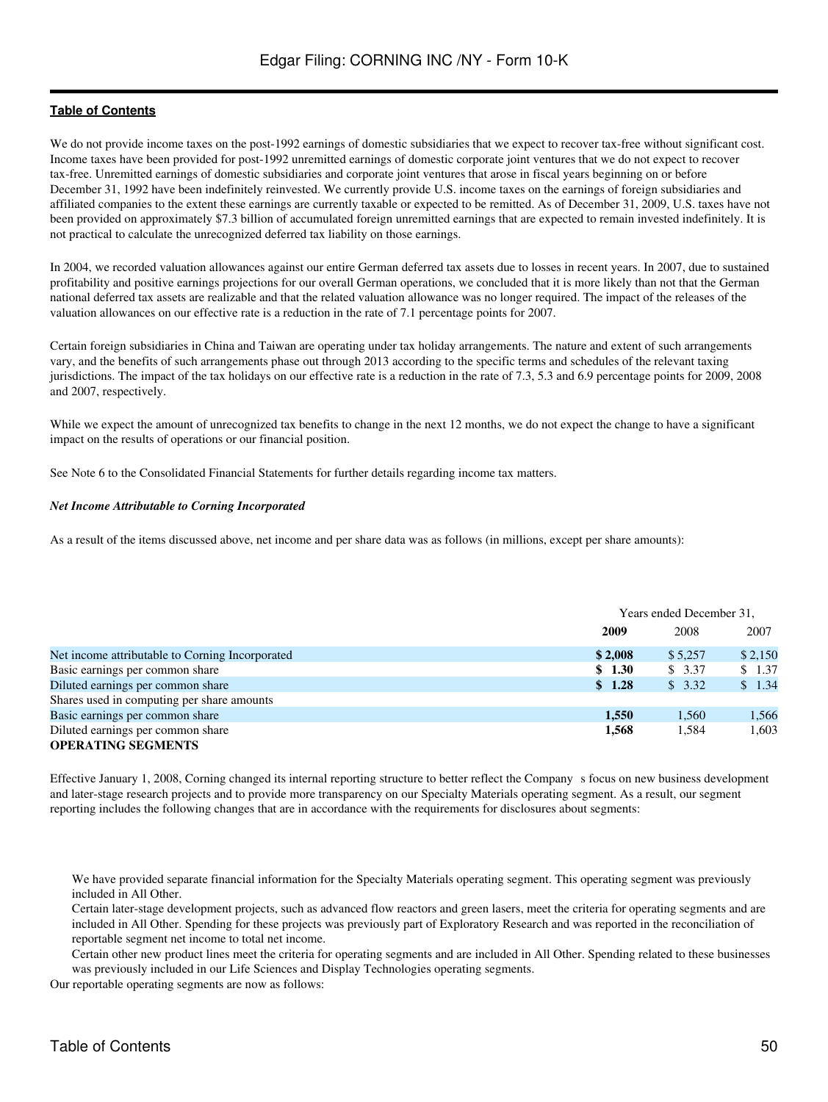We do not provide income taxes on the post-1992 earnings of domestic subsidiaries that we expect to recover tax-free without significant cost. Income taxes have been provided for post-1992 unremitted earnings of domestic corporate joint ventures that we do not expect to recover tax-free. Unremitted earnings of domestic subsidiaries and corporate joint ventures that arose in fiscal years beginning on or before December 31, 1992 have been indefinitely reinvested. We currently provide U.S. income taxes on the earnings of foreign subsidiaries and affiliated companies to the extent these earnings are currently taxable or expected to be remitted. As of December 31, 2009, U.S. taxes have not been provided on approximately \$7.3 billion of accumulated foreign unremitted earnings that are expected to remain invested indefinitely. It is not practical to calculate the unrecognized deferred tax liability on those earnings.

In 2004, we recorded valuation allowances against our entire German deferred tax assets due to losses in recent years. In 2007, due to sustained profitability and positive earnings projections for our overall German operations, we concluded that it is more likely than not that the German national deferred tax assets are realizable and that the related valuation allowance was no longer required. The impact of the releases of the valuation allowances on our effective rate is a reduction in the rate of 7.1 percentage points for 2007.

Certain foreign subsidiaries in China and Taiwan are operating under tax holiday arrangements. The nature and extent of such arrangements vary, and the benefits of such arrangements phase out through 2013 according to the specific terms and schedules of the relevant taxing jurisdictions. The impact of the tax holidays on our effective rate is a reduction in the rate of 7.3, 5.3 and 6.9 percentage points for 2009, 2008 and 2007, respectively.

While we expect the amount of unrecognized tax benefits to change in the next 12 months, we do not expect the change to have a significant impact on the results of operations or our financial position.

See Note 6 to the Consolidated Financial Statements for further details regarding income tax matters.

### *Net Income Attributable to Corning Incorporated*

As a result of the items discussed above, net income and per share data was as follows (in millions, except per share amounts):

|                                                                |         | Years ended December 31, |         |  |
|----------------------------------------------------------------|---------|--------------------------|---------|--|
|                                                                | 2009    | 2008                     | 2007    |  |
| Net income attributable to Corning Incorporated                | \$2,008 | \$5.257                  | \$2,150 |  |
| Basic earnings per common share                                | \$1.30  | \$3.37                   | \$1.37  |  |
| Diluted earnings per common share                              | \$1.28  | \$3.32                   | \$1.34  |  |
| Shares used in computing per share amounts                     |         |                          |         |  |
| Basic earnings per common share                                | 1.550   | 1.560                    | 1,566   |  |
| Diluted earnings per common share<br><b>OPERATING SEGMENTS</b> | 1,568   | 1.584                    | 1,603   |  |

Effective January 1, 2008, Corning changed its internal reporting structure to better reflect the Companys focus on new business development and later-stage research projects and to provide more transparency on our Specialty Materials operating segment. As a result, our segment reporting includes the following changes that are in accordance with the requirements for disclosures about segments:

We have provided separate financial information for the Specialty Materials operating segment. This operating segment was previously included in All Other.

Certain later-stage development projects, such as advanced flow reactors and green lasers, meet the criteria for operating segments and are included in All Other. Spending for these projects was previously part of Exploratory Research and was reported in the reconciliation of reportable segment net income to total net income.

Certain other new product lines meet the criteria for operating segments and are included in All Other. Spending related to these businesses was previously included in our Life Sciences and Display Technologies operating segments.

Our reportable operating segments are now as follows: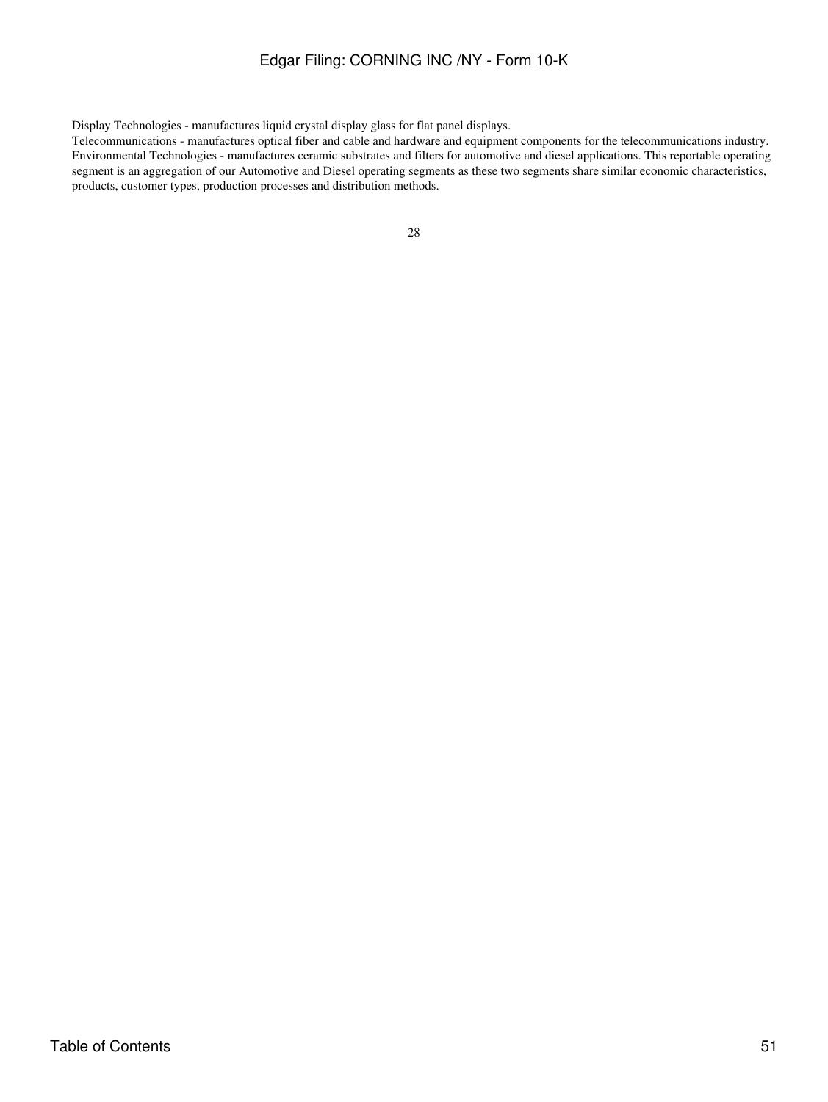Display Technologies - manufactures liquid crystal display glass for flat panel displays.

Telecommunications - manufactures optical fiber and cable and hardware and equipment components for the telecommunications industry. Environmental Technologies - manufactures ceramic substrates and filters for automotive and diesel applications. This reportable operating segment is an aggregation of our Automotive and Diesel operating segments as these two segments share similar economic characteristics, products, customer types, production processes and distribution methods.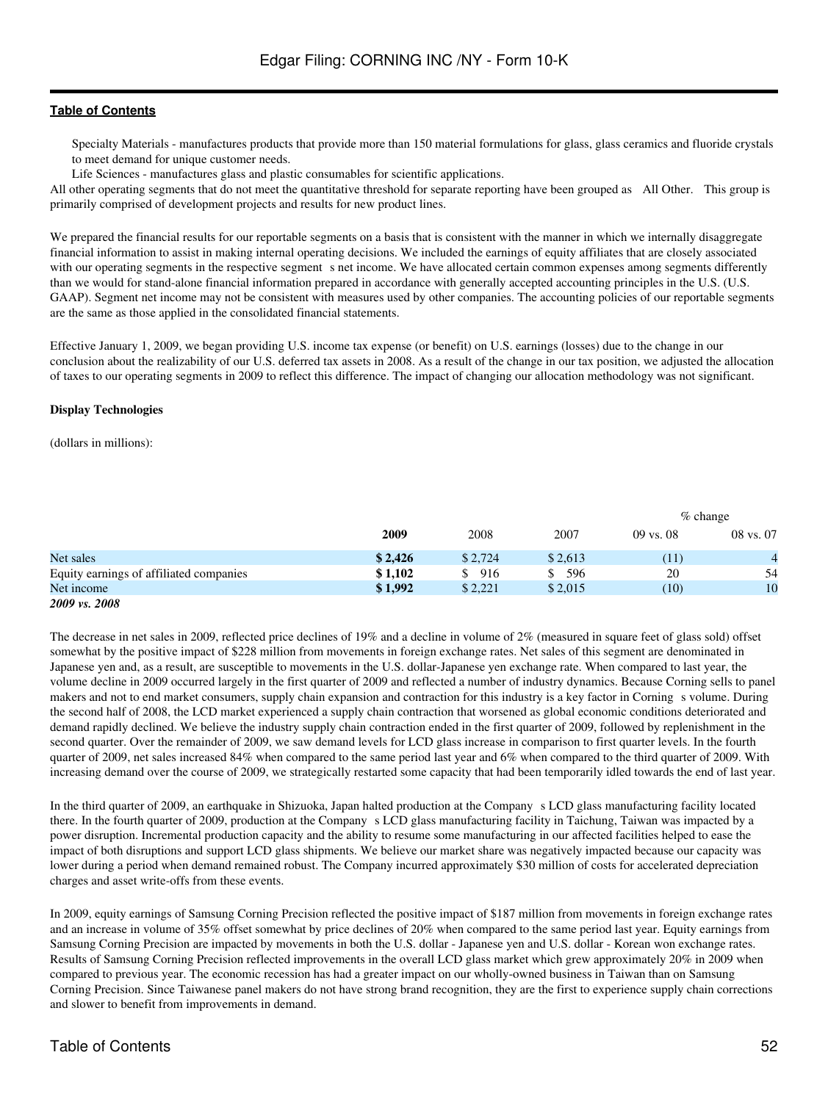Specialty Materials - manufactures products that provide more than 150 material formulations for glass, glass ceramics and fluoride crystals to meet demand for unique customer needs.

Life Sciences - manufactures glass and plastic consumables for scientific applications.

All other operating segments that do not meet the quantitative threshold for separate reporting have been grouped as All Other. This group is primarily comprised of development projects and results for new product lines.

We prepared the financial results for our reportable segments on a basis that is consistent with the manner in which we internally disaggregate financial information to assist in making internal operating decisions. We included the earnings of equity affiliates that are closely associated with our operating segments in the respective segment s net income. We have allocated certain common expenses among segments differently than we would for stand-alone financial information prepared in accordance with generally accepted accounting principles in the U.S. (U.S. GAAP). Segment net income may not be consistent with measures used by other companies. The accounting policies of our reportable segments are the same as those applied in the consolidated financial statements.

Effective January 1, 2009, we began providing U.S. income tax expense (or benefit) on U.S. earnings (losses) due to the change in our conclusion about the realizability of our U.S. deferred tax assets in 2008. As a result of the change in our tax position, we adjusted the allocation of taxes to our operating segments in 2009 to reflect this difference. The impact of changing our allocation methodology was not significant.

## **Display Technologies**

(dollars in millions):

|                                         |         |         |           | $%$ change           |           |  |
|-----------------------------------------|---------|---------|-----------|----------------------|-----------|--|
|                                         | 2009    | 2008    | 2007      | $09 \text{ vs. } 08$ | 08 vs. 07 |  |
| Net sales                               | \$2,426 | \$2,724 | \$2,613   | (11)                 |           |  |
| Equity earnings of affiliated companies | \$1,102 | 916     | 596<br>S. | 20                   | 54        |  |
| Net income                              | \$1,992 | \$2,221 | \$2,015   | (10)                 | 10        |  |
| $\sum_{n=1}^{n} a_n$<br>0.000           |         |         |           |                      |           |  |

*2009 vs. 2008*

The decrease in net sales in 2009, reflected price declines of 19% and a decline in volume of 2% (measured in square feet of glass sold) offset somewhat by the positive impact of \$228 million from movements in foreign exchange rates. Net sales of this segment are denominated in Japanese yen and, as a result, are susceptible to movements in the U.S. dollar-Japanese yen exchange rate. When compared to last year, the volume decline in 2009 occurred largely in the first quarter of 2009 and reflected a number of industry dynamics. Because Corning sells to panel makers and not to end market consumers, supply chain expansion and contraction for this industry is a key factor in Corning s volume. During the second half of 2008, the LCD market experienced a supply chain contraction that worsened as global economic conditions deteriorated and demand rapidly declined. We believe the industry supply chain contraction ended in the first quarter of 2009, followed by replenishment in the second quarter. Over the remainder of 2009, we saw demand levels for LCD glass increase in comparison to first quarter levels. In the fourth quarter of 2009, net sales increased 84% when compared to the same period last year and 6% when compared to the third quarter of 2009. With increasing demand over the course of 2009, we strategically restarted some capacity that had been temporarily idled towards the end of last year.

In the third quarter of 2009, an earthquake in Shizuoka, Japan halted production at the Companys LCD glass manufacturing facility located there. In the fourth quarter of 2009, production at the Company s LCD glass manufacturing facility in Taichung, Taiwan was impacted by a power disruption. Incremental production capacity and the ability to resume some manufacturing in our affected facilities helped to ease the impact of both disruptions and support LCD glass shipments. We believe our market share was negatively impacted because our capacity was lower during a period when demand remained robust. The Company incurred approximately \$30 million of costs for accelerated depreciation charges and asset write-offs from these events.

In 2009, equity earnings of Samsung Corning Precision reflected the positive impact of \$187 million from movements in foreign exchange rates and an increase in volume of 35% offset somewhat by price declines of 20% when compared to the same period last year. Equity earnings from Samsung Corning Precision are impacted by movements in both the U.S. dollar - Japanese yen and U.S. dollar - Korean won exchange rates. Results of Samsung Corning Precision reflected improvements in the overall LCD glass market which grew approximately 20% in 2009 when compared to previous year. The economic recession has had a greater impact on our wholly-owned business in Taiwan than on Samsung Corning Precision. Since Taiwanese panel makers do not have strong brand recognition, they are the first to experience supply chain corrections and slower to benefit from improvements in demand.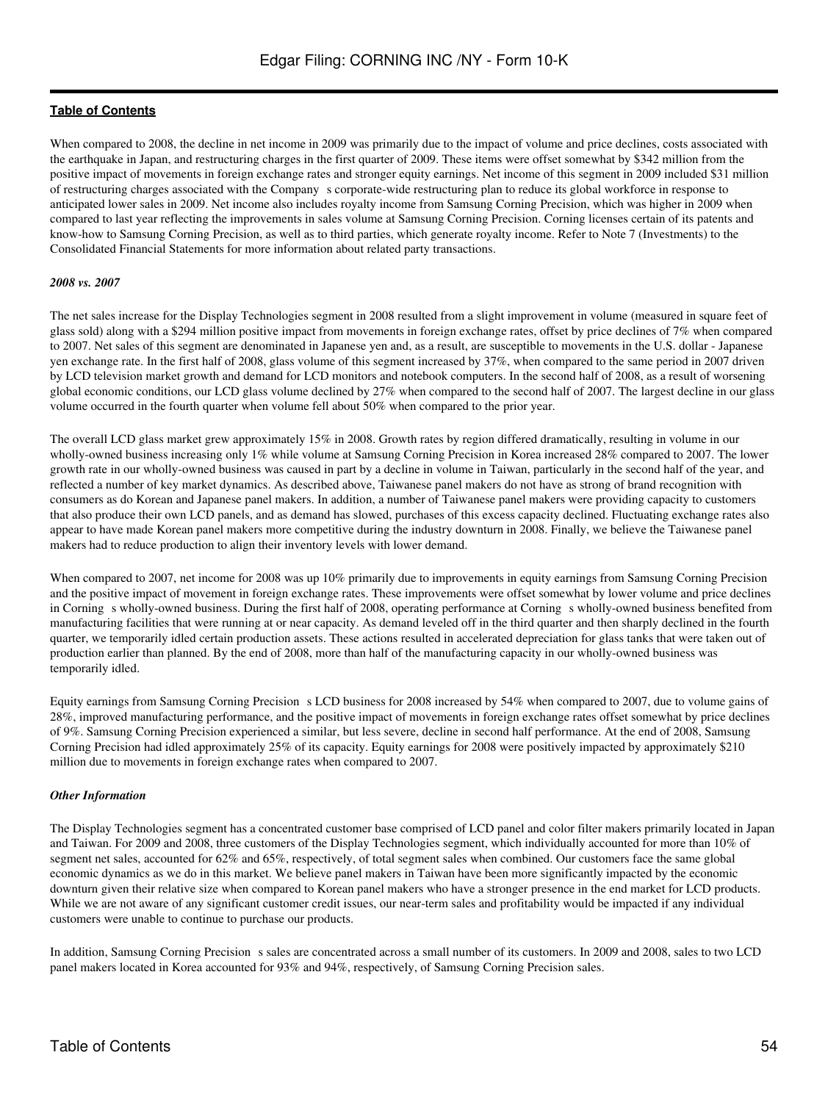When compared to 2008, the decline in net income in 2009 was primarily due to the impact of volume and price declines, costs associated with the earthquake in Japan, and restructuring charges in the first quarter of 2009. These items were offset somewhat by \$342 million from the positive impact of movements in foreign exchange rates and stronger equity earnings. Net income of this segment in 2009 included \$31 million of restructuring charges associated with the Companys corporate-wide restructuring plan to reduce its global workforce in response to anticipated lower sales in 2009. Net income also includes royalty income from Samsung Corning Precision, which was higher in 2009 when compared to last year reflecting the improvements in sales volume at Samsung Corning Precision. Corning licenses certain of its patents and know-how to Samsung Corning Precision, as well as to third parties, which generate royalty income. Refer to Note 7 (Investments) to the Consolidated Financial Statements for more information about related party transactions.

### *2008 vs. 2007*

The net sales increase for the Display Technologies segment in 2008 resulted from a slight improvement in volume (measured in square feet of glass sold) along with a \$294 million positive impact from movements in foreign exchange rates, offset by price declines of 7% when compared to 2007. Net sales of this segment are denominated in Japanese yen and, as a result, are susceptible to movements in the U.S. dollar - Japanese yen exchange rate. In the first half of 2008, glass volume of this segment increased by 37%, when compared to the same period in 2007 driven by LCD television market growth and demand for LCD monitors and notebook computers. In the second half of 2008, as a result of worsening global economic conditions, our LCD glass volume declined by 27% when compared to the second half of 2007. The largest decline in our glass volume occurred in the fourth quarter when volume fell about 50% when compared to the prior year.

The overall LCD glass market grew approximately 15% in 2008. Growth rates by region differed dramatically, resulting in volume in our wholly-owned business increasing only 1% while volume at Samsung Corning Precision in Korea increased 28% compared to 2007. The lower growth rate in our wholly-owned business was caused in part by a decline in volume in Taiwan, particularly in the second half of the year, and reflected a number of key market dynamics. As described above, Taiwanese panel makers do not have as strong of brand recognition with consumers as do Korean and Japanese panel makers. In addition, a number of Taiwanese panel makers were providing capacity to customers that also produce their own LCD panels, and as demand has slowed, purchases of this excess capacity declined. Fluctuating exchange rates also appear to have made Korean panel makers more competitive during the industry downturn in 2008. Finally, we believe the Taiwanese panel makers had to reduce production to align their inventory levels with lower demand.

When compared to 2007, net income for 2008 was up 10% primarily due to improvements in equity earnings from Samsung Corning Precision and the positive impact of movement in foreign exchange rates. These improvements were offset somewhat by lower volume and price declines in Corning s wholly-owned business. During the first half of 2008, operating performance at Corning s wholly-owned business benefited from manufacturing facilities that were running at or near capacity. As demand leveled off in the third quarter and then sharply declined in the fourth quarter, we temporarily idled certain production assets. These actions resulted in accelerated depreciation for glass tanks that were taken out of production earlier than planned. By the end of 2008, more than half of the manufacturing capacity in our wholly-owned business was temporarily idled.

Equity earnings from Samsung Corning Precision s LCD business for 2008 increased by 54% when compared to 2007, due to volume gains of 28%, improved manufacturing performance, and the positive impact of movements in foreign exchange rates offset somewhat by price declines of 9%. Samsung Corning Precision experienced a similar, but less severe, decline in second half performance. At the end of 2008, Samsung Corning Precision had idled approximately 25% of its capacity. Equity earnings for 2008 were positively impacted by approximately \$210 million due to movements in foreign exchange rates when compared to 2007.

#### *Other Information*

The Display Technologies segment has a concentrated customer base comprised of LCD panel and color filter makers primarily located in Japan and Taiwan. For 2009 and 2008, three customers of the Display Technologies segment, which individually accounted for more than 10% of segment net sales, accounted for 62% and 65%, respectively, of total segment sales when combined. Our customers face the same global economic dynamics as we do in this market. We believe panel makers in Taiwan have been more significantly impacted by the economic downturn given their relative size when compared to Korean panel makers who have a stronger presence in the end market for LCD products. While we are not aware of any significant customer credit issues, our near-term sales and profitability would be impacted if any individual customers were unable to continue to purchase our products.

In addition, Samsung Corning Precision s sales are concentrated across a small number of its customers. In 2009 and 2008, sales to two LCD panel makers located in Korea accounted for 93% and 94%, respectively, of Samsung Corning Precision sales.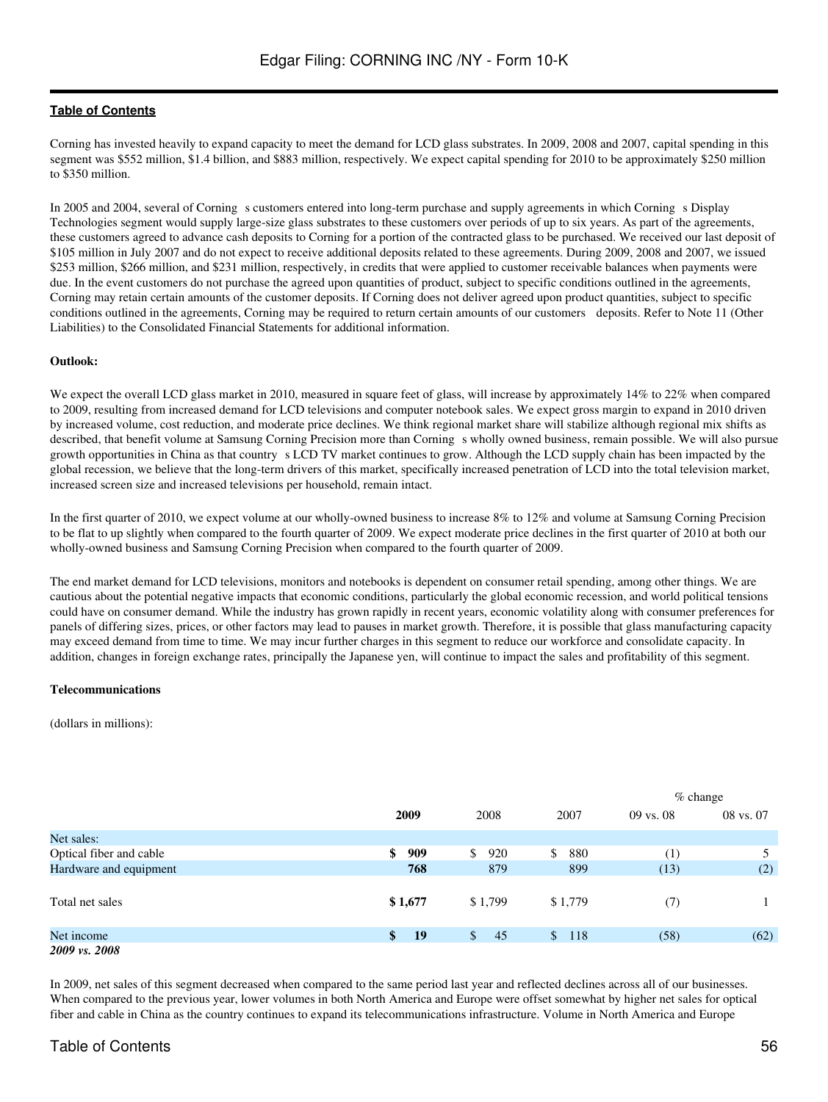Corning has invested heavily to expand capacity to meet the demand for LCD glass substrates. In 2009, 2008 and 2007, capital spending in this segment was \$552 million, \$1.4 billion, and \$883 million, respectively. We expect capital spending for 2010 to be approximately \$250 million to \$350 million.

In 2005 and 2004, several of Corning s customers entered into long-term purchase and supply agreements in which Corning s Display Technologies segment would supply large-size glass substrates to these customers over periods of up to six years. As part of the agreements, these customers agreed to advance cash deposits to Corning for a portion of the contracted glass to be purchased. We received our last deposit of \$105 million in July 2007 and do not expect to receive additional deposits related to these agreements. During 2009, 2008 and 2007, we issued \$253 million, \$266 million, and \$231 million, respectively, in credits that were applied to customer receivable balances when payments were due. In the event customers do not purchase the agreed upon quantities of product, subject to specific conditions outlined in the agreements, Corning may retain certain amounts of the customer deposits. If Corning does not deliver agreed upon product quantities, subject to specific conditions outlined in the agreements, Corning may be required to return certain amounts of our customers deposits. Refer to Note 11 (Other Liabilities) to the Consolidated Financial Statements for additional information.

### **Outlook:**

We expect the overall LCD glass market in 2010, measured in square feet of glass, will increase by approximately 14% to 22% when compared to 2009, resulting from increased demand for LCD televisions and computer notebook sales. We expect gross margin to expand in 2010 driven by increased volume, cost reduction, and moderate price declines. We think regional market share will stabilize although regional mix shifts as described, that benefit volume at Samsung Corning Precision more than Corning s wholly owned business, remain possible. We will also pursue growth opportunities in China as that country s LCD TV market continues to grow. Although the LCD supply chain has been impacted by the global recession, we believe that the long-term drivers of this market, specifically increased penetration of LCD into the total television market, increased screen size and increased televisions per household, remain intact.

In the first quarter of 2010, we expect volume at our wholly-owned business to increase 8% to 12% and volume at Samsung Corning Precision to be flat to up slightly when compared to the fourth quarter of 2009. We expect moderate price declines in the first quarter of 2010 at both our wholly-owned business and Samsung Corning Precision when compared to the fourth quarter of 2009.

The end market demand for LCD televisions, monitors and notebooks is dependent on consumer retail spending, among other things. We are cautious about the potential negative impacts that economic conditions, particularly the global economic recession, and world political tensions could have on consumer demand. While the industry has grown rapidly in recent years, economic volatility along with consumer preferences for panels of differing sizes, prices, or other factors may lead to pauses in market growth. Therefore, it is possible that glass manufacturing capacity may exceed demand from time to time. We may incur further charges in this segment to reduce our workforce and consolidate capacity. In addition, changes in foreign exchange rates, principally the Japanese yen, will continue to impact the sales and profitability of this segment.

#### **Telecommunications**

(dollars in millions):

|                         |           |           |                     | $%$ change    |           |  |
|-------------------------|-----------|-----------|---------------------|---------------|-----------|--|
|                         | 2009      | 2008      | 2007                | $09$ vs. $08$ | 08 vs. 07 |  |
| Net sales:              |           |           |                     |               |           |  |
| Optical fiber and cable | \$<br>909 | \$<br>920 | $\mathbb{S}$<br>880 | (1)           |           |  |
| Hardware and equipment  | 768       | 879       | 899                 | (13)          | (2)       |  |
| Total net sales         | \$1,677   | \$1,799   | \$1,779             | (7)           |           |  |
| Net income              | \$<br>-19 | 45<br>\$  | \$118               | (58)          | (62)      |  |
| 2009 vs. 2008           |           |           |                     |               |           |  |

In 2009, net sales of this segment decreased when compared to the same period last year and reflected declines across all of our businesses. When compared to the previous year, lower volumes in both North America and Europe were offset somewhat by higher net sales for optical fiber and cable in China as the country continues to expand its telecommunications infrastructure. Volume in North America and Europe

# Table of Contents 56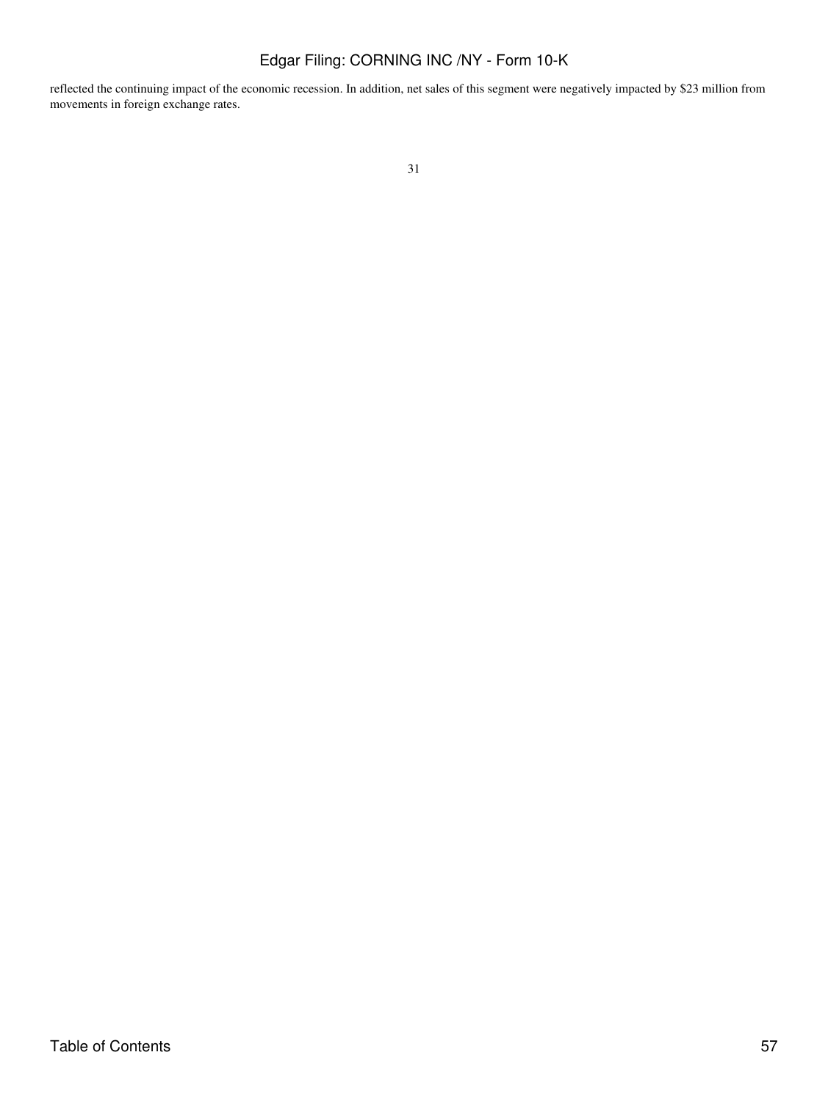reflected the continuing impact of the economic recession. In addition, net sales of this segment were negatively impacted by \$23 million from movements in foreign exchange rates.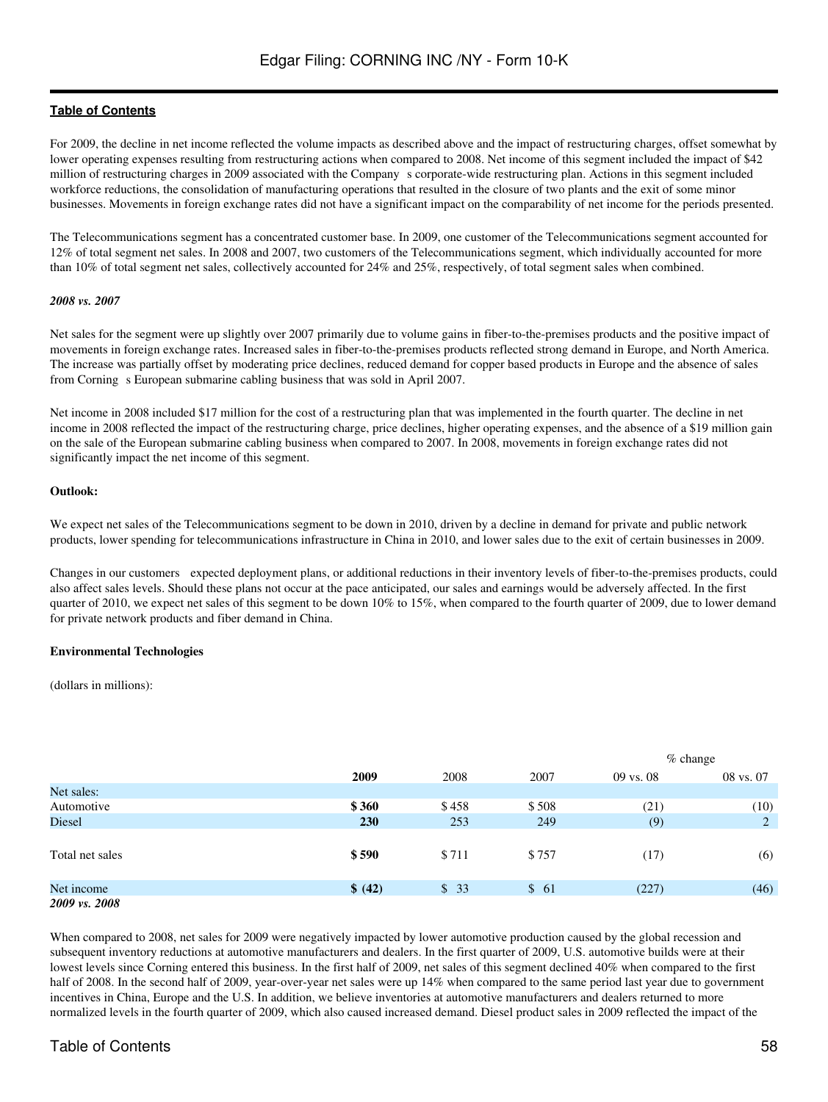For 2009, the decline in net income reflected the volume impacts as described above and the impact of restructuring charges, offset somewhat by lower operating expenses resulting from restructuring actions when compared to 2008. Net income of this segment included the impact of \$42 million of restructuring charges in 2009 associated with the Companys corporate-wide restructuring plan. Actions in this segment included workforce reductions, the consolidation of manufacturing operations that resulted in the closure of two plants and the exit of some minor businesses. Movements in foreign exchange rates did not have a significant impact on the comparability of net income for the periods presented.

The Telecommunications segment has a concentrated customer base. In 2009, one customer of the Telecommunications segment accounted for 12% of total segment net sales. In 2008 and 2007, two customers of the Telecommunications segment, which individually accounted for more than 10% of total segment net sales, collectively accounted for 24% and 25%, respectively, of total segment sales when combined.

### *2008 vs. 2007*

Net sales for the segment were up slightly over 2007 primarily due to volume gains in fiber-to-the-premises products and the positive impact of movements in foreign exchange rates. Increased sales in fiber-to-the-premises products reflected strong demand in Europe, and North America. The increase was partially offset by moderating price declines, reduced demand for copper based products in Europe and the absence of sales from Corning s European submarine cabling business that was sold in April 2007.

Net income in 2008 included \$17 million for the cost of a restructuring plan that was implemented in the fourth quarter. The decline in net income in 2008 reflected the impact of the restructuring charge, price declines, higher operating expenses, and the absence of a \$19 million gain on the sale of the European submarine cabling business when compared to 2007. In 2008, movements in foreign exchange rates did not significantly impact the net income of this segment.

### **Outlook:**

We expect net sales of the Telecommunications segment to be down in 2010, driven by a decline in demand for private and public network products, lower spending for telecommunications infrastructure in China in 2010, and lower sales due to the exit of certain businesses in 2009.

Changes in our customers expected deployment plans, or additional reductions in their inventory levels of fiber-to-the-premises products, could also affect sales levels. Should these plans not occur at the pace anticipated, our sales and earnings would be adversely affected. In the first quarter of 2010, we expect net sales of this segment to be down 10% to 15%, when compared to the fourth quarter of 2009, due to lower demand for private network products and fiber demand in China.

#### **Environmental Technologies**

(dollars in millions):

|                 |            |       |       |               | $%$ change     |
|-----------------|------------|-------|-------|---------------|----------------|
|                 | 2009       | 2008  | 2007  | $09$ vs. $08$ | 08 vs. 07      |
| Net sales:      |            |       |       |               |                |
| Automotive      | \$360      | \$458 | \$508 | (21)          | (10)           |
| Diesel          | <b>230</b> | 253   | 249   | (9)           | $\overline{2}$ |
|                 |            |       |       |               |                |
| Total net sales | \$590      | \$711 | \$757 | (17)          | (6)            |
| Net income      | \$ (42)    | \$33  | \$61  | (227)         | (46)           |
| 2009 vs. 2008   |            |       |       |               |                |

When compared to 2008, net sales for 2009 were negatively impacted by lower automotive production caused by the global recession and subsequent inventory reductions at automotive manufacturers and dealers. In the first quarter of 2009, U.S. automotive builds were at their lowest levels since Corning entered this business. In the first half of 2009, net sales of this segment declined 40% when compared to the first half of 2008. In the second half of 2009, year-over-year net sales were up 14% when compared to the same period last year due to government incentives in China, Europe and the U.S. In addition, we believe inventories at automotive manufacturers and dealers returned to more normalized levels in the fourth quarter of 2009, which also caused increased demand. Diesel product sales in 2009 reflected the impact of the

# Table of Contents 58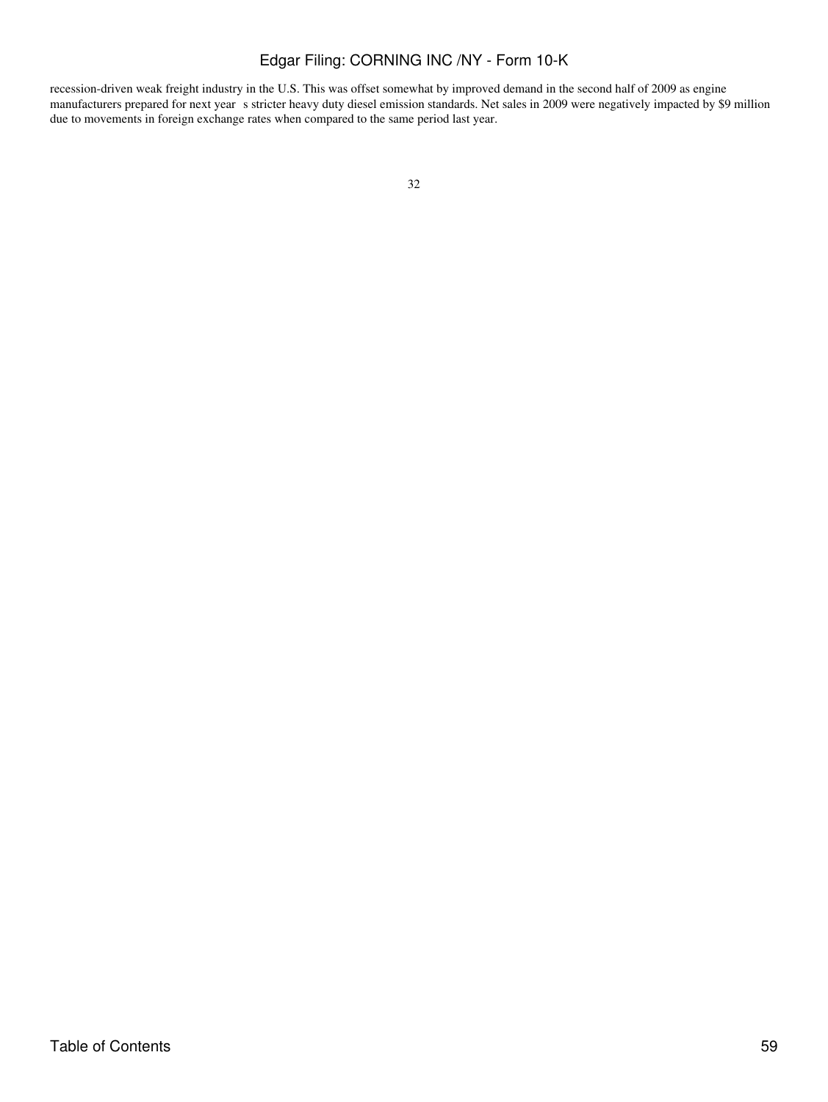recession-driven weak freight industry in the U.S. This was offset somewhat by improved demand in the second half of 2009 as engine manufacturers prepared for next year s stricter heavy duty diesel emission standards. Net sales in 2009 were negatively impacted by \$9 million due to movements in foreign exchange rates when compared to the same period last year.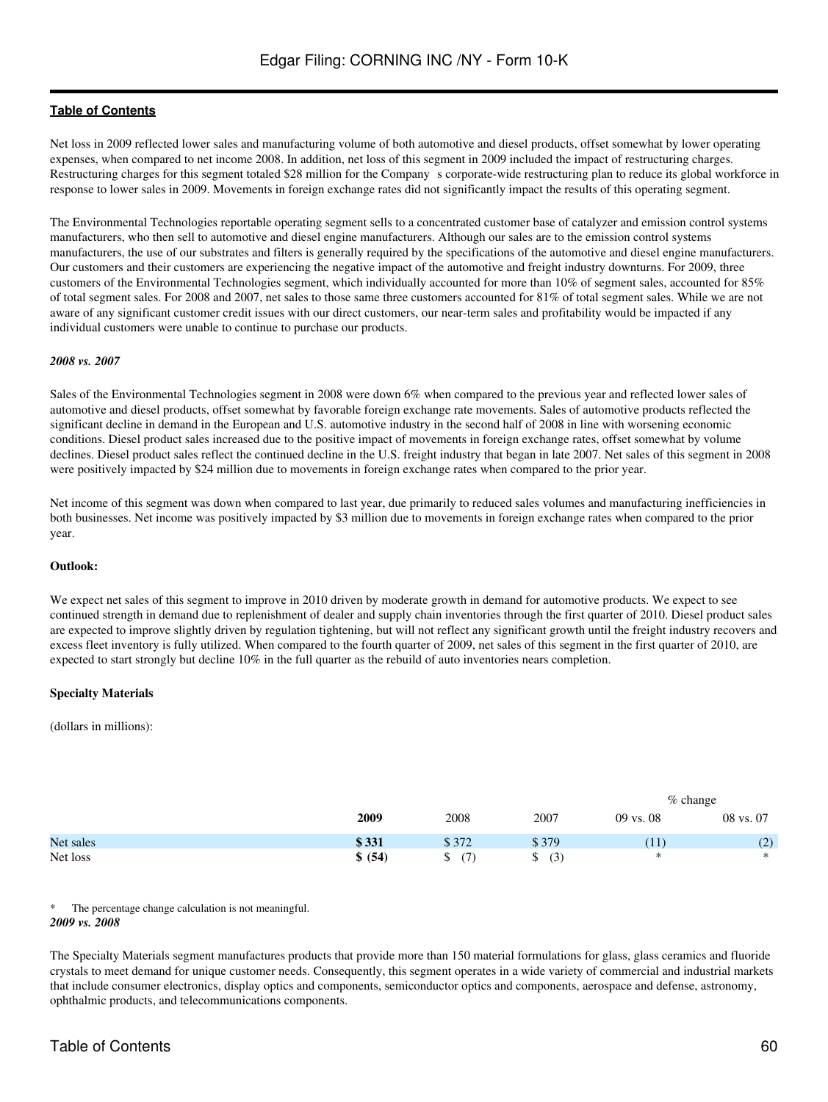Net loss in 2009 reflected lower sales and manufacturing volume of both automotive and diesel products, offset somewhat by lower operating expenses, when compared to net income 2008. In addition, net loss of this segment in 2009 included the impact of restructuring charges. Restructuring charges for this segment totaled \$28 million for the Companys corporate-wide restructuring plan to reduce its global workforce in response to lower sales in 2009. Movements in foreign exchange rates did not significantly impact the results of this operating segment.

The Environmental Technologies reportable operating segment sells to a concentrated customer base of catalyzer and emission control systems manufacturers, who then sell to automotive and diesel engine manufacturers. Although our sales are to the emission control systems manufacturers, the use of our substrates and filters is generally required by the specifications of the automotive and diesel engine manufacturers. Our customers and their customers are experiencing the negative impact of the automotive and freight industry downturns. For 2009, three customers of the Environmental Technologies segment, which individually accounted for more than 10% of segment sales, accounted for 85% of total segment sales. For 2008 and 2007, net sales to those same three customers accounted for 81% of total segment sales. While we are not aware of any significant customer credit issues with our direct customers, our near-term sales and profitability would be impacted if any individual customers were unable to continue to purchase our products.

#### *2008 vs. 2007*

Sales of the Environmental Technologies segment in 2008 were down 6% when compared to the previous year and reflected lower sales of automotive and diesel products, offset somewhat by favorable foreign exchange rate movements. Sales of automotive products reflected the significant decline in demand in the European and U.S. automotive industry in the second half of 2008 in line with worsening economic conditions. Diesel product sales increased due to the positive impact of movements in foreign exchange rates, offset somewhat by volume declines. Diesel product sales reflect the continued decline in the U.S. freight industry that began in late 2007. Net sales of this segment in 2008 were positively impacted by \$24 million due to movements in foreign exchange rates when compared to the prior year.

Net income of this segment was down when compared to last year, due primarily to reduced sales volumes and manufacturing inefficiencies in both businesses. Net income was positively impacted by \$3 million due to movements in foreign exchange rates when compared to the prior year.

#### **Outlook:**

We expect net sales of this segment to improve in 2010 driven by moderate growth in demand for automotive products. We expect to see continued strength in demand due to replenishment of dealer and supply chain inventories through the first quarter of 2010. Diesel product sales are expected to improve slightly driven by regulation tightening, but will not reflect any significant growth until the freight industry recovers and excess fleet inventory is fully utilized. When compared to the fourth quarter of 2009, net sales of this segment in the first quarter of 2010, are expected to start strongly but decline 10% in the full quarter as the rebuild of auto inventories nears completion.

## **Specialty Materials**

(dollars in millions):

|           |         |       |       | $%$ change    |           |
|-----------|---------|-------|-------|---------------|-----------|
|           | 2009    | 2008  | 2007  | $09$ vs. $08$ | 08 vs. 07 |
| Net sales | \$331   | \$372 | \$379 | Ί1            | (2)       |
| Net loss  | \$ (54) | (7)   | (3)   | ∗             | ∗         |

The percentage change calculation is not meaningful.

#### *2009 vs. 2008*

The Specialty Materials segment manufactures products that provide more than 150 material formulations for glass, glass ceramics and fluoride crystals to meet demand for unique customer needs. Consequently, this segment operates in a wide variety of commercial and industrial markets that include consumer electronics, display optics and components, semiconductor optics and components, aerospace and defense, astronomy, ophthalmic products, and telecommunications components.

# Table of Contents 60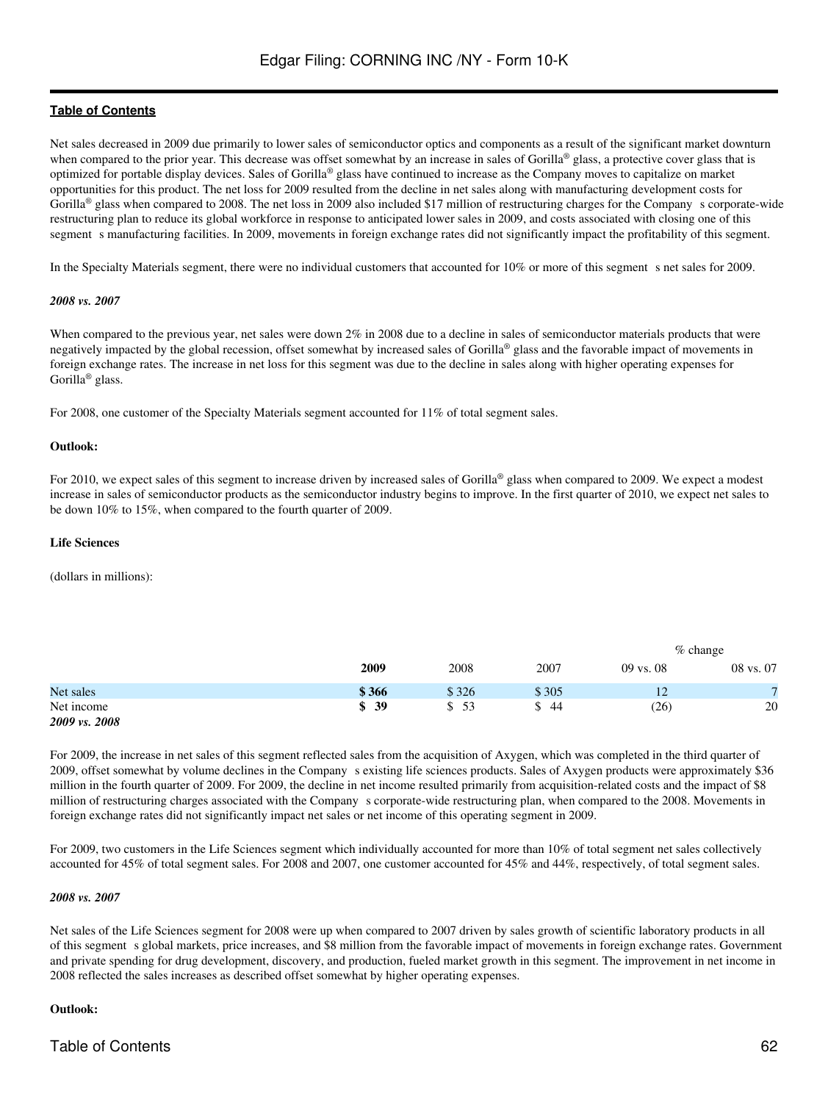Net sales decreased in 2009 due primarily to lower sales of semiconductor optics and components as a result of the significant market downturn when compared to the prior year. This decrease was offset somewhat by an increase in sales of Gorilla<sup>®</sup> glass, a protective cover glass that is optimized for portable display devices. Sales of Gorilla® glass have continued to increase as the Company moves to capitalize on market opportunities for this product. The net loss for 2009 resulted from the decline in net sales along with manufacturing development costs for Gorilla<sup>®</sup> glass when compared to 2008. The net loss in 2009 also included \$17 million of restructuring charges for the Company s corporate-wide restructuring plan to reduce its global workforce in response to anticipated lower sales in 2009, and costs associated with closing one of this segment s manufacturing facilities. In 2009, movements in foreign exchange rates did not significantly impact the profitability of this segment.

In the Specialty Materials segment, there were no individual customers that accounted for 10% or more of this segment s net sales for 2009.

### *2008 vs. 2007*

When compared to the previous year, net sales were down 2% in 2008 due to a decline in sales of semiconductor materials products that were negatively impacted by the global recession, offset somewhat by increased sales of Gorilla® glass and the favorable impact of movements in foreign exchange rates. The increase in net loss for this segment was due to the decline in sales along with higher operating expenses for Gorilla® glass.

For 2008, one customer of the Specialty Materials segment accounted for 11% of total segment sales.

### **Outlook:**

For 2010, we expect sales of this segment to increase driven by increased sales of Gorilla® glass when compared to 2009. We expect a modest increase in sales of semiconductor products as the semiconductor industry begins to improve. In the first quarter of 2010, we expect net sales to be down 10% to 15%, when compared to the fourth quarter of 2009.

#### **Life Sciences**

(dollars in millions):

|               |       |       |       |                | $%$ change   |  |  |
|---------------|-------|-------|-------|----------------|--------------|--|--|
|               | 2009  | 2008  | 2007  | $09$ vs. $08$  | 08 vs. 07    |  |  |
| Net sales     | \$366 | \$326 | \$305 | $\overline{1}$ | $\mathbf{r}$ |  |  |
| Net income    | \$39  | \$53  | \$44  | (26)           | 20           |  |  |
| 2009 vs. 2008 |       |       |       |                |              |  |  |

For 2009, the increase in net sales of this segment reflected sales from the acquisition of Axygen, which was completed in the third quarter of 2009, offset somewhat by volume declines in the Company s existing life sciences products. Sales of Axygen products were approximately \$36 million in the fourth quarter of 2009. For 2009, the decline in net income resulted primarily from acquisition-related costs and the impact of \$8 million of restructuring charges associated with the Company s corporate-wide restructuring plan, when compared to the 2008. Movements in foreign exchange rates did not significantly impact net sales or net income of this operating segment in 2009.

For 2009, two customers in the Life Sciences segment which individually accounted for more than 10% of total segment net sales collectively accounted for 45% of total segment sales. For 2008 and 2007, one customer accounted for 45% and 44%, respectively, of total segment sales.

#### *2008 vs. 2007*

Net sales of the Life Sciences segment for 2008 were up when compared to 2007 driven by sales growth of scientific laboratory products in all of this segment s global markets, price increases, and \$8 million from the favorable impact of movements in foreign exchange rates. Government and private spending for drug development, discovery, and production, fueled market growth in this segment. The improvement in net income in 2008 reflected the sales increases as described offset somewhat by higher operating expenses.

## **Outlook:**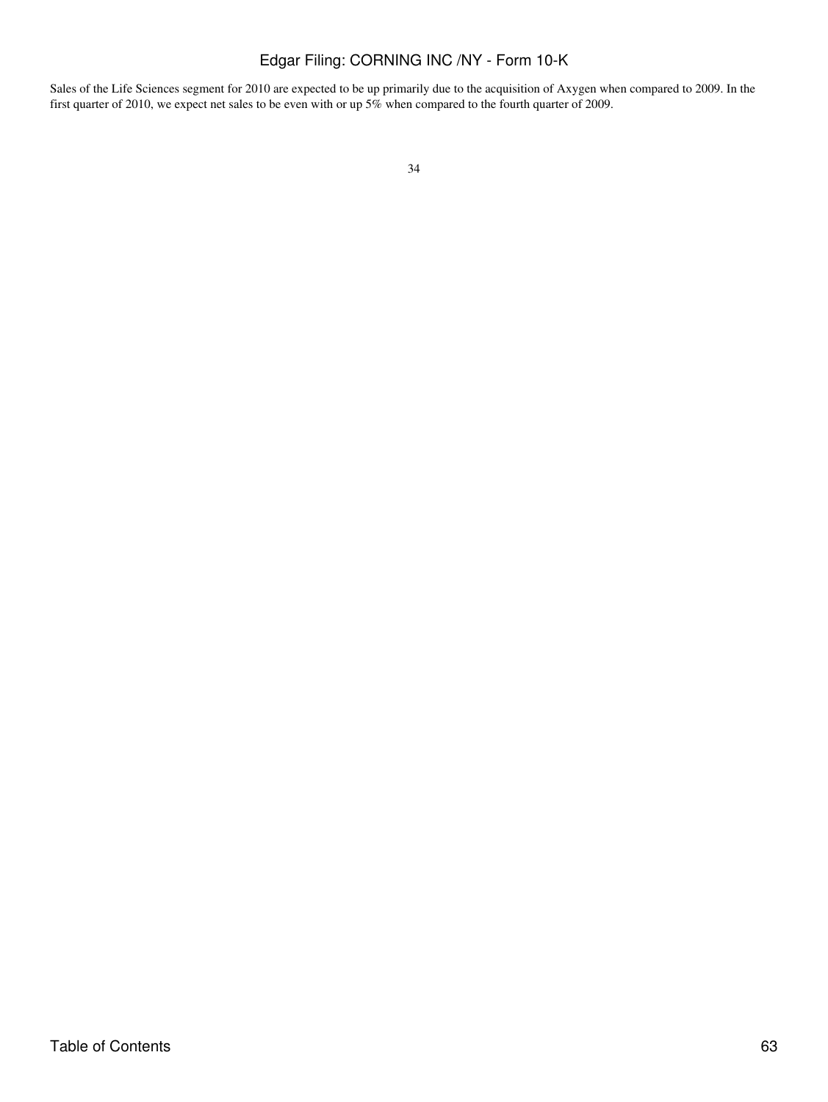Sales of the Life Sciences segment for 2010 are expected to be up primarily due to the acquisition of Axygen when compared to 2009. In the first quarter of 2010, we expect net sales to be even with or up 5% when compared to the fourth quarter of 2009.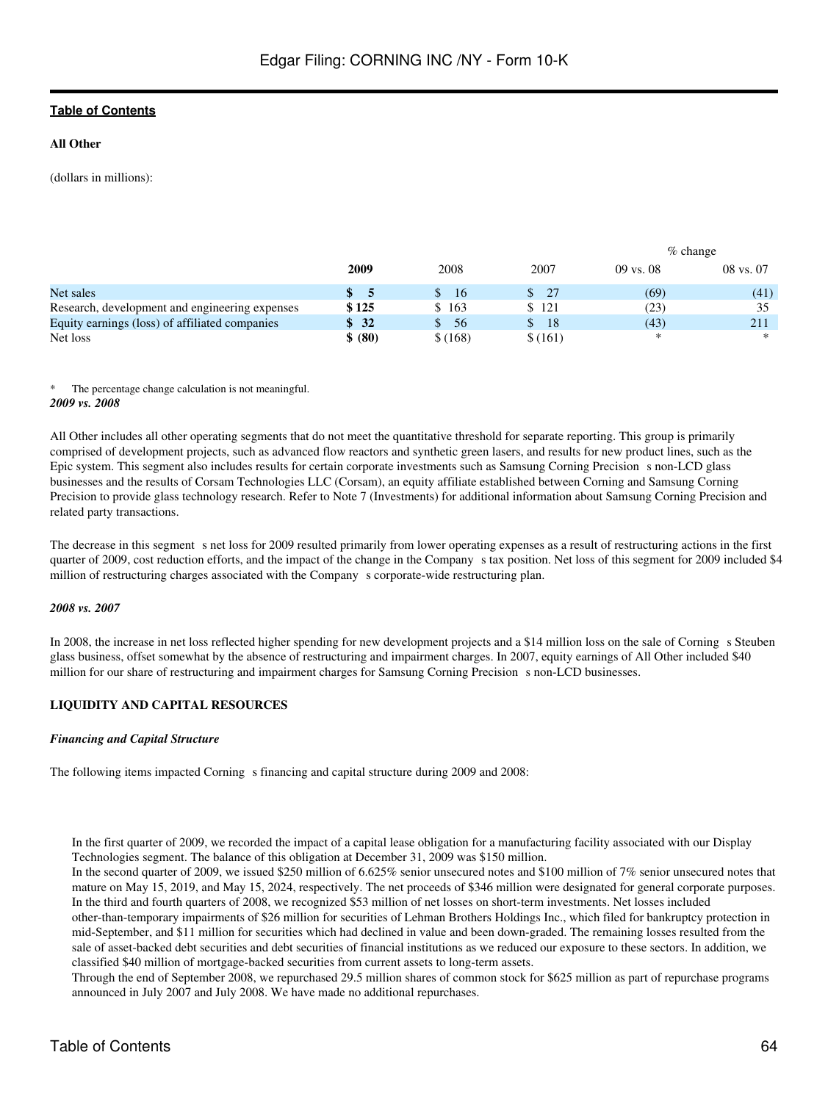### **All Other**

(dollars in millions):

|                                                |               |           |             |               | $%$ change |  |
|------------------------------------------------|---------------|-----------|-------------|---------------|------------|--|
|                                                | 2009          | 2008      | 2007        | $09$ vs. $08$ | 08 vs. 07  |  |
| Net sales                                      | $\frac{1}{2}$ | -16<br>S. | $\sqrt{27}$ | (69)          | (41)       |  |
| Research, development and engineering expenses | \$125         | \$163     | \$121       | (23)          | 35         |  |
| Equity earnings (loss) of affiliated companies | \$32          | -56       | -18         | (43)          | 211        |  |
| Net loss                                       | \$ (80)       | \$(168)   | \$(161)     | *             | $\ast$     |  |

The percentage change calculation is not meaningful. *2009 vs. 2008*

All Other includes all other operating segments that do not meet the quantitative threshold for separate reporting. This group is primarily comprised of development projects, such as advanced flow reactors and synthetic green lasers, and results for new product lines, such as the Epic system. This segment also includes results for certain corporate investments such as Samsung Corning Precisions non-LCD glass businesses and the results of Corsam Technologies LLC (Corsam), an equity affiliate established between Corning and Samsung Corning Precision to provide glass technology research. Refer to Note 7 (Investments) for additional information about Samsung Corning Precision and related party transactions.

The decrease in this segment s net loss for 2009 resulted primarily from lower operating expenses as a result of restructuring actions in the first quarter of 2009, cost reduction efforts, and the impact of the change in the Company s tax position. Net loss of this segment for 2009 included \$4 million of restructuring charges associated with the Companys corporate-wide restructuring plan.

## *2008 vs. 2007*

In 2008, the increase in net loss reflected higher spending for new development projects and a \$14 million loss on the sale of Corning s Steuben glass business, offset somewhat by the absence of restructuring and impairment charges. In 2007, equity earnings of All Other included \$40 million for our share of restructuring and impairment charges for Samsung Corning Precision s non-LCD businesses.

# **LIQUIDITY AND CAPITAL RESOURCES**

## *Financing and Capital Structure*

The following items impacted Corning s financing and capital structure during 2009 and 2008:

In the first quarter of 2009, we recorded the impact of a capital lease obligation for a manufacturing facility associated with our Display Technologies segment. The balance of this obligation at December 31, 2009 was \$150 million.

In the second quarter of 2009, we issued \$250 million of 6.625% senior unsecured notes and \$100 million of 7% senior unsecured notes that mature on May 15, 2019, and May 15, 2024, respectively. The net proceeds of \$346 million were designated for general corporate purposes. In the third and fourth quarters of 2008, we recognized \$53 million of net losses on short-term investments. Net losses included other-than-temporary impairments of \$26 million for securities of Lehman Brothers Holdings Inc., which filed for bankruptcy protection in mid-September, and \$11 million for securities which had declined in value and been down-graded. The remaining losses resulted from the sale of asset-backed debt securities and debt securities of financial institutions as we reduced our exposure to these sectors. In addition, we classified \$40 million of mortgage-backed securities from current assets to long-term assets.

Through the end of September 2008, we repurchased 29.5 million shares of common stock for \$625 million as part of repurchase programs announced in July 2007 and July 2008. We have made no additional repurchases.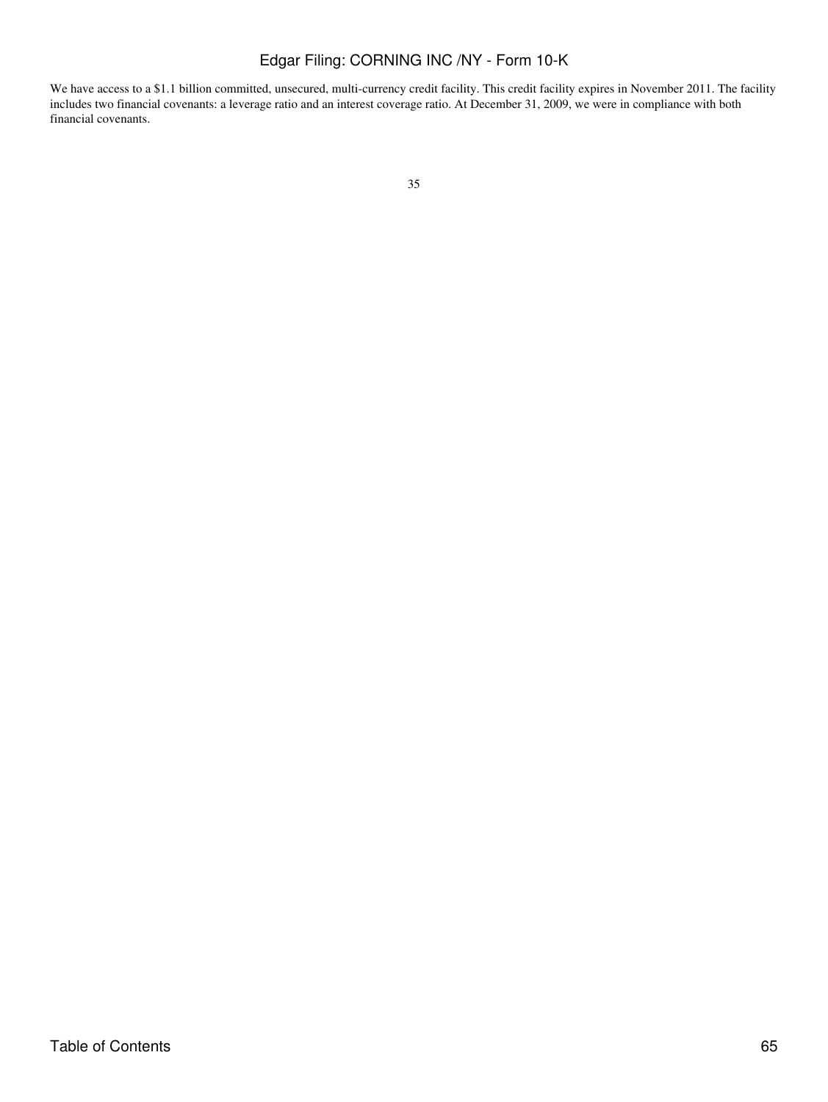We have access to a \$1.1 billion committed, unsecured, multi-currency credit facility. This credit facility expires in November 2011. The facility includes two financial covenants: a leverage ratio and an interest coverage ratio. At December 31, 2009, we were in compliance with both financial covenants.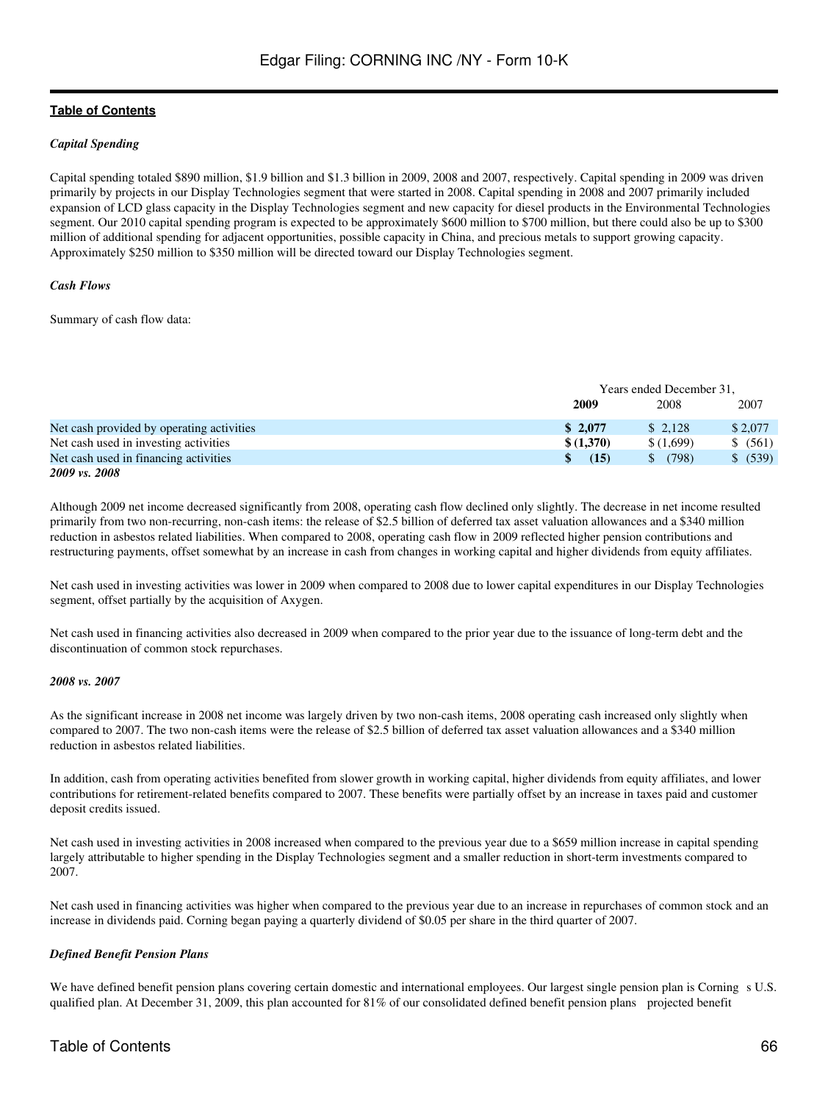## *Capital Spending*

Capital spending totaled \$890 million, \$1.9 billion and \$1.3 billion in 2009, 2008 and 2007, respectively. Capital spending in 2009 was driven primarily by projects in our Display Technologies segment that were started in 2008. Capital spending in 2008 and 2007 primarily included expansion of LCD glass capacity in the Display Technologies segment and new capacity for diesel products in the Environmental Technologies segment. Our 2010 capital spending program is expected to be approximately \$600 million to \$700 million, but there could also be up to \$300 million of additional spending for adjacent opportunities, possible capacity in China, and precious metals to support growing capacity. Approximately \$250 million to \$350 million will be directed toward our Display Technologies segment.

## *Cash Flows*

Summary of cash flow data:

|                                           |           | Years ended December 31, |          |  |
|-------------------------------------------|-----------|--------------------------|----------|--|
|                                           | 2009      | 2008                     | 2007     |  |
| Net cash provided by operating activities | \$2.077   | \$2.128                  | \$2,077  |  |
| Net cash used in investing activities     | \$(1,370) | \$(1,699)                | \$ (561) |  |
| Net cash used in financing activities     | (15)      | (798)                    | \$ (539) |  |
| 2009 vs. 2008                             |           |                          |          |  |

Although 2009 net income decreased significantly from 2008, operating cash flow declined only slightly. The decrease in net income resulted primarily from two non-recurring, non-cash items: the release of \$2.5 billion of deferred tax asset valuation allowances and a \$340 million reduction in asbestos related liabilities. When compared to 2008, operating cash flow in 2009 reflected higher pension contributions and restructuring payments, offset somewhat by an increase in cash from changes in working capital and higher dividends from equity affiliates.

Net cash used in investing activities was lower in 2009 when compared to 2008 due to lower capital expenditures in our Display Technologies segment, offset partially by the acquisition of Axygen.

Net cash used in financing activities also decreased in 2009 when compared to the prior year due to the issuance of long-term debt and the discontinuation of common stock repurchases.

## *2008 vs. 2007*

As the significant increase in 2008 net income was largely driven by two non-cash items, 2008 operating cash increased only slightly when compared to 2007. The two non-cash items were the release of \$2.5 billion of deferred tax asset valuation allowances and a \$340 million reduction in asbestos related liabilities.

In addition, cash from operating activities benefited from slower growth in working capital, higher dividends from equity affiliates, and lower contributions for retirement-related benefits compared to 2007. These benefits were partially offset by an increase in taxes paid and customer deposit credits issued.

Net cash used in investing activities in 2008 increased when compared to the previous year due to a \$659 million increase in capital spending largely attributable to higher spending in the Display Technologies segment and a smaller reduction in short-term investments compared to 2007.

Net cash used in financing activities was higher when compared to the previous year due to an increase in repurchases of common stock and an increase in dividends paid. Corning began paying a quarterly dividend of \$0.05 per share in the third quarter of 2007.

## *Defined Benefit Pension Plans*

We have defined benefit pension plans covering certain domestic and international employees. Our largest single pension plan is Corning s U.S. qualified plan. At December 31, 2009, this plan accounted for 81% of our consolidated defined benefit pension plans projected benefit

# Table of Contents 66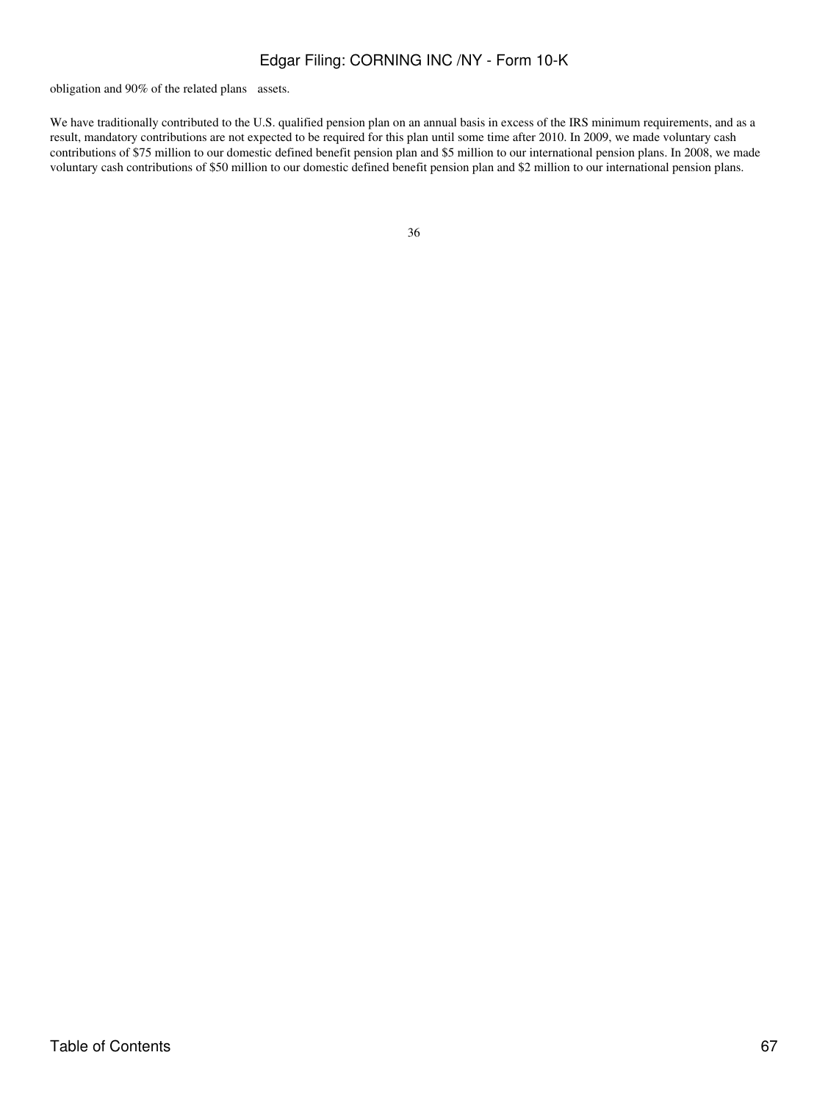obligation and 90% of the related plans assets.

We have traditionally contributed to the U.S. qualified pension plan on an annual basis in excess of the IRS minimum requirements, and as a result, mandatory contributions are not expected to be required for this plan until some time after 2010. In 2009, we made voluntary cash contributions of \$75 million to our domestic defined benefit pension plan and \$5 million to our international pension plans. In 2008, we made voluntary cash contributions of \$50 million to our domestic defined benefit pension plan and \$2 million to our international pension plans.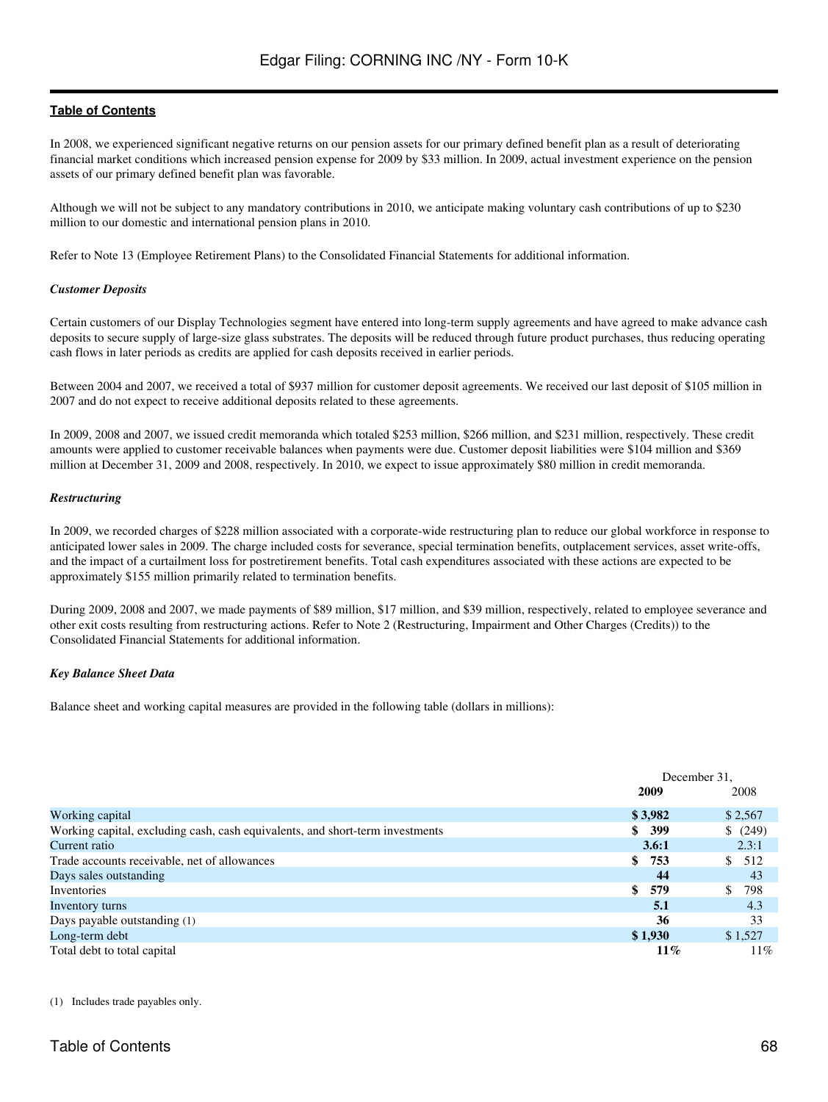In 2008, we experienced significant negative returns on our pension assets for our primary defined benefit plan as a result of deteriorating financial market conditions which increased pension expense for 2009 by \$33 million. In 2009, actual investment experience on the pension assets of our primary defined benefit plan was favorable.

Although we will not be subject to any mandatory contributions in 2010, we anticipate making voluntary cash contributions of up to \$230 million to our domestic and international pension plans in 2010.

Refer to Note 13 (Employee Retirement Plans) to the Consolidated Financial Statements for additional information.

### *Customer Deposits*

Certain customers of our Display Technologies segment have entered into long-term supply agreements and have agreed to make advance cash deposits to secure supply of large-size glass substrates. The deposits will be reduced through future product purchases, thus reducing operating cash flows in later periods as credits are applied for cash deposits received in earlier periods.

Between 2004 and 2007, we received a total of \$937 million for customer deposit agreements. We received our last deposit of \$105 million in 2007 and do not expect to receive additional deposits related to these agreements.

In 2009, 2008 and 2007, we issued credit memoranda which totaled \$253 million, \$266 million, and \$231 million, respectively. These credit amounts were applied to customer receivable balances when payments were due. Customer deposit liabilities were \$104 million and \$369 million at December 31, 2009 and 2008, respectively. In 2010, we expect to issue approximately \$80 million in credit memoranda.

### *Restructuring*

In 2009, we recorded charges of \$228 million associated with a corporate-wide restructuring plan to reduce our global workforce in response to anticipated lower sales in 2009. The charge included costs for severance, special termination benefits, outplacement services, asset write-offs, and the impact of a curtailment loss for postretirement benefits. Total cash expenditures associated with these actions are expected to be approximately \$155 million primarily related to termination benefits.

During 2009, 2008 and 2007, we made payments of \$89 million, \$17 million, and \$39 million, respectively, related to employee severance and other exit costs resulting from restructuring actions. Refer to Note 2 (Restructuring, Impairment and Other Charges (Credits)) to the Consolidated Financial Statements for additional information.

## *Key Balance Sheet Data*

Balance sheet and working capital measures are provided in the following table (dollars in millions):

|                                                                               | December 31, |          |  |
|-------------------------------------------------------------------------------|--------------|----------|--|
|                                                                               | 2009         | 2008     |  |
| Working capital                                                               | \$3,982      | \$2,567  |  |
| Working capital, excluding cash, cash equivalents, and short-term investments | \$399        | \$ (249) |  |
| Current ratio                                                                 | 3.6:1        | 2.3:1    |  |
| Trade accounts receivable, net of allowances                                  | \$<br>753    | \$512    |  |
| Days sales outstanding                                                        | 44           | 43       |  |
| Inventories                                                                   | 579<br>\$    | \$798    |  |
| Inventory turns                                                               | 5.1          | 4.3      |  |
| Days payable outstanding (1)                                                  | 36           | 33       |  |
| Long-term debt                                                                | \$1,930      | \$1,527  |  |
| Total debt to total capital                                                   | $11\%$       | $11\%$   |  |

(1) Includes trade payables only.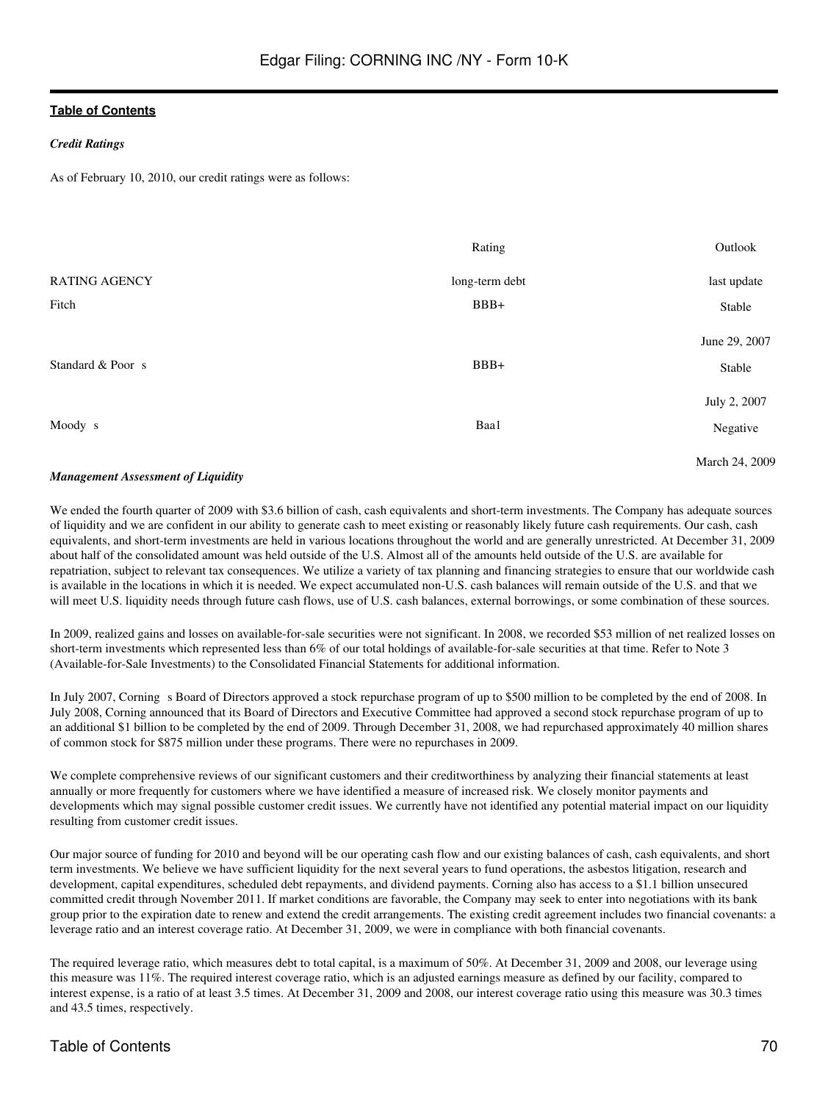## *Credit Ratings*

As of February 10, 2010, our credit ratings were as follows:

|                   | Rating         | Outlook        |
|-------------------|----------------|----------------|
| RATING AGENCY     | long-term debt | last update    |
| Fitch             | BBB+           | Stable         |
|                   |                | June 29, 2007  |
| Standard & Poor s | BBB+           | Stable         |
|                   |                | July 2, 2007   |
| Moody s           | Baa1           | Negative       |
|                   |                | March 24, 2009 |

## *Management Assessment of Liquidity*

We ended the fourth quarter of 2009 with \$3.6 billion of cash, cash equivalents and short-term investments. The Company has adequate sources of liquidity and we are confident in our ability to generate cash to meet existing or reasonably likely future cash requirements. Our cash, cash equivalents, and short-term investments are held in various locations throughout the world and are generally unrestricted. At December 31, 2009 about half of the consolidated amount was held outside of the U.S. Almost all of the amounts held outside of the U.S. are available for repatriation, subject to relevant tax consequences. We utilize a variety of tax planning and financing strategies to ensure that our worldwide cash is available in the locations in which it is needed. We expect accumulated non-U.S. cash balances will remain outside of the U.S. and that we will meet U.S. liquidity needs through future cash flows, use of U.S. cash balances, external borrowings, or some combination of these sources.

In 2009, realized gains and losses on available-for-sale securities were not significant. In 2008, we recorded \$53 million of net realized losses on short-term investments which represented less than 6% of our total holdings of available-for-sale securities at that time. Refer to Note 3 (Available-for-Sale Investments) to the Consolidated Financial Statements for additional information.

In July 2007, Corning s Board of Directors approved a stock repurchase program of up to \$500 million to be completed by the end of 2008. In July 2008, Corning announced that its Board of Directors and Executive Committee had approved a second stock repurchase program of up to an additional \$1 billion to be completed by the end of 2009. Through December 31, 2008, we had repurchased approximately 40 million shares of common stock for \$875 million under these programs. There were no repurchases in 2009.

We complete comprehensive reviews of our significant customers and their creditworthiness by analyzing their financial statements at least annually or more frequently for customers where we have identified a measure of increased risk. We closely monitor payments and developments which may signal possible customer credit issues. We currently have not identified any potential material impact on our liquidity resulting from customer credit issues.

Our major source of funding for 2010 and beyond will be our operating cash flow and our existing balances of cash, cash equivalents, and short term investments. We believe we have sufficient liquidity for the next several years to fund operations, the asbestos litigation, research and development, capital expenditures, scheduled debt repayments, and dividend payments. Corning also has access to a \$1.1 billion unsecured committed credit through November 2011. If market conditions are favorable, the Company may seek to enter into negotiations with its bank group prior to the expiration date to renew and extend the credit arrangements. The existing credit agreement includes two financial covenants: a leverage ratio and an interest coverage ratio. At December 31, 2009, we were in compliance with both financial covenants.

The required leverage ratio, which measures debt to total capital, is a maximum of 50%. At December 31, 2009 and 2008, our leverage using this measure was 11%. The required interest coverage ratio, which is an adjusted earnings measure as defined by our facility, compared to interest expense, is a ratio of at least 3.5 times. At December 31, 2009 and 2008, our interest coverage ratio using this measure was 30.3 times and 43.5 times, respectively.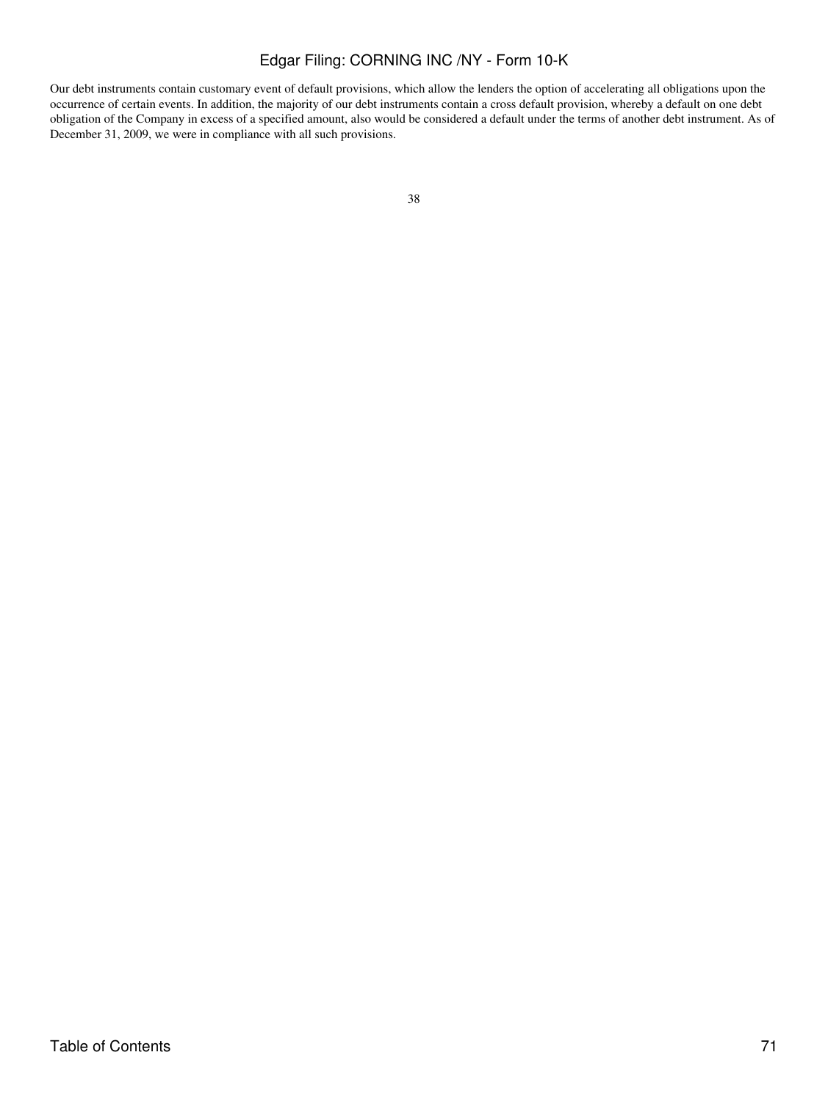Our debt instruments contain customary event of default provisions, which allow the lenders the option of accelerating all obligations upon the occurrence of certain events. In addition, the majority of our debt instruments contain a cross default provision, whereby a default on one debt obligation of the Company in excess of a specified amount, also would be considered a default under the terms of another debt instrument. As of December 31, 2009, we were in compliance with all such provisions.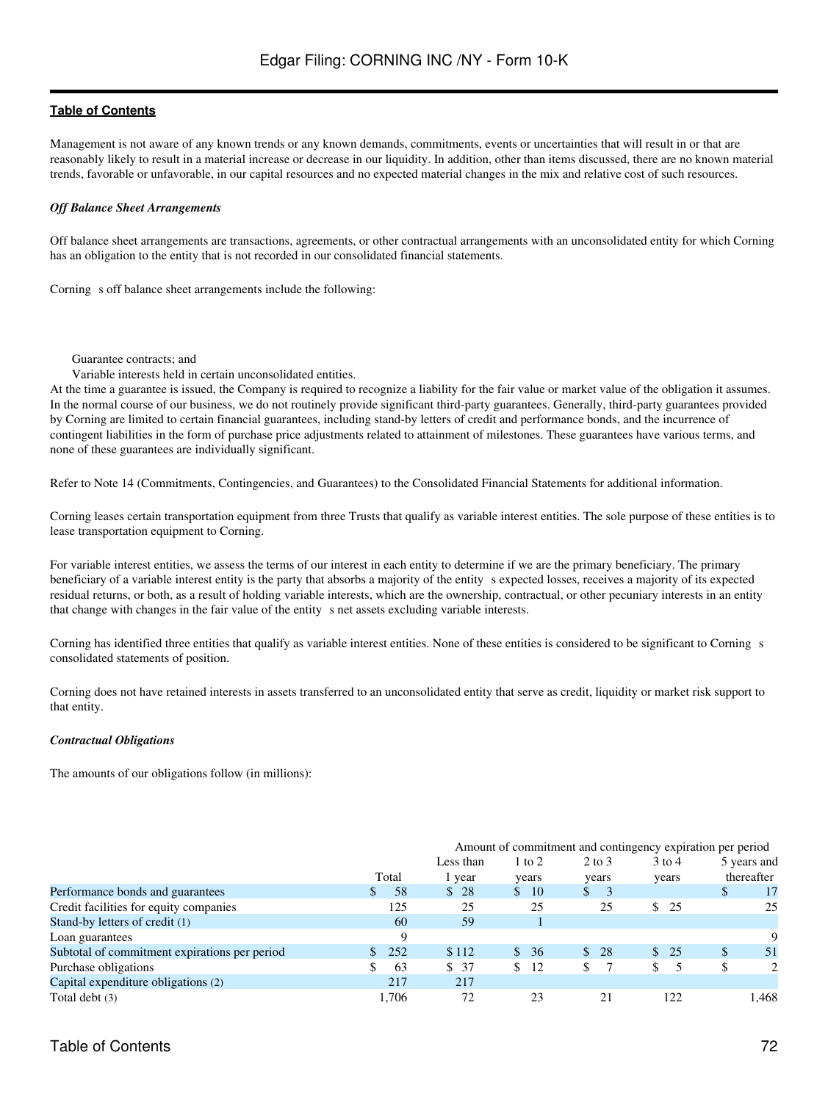Management is not aware of any known trends or any known demands, commitments, events or uncertainties that will result in or that are reasonably likely to result in a material increase or decrease in our liquidity. In addition, other than items discussed, there are no known material trends, favorable or unfavorable, in our capital resources and no expected material changes in the mix and relative cost of such resources.

### *Off Balance Sheet Arrangements*

Off balance sheet arrangements are transactions, agreements, or other contractual arrangements with an unconsolidated entity for which Corning has an obligation to the entity that is not recorded in our consolidated financial statements.

Corning s off balance sheet arrangements include the following:

Guarantee contracts; and

Variable interests held in certain unconsolidated entities.

At the time a guarantee is issued, the Company is required to recognize a liability for the fair value or market value of the obligation it assumes. In the normal course of our business, we do not routinely provide significant third-party guarantees. Generally, third-party guarantees provided by Corning are limited to certain financial guarantees, including stand-by letters of credit and performance bonds, and the incurrence of contingent liabilities in the form of purchase price adjustments related to attainment of milestones. These guarantees have various terms, and none of these guarantees are individually significant.

Refer to Note 14 (Commitments, Contingencies, and Guarantees) to the Consolidated Financial Statements for additional information.

Corning leases certain transportation equipment from three Trusts that qualify as variable interest entities. The sole purpose of these entities is to lease transportation equipment to Corning.

For variable interest entities, we assess the terms of our interest in each entity to determine if we are the primary beneficiary. The primary beneficiary of a variable interest entity is the party that absorbs a majority of the entity s expected losses, receives a majority of its expected residual returns, or both, as a result of holding variable interests, which are the ownership, contractual, or other pecuniary interests in an entity that change with changes in the fair value of the entity s net assets excluding variable interests.

Corning has identified three entities that qualify as variable interest entities. None of these entities is considered to be significant to Corning s consolidated statements of position.

Corning does not have retained interests in assets transferred to an unconsolidated entity that serve as credit, liquidity or market risk support to that entity.

## *Contractual Obligations*

The amounts of our obligations follow (in millions):

|                                               |       | Amount of commitment and contingency expiration per period |                |            |                |    |             |
|-----------------------------------------------|-------|------------------------------------------------------------|----------------|------------|----------------|----|-------------|
|                                               |       | Less than                                                  | 1 to 2         | $2$ to $3$ | $3$ to 4       |    | 5 years and |
|                                               | Total | 1 year                                                     | years          | years      | years          |    | thereafter  |
| Performance bonds and guarantees              | 58    | \$28                                                       | \$10           | S.<br>3    |                |    | 17          |
| Credit facilities for equity companies        | 125   | 25                                                         | 25             | 25         | \$25           |    | 25          |
| Stand-by letters of credit (1)                | 60    | 59                                                         |                |            |                |    |             |
| Loan guarantees                               | 9     |                                                            |                |            |                |    | 9           |
| Subtotal of commitment expirations per period | 252   | \$112                                                      | \$36           | \$28       | $\frac{1}{25}$ | S. | 51          |
| Purchase obligations                          | 63    | \$37                                                       | $\frac{12}{2}$ | S.         | \$             |    | 2           |
| Capital expenditure obligations (2)           | 217   | 217                                                        |                |            |                |    |             |
| Total debt (3)                                | 1.706 | 72                                                         | 23             | 21         | 122            |    | 1.468       |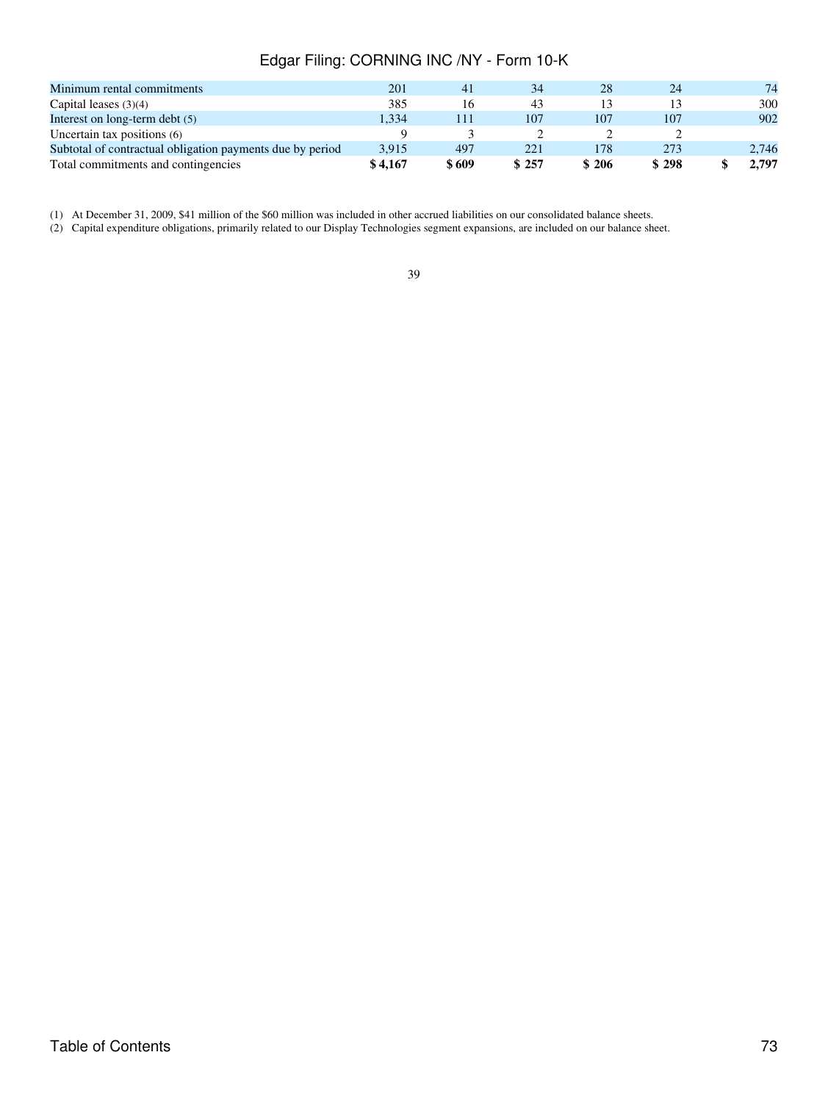| Minimum rental commitments                                | 201     | 41     | 34    | 28    | 24    | 74    |
|-----------------------------------------------------------|---------|--------|-------|-------|-------|-------|
| Capital leases $(3)(4)$                                   | 385     |        | 43    |       |       | 300   |
| Interest on long-term debt (5)                            | 1.334   |        | 107   | 107   | 107   | 902   |
| Uncertain tax positions (6)                               |         |        |       |       |       |       |
| Subtotal of contractual obligation payments due by period | 3.915   | 497    | 221   | 178   | 273   | 2.746 |
| Total commitments and contingencies                       | \$4.167 | \$ 609 | \$257 | \$206 | \$298 | 2.797 |

(1) At December 31, 2009, \$41 million of the \$60 million was included in other accrued liabilities on our consolidated balance sheets.

(2) Capital expenditure obligations, primarily related to our Display Technologies segment expansions, are included on our balance sheet.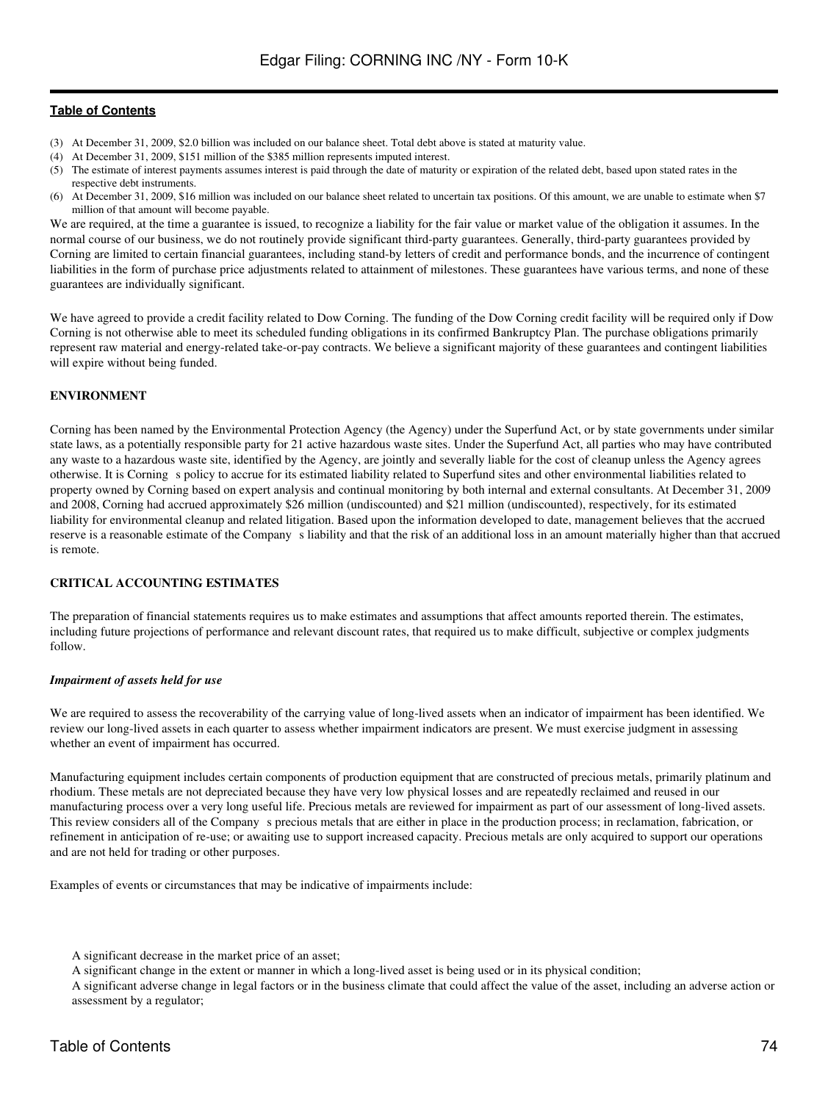- (3) At December 31, 2009, \$2.0 billion was included on our balance sheet. Total debt above is stated at maturity value.
- (4) At December 31, 2009, \$151 million of the \$385 million represents imputed interest.
- The estimate of interest payments assumes interest is paid through the date of maturity or expiration of the related debt, based upon stated rates in the respective debt instruments.
- (6) At December 31, 2009, \$16 million was included on our balance sheet related to uncertain tax positions. Of this amount, we are unable to estimate when \$7 million of that amount will become payable.

We are required, at the time a guarantee is issued, to recognize a liability for the fair value or market value of the obligation it assumes. In the normal course of our business, we do not routinely provide significant third-party guarantees. Generally, third-party guarantees provided by Corning are limited to certain financial guarantees, including stand-by letters of credit and performance bonds, and the incurrence of contingent liabilities in the form of purchase price adjustments related to attainment of milestones. These guarantees have various terms, and none of these guarantees are individually significant.

We have agreed to provide a credit facility related to Dow Corning. The funding of the Dow Corning credit facility will be required only if Dow Corning is not otherwise able to meet its scheduled funding obligations in its confirmed Bankruptcy Plan. The purchase obligations primarily represent raw material and energy-related take-or-pay contracts. We believe a significant majority of these guarantees and contingent liabilities will expire without being funded.

### **ENVIRONMENT**

Corning has been named by the Environmental Protection Agency (the Agency) under the Superfund Act, or by state governments under similar state laws, as a potentially responsible party for 21 active hazardous waste sites. Under the Superfund Act, all parties who may have contributed any waste to a hazardous waste site, identified by the Agency, are jointly and severally liable for the cost of cleanup unless the Agency agrees otherwise. It is Corning s policy to accrue for its estimated liability related to Superfund sites and other environmental liabilities related to property owned by Corning based on expert analysis and continual monitoring by both internal and external consultants. At December 31, 2009 and 2008, Corning had accrued approximately \$26 million (undiscounted) and \$21 million (undiscounted), respectively, for its estimated liability for environmental cleanup and related litigation. Based upon the information developed to date, management believes that the accrued reserve is a reasonable estimate of the Companys liability and that the risk of an additional loss in an amount materially higher than that accrued is remote.

#### **CRITICAL ACCOUNTING ESTIMATES**

The preparation of financial statements requires us to make estimates and assumptions that affect amounts reported therein. The estimates, including future projections of performance and relevant discount rates, that required us to make difficult, subjective or complex judgments follow.

#### *Impairment of assets held for use*

We are required to assess the recoverability of the carrying value of long-lived assets when an indicator of impairment has been identified. We review our long-lived assets in each quarter to assess whether impairment indicators are present. We must exercise judgment in assessing whether an event of impairment has occurred.

Manufacturing equipment includes certain components of production equipment that are constructed of precious metals, primarily platinum and rhodium. These metals are not depreciated because they have very low physical losses and are repeatedly reclaimed and reused in our manufacturing process over a very long useful life. Precious metals are reviewed for impairment as part of our assessment of long-lived assets. This review considers all of the Company s precious metals that are either in place in the production process; in reclamation, fabrication, or refinement in anticipation of re-use; or awaiting use to support increased capacity. Precious metals are only acquired to support our operations and are not held for trading or other purposes.

Examples of events or circumstances that may be indicative of impairments include:

A significant adverse change in legal factors or in the business climate that could affect the value of the asset, including an adverse action or assessment by a regulator;

A significant decrease in the market price of an asset;

A significant change in the extent or manner in which a long-lived asset is being used or in its physical condition;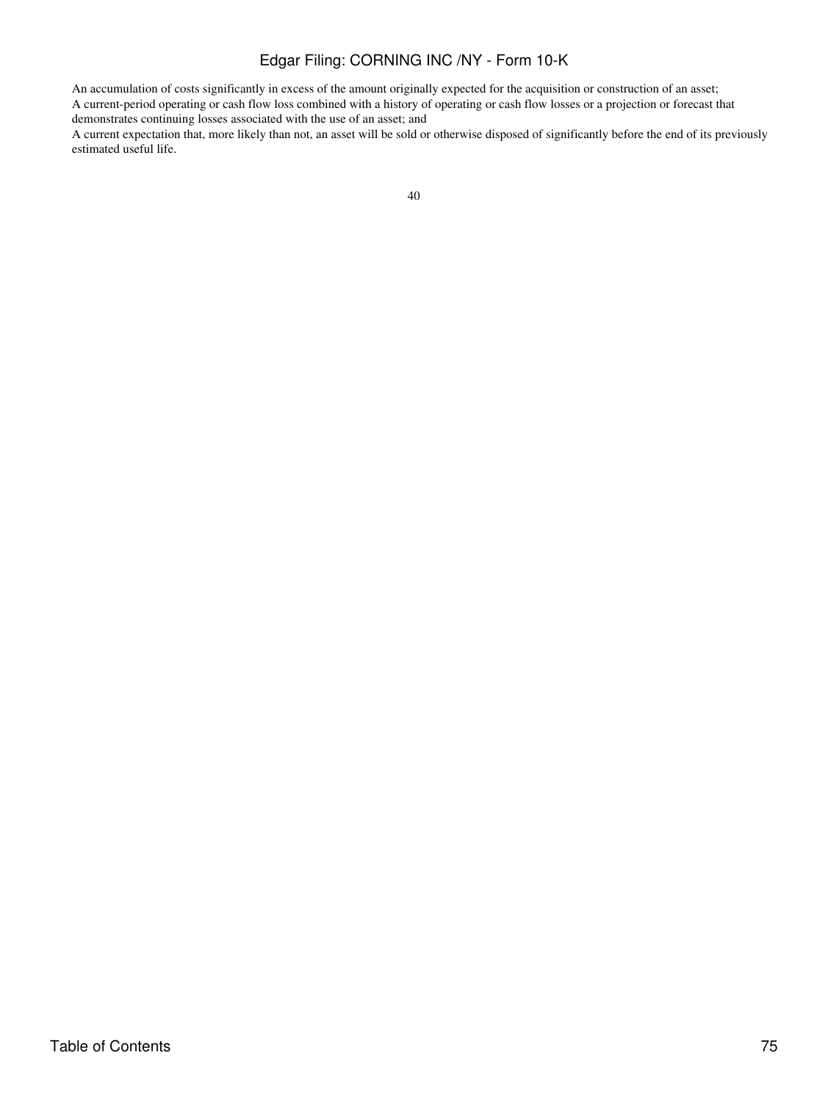An accumulation of costs significantly in excess of the amount originally expected for the acquisition or construction of an asset; A current-period operating or cash flow loss combined with a history of operating or cash flow losses or a projection or forecast that demonstrates continuing losses associated with the use of an asset; and A current expectation that, more likely than not, an asset will be sold or otherwise disposed of significantly before the end of its previously estimated useful life.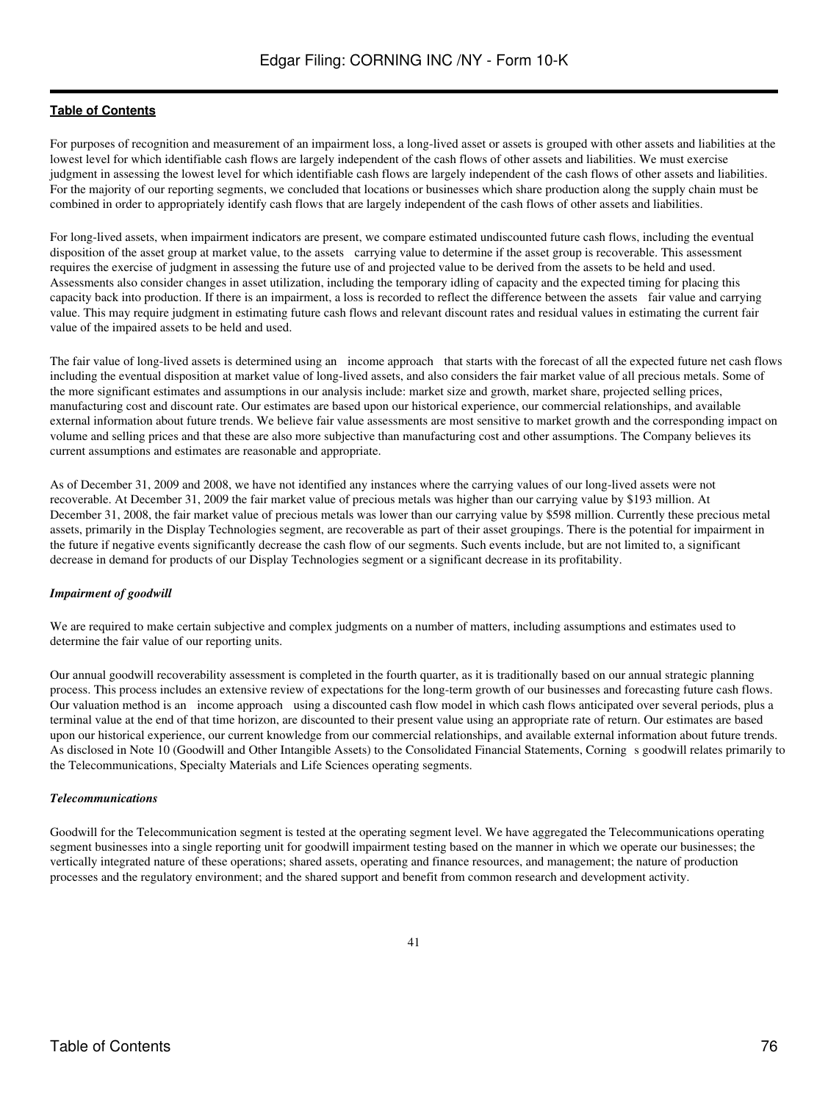For purposes of recognition and measurement of an impairment loss, a long-lived asset or assets is grouped with other assets and liabilities at the lowest level for which identifiable cash flows are largely independent of the cash flows of other assets and liabilities. We must exercise judgment in assessing the lowest level for which identifiable cash flows are largely independent of the cash flows of other assets and liabilities. For the majority of our reporting segments, we concluded that locations or businesses which share production along the supply chain must be combined in order to appropriately identify cash flows that are largely independent of the cash flows of other assets and liabilities.

For long-lived assets, when impairment indicators are present, we compare estimated undiscounted future cash flows, including the eventual disposition of the asset group at market value, to the assets carrying value to determine if the asset group is recoverable. This assessment requires the exercise of judgment in assessing the future use of and projected value to be derived from the assets to be held and used. Assessments also consider changes in asset utilization, including the temporary idling of capacity and the expected timing for placing this capacity back into production. If there is an impairment, a loss is recorded to reflect the difference between the assets fair value and carrying value. This may require judgment in estimating future cash flows and relevant discount rates and residual values in estimating the current fair value of the impaired assets to be held and used.

The fair value of long-lived assets is determined using an income approach that starts with the forecast of all the expected future net cash flows including the eventual disposition at market value of long-lived assets, and also considers the fair market value of all precious metals. Some of the more significant estimates and assumptions in our analysis include: market size and growth, market share, projected selling prices, manufacturing cost and discount rate. Our estimates are based upon our historical experience, our commercial relationships, and available external information about future trends. We believe fair value assessments are most sensitive to market growth and the corresponding impact on volume and selling prices and that these are also more subjective than manufacturing cost and other assumptions. The Company believes its current assumptions and estimates are reasonable and appropriate.

As of December 31, 2009 and 2008, we have not identified any instances where the carrying values of our long-lived assets were not recoverable. At December 31, 2009 the fair market value of precious metals was higher than our carrying value by \$193 million. At December 31, 2008, the fair market value of precious metals was lower than our carrying value by \$598 million. Currently these precious metal assets, primarily in the Display Technologies segment, are recoverable as part of their asset groupings. There is the potential for impairment in the future if negative events significantly decrease the cash flow of our segments. Such events include, but are not limited to, a significant decrease in demand for products of our Display Technologies segment or a significant decrease in its profitability.

#### *Impairment of goodwill*

We are required to make certain subjective and complex judgments on a number of matters, including assumptions and estimates used to determine the fair value of our reporting units.

Our annual goodwill recoverability assessment is completed in the fourth quarter, as it is traditionally based on our annual strategic planning process. This process includes an extensive review of expectations for the long-term growth of our businesses and forecasting future cash flows. Our valuation method is an income approach using a discounted cash flow model in which cash flows anticipated over several periods, plus a terminal value at the end of that time horizon, are discounted to their present value using an appropriate rate of return. Our estimates are based upon our historical experience, our current knowledge from our commercial relationships, and available external information about future trends. As disclosed in Note 10 (Goodwill and Other Intangible Assets) to the Consolidated Financial Statements, Corning s goodwill relates primarily to the Telecommunications, Specialty Materials and Life Sciences operating segments.

#### *Telecommunications*

Goodwill for the Telecommunication segment is tested at the operating segment level. We have aggregated the Telecommunications operating segment businesses into a single reporting unit for goodwill impairment testing based on the manner in which we operate our businesses; the vertically integrated nature of these operations; shared assets, operating and finance resources, and management; the nature of production processes and the regulatory environment; and the shared support and benefit from common research and development activity.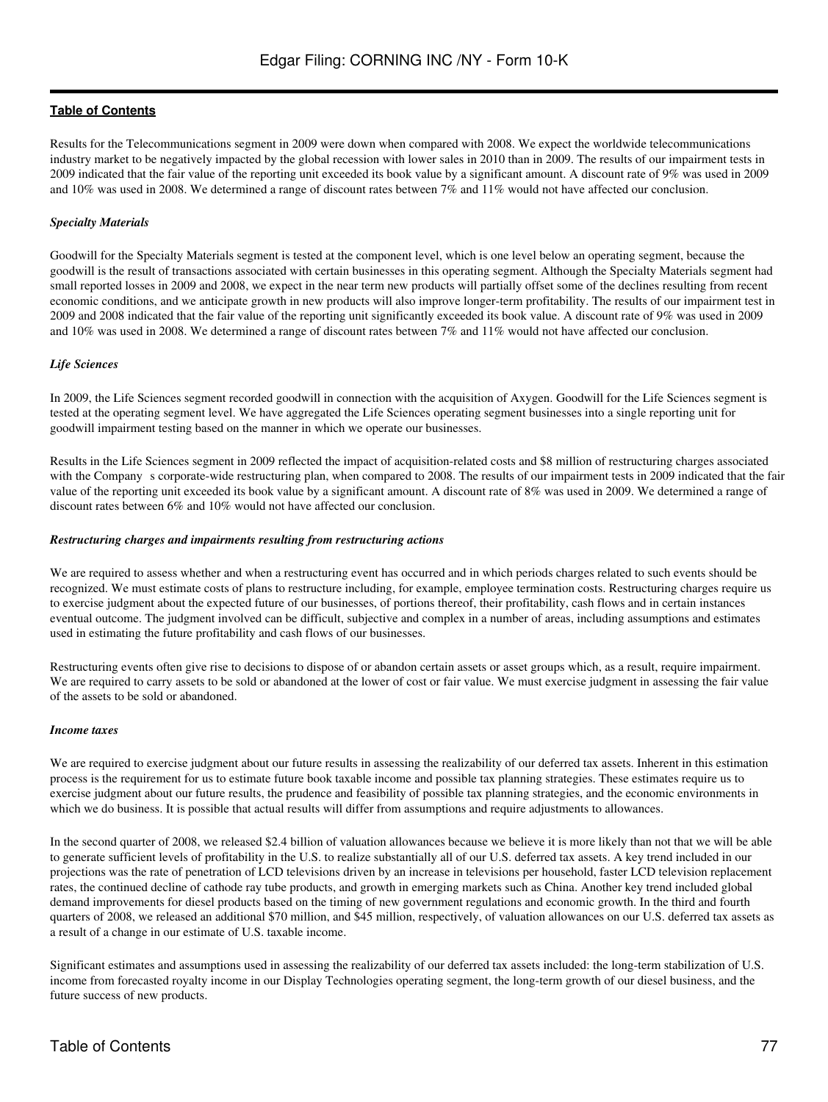Results for the Telecommunications segment in 2009 were down when compared with 2008. We expect the worldwide telecommunications industry market to be negatively impacted by the global recession with lower sales in 2010 than in 2009. The results of our impairment tests in 2009 indicated that the fair value of the reporting unit exceeded its book value by a significant amount. A discount rate of 9% was used in 2009 and 10% was used in 2008. We determined a range of discount rates between 7% and 11% would not have affected our conclusion.

#### *Specialty Materials*

Goodwill for the Specialty Materials segment is tested at the component level, which is one level below an operating segment, because the goodwill is the result of transactions associated with certain businesses in this operating segment. Although the Specialty Materials segment had small reported losses in 2009 and 2008, we expect in the near term new products will partially offset some of the declines resulting from recent economic conditions, and we anticipate growth in new products will also improve longer-term profitability. The results of our impairment test in 2009 and 2008 indicated that the fair value of the reporting unit significantly exceeded its book value. A discount rate of 9% was used in 2009 and 10% was used in 2008. We determined a range of discount rates between 7% and 11% would not have affected our conclusion.

#### *Life Sciences*

In 2009, the Life Sciences segment recorded goodwill in connection with the acquisition of Axygen. Goodwill for the Life Sciences segment is tested at the operating segment level. We have aggregated the Life Sciences operating segment businesses into a single reporting unit for goodwill impairment testing based on the manner in which we operate our businesses.

Results in the Life Sciences segment in 2009 reflected the impact of acquisition-related costs and \$8 million of restructuring charges associated with the Company s corporate-wide restructuring plan, when compared to 2008. The results of our impairment tests in 2009 indicated that the fair value of the reporting unit exceeded its book value by a significant amount. A discount rate of 8% was used in 2009. We determined a range of discount rates between 6% and 10% would not have affected our conclusion.

#### *Restructuring charges and impairments resulting from restructuring actions*

We are required to assess whether and when a restructuring event has occurred and in which periods charges related to such events should be recognized. We must estimate costs of plans to restructure including, for example, employee termination costs. Restructuring charges require us to exercise judgment about the expected future of our businesses, of portions thereof, their profitability, cash flows and in certain instances eventual outcome. The judgment involved can be difficult, subjective and complex in a number of areas, including assumptions and estimates used in estimating the future profitability and cash flows of our businesses.

Restructuring events often give rise to decisions to dispose of or abandon certain assets or asset groups which, as a result, require impairment. We are required to carry assets to be sold or abandoned at the lower of cost or fair value. We must exercise judgment in assessing the fair value of the assets to be sold or abandoned.

#### *Income taxes*

We are required to exercise judgment about our future results in assessing the realizability of our deferred tax assets. Inherent in this estimation process is the requirement for us to estimate future book taxable income and possible tax planning strategies. These estimates require us to exercise judgment about our future results, the prudence and feasibility of possible tax planning strategies, and the economic environments in which we do business. It is possible that actual results will differ from assumptions and require adjustments to allowances.

In the second quarter of 2008, we released \$2.4 billion of valuation allowances because we believe it is more likely than not that we will be able to generate sufficient levels of profitability in the U.S. to realize substantially all of our U.S. deferred tax assets. A key trend included in our projections was the rate of penetration of LCD televisions driven by an increase in televisions per household, faster LCD television replacement rates, the continued decline of cathode ray tube products, and growth in emerging markets such as China. Another key trend included global demand improvements for diesel products based on the timing of new government regulations and economic growth. In the third and fourth quarters of 2008, we released an additional \$70 million, and \$45 million, respectively, of valuation allowances on our U.S. deferred tax assets as a result of a change in our estimate of U.S. taxable income.

Significant estimates and assumptions used in assessing the realizability of our deferred tax assets included: the long-term stabilization of U.S. income from forecasted royalty income in our Display Technologies operating segment, the long-term growth of our diesel business, and the future success of new products.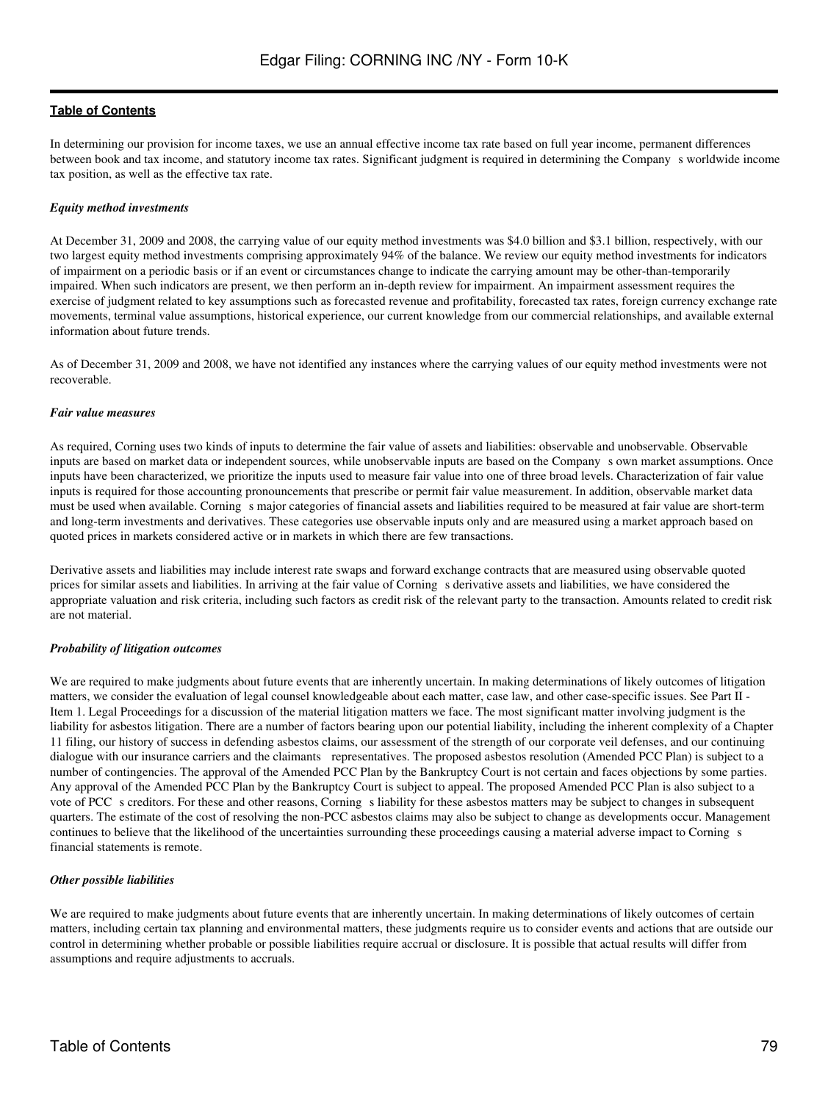In determining our provision for income taxes, we use an annual effective income tax rate based on full year income, permanent differences between book and tax income, and statutory income tax rates. Significant judgment is required in determining the Company s worldwide income tax position, as well as the effective tax rate.

#### *Equity method investments*

At December 31, 2009 and 2008, the carrying value of our equity method investments was \$4.0 billion and \$3.1 billion, respectively, with our two largest equity method investments comprising approximately 94% of the balance. We review our equity method investments for indicators of impairment on a periodic basis or if an event or circumstances change to indicate the carrying amount may be other-than-temporarily impaired. When such indicators are present, we then perform an in-depth review for impairment. An impairment assessment requires the exercise of judgment related to key assumptions such as forecasted revenue and profitability, forecasted tax rates, foreign currency exchange rate movements, terminal value assumptions, historical experience, our current knowledge from our commercial relationships, and available external information about future trends.

As of December 31, 2009 and 2008, we have not identified any instances where the carrying values of our equity method investments were not recoverable.

#### *Fair value measures*

As required, Corning uses two kinds of inputs to determine the fair value of assets and liabilities: observable and unobservable. Observable inputs are based on market data or independent sources, while unobservable inputs are based on the Company s own market assumptions. Once inputs have been characterized, we prioritize the inputs used to measure fair value into one of three broad levels. Characterization of fair value inputs is required for those accounting pronouncements that prescribe or permit fair value measurement. In addition, observable market data must be used when available. Corning s major categories of financial assets and liabilities required to be measured at fair value are short-term and long-term investments and derivatives. These categories use observable inputs only and are measured using a market approach based on quoted prices in markets considered active or in markets in which there are few transactions.

Derivative assets and liabilities may include interest rate swaps and forward exchange contracts that are measured using observable quoted prices for similar assets and liabilities. In arriving at the fair value of Corning s derivative assets and liabilities, we have considered the appropriate valuation and risk criteria, including such factors as credit risk of the relevant party to the transaction. Amounts related to credit risk are not material.

#### *Probability of litigation outcomes*

We are required to make judgments about future events that are inherently uncertain. In making determinations of likely outcomes of litigation matters, we consider the evaluation of legal counsel knowledgeable about each matter, case law, and other case-specific issues. See Part II - Item 1. Legal Proceedings for a discussion of the material litigation matters we face. The most significant matter involving judgment is the liability for asbestos litigation. There are a number of factors bearing upon our potential liability, including the inherent complexity of a Chapter 11 filing, our history of success in defending asbestos claims, our assessment of the strength of our corporate veil defenses, and our continuing dialogue with our insurance carriers and the claimants representatives. The proposed asbestos resolution (Amended PCC Plan) is subject to a number of contingencies. The approval of the Amended PCC Plan by the Bankruptcy Court is not certain and faces objections by some parties. Any approval of the Amended PCC Plan by the Bankruptcy Court is subject to appeal. The proposed Amended PCC Plan is also subject to a vote of PCC s creditors. For these and other reasons, Corning s liability for these asbestos matters may be subject to changes in subsequent quarters. The estimate of the cost of resolving the non-PCC asbestos claims may also be subject to change as developments occur. Management continues to believe that the likelihood of the uncertainties surrounding these proceedings causing a material adverse impact to Corning s financial statements is remote.

#### *Other possible liabilities*

We are required to make judgments about future events that are inherently uncertain. In making determinations of likely outcomes of certain matters, including certain tax planning and environmental matters, these judgments require us to consider events and actions that are outside our control in determining whether probable or possible liabilities require accrual or disclosure. It is possible that actual results will differ from assumptions and require adjustments to accruals.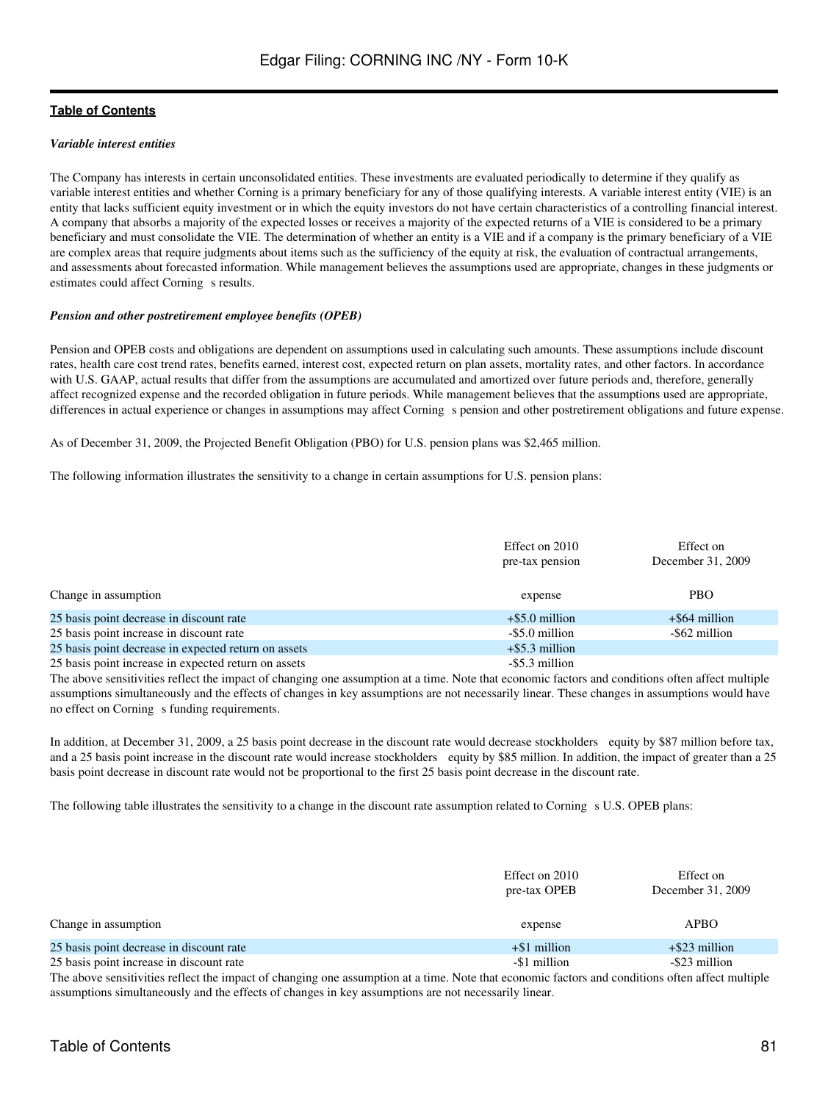#### *Variable interest entities*

The Company has interests in certain unconsolidated entities. These investments are evaluated periodically to determine if they qualify as variable interest entities and whether Corning is a primary beneficiary for any of those qualifying interests. A variable interest entity (VIE) is an entity that lacks sufficient equity investment or in which the equity investors do not have certain characteristics of a controlling financial interest. A company that absorbs a majority of the expected losses or receives a majority of the expected returns of a VIE is considered to be a primary beneficiary and must consolidate the VIE. The determination of whether an entity is a VIE and if a company is the primary beneficiary of a VIE are complex areas that require judgments about items such as the sufficiency of the equity at risk, the evaluation of contractual arrangements, and assessments about forecasted information. While management believes the assumptions used are appropriate, changes in these judgments or estimates could affect Corning s results.

#### *Pension and other postretirement employee benefits (OPEB)*

Pension and OPEB costs and obligations are dependent on assumptions used in calculating such amounts. These assumptions include discount rates, health care cost trend rates, benefits earned, interest cost, expected return on plan assets, mortality rates, and other factors. In accordance with U.S. GAAP, actual results that differ from the assumptions are accumulated and amortized over future periods and, therefore, generally affect recognized expense and the recorded obligation in future periods. While management believes that the assumptions used are appropriate, differences in actual experience or changes in assumptions may affect Corning s pension and other postretirement obligations and future expense.

As of December 31, 2009, the Projected Benefit Obligation (PBO) for U.S. pension plans was \$2,465 million.

The following information illustrates the sensitivity to a change in certain assumptions for U.S. pension plans:

|                                                      | Effect on 2010<br>pre-tax pension | Effect on<br>December 31, 2009 |
|------------------------------------------------------|-----------------------------------|--------------------------------|
| Change in assumption                                 | expense                           | <b>PBO</b>                     |
| 25 basis point decrease in discount rate             | $+$ \$5.0 million                 | $+$ \$64 million               |
| 25 basis point increase in discount rate             | -\$5.0 million                    | -\$62 million                  |
| 25 basis point decrease in expected return on assets | $+$ \$5.3 million                 |                                |
| 25 basis point increase in expected return on assets | -\$5.3 million                    |                                |

The above sensitivities reflect the impact of changing one assumption at a time. Note that economic factors and conditions often affect multiple assumptions simultaneously and the effects of changes in key assumptions are not necessarily linear. These changes in assumptions would have no effect on Corning s funding requirements.

In addition, at December 31, 2009, a 25 basis point decrease in the discount rate would decrease stockholders equity by \$87 million before tax, and a 25 basis point increase in the discount rate would increase stockholders equity by \$85 million. In addition, the impact of greater than a 25 basis point decrease in discount rate would not be proportional to the first 25 basis point decrease in the discount rate.

The following table illustrates the sensitivity to a change in the discount rate assumption related to Corning s U.S. OPEB plans:

|                                          | Effect on 2010<br>pre-tax OPEB | Effect on<br>December 31, 2009 |  |
|------------------------------------------|--------------------------------|--------------------------------|--|
| Change in assumption                     | expense                        | <b>APBO</b>                    |  |
| 25 basis point decrease in discount rate | $+\$1$ million                 | $+$ \$23 million               |  |
| 25 basis point increase in discount rate | -\$1 million                   | -\$23 million                  |  |

The above sensitivities reflect the impact of changing one assumption at a time. Note that economic factors and conditions often affect multiple assumptions simultaneously and the effects of changes in key assumptions are not necessarily linear.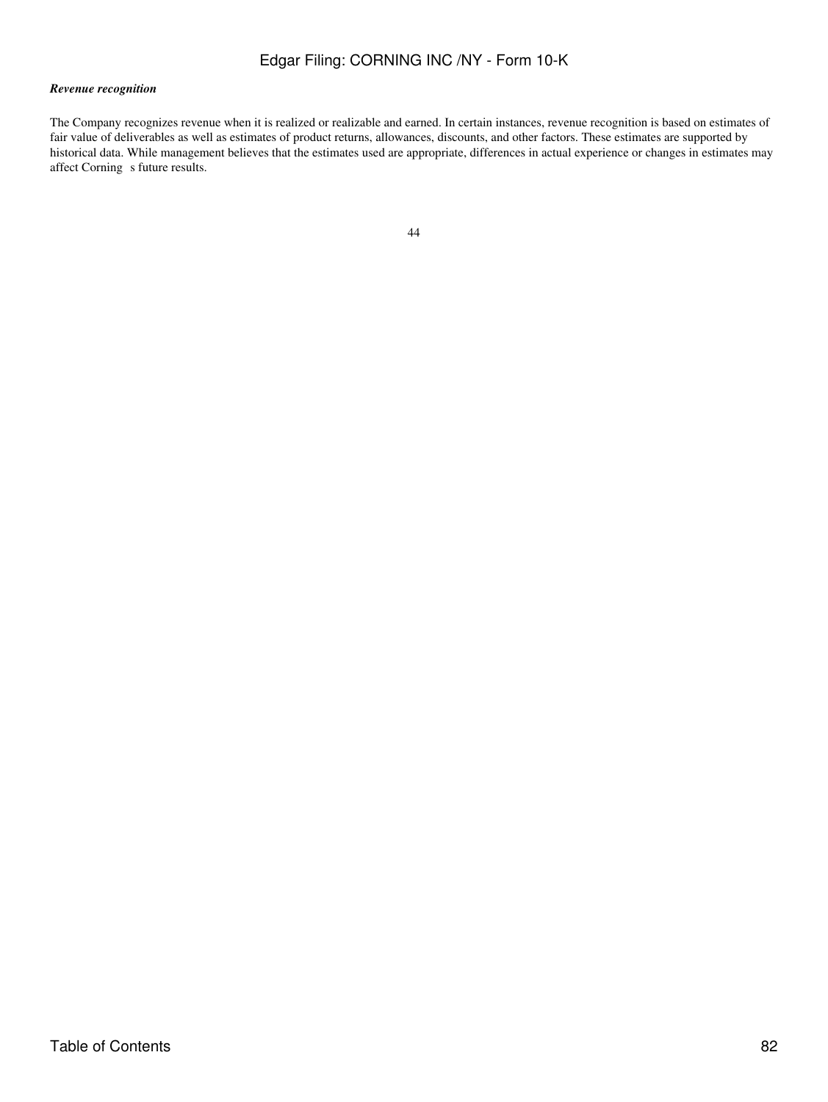#### *Revenue recognition*

The Company recognizes revenue when it is realized or realizable and earned. In certain instances, revenue recognition is based on estimates of fair value of deliverables as well as estimates of product returns, allowances, discounts, and other factors. These estimates are supported by historical data. While management believes that the estimates used are appropriate, differences in actual experience or changes in estimates may affect Corning s future results.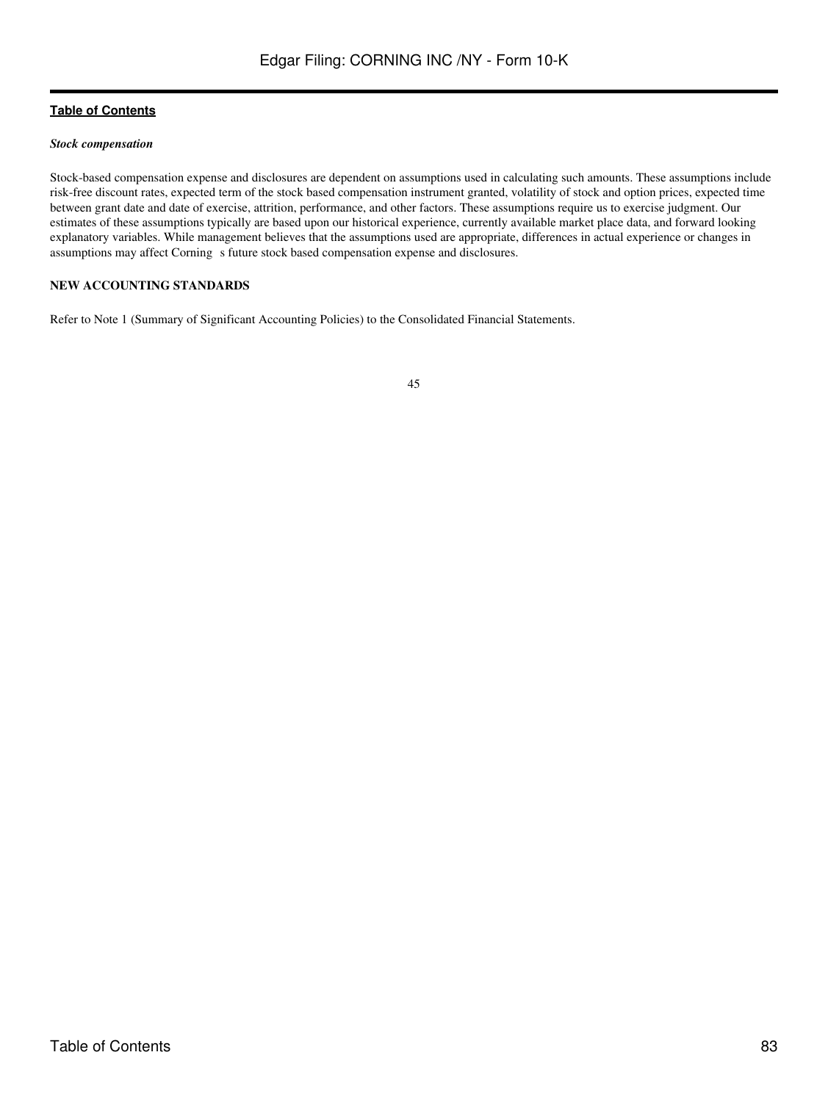#### *Stock compensation*

Stock-based compensation expense and disclosures are dependent on assumptions used in calculating such amounts. These assumptions include risk-free discount rates, expected term of the stock based compensation instrument granted, volatility of stock and option prices, expected time between grant date and date of exercise, attrition, performance, and other factors. These assumptions require us to exercise judgment. Our estimates of these assumptions typically are based upon our historical experience, currently available market place data, and forward looking explanatory variables. While management believes that the assumptions used are appropriate, differences in actual experience or changes in assumptions may affect Corning s future stock based compensation expense and disclosures.

#### **NEW ACCOUNTING STANDARDS**

Refer to Note 1 (Summary of Significant Accounting Policies) to the Consolidated Financial Statements.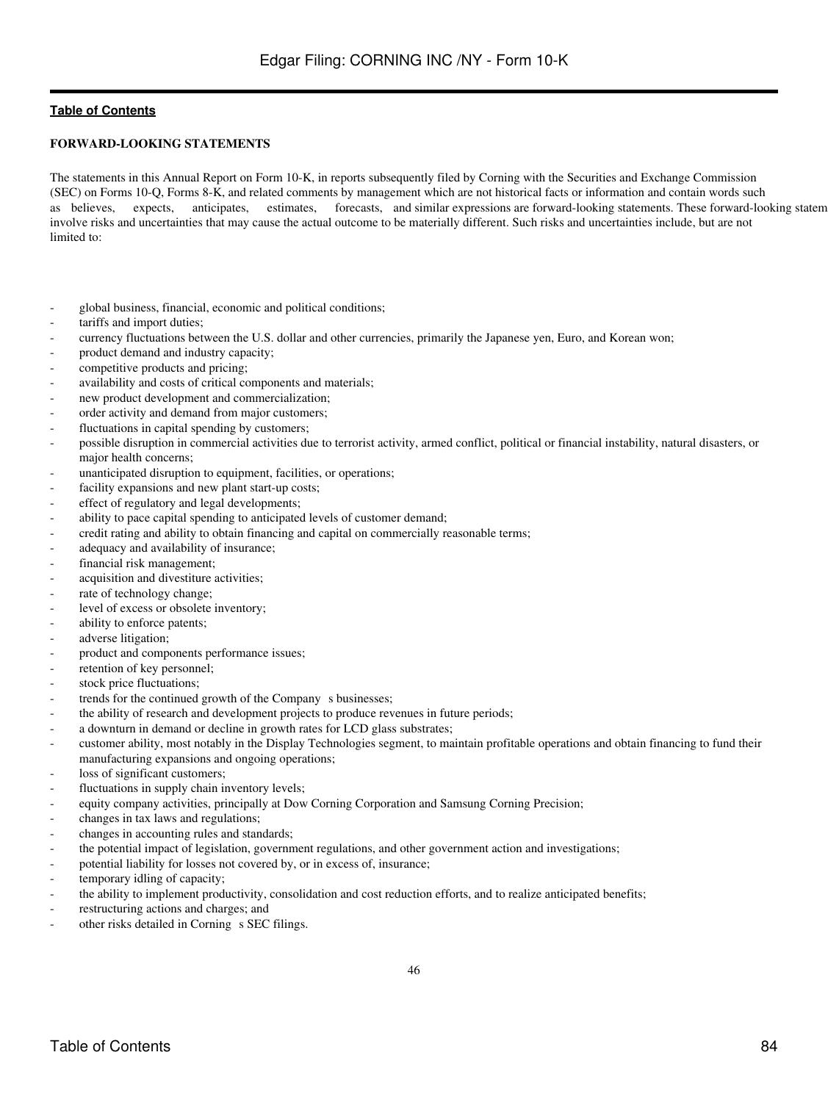#### **FORWARD-LOOKING STATEMENTS**

The statements in this Annual Report on Form 10-K, in reports subsequently filed by Corning with the Securities and Exchange Commission (SEC) on Forms 10-Q, Forms 8-K, and related comments by management which are not historical facts or information and contain words such as believes, expects, anticipates, estimates, forecasts, and similar expressions are forward-looking statements. These forward-looking statements involve risks and uncertainties that may cause the actual outcome to be materially different. Such risks and uncertainties include, but are not limited to:

- global business, financial, economic and political conditions;
- tariffs and import duties;
- currency fluctuations between the U.S. dollar and other currencies, primarily the Japanese yen, Euro, and Korean won;
- product demand and industry capacity;
- competitive products and pricing;
- availability and costs of critical components and materials;
- new product development and commercialization;
- order activity and demand from major customers;
- fluctuations in capital spending by customers;
- possible disruption in commercial activities due to terrorist activity, armed conflict, political or financial instability, natural disasters, or major health concerns;
- unanticipated disruption to equipment, facilities, or operations;
- facility expansions and new plant start-up costs;
- effect of regulatory and legal developments;
- ability to pace capital spending to anticipated levels of customer demand;
- credit rating and ability to obtain financing and capital on commercially reasonable terms;
- adequacy and availability of insurance;
- financial risk management;
- acquisition and divestiture activities;
- rate of technology change;
- level of excess or obsolete inventory;
- ability to enforce patents;
- adverse litigation;
- product and components performance issues;
- retention of key personnel;
- stock price fluctuations:
- trends for the continued growth of the Company s businesses;
- the ability of research and development projects to produce revenues in future periods;
- a downturn in demand or decline in growth rates for LCD glass substrates;
- customer ability, most notably in the Display Technologies segment, to maintain profitable operations and obtain financing to fund their manufacturing expansions and ongoing operations;
- loss of significant customers;
- fluctuations in supply chain inventory levels;
- equity company activities, principally at Dow Corning Corporation and Samsung Corning Precision;
- changes in tax laws and regulations;
- changes in accounting rules and standards;
- the potential impact of legislation, government regulations, and other government action and investigations;
- potential liability for losses not covered by, or in excess of, insurance;
- temporary idling of capacity;
- the ability to implement productivity, consolidation and cost reduction efforts, and to realize anticipated benefits;
- restructuring actions and charges; and
- other risks detailed in Corning s SEC filings.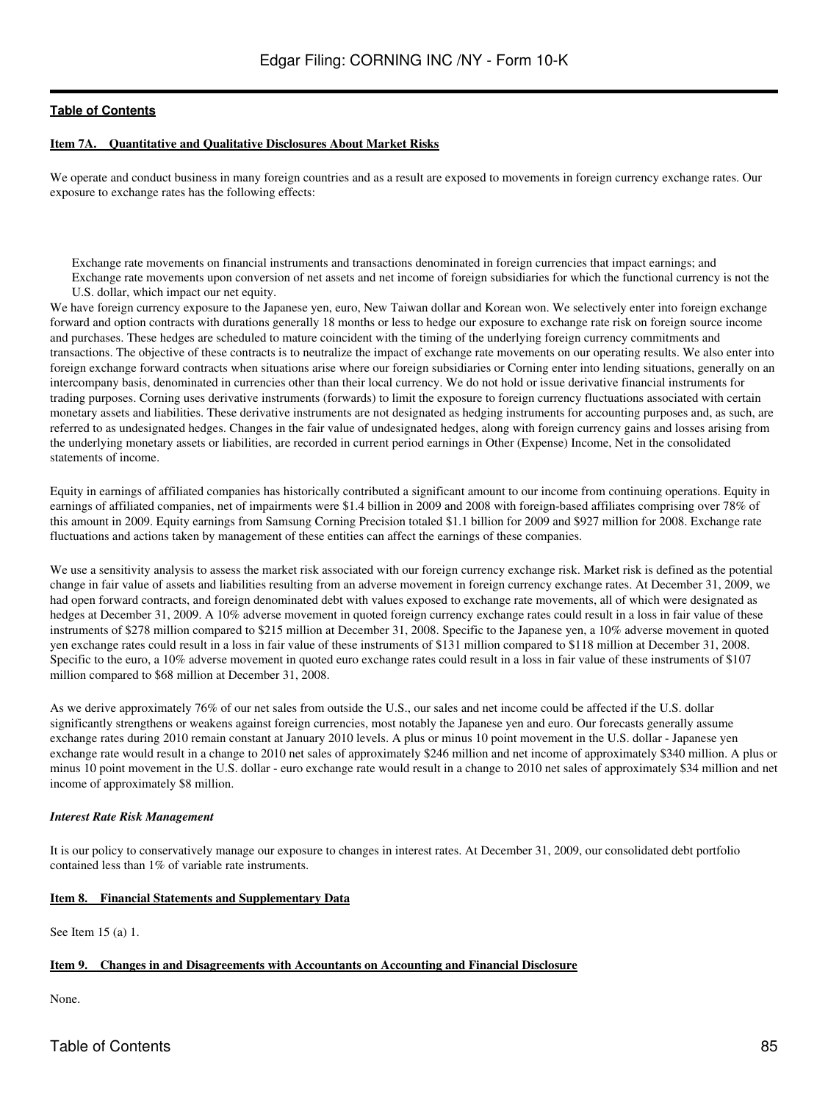#### **Item 7A. Quantitative and Qualitative Disclosures About Market Risks**

We operate and conduct business in many foreign countries and as a result are exposed to movements in foreign currency exchange rates. Our exposure to exchange rates has the following effects:

Exchange rate movements on financial instruments and transactions denominated in foreign currencies that impact earnings; and Exchange rate movements upon conversion of net assets and net income of foreign subsidiaries for which the functional currency is not the U.S. dollar, which impact our net equity.

We have foreign currency exposure to the Japanese yen, euro, New Taiwan dollar and Korean won. We selectively enter into foreign exchange forward and option contracts with durations generally 18 months or less to hedge our exposure to exchange rate risk on foreign source income and purchases. These hedges are scheduled to mature coincident with the timing of the underlying foreign currency commitments and transactions. The objective of these contracts is to neutralize the impact of exchange rate movements on our operating results. We also enter into foreign exchange forward contracts when situations arise where our foreign subsidiaries or Corning enter into lending situations, generally on an intercompany basis, denominated in currencies other than their local currency. We do not hold or issue derivative financial instruments for trading purposes. Corning uses derivative instruments (forwards) to limit the exposure to foreign currency fluctuations associated with certain monetary assets and liabilities. These derivative instruments are not designated as hedging instruments for accounting purposes and, as such, are referred to as undesignated hedges. Changes in the fair value of undesignated hedges, along with foreign currency gains and losses arising from the underlying monetary assets or liabilities, are recorded in current period earnings in Other (Expense) Income, Net in the consolidated statements of income.

Equity in earnings of affiliated companies has historically contributed a significant amount to our income from continuing operations. Equity in earnings of affiliated companies, net of impairments were \$1.4 billion in 2009 and 2008 with foreign-based affiliates comprising over 78% of this amount in 2009. Equity earnings from Samsung Corning Precision totaled \$1.1 billion for 2009 and \$927 million for 2008. Exchange rate fluctuations and actions taken by management of these entities can affect the earnings of these companies.

We use a sensitivity analysis to assess the market risk associated with our foreign currency exchange risk. Market risk is defined as the potential change in fair value of assets and liabilities resulting from an adverse movement in foreign currency exchange rates. At December 31, 2009, we had open forward contracts, and foreign denominated debt with values exposed to exchange rate movements, all of which were designated as hedges at December 31, 2009. A 10% adverse movement in quoted foreign currency exchange rates could result in a loss in fair value of these instruments of \$278 million compared to \$215 million at December 31, 2008. Specific to the Japanese yen, a 10% adverse movement in quoted yen exchange rates could result in a loss in fair value of these instruments of \$131 million compared to \$118 million at December 31, 2008. Specific to the euro, a 10% adverse movement in quoted euro exchange rates could result in a loss in fair value of these instruments of \$107 million compared to \$68 million at December 31, 2008.

As we derive approximately 76% of our net sales from outside the U.S., our sales and net income could be affected if the U.S. dollar significantly strengthens or weakens against foreign currencies, most notably the Japanese yen and euro. Our forecasts generally assume exchange rates during 2010 remain constant at January 2010 levels. A plus or minus 10 point movement in the U.S. dollar - Japanese yen exchange rate would result in a change to 2010 net sales of approximately \$246 million and net income of approximately \$340 million. A plus or minus 10 point movement in the U.S. dollar - euro exchange rate would result in a change to 2010 net sales of approximately \$34 million and net income of approximately \$8 million.

#### *Interest Rate Risk Management*

It is our policy to conservatively manage our exposure to changes in interest rates. At December 31, 2009, our consolidated debt portfolio contained less than 1% of variable rate instruments.

#### **Item 8. Financial Statements and Supplementary Data**

See Item 15 (a) 1.

#### **Item 9. Changes in and Disagreements with Accountants on Accounting and Financial Disclosure**

None.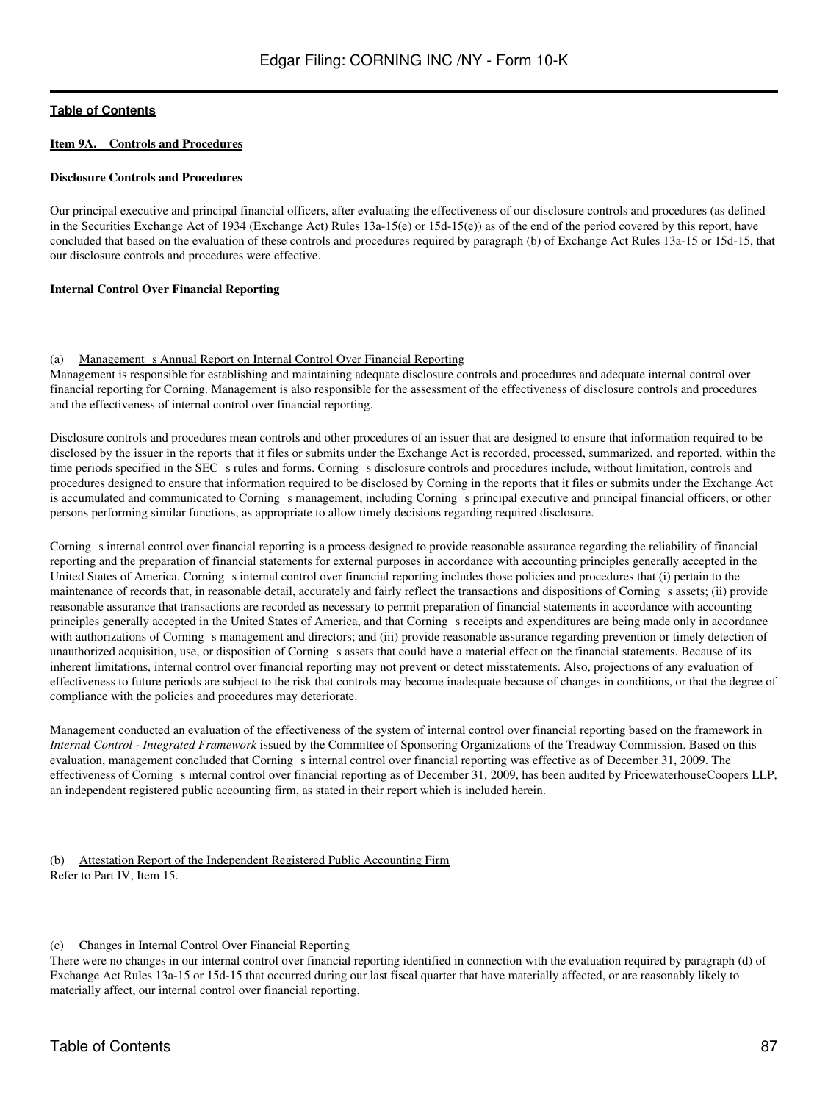#### **Item 9A. Controls and Procedures**

#### **Disclosure Controls and Procedures**

Our principal executive and principal financial officers, after evaluating the effectiveness of our disclosure controls and procedures (as defined in the Securities Exchange Act of 1934 (Exchange Act) Rules 13a-15(e) or 15d-15(e)) as of the end of the period covered by this report, have concluded that based on the evaluation of these controls and procedures required by paragraph (b) of Exchange Act Rules 13a-15 or 15d-15, that our disclosure controls and procedures were effective.

#### **Internal Control Over Financial Reporting**

#### (a) Management s Annual Report on Internal Control Over Financial Reporting

Management is responsible for establishing and maintaining adequate disclosure controls and procedures and adequate internal control over financial reporting for Corning. Management is also responsible for the assessment of the effectiveness of disclosure controls and procedures and the effectiveness of internal control over financial reporting.

Disclosure controls and procedures mean controls and other procedures of an issuer that are designed to ensure that information required to be disclosed by the issuer in the reports that it files or submits under the Exchange Act is recorded, processed, summarized, and reported, within the time periods specified in the SEC s rules and forms. Corning s disclosure controls and procedures include, without limitation, controls and procedures designed to ensure that information required to be disclosed by Corning in the reports that it files or submits under the Exchange Act is accumulated and communicated to Corning s management, including Corning s principal executive and principal financial officers, or other persons performing similar functions, as appropriate to allow timely decisions regarding required disclosure.

Corning s internal control over financial reporting is a process designed to provide reasonable assurance regarding the reliability of financial reporting and the preparation of financial statements for external purposes in accordance with accounting principles generally accepted in the United States of America. Corning s internal control over financial reporting includes those policies and procedures that (i) pertain to the maintenance of records that, in reasonable detail, accurately and fairly reflect the transactions and dispositions of Cornings assets; (ii) provide reasonable assurance that transactions are recorded as necessary to permit preparation of financial statements in accordance with accounting principles generally accepted in the United States of America, and that Corning s receipts and expenditures are being made only in accordance with authorizations of Corning s management and directors; and (iii) provide reasonable assurance regarding prevention or timely detection of unauthorized acquisition, use, or disposition of Corning s assets that could have a material effect on the financial statements. Because of its inherent limitations, internal control over financial reporting may not prevent or detect misstatements. Also, projections of any evaluation of effectiveness to future periods are subject to the risk that controls may become inadequate because of changes in conditions, or that the degree of compliance with the policies and procedures may deteriorate.

Management conducted an evaluation of the effectiveness of the system of internal control over financial reporting based on the framework in *Internal Control - Integrated Framework* issued by the Committee of Sponsoring Organizations of the Treadway Commission. Based on this evaluation, management concluded that Corning s internal control over financial reporting was effective as of December 31, 2009. The effectiveness of Corning s internal control over financial reporting as of December 31, 2009, has been audited by PricewaterhouseCoopers LLP, an independent registered public accounting firm, as stated in their report which is included herein.

(b) Attestation Report of the Independent Registered Public Accounting Firm Refer to Part IV, Item 15.

(c) Changes in Internal Control Over Financial Reporting

There were no changes in our internal control over financial reporting identified in connection with the evaluation required by paragraph (d) of Exchange Act Rules 13a-15 or 15d-15 that occurred during our last fiscal quarter that have materially affected, or are reasonably likely to materially affect, our internal control over financial reporting.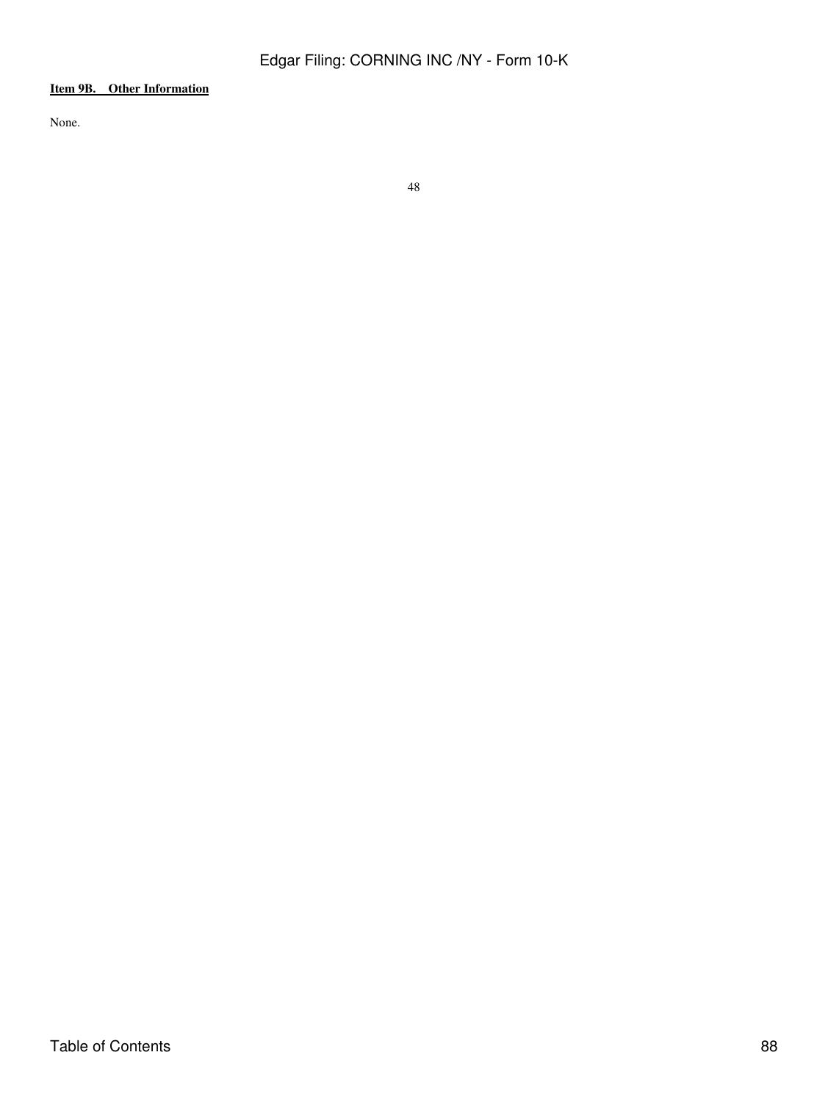# **Item 9B. Other Information**

None.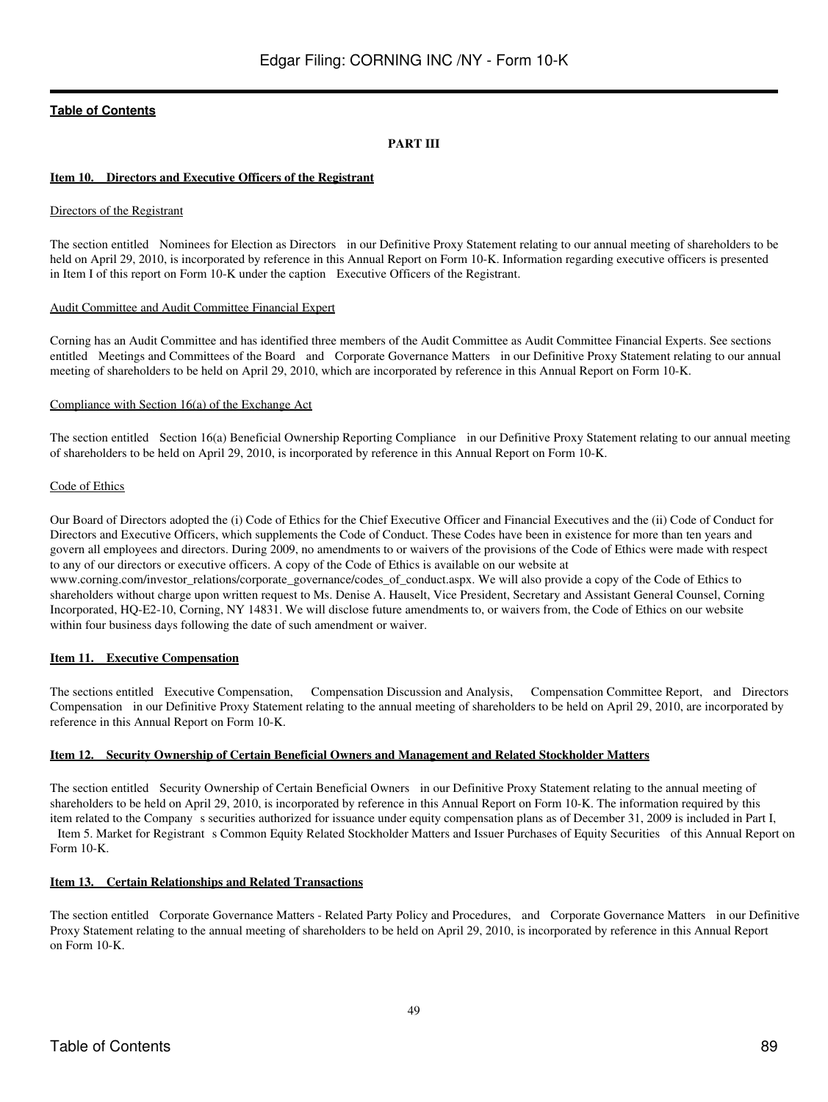#### **PART III**

#### **Item 10. Directors and Executive Officers of the Registrant**

#### Directors of the Registrant

The section entitled Nominees for Election as Directors in our Definitive Proxy Statement relating to our annual meeting of shareholders to be held on April 29, 2010, is incorporated by reference in this Annual Report on Form 10-K. Information regarding executive officers is presented in Item I of this report on Form 10-K under the caption Executive Officers of the Registrant.

#### Audit Committee and Audit Committee Financial Expert

Corning has an Audit Committee and has identified three members of the Audit Committee as Audit Committee Financial Experts. See sections entitled Meetings and Committees of the Board and Corporate Governance Matters in our Definitive Proxy Statement relating to our annual meeting of shareholders to be held on April 29, 2010, which are incorporated by reference in this Annual Report on Form 10-K.

#### Compliance with Section 16(a) of the Exchange Act

The section entitled Section 16(a) Beneficial Ownership Reporting Compliance in our Definitive Proxy Statement relating to our annual meeting of shareholders to be held on April 29, 2010, is incorporated by reference in this Annual Report on Form 10-K.

#### Code of Ethics

Our Board of Directors adopted the (i) Code of Ethics for the Chief Executive Officer and Financial Executives and the (ii) Code of Conduct for Directors and Executive Officers, which supplements the Code of Conduct. These Codes have been in existence for more than ten years and govern all employees and directors. During 2009, no amendments to or waivers of the provisions of the Code of Ethics were made with respect to any of our directors or executive officers. A copy of the Code of Ethics is available on our website at www.corning.com/investor\_relations/corporate\_governance/codes\_of\_conduct.aspx. We will also provide a copy of the Code of Ethics to shareholders without charge upon written request to Ms. Denise A. Hauselt, Vice President, Secretary and Assistant General Counsel, Corning Incorporated, HQ-E2-10, Corning, NY 14831. We will disclose future amendments to, or waivers from, the Code of Ethics on our website within four business days following the date of such amendment or waiver.

#### **Item 11. Executive Compensation**

The sections entitled Executive Compensation, Compensation Discussion and Analysis, Compensation Committee Report, and Directors Compensation in our Definitive Proxy Statement relating to the annual meeting of shareholders to be held on April 29, 2010, are incorporated by reference in this Annual Report on Form 10-K.

#### **Item 12. Security Ownership of Certain Beneficial Owners and Management and Related Stockholder Matters**

The section entitled Security Ownership of Certain Beneficial Owners in our Definitive Proxy Statement relating to the annual meeting of shareholders to be held on April 29, 2010, is incorporated by reference in this Annual Report on Form 10-K. The information required by this item related to the Company s securities authorized for issuance under equity compensation plans as of December 31, 2009 is included in Part I, Item 5. Market for Registrant s Common Equity Related Stockholder Matters and Issuer Purchases of Equity Securities of this Annual Report on Form 10-K.

#### **Item 13. Certain Relationships and Related Transactions**

The section entitled Corporate Governance Matters - Related Party Policy and Procedures, and Corporate Governance Matters in our Definitive Proxy Statement relating to the annual meeting of shareholders to be held on April 29, 2010, is incorporated by reference in this Annual Report on Form 10-K.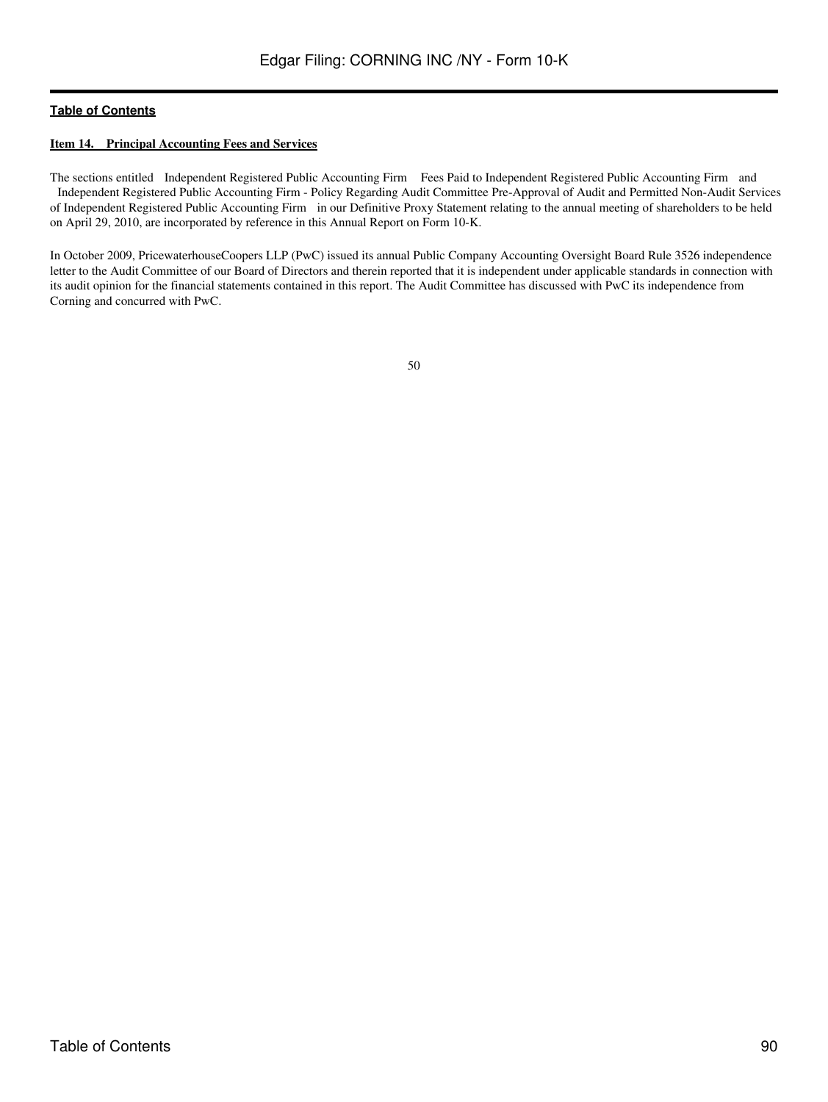## **Item 14. Principal Accounting Fees and Services**

The sections entitled Independent Registered Public Accounting Firm Fees Paid to Independent Registered Public Accounting Firm and Independent Registered Public Accounting Firm - Policy Regarding Audit Committee Pre-Approval of Audit and Permitted Non-Audit Services of Independent Registered Public Accounting Firm in our Definitive Proxy Statement relating to the annual meeting of shareholders to be held on April 29, 2010, are incorporated by reference in this Annual Report on Form 10-K.

In October 2009, PricewaterhouseCoopers LLP (PwC) issued its annual Public Company Accounting Oversight Board Rule 3526 independence letter to the Audit Committee of our Board of Directors and therein reported that it is independent under applicable standards in connection with its audit opinion for the financial statements contained in this report. The Audit Committee has discussed with PwC its independence from Corning and concurred with PwC.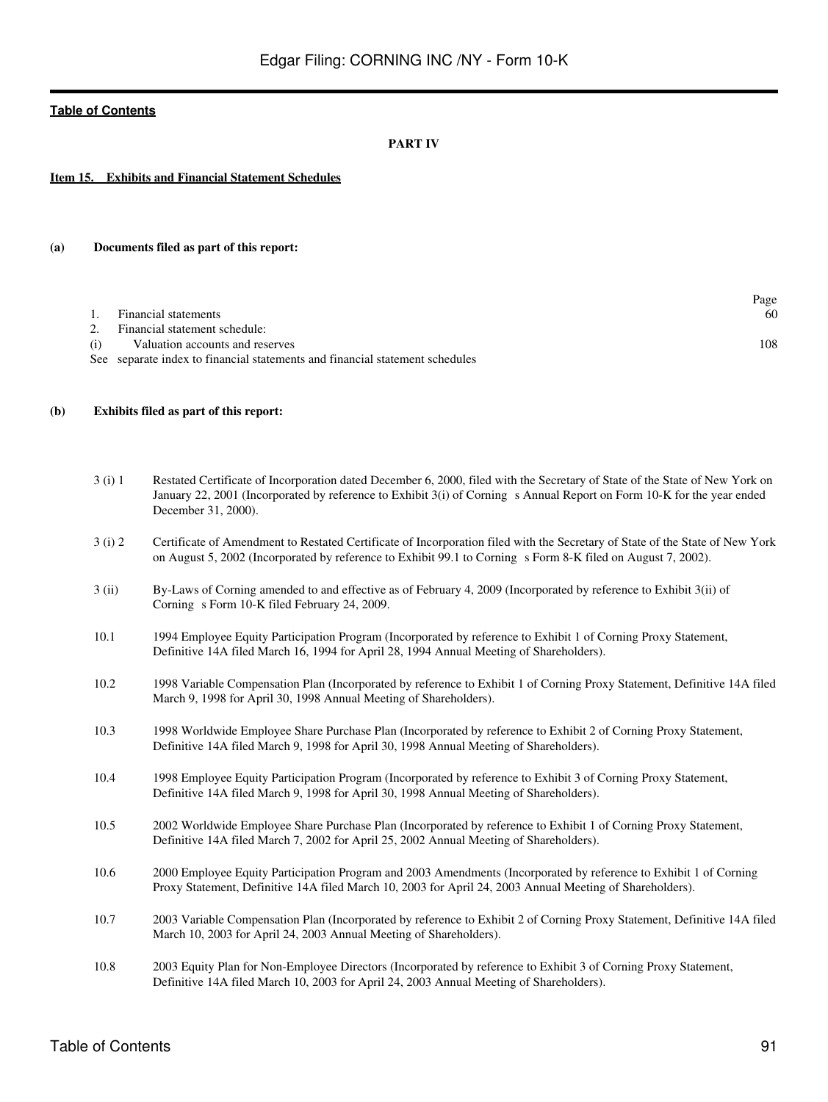#### **PART IV**

#### **Item 15. Exhibits and Financial Statement Schedules**

#### **(a) Documents filed as part of this report:**

|     |                                                                              | Page |
|-----|------------------------------------------------------------------------------|------|
| 1.  | <b>Financial statements</b>                                                  | 60   |
|     | 2. Financial statement schedule:                                             |      |
| (i) | Valuation accounts and reserves                                              | 108  |
|     | See separate index to financial statements and financial statement schedules |      |

## **(b) Exhibits filed as part of this report:**

| 3(i) 1 | Restated Certificate of Incorporation dated December 6, 2000, filed with the Secretary of State of the State of New York on |
|--------|-----------------------------------------------------------------------------------------------------------------------------|
|        | January 22, 2001 (Incorporated by reference to Exhibit 3(i) of Corning s Annual Report on Form 10-K for the year ended      |
|        | December 31, 2000).                                                                                                         |

- 3 (i) 2 Certificate of Amendment to Restated Certificate of Incorporation filed with the Secretary of State of the State of New York on August 5, 2002 (Incorporated by reference to Exhibit 99.1 to Corning s Form 8-K filed on August 7, 2002).
- 3 (ii) By-Laws of Corning amended to and effective as of February 4, 2009 (Incorporated by reference to Exhibit 3(ii) of Corning s Form 10-K filed February 24, 2009.
- 10.1 1994 Employee Equity Participation Program (Incorporated by reference to Exhibit 1 of Corning Proxy Statement, Definitive 14A filed March 16, 1994 for April 28, 1994 Annual Meeting of Shareholders).
- 10.2 1998 Variable Compensation Plan (Incorporated by reference to Exhibit 1 of Corning Proxy Statement, Definitive 14A filed March 9, 1998 for April 30, 1998 Annual Meeting of Shareholders).
- 10.3 1998 Worldwide Employee Share Purchase Plan (Incorporated by reference to Exhibit 2 of Corning Proxy Statement, Definitive 14A filed March 9, 1998 for April 30, 1998 Annual Meeting of Shareholders).
- 10.4 1998 Employee Equity Participation Program (Incorporated by reference to Exhibit 3 of Corning Proxy Statement, Definitive 14A filed March 9, 1998 for April 30, 1998 Annual Meeting of Shareholders).
- 10.5 2002 Worldwide Employee Share Purchase Plan (Incorporated by reference to Exhibit 1 of Corning Proxy Statement, Definitive 14A filed March 7, 2002 for April 25, 2002 Annual Meeting of Shareholders).
- 10.6 2000 Employee Equity Participation Program and 2003 Amendments (Incorporated by reference to Exhibit 1 of Corning Proxy Statement, Definitive 14A filed March 10, 2003 for April 24, 2003 Annual Meeting of Shareholders).
- 10.7 2003 Variable Compensation Plan (Incorporated by reference to Exhibit 2 of Corning Proxy Statement, Definitive 14A filed March 10, 2003 for April 24, 2003 Annual Meeting of Shareholders).
- 10.8 2003 Equity Plan for Non-Employee Directors (Incorporated by reference to Exhibit 3 of Corning Proxy Statement, Definitive 14A filed March 10, 2003 for April 24, 2003 Annual Meeting of Shareholders).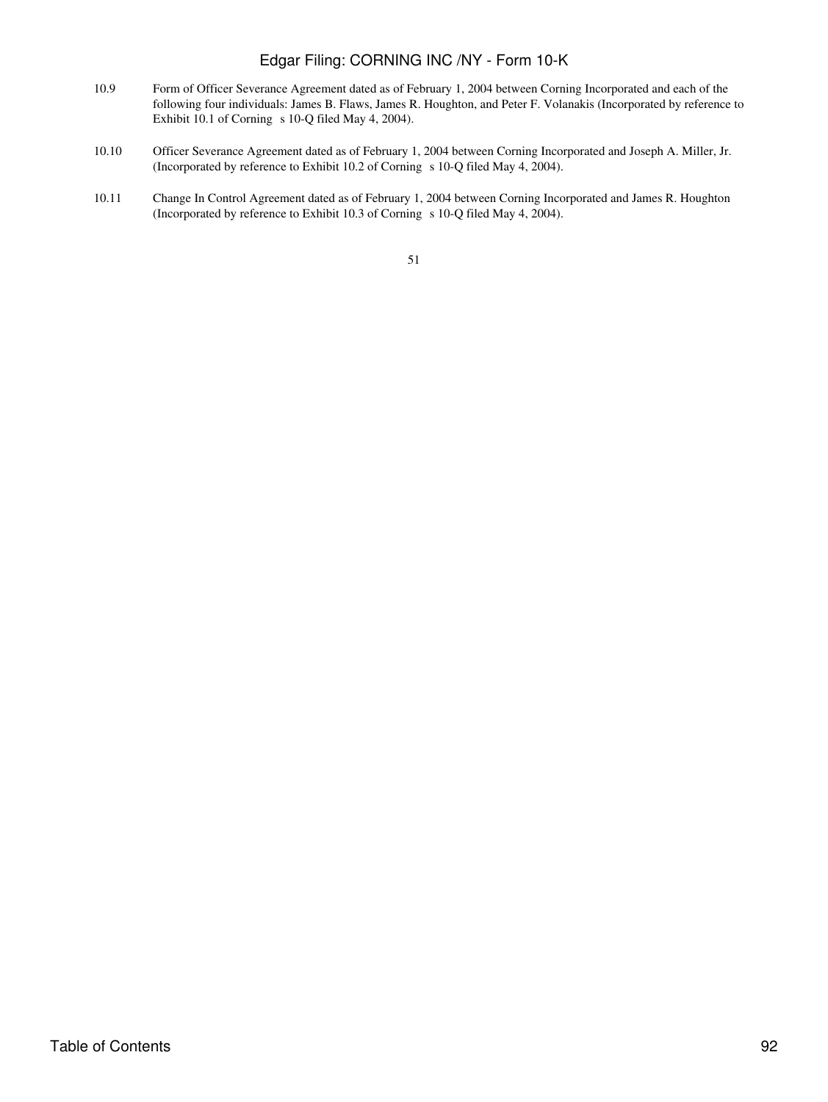- 10.9 Form of Officer Severance Agreement dated as of February 1, 2004 between Corning Incorporated and each of the following four individuals: James B. Flaws, James R. Houghton, and Peter F. Volanakis (Incorporated by reference to Exhibit 10.1 of Corning  $s$  10-Q filed May 4, 2004).
- 10.10 Officer Severance Agreement dated as of February 1, 2004 between Corning Incorporated and Joseph A. Miller, Jr. (Incorporated by reference to Exhibit 10.2 of Corning s 10-Q filed May 4, 2004).
- 10.11 Change In Control Agreement dated as of February 1, 2004 between Corning Incorporated and James R. Houghton (Incorporated by reference to Exhibit 10.3 of Corning s 10-Q filed May 4, 2004).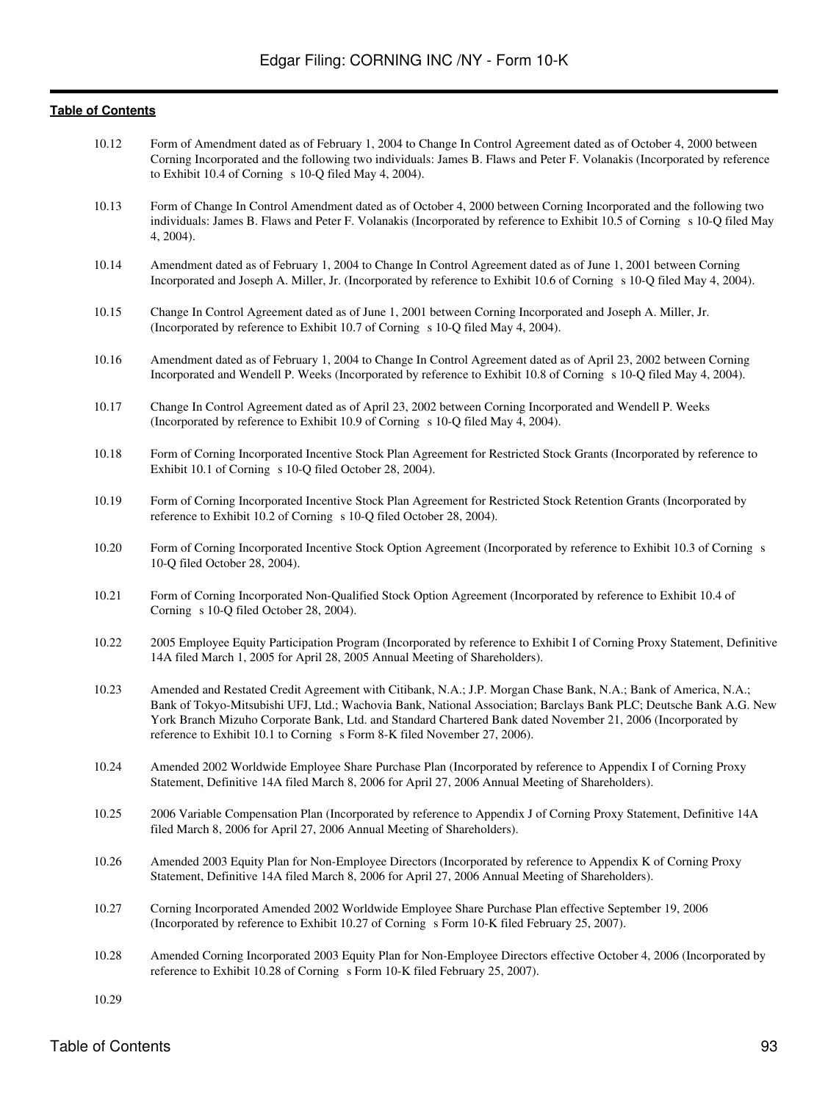- 10.12 Form of Amendment dated as of February 1, 2004 to Change In Control Agreement dated as of October 4, 2000 between Corning Incorporated and the following two individuals: James B. Flaws and Peter F. Volanakis (Incorporated by reference to Exhibit 10.4 of Corning s 10-Q filed May 4, 2004).
- 10.13 Form of Change In Control Amendment dated as of October 4, 2000 between Corning Incorporated and the following two individuals: James B. Flaws and Peter F. Volanakis (Incorporated by reference to Exhibit 10.5 of Corning s 10-Q filed May 4, 2004).
- 10.14 Amendment dated as of February 1, 2004 to Change In Control Agreement dated as of June 1, 2001 between Corning Incorporated and Joseph A. Miller, Jr. (Incorporated by reference to Exhibit 10.6 of Corning s 10-Q filed May 4, 2004).
- 10.15 Change In Control Agreement dated as of June 1, 2001 between Corning Incorporated and Joseph A. Miller, Jr. (Incorporated by reference to Exhibit  $10.7$  of Corning s  $10-Q$  filed May 4, 2004).
- 10.16 Amendment dated as of February 1, 2004 to Change In Control Agreement dated as of April 23, 2002 between Corning Incorporated and Wendell P. Weeks (Incorporated by reference to Exhibit 10.8 of Corning s 10-Q filed May 4, 2004).
- 10.17 Change In Control Agreement dated as of April 23, 2002 between Corning Incorporated and Wendell P. Weeks (Incorporated by reference to Exhibit 10.9 of Corning s 10-Q filed May 4, 2004).
- 10.18 Form of Corning Incorporated Incentive Stock Plan Agreement for Restricted Stock Grants (Incorporated by reference to Exhibit 10.1 of Corning s 10-Q filed October 28, 2004).
- 10.19 Form of Corning Incorporated Incentive Stock Plan Agreement for Restricted Stock Retention Grants (Incorporated by reference to Exhibit 10.2 of Corning s 10-Q filed October 28, 2004).
- 10.20 Form of Corning Incorporated Incentive Stock Option Agreement (Incorporated by reference to Exhibit 10.3 of Cornings 10-Q filed October 28, 2004).
- 10.21 Form of Corning Incorporated Non-Qualified Stock Option Agreement (Incorporated by reference to Exhibit 10.4 of Corning s 10-Q filed October 28, 2004).
- 10.22 2005 Employee Equity Participation Program (Incorporated by reference to Exhibit I of Corning Proxy Statement, Definitive 14A filed March 1, 2005 for April 28, 2005 Annual Meeting of Shareholders).
- 10.23 Amended and Restated Credit Agreement with Citibank, N.A.; J.P. Morgan Chase Bank, N.A.; Bank of America, N.A.; Bank of Tokyo-Mitsubishi UFJ, Ltd.; Wachovia Bank, National Association; Barclays Bank PLC; Deutsche Bank A.G. New York Branch Mizuho Corporate Bank, Ltd. and Standard Chartered Bank dated November 21, 2006 (Incorporated by reference to Exhibit 10.1 to Corning s Form 8-K filed November 27, 2006).
- 10.24 Amended 2002 Worldwide Employee Share Purchase Plan (Incorporated by reference to Appendix I of Corning Proxy Statement, Definitive 14A filed March 8, 2006 for April 27, 2006 Annual Meeting of Shareholders).
- 10.25 2006 Variable Compensation Plan (Incorporated by reference to Appendix J of Corning Proxy Statement, Definitive 14A filed March 8, 2006 for April 27, 2006 Annual Meeting of Shareholders).
- 10.26 Amended 2003 Equity Plan for Non-Employee Directors (Incorporated by reference to Appendix K of Corning Proxy Statement, Definitive 14A filed March 8, 2006 for April 27, 2006 Annual Meeting of Shareholders).
- 10.27 Corning Incorporated Amended 2002 Worldwide Employee Share Purchase Plan effective September 19, 2006 (Incorporated by reference to Exhibit 10.27 of Corning s Form 10-K filed February 25, 2007).
- 10.28 Amended Corning Incorporated 2003 Equity Plan for Non-Employee Directors effective October 4, 2006 (Incorporated by reference to Exhibit 10.28 of Corning s Form 10-K filed February 25, 2007).

10.29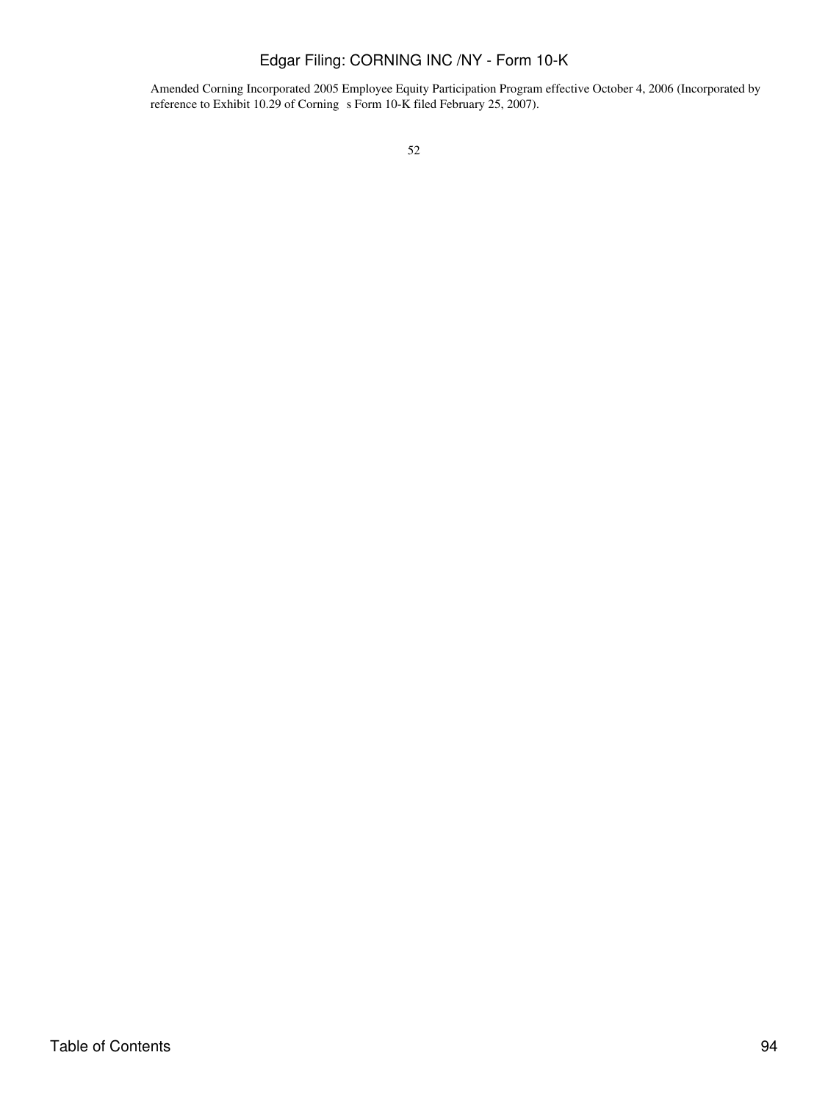Amended Corning Incorporated 2005 Employee Equity Participation Program effective October 4, 2006 (Incorporated by reference to Exhibit 10.29 of Corning s Form 10-K filed February 25, 2007).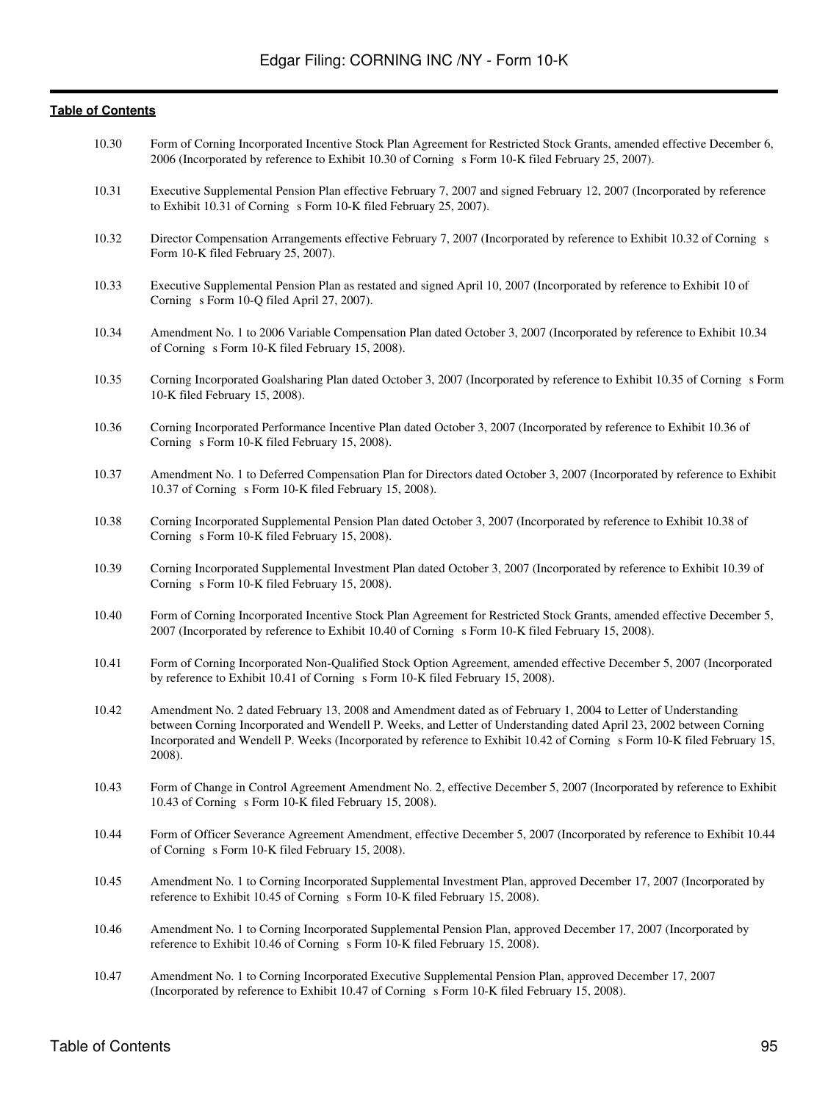- 10.30 Form of Corning Incorporated Incentive Stock Plan Agreement for Restricted Stock Grants, amended effective December 6, 2006 (Incorporated by reference to Exhibit 10.30 of Corning s Form 10-K filed February 25, 2007).
- 10.31 Executive Supplemental Pension Plan effective February 7, 2007 and signed February 12, 2007 (Incorporated by reference to Exhibit 10.31 of Corning s Form 10-K filed February 25, 2007).
- 10.32 Director Compensation Arrangements effective February 7, 2007 (Incorporated by reference to Exhibit 10.32 of Corning s Form 10-K filed February 25, 2007).
- 10.33 Executive Supplemental Pension Plan as restated and signed April 10, 2007 (Incorporated by reference to Exhibit 10 of Corning s Form 10-Q filed April 27, 2007).
- 10.34 Amendment No. 1 to 2006 Variable Compensation Plan dated October 3, 2007 (Incorporated by reference to Exhibit 10.34 of Corning s Form 10-K filed February 15, 2008).
- 10.35 Corning Incorporated Goalsharing Plan dated October 3, 2007 (Incorporated by reference to Exhibit 10.35 of Corning s Form 10-K filed February 15, 2008).
- 10.36 Corning Incorporated Performance Incentive Plan dated October 3, 2007 (Incorporated by reference to Exhibit 10.36 of Corning s Form 10-K filed February 15, 2008).
- 10.37 Amendment No. 1 to Deferred Compensation Plan for Directors dated October 3, 2007 (Incorporated by reference to Exhibit 10.37 of Corning s Form 10-K filed February 15, 2008).
- 10.38 Corning Incorporated Supplemental Pension Plan dated October 3, 2007 (Incorporated by reference to Exhibit 10.38 of Corning s Form 10-K filed February 15, 2008).
- 10.39 Corning Incorporated Supplemental Investment Plan dated October 3, 2007 (Incorporated by reference to Exhibit 10.39 of Corning s Form 10-K filed February 15, 2008).
- 10.40 Form of Corning Incorporated Incentive Stock Plan Agreement for Restricted Stock Grants, amended effective December 5, 2007 (Incorporated by reference to Exhibit 10.40 of Corning s Form 10-K filed February 15, 2008).
- 10.41 Form of Corning Incorporated Non-Qualified Stock Option Agreement, amended effective December 5, 2007 (Incorporated by reference to Exhibit 10.41 of Corning s Form 10-K filed February 15, 2008).
- 10.42 Amendment No. 2 dated February 13, 2008 and Amendment dated as of February 1, 2004 to Letter of Understanding between Corning Incorporated and Wendell P. Weeks, and Letter of Understanding dated April 23, 2002 between Corning Incorporated and Wendell P. Weeks (Incorporated by reference to Exhibit 10.42 of Cornings Form 10-K filed February 15, 2008).
- 10.43 Form of Change in Control Agreement Amendment No. 2, effective December 5, 2007 (Incorporated by reference to Exhibit 10.43 of Corning s Form 10-K filed February 15, 2008).
- 10.44 Form of Officer Severance Agreement Amendment, effective December 5, 2007 (Incorporated by reference to Exhibit 10.44 of Corning s Form 10-K filed February 15, 2008).
- 10.45 Amendment No. 1 to Corning Incorporated Supplemental Investment Plan, approved December 17, 2007 (Incorporated by reference to Exhibit 10.45 of Corning s Form 10-K filed February 15, 2008).
- 10.46 Amendment No. 1 to Corning Incorporated Supplemental Pension Plan, approved December 17, 2007 (Incorporated by reference to Exhibit 10.46 of Corning s Form 10-K filed February 15, 2008).
- 10.47 Amendment No. 1 to Corning Incorporated Executive Supplemental Pension Plan, approved December 17, 2007 (Incorporated by reference to Exhibit 10.47 of Corning s Form 10-K filed February 15, 2008).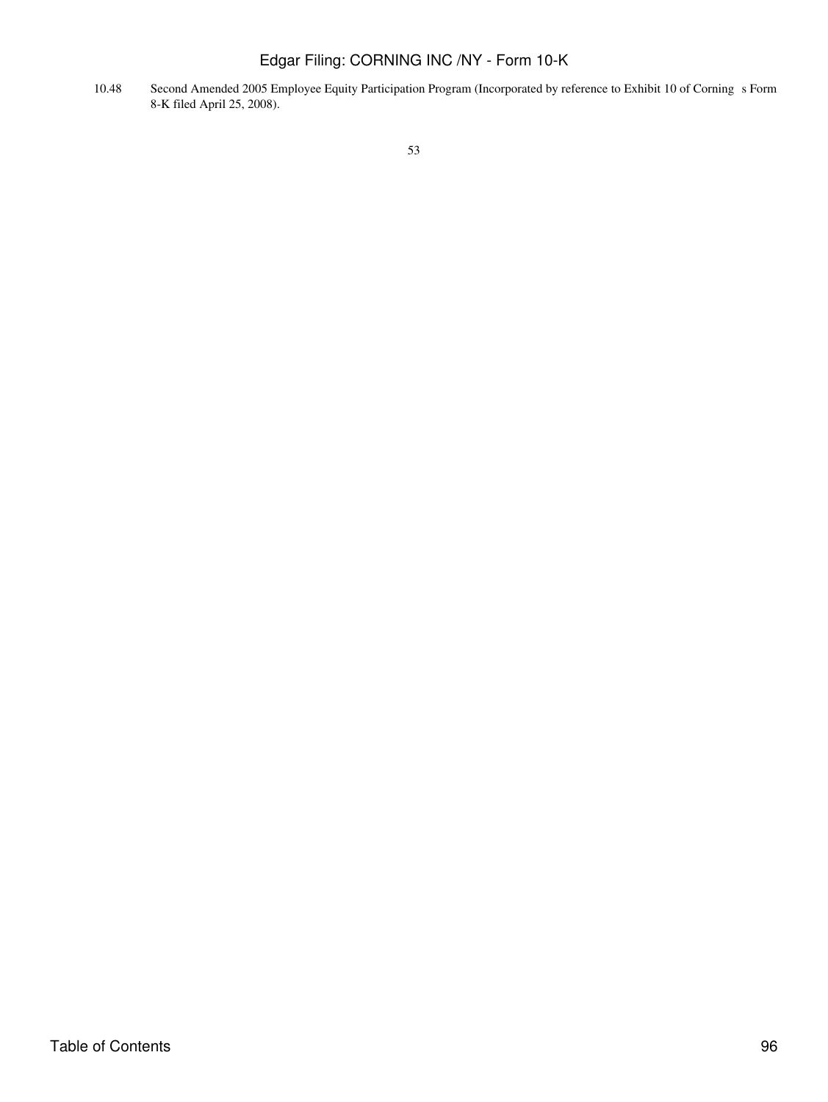10.48 Second Amended 2005 Employee Equity Participation Program (Incorporated by reference to Exhibit 10 of Corning s Form 8-K filed April 25, 2008).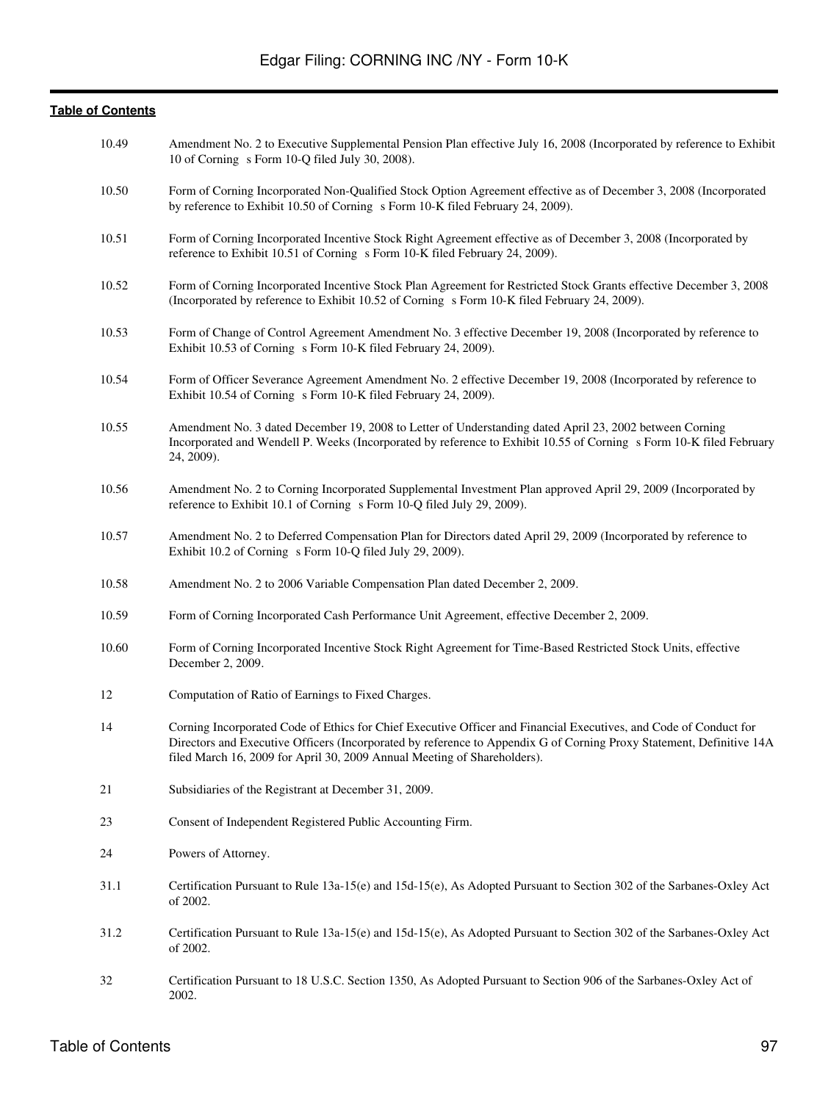| 10.49 | Amendment No. 2 to Executive Supplemental Pension Plan effective July 16, 2008 (Incorporated by reference to Exhibit<br>10 of Corning s Form 10-Q filed July 30, 2008).                                                                                                                                               |
|-------|-----------------------------------------------------------------------------------------------------------------------------------------------------------------------------------------------------------------------------------------------------------------------------------------------------------------------|
| 10.50 | Form of Corning Incorporated Non-Qualified Stock Option Agreement effective as of December 3, 2008 (Incorporated<br>by reference to Exhibit 10.50 of Corning s Form 10-K filed February 24, 2009).                                                                                                                    |
| 10.51 | Form of Corning Incorporated Incentive Stock Right Agreement effective as of December 3, 2008 (Incorporated by<br>reference to Exhibit 10.51 of Corning s Form 10-K filed February 24, 2009).                                                                                                                         |
| 10.52 | Form of Corning Incorporated Incentive Stock Plan Agreement for Restricted Stock Grants effective December 3, 2008<br>(Incorporated by reference to Exhibit 10.52 of Corning s Form 10-K filed February 24, 2009).                                                                                                    |
| 10.53 | Form of Change of Control Agreement Amendment No. 3 effective December 19, 2008 (Incorporated by reference to<br>Exhibit 10.53 of Corning s Form 10-K filed February 24, 2009).                                                                                                                                       |
| 10.54 | Form of Officer Severance Agreement Amendment No. 2 effective December 19, 2008 (Incorporated by reference to<br>Exhibit 10.54 of Corning s Form 10-K filed February 24, 2009).                                                                                                                                       |
| 10.55 | Amendment No. 3 dated December 19, 2008 to Letter of Understanding dated April 23, 2002 between Corning<br>Incorporated and Wendell P. Weeks (Incorporated by reference to Exhibit 10.55 of Corning s Form 10-K filed February<br>24, 2009).                                                                          |
| 10.56 | Amendment No. 2 to Corning Incorporated Supplemental Investment Plan approved April 29, 2009 (Incorporated by<br>reference to Exhibit 10.1 of Corning s Form 10-Q filed July 29, 2009).                                                                                                                               |
| 10.57 | Amendment No. 2 to Deferred Compensation Plan for Directors dated April 29, 2009 (Incorporated by reference to<br>Exhibit 10.2 of Corning s Form 10-Q filed July 29, 2009).                                                                                                                                           |
| 10.58 | Amendment No. 2 to 2006 Variable Compensation Plan dated December 2, 2009.                                                                                                                                                                                                                                            |
| 10.59 | Form of Corning Incorporated Cash Performance Unit Agreement, effective December 2, 2009.                                                                                                                                                                                                                             |
| 10.60 | Form of Corning Incorporated Incentive Stock Right Agreement for Time-Based Restricted Stock Units, effective<br>December 2, 2009.                                                                                                                                                                                    |
| 12    | Computation of Ratio of Earnings to Fixed Charges.                                                                                                                                                                                                                                                                    |
| 14    | Corning Incorporated Code of Ethics for Chief Executive Officer and Financial Executives, and Code of Conduct for<br>Directors and Executive Officers (Incorporated by reference to Appendix G of Corning Proxy Statement, Definitive 14A<br>filed March 16, 2009 for April 30, 2009 Annual Meeting of Shareholders). |
| 21    | Subsidiaries of the Registrant at December 31, 2009.                                                                                                                                                                                                                                                                  |
| 23    | Consent of Independent Registered Public Accounting Firm.                                                                                                                                                                                                                                                             |
| 24    | Powers of Attorney.                                                                                                                                                                                                                                                                                                   |
| 31.1  | Certification Pursuant to Rule 13a-15(e) and 15d-15(e), As Adopted Pursuant to Section 302 of the Sarbanes-Oxley Act<br>of 2002.                                                                                                                                                                                      |
| 31.2  | Certification Pursuant to Rule 13a-15(e) and 15d-15(e), As Adopted Pursuant to Section 302 of the Sarbanes-Oxley Act<br>of 2002.                                                                                                                                                                                      |
| 32    | Certification Pursuant to 18 U.S.C. Section 1350, As Adopted Pursuant to Section 906 of the Sarbanes-Oxley Act of<br>2002.                                                                                                                                                                                            |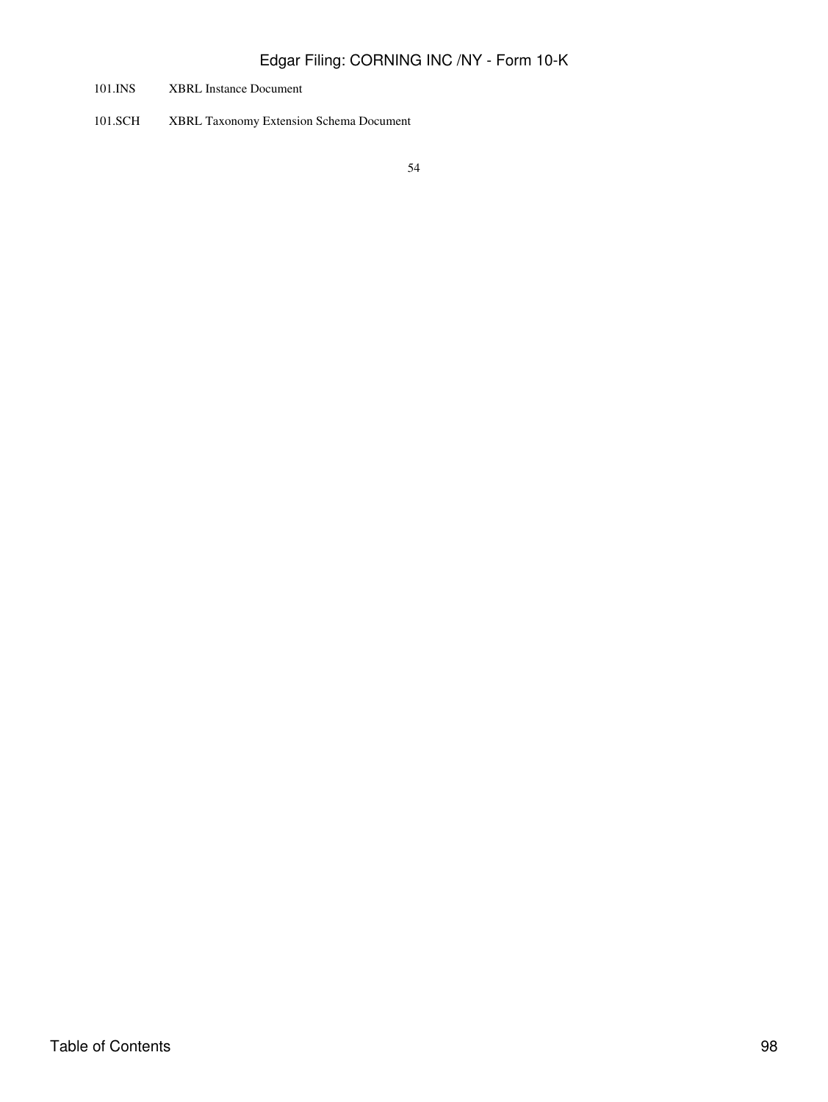- 101.INS XBRL Instance Document
- 101.SCH XBRL Taxonomy Extension Schema Document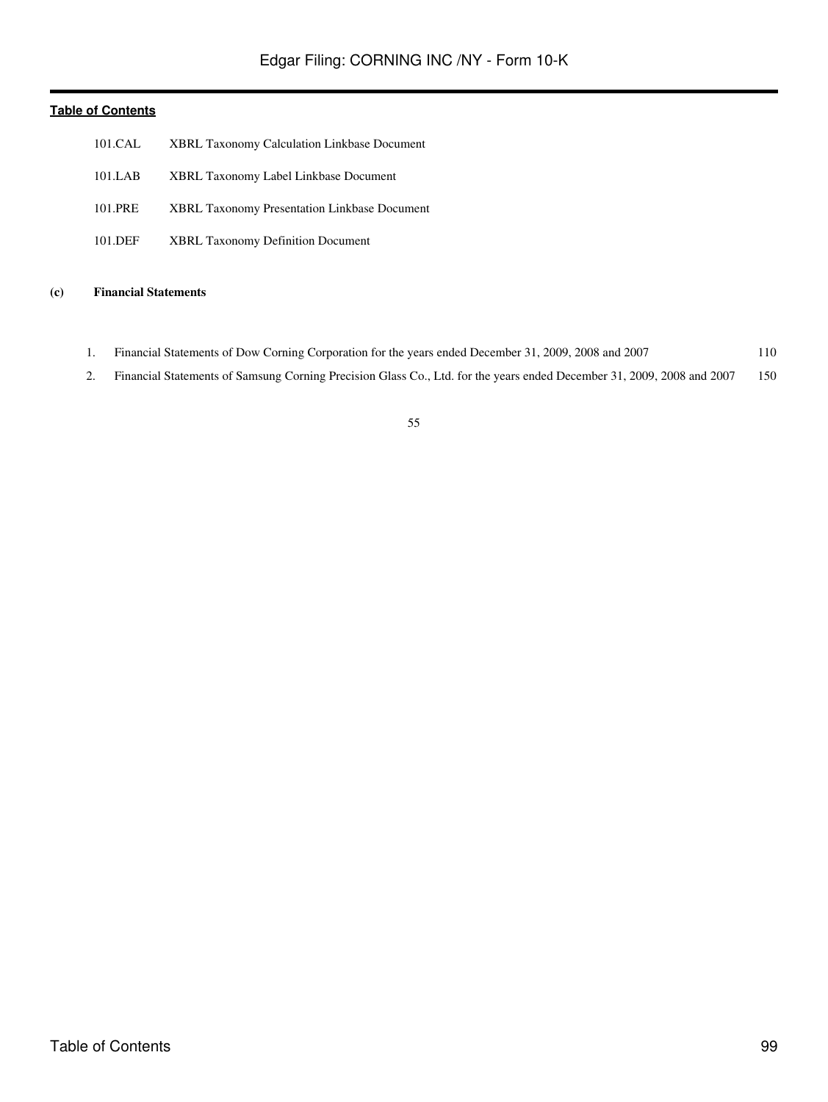| 101.CAL | <b>XBRL Taxonomy Calculation Linkbase Document</b>  |
|---------|-----------------------------------------------------|
| 101.LAB | <b>XBRL Taxonomy Label Linkbase Document</b>        |
| 101.PRE | <b>XBRL Taxonomy Presentation Linkbase Document</b> |
| 101.DEF | <b>XBRL Taxonomy Definition Document</b>            |

## **(c) Financial Statements**

- 1. Financial Statements of Dow Corning Corporation for the years ended December 31, 2009, 2008 and 2007 110
- 2. Financial Statements of Samsung Corning Precision Glass Co., Ltd. for the years ended December 31, 2009, 2008 and 2007 150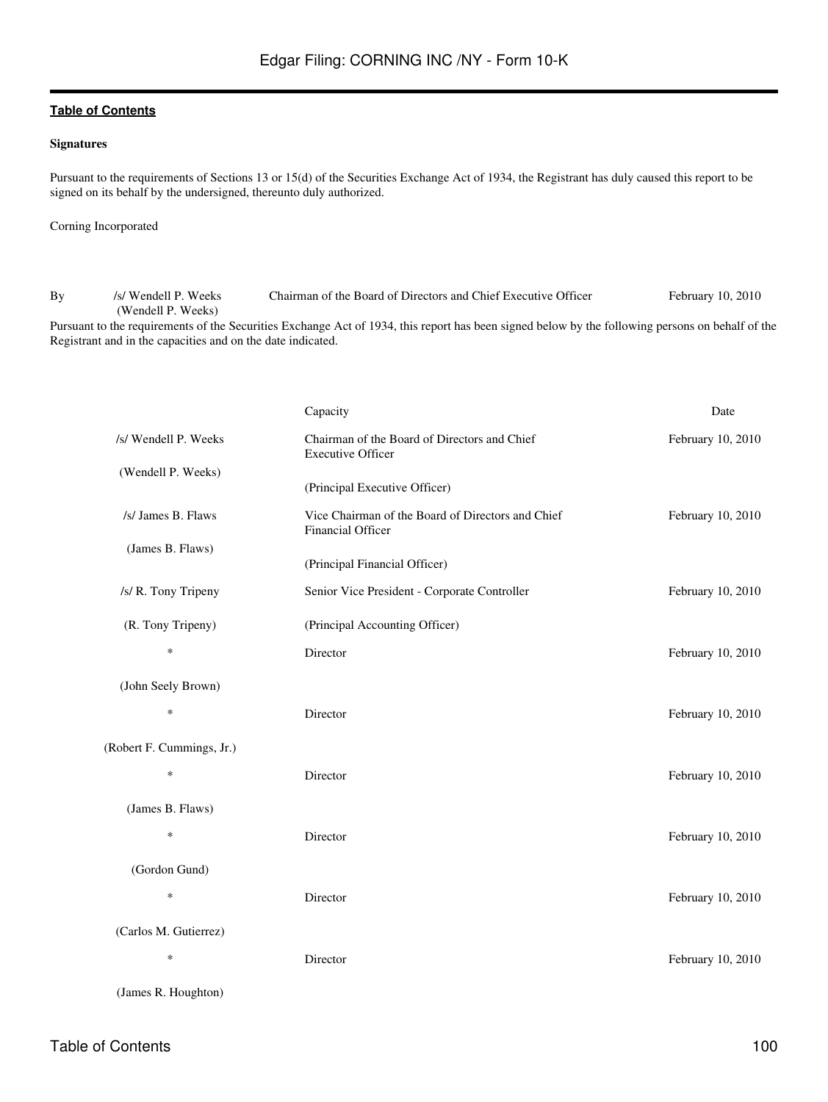#### **Signatures**

Pursuant to the requirements of Sections 13 or 15(d) of the Securities Exchange Act of 1934, the Registrant has duly caused this report to be signed on its behalf by the undersigned, thereunto duly authorized.

Corning Incorporated

By /s/ Wendell P. Weeks Chairman of the Board of Directors and Chief Executive Officer February 10, 2010 (Wendell P. Weeks) Pursuant to the requirements of the Securities Exchange Act of 1934, this report has been signed below by the following persons on behalf of the

Registrant and in the capacities and on the date indicated.

|                           | Capacity                                                                 | Date              |
|---------------------------|--------------------------------------------------------------------------|-------------------|
| /s/ Wendell P. Weeks      | Chairman of the Board of Directors and Chief<br><b>Executive Officer</b> | February 10, 2010 |
| (Wendell P. Weeks)        | (Principal Executive Officer)                                            |                   |
| /s/ James B. Flaws        | Vice Chairman of the Board of Directors and Chief<br>Financial Officer   | February 10, 2010 |
| (James B. Flaws)          | (Principal Financial Officer)                                            |                   |
| /s/ R. Tony Tripeny       | Senior Vice President - Corporate Controller                             | February 10, 2010 |
| (R. Tony Tripeny)         | (Principal Accounting Officer)                                           |                   |
| $\ast$                    | Director                                                                 | February 10, 2010 |
| (John Seely Brown)        |                                                                          |                   |
| $\ast$                    | Director                                                                 | February 10, 2010 |
| (Robert F. Cummings, Jr.) |                                                                          |                   |
| $\ast$                    | Director                                                                 | February 10, 2010 |
| (James B. Flaws)          |                                                                          |                   |
| $\ast$                    | Director                                                                 | February 10, 2010 |
| (Gordon Gund)             |                                                                          |                   |
| $\ast$                    | Director                                                                 | February 10, 2010 |
| (Carlos M. Gutierrez)     |                                                                          |                   |
| $\ast$                    | Director                                                                 | February 10, 2010 |
| (James R. Houghton)       |                                                                          |                   |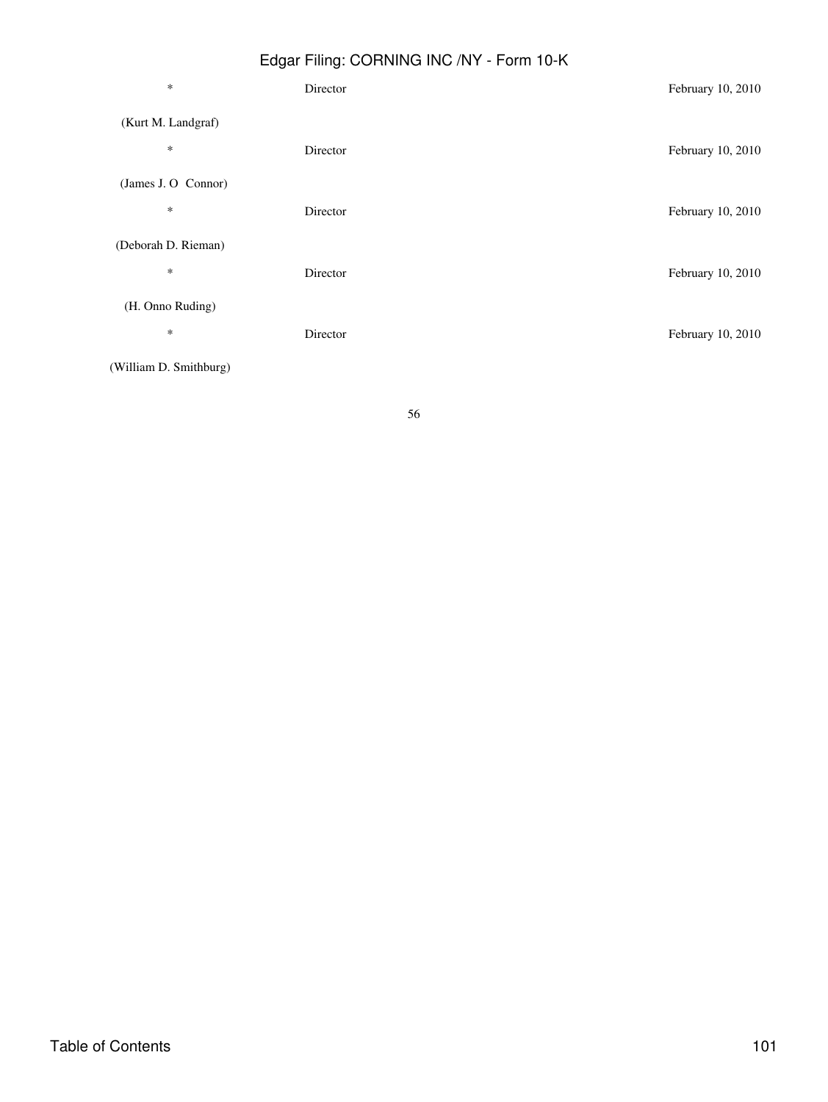| $\ast$              | Director | February 10, 2010 |
|---------------------|----------|-------------------|
| (Kurt M. Landgraf)  |          |                   |
| $\ast$              | Director | February 10, 2010 |
| (James J. O Connor) |          |                   |
| $\ast$              | Director | February 10, 2010 |
| (Deborah D. Rieman) |          |                   |
| $\ast$              | Director | February 10, 2010 |
| (H. Onno Ruding)    |          |                   |
| $\ast$              | Director | February 10, 2010 |

(William D. Smithburg)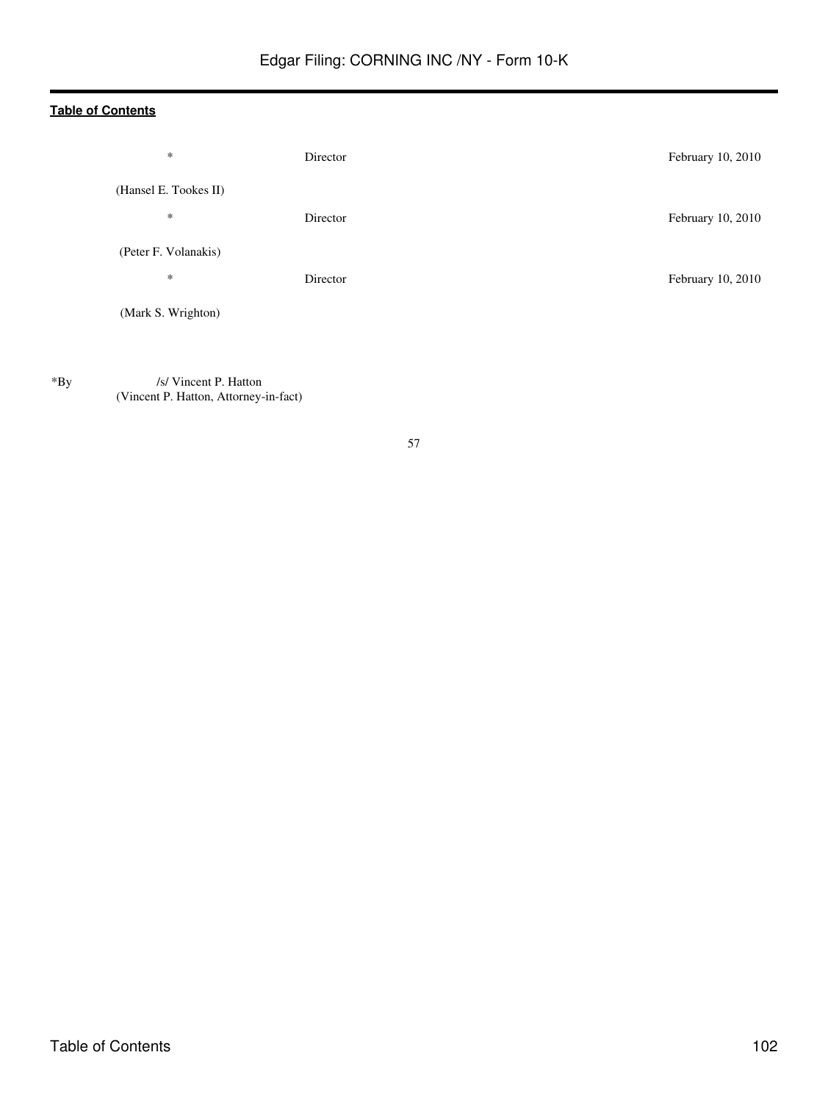| *                     | Director | February 10, 2010 |
|-----------------------|----------|-------------------|
| (Hansel E. Tookes II) |          |                   |
| *                     | Director | February 10, 2010 |
| (Peter F. Volanakis)  |          |                   |
| $\ast$                | Director | February 10, 2010 |
| (Mark S. Wrighton)    |          |                   |

\*By /s/ Vincent P. Hatton (Vincent P. Hatton, Attorney-in-fact)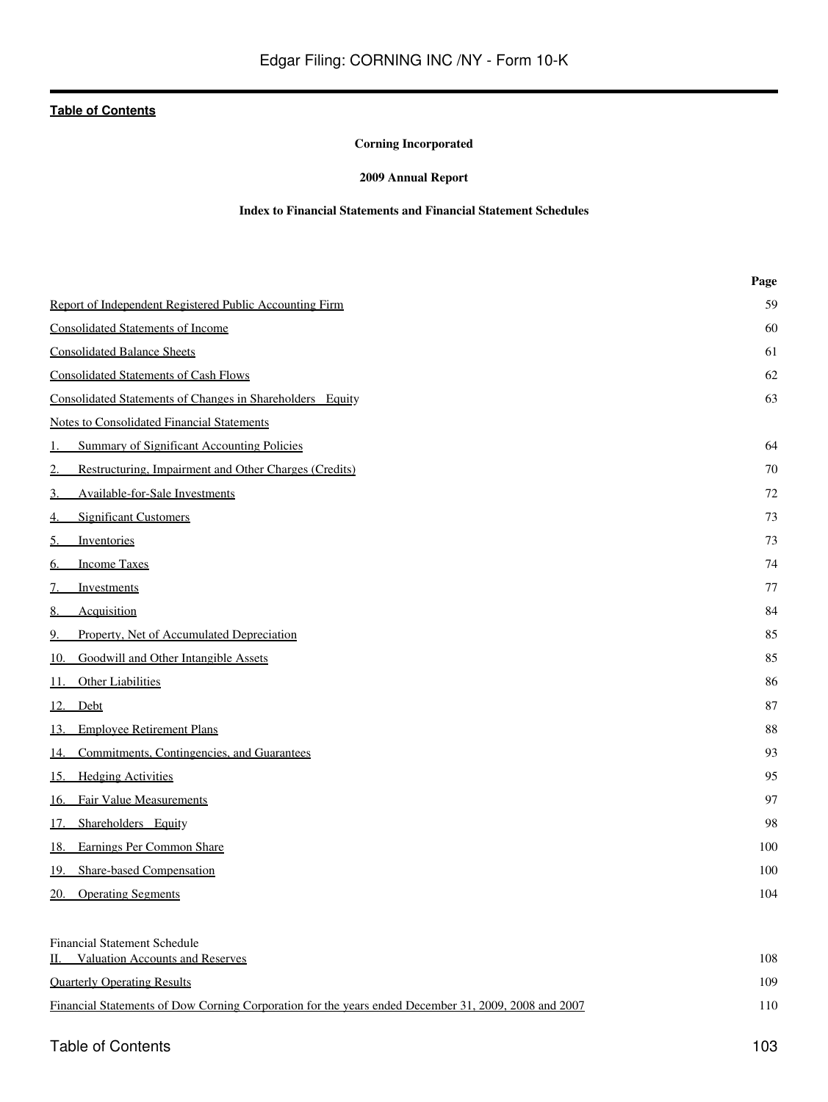# **Corning Incorporated**

### **2009 Annual Report**

## **Index to Financial Statements and Financial Statement Schedules**

<span id="page-102-0"></span>

|                                                                                                      | Page |
|------------------------------------------------------------------------------------------------------|------|
| Report of Independent Registered Public Accounting Firm                                              | 59   |
| <b>Consolidated Statements of Income</b>                                                             | 60   |
| <b>Consolidated Balance Sheets</b>                                                                   | 61   |
| <b>Consolidated Statements of Cash Flows</b>                                                         | 62   |
| Consolidated Statements of Changes in Shareholders Equity                                            | 63   |
| <b>Notes to Consolidated Financial Statements</b>                                                    |      |
| <b>Summary of Significant Accounting Policies</b>                                                    | 64   |
| Restructuring, Impairment and Other Charges (Credits)<br>$\overline{2}$                              | 70   |
| Available-for-Sale Investments<br><u>3.</u>                                                          | 72   |
| <b>Significant Customers</b><br><u>4.</u>                                                            | 73   |
| Inventories<br>5.                                                                                    | 73   |
| <b>Income Taxes</b><br><u>6.</u>                                                                     | 74   |
| Investments                                                                                          | 77   |
| <u>8.</u><br>Acquisition                                                                             | 84   |
| $\overline{9}$<br>Property, Net of Accumulated Depreciation                                          | 85   |
| Goodwill and Other Intangible Assets<br>10.                                                          | 85   |
| Other Liabilities<br>11.                                                                             | 86   |
| Debt<br><u>12. </u>                                                                                  | 87   |
| <b>Employee Retirement Plans</b><br>13.                                                              | 88   |
| Commitments, Contingencies, and Guarantees<br>14.                                                    | 93   |
| <b>Hedging Activities</b><br><u>15.</u>                                                              | 95   |
| <b>Fair Value Measurements</b><br>16.                                                                | 97   |
| Shareholders Equity<br>17.                                                                           | 98   |
| Earnings Per Common Share<br>18.                                                                     | 100  |
| <b>Share-based Compensation</b><br><u> 19. </u>                                                      | 100  |
| 20. Operating Segments                                                                               | 104  |
| <b>Financial Statement Schedule</b>                                                                  |      |
| <b>Valuation Accounts and Reserves</b><br>Ш.                                                         | 108  |
| <b>Quarterly Operating Results</b>                                                                   | 109  |
| Financial Statements of Dow Corning Corporation for the years ended December 31, 2009, 2008 and 2007 | 110  |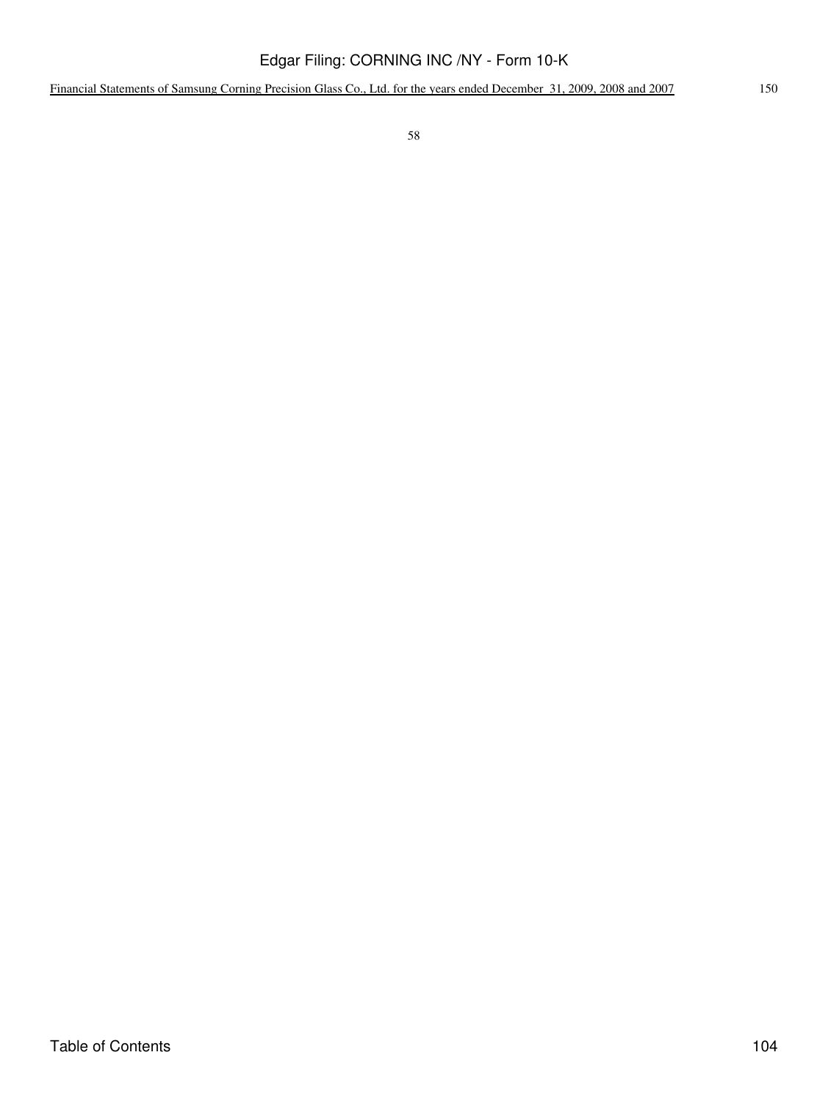# [Financial Statements of Samsung Corning Precision Glass Co., Ltd. for the years ended December 31, 2009, 2008 and 2007](#page-255-0) 150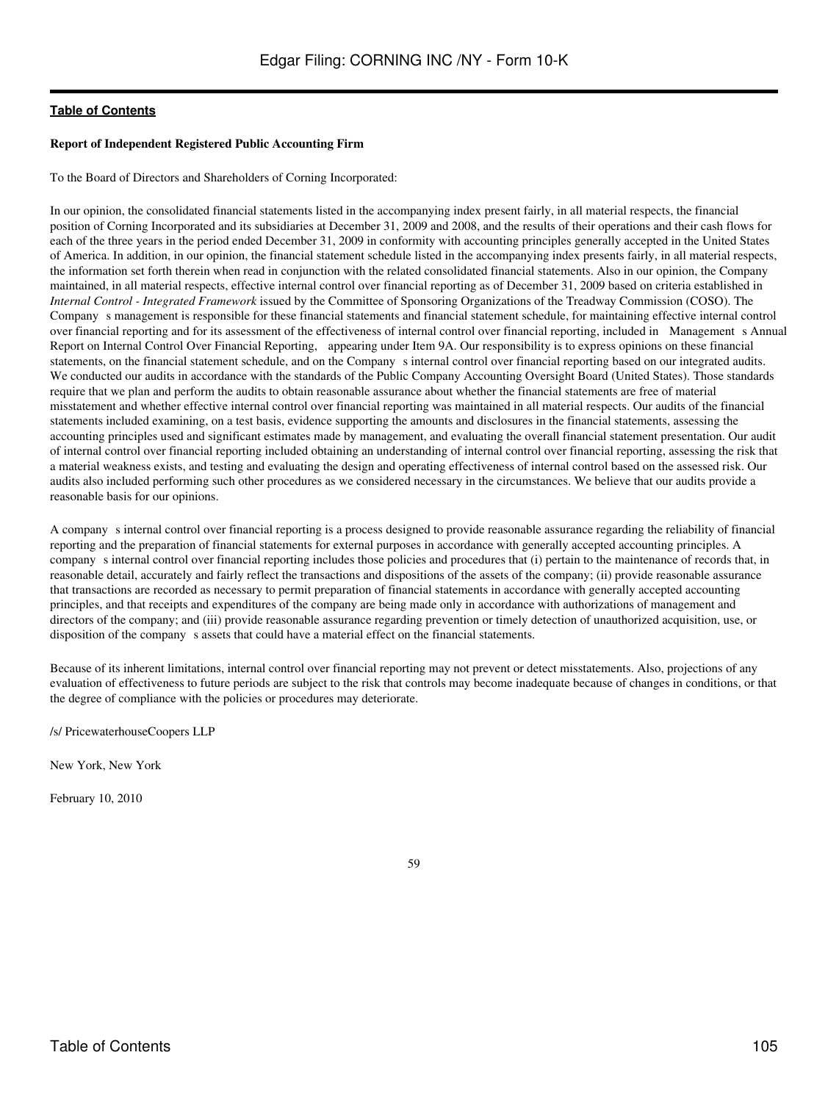#### <span id="page-104-0"></span>**Report of Independent Registered Public Accounting Firm**

To the Board of Directors and Shareholders of Corning Incorporated:

In our opinion, the consolidated financial statements listed in the accompanying index present fairly, in all material respects, the financial position of Corning Incorporated and its subsidiaries at December 31, 2009 and 2008, and the results of their operations and their cash flows for each of the three years in the period ended December 31, 2009 in conformity with accounting principles generally accepted in the United States of America. In addition, in our opinion, the financial statement schedule listed in the accompanying index presents fairly, in all material respects, the information set forth therein when read in conjunction with the related consolidated financial statements. Also in our opinion, the Company maintained, in all material respects, effective internal control over financial reporting as of December 31, 2009 based on criteria established in *Internal Control - Integrated Framework* issued by the Committee of Sponsoring Organizations of the Treadway Commission (COSO). The Companys management is responsible for these financial statements and financial statement schedule, for maintaining effective internal control over financial reporting and for its assessment of the effectiveness of internal control over financial reporting, included in Management s Annual Report on Internal Control Over Financial Reporting, appearing under Item 9A. Our responsibility is to express opinions on these financial statements, on the financial statement schedule, and on the Company s internal control over financial reporting based on our integrated audits. We conducted our audits in accordance with the standards of the Public Company Accounting Oversight Board (United States). Those standards require that we plan and perform the audits to obtain reasonable assurance about whether the financial statements are free of material misstatement and whether effective internal control over financial reporting was maintained in all material respects. Our audits of the financial statements included examining, on a test basis, evidence supporting the amounts and disclosures in the financial statements, assessing the accounting principles used and significant estimates made by management, and evaluating the overall financial statement presentation. Our audit of internal control over financial reporting included obtaining an understanding of internal control over financial reporting, assessing the risk that a material weakness exists, and testing and evaluating the design and operating effectiveness of internal control based on the assessed risk. Our audits also included performing such other procedures as we considered necessary in the circumstances. We believe that our audits provide a reasonable basis for our opinions.

A companys internal control over financial reporting is a process designed to provide reasonable assurance regarding the reliability of financial reporting and the preparation of financial statements for external purposes in accordance with generally accepted accounting principles. A companys internal control over financial reporting includes those policies and procedures that (i) pertain to the maintenance of records that, in reasonable detail, accurately and fairly reflect the transactions and dispositions of the assets of the company; (ii) provide reasonable assurance that transactions are recorded as necessary to permit preparation of financial statements in accordance with generally accepted accounting principles, and that receipts and expenditures of the company are being made only in accordance with authorizations of management and directors of the company; and (iii) provide reasonable assurance regarding prevention or timely detection of unauthorized acquisition, use, or disposition of the company s assets that could have a material effect on the financial statements.

Because of its inherent limitations, internal control over financial reporting may not prevent or detect misstatements. Also, projections of any evaluation of effectiveness to future periods are subject to the risk that controls may become inadequate because of changes in conditions, or that the degree of compliance with the policies or procedures may deteriorate.

/s/ PricewaterhouseCoopers LLP

New York, New York

February 10, 2010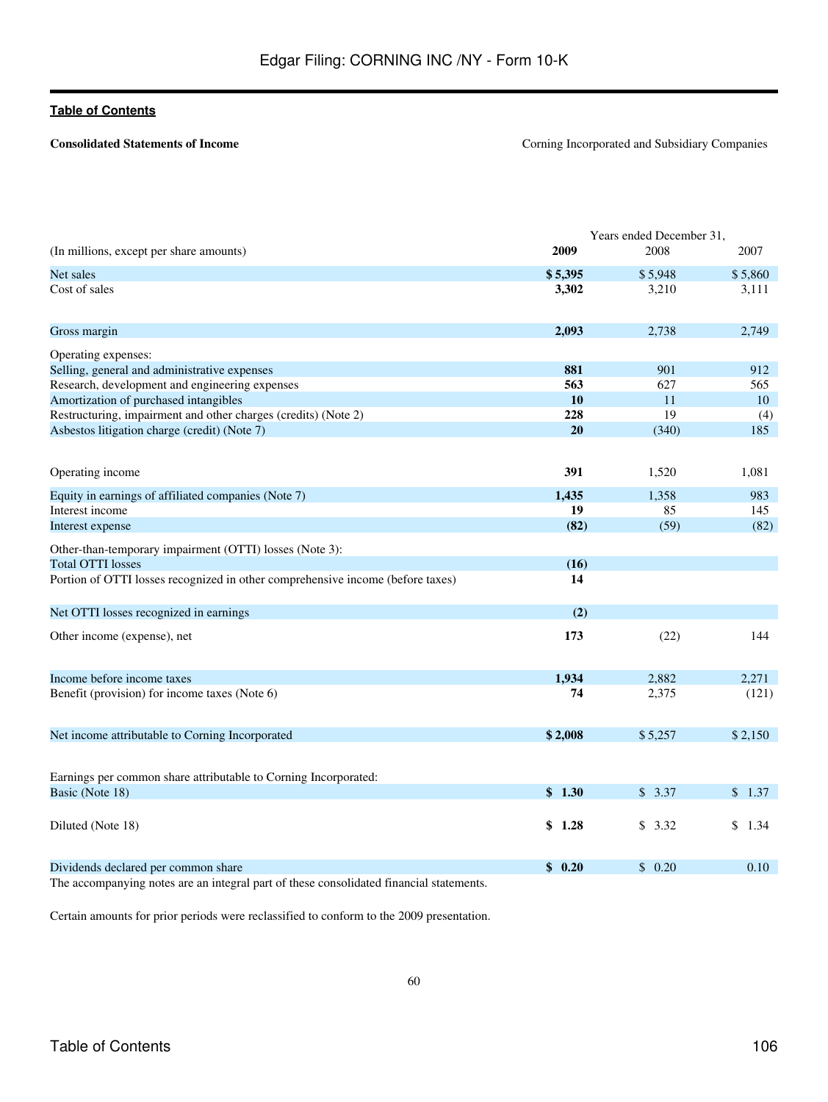<span id="page-105-0"></span>Consolidated Statements of Income **Consolidated Statements of Income Corning Incorporated and Subsidiary Companies** 

|                                                                                | Years ended December 31, |         |            |
|--------------------------------------------------------------------------------|--------------------------|---------|------------|
| (In millions, except per share amounts)                                        | 2009                     | 2008    | 2007       |
| Net sales                                                                      | \$5,395                  | \$5,948 | \$5,860    |
| Cost of sales                                                                  | 3,302                    | 3,210   | 3,111      |
| Gross margin                                                                   | 2,093                    | 2,738   | 2,749      |
| Operating expenses:                                                            |                          |         |            |
| Selling, general and administrative expenses                                   | 881                      | 901     | 912        |
| Research, development and engineering expenses                                 | 563                      | 627     | 565        |
| Amortization of purchased intangibles                                          | 10                       | 11      | 10         |
| Restructuring, impairment and other charges (credits) (Note 2)                 | 228                      | 19      | (4)        |
| Asbestos litigation charge (credit) (Note 7)                                   | 20                       | (340)   | 185        |
| Operating income                                                               | 391                      | 1,520   | 1,081      |
| Equity in earnings of affiliated companies (Note 7)                            | 1,435                    | 1,358   | 983        |
| Interest income                                                                | 19                       | 85      | 145        |
| Interest expense                                                               | (82)                     | (59)    | (82)       |
|                                                                                |                          |         |            |
| Other-than-temporary impairment (OTTI) losses (Note 3):                        |                          |         |            |
| <b>Total OTTI losses</b>                                                       | (16)                     |         |            |
| Portion of OTTI losses recognized in other comprehensive income (before taxes) | 14                       |         |            |
| Net OTTI losses recognized in earnings                                         | (2)                      |         |            |
| Other income (expense), net                                                    | 173                      | (22)    | 144        |
| Income before income taxes                                                     | 1,934                    | 2,882   | 2,271      |
| Benefit (provision) for income taxes (Note 6)                                  | 74                       | 2,375   | (121)      |
| Net income attributable to Corning Incorporated                                | \$2,008                  | \$5,257 | \$2,150    |
| Earnings per common share attributable to Corning Incorporated:                |                          |         |            |
| Basic (Note 18)                                                                | \$1.30                   | \$3.37  | \$1.37     |
| Diluted (Note 18)                                                              | \$<br>1.28               | \$3.32  | \$<br>1.34 |
| Dividends declared per common share                                            | \$0.20                   | \$0.20  | 0.10       |
|                                                                                |                          |         |            |

The accompanying notes are an integral part of these consolidated financial statements.

Certain amounts for prior periods were reclassified to conform to the 2009 presentation.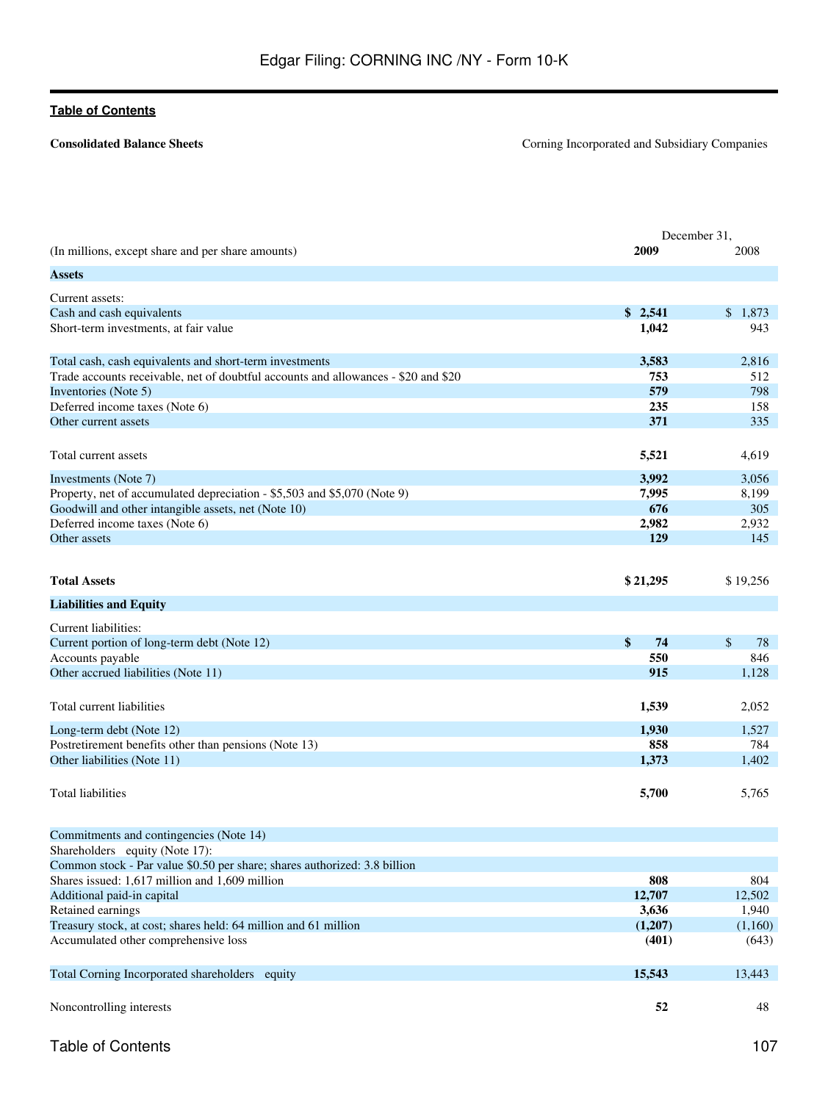# <span id="page-106-0"></span>Consolidated Balance Sheets **Consolidated Balance Sheets** Corning Incorporated and Subsidiary Companies

|                                                                                    |          | December 31,                    |  |
|------------------------------------------------------------------------------------|----------|---------------------------------|--|
| (In millions, except share and per share amounts)                                  | 2009     | 2008                            |  |
| Assets                                                                             |          |                                 |  |
| Current assets:                                                                    |          |                                 |  |
| Cash and cash equivalents                                                          | \$2,541  | \$1,873                         |  |
| Short-term investments, at fair value                                              | 1,042    | 943                             |  |
| Total cash, cash equivalents and short-term investments                            | 3,583    | 2,816                           |  |
| Trade accounts receivable, net of doubtful accounts and allowances - \$20 and \$20 | 753      | 512                             |  |
| Inventories (Note 5)                                                               | 579      | 798                             |  |
| Deferred income taxes (Note 6)                                                     | 235      | 158                             |  |
| Other current assets                                                               | 371      | 335                             |  |
| Total current assets                                                               | 5,521    | 4,619                           |  |
| Investments (Note 7)                                                               | 3,992    | 3,056                           |  |
| Property, net of accumulated depreciation - \$5,503 and \$5,070 (Note 9)           | 7,995    | 8,199                           |  |
| Goodwill and other intangible assets, net (Note 10)                                | 676      | 305                             |  |
| Deferred income taxes (Note 6)                                                     | 2,982    | 2,932                           |  |
| Other assets                                                                       | 129      | 145                             |  |
|                                                                                    |          |                                 |  |
| <b>Total Assets</b>                                                                | \$21,295 | \$19,256                        |  |
| <b>Liabilities and Equity</b>                                                      |          |                                 |  |
| Current liabilities:                                                               |          |                                 |  |
| Current portion of long-term debt (Note 12)                                        | \$<br>74 | $\boldsymbol{\mathsf{S}}$<br>78 |  |
| Accounts payable                                                                   | 550      | 846                             |  |
| Other accrued liabilities (Note 11)                                                | 915      | 1,128                           |  |
|                                                                                    |          |                                 |  |
| Total current liabilities                                                          | 1,539    | 2,052                           |  |
| Long-term debt (Note 12)                                                           | 1,930    | 1,527                           |  |
| Postretirement benefits other than pensions (Note 13)                              | 858      | 784                             |  |
| Other liabilities (Note 11)                                                        | 1,373    | 1,402                           |  |
| <b>Total liabilities</b>                                                           | 5,700    | 5,765                           |  |
|                                                                                    |          |                                 |  |
| Commitments and contingencies (Note 14)                                            |          |                                 |  |
| Shareholders equity (Note 17):                                                     |          |                                 |  |
| Common stock - Par value \$0.50 per share; shares authorized: 3.8 billion          |          |                                 |  |
| Shares issued: 1,617 million and 1,609 million                                     | 808      | 804                             |  |
| Additional paid-in capital                                                         | 12,707   | 12,502                          |  |
| Retained earnings                                                                  | 3,636    | 1,940                           |  |
| Treasury stock, at cost; shares held: 64 million and 61 million                    | (1,207)  | (1,160)                         |  |
| Accumulated other comprehensive loss                                               | (401)    | (643)                           |  |
| Total Corning Incorporated shareholders equity                                     | 15,543   | 13,443                          |  |
| Noncontrolling interests                                                           | 52       | 48                              |  |
|                                                                                    |          |                                 |  |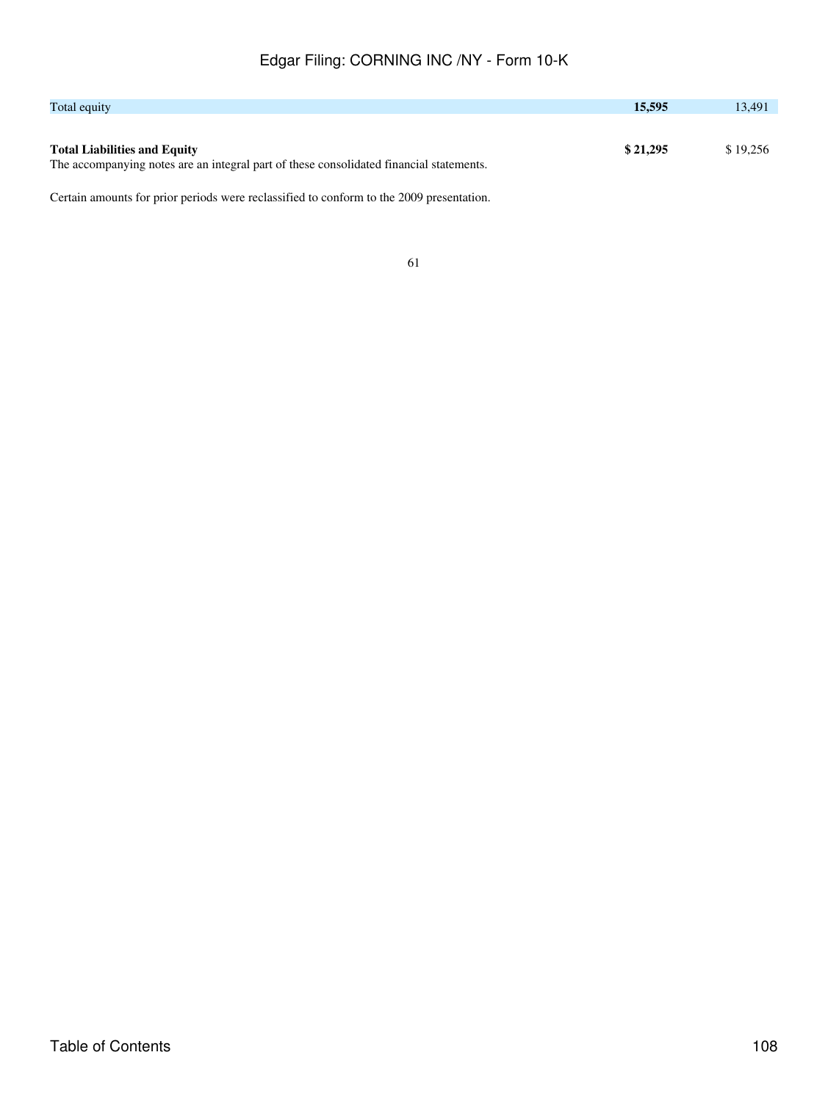| Total equity                                                                                                                   | 15,595   | 13,491   |
|--------------------------------------------------------------------------------------------------------------------------------|----------|----------|
| <b>Total Liabilities and Equity</b><br>The accompanying notes are an integral part of these consolidated financial statements. | \$21,295 | \$19.256 |

Certain amounts for prior periods were reclassified to conform to the 2009 presentation.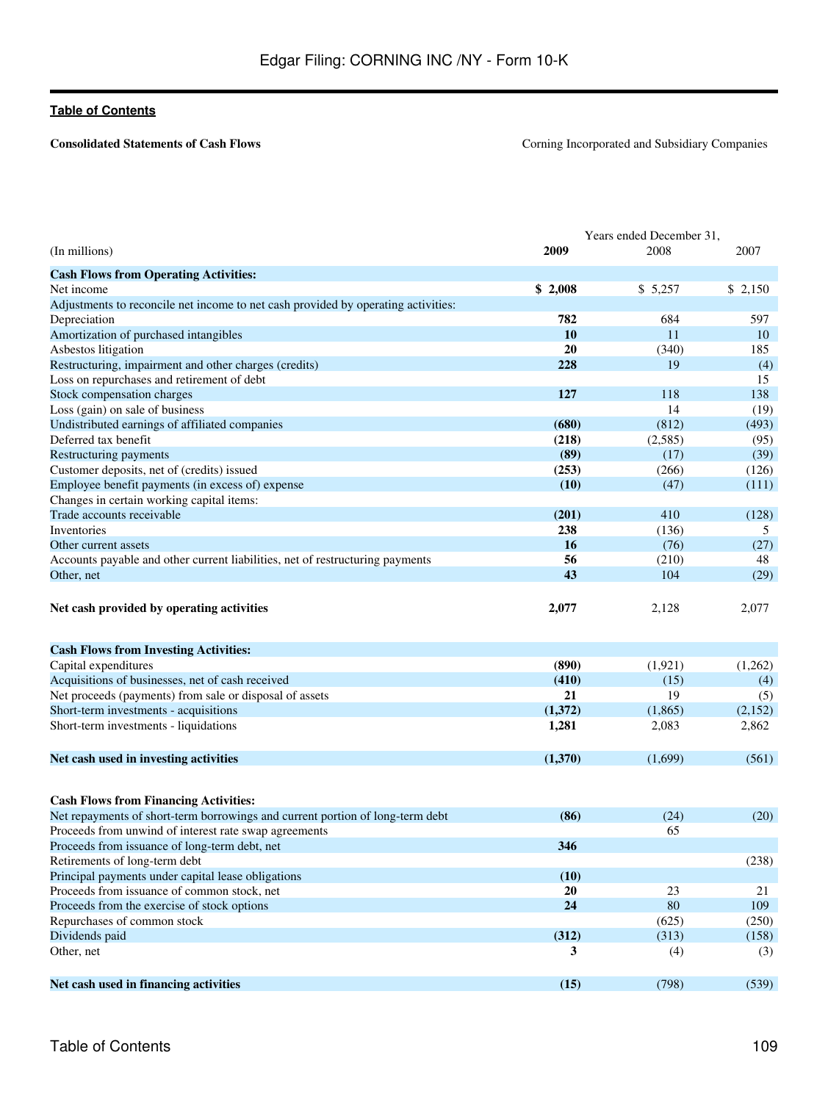Consolidated Statements of Cash Flows **Consolidated Statements of Cash Flows** Corning Incorporated and Subsidiary Companies

|                                                                                   | Years ended December 31, |         |         |  |
|-----------------------------------------------------------------------------------|--------------------------|---------|---------|--|
| (In millions)                                                                     | 2009                     | 2008    | 2007    |  |
| <b>Cash Flows from Operating Activities:</b>                                      |                          |         |         |  |
| Net income                                                                        | \$2,008                  | \$5,257 | \$2,150 |  |
| Adjustments to reconcile net income to net cash provided by operating activities: |                          |         |         |  |
| Depreciation                                                                      | 782                      | 684     | 597     |  |
| Amortization of purchased intangibles                                             | 10                       | 11      | 10      |  |
| Asbestos litigation                                                               | 20                       | (340)   | 185     |  |
| Restructuring, impairment and other charges (credits)                             | 228                      | 19      | (4)     |  |
| Loss on repurchases and retirement of debt                                        |                          |         | 15      |  |
| Stock compensation charges                                                        | 127                      | 118     | 138     |  |
| Loss (gain) on sale of business                                                   |                          | 14      | (19)    |  |
| Undistributed earnings of affiliated companies                                    | (680)                    | (812)   | (493)   |  |
| Deferred tax benefit                                                              | (218)                    | (2,585) | (95)    |  |
| Restructuring payments                                                            | (89)                     | (17)    | (39)    |  |
| Customer deposits, net of (credits) issued                                        | (253)                    | (266)   | (126)   |  |
| Employee benefit payments (in excess of) expense                                  | (10)                     | (47)    | (111)   |  |
| Changes in certain working capital items:                                         |                          |         |         |  |
| Trade accounts receivable                                                         | (201)                    | 410     | (128)   |  |
| <b>Inventories</b>                                                                | 238                      | (136)   | 5       |  |
| Other current assets                                                              | 16                       | (76)    | (27)    |  |
| Accounts payable and other current liabilities, net of restructuring payments     | 56                       | (210)   | 48      |  |
| Other, net                                                                        | 43                       | 104     | (29)    |  |
| Net cash provided by operating activities                                         | 2,077                    | 2,128   | 2,077   |  |
| <b>Cash Flows from Investing Activities:</b>                                      |                          |         |         |  |
| Capital expenditures                                                              | (890)                    | (1,921) | (1,262) |  |
| Acquisitions of businesses, net of cash received                                  | (410)                    | (15)    | (4)     |  |
| Net proceeds (payments) from sale or disposal of assets                           | 21                       | 19      | (5)     |  |
| Short-term investments - acquisitions                                             | (1,372)                  | (1,865) | (2,152) |  |
| Short-term investments - liquidations                                             | 1,281                    | 2,083   | 2,862   |  |
| Net cash used in investing activities                                             | (1,370)                  | (1,699) | (561)   |  |
| <b>Cash Flows from Financing Activities:</b>                                      |                          |         |         |  |
| Net repayments of short-term borrowings and current portion of long-term debt     | (86)                     | (24)    | (20)    |  |
| Proceeds from unwind of interest rate swap agreements                             |                          | 65      |         |  |
| Proceeds from issuance of long-term debt, net                                     | 346                      |         |         |  |
| Retirements of long-term debt                                                     |                          |         | (238)   |  |
| Principal payments under capital lease obligations                                | (10)                     |         |         |  |
| Proceeds from issuance of common stock, net                                       | 20                       | 23      | 21      |  |
| Proceeds from the exercise of stock options                                       | 24                       | 80      | 109     |  |
| Repurchases of common stock                                                       |                          | (625)   | (250)   |  |
| Dividends paid                                                                    | (312)                    | (313)   | (158)   |  |
| Other, net                                                                        | 3                        | (4)     | (3)     |  |
| Net cash used in financing activities                                             | (15)                     | (798)   | (539)   |  |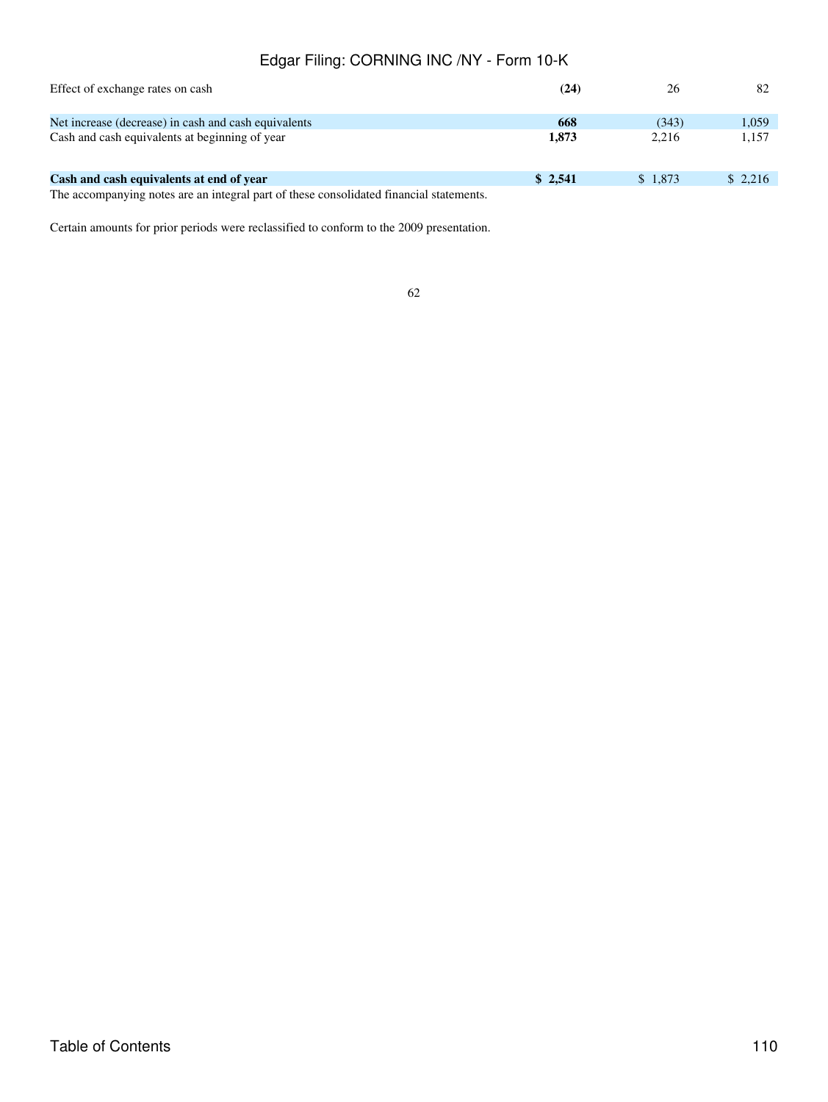| Effect of exchange rates on cash                                                        | (24)    | 26      | 82      |
|-----------------------------------------------------------------------------------------|---------|---------|---------|
| Net increase (decrease) in cash and cash equivalents                                    | 668     | (343)   | 1,059   |
| Cash and cash equivalents at beginning of year                                          | 1.873   | 2.216   | 1.157   |
| Cash and cash equivalents at end of year                                                | \$2.541 | \$1.873 | \$2,216 |
| The accompanying notes are an integral part of these consolidated financial statements. |         |         |         |

Certain amounts for prior periods were reclassified to conform to the 2009 presentation.

# 62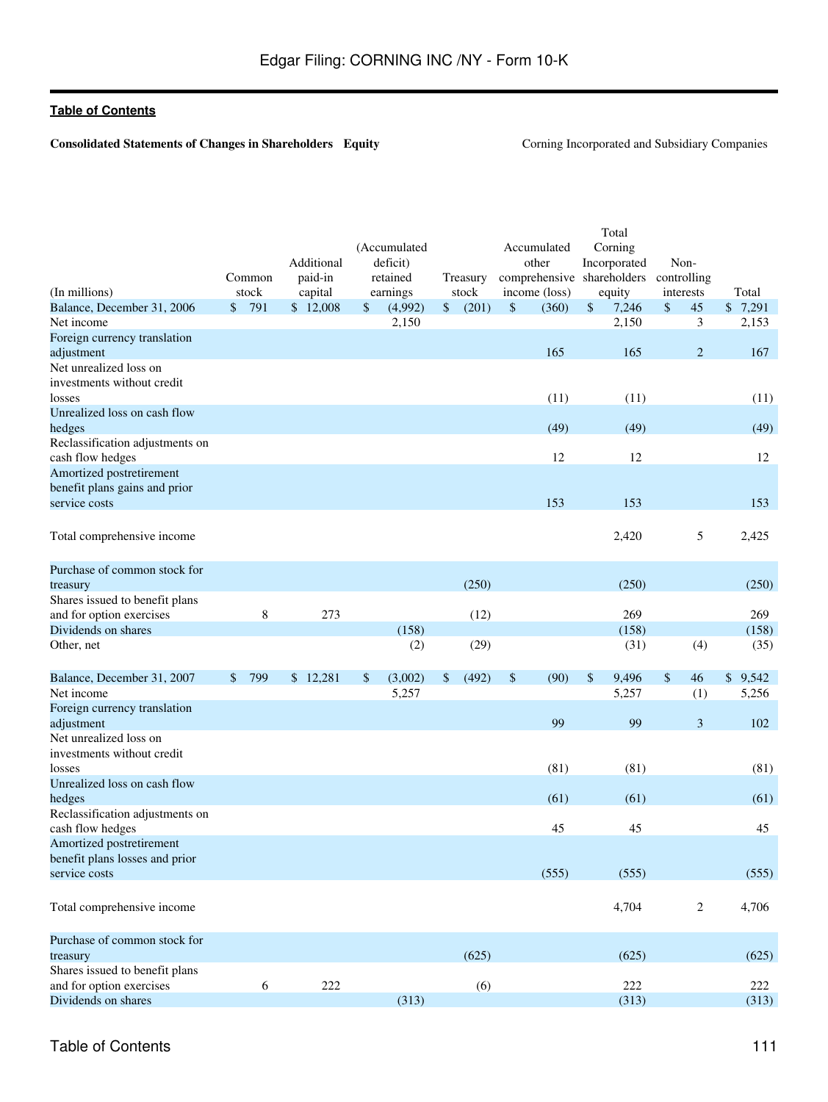# Consolidated Statements of Changes in Shareholders Equity **Consolidated Statements of Changes in Shareholders** Equity **Corning Incorporated and Subsidiary Companies**

| (In millions)                                                  | Common<br>stock     | Additional<br>paid-in<br>capital | (Accumulated<br>deficit)<br>retained<br>earnings | Treasury<br>stock      | Accumulated<br>other<br>comprehensive shareholders controlling<br>income (loss) | Total<br>Corning<br>Incorporated<br>equity | Non-<br>interests | Total   |
|----------------------------------------------------------------|---------------------|----------------------------------|--------------------------------------------------|------------------------|---------------------------------------------------------------------------------|--------------------------------------------|-------------------|---------|
| Balance, December 31, 2006                                     | \$791               | \$12,008                         | $\mathbb{S}$<br>(4,992)                          | (201)<br>$\mathsf{\$}$ | $\mathbb{S}$<br>(360)                                                           | $\mathcal{S}$<br>7,246                     | \$<br>45          | \$7,291 |
| Net income                                                     |                     |                                  | 2,150                                            |                        |                                                                                 | 2,150                                      | 3                 | 2,153   |
| Foreign currency translation<br>adjustment                     |                     |                                  |                                                  |                        | 165                                                                             | 165                                        | $\overline{2}$    | 167     |
| Net unrealized loss on<br>investments without credit<br>losses |                     |                                  |                                                  |                        | (11)                                                                            | (11)                                       |                   | (11)    |
| Unrealized loss on cash flow<br>hedges                         |                     |                                  |                                                  |                        | (49)                                                                            | (49)                                       |                   | (49)    |
| Reclassification adjustments on<br>cash flow hedges            |                     |                                  |                                                  |                        | 12                                                                              | 12                                         |                   | 12      |
| Amortized postretirement                                       |                     |                                  |                                                  |                        |                                                                                 |                                            |                   |         |
| benefit plans gains and prior                                  |                     |                                  |                                                  |                        |                                                                                 |                                            |                   |         |
| service costs                                                  |                     |                                  |                                                  |                        | 153                                                                             | 153                                        |                   | 153     |
| Total comprehensive income                                     |                     |                                  |                                                  |                        |                                                                                 | 2,420                                      | 5                 | 2,425   |
| Purchase of common stock for<br>treasury                       |                     |                                  |                                                  | (250)                  |                                                                                 | (250)                                      |                   | (250)   |
| Shares issued to benefit plans                                 |                     |                                  |                                                  |                        |                                                                                 |                                            |                   |         |
| and for option exercises                                       | $\,8\,$             | 273                              |                                                  | (12)                   |                                                                                 | 269                                        |                   | 269     |
| Dividends on shares                                            |                     |                                  | (158)                                            |                        |                                                                                 | (158)                                      |                   | (158)   |
| Other, net                                                     |                     |                                  | (2)                                              | (29)                   |                                                                                 | (31)                                       | (4)               | (35)    |
| Balance, December 31, 2007                                     | 799<br>$\mathbb{S}$ | \$12,281                         | \$<br>(3,002)                                    | (492)<br>\$            | \$<br>(90)                                                                      | \$<br>9,496                                | \$<br>46          | \$9,542 |
| Net income                                                     |                     |                                  | 5,257                                            |                        |                                                                                 | 5,257                                      | (1)               | 5,256   |
| Foreign currency translation<br>adjustment                     |                     |                                  |                                                  |                        | 99                                                                              | 99                                         | 3                 | 102     |
| Net unrealized loss on                                         |                     |                                  |                                                  |                        |                                                                                 |                                            |                   |         |
| investments without credit<br>losses                           |                     |                                  |                                                  |                        | (81)                                                                            | (81)                                       |                   | (81)    |
| Unrealized loss on cash flow                                   |                     |                                  |                                                  |                        |                                                                                 |                                            |                   |         |
| hedges<br>Reclassification adjustments on                      |                     |                                  |                                                  |                        | (61)                                                                            | (61)                                       |                   | (61)    |
| cash flow hedges                                               |                     |                                  |                                                  |                        | 45                                                                              | 45                                         |                   | 45      |
| Amortized postretirement                                       |                     |                                  |                                                  |                        |                                                                                 |                                            |                   |         |
| benefit plans losses and prior<br>service costs                |                     |                                  |                                                  |                        | (555)                                                                           | (555)                                      |                   | (555)   |
| Total comprehensive income                                     |                     |                                  |                                                  |                        |                                                                                 | 4,704                                      | $\overline{c}$    | 4,706   |
| Purchase of common stock for<br>treasury                       |                     |                                  |                                                  | (625)                  |                                                                                 | (625)                                      |                   | (625)   |
| Shares issued to benefit plans                                 |                     |                                  |                                                  |                        |                                                                                 |                                            |                   |         |
| and for option exercises                                       | 6                   | 222                              |                                                  | (6)                    |                                                                                 | 222                                        |                   | 222     |
| Dividends on shares                                            |                     |                                  | (313)                                            |                        |                                                                                 | (313)                                      |                   | (313)   |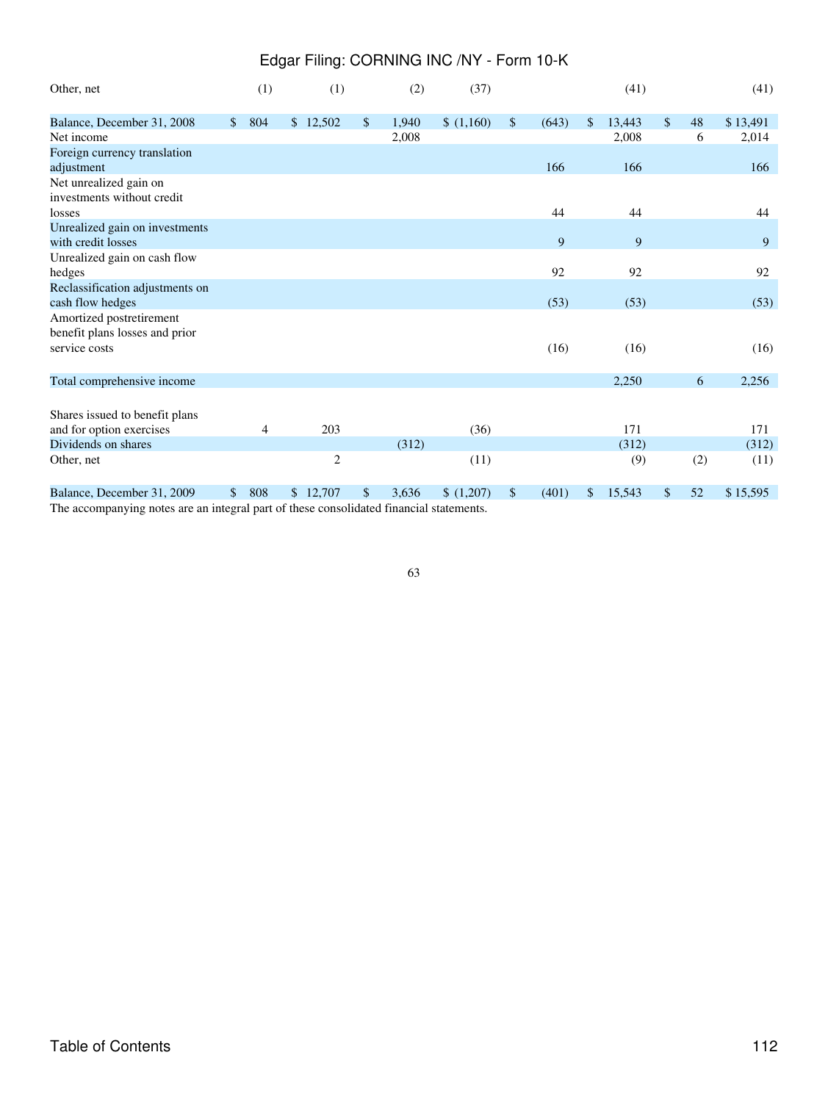| Other, net                                                                      |              | (1) | (1)            |              | (2)            | (37)    |              |       | (41)                  |               | (41)              |
|---------------------------------------------------------------------------------|--------------|-----|----------------|--------------|----------------|---------|--------------|-------|-----------------------|---------------|-------------------|
| Balance, December 31, 2008<br>Net income                                        | $\mathbb{S}$ | 804 | \$12,502       | $\mathbb{S}$ | 1,940<br>2,008 | (1,160) | $\mathbb{S}$ | (643) | \$<br>13,443<br>2,008 | \$<br>48<br>6 | \$13,491<br>2,014 |
| Foreign currency translation<br>adjustment                                      |              |     |                |              |                |         |              | 166   | 166                   |               | 166               |
| Net unrealized gain on<br>investments without credit<br>losses                  |              |     |                |              |                |         |              | 44    | 44                    |               | 44                |
| Unrealized gain on investments<br>with credit losses                            |              |     |                |              |                |         |              | 9     | 9                     |               | 9                 |
| Unrealized gain on cash flow<br>hedges                                          |              |     |                |              |                |         |              | 92    | 92                    |               | 92                |
| Reclassification adjustments on<br>cash flow hedges<br>Amortized postretirement |              |     |                |              |                |         |              | (53)  | (53)                  |               | (53)              |
| benefit plans losses and prior<br>service costs                                 |              |     |                |              |                |         |              | (16)  | (16)                  |               | (16)              |
| Total comprehensive income                                                      |              |     |                |              |                |         |              |       | 2,250                 | 6             | 2,256             |
| Shares issued to benefit plans<br>and for option exercises                      |              | 4   | 203            |              |                | (36)    |              |       | 171                   |               | 171               |
| Dividends on shares<br>Other, net                                               |              |     | $\overline{2}$ |              | (312)          | (11)    |              |       | (312)<br>(9)          | (2)           | (312)<br>(11)     |
| Balance, December 31, 2009                                                      | \$           | 808 | \$12,707       | \$           | 3,636          | (1,207) | \$           | (401) | \$<br>15,543          | \$<br>52      | \$15,595          |

The accompanying notes are an integral part of these consolidated financial statements.

63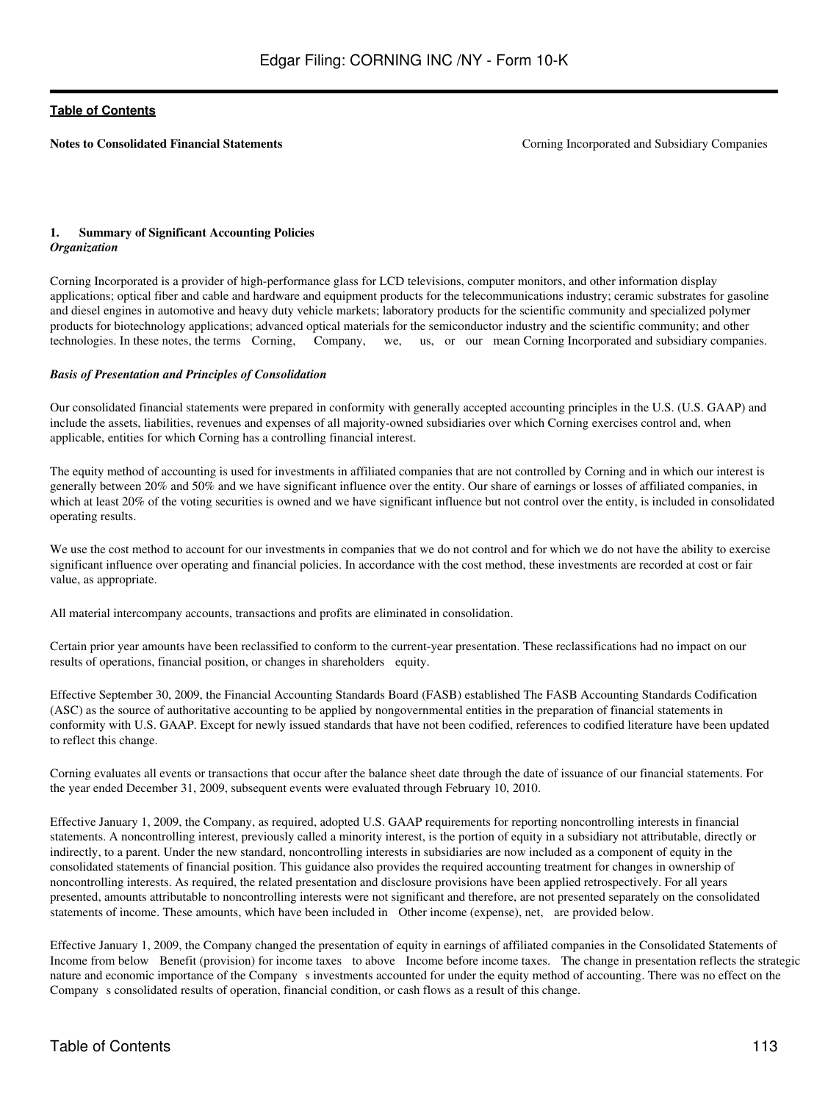**Notes to Consolidated Financial Statements** Corning Incorporated and Subsidiary Companies

#### **1. Summary of Significant Accounting Policies** *Organization*

Corning Incorporated is a provider of high-performance glass for LCD televisions, computer monitors, and other information display applications; optical fiber and cable and hardware and equipment products for the telecommunications industry; ceramic substrates for gasoline and diesel engines in automotive and heavy duty vehicle markets; laboratory products for the scientific community and specialized polymer products for biotechnology applications; advanced optical materials for the semiconductor industry and the scientific community; and other technologies. In these notes, the terms Corning, Company, we, us, or our mean Corning Incorporated and subsidiary companies.

### *Basis of Presentation and Principles of Consolidation*

Our consolidated financial statements were prepared in conformity with generally accepted accounting principles in the U.S. (U.S. GAAP) and include the assets, liabilities, revenues and expenses of all majority-owned subsidiaries over which Corning exercises control and, when applicable, entities for which Corning has a controlling financial interest.

The equity method of accounting is used for investments in affiliated companies that are not controlled by Corning and in which our interest is generally between 20% and 50% and we have significant influence over the entity. Our share of earnings or losses of affiliated companies, in which at least 20% of the voting securities is owned and we have significant influence but not control over the entity, is included in consolidated operating results.

We use the cost method to account for our investments in companies that we do not control and for which we do not have the ability to exercise significant influence over operating and financial policies. In accordance with the cost method, these investments are recorded at cost or fair value, as appropriate.

All material intercompany accounts, transactions and profits are eliminated in consolidation.

Certain prior year amounts have been reclassified to conform to the current-year presentation. These reclassifications had no impact on our results of operations, financial position, or changes in shareholders equity.

Effective September 30, 2009, the Financial Accounting Standards Board (FASB) established The FASB Accounting Standards Codification (ASC) as the source of authoritative accounting to be applied by nongovernmental entities in the preparation of financial statements in conformity with U.S. GAAP. Except for newly issued standards that have not been codified, references to codified literature have been updated to reflect this change.

Corning evaluates all events or transactions that occur after the balance sheet date through the date of issuance of our financial statements. For the year ended December 31, 2009, subsequent events were evaluated through February 10, 2010.

Effective January 1, 2009, the Company, as required, adopted U.S. GAAP requirements for reporting noncontrolling interests in financial statements. A noncontrolling interest, previously called a minority interest, is the portion of equity in a subsidiary not attributable, directly or indirectly, to a parent. Under the new standard, noncontrolling interests in subsidiaries are now included as a component of equity in the consolidated statements of financial position. This guidance also provides the required accounting treatment for changes in ownership of noncontrolling interests. As required, the related presentation and disclosure provisions have been applied retrospectively. For all years presented, amounts attributable to noncontrolling interests were not significant and therefore, are not presented separately on the consolidated statements of income. These amounts, which have been included in Other income (expense), net, are provided below.

Effective January 1, 2009, the Company changed the presentation of equity in earnings of affiliated companies in the Consolidated Statements of Income from below Benefit (provision) for income taxes to above Income before income taxes. The change in presentation reflects the strategic nature and economic importance of the Company s investments accounted for under the equity method of accounting. There was no effect on the Companys consolidated results of operation, financial condition, or cash flows as a result of this change.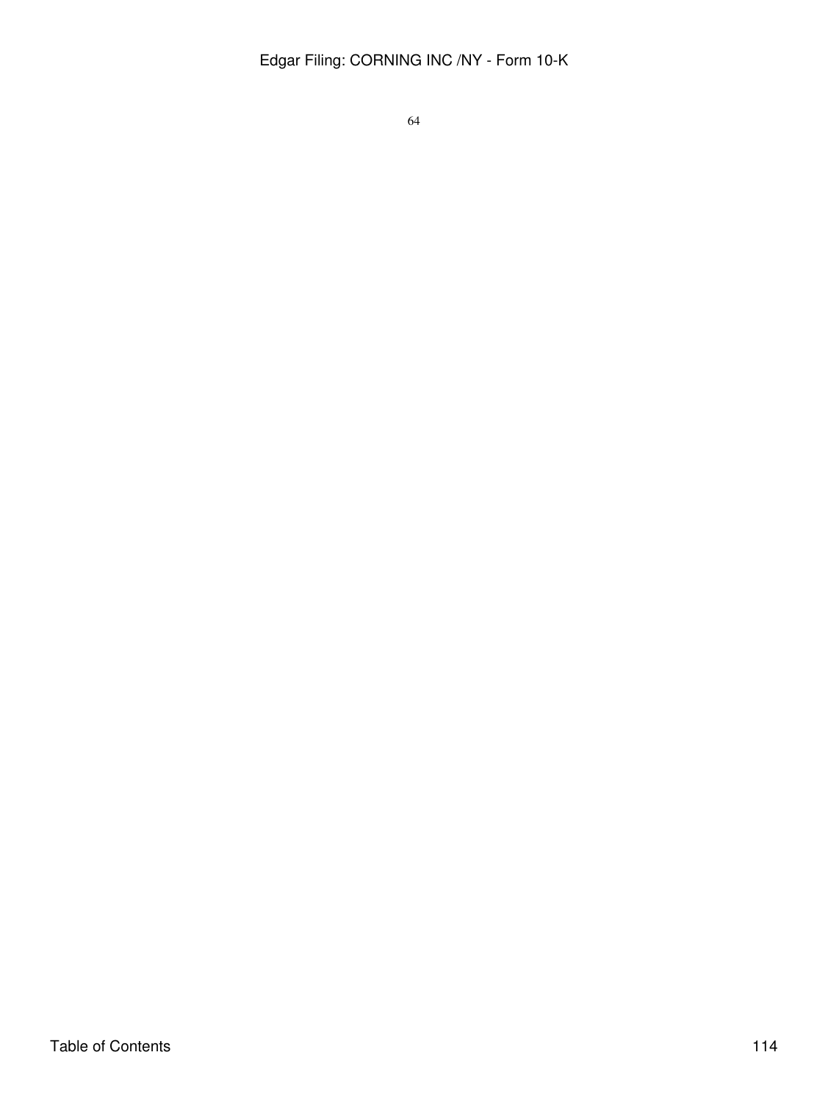64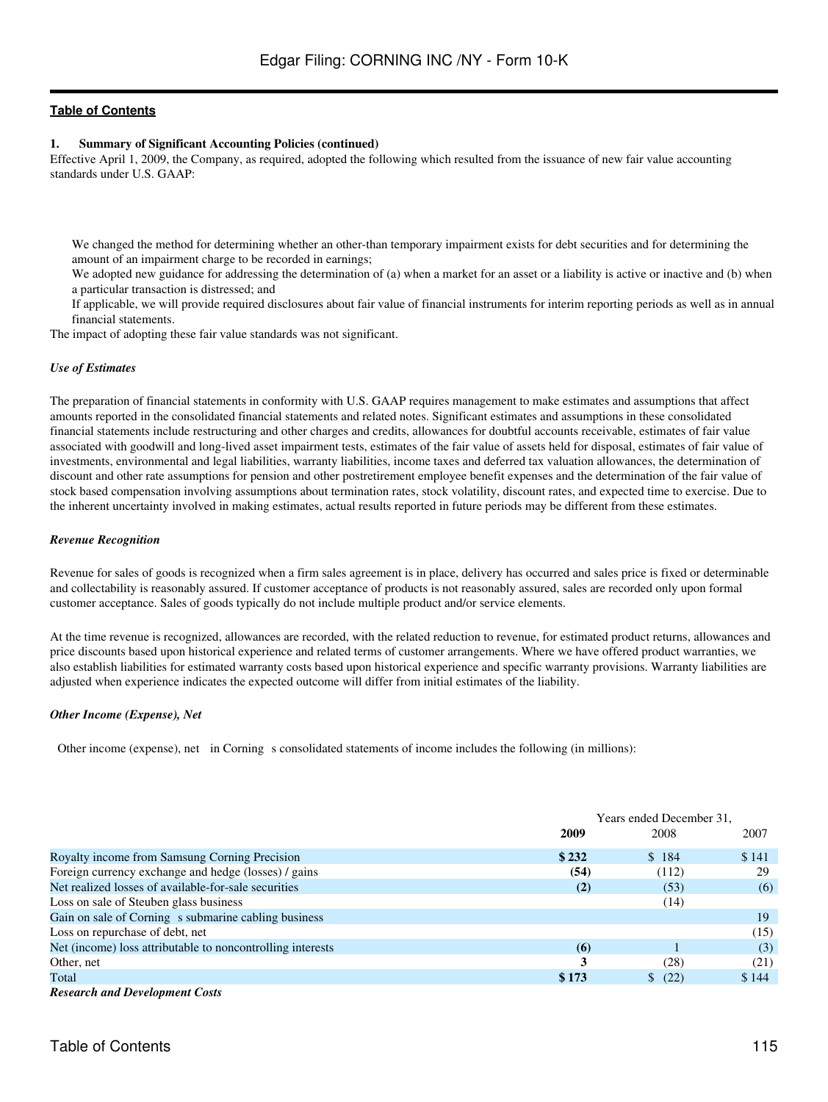#### **1. Summary of Significant Accounting Policies (continued)**

Effective April 1, 2009, the Company, as required, adopted the following which resulted from the issuance of new fair value accounting standards under U.S. GAAP:

We changed the method for determining whether an other-than temporary impairment exists for debt securities and for determining the amount of an impairment charge to be recorded in earnings;

We adopted new guidance for addressing the determination of (a) when a market for an asset or a liability is active or inactive and (b) when a particular transaction is distressed; and

If applicable, we will provide required disclosures about fair value of financial instruments for interim reporting periods as well as in annual financial statements.

The impact of adopting these fair value standards was not significant.

#### *Use of Estimates*

The preparation of financial statements in conformity with U.S. GAAP requires management to make estimates and assumptions that affect amounts reported in the consolidated financial statements and related notes. Significant estimates and assumptions in these consolidated financial statements include restructuring and other charges and credits, allowances for doubtful accounts receivable, estimates of fair value associated with goodwill and long-lived asset impairment tests, estimates of the fair value of assets held for disposal, estimates of fair value of investments, environmental and legal liabilities, warranty liabilities, income taxes and deferred tax valuation allowances, the determination of discount and other rate assumptions for pension and other postretirement employee benefit expenses and the determination of the fair value of stock based compensation involving assumptions about termination rates, stock volatility, discount rates, and expected time to exercise. Due to the inherent uncertainty involved in making estimates, actual results reported in future periods may be different from these estimates.

#### *Revenue Recognition*

Revenue for sales of goods is recognized when a firm sales agreement is in place, delivery has occurred and sales price is fixed or determinable and collectability is reasonably assured. If customer acceptance of products is not reasonably assured, sales are recorded only upon formal customer acceptance. Sales of goods typically do not include multiple product and/or service elements.

At the time revenue is recognized, allowances are recorded, with the related reduction to revenue, for estimated product returns, allowances and price discounts based upon historical experience and related terms of customer arrangements. Where we have offered product warranties, we also establish liabilities for estimated warranty costs based upon historical experience and specific warranty provisions. Warranty liabilities are adjusted when experience indicates the expected outcome will differ from initial estimates of the liability.

### *Other Income (Expense), Net*

Other income (expense), net in Corning s consolidated statements of income includes the following (in millions):

|                                                            | 2009  | Years ended December 31,<br>2008 | 2007  |
|------------------------------------------------------------|-------|----------------------------------|-------|
| Royalty income from Samsung Corning Precision              | \$232 | \$184                            | \$141 |
| Foreign currency exchange and hedge (losses) / gains       | (54)  | (112)                            | 29    |
| Net realized losses of available-for-sale securities       | (2)   | (53)                             | (6)   |
| Loss on sale of Steuben glass business                     |       | (14)                             |       |
| Gain on sale of Corning s submarine cabling business       |       |                                  | 19    |
| Loss on repurchase of debt, net                            |       |                                  | (15)  |
| Net (income) loss attributable to noncontrolling interests | (6)   |                                  | (3)   |
| Other, net                                                 | 3     | (28)                             | (21)  |
| Total                                                      | \$173 | $\frac{1}{2}$ (22)               | \$144 |
| <b>Research and Development Costs</b>                      |       |                                  |       |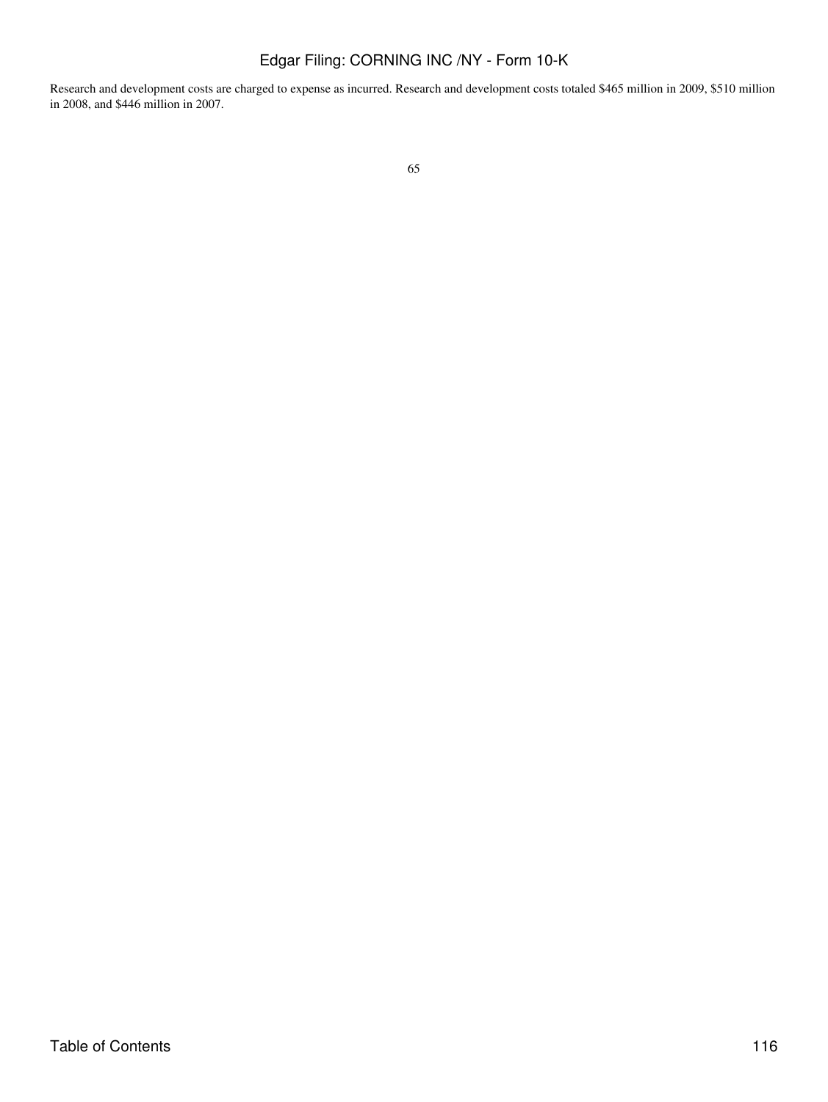Research and development costs are charged to expense as incurred. Research and development costs totaled \$465 million in 2009, \$510 million in 2008, and \$446 million in 2007.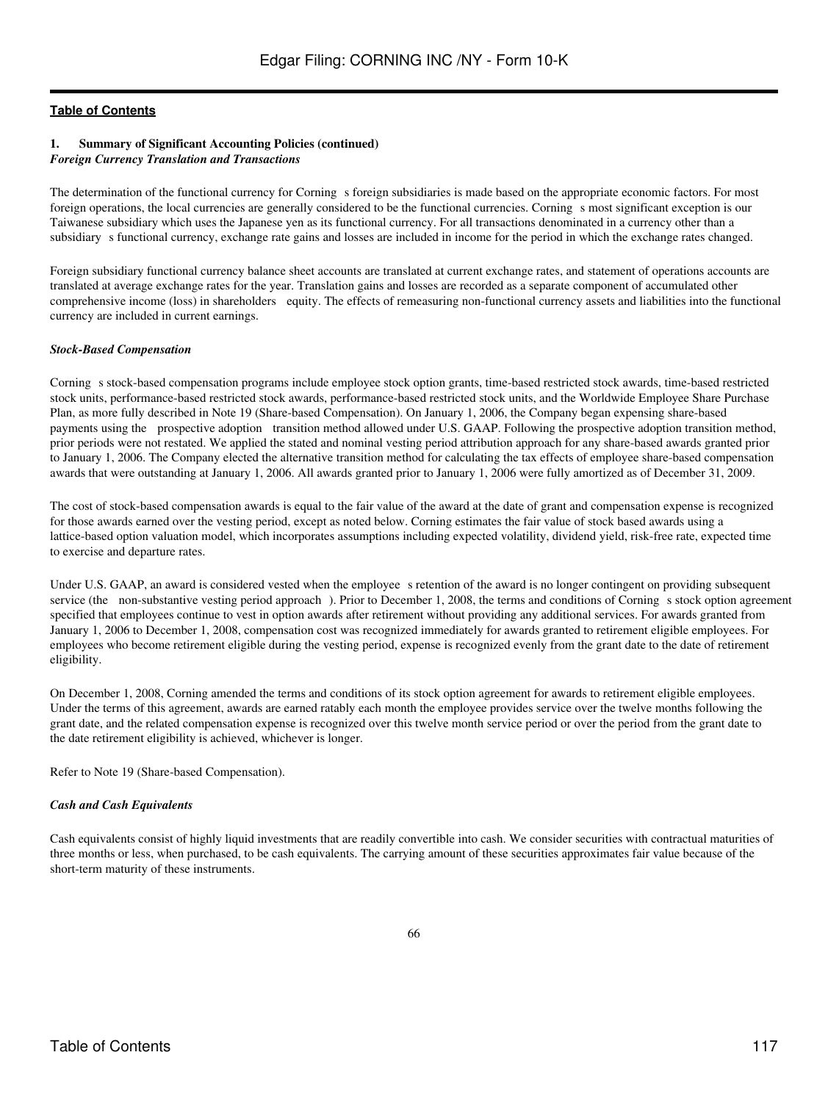#### **1. Summary of Significant Accounting Policies (continued)** *Foreign Currency Translation and Transactions*

The determination of the functional currency for Corning s foreign subsidiaries is made based on the appropriate economic factors. For most foreign operations, the local currencies are generally considered to be the functional currencies. Corning s most significant exception is our Taiwanese subsidiary which uses the Japanese yen as its functional currency. For all transactions denominated in a currency other than a subsidiary s functional currency, exchange rate gains and losses are included in income for the period in which the exchange rates changed.

Foreign subsidiary functional currency balance sheet accounts are translated at current exchange rates, and statement of operations accounts are translated at average exchange rates for the year. Translation gains and losses are recorded as a separate component of accumulated other comprehensive income (loss) in shareholders equity. The effects of remeasuring non-functional currency assets and liabilities into the functional currency are included in current earnings.

#### *Stock-Based Compensation*

Corning s stock-based compensation programs include employee stock option grants, time-based restricted stock awards, time-based restricted stock units, performance-based restricted stock awards, performance-based restricted stock units, and the Worldwide Employee Share Purchase Plan, as more fully described in Note 19 (Share-based Compensation). On January 1, 2006, the Company began expensing share-based payments using the prospective adoption transition method allowed under U.S. GAAP. Following the prospective adoption transition method, prior periods were not restated. We applied the stated and nominal vesting period attribution approach for any share-based awards granted prior to January 1, 2006. The Company elected the alternative transition method for calculating the tax effects of employee share-based compensation awards that were outstanding at January 1, 2006. All awards granted prior to January 1, 2006 were fully amortized as of December 31, 2009.

The cost of stock-based compensation awards is equal to the fair value of the award at the date of grant and compensation expense is recognized for those awards earned over the vesting period, except as noted below. Corning estimates the fair value of stock based awards using a lattice-based option valuation model, which incorporates assumptions including expected volatility, dividend yield, risk-free rate, expected time to exercise and departure rates.

Under U.S. GAAP, an award is considered vested when the employee s retention of the award is no longer contingent on providing subsequent service (the non-substantive vesting period approach). Prior to December 1, 2008, the terms and conditions of Corning s stock option agreement specified that employees continue to vest in option awards after retirement without providing any additional services. For awards granted from January 1, 2006 to December 1, 2008, compensation cost was recognized immediately for awards granted to retirement eligible employees. For employees who become retirement eligible during the vesting period, expense is recognized evenly from the grant date to the date of retirement eligibility.

On December 1, 2008, Corning amended the terms and conditions of its stock option agreement for awards to retirement eligible employees. Under the terms of this agreement, awards are earned ratably each month the employee provides service over the twelve months following the grant date, and the related compensation expense is recognized over this twelve month service period or over the period from the grant date to the date retirement eligibility is achieved, whichever is longer.

Refer to Note 19 (Share-based Compensation).

### *Cash and Cash Equivalents*

Cash equivalents consist of highly liquid investments that are readily convertible into cash. We consider securities with contractual maturities of three months or less, when purchased, to be cash equivalents. The carrying amount of these securities approximates fair value because of the short-term maturity of these instruments.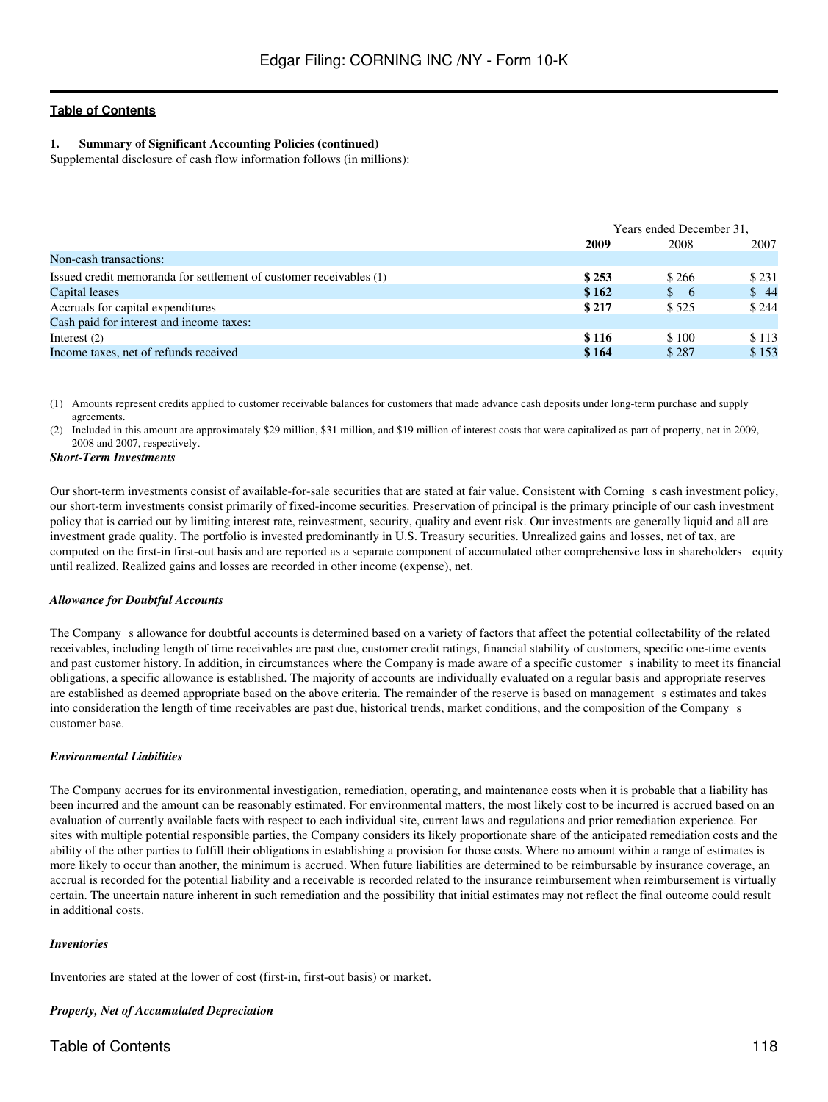### **1. Summary of Significant Accounting Policies (continued)**

Supplemental disclosure of cash flow information follows (in millions):

|                                                                    | Years ended December 31. |                 |       |
|--------------------------------------------------------------------|--------------------------|-----------------|-------|
|                                                                    | 2009                     | 2008            | 2007  |
| Non-cash transactions:                                             |                          |                 |       |
| Issued credit memoranda for settlement of customer receivables (1) | \$253                    | \$266           | \$231 |
| Capital leases                                                     | \$162                    | $\frac{1}{2}$ 6 | \$44  |
| Accruals for capital expenditures                                  | \$217                    | \$525           | \$244 |
| Cash paid for interest and income taxes:                           |                          |                 |       |
| Interest $(2)$                                                     | \$116                    | \$100           | \$113 |
| Income taxes, net of refunds received                              | \$164                    | \$287           | \$153 |

(1) Amounts represent credits applied to customer receivable balances for customers that made advance cash deposits under long-term purchase and supply agreements.

(2) Included in this amount are approximately \$29 million, \$31 million, and \$19 million of interest costs that were capitalized as part of property, net in 2009, 2008 and 2007, respectively.

#### *Short-Term Investments*

Our short-term investments consist of available-for-sale securities that are stated at fair value. Consistent with Cornings cash investment policy, our short-term investments consist primarily of fixed-income securities. Preservation of principal is the primary principle of our cash investment policy that is carried out by limiting interest rate, reinvestment, security, quality and event risk. Our investments are generally liquid and all are investment grade quality. The portfolio is invested predominantly in U.S. Treasury securities. Unrealized gains and losses, net of tax, are computed on the first-in first-out basis and are reported as a separate component of accumulated other comprehensive loss in shareholders equity until realized. Realized gains and losses are recorded in other income (expense), net.

### *Allowance for Doubtful Accounts*

The Company s allowance for doubtful accounts is determined based on a variety of factors that affect the potential collectability of the related receivables, including length of time receivables are past due, customer credit ratings, financial stability of customers, specific one-time events and past customer history. In addition, in circumstances where the Company is made aware of a specific customer s inability to meet its financial obligations, a specific allowance is established. The majority of accounts are individually evaluated on a regular basis and appropriate reserves are established as deemed appropriate based on the above criteria. The remainder of the reserve is based on management sestimates and takes into consideration the length of time receivables are past due, historical trends, market conditions, and the composition of the Companys customer base.

### *Environmental Liabilities*

The Company accrues for its environmental investigation, remediation, operating, and maintenance costs when it is probable that a liability has been incurred and the amount can be reasonably estimated. For environmental matters, the most likely cost to be incurred is accrued based on an evaluation of currently available facts with respect to each individual site, current laws and regulations and prior remediation experience. For sites with multiple potential responsible parties, the Company considers its likely proportionate share of the anticipated remediation costs and the ability of the other parties to fulfill their obligations in establishing a provision for those costs. Where no amount within a range of estimates is more likely to occur than another, the minimum is accrued. When future liabilities are determined to be reimbursable by insurance coverage, an accrual is recorded for the potential liability and a receivable is recorded related to the insurance reimbursement when reimbursement is virtually certain. The uncertain nature inherent in such remediation and the possibility that initial estimates may not reflect the final outcome could result in additional costs.

### *Inventories*

Inventories are stated at the lower of cost (first-in, first-out basis) or market.

### *Property, Net of Accumulated Depreciation*

# Table of Contents 118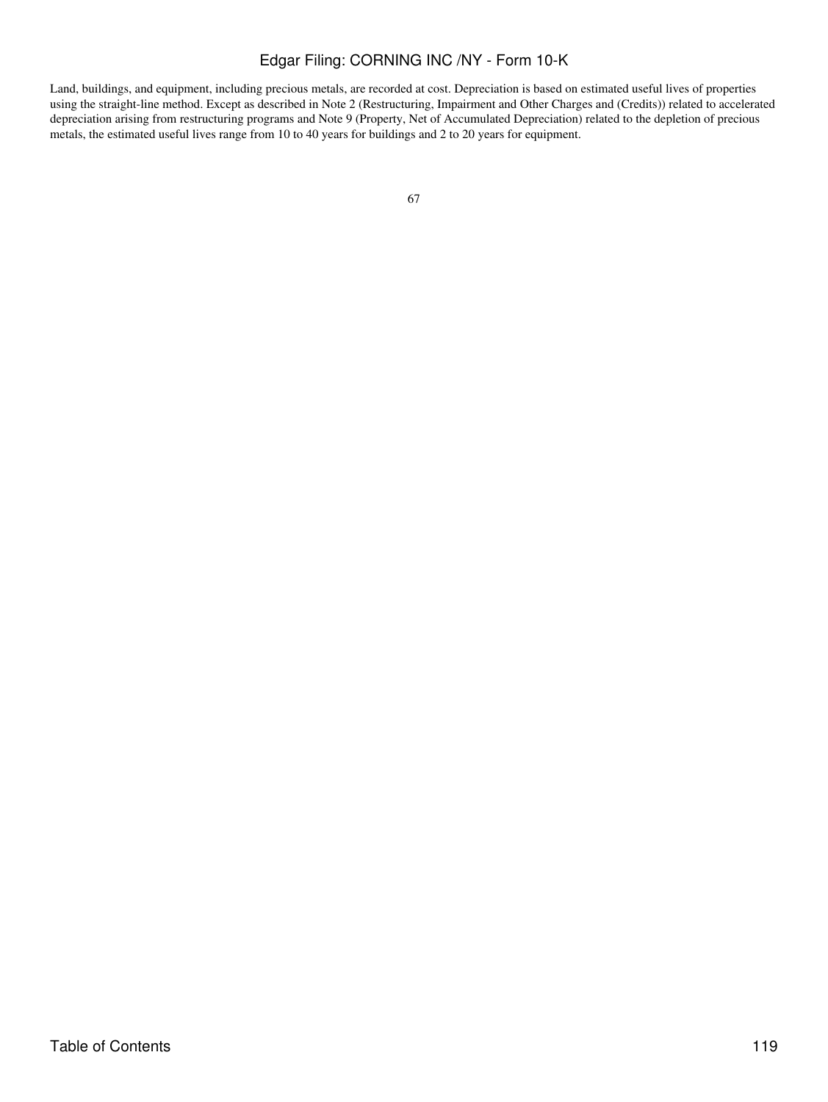Land, buildings, and equipment, including precious metals, are recorded at cost. Depreciation is based on estimated useful lives of properties using the straight-line method. Except as described in Note 2 (Restructuring, Impairment and Other Charges and (Credits)) related to accelerated depreciation arising from restructuring programs and Note 9 (Property, Net of Accumulated Depreciation) related to the depletion of precious metals, the estimated useful lives range from 10 to 40 years for buildings and 2 to 20 years for equipment.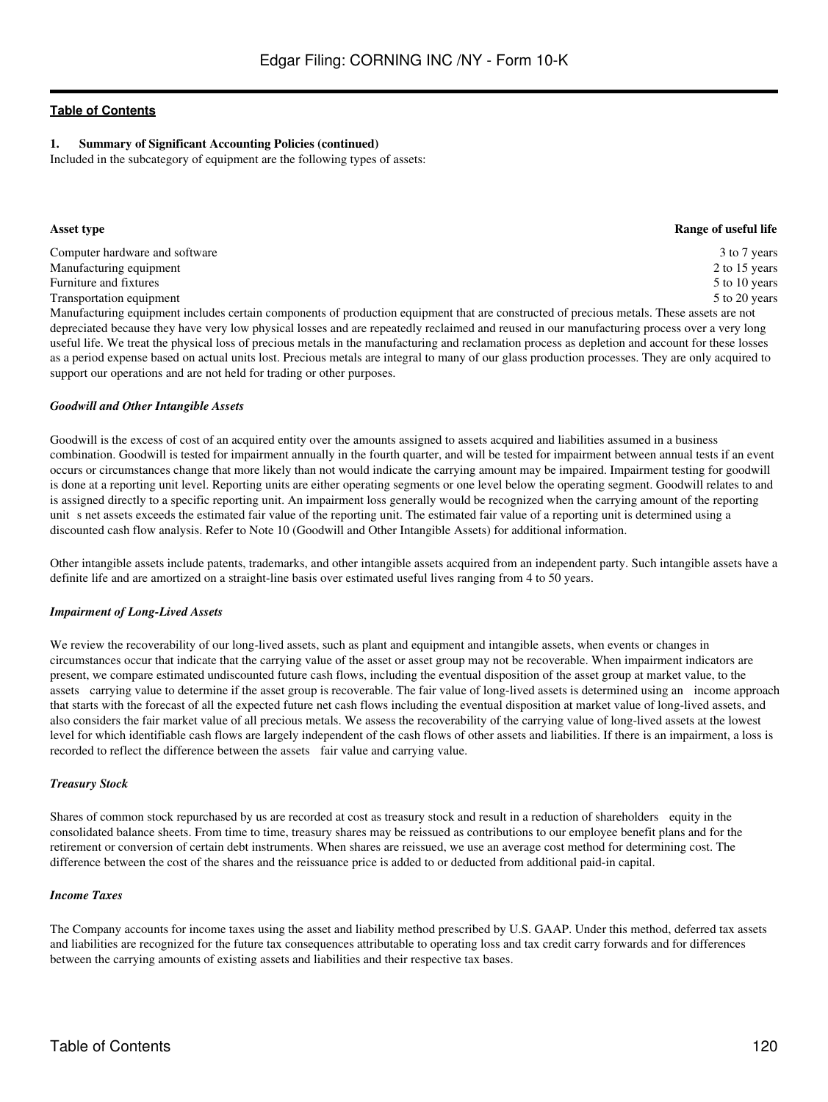### **1. Summary of Significant Accounting Policies (continued)**

Included in the subcategory of equipment are the following types of assets:

| Asset type                                                                                                                                   | Range of useful life |
|----------------------------------------------------------------------------------------------------------------------------------------------|----------------------|
| Computer hardware and software                                                                                                               | 3 to 7 years         |
| Manufacturing equipment                                                                                                                      | 2 to 15 years        |
| Furniture and fixtures                                                                                                                       | 5 to 10 years        |
| Transportation equipment                                                                                                                     | 5 to 20 years        |
| Manufacturing equipment includes certain components of production equipment that are constructed of precious metals. These assets are not    |                      |
| depreciated because they have very low physical losses and are repeatedly reclaimed and reused in our manufacturing process over a very long |                      |

depreciated because they have very low physical losses and are repeatedly reclaimed and reused in our manufacturing process over a very long useful life. We treat the physical loss of precious metals in the manufacturing and reclamation process as depletion and account for these losses as a period expense based on actual units lost. Precious metals are integral to many of our glass production processes. They are only acquired to support our operations and are not held for trading or other purposes.

#### *Goodwill and Other Intangible Assets*

Goodwill is the excess of cost of an acquired entity over the amounts assigned to assets acquired and liabilities assumed in a business combination. Goodwill is tested for impairment annually in the fourth quarter, and will be tested for impairment between annual tests if an event occurs or circumstances change that more likely than not would indicate the carrying amount may be impaired. Impairment testing for goodwill is done at a reporting unit level. Reporting units are either operating segments or one level below the operating segment. Goodwill relates to and is assigned directly to a specific reporting unit. An impairment loss generally would be recognized when the carrying amount of the reporting unit s net assets exceeds the estimated fair value of the reporting unit. The estimated fair value of a reporting unit is determined using a discounted cash flow analysis. Refer to Note 10 (Goodwill and Other Intangible Assets) for additional information.

Other intangible assets include patents, trademarks, and other intangible assets acquired from an independent party. Such intangible assets have a definite life and are amortized on a straight-line basis over estimated useful lives ranging from 4 to 50 years.

### *Impairment of Long-Lived Assets*

We review the recoverability of our long-lived assets, such as plant and equipment and intangible assets, when events or changes in circumstances occur that indicate that the carrying value of the asset or asset group may not be recoverable. When impairment indicators are present, we compare estimated undiscounted future cash flows, including the eventual disposition of the asset group at market value, to the assets carrying value to determine if the asset group is recoverable. The fair value of long-lived assets is determined using an income approach that starts with the forecast of all the expected future net cash flows including the eventual disposition at market value of long-lived assets, and also considers the fair market value of all precious metals. We assess the recoverability of the carrying value of long-lived assets at the lowest level for which identifiable cash flows are largely independent of the cash flows of other assets and liabilities. If there is an impairment, a loss is recorded to reflect the difference between the assets fair value and carrying value.

### *Treasury Stock*

Shares of common stock repurchased by us are recorded at cost as treasury stock and result in a reduction of shareholders equity in the consolidated balance sheets. From time to time, treasury shares may be reissued as contributions to our employee benefit plans and for the retirement or conversion of certain debt instruments. When shares are reissued, we use an average cost method for determining cost. The difference between the cost of the shares and the reissuance price is added to or deducted from additional paid-in capital.

### *Income Taxes*

The Company accounts for income taxes using the asset and liability method prescribed by U.S. GAAP. Under this method, deferred tax assets and liabilities are recognized for the future tax consequences attributable to operating loss and tax credit carry forwards and for differences between the carrying amounts of existing assets and liabilities and their respective tax bases.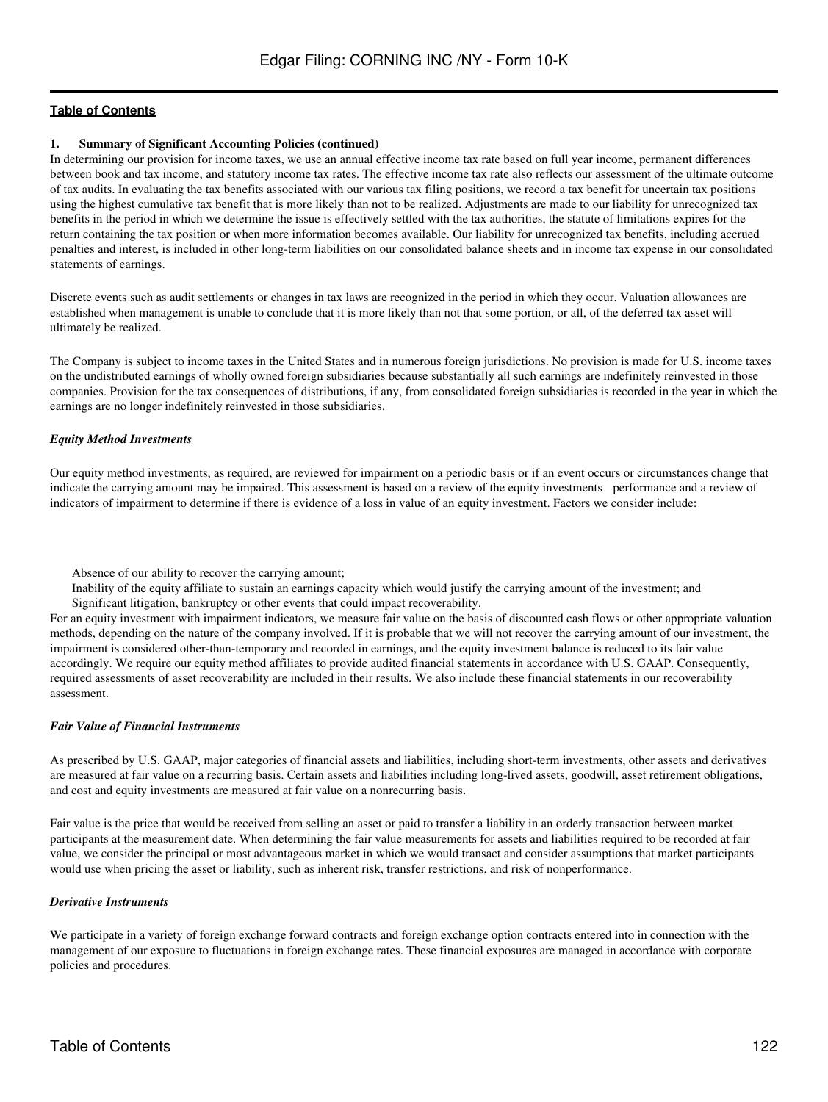#### **1. Summary of Significant Accounting Policies (continued)**

In determining our provision for income taxes, we use an annual effective income tax rate based on full year income, permanent differences between book and tax income, and statutory income tax rates. The effective income tax rate also reflects our assessment of the ultimate outcome of tax audits. In evaluating the tax benefits associated with our various tax filing positions, we record a tax benefit for uncertain tax positions using the highest cumulative tax benefit that is more likely than not to be realized. Adjustments are made to our liability for unrecognized tax benefits in the period in which we determine the issue is effectively settled with the tax authorities, the statute of limitations expires for the return containing the tax position or when more information becomes available. Our liability for unrecognized tax benefits, including accrued penalties and interest, is included in other long-term liabilities on our consolidated balance sheets and in income tax expense in our consolidated statements of earnings.

Discrete events such as audit settlements or changes in tax laws are recognized in the period in which they occur. Valuation allowances are established when management is unable to conclude that it is more likely than not that some portion, or all, of the deferred tax asset will ultimately be realized.

The Company is subject to income taxes in the United States and in numerous foreign jurisdictions. No provision is made for U.S. income taxes on the undistributed earnings of wholly owned foreign subsidiaries because substantially all such earnings are indefinitely reinvested in those companies. Provision for the tax consequences of distributions, if any, from consolidated foreign subsidiaries is recorded in the year in which the earnings are no longer indefinitely reinvested in those subsidiaries.

#### *Equity Method Investments*

Our equity method investments, as required, are reviewed for impairment on a periodic basis or if an event occurs or circumstances change that indicate the carrying amount may be impaired. This assessment is based on a review of the equity investments performance and a review of indicators of impairment to determine if there is evidence of a loss in value of an equity investment. Factors we consider include:

Absence of our ability to recover the carrying amount;

Inability of the equity affiliate to sustain an earnings capacity which would justify the carrying amount of the investment; and Significant litigation, bankruptcy or other events that could impact recoverability.

For an equity investment with impairment indicators, we measure fair value on the basis of discounted cash flows or other appropriate valuation methods, depending on the nature of the company involved. If it is probable that we will not recover the carrying amount of our investment, the impairment is considered other-than-temporary and recorded in earnings, and the equity investment balance is reduced to its fair value accordingly. We require our equity method affiliates to provide audited financial statements in accordance with U.S. GAAP. Consequently, required assessments of asset recoverability are included in their results. We also include these financial statements in our recoverability assessment.

### *Fair Value of Financial Instruments*

As prescribed by U.S. GAAP, major categories of financial assets and liabilities, including short-term investments, other assets and derivatives are measured at fair value on a recurring basis. Certain assets and liabilities including long-lived assets, goodwill, asset retirement obligations, and cost and equity investments are measured at fair value on a nonrecurring basis.

Fair value is the price that would be received from selling an asset or paid to transfer a liability in an orderly transaction between market participants at the measurement date. When determining the fair value measurements for assets and liabilities required to be recorded at fair value, we consider the principal or most advantageous market in which we would transact and consider assumptions that market participants would use when pricing the asset or liability, such as inherent risk, transfer restrictions, and risk of nonperformance.

#### *Derivative Instruments*

We participate in a variety of foreign exchange forward contracts and foreign exchange option contracts entered into in connection with the management of our exposure to fluctuations in foreign exchange rates. These financial exposures are managed in accordance with corporate policies and procedures.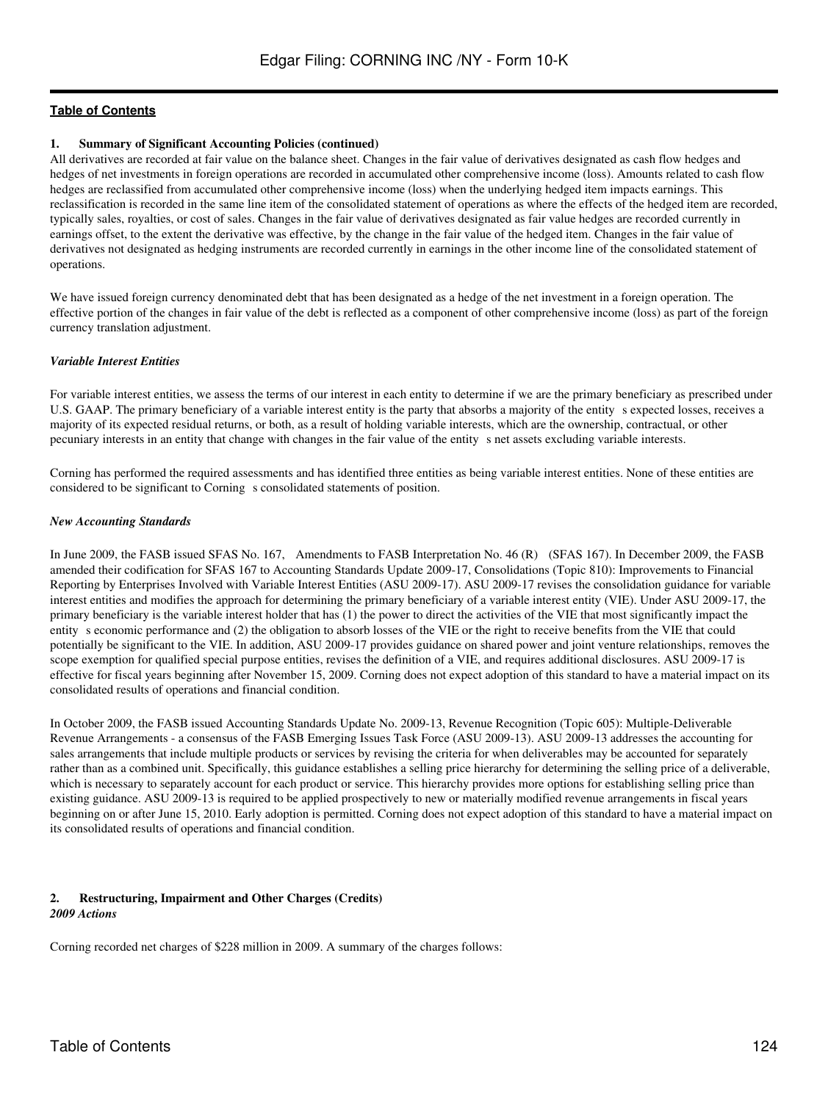#### **1. Summary of Significant Accounting Policies (continued)**

All derivatives are recorded at fair value on the balance sheet. Changes in the fair value of derivatives designated as cash flow hedges and hedges of net investments in foreign operations are recorded in accumulated other comprehensive income (loss). Amounts related to cash flow hedges are reclassified from accumulated other comprehensive income (loss) when the underlying hedged item impacts earnings. This reclassification is recorded in the same line item of the consolidated statement of operations as where the effects of the hedged item are recorded, typically sales, royalties, or cost of sales. Changes in the fair value of derivatives designated as fair value hedges are recorded currently in earnings offset, to the extent the derivative was effective, by the change in the fair value of the hedged item. Changes in the fair value of derivatives not designated as hedging instruments are recorded currently in earnings in the other income line of the consolidated statement of operations.

We have issued foreign currency denominated debt that has been designated as a hedge of the net investment in a foreign operation. The effective portion of the changes in fair value of the debt is reflected as a component of other comprehensive income (loss) as part of the foreign currency translation adjustment.

#### *Variable Interest Entities*

For variable interest entities, we assess the terms of our interest in each entity to determine if we are the primary beneficiary as prescribed under U.S. GAAP. The primary beneficiary of a variable interest entity is the party that absorbs a majority of the entity s expected losses, receives a majority of its expected residual returns, or both, as a result of holding variable interests, which are the ownership, contractual, or other pecuniary interests in an entity that change with changes in the fair value of the entitys net assets excluding variable interests.

Corning has performed the required assessments and has identified three entities as being variable interest entities. None of these entities are considered to be significant to Corning s consolidated statements of position.

#### *New Accounting Standards*

In June 2009, the FASB issued SFAS No. 167, Amendments to FASB Interpretation No. 46 (R) (SFAS 167). In December 2009, the FASB amended their codification for SFAS 167 to Accounting Standards Update 2009-17, Consolidations (Topic 810): Improvements to Financial Reporting by Enterprises Involved with Variable Interest Entities (ASU 2009-17). ASU 2009-17 revises the consolidation guidance for variable interest entities and modifies the approach for determining the primary beneficiary of a variable interest entity (VIE). Under ASU 2009-17, the primary beneficiary is the variable interest holder that has (1) the power to direct the activities of the VIE that most significantly impact the entity s economic performance and (2) the obligation to absorb losses of the VIE or the right to receive benefits from the VIE that could potentially be significant to the VIE. In addition, ASU 2009-17 provides guidance on shared power and joint venture relationships, removes the scope exemption for qualified special purpose entities, revises the definition of a VIE, and requires additional disclosures. ASU 2009-17 is effective for fiscal years beginning after November 15, 2009. Corning does not expect adoption of this standard to have a material impact on its consolidated results of operations and financial condition.

In October 2009, the FASB issued Accounting Standards Update No. 2009-13, Revenue Recognition (Topic 605): Multiple-Deliverable Revenue Arrangements - a consensus of the FASB Emerging Issues Task Force (ASU 2009-13). ASU 2009-13 addresses the accounting for sales arrangements that include multiple products or services by revising the criteria for when deliverables may be accounted for separately rather than as a combined unit. Specifically, this guidance establishes a selling price hierarchy for determining the selling price of a deliverable, which is necessary to separately account for each product or service. This hierarchy provides more options for establishing selling price than existing guidance. ASU 2009-13 is required to be applied prospectively to new or materially modified revenue arrangements in fiscal years beginning on or after June 15, 2010. Early adoption is permitted. Corning does not expect adoption of this standard to have a material impact on its consolidated results of operations and financial condition.

#### **2. Restructuring, Impairment and Other Charges (Credits)** *2009 Actions*

Corning recorded net charges of \$228 million in 2009. A summary of the charges follows: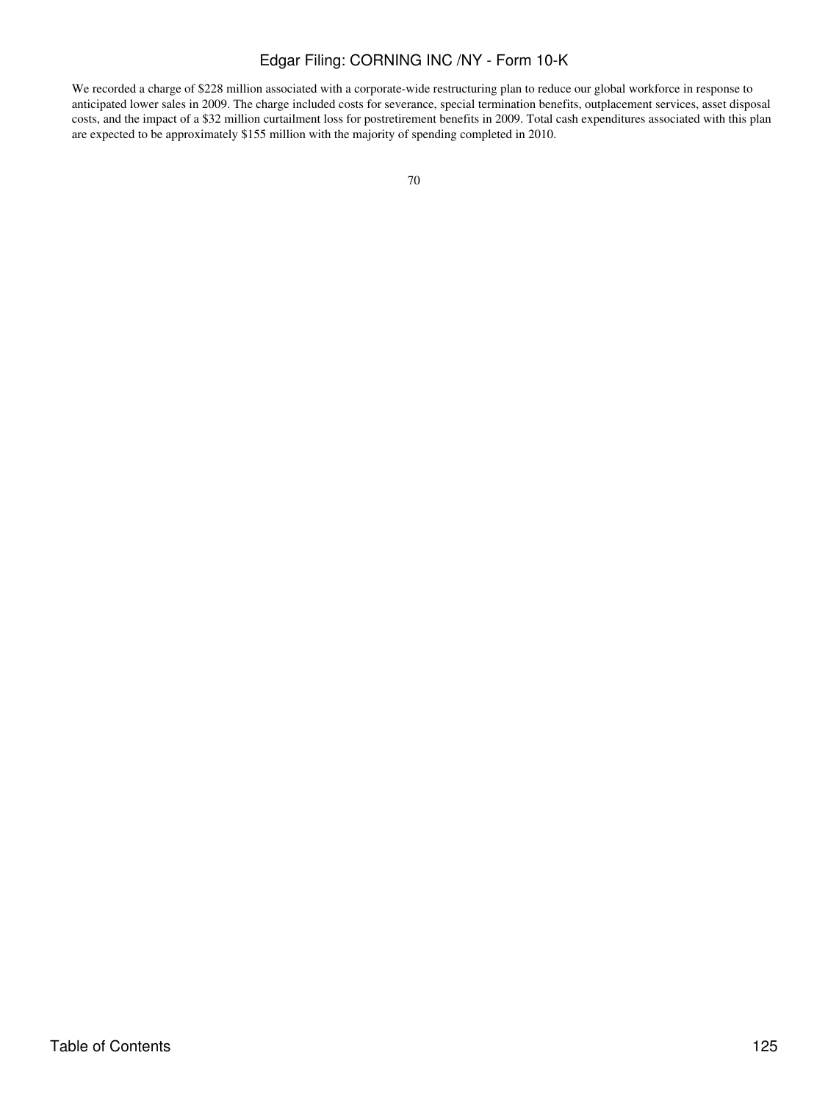We recorded a charge of \$228 million associated with a corporate-wide restructuring plan to reduce our global workforce in response to anticipated lower sales in 2009. The charge included costs for severance, special termination benefits, outplacement services, asset disposal costs, and the impact of a \$32 million curtailment loss for postretirement benefits in 2009. Total cash expenditures associated with this plan are expected to be approximately \$155 million with the majority of spending completed in 2010.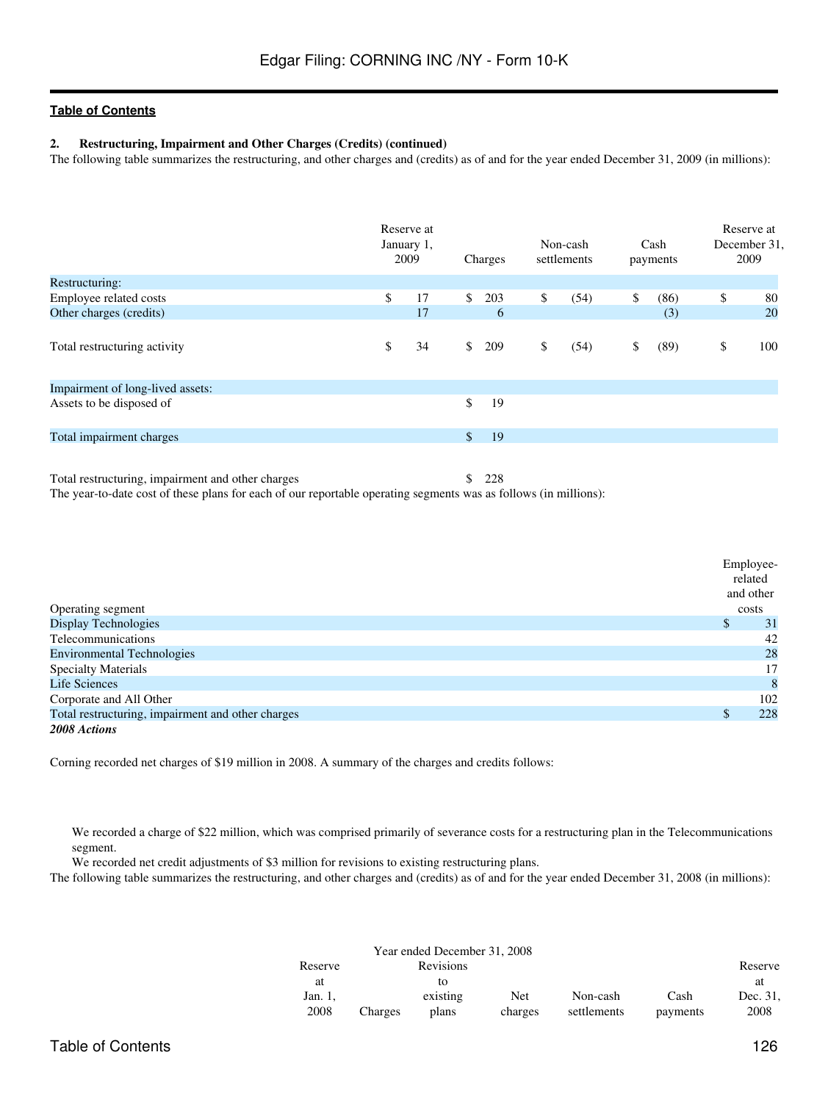#### **2. Restructuring, Impairment and Other Charges (Credits) (continued)**

The following table summarizes the restructuring, and other charges and (credits) as of and for the year ended December 31, 2009 (in millions):

|                                  | Reserve at<br>January 1,<br>2009 |    |              | Charges | Non-cash<br>settlements |      | Cash<br>payments |      | Reserve at<br>December 31,<br>2009 |     |
|----------------------------------|----------------------------------|----|--------------|---------|-------------------------|------|------------------|------|------------------------------------|-----|
| Restructuring:                   |                                  |    |              |         |                         |      |                  |      |                                    |     |
| Employee related costs           | \$                               | 17 | $\mathbb{S}$ | 203     | \$                      | (54) | \$               | (86) | \$                                 | 80  |
| Other charges (credits)          |                                  | 17 |              | 6       |                         |      |                  | (3)  |                                    | 20  |
| Total restructuring activity     | \$                               | 34 | $\mathbb{S}$ | 209     | \$                      | (54) | \$               | (89) | \$                                 | 100 |
| Impairment of long-lived assets: |                                  |    |              |         |                         |      |                  |      |                                    |     |
| Assets to be disposed of         |                                  |    | \$           | 19      |                         |      |                  |      |                                    |     |
| Total impairment charges         |                                  |    | \$           | 19      |                         |      |                  |      |                                    |     |

Total restructuring, impairment and other charges \$ 228 The year-to-date cost of these plans for each of our reportable operating segments was as follows (in millions):

|                                                   | Employee-<br>related |
|---------------------------------------------------|----------------------|
|                                                   | and other            |
| Operating segment                                 | costs                |
| Display Technologies                              | 31<br>Ф              |
| Telecommunications                                | 42                   |
| <b>Environmental Technologies</b>                 | 28                   |
| <b>Specialty Materials</b>                        | 17                   |
| Life Sciences                                     | 8                    |
| Corporate and All Other                           | 102                  |
| Total restructuring, impairment and other charges | 228                  |
| <b>2008 Actions</b>                               |                      |

Corning recorded net charges of \$19 million in 2008. A summary of the charges and credits follows:

We recorded a charge of \$22 million, which was comprised primarily of severance costs for a restructuring plan in the Telecommunications segment.

We recorded net credit adjustments of \$3 million for revisions to existing restructuring plans.

The following table summarizes the restructuring, and other charges and (credits) as of and for the year ended December 31, 2008 (in millions):

|         |         | Year ended December 31, 2008 |            |             |          |          |
|---------|---------|------------------------------|------------|-------------|----------|----------|
| Reserve |         | <b>Revisions</b>             |            |             |          | Reserve  |
| at      |         | tο                           |            |             |          | at       |
| Jan. 1, |         | existing                     | <b>Net</b> | Non-cash    | Cash     | Dec. 31. |
| 2008    | Charges | plans                        | charges    | settlements | payments | 2008     |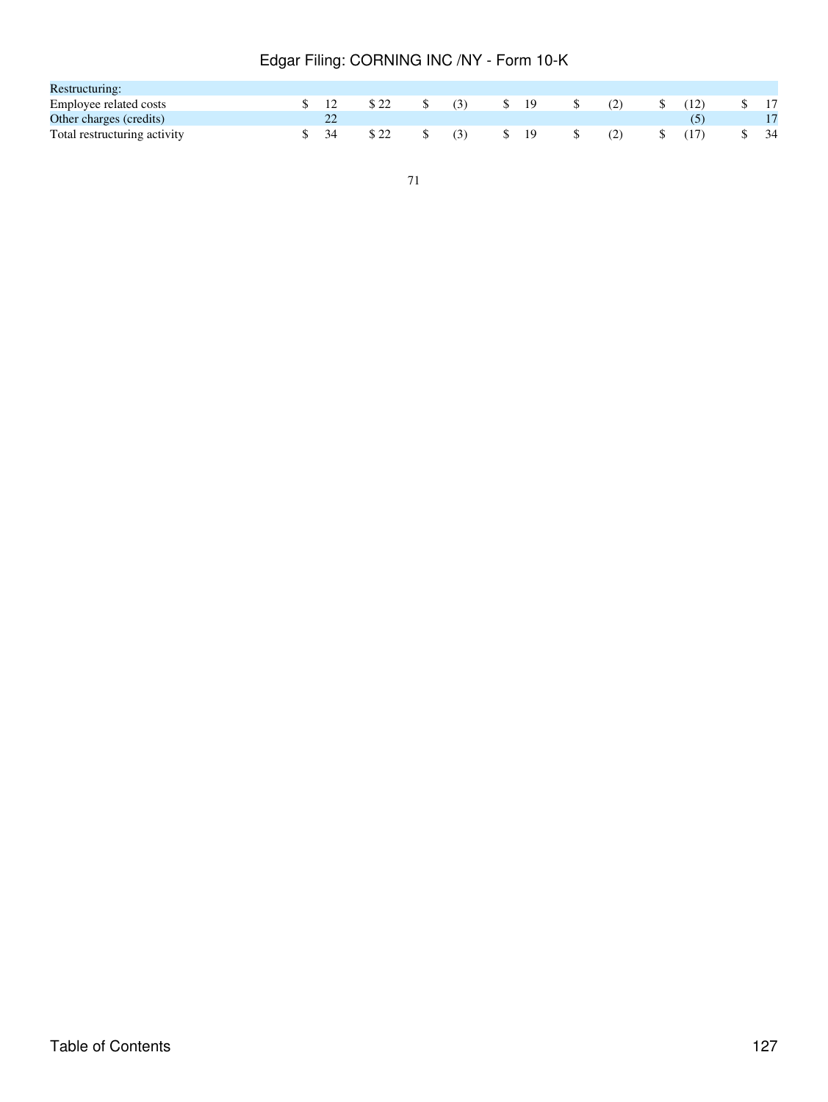| Restructuring:               |    |      |     |    |    |     |      |    |
|------------------------------|----|------|-----|----|----|-----|------|----|
| Employee related costs       |    | \$22 | (3) | S. | 19 | (2) | (12) |    |
| Other charges (credits)      | ∠∠ |      |     |    |    |     |      |    |
| Total restructuring activity |    | \$22 | (3) | S. | 19 | (2) | (17) | 34 |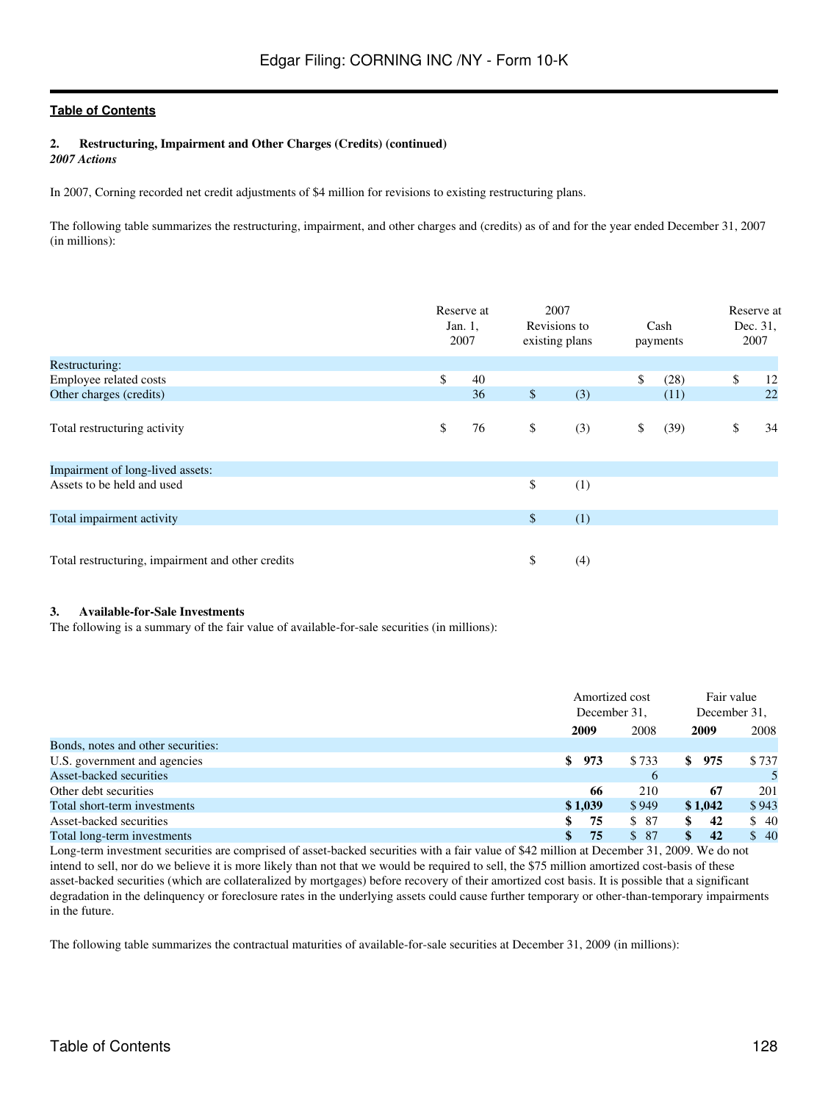### **2. Restructuring, Impairment and Other Charges (Credits) (continued)**

*2007 Actions*

In 2007, Corning recorded net credit adjustments of \$4 million for revisions to existing restructuring plans.

The following table summarizes the restructuring, impairment, and other charges and (credits) as of and for the year ended December 31, 2007 (in millions):

|                                                   | Reserve at<br>Jan. 1,<br>2007 | 2007<br>Revisions to<br>existing plans |     | Cash<br>payments |      | Reserve at<br>Dec. 31,<br>2007 |    |
|---------------------------------------------------|-------------------------------|----------------------------------------|-----|------------------|------|--------------------------------|----|
| Restructuring:                                    |                               |                                        |     |                  |      |                                |    |
| Employee related costs                            | \$<br>40                      |                                        |     | \$               | (28) | \$                             | 12 |
| Other charges (credits)                           | 36                            | \$                                     | (3) |                  | (11) |                                | 22 |
| Total restructuring activity                      | \$<br>76                      | \$                                     | (3) | \$               | (39) | \$                             | 34 |
| Impairment of long-lived assets:                  |                               |                                        |     |                  |      |                                |    |
| Assets to be held and used                        |                               | \$                                     | (1) |                  |      |                                |    |
| Total impairment activity                         |                               | $\mathbb{S}$                           | (1) |                  |      |                                |    |
| Total restructuring, impairment and other credits |                               | \$                                     | (4) |                  |      |                                |    |

### **3. Available-for-Sale Investments**

The following is a summary of the fair value of available-for-sale securities (in millions):

|                                    |           | Amortized cost<br>December 31. |            | Fair value<br>December 31, |  |
|------------------------------------|-----------|--------------------------------|------------|----------------------------|--|
|                                    | 2009      | 2008                           | 2009       | 2008                       |  |
| Bonds, notes and other securities: |           |                                |            |                            |  |
| U.S. government and agencies       | 973<br>\$ | \$733                          | 975<br>SS. | \$737                      |  |
| Asset-backed securities            |           | 6                              |            |                            |  |
| Other debt securities              | 66        | 210                            | 67         | 201                        |  |
| Total short-term investments       | \$1,039   | \$949                          | \$1,042    | \$943                      |  |
| Asset-backed securities            | 75        | \$ 87                          | 42<br>\$   | \$40                       |  |
| Total long-term investments        | 75        | \$87                           | 42         | \$40                       |  |

Long-term investment securities are comprised of asset-backed securities with a fair value of \$42 million at December 31, 2009. We do not intend to sell, nor do we believe it is more likely than not that we would be required to sell, the \$75 million amortized cost-basis of these asset-backed securities (which are collateralized by mortgages) before recovery of their amortized cost basis. It is possible that a significant degradation in the delinquency or foreclosure rates in the underlying assets could cause further temporary or other-than-temporary impairments in the future.

The following table summarizes the contractual maturities of available-for-sale securities at December 31, 2009 (in millions):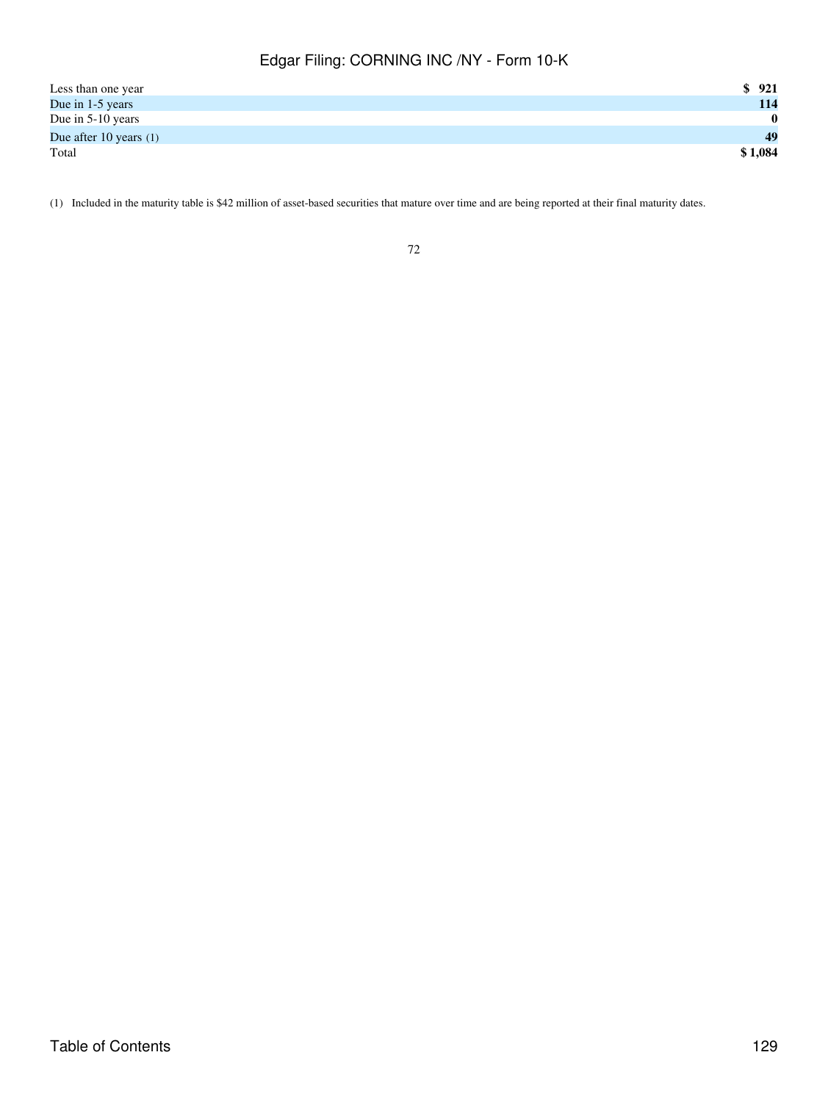| Less than one year         | \$921        |
|----------------------------|--------------|
| Due in 1-5 years           | 114          |
| Due in $5-10$ years        | $\mathbf{0}$ |
| Due after $10$ years $(1)$ | 49           |
| Total                      | \$1,084      |

(1) Included in the maturity table is \$42 million of asset-based securities that mature over time and are being reported at their final maturity dates.

#### 72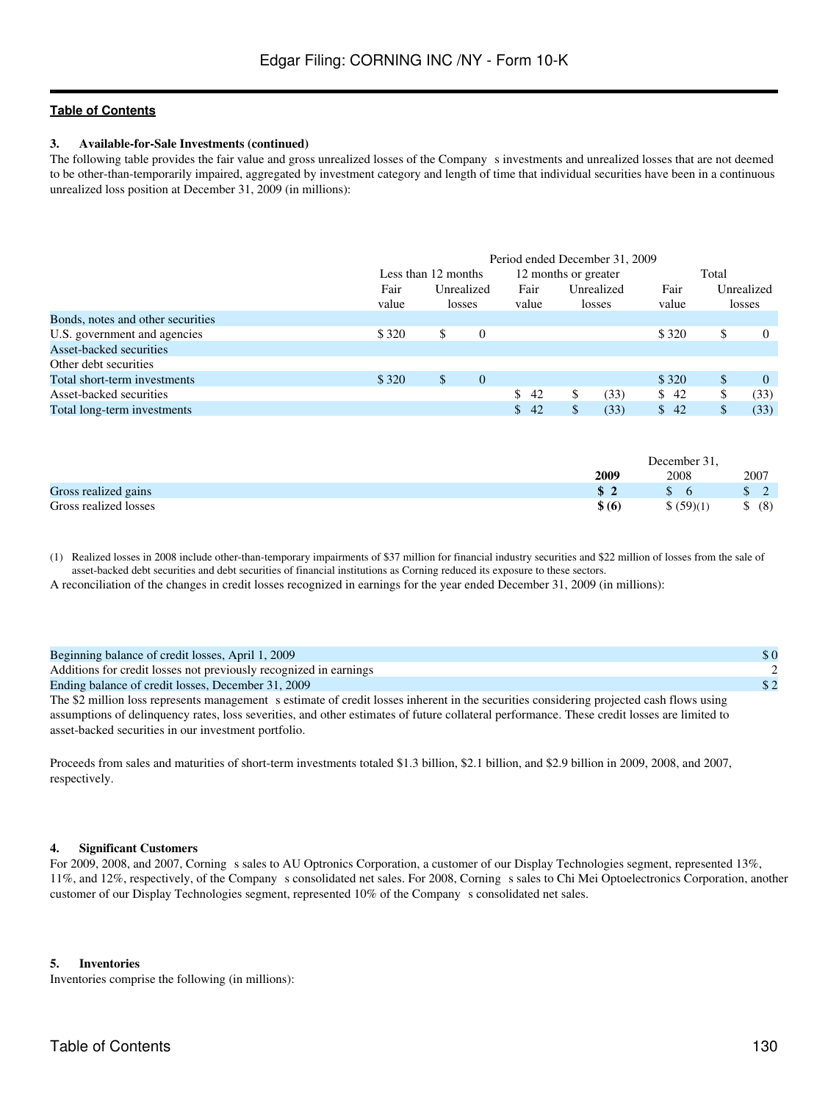#### **3. Available-for-Sale Investments (continued)**

The following table provides the fair value and gross unrealized losses of the Company s investments and unrealized losses that are not deemed to be other-than-temporarily impaired, aggregated by investment category and length of time that individual securities have been in a continuous unrealized loss position at December 31, 2009 (in millions):

|                                   |               | Period ended December 31, 2009 |                      |               |                      |                      |               |  |                      |
|-----------------------------------|---------------|--------------------------------|----------------------|---------------|----------------------|----------------------|---------------|--|----------------------|
|                                   |               | Less than 12 months            |                      |               | 12 months or greater |                      | Total         |  |                      |
|                                   | Fair<br>value |                                | Unrealized<br>losses | Fair<br>value |                      | Unrealized<br>losses | Fair<br>value |  | Unrealized<br>losses |
| Bonds, notes and other securities |               |                                |                      |               |                      |                      |               |  |                      |
| U.S. government and agencies      | \$320         | \$                             | $\overline{0}$       |               |                      |                      | \$320         |  |                      |
| Asset-backed securities           |               |                                |                      |               |                      |                      |               |  |                      |
| Other debt securities             |               |                                |                      |               |                      |                      |               |  |                      |
| Total short-term investments      | \$320         | \$                             | $\mathbf{0}$         |               |                      |                      | \$320         |  | $\Omega$             |
| Asset-backed securities           |               |                                |                      | $\frac{1}{2}$ | \$                   | (33)                 | \$42          |  | (33)                 |
| Total long-term investments       |               |                                |                      | $\frac{1}{2}$ | \$                   | (33)                 | \$42          |  | (33)                 |

|                       | December 31, |                 |               |
|-----------------------|--------------|-----------------|---------------|
|                       | 2009         | 2008            | 2007          |
| Gross realized gains  |              | $\frac{1}{2}$ 6 | $\frac{1}{2}$ |
| Gross realized losses | \$ (6)       | \$ (59)(1)      | \$ (8)        |

(1) Realized losses in 2008 include other-than-temporary impairments of \$37 million for financial industry securities and \$22 million of losses from the sale of asset-backed debt securities and debt securities of financial institutions as Corning reduced its exposure to these sectors.

A reconciliation of the changes in credit losses recognized in earnings for the year ended December 31, 2009 (in millions):

| Beginning balance of credit losses, April 1, 2009                                                                                           | \$0           |
|---------------------------------------------------------------------------------------------------------------------------------------------|---------------|
| Additions for credit losses not previously recognized in earnings                                                                           | $\mathcal{D}$ |
| Ending balance of credit losses, December 31, 2009                                                                                          | \$2           |
| The \$2 million loss represents management s estimate of credit losses inherent in the securities considering projected cash flows using    |               |
| assumptions of delinquency rates, loss severities, and other estimates of future collateral performance. These credit losses are limited to |               |
| asset-backed securities in our investment portfolio.                                                                                        |               |

Proceeds from sales and maturities of short-term investments totaled \$1.3 billion, \$2.1 billion, and \$2.9 billion in 2009, 2008, and 2007, respectively.

#### **4. Significant Customers**

For 2009, 2008, and 2007, Corning s sales to AU Optronics Corporation, a customer of our Display Technologies segment, represented 13%, 11%, and 12%, respectively, of the Companys consolidated net sales. For 2008, Cornings sales to Chi Mei Optoelectronics Corporation, another customer of our Display Technologies segment, represented 10% of the Company s consolidated net sales.

#### **5. Inventories**

Inventories comprise the following (in millions):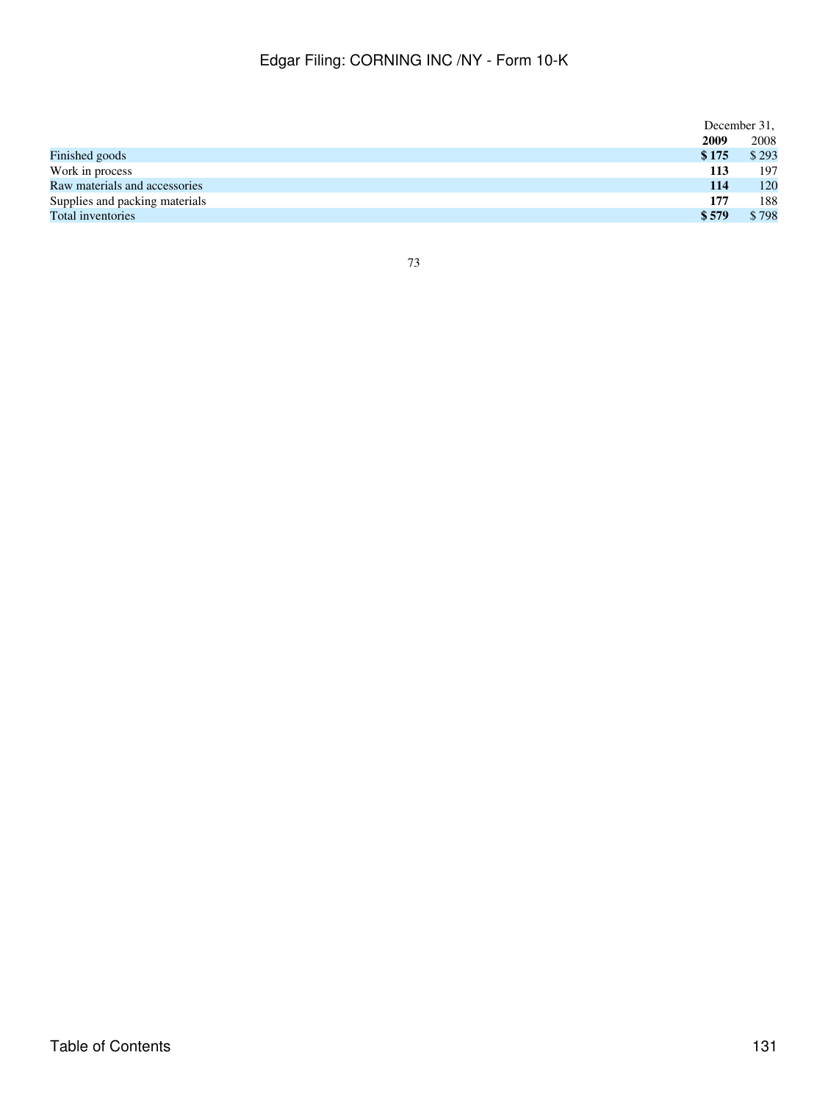|                                | December 31. |       |
|--------------------------------|--------------|-------|
|                                | 2009         | 2008  |
| Finished goods                 | \$175        | \$293 |
| Work in process                | 113          | 197   |
| Raw materials and accessories  | 114          | 120   |
| Supplies and packing materials | 177          | 188   |
| Total inventories              | \$579        | \$798 |

73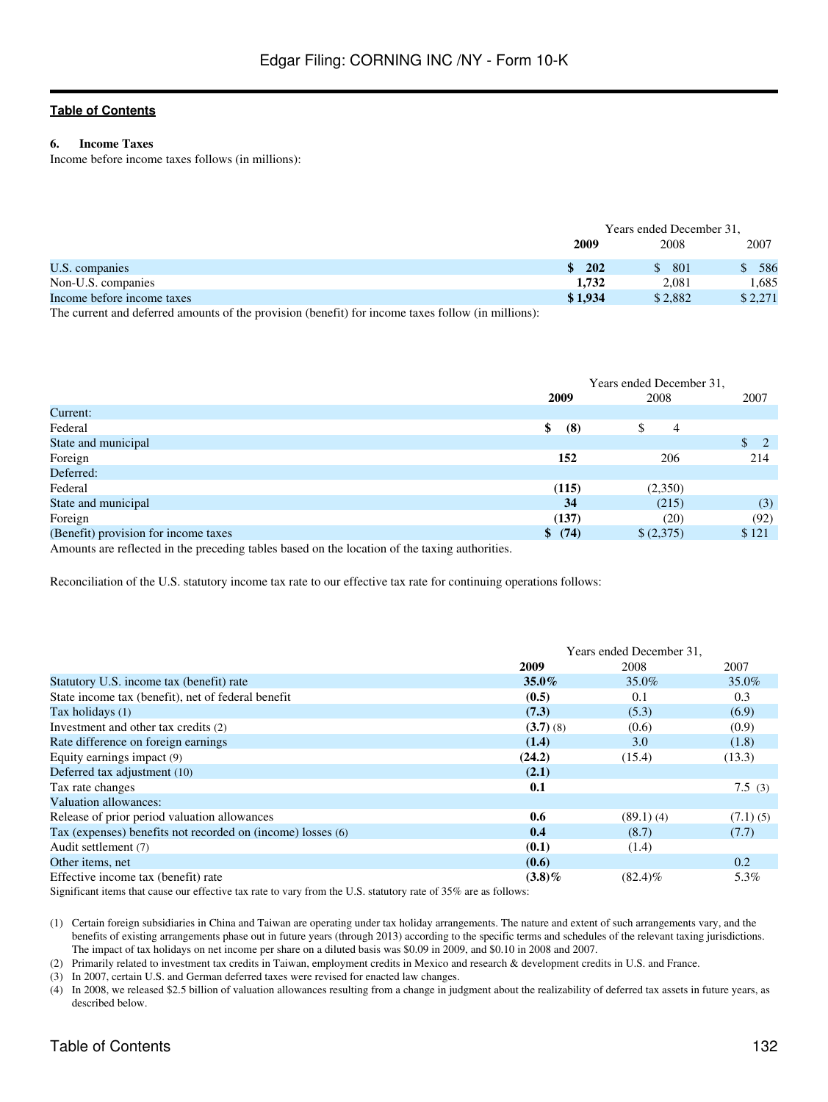# **6. Income Taxes**

Income before income taxes follows (in millions):

|                                                                  | Years ended December 31, |                        |         |  |
|------------------------------------------------------------------|--------------------------|------------------------|---------|--|
|                                                                  | 2009<br>2008             |                        | 2007    |  |
| U.S. companies                                                   | 202<br>\$.               | - 801<br>$\mathcal{S}$ | 586     |  |
| Non-U.S. companies                                               | 1.732                    | 2.081                  | 1,685   |  |
| Income before income taxes                                       | \$1.934                  | \$2.882                | \$2,271 |  |
| $\mathbf{T}^{1}$ , it is a case to a control of $\mathbf{I}^{1}$ |                          |                        |         |  |

The current and deferred amounts of the provision (benefit) for income taxes follow (in millions):

|                                                                                                                                                                               | Years ended December 31, |                      |                      |
|-------------------------------------------------------------------------------------------------------------------------------------------------------------------------------|--------------------------|----------------------|----------------------|
|                                                                                                                                                                               | 2009                     | 2008                 | 2007                 |
| Current:                                                                                                                                                                      |                          |                      |                      |
| Federal                                                                                                                                                                       | \$<br>(8)                | \$<br>$\overline{4}$ |                      |
| State and municipal                                                                                                                                                           |                          |                      | \$<br>$\overline{2}$ |
| Foreign                                                                                                                                                                       | 152                      | 206                  | 214                  |
| Deferred:                                                                                                                                                                     |                          |                      |                      |
| Federal                                                                                                                                                                       | (115)                    | (2,350)              |                      |
| State and municipal                                                                                                                                                           | 34                       | (215)                | (3)                  |
| Foreign                                                                                                                                                                       | (137)                    | (20)                 | (92)                 |
| (Benefit) provision for income taxes                                                                                                                                          | \$ (74)                  | \$(2,375)            | \$121                |
| $\mathcal{A}$ and $\mathcal{A}$ are the set of $\mathcal{A}$ . The set of $\mathcal{A}$ and $\mathcal{A}$ are the set of $\mathcal{A}$<br>and the contract of the contract of |                          |                      |                      |

Amounts are reflected in the preceding tables based on the location of the taxing authorities.

Reconciliation of the U.S. statutory income tax rate to our effective tax rate for continuing operations follows:

|                                                             | Years ended December 31, |              |             |  |
|-------------------------------------------------------------|--------------------------|--------------|-------------|--|
|                                                             | 2009                     | 2008         | 2007        |  |
| Statutory U.S. income tax (benefit) rate                    | $35.0\%$                 | 35.0%        | 35.0%       |  |
| State income tax (benefit), net of federal benefit          | (0.5)                    | 0.1          | 0.3         |  |
| Tax holidays (1)                                            | (7.3)                    | (5.3)        | (6.9)       |  |
| Investment and other tax credits (2)                        | $(3.7)$ (8)              | (0.6)        | (0.9)       |  |
| Rate difference on foreign earnings                         | (1.4)                    | 3.0          | (1.8)       |  |
| Equity earnings impact (9)                                  | (24.2)                   | (15.4)       | (13.3)      |  |
| Deferred tax adjustment (10)                                | (2.1)                    |              |             |  |
| Tax rate changes                                            | 0.1                      |              | 7.5(3)      |  |
| Valuation allowances:                                       |                          |              |             |  |
| Release of prior period valuation allowances                | 0.6                      | $(89.1)$ (4) | $(7.1)$ (5) |  |
| Tax (expenses) benefits not recorded on (income) losses (6) | 0.4                      | (8.7)        | (7.7)       |  |
| Audit settlement (7)                                        | (0.1)                    | (1.4)        |             |  |
| Other items, net                                            | (0.6)                    |              | 0.2         |  |
| Effective income tax (benefit) rate                         | $(3.8)\%$                | $(82.4)\%$   | 5.3%        |  |

Significant items that cause our effective tax rate to vary from the U.S. statutory rate of 35% are as follows:

(1) Certain foreign subsidiaries in China and Taiwan are operating under tax holiday arrangements. The nature and extent of such arrangements vary, and the benefits of existing arrangements phase out in future years (through 2013) according to the specific terms and schedules of the relevant taxing jurisdictions. The impact of tax holidays on net income per share on a diluted basis was \$0.09 in 2009, and \$0.10 in 2008 and 2007.

(2) Primarily related to investment tax credits in Taiwan, employment credits in Mexico and research & development credits in U.S. and France.

(3) In 2007, certain U.S. and German deferred taxes were revised for enacted law changes.

(4) In 2008, we released \$2.5 billion of valuation allowances resulting from a change in judgment about the realizability of deferred tax assets in future years, as described below.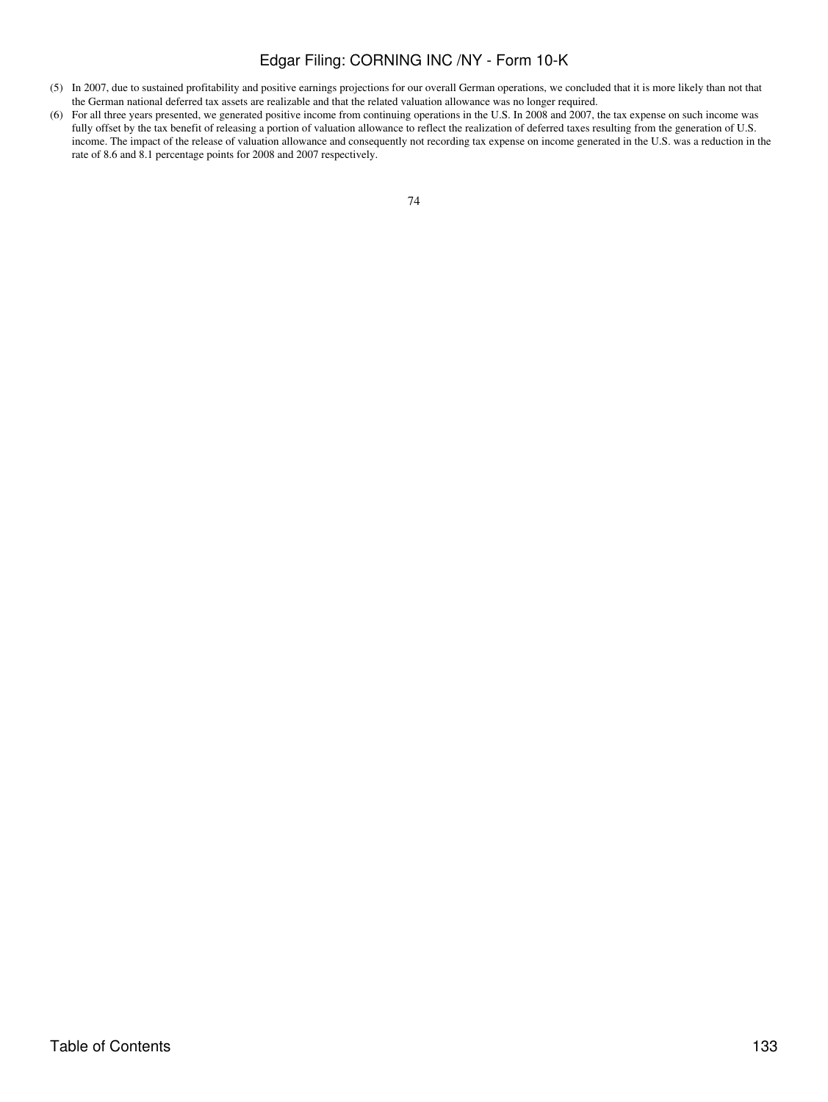- (5) In 2007, due to sustained profitability and positive earnings projections for our overall German operations, we concluded that it is more likely than not that the German national deferred tax assets are realizable and that the related valuation allowance was no longer required.
- (6) For all three years presented, we generated positive income from continuing operations in the U.S. In 2008 and 2007, the tax expense on such income was fully offset by the tax benefit of releasing a portion of valuation allowance to reflect the realization of deferred taxes resulting from the generation of U.S. income. The impact of the release of valuation allowance and consequently not recording tax expense on income generated in the U.S. was a reduction in the rate of 8.6 and 8.1 percentage points for 2008 and 2007 respectively.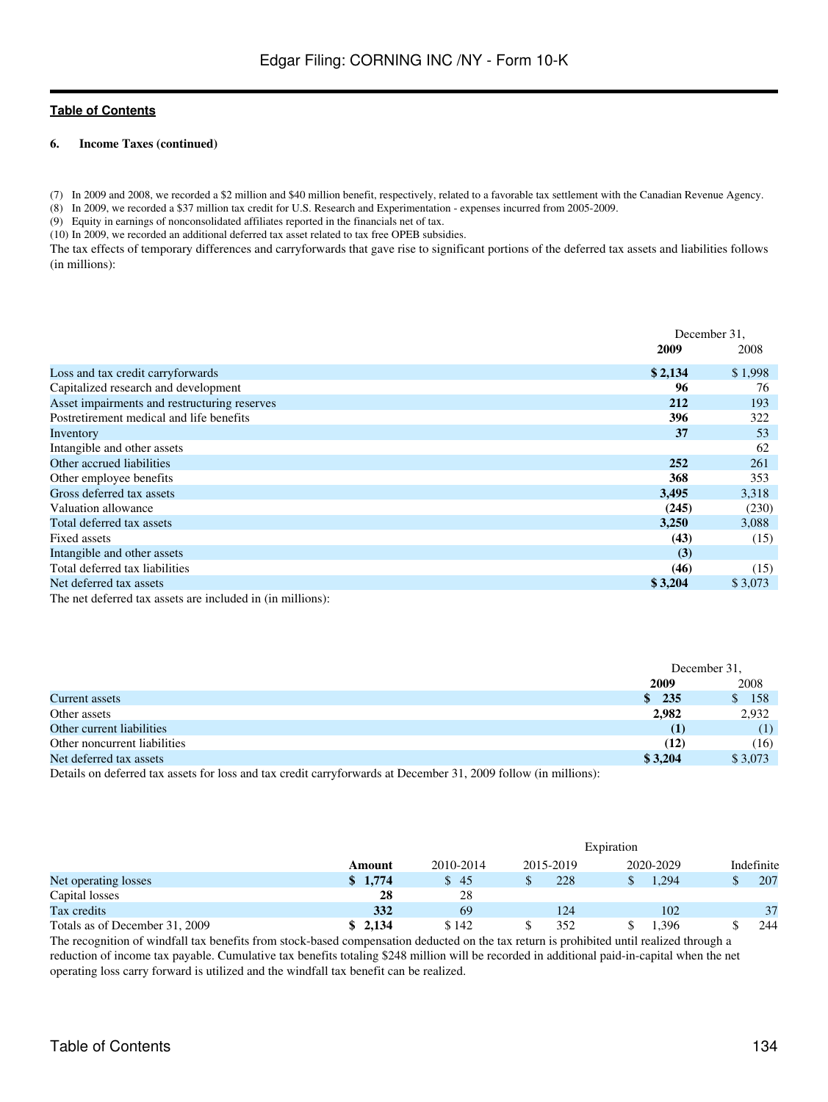#### **6. Income Taxes (continued)**

(7) In 2009 and 2008, we recorded a \$2 million and \$40 million benefit, respectively, related to a favorable tax settlement with the Canadian Revenue Agency.

(8) In 2009, we recorded a \$37 million tax credit for U.S. Research and Experimentation - expenses incurred from 2005-2009.

(9) Equity in earnings of nonconsolidated affiliates reported in the financials net of tax.

(10) In 2009, we recorded an additional deferred tax asset related to tax free OPEB subsidies.

The tax effects of temporary differences and carryforwards that gave rise to significant portions of the deferred tax assets and liabilities follows (in millions):

|                                              | December 31, |         |
|----------------------------------------------|--------------|---------|
|                                              | 2009         | 2008    |
| Loss and tax credit carryforwards            | \$2,134      | \$1,998 |
| Capitalized research and development         | 96           | 76      |
| Asset impairments and restructuring reserves | 212          | 193     |
| Postretirement medical and life benefits     | 396          | 322     |
| Inventory                                    | 37           | 53      |
| Intangible and other assets                  |              | 62      |
| Other accrued liabilities                    | 252          | 261     |
| Other employee benefits                      | 368          | 353     |
| Gross deferred tax assets                    | 3,495        | 3,318   |
| Valuation allowance                          | (245)        | (230)   |
| Total deferred tax assets                    | 3,250        | 3,088   |
| Fixed assets                                 | (43)         | (15)    |
| Intangible and other assets                  | (3)          |         |
| Total deferred tax liabilities               | (46)         | (15)    |
| Net deferred tax assets                      | \$3,204      | \$3,073 |

The net deferred tax assets are included in (in millions):

|                                                                                                                                                                                                                                                                                                                                                                                                                                                                           | December 31, |         |
|---------------------------------------------------------------------------------------------------------------------------------------------------------------------------------------------------------------------------------------------------------------------------------------------------------------------------------------------------------------------------------------------------------------------------------------------------------------------------|--------------|---------|
|                                                                                                                                                                                                                                                                                                                                                                                                                                                                           | 2009         | 2008    |
| Current assets                                                                                                                                                                                                                                                                                                                                                                                                                                                            | \$235        | \$158   |
| Other assets                                                                                                                                                                                                                                                                                                                                                                                                                                                              | 2,982        | 2,932   |
| Other current liabilities                                                                                                                                                                                                                                                                                                                                                                                                                                                 | (1)          | (1)     |
| Other noncurrent liabilities                                                                                                                                                                                                                                                                                                                                                                                                                                              | (12)         | (16)    |
| Net deferred tax assets                                                                                                                                                                                                                                                                                                                                                                                                                                                   | \$3,204      | \$3,073 |
| $\mathbf{D} + \mathbf{H} = \mathbf{1} \cdot \mathbf{C} + \mathbf{1} \cdot \mathbf{C} + \mathbf{1} \cdot \mathbf{C} + \mathbf{1} \cdot \mathbf{C} + \mathbf{1} \cdot \mathbf{D} + \mathbf{1} \cdot \mathbf{A} \cdot \mathbf{A} \cdot \mathbf{A} \cdot \mathbf{A} \cdot \mathbf{A} \cdot \mathbf{A} \cdot \mathbf{A} \cdot \mathbf{A} \cdot \mathbf{A} \cdot \mathbf{A} \cdot \mathbf{A} \cdot \mathbf{A} \cdot \mathbf{A} \cdot \mathbf{A} \cdot \mathbf{A} \cdot \mathbf$ |              |         |

Details on deferred tax assets for loss and tax credit carryforwards at December 31, 2009 follow (in millions):

|                                |         | Expiration |           |           |            |
|--------------------------------|---------|------------|-----------|-----------|------------|
|                                | Amount  | 2010-2014  | 2015-2019 | 2020-2029 | Indefinite |
| Net operating losses           | \$1.774 | \$45       | 228       | 1.294     | 207        |
| Capital losses                 | 28      | 28         |           |           |            |
| Tax credits                    | 332     | 69         | 124       | 102       | 37         |
| Totals as of December 31, 2009 | \$2,134 | \$142      | 352       | .396      | 244        |

The recognition of windfall tax benefits from stock-based compensation deducted on the tax return is prohibited until realized through a reduction of income tax payable. Cumulative tax benefits totaling \$248 million will be recorded in additional paid-in-capital when the net operating loss carry forward is utilized and the windfall tax benefit can be realized.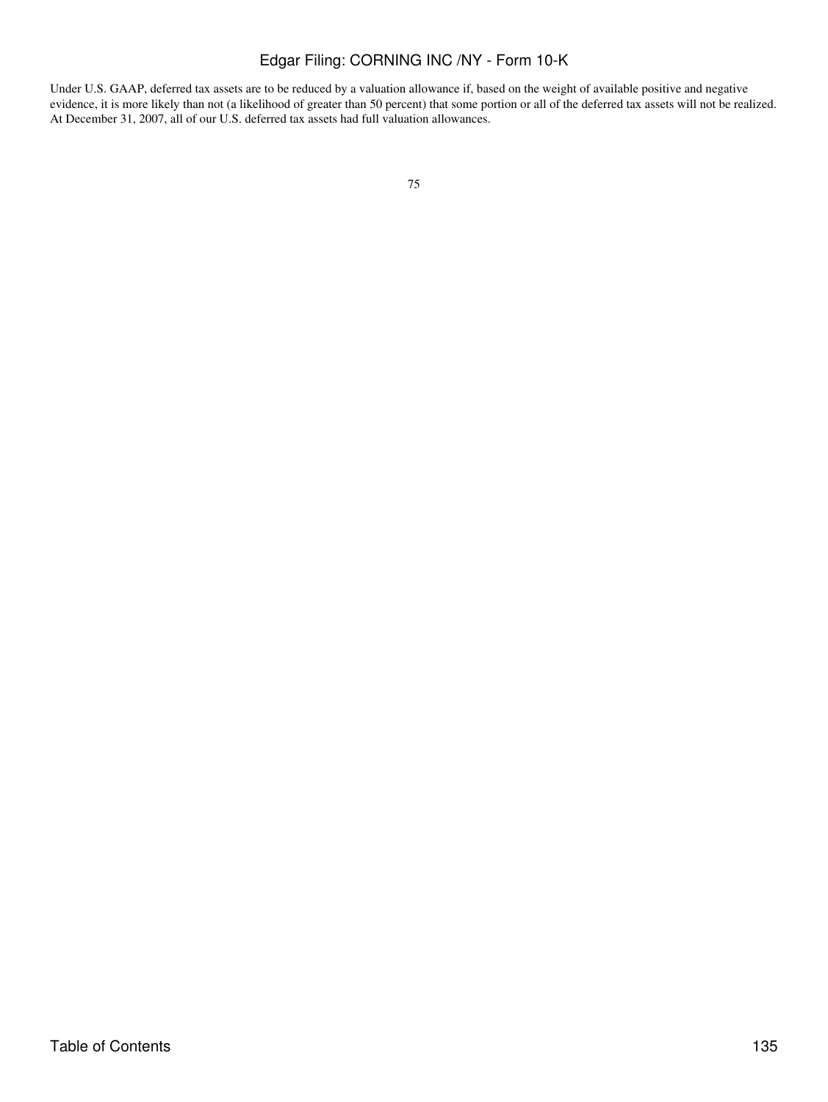Under U.S. GAAP, deferred tax assets are to be reduced by a valuation allowance if, based on the weight of available positive and negative evidence, it is more likely than not (a likelihood of greater than 50 percent) that some portion or all of the deferred tax assets will not be realized. At December 31, 2007, all of our U.S. deferred tax assets had full valuation allowances.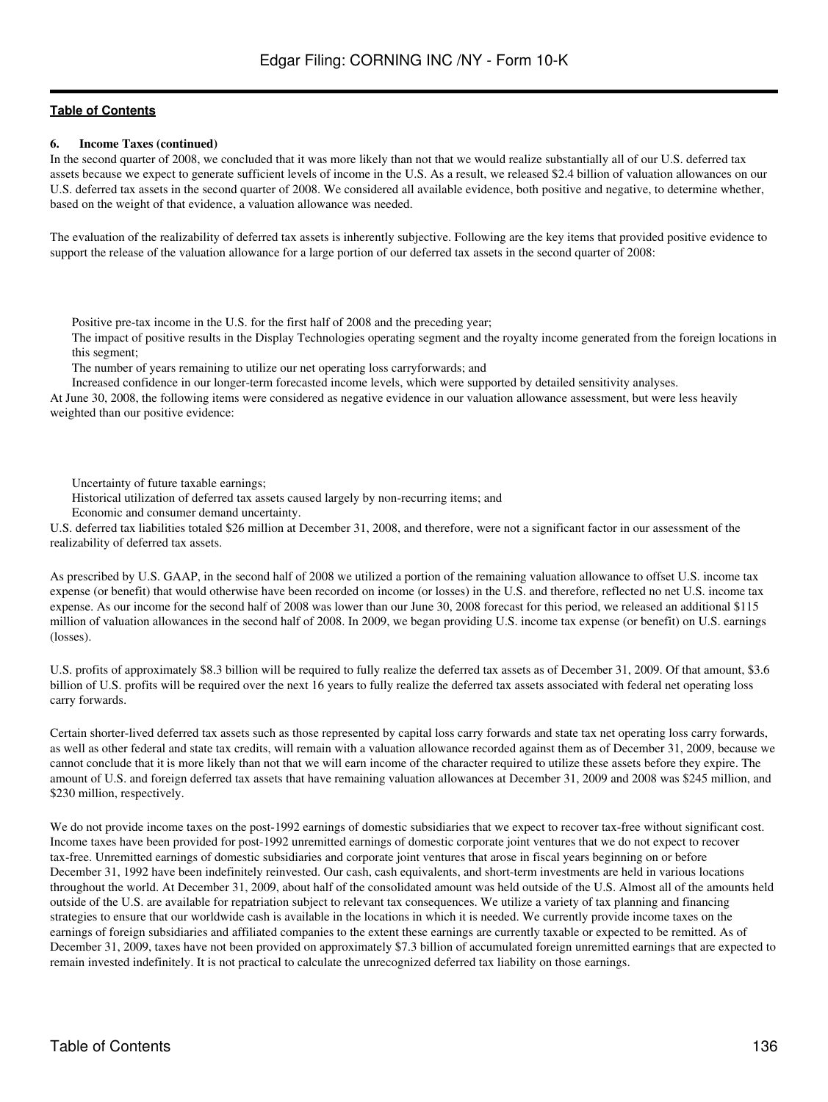#### **6. Income Taxes (continued)**

In the second quarter of 2008, we concluded that it was more likely than not that we would realize substantially all of our U.S. deferred tax assets because we expect to generate sufficient levels of income in the U.S. As a result, we released \$2.4 billion of valuation allowances on our U.S. deferred tax assets in the second quarter of 2008. We considered all available evidence, both positive and negative, to determine whether, based on the weight of that evidence, a valuation allowance was needed.

The evaluation of the realizability of deferred tax assets is inherently subjective. Following are the key items that provided positive evidence to support the release of the valuation allowance for a large portion of our deferred tax assets in the second quarter of 2008:

Positive pre-tax income in the U.S. for the first half of 2008 and the preceding year;

The impact of positive results in the Display Technologies operating segment and the royalty income generated from the foreign locations in this segment;

The number of years remaining to utilize our net operating loss carryforwards; and

Increased confidence in our longer-term forecasted income levels, which were supported by detailed sensitivity analyses.

At June 30, 2008, the following items were considered as negative evidence in our valuation allowance assessment, but were less heavily weighted than our positive evidence:

Uncertainty of future taxable earnings;

Historical utilization of deferred tax assets caused largely by non-recurring items; and

Economic and consumer demand uncertainty.

U.S. deferred tax liabilities totaled \$26 million at December 31, 2008, and therefore, were not a significant factor in our assessment of the realizability of deferred tax assets.

As prescribed by U.S. GAAP, in the second half of 2008 we utilized a portion of the remaining valuation allowance to offset U.S. income tax expense (or benefit) that would otherwise have been recorded on income (or losses) in the U.S. and therefore, reflected no net U.S. income tax expense. As our income for the second half of 2008 was lower than our June 30, 2008 forecast for this period, we released an additional \$115 million of valuation allowances in the second half of 2008. In 2009, we began providing U.S. income tax expense (or benefit) on U.S. earnings (losses).

U.S. profits of approximately \$8.3 billion will be required to fully realize the deferred tax assets as of December 31, 2009. Of that amount, \$3.6 billion of U.S. profits will be required over the next 16 years to fully realize the deferred tax assets associated with federal net operating loss carry forwards.

Certain shorter-lived deferred tax assets such as those represented by capital loss carry forwards and state tax net operating loss carry forwards, as well as other federal and state tax credits, will remain with a valuation allowance recorded against them as of December 31, 2009, because we cannot conclude that it is more likely than not that we will earn income of the character required to utilize these assets before they expire. The amount of U.S. and foreign deferred tax assets that have remaining valuation allowances at December 31, 2009 and 2008 was \$245 million, and \$230 million, respectively.

We do not provide income taxes on the post-1992 earnings of domestic subsidiaries that we expect to recover tax-free without significant cost. Income taxes have been provided for post-1992 unremitted earnings of domestic corporate joint ventures that we do not expect to recover tax-free. Unremitted earnings of domestic subsidiaries and corporate joint ventures that arose in fiscal years beginning on or before December 31, 1992 have been indefinitely reinvested. Our cash, cash equivalents, and short-term investments are held in various locations throughout the world. At December 31, 2009, about half of the consolidated amount was held outside of the U.S. Almost all of the amounts held outside of the U.S. are available for repatriation subject to relevant tax consequences. We utilize a variety of tax planning and financing strategies to ensure that our worldwide cash is available in the locations in which it is needed. We currently provide income taxes on the earnings of foreign subsidiaries and affiliated companies to the extent these earnings are currently taxable or expected to be remitted. As of December 31, 2009, taxes have not been provided on approximately \$7.3 billion of accumulated foreign unremitted earnings that are expected to remain invested indefinitely. It is not practical to calculate the unrecognized deferred tax liability on those earnings.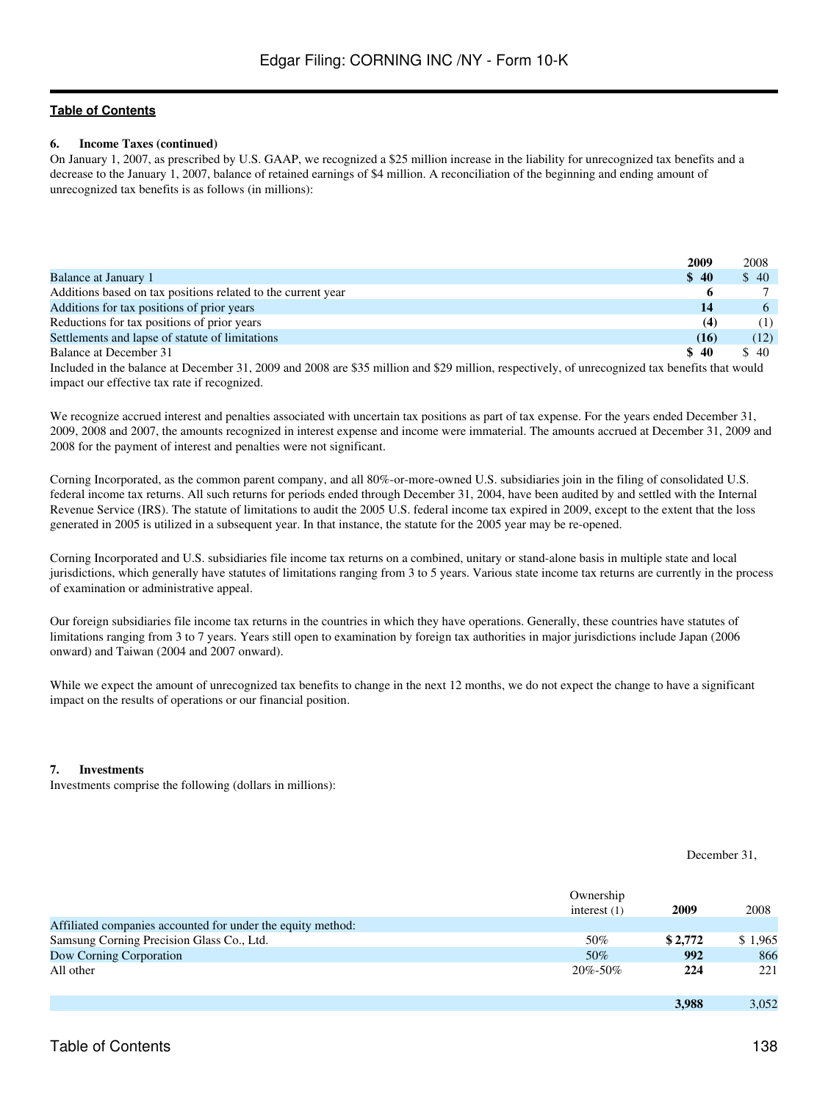### **6. Income Taxes (continued)**

On January 1, 2007, as prescribed by U.S. GAAP, we recognized a \$25 million increase in the liability for unrecognized tax benefits and a decrease to the January 1, 2007, balance of retained earnings of \$4 million. A reconciliation of the beginning and ending amount of unrecognized tax benefits is as follows (in millions):

|                                                                                                                                              | 2009 | 2008 |
|----------------------------------------------------------------------------------------------------------------------------------------------|------|------|
| <b>Balance at January 1</b>                                                                                                                  | \$40 | \$40 |
| Additions based on tax positions related to the current year                                                                                 | o    |      |
| Additions for tax positions of prior years                                                                                                   | 14   | -6   |
| Reductions for tax positions of prior years                                                                                                  | (4)  | (1)  |
| Settlements and lapse of statute of limitations                                                                                              | (16) | (12) |
| Balance at December 31                                                                                                                       | \$40 | \$40 |
| Included in the helenes at December 21, 2000 and 2009 are \$25 million and \$20 million geometricaly of unreseasized toy henofite that would |      |      |

Included in the balance at December 31, 2009 and 2008 are \$35 million and \$29 million, respectively, of unrecognized tax benefits that would impact our effective tax rate if recognized.

We recognize accrued interest and penalties associated with uncertain tax positions as part of tax expense. For the years ended December 31, 2009, 2008 and 2007, the amounts recognized in interest expense and income were immaterial. The amounts accrued at December 31, 2009 and 2008 for the payment of interest and penalties were not significant.

Corning Incorporated, as the common parent company, and all 80%-or-more-owned U.S. subsidiaries join in the filing of consolidated U.S. federal income tax returns. All such returns for periods ended through December 31, 2004, have been audited by and settled with the Internal Revenue Service (IRS). The statute of limitations to audit the 2005 U.S. federal income tax expired in 2009, except to the extent that the loss generated in 2005 is utilized in a subsequent year. In that instance, the statute for the 2005 year may be re-opened.

Corning Incorporated and U.S. subsidiaries file income tax returns on a combined, unitary or stand-alone basis in multiple state and local jurisdictions, which generally have statutes of limitations ranging from 3 to 5 years. Various state income tax returns are currently in the process of examination or administrative appeal.

Our foreign subsidiaries file income tax returns in the countries in which they have operations. Generally, these countries have statutes of limitations ranging from 3 to 7 years. Years still open to examination by foreign tax authorities in major jurisdictions include Japan (2006 onward) and Taiwan (2004 and 2007 onward).

While we expect the amount of unrecognized tax benefits to change in the next 12 months, we do not expect the change to have a significant impact on the results of operations or our financial position.

#### **7. Investments**

Investments comprise the following (dollars in millions):

December 31,

|                                                             | Ownership<br>interest $(1)$ | 2009    | 2008    |
|-------------------------------------------------------------|-----------------------------|---------|---------|
| Affiliated companies accounted for under the equity method: |                             |         |         |
| Samsung Corning Precision Glass Co., Ltd.                   | 50%                         | \$2,772 | \$1,965 |
| Dow Corning Corporation                                     | 50%                         | 992     | 866     |
| All other                                                   | 20%-50%                     | 224     | 221     |
|                                                             |                             |         |         |
|                                                             |                             | 3.988   | 3.052   |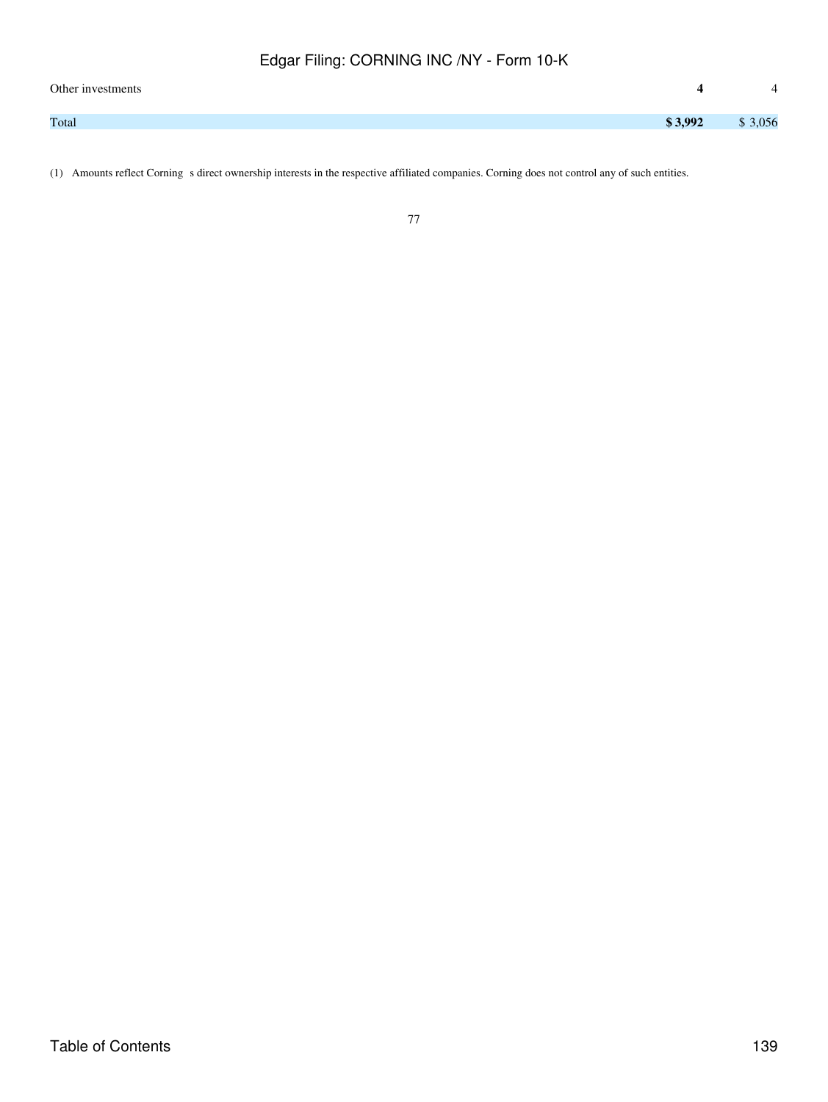|  |  | Other investments |
|--|--|-------------------|
|--|--|-------------------|

(1) Amounts reflect Corning s direct ownership interests in the respective affiliated companies. Corning does not control any of such entities.

77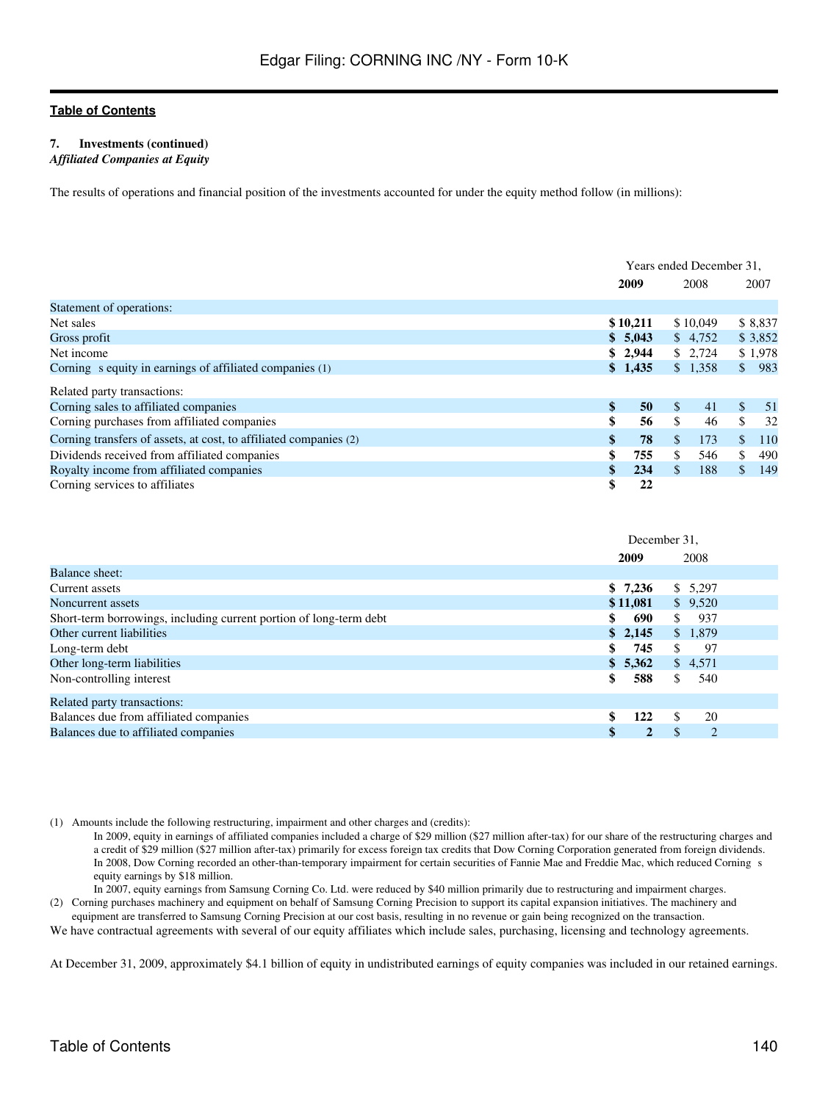# **7. Investments (continued)**

*Affiliated Companies at Equity*

The results of operations and financial position of the investments accounted for under the equity method follow (in millions):

|                                                                   | Years ended December 31, |              |          |              |         |
|-------------------------------------------------------------------|--------------------------|--------------|----------|--------------|---------|
|                                                                   | 2009                     |              | 2008     |              | 2007    |
| Statement of operations:                                          |                          |              |          |              |         |
| Net sales                                                         | \$10,211                 |              | \$10,049 |              | \$8,837 |
| Gross profit                                                      | \$5,043                  |              | \$4,752  |              | \$3,852 |
| Net income                                                        | \$2,944                  |              | \$2,724  |              | \$1,978 |
| Corning s equity in earnings of affiliated companies (1)          | \$1,435                  |              | \$1,358  |              | \$983   |
| Related party transactions:                                       |                          |              |          |              |         |
| Corning sales to affiliated companies                             | \$<br>50                 | \$           | 41       | $\mathbb{S}$ | 51      |
| Corning purchases from affiliated companies                       | \$<br>56                 | \$           | 46       | S            | 32      |
| Corning transfers of assets, at cost, to affiliated companies (2) | \$<br>78                 | $\mathbb{S}$ | 173      | \$.          | 110     |
| Dividends received from affiliated companies                      | \$<br>755                | \$           | 546      | \$.          | 490     |
| Royalty income from affiliated companies                          | 234                      | \$           | 188      | \$.          | 149     |
| Corning services to affiliates                                    | \$<br>22                 |              |          |              |         |

|                                                                    | December 31. |                |                      |  |
|--------------------------------------------------------------------|--------------|----------------|----------------------|--|
|                                                                    | 2009         |                | 2008                 |  |
| <b>Balance sheet:</b>                                              |              |                |                      |  |
| Current assets                                                     | \$7,236      |                | \$5,297              |  |
| Noncurrent assets                                                  | \$11,081     |                | \$9,520              |  |
| Short-term borrowings, including current portion of long-term debt | \$           | 690            | 937<br>\$            |  |
| Other current liabilities                                          | \$2,145      |                | \$1,879              |  |
| Long-term debt                                                     |              | 745            | \$<br>-97            |  |
| Other long-term liabilities                                        | \$5,362      |                | \$4,571              |  |
| Non-controlling interest                                           |              | 588            | \$.<br>540           |  |
| Related party transactions:                                        |              |                |                      |  |
| Balances due from affiliated companies                             |              | 122            | \$<br>20             |  |
| Balances due to affiliated companies                               | \$.          | $\overline{2}$ | \$<br>$\overline{2}$ |  |

(1) Amounts include the following restructuring, impairment and other charges and (credits):

In 2009, equity in earnings of affiliated companies included a charge of \$29 million (\$27 million after-tax) for our share of the restructuring charges and a credit of \$29 million (\$27 million after-tax) primarily for excess foreign tax credits that Dow Corning Corporation generated from foreign dividends. In 2008, Dow Corning recorded an other-than-temporary impairment for certain securities of Fannie Mae and Freddie Mac, which reduced Corning s equity earnings by \$18 million.

In 2007, equity earnings from Samsung Corning Co. Ltd. were reduced by \$40 million primarily due to restructuring and impairment charges.

(2) Corning purchases machinery and equipment on behalf of Samsung Corning Precision to support its capital expansion initiatives. The machinery and equipment are transferred to Samsung Corning Precision at our cost basis, resulting in no revenue or gain being recognized on the transaction.

We have contractual agreements with several of our equity affiliates which include sales, purchasing, licensing and technology agreements.

At December 31, 2009, approximately \$4.1 billion of equity in undistributed earnings of equity companies was included in our retained earnings.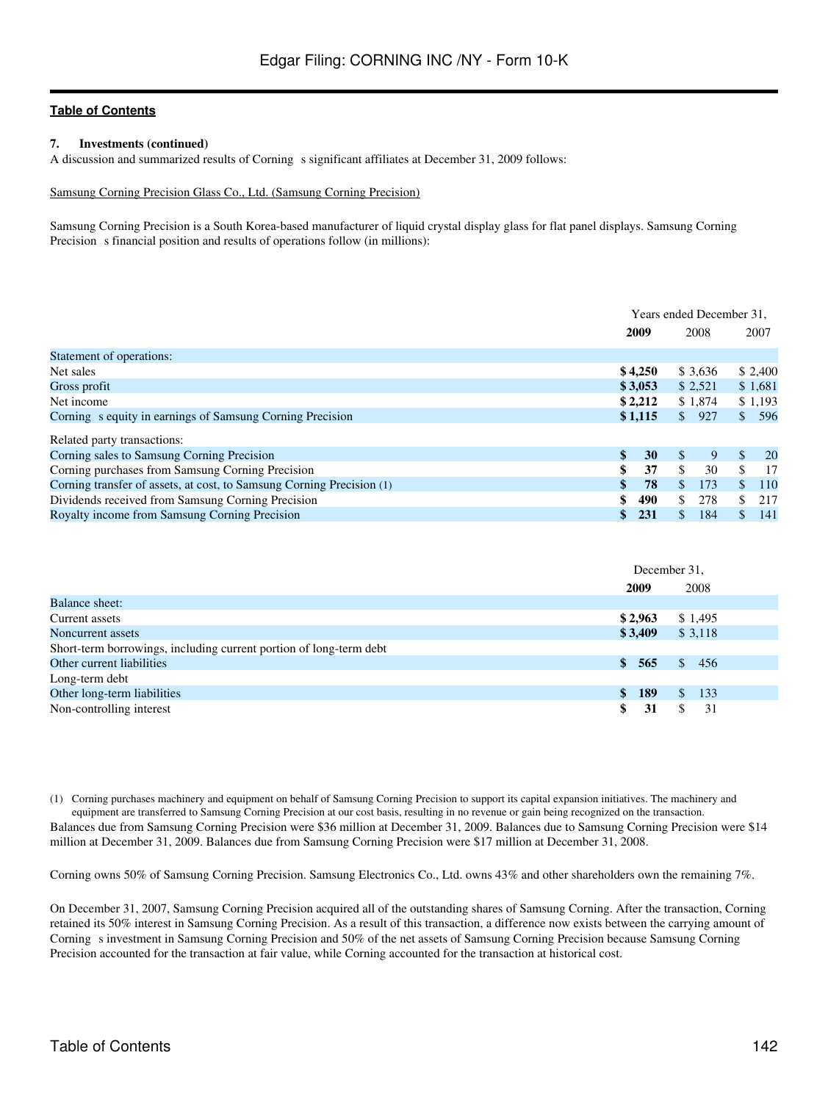#### **7. Investments (continued)**

A discussion and summarized results of Corning s significant affiliates at December 31, 2009 follows:

#### Samsung Corning Precision Glass Co., Ltd. (Samsung Corning Precision)

Samsung Corning Precision is a South Korea-based manufacturer of liquid crystal display glass for flat panel displays. Samsung Corning Precision s financial position and results of operations follow (in millions):

|                                                                       |         | Years ended December 31, |                     |     |               |  |
|-----------------------------------------------------------------------|---------|--------------------------|---------------------|-----|---------------|--|
|                                                                       | 2009    |                          | 2008                |     | 2007          |  |
| Statement of operations:                                              |         |                          |                     |     |               |  |
| Net sales                                                             | \$4,250 |                          | \$3,636             |     | \$ 2,400      |  |
| Gross profit                                                          | \$3,053 |                          | \$2,521             |     | \$1,681       |  |
| Net income                                                            | \$2,212 |                          | \$1,874             |     | \$1,193       |  |
| Corning s equity in earnings of Samsung Corning Precision             | \$1,115 |                          | 927<br>$\mathbb{S}$ |     | \$596         |  |
| Related party transactions:                                           |         |                          |                     |     |               |  |
| Corning sales to Samsung Corning Precision                            | \$      | 30                       | 9<br>$\mathbb{S}$   | \$  | <sup>20</sup> |  |
| Corning purchases from Samsung Corning Precision                      | \$      | 37                       | \$<br>30            | \$  | 17            |  |
| Corning transfer of assets, at cost, to Samsung Corning Precision (1) |         | 78                       | \$.<br>173          | \$. | 110           |  |
| Dividends received from Samsung Corning Precision                     |         | 490                      | 278<br>S.           | \$  | 217           |  |
| Royalty income from Samsung Corning Precision                         | 231     |                          | 184                 | S.  | 141           |  |

|                                                                    | December 31, |                   |  |
|--------------------------------------------------------------------|--------------|-------------------|--|
|                                                                    | 2009         | 2008              |  |
| <b>Balance sheet:</b>                                              |              |                   |  |
| Current assets                                                     | \$2,963      | \$1,495           |  |
| Noncurrent assets                                                  | \$3,409      | \$3,118           |  |
| Short-term borrowings, including current portion of long-term debt |              |                   |  |
| Other current liabilities                                          | \$565        | $\frac{1}{2}$ 456 |  |
| Long-term debt                                                     |              |                   |  |
| Other long-term liabilities                                        | - 189<br>SS. | $\frac{133}{ }$   |  |
| Non-controlling interest                                           | 31<br>\$     | 31                |  |

(1) Corning purchases machinery and equipment on behalf of Samsung Corning Precision to support its capital expansion initiatives. The machinery and equipment are transferred to Samsung Corning Precision at our cost basis, resulting in no revenue or gain being recognized on the transaction. Balances due from Samsung Corning Precision were \$36 million at December 31, 2009. Balances due to Samsung Corning Precision were \$14 million at December 31, 2009. Balances due from Samsung Corning Precision were \$17 million at December 31, 2008.

Corning owns 50% of Samsung Corning Precision. Samsung Electronics Co., Ltd. owns 43% and other shareholders own the remaining 7%.

On December 31, 2007, Samsung Corning Precision acquired all of the outstanding shares of Samsung Corning. After the transaction, Corning retained its 50% interest in Samsung Corning Precision. As a result of this transaction, a difference now exists between the carrying amount of Corning s investment in Samsung Corning Precision and 50% of the net assets of Samsung Corning Precision because Samsung Corning Precision accounted for the transaction at fair value, while Corning accounted for the transaction at historical cost.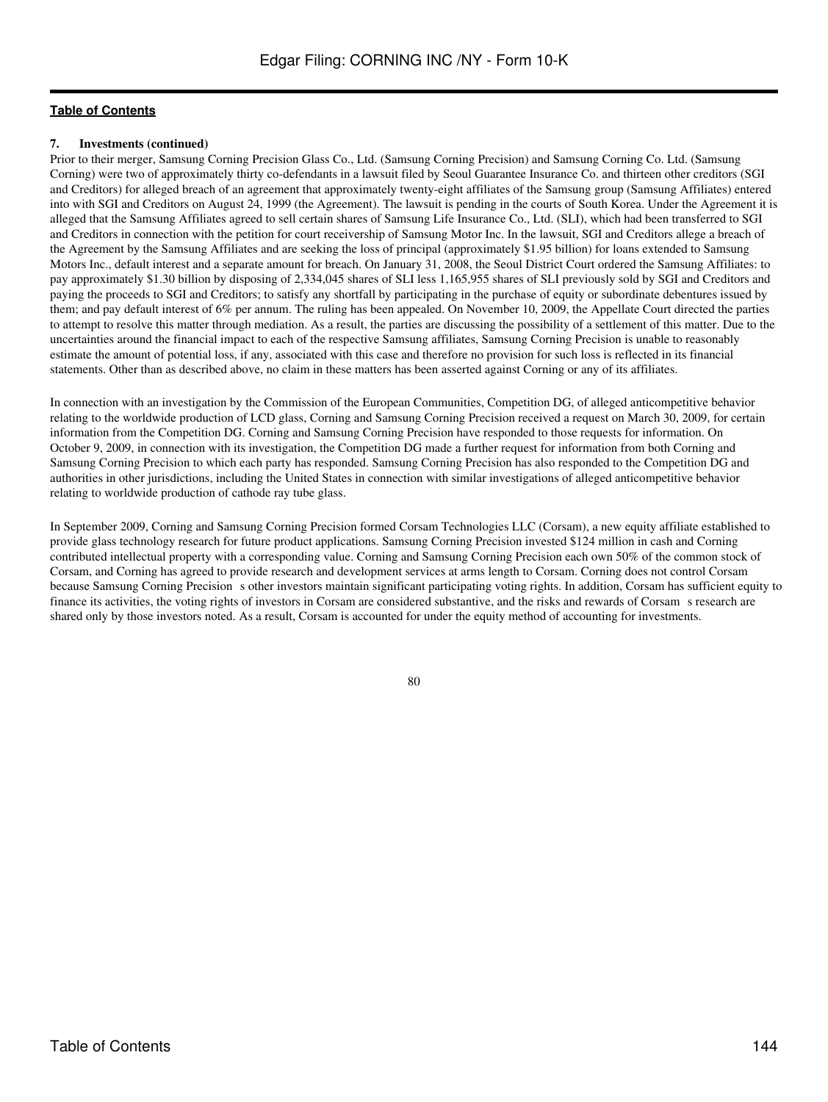### **7. Investments (continued)**

Prior to their merger, Samsung Corning Precision Glass Co., Ltd. (Samsung Corning Precision) and Samsung Corning Co. Ltd. (Samsung Corning) were two of approximately thirty co-defendants in a lawsuit filed by Seoul Guarantee Insurance Co. and thirteen other creditors (SGI and Creditors) for alleged breach of an agreement that approximately twenty-eight affiliates of the Samsung group (Samsung Affiliates) entered into with SGI and Creditors on August 24, 1999 (the Agreement). The lawsuit is pending in the courts of South Korea. Under the Agreement it is alleged that the Samsung Affiliates agreed to sell certain shares of Samsung Life Insurance Co., Ltd. (SLI), which had been transferred to SGI and Creditors in connection with the petition for court receivership of Samsung Motor Inc. In the lawsuit, SGI and Creditors allege a breach of the Agreement by the Samsung Affiliates and are seeking the loss of principal (approximately \$1.95 billion) for loans extended to Samsung Motors Inc., default interest and a separate amount for breach. On January 31, 2008, the Seoul District Court ordered the Samsung Affiliates: to pay approximately \$1.30 billion by disposing of 2,334,045 shares of SLI less 1,165,955 shares of SLI previously sold by SGI and Creditors and paying the proceeds to SGI and Creditors; to satisfy any shortfall by participating in the purchase of equity or subordinate debentures issued by them; and pay default interest of 6% per annum. The ruling has been appealed. On November 10, 2009, the Appellate Court directed the parties to attempt to resolve this matter through mediation. As a result, the parties are discussing the possibility of a settlement of this matter. Due to the uncertainties around the financial impact to each of the respective Samsung affiliates, Samsung Corning Precision is unable to reasonably estimate the amount of potential loss, if any, associated with this case and therefore no provision for such loss is reflected in its financial statements. Other than as described above, no claim in these matters has been asserted against Corning or any of its affiliates.

In connection with an investigation by the Commission of the European Communities, Competition DG, of alleged anticompetitive behavior relating to the worldwide production of LCD glass, Corning and Samsung Corning Precision received a request on March 30, 2009, for certain information from the Competition DG. Corning and Samsung Corning Precision have responded to those requests for information. On October 9, 2009, in connection with its investigation, the Competition DG made a further request for information from both Corning and Samsung Corning Precision to which each party has responded. Samsung Corning Precision has also responded to the Competition DG and authorities in other jurisdictions, including the United States in connection with similar investigations of alleged anticompetitive behavior relating to worldwide production of cathode ray tube glass.

In September 2009, Corning and Samsung Corning Precision formed Corsam Technologies LLC (Corsam), a new equity affiliate established to provide glass technology research for future product applications. Samsung Corning Precision invested \$124 million in cash and Corning contributed intellectual property with a corresponding value. Corning and Samsung Corning Precision each own 50% of the common stock of Corsam, and Corning has agreed to provide research and development services at arms length to Corsam. Corning does not control Corsam because Samsung Corning Precision s other investors maintain significant participating voting rights. In addition, Corsam has sufficient equity to finance its activities, the voting rights of investors in Corsam are considered substantive, and the risks and rewards of Corsams research are shared only by those investors noted. As a result, Corsam is accounted for under the equity method of accounting for investments.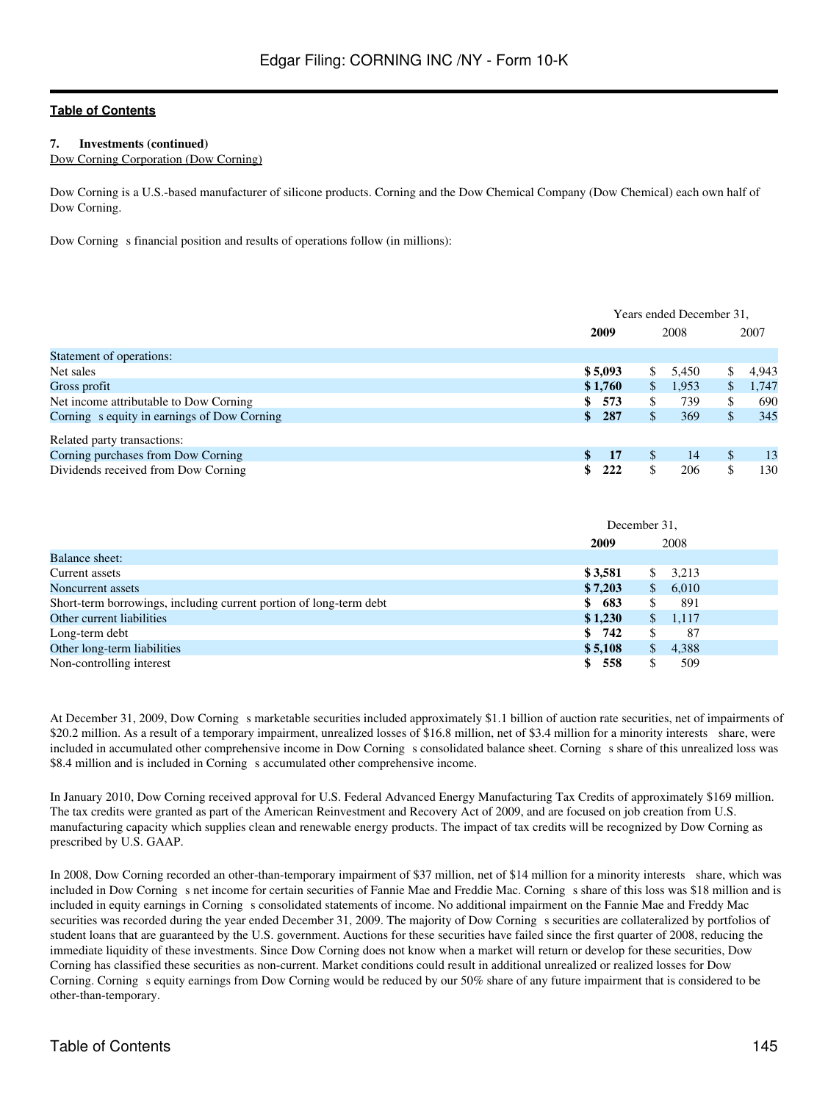### **7. Investments (continued)**

### Dow Corning Corporation (Dow Corning)

Dow Corning is a U.S.-based manufacturer of silicone products. Corning and the Dow Chemical Company (Dow Chemical) each own half of Dow Corning.

Dow Corning s financial position and results of operations follow (in millions):

|                                             |            | Years ended December 31, |       |              |       |  |
|---------------------------------------------|------------|--------------------------|-------|--------------|-------|--|
|                                             | 2009       | 2008                     |       |              | 2007  |  |
| Statement of operations:                    |            |                          |       |              |       |  |
| Net sales                                   | \$5,093    | S.                       | 5.450 | S.           | 4,943 |  |
| Gross profit                                | \$1,760    | \$                       | 1,953 | $\mathbb{S}$ | 1,747 |  |
| Net income attributable to Dow Corning      | 573<br>\$. | \$                       | 739   | \$           | 690   |  |
| Corning s equity in earnings of Dow Corning | 287<br>\$. | \$                       | 369   | \$           | 345   |  |
| Related party transactions:                 |            |                          |       |              |       |  |
| Corning purchases from Dow Corning          | -17        | \$.                      | 14    | \$           | 13    |  |
| Dividends received from Dow Corning         | 222        | \$.                      | 206   | \$           | 130   |  |

|                                                                    | December 31, |                       |  |
|--------------------------------------------------------------------|--------------|-----------------------|--|
|                                                                    | 2009         | 2008                  |  |
| <b>Balance sheet:</b>                                              |              |                       |  |
| Current assets                                                     | \$3,581      | $\frac{1}{2}$ 3,213   |  |
| Noncurrent assets                                                  | \$7,203      | \$6,010               |  |
| Short-term borrowings, including current portion of long-term debt | 683<br>SS.   | \$<br>891             |  |
| Other current liabilities                                          | \$1,230      | 1,117<br>$\mathbb{S}$ |  |
| Long-term debt                                                     | 742<br>\$    | 87                    |  |
| Other long-term liabilities                                        | \$5,108      | 4,388<br>\$.          |  |
| Non-controlling interest                                           | 558          | 509                   |  |

At December 31, 2009, Dow Corning s marketable securities included approximately \$1.1 billion of auction rate securities, net of impairments of \$20.2 million. As a result of a temporary impairment, unrealized losses of \$16.8 million, net of \$3.4 million for a minority interests share, were included in accumulated other comprehensive income in Dow Corning s consolidated balance sheet. Corning s share of this unrealized loss was \$8.4 million and is included in Corning s accumulated other comprehensive income.

In January 2010, Dow Corning received approval for U.S. Federal Advanced Energy Manufacturing Tax Credits of approximately \$169 million. The tax credits were granted as part of the American Reinvestment and Recovery Act of 2009, and are focused on job creation from U.S. manufacturing capacity which supplies clean and renewable energy products. The impact of tax credits will be recognized by Dow Corning as prescribed by U.S. GAAP.

In 2008, Dow Corning recorded an other-than-temporary impairment of \$37 million, net of \$14 million for a minority interests share, which was included in Dow Corning s net income for certain securities of Fannie Mae and Freddie Mac. Corning s share of this loss was \$18 million and is included in equity earnings in Corning s consolidated statements of income. No additional impairment on the Fannie Mae and Freddy Mac securities was recorded during the year ended December 31, 2009. The majority of Dow Corning s securities are collateralized by portfolios of student loans that are guaranteed by the U.S. government. Auctions for these securities have failed since the first quarter of 2008, reducing the immediate liquidity of these investments. Since Dow Corning does not know when a market will return or develop for these securities, Dow Corning has classified these securities as non-current. Market conditions could result in additional unrealized or realized losses for Dow Corning. Corning s equity earnings from Dow Corning would be reduced by our 50% share of any future impairment that is considered to be other-than-temporary.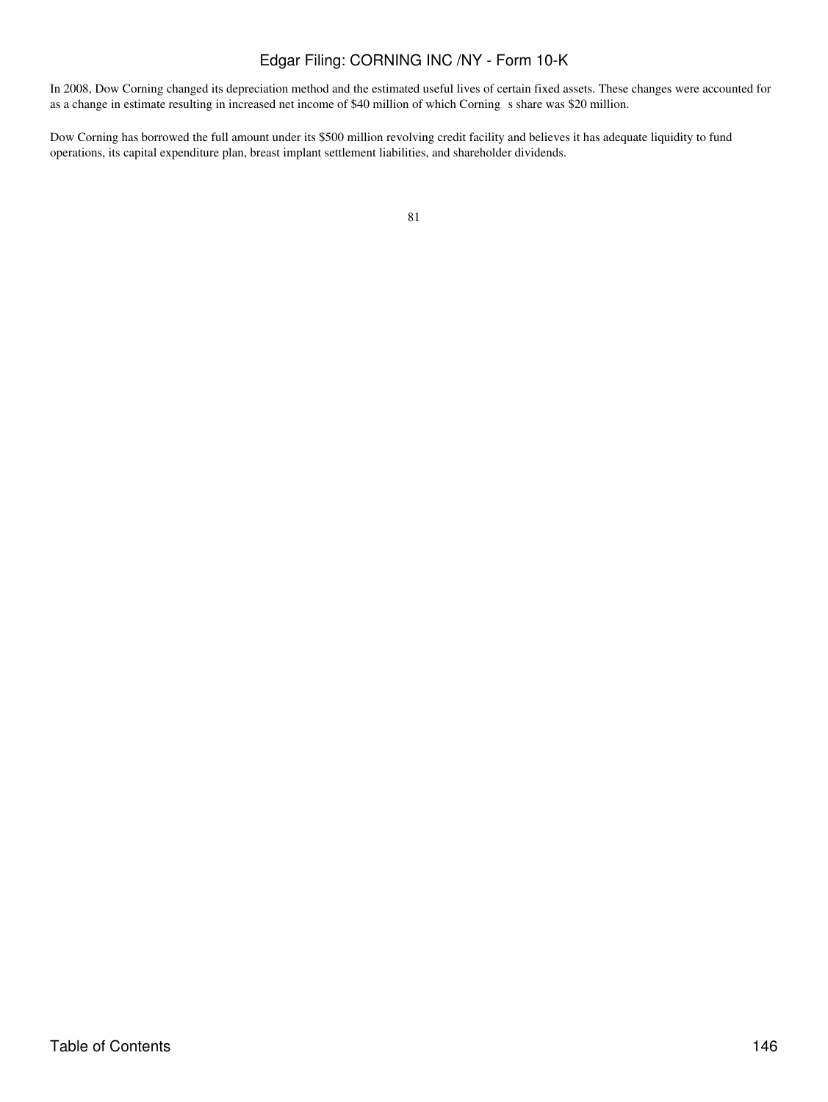In 2008, Dow Corning changed its depreciation method and the estimated useful lives of certain fixed assets. These changes were accounted for as a change in estimate resulting in increased net income of \$40 million of which Corning s share was \$20 million.

Dow Corning has borrowed the full amount under its \$500 million revolving credit facility and believes it has adequate liquidity to fund operations, its capital expenditure plan, breast implant settlement liabilities, and shareholder dividends.

<sup>81</sup>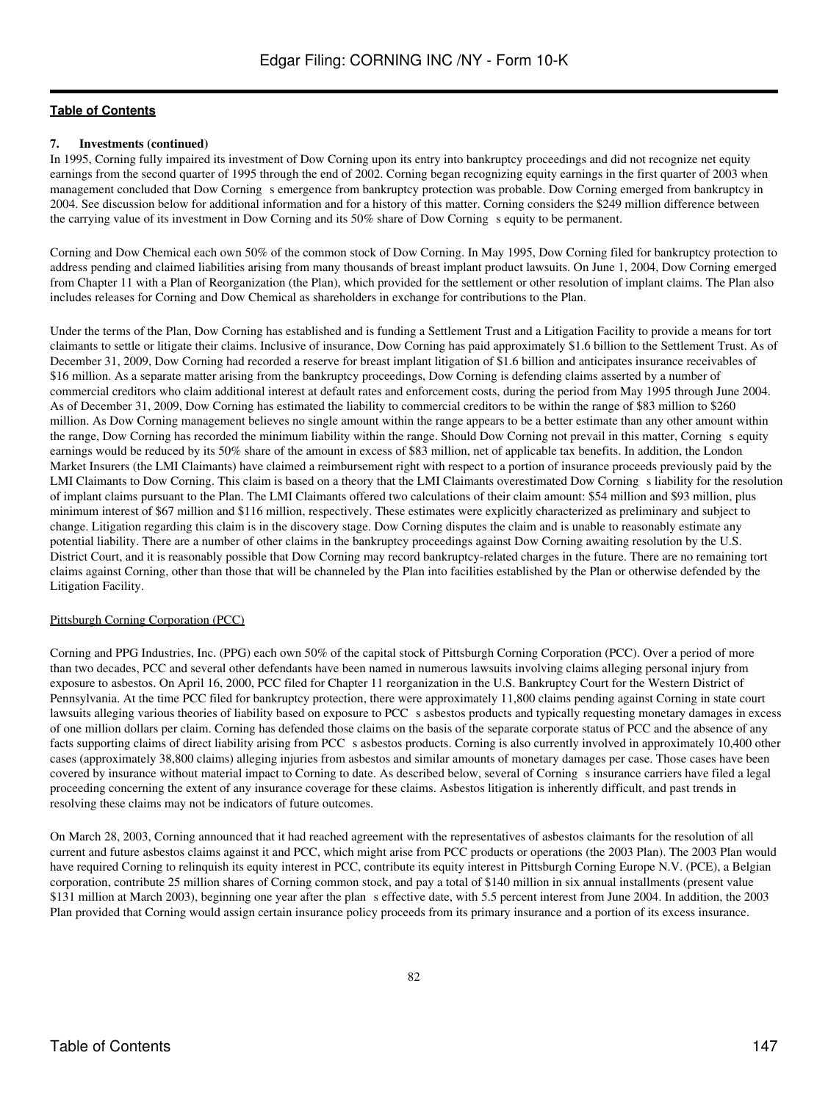## **7. Investments (continued)**

In 1995, Corning fully impaired its investment of Dow Corning upon its entry into bankruptcy proceedings and did not recognize net equity earnings from the second quarter of 1995 through the end of 2002. Corning began recognizing equity earnings in the first quarter of 2003 when management concluded that Dow Corning s emergence from bankruptcy protection was probable. Dow Corning emerged from bankruptcy in 2004. See discussion below for additional information and for a history of this matter. Corning considers the \$249 million difference between the carrying value of its investment in Dow Corning and its 50% share of Dow Corning s equity to be permanent.

Corning and Dow Chemical each own 50% of the common stock of Dow Corning. In May 1995, Dow Corning filed for bankruptcy protection to address pending and claimed liabilities arising from many thousands of breast implant product lawsuits. On June 1, 2004, Dow Corning emerged from Chapter 11 with a Plan of Reorganization (the Plan), which provided for the settlement or other resolution of implant claims. The Plan also includes releases for Corning and Dow Chemical as shareholders in exchange for contributions to the Plan.

Under the terms of the Plan, Dow Corning has established and is funding a Settlement Trust and a Litigation Facility to provide a means for tort claimants to settle or litigate their claims. Inclusive of insurance, Dow Corning has paid approximately \$1.6 billion to the Settlement Trust. As of December 31, 2009, Dow Corning had recorded a reserve for breast implant litigation of \$1.6 billion and anticipates insurance receivables of \$16 million. As a separate matter arising from the bankruptcy proceedings, Dow Corning is defending claims asserted by a number of commercial creditors who claim additional interest at default rates and enforcement costs, during the period from May 1995 through June 2004. As of December 31, 2009, Dow Corning has estimated the liability to commercial creditors to be within the range of \$83 million to \$260 million. As Dow Corning management believes no single amount within the range appears to be a better estimate than any other amount within the range, Dow Corning has recorded the minimum liability within the range. Should Dow Corning not prevail in this matter, Cornings equity earnings would be reduced by its 50% share of the amount in excess of \$83 million, net of applicable tax benefits. In addition, the London Market Insurers (the LMI Claimants) have claimed a reimbursement right with respect to a portion of insurance proceeds previously paid by the LMI Claimants to Dow Corning. This claim is based on a theory that the LMI Claimants overestimated Dow Corning s liability for the resolution of implant claims pursuant to the Plan. The LMI Claimants offered two calculations of their claim amount: \$54 million and \$93 million, plus minimum interest of \$67 million and \$116 million, respectively. These estimates were explicitly characterized as preliminary and subject to change. Litigation regarding this claim is in the discovery stage. Dow Corning disputes the claim and is unable to reasonably estimate any potential liability. There are a number of other claims in the bankruptcy proceedings against Dow Corning awaiting resolution by the U.S. District Court, and it is reasonably possible that Dow Corning may record bankruptcy-related charges in the future. There are no remaining tort claims against Corning, other than those that will be channeled by the Plan into facilities established by the Plan or otherwise defended by the Litigation Facility.

### Pittsburgh Corning Corporation (PCC)

Corning and PPG Industries, Inc. (PPG) each own 50% of the capital stock of Pittsburgh Corning Corporation (PCC). Over a period of more than two decades, PCC and several other defendants have been named in numerous lawsuits involving claims alleging personal injury from exposure to asbestos. On April 16, 2000, PCC filed for Chapter 11 reorganization in the U.S. Bankruptcy Court for the Western District of Pennsylvania. At the time PCC filed for bankruptcy protection, there were approximately 11,800 claims pending against Corning in state court lawsuits alleging various theories of liability based on exposure to PCC s asbestos products and typically requesting monetary damages in excess of one million dollars per claim. Corning has defended those claims on the basis of the separate corporate status of PCC and the absence of any facts supporting claims of direct liability arising from PCC s asbestos products. Corning is also currently involved in approximately 10,400 other cases (approximately 38,800 claims) alleging injuries from asbestos and similar amounts of monetary damages per case. Those cases have been covered by insurance without material impact to Corning to date. As described below, several of Corning s insurance carriers have filed a legal proceeding concerning the extent of any insurance coverage for these claims. Asbestos litigation is inherently difficult, and past trends in resolving these claims may not be indicators of future outcomes.

On March 28, 2003, Corning announced that it had reached agreement with the representatives of asbestos claimants for the resolution of all current and future asbestos claims against it and PCC, which might arise from PCC products or operations (the 2003 Plan). The 2003 Plan would have required Corning to relinquish its equity interest in PCC, contribute its equity interest in Pittsburgh Corning Europe N.V. (PCE), a Belgian corporation, contribute 25 million shares of Corning common stock, and pay a total of \$140 million in six annual installments (present value \$131 million at March 2003), beginning one year after the plans effective date, with 5.5 percent interest from June 2004. In addition, the 2003 Plan provided that Corning would assign certain insurance policy proceeds from its primary insurance and a portion of its excess insurance.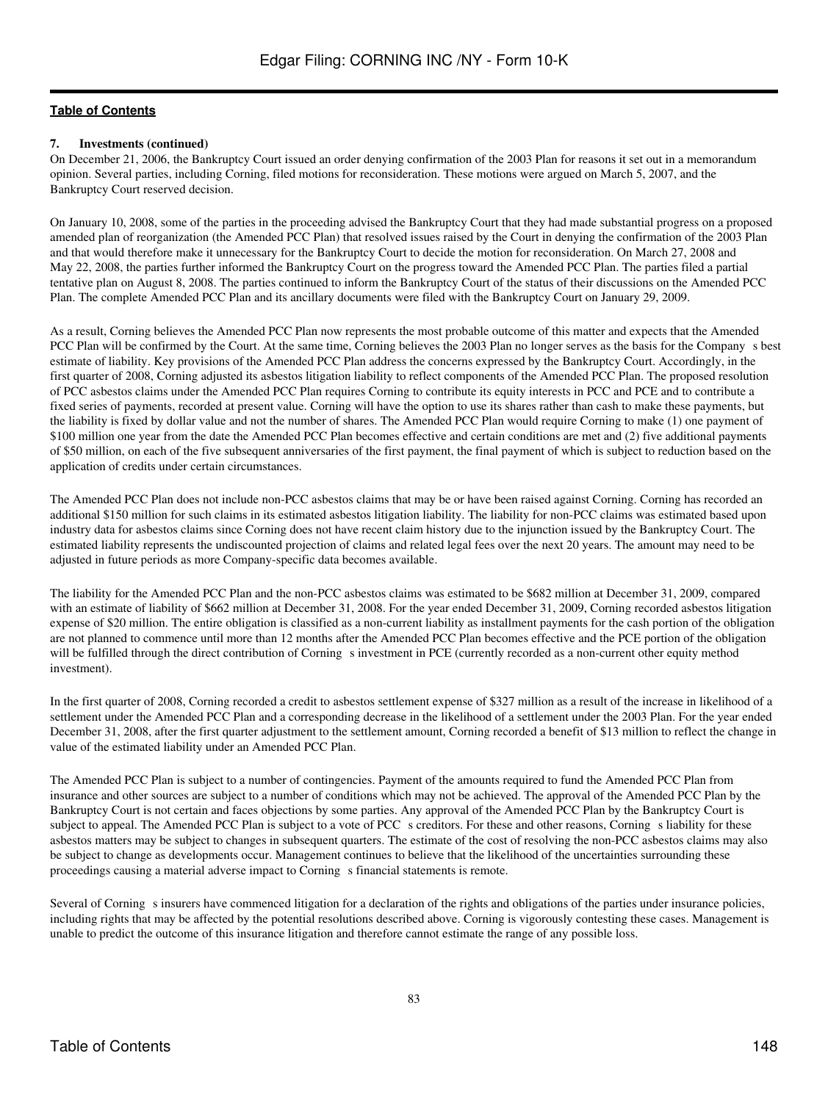### **7. Investments (continued)**

On December 21, 2006, the Bankruptcy Court issued an order denying confirmation of the 2003 Plan for reasons it set out in a memorandum opinion. Several parties, including Corning, filed motions for reconsideration. These motions were argued on March 5, 2007, and the Bankruptcy Court reserved decision.

On January 10, 2008, some of the parties in the proceeding advised the Bankruptcy Court that they had made substantial progress on a proposed amended plan of reorganization (the Amended PCC Plan) that resolved issues raised by the Court in denying the confirmation of the 2003 Plan and that would therefore make it unnecessary for the Bankruptcy Court to decide the motion for reconsideration. On March 27, 2008 and May 22, 2008, the parties further informed the Bankruptcy Court on the progress toward the Amended PCC Plan. The parties filed a partial tentative plan on August 8, 2008. The parties continued to inform the Bankruptcy Court of the status of their discussions on the Amended PCC Plan. The complete Amended PCC Plan and its ancillary documents were filed with the Bankruptcy Court on January 29, 2009.

As a result, Corning believes the Amended PCC Plan now represents the most probable outcome of this matter and expects that the Amended PCC Plan will be confirmed by the Court. At the same time, Corning believes the 2003 Plan no longer serves as the basis for the Company s best estimate of liability. Key provisions of the Amended PCC Plan address the concerns expressed by the Bankruptcy Court. Accordingly, in the first quarter of 2008, Corning adjusted its asbestos litigation liability to reflect components of the Amended PCC Plan. The proposed resolution of PCC asbestos claims under the Amended PCC Plan requires Corning to contribute its equity interests in PCC and PCE and to contribute a fixed series of payments, recorded at present value. Corning will have the option to use its shares rather than cash to make these payments, but the liability is fixed by dollar value and not the number of shares. The Amended PCC Plan would require Corning to make (1) one payment of \$100 million one year from the date the Amended PCC Plan becomes effective and certain conditions are met and (2) five additional payments of \$50 million, on each of the five subsequent anniversaries of the first payment, the final payment of which is subject to reduction based on the application of credits under certain circumstances.

The Amended PCC Plan does not include non-PCC asbestos claims that may be or have been raised against Corning. Corning has recorded an additional \$150 million for such claims in its estimated asbestos litigation liability. The liability for non-PCC claims was estimated based upon industry data for asbestos claims since Corning does not have recent claim history due to the injunction issued by the Bankruptcy Court. The estimated liability represents the undiscounted projection of claims and related legal fees over the next 20 years. The amount may need to be adjusted in future periods as more Company-specific data becomes available.

The liability for the Amended PCC Plan and the non-PCC asbestos claims was estimated to be \$682 million at December 31, 2009, compared with an estimate of liability of \$662 million at December 31, 2008. For the year ended December 31, 2009, Corning recorded asbestos litigation expense of \$20 million. The entire obligation is classified as a non-current liability as installment payments for the cash portion of the obligation are not planned to commence until more than 12 months after the Amended PCC Plan becomes effective and the PCE portion of the obligation will be fulfilled through the direct contribution of Corning s investment in PCE (currently recorded as a non-current other equity method investment).

In the first quarter of 2008, Corning recorded a credit to asbestos settlement expense of \$327 million as a result of the increase in likelihood of a settlement under the Amended PCC Plan and a corresponding decrease in the likelihood of a settlement under the 2003 Plan. For the year ended December 31, 2008, after the first quarter adjustment to the settlement amount, Corning recorded a benefit of \$13 million to reflect the change in value of the estimated liability under an Amended PCC Plan.

The Amended PCC Plan is subject to a number of contingencies. Payment of the amounts required to fund the Amended PCC Plan from insurance and other sources are subject to a number of conditions which may not be achieved. The approval of the Amended PCC Plan by the Bankruptcy Court is not certain and faces objections by some parties. Any approval of the Amended PCC Plan by the Bankruptcy Court is subject to appeal. The Amended PCC Plan is subject to a vote of PCC s creditors. For these and other reasons, Corning s liability for these asbestos matters may be subject to changes in subsequent quarters. The estimate of the cost of resolving the non-PCC asbestos claims may also be subject to change as developments occur. Management continues to believe that the likelihood of the uncertainties surrounding these proceedings causing a material adverse impact to Cornings financial statements is remote.

Several of Corning s insurers have commenced litigation for a declaration of the rights and obligations of the parties under insurance policies, including rights that may be affected by the potential resolutions described above. Corning is vigorously contesting these cases. Management is unable to predict the outcome of this insurance litigation and therefore cannot estimate the range of any possible loss.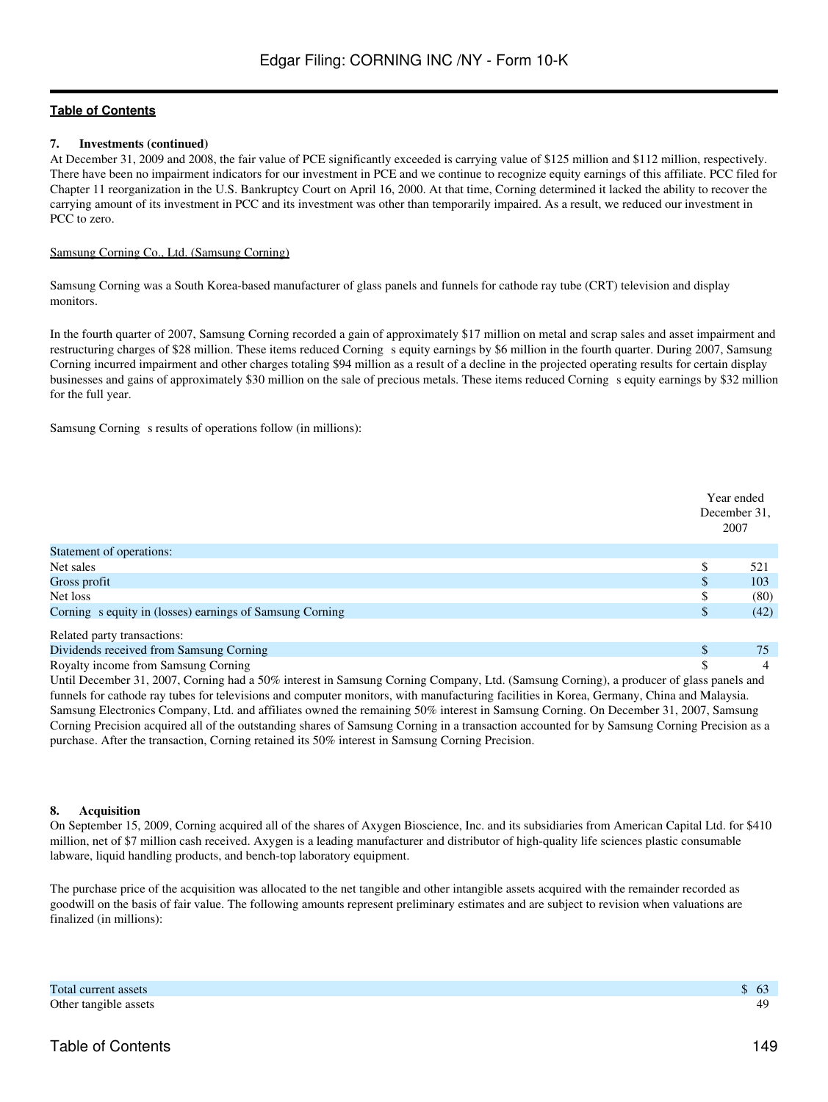### **7. Investments (continued)**

At December 31, 2009 and 2008, the fair value of PCE significantly exceeded is carrying value of \$125 million and \$112 million, respectively. There have been no impairment indicators for our investment in PCE and we continue to recognize equity earnings of this affiliate. PCC filed for Chapter 11 reorganization in the U.S. Bankruptcy Court on April 16, 2000. At that time, Corning determined it lacked the ability to recover the carrying amount of its investment in PCC and its investment was other than temporarily impaired. As a result, we reduced our investment in PCC to zero.

### Samsung Corning Co., Ltd. (Samsung Corning)

Samsung Corning was a South Korea-based manufacturer of glass panels and funnels for cathode ray tube (CRT) television and display monitors.

In the fourth quarter of 2007, Samsung Corning recorded a gain of approximately \$17 million on metal and scrap sales and asset impairment and restructuring charges of \$28 million. These items reduced Corning s equity earnings by \$6 million in the fourth quarter. During 2007, Samsung Corning incurred impairment and other charges totaling \$94 million as a result of a decline in the projected operating results for certain display businesses and gains of approximately \$30 million on the sale of precious metals. These items reduced Corning sequity earnings by \$32 million for the full year.

Samsung Corning s results of operations follow (in millions):

|                                                                                                                                                                                                                                                                                     | Year ended<br>December 31.<br>2007 |
|-------------------------------------------------------------------------------------------------------------------------------------------------------------------------------------------------------------------------------------------------------------------------------------|------------------------------------|
| Statement of operations:                                                                                                                                                                                                                                                            |                                    |
| Net sales                                                                                                                                                                                                                                                                           | 521                                |
| Gross profit                                                                                                                                                                                                                                                                        | 103                                |
| Net loss                                                                                                                                                                                                                                                                            | (80)                               |
| Corning s equity in (losses) earnings of Samsung Corning                                                                                                                                                                                                                            | (42)                               |
| Related party transactions:                                                                                                                                                                                                                                                         |                                    |
| Dividends received from Samsung Corning                                                                                                                                                                                                                                             | 75                                 |
| Royalty income from Samsung Corning                                                                                                                                                                                                                                                 | 4                                  |
| Until December 31, 2007, Corning had a 50% interest in Samsung Corning Company, Ltd. (Samsung Corning), a producer of glass panels and<br>funnels for cathode ray tubes for televisions and computer monitors, with manufacturing facilities in Korea, Germany, China and Malaysia. |                                    |

Samsung Electronics Company, Ltd. and affiliates owned the remaining 50% interest in Samsung Corning. On December 31, 2007, Samsung Corning Precision acquired all of the outstanding shares of Samsung Corning in a transaction accounted for by Samsung Corning Precision as a purchase. After the transaction, Corning retained its 50% interest in Samsung Corning Precision.

### **8. Acquisition**

On September 15, 2009, Corning acquired all of the shares of Axygen Bioscience, Inc. and its subsidiaries from American Capital Ltd. for \$410 million, net of \$7 million cash received. Axygen is a leading manufacturer and distributor of high-quality life sciences plastic consumable labware, liquid handling products, and bench-top laboratory equipment.

The purchase price of the acquisition was allocated to the net tangible and other intangible assets acquired with the remainder recorded as goodwill on the basis of fair value. The following amounts represent preliminary estimates and are subject to revision when valuations are finalized (in millions):

Total current assets \$ 63 Other tangible assets 49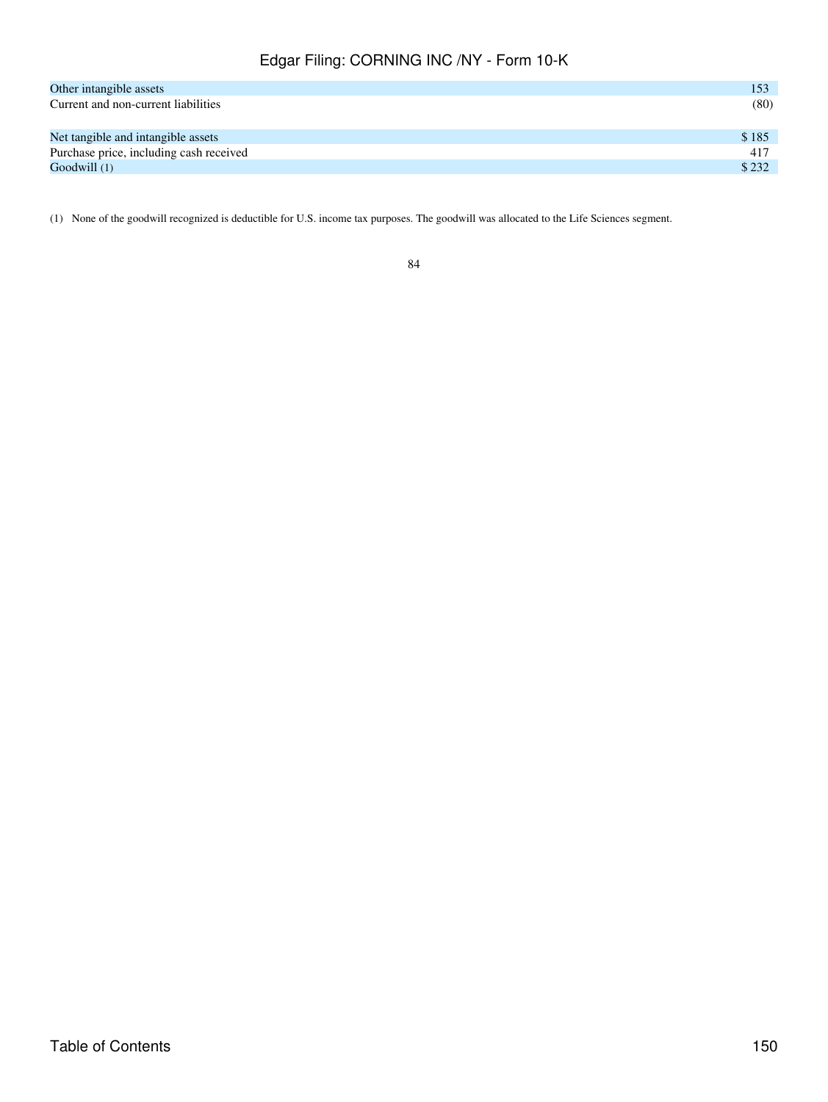| Other intangible assets                 | 153   |
|-----------------------------------------|-------|
| Current and non-current liabilities     | (80)  |
| Net tangible and intangible assets      | \$185 |
| Purchase price, including cash received | 417   |
| Goodwill (1)                            | \$232 |
|                                         |       |

(1) None of the goodwill recognized is deductible for U.S. income tax purposes. The goodwill was allocated to the Life Sciences segment.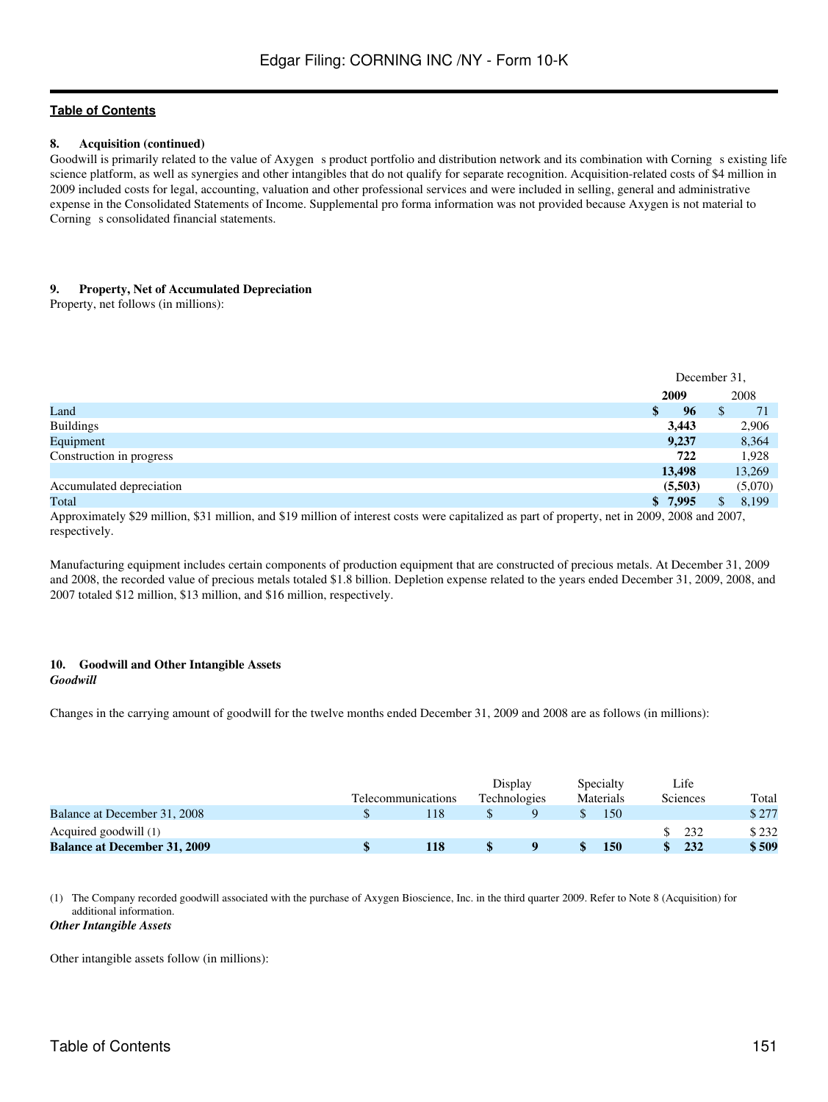### **8. Acquisition (continued)**

Goodwill is primarily related to the value of Axygen s product portfolio and distribution network and its combination with Corning s existing life science platform, as well as synergies and other intangibles that do not qualify for separate recognition. Acquisition-related costs of \$4 million in 2009 included costs for legal, accounting, valuation and other professional services and were included in selling, general and administrative expense in the Consolidated Statements of Income. Supplemental pro forma information was not provided because Axygen is not material to Corning s consolidated financial statements.

## **9. Property, Net of Accumulated Depreciation**

Property, net follows (in millions):

|                          |          | December 31,          |
|--------------------------|----------|-----------------------|
|                          | 2009     | 2008                  |
| Land                     | 96<br>a. | 71<br>ъ               |
| <b>Buildings</b>         | 3,443    | 2,906                 |
| Equipment                | 9,237    | 8,364                 |
| Construction in progress | 722      | 1,928                 |
|                          | 13,498   | 13,269                |
| Accumulated depreciation | (5,503)  | (5,070)               |
| Total                    | \$7,995  | 8,199<br>$\mathbb{S}$ |

Approximately \$29 million, \$31 million, and \$19 million of interest costs were capitalized as part of property, net in 2009, 2008 and 2007, respectively.

Manufacturing equipment includes certain components of production equipment that are constructed of precious metals. At December 31, 2009 and 2008, the recorded value of precious metals totaled \$1.8 billion. Depletion expense related to the years ended December 31, 2009, 2008, and 2007 totaled \$12 million, \$13 million, and \$16 million, respectively.

#### **10. Goodwill and Other Intangible Assets** *Goodwill*

Changes in the carrying amount of goodwill for the twelve months ended December 31, 2009 and 2008 are as follows (in millions):

|                                     | Telecommunications | Display | Technologies | Specialty<br>Materials | Life<br>Sciences | Total |
|-------------------------------------|--------------------|---------|--------------|------------------------|------------------|-------|
| Balance at December 31, 2008        | 118                |         |              | 150                    |                  | \$277 |
| Acquired goodwill (1)               |                    |         |              |                        | 232              | \$232 |
| <b>Balance at December 31, 2009</b> | 118                |         |              | 150                    | 232              | \$509 |

(1) The Company recorded goodwill associated with the purchase of Axygen Bioscience, Inc. in the third quarter 2009. Refer to Note 8 (Acquisition) for additional information. *Other Intangible Assets*

Other intangible assets follow (in millions):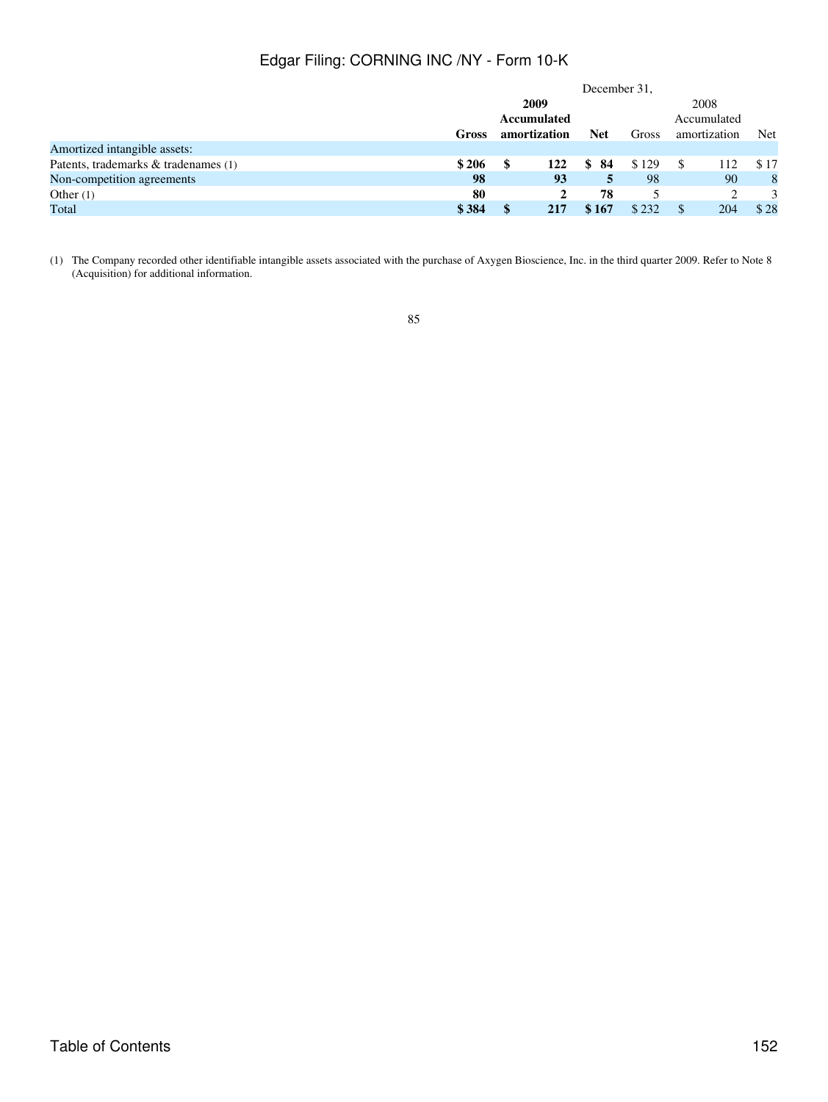|                                      | December 31. |  |              |            |             |  |              |      |  |
|--------------------------------------|--------------|--|--------------|------------|-------------|--|--------------|------|--|
|                                      | 2009         |  |              |            | 2008        |  |              |      |  |
|                                      | Accumulated  |  |              |            | Accumulated |  |              |      |  |
|                                      | Gross        |  | amortization | <b>Net</b> | Gross       |  | amortization | Net  |  |
| Amortized intangible assets:         |              |  |              |            |             |  |              |      |  |
| Patents, trademarks & tradenames (1) | \$206        |  | 122          | SS.<br>84  | \$129       |  | 112          | \$17 |  |
| Non-competition agreements           | 98           |  | 93           | 5          | 98          |  | 90           | 8    |  |
| Other $(1)$                          | 80           |  |              | 78         |             |  | 2            | 3    |  |
| Total                                | \$384        |  | 217          | \$167      | \$232       |  | 204          | \$28 |  |
|                                      |              |  |              |            |             |  |              |      |  |

(1) The Company recorded other identifiable intangible assets associated with the purchase of Axygen Bioscience, Inc. in the third quarter 2009. Refer to Note 8 (Acquisition) for additional information.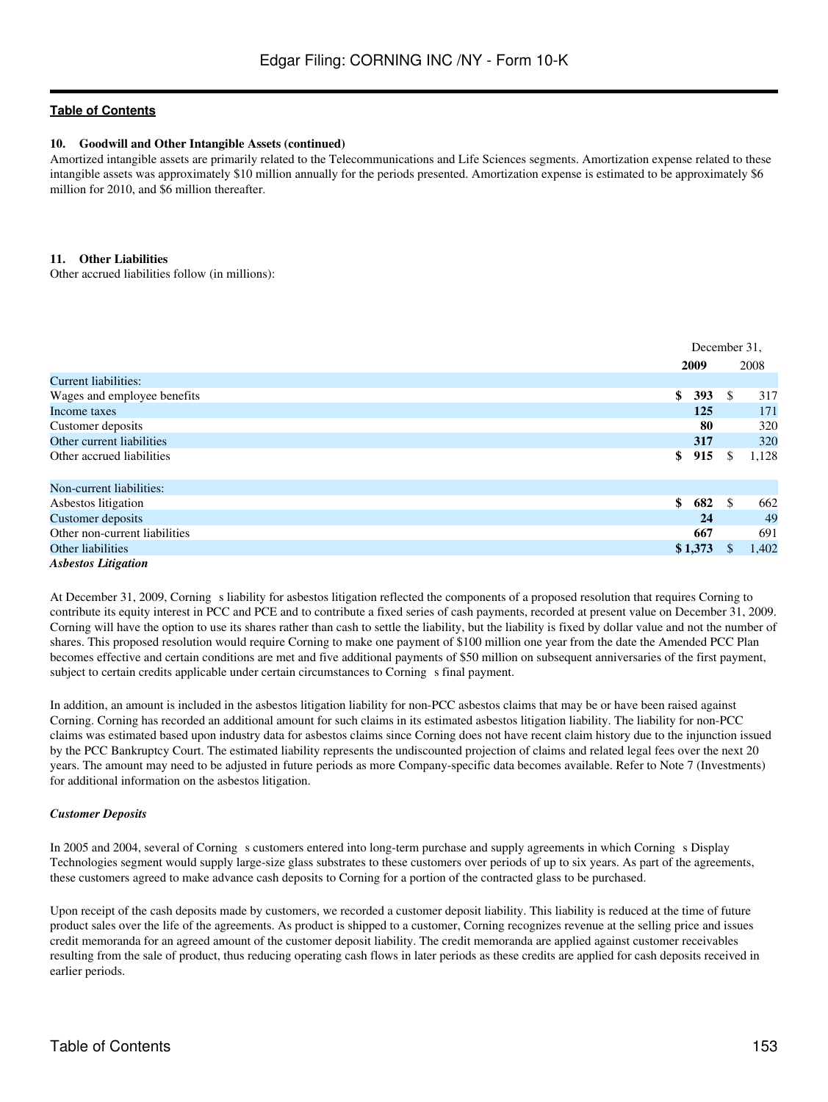### **10. Goodwill and Other Intangible Assets (continued)**

Amortized intangible assets are primarily related to the Telecommunications and Life Sciences segments. Amortization expense related to these intangible assets was approximately \$10 million annually for the periods presented. Amortization expense is estimated to be approximately \$6 million for 2010, and \$6 million thereafter.

### **11. Other Liabilities**

Other accrued liabilities follow (in millions):

|                               | December 31, |            |      |       |
|-------------------------------|--------------|------------|------|-------|
|                               |              | 2009       |      | 2008  |
| Current liabilities:          |              |            |      |       |
| Wages and employee benefits   | \$           | <b>393</b> | -S   | 317   |
| Income taxes                  |              | 125        |      | 171   |
| Customer deposits             |              | 80         |      | 320   |
| Other current liabilities     |              | 317        |      | 320   |
| Other accrued liabilities     | \$           | 915        | \$.  | 1,128 |
| Non-current liabilities:      |              |            |      |       |
| Asbestos litigation           | \$           | 682        | - \$ | 662   |
| Customer deposits             |              | 24         |      | 49    |
| Other non-current liabilities |              | 667        |      | 691   |
| Other liabilities             |              | \$1,373    |      | 1,402 |
| Asbestos Litigation           |              |            |      |       |

At December 31, 2009, Corning s liability for asbestos litigation reflected the components of a proposed resolution that requires Corning to contribute its equity interest in PCC and PCE and to contribute a fixed series of cash payments, recorded at present value on December 31, 2009. Corning will have the option to use its shares rather than cash to settle the liability, but the liability is fixed by dollar value and not the number of shares. This proposed resolution would require Corning to make one payment of \$100 million one year from the date the Amended PCC Plan becomes effective and certain conditions are met and five additional payments of \$50 million on subsequent anniversaries of the first payment, subject to certain credits applicable under certain circumstances to Corning s final payment.

In addition, an amount is included in the asbestos litigation liability for non-PCC asbestos claims that may be or have been raised against Corning. Corning has recorded an additional amount for such claims in its estimated asbestos litigation liability. The liability for non-PCC claims was estimated based upon industry data for asbestos claims since Corning does not have recent claim history due to the injunction issued by the PCC Bankruptcy Court. The estimated liability represents the undiscounted projection of claims and related legal fees over the next 20 years. The amount may need to be adjusted in future periods as more Company-specific data becomes available. Refer to Note 7 (Investments) for additional information on the asbestos litigation.

### *Customer Deposits*

In 2005 and 2004, several of Corning s customers entered into long-term purchase and supply agreements in which Corning s Display Technologies segment would supply large-size glass substrates to these customers over periods of up to six years. As part of the agreements, these customers agreed to make advance cash deposits to Corning for a portion of the contracted glass to be purchased.

Upon receipt of the cash deposits made by customers, we recorded a customer deposit liability. This liability is reduced at the time of future product sales over the life of the agreements. As product is shipped to a customer, Corning recognizes revenue at the selling price and issues credit memoranda for an agreed amount of the customer deposit liability. The credit memoranda are applied against customer receivables resulting from the sale of product, thus reducing operating cash flows in later periods as these credits are applied for cash deposits received in earlier periods.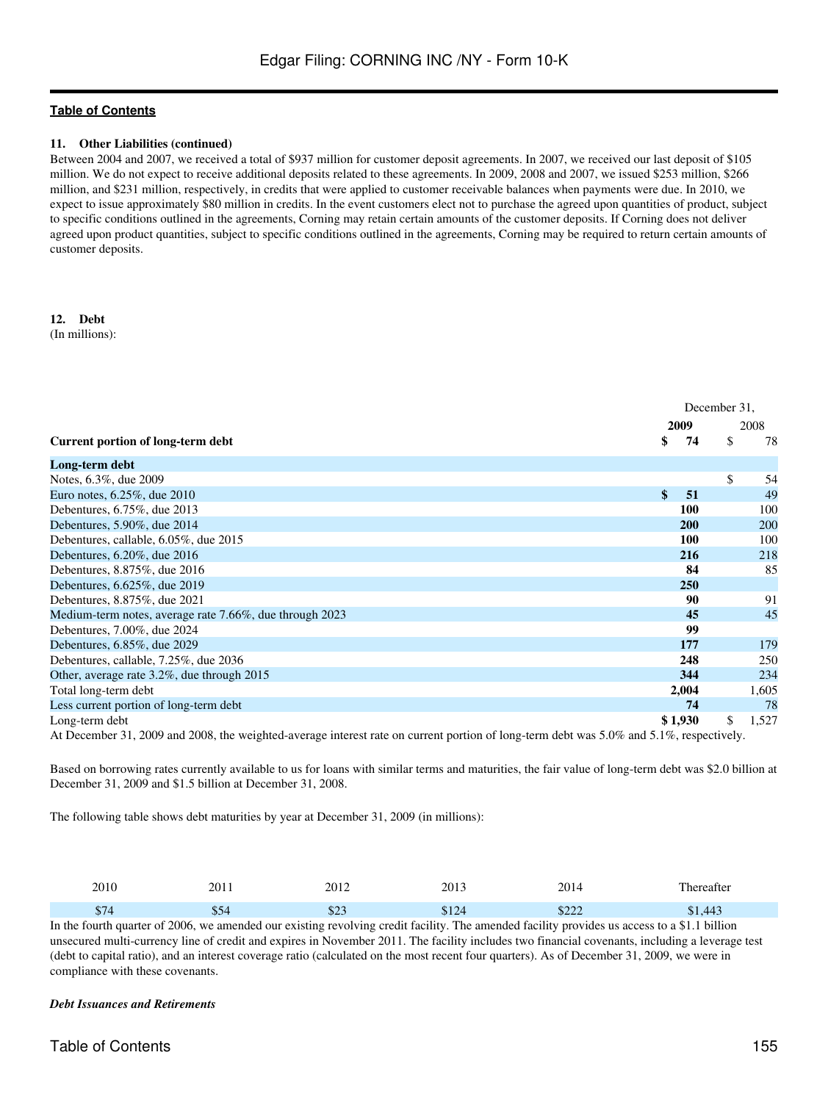### **11. Other Liabilities (continued)**

Between 2004 and 2007, we received a total of \$937 million for customer deposit agreements. In 2007, we received our last deposit of \$105 million. We do not expect to receive additional deposits related to these agreements. In 2009, 2008 and 2007, we issued \$253 million, \$266 million, and \$231 million, respectively, in credits that were applied to customer receivable balances when payments were due. In 2010, we expect to issue approximately \$80 million in credits. In the event customers elect not to purchase the agreed upon quantities of product, subject to specific conditions outlined in the agreements, Corning may retain certain amounts of the customer deposits. If Corning does not deliver agreed upon product quantities, subject to specific conditions outlined in the agreements, Corning may be required to return certain amounts of customer deposits.

#### **12. Debt** (In millions):

|                                                                                                                                         |         |            | December 31. |       |
|-----------------------------------------------------------------------------------------------------------------------------------------|---------|------------|--------------|-------|
|                                                                                                                                         |         | 2009       |              | 2008  |
| Current portion of long-term debt                                                                                                       |         | 74         | $\mathbb{S}$ | 78    |
| Long-term debt                                                                                                                          |         |            |              |       |
| Notes, 6.3%, due 2009                                                                                                                   |         |            | \$           | 54    |
| Euro notes, 6.25%, due 2010                                                                                                             | \$      | 51         |              | 49    |
| Debentures, 6.75%, due 2013                                                                                                             |         | 100        |              | 100   |
| Debentures, 5.90%, due 2014                                                                                                             |         | <b>200</b> |              | 200   |
| Debentures, callable, 6.05%, due 2015                                                                                                   |         | <b>100</b> |              | 100   |
| Debentures, 6.20%, due 2016                                                                                                             |         | 216        |              | 218   |
| Debentures, 8.875%, due 2016                                                                                                            |         | 84         |              | 85    |
| Debentures, 6.625%, due 2019                                                                                                            |         | <b>250</b> |              |       |
| Debentures, 8.875%, due 2021                                                                                                            |         | 90         |              | 91    |
| Medium-term notes, average rate 7.66%, due through 2023                                                                                 |         | 45         |              | 45    |
| Debentures, 7.00%, due 2024                                                                                                             |         | 99         |              |       |
| Debentures, 6.85%, due 2029                                                                                                             |         | 177        |              | 179   |
| Debentures, callable, 7.25%, due 2036                                                                                                   |         | 248        |              | 250   |
| Other, average rate 3.2%, due through 2015                                                                                              |         | 344        |              | 234   |
| Total long-term debt                                                                                                                    |         | 2,004      |              | 1,605 |
| Less current portion of long-term debt                                                                                                  |         | 74         |              | 78    |
| Long-term debt                                                                                                                          | \$1,930 |            | S.           | 1,527 |
| At December 21, 2000 and 2009, the worshted everges interest rate on everyont portion of lang term debt wee 5.0% and 5.1%, respectively |         |            |              |       |

At December 31, 2009 and 2008, the weighted-average interest rate on current portion of long-term debt was 5.0% and 5.1%, respectively.

Based on borrowing rates currently available to us for loans with similar terms and maturities, the fair value of long-term debt was \$2.0 billion at December 31, 2009 and \$1.5 billion at December 31, 2008.

The following table shows debt maturities by year at December 31, 2009 (in millions):

| 2010      | 2011             | 2012                   | 2013 | 2014 | m<br>hereafter |
|-----------|------------------|------------------------|------|------|----------------|
| <b>47</b> | $\uparrow$<br>ພົ | <b>ወጣ</b><br>$D\Delta$ | 9L2  | 9444 | 44             |

In the fourth quarter of 2006, we amended our existing revolving credit facility. The amended facility provides us access to a \$1.1 billion unsecured multi-currency line of credit and expires in November 2011. The facility includes two financial covenants, including a leverage test (debt to capital ratio), and an interest coverage ratio (calculated on the most recent four quarters). As of December 31, 2009, we were in compliance with these covenants.

### *Debt Issuances and Retirements*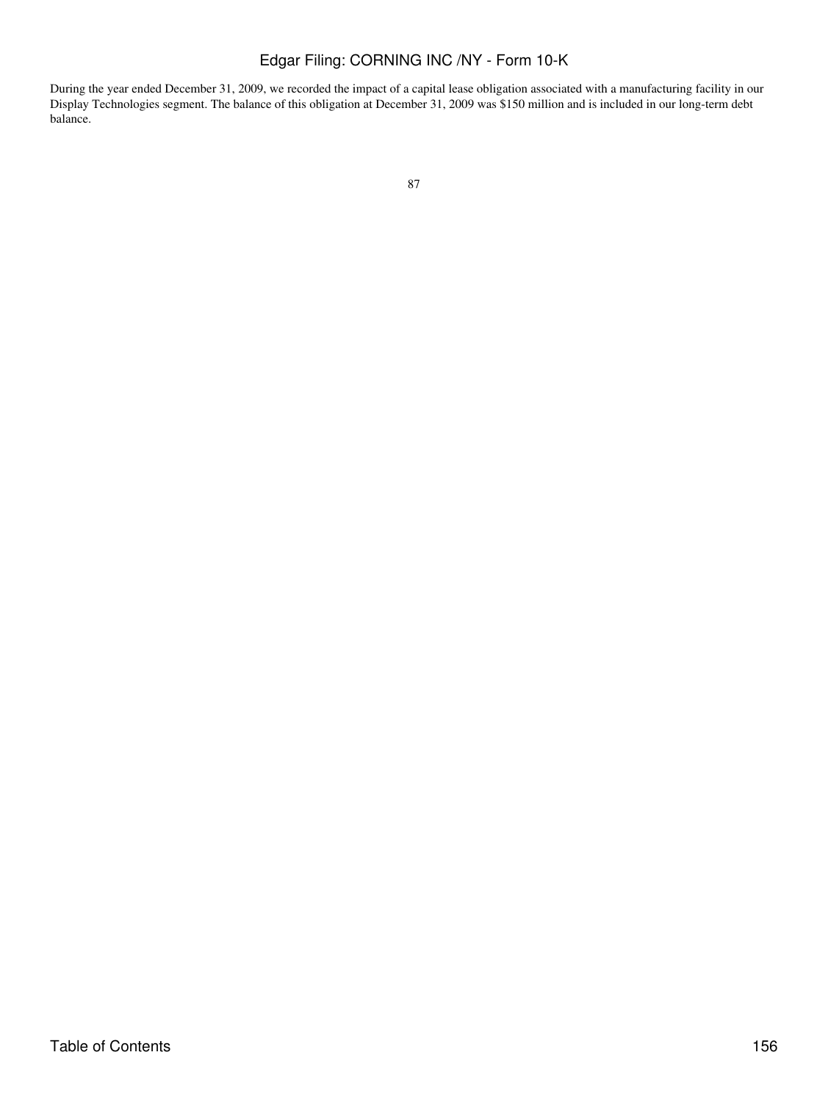During the year ended December 31, 2009, we recorded the impact of a capital lease obligation associated with a manufacturing facility in our Display Technologies segment. The balance of this obligation at December 31, 2009 was \$150 million and is included in our long-term debt balance.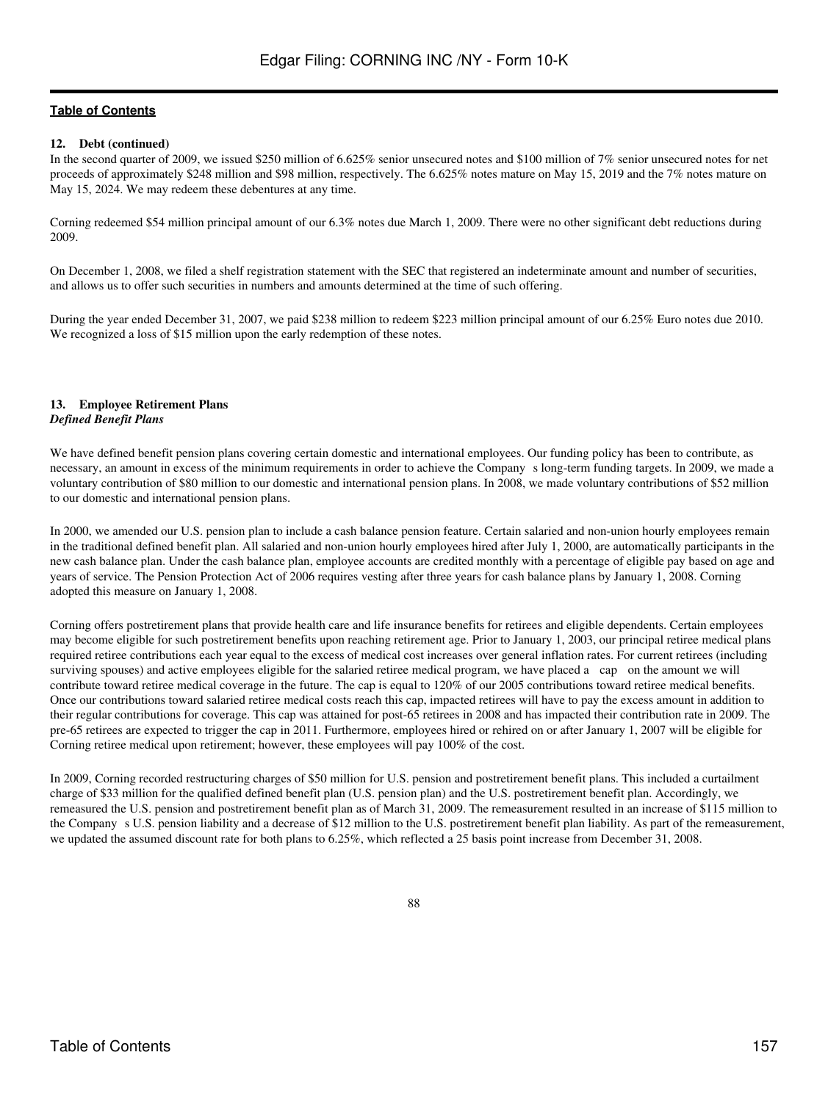### **12. Debt (continued)**

In the second quarter of 2009, we issued \$250 million of 6.625% senior unsecured notes and \$100 million of 7% senior unsecured notes for net proceeds of approximately \$248 million and \$98 million, respectively. The 6.625% notes mature on May 15, 2019 and the 7% notes mature on May 15, 2024. We may redeem these debentures at any time.

Corning redeemed \$54 million principal amount of our 6.3% notes due March 1, 2009. There were no other significant debt reductions during 2009.

On December 1, 2008, we filed a shelf registration statement with the SEC that registered an indeterminate amount and number of securities, and allows us to offer such securities in numbers and amounts determined at the time of such offering.

During the year ended December 31, 2007, we paid \$238 million to redeem \$223 million principal amount of our 6.25% Euro notes due 2010. We recognized a loss of \$15 million upon the early redemption of these notes.

### **13. Employee Retirement Plans** *Defined Benefit Plans*

We have defined benefit pension plans covering certain domestic and international employees. Our funding policy has been to contribute, as necessary, an amount in excess of the minimum requirements in order to achieve the Companys long-term funding targets. In 2009, we made a voluntary contribution of \$80 million to our domestic and international pension plans. In 2008, we made voluntary contributions of \$52 million to our domestic and international pension plans.

In 2000, we amended our U.S. pension plan to include a cash balance pension feature. Certain salaried and non-union hourly employees remain in the traditional defined benefit plan. All salaried and non-union hourly employees hired after July 1, 2000, are automatically participants in the new cash balance plan. Under the cash balance plan, employee accounts are credited monthly with a percentage of eligible pay based on age and years of service. The Pension Protection Act of 2006 requires vesting after three years for cash balance plans by January 1, 2008. Corning adopted this measure on January 1, 2008.

Corning offers postretirement plans that provide health care and life insurance benefits for retirees and eligible dependents. Certain employees may become eligible for such postretirement benefits upon reaching retirement age. Prior to January 1, 2003, our principal retiree medical plans required retiree contributions each year equal to the excess of medical cost increases over general inflation rates. For current retirees (including surviving spouses) and active employees eligible for the salaried retiree medical program, we have placed a cap on the amount we will contribute toward retiree medical coverage in the future. The cap is equal to 120% of our 2005 contributions toward retiree medical benefits. Once our contributions toward salaried retiree medical costs reach this cap, impacted retirees will have to pay the excess amount in addition to their regular contributions for coverage. This cap was attained for post-65 retirees in 2008 and has impacted their contribution rate in 2009. The pre-65 retirees are expected to trigger the cap in 2011. Furthermore, employees hired or rehired on or after January 1, 2007 will be eligible for Corning retiree medical upon retirement; however, these employees will pay 100% of the cost.

In 2009, Corning recorded restructuring charges of \$50 million for U.S. pension and postretirement benefit plans. This included a curtailment charge of \$33 million for the qualified defined benefit plan (U.S. pension plan) and the U.S. postretirement benefit plan. Accordingly, we remeasured the U.S. pension and postretirement benefit plan as of March 31, 2009. The remeasurement resulted in an increase of \$115 million to the Companys U.S. pension liability and a decrease of \$12 million to the U.S. postretirement benefit plan liability. As part of the remeasurement, we updated the assumed discount rate for both plans to 6.25%, which reflected a 25 basis point increase from December 31, 2008.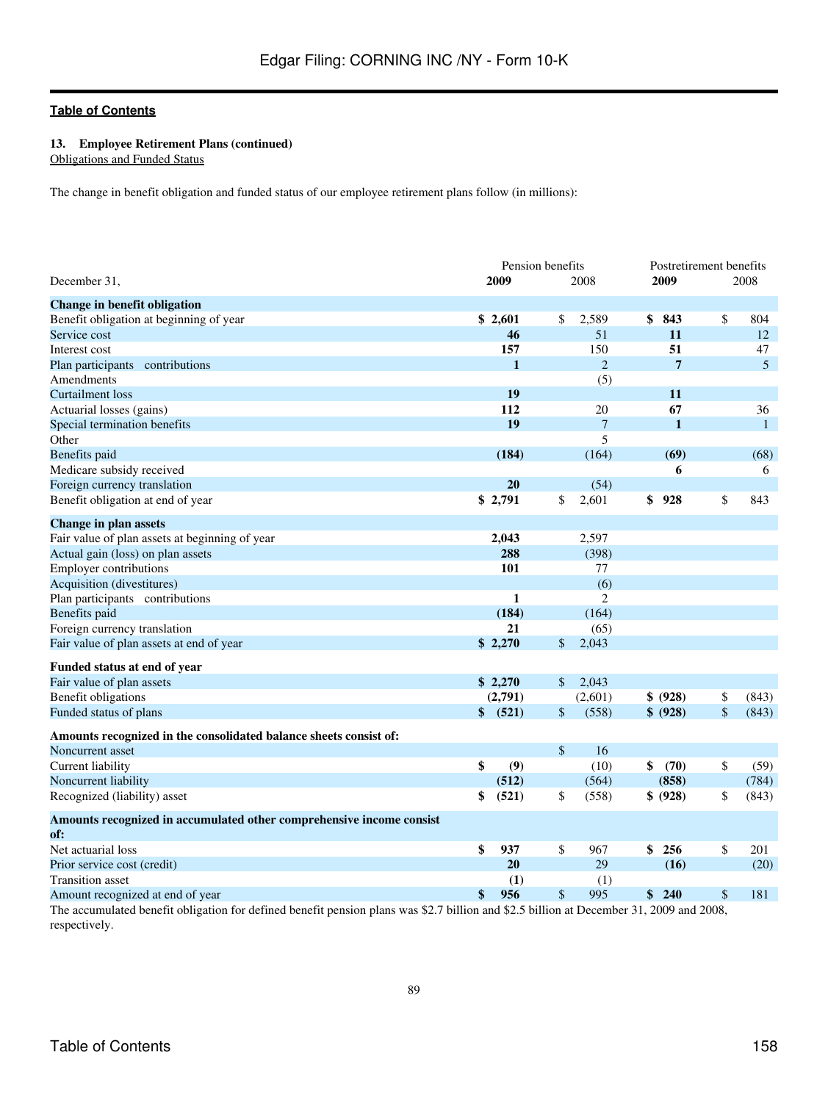## **13. Employee Retirement Plans (continued)**

Obligations and Funded Status

The change in benefit obligation and funded status of our employee retirement plans follow (in millions):

| Pension benefits                                                     |              | Postretirement benefits |                |          |                |    |              |
|----------------------------------------------------------------------|--------------|-------------------------|----------------|----------|----------------|----|--------------|
| December 31,                                                         | 2009<br>2008 |                         |                | 2009     |                |    | 2008         |
| Change in benefit obligation                                         |              |                         |                |          |                |    |              |
| Benefit obligation at beginning of year                              | \$2,601      | \$                      | 2,589          | \$843    |                | \$ | 804          |
| Service cost                                                         | 46           |                         | 51             |          | 11             |    | 12           |
| Interest cost                                                        | 157          |                         | 150            |          | 51             |    | 47           |
| Plan participants contributions                                      | $\mathbf{1}$ |                         | $\overline{2}$ |          | $\overline{7}$ |    | 5            |
| Amendments                                                           |              |                         | (5)            |          |                |    |              |
| Curtailment loss                                                     | 19           |                         |                |          | 11             |    |              |
| Actuarial losses (gains)                                             | 112          |                         | 20             |          | 67             |    | 36           |
| Special termination benefits                                         | 19           |                         | 7              |          | $\mathbf{1}$   |    | $\mathbf{1}$ |
| Other                                                                |              |                         | 5              |          |                |    |              |
| Benefits paid                                                        | (184)        |                         | (164)          |          | (69)           |    | (68)         |
| Medicare subsidy received                                            |              |                         |                |          | 6              |    | 6            |
| Foreign currency translation                                         | 20           |                         | (54)           |          |                |    |              |
| Benefit obligation at end of year                                    | \$2,791      | \$                      | 2,601          | \$       | 928            | \$ | 843          |
| <b>Change in plan assets</b>                                         |              |                         |                |          |                |    |              |
| Fair value of plan assets at beginning of year                       | 2,043        |                         | 2,597          |          |                |    |              |
| Actual gain (loss) on plan assets                                    | 288          |                         | (398)          |          |                |    |              |
| <b>Employer contributions</b>                                        | 101          |                         | 77             |          |                |    |              |
| Acquisition (divestitures)                                           |              |                         | (6)            |          |                |    |              |
| Plan participants contributions                                      | 1            |                         | 2              |          |                |    |              |
| Benefits paid                                                        | (184)        |                         | (164)          |          |                |    |              |
| Foreign currency translation                                         | 21           |                         | (65)           |          |                |    |              |
| Fair value of plan assets at end of year                             | \$2,270      | $\mathbb{S}$            | 2,043          |          |                |    |              |
| Funded status at end of year                                         |              |                         |                |          |                |    |              |
| Fair value of plan assets                                            | \$2,270      | \$                      | 2,043          |          |                |    |              |
| <b>Benefit obligations</b>                                           | (2,791)      |                         | (2,601)        | \$ (928) |                | \$ | (843)        |
| Funded status of plans                                               | \$ (521)     | \$                      | (558)          | \$ (928) |                | \$ | (843)        |
| Amounts recognized in the consolidated balance sheets consist of:    |              |                         |                |          |                |    |              |
| Noncurrent asset                                                     |              | \$                      | 16             |          |                |    |              |
| Current liability                                                    | \$<br>(9)    |                         | (10)           | \$ (70)  |                | \$ | (59)         |
| Noncurrent liability                                                 | (512)        |                         | (564)          |          | (858)          |    | (784)        |
| Recognized (liability) asset                                         | \$<br>(521)  | \$                      | (558)          | \$ (928) |                | \$ | (843)        |
| Amounts recognized in accumulated other comprehensive income consist |              |                         |                |          |                |    |              |
| of:                                                                  |              |                         |                |          |                |    |              |
| Net actuarial loss                                                   | \$<br>937    | \$                      | 967            | \$       | 256            | \$ | 201          |
| Prior service cost (credit)                                          | 20           |                         | 29             |          | (16)           |    | (20)         |
| <b>Transition</b> asset                                              | (1)          |                         | (1)            |          |                |    |              |
| Amount recognized at end of year                                     | \$<br>956    | \$                      | 995            | \$       | <b>240</b>     | \$ | 181          |

The accumulated benefit obligation for defined benefit pension plans was \$2.7 billion and \$2.5 billion at December 31, 2009 and 2008, respectively.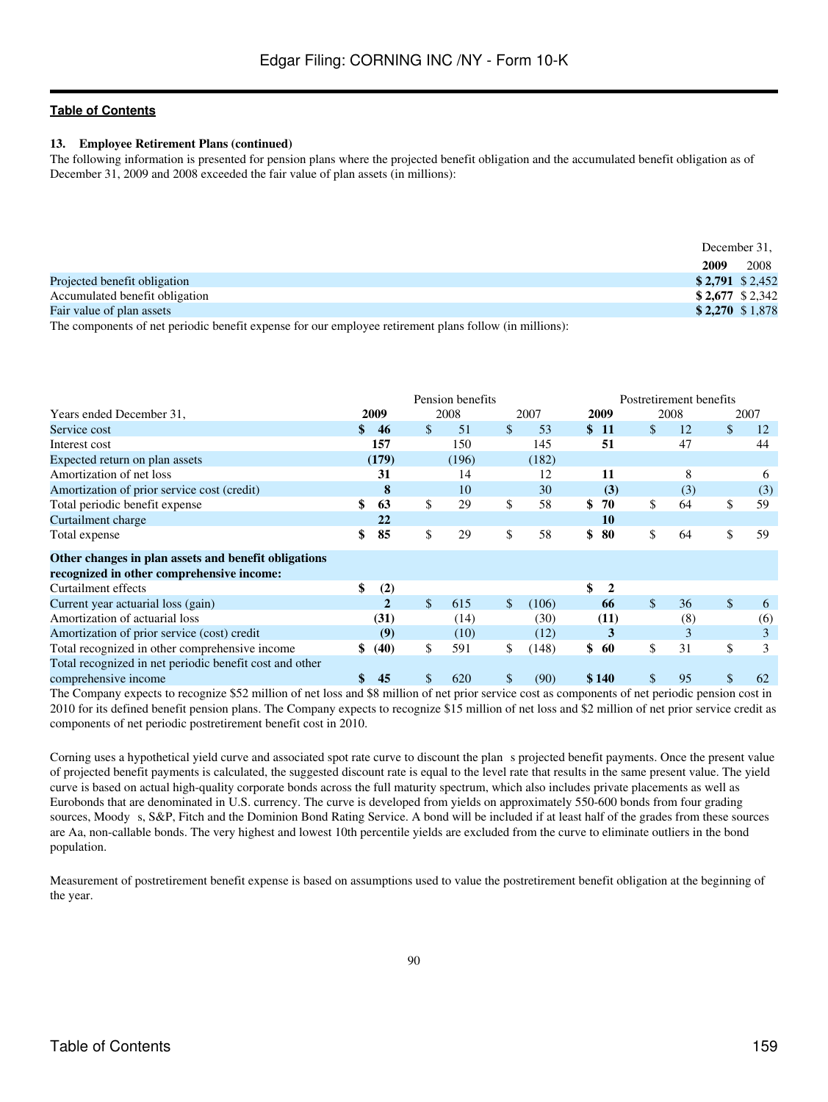### **13. Employee Retirement Plans (continued)**

The following information is presented for pension plans where the projected benefit obligation and the accumulated benefit obligation as of December 31, 2009 and 2008 exceeded the fair value of plan assets (in millions):

|                                | December 31,      |
|--------------------------------|-------------------|
|                                | 2008<br>2009      |
| Projected benefit obligation   | $$2,791$ $$2,452$ |
| Accumulated benefit obligation | $$2,677$ $$2,342$ |
| Fair value of plan assets      | $$2,270$ $$1,878$ |

The components of net periodic benefit expense for our employee retirement plans follow (in millions):

|                                                                                                   | Pension benefits |                |     |       |     |       |                      | Postretirement benefits |      |              |      |  |
|---------------------------------------------------------------------------------------------------|------------------|----------------|-----|-------|-----|-------|----------------------|-------------------------|------|--------------|------|--|
| Years ended December 31,                                                                          |                  | 2009           |     | 2008  |     | 2007  | 2009                 |                         | 2008 |              | 2007 |  |
| Service cost                                                                                      | \$               | 46             | \$  | 51    | \$. | 53    | \$<br>11             | \$                      | 12   | \$           | 12   |  |
| Interest cost                                                                                     |                  | 157            |     | 150   |     | 145   | 51                   |                         | 47   |              | 44   |  |
| Expected return on plan assets                                                                    |                  | (179)          |     | (196) |     | (182) |                      |                         |      |              |      |  |
| Amortization of net loss                                                                          |                  | 31             |     | 14    |     | 12    | 11                   |                         | 8    |              | 6    |  |
| Amortization of prior service cost (credit)                                                       |                  | 8              |     | 10    |     | 30    | (3)                  |                         | (3)  |              | (3)  |  |
| Total periodic benefit expense                                                                    | \$               | 63             | \$  | 29    | \$  | 58    | \$<br>70             | \$                      | 64   | \$           | 59   |  |
| Curtailment charge                                                                                |                  | 22             |     |       |     |       | 10                   |                         |      |              |      |  |
| Total expense                                                                                     | \$.              | 85             | \$  | 29    | \$  | 58    | \$<br>80             | \$                      | 64   | \$           | 59   |  |
| Other changes in plan assets and benefit obligations<br>recognized in other comprehensive income: |                  |                |     |       |     |       |                      |                         |      |              |      |  |
| Curtailment effects                                                                               | \$               | (2)            |     |       |     |       | \$<br>$\overline{2}$ |                         |      |              |      |  |
| Current year actuarial loss (gain)                                                                |                  | $\overline{2}$ | \$. | 615   | \$  | (106) | 66                   | $\mathbb{S}$            | 36   | $\mathbb{S}$ | 6    |  |
| Amortization of actuarial loss                                                                    |                  | (31)           |     | (14)  |     | (30)  | (11)                 |                         | (8)  |              | (6)  |  |
| Amortization of prior service (cost) credit                                                       |                  | (9)            |     | (10)  |     | (12)  |                      | 3                       | 3    |              | 3    |  |
| Total recognized in other comprehensive income                                                    | \$               | (40)           | \$  | 591   | \$  | (148) | \$<br>60             | \$                      | 31   | \$           | 3    |  |
| Total recognized in net periodic benefit cost and other<br>comprehensive income                   | \$               | 45             | \$  | 620   | \$  | (90)  | \$140                | \$                      | 95   | \$           | 62   |  |

The Company expects to recognize \$52 million of net loss and \$8 million of net prior service cost as components of net periodic pension cost in 2010 for its defined benefit pension plans. The Company expects to recognize \$15 million of net loss and \$2 million of net prior service credit as components of net periodic postretirement benefit cost in 2010.

Corning uses a hypothetical yield curve and associated spot rate curve to discount the plans projected benefit payments. Once the present value of projected benefit payments is calculated, the suggested discount rate is equal to the level rate that results in the same present value. The yield curve is based on actual high-quality corporate bonds across the full maturity spectrum, which also includes private placements as well as Eurobonds that are denominated in U.S. currency. The curve is developed from yields on approximately 550-600 bonds from four grading sources, Moody s, S&P, Fitch and the Dominion Bond Rating Service. A bond will be included if at least half of the grades from these sources are Aa, non-callable bonds. The very highest and lowest 10th percentile yields are excluded from the curve to eliminate outliers in the bond population.

Measurement of postretirement benefit expense is based on assumptions used to value the postretirement benefit obligation at the beginning of the year.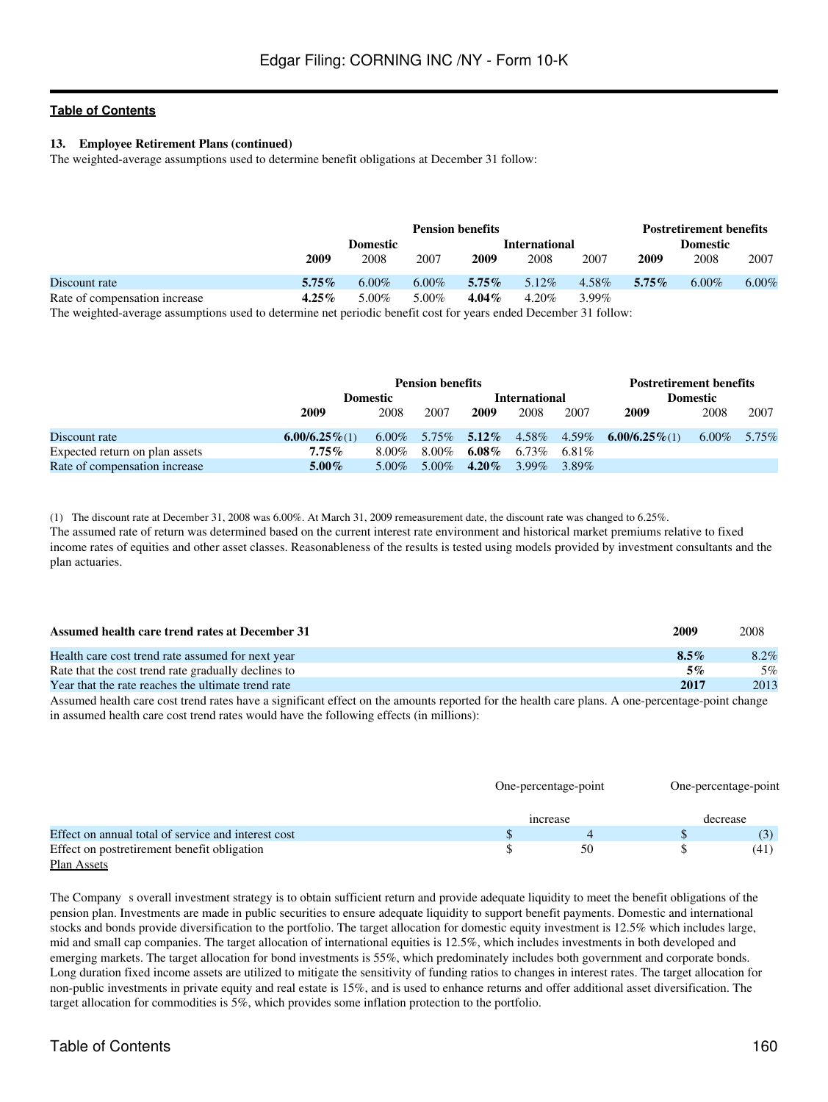### **13. Employee Retirement Plans (continued)**

The weighted-average assumptions used to determine benefit obligations at December 31 follow:

|                               |                                         | <b>Pension benefits</b> |          |          |          |                 |          | <b>Postretirement benefits</b> |          |
|-------------------------------|-----------------------------------------|-------------------------|----------|----------|----------|-----------------|----------|--------------------------------|----------|
|                               | <b>International</b><br><b>Domestic</b> |                         |          |          |          | <b>Domestic</b> |          |                                |          |
|                               | 2009                                    | 2008                    | 2007     | 2009     | 2008     | 2007            | 2009     | 2008                           | 2007     |
| Discount rate                 | $5.75\%$                                | $6.00\%$                | $6.00\%$ | $5.75\%$ | $5.12\%$ | 4.58%           | $5.75\%$ | $6.00\%$                       | $6.00\%$ |
| Rate of compensation increase | $4.25\%$                                | 5.00%                   | 5.00%    | $4.04\%$ | $4.20\%$ | $3.99\%$        |          |                                |          |

The weighted-average assumptions used to determine net periodic benefit cost for years ended December 31 follow:

|                                |                   | <b>Pension benefits</b> |       |          |                      |                   |                                                 |                | <b>Postretirement benefits</b> |  |
|--------------------------------|-------------------|-------------------------|-------|----------|----------------------|-------------------|-------------------------------------------------|----------------|--------------------------------|--|
|                                |                   | <b>Domestic</b>         |       |          | <b>International</b> |                   | <b>Domestic</b>                                 |                |                                |  |
|                                | 2009              | 2008                    | 2007  | 2009     | 2008                 | 2007              | 2009                                            | 2008           | 2007                           |  |
| Discount rate                  | $6.00/6.25\%$ (1) |                         |       |          |                      |                   | $6.00\%$ 5.75% 5.12% 4.58% 4.59% 6.00/6.25% (1) | $6.00\%$ 5.75% |                                |  |
| Expected return on plan assets | $7.75\%$          | 8.00%                   | 8.00% | $6.08\%$ | 6.73%                | 6.81%             |                                                 |                |                                |  |
| Rate of compensation increase  | $5.00\%$          | $5.00\%$                | 5.00% | $4.20\%$ |                      | $3.99\%$ $3.89\%$ |                                                 |                |                                |  |

(1) The discount rate at December 31, 2008 was 6.00%. At March 31, 2009 remeasurement date, the discount rate was changed to 6.25%.

The assumed rate of return was determined based on the current interest rate environment and historical market premiums relative to fixed income rates of equities and other asset classes. Reasonableness of the results is tested using models provided by investment consultants and the plan actuaries.

| Assumed health care trend rates at December 31      | 2009    | 2008 |
|-----------------------------------------------------|---------|------|
| Health care cost trend rate assumed for next year   | $8.5\%$ | 8.2% |
| Rate that the cost trend rate gradually declines to | 5%      | 5%   |
| Year that the rate reaches the ultimate trend rate  | 2017    | 2013 |

Assumed health care cost trend rates have a significant effect on the amounts reported for the health care plans. A one-percentage-point change in assumed health care cost trend rates would have the following effects (in millions):

|                                                     | One-percentage-point |  | One-percentage-point |
|-----------------------------------------------------|----------------------|--|----------------------|
|                                                     | increase             |  | decrease             |
| Effect on annual total of service and interest cost |                      |  |                      |
| Effect on postretirement benefit obligation         | 50                   |  | (41)                 |
| Plan Assets                                         |                      |  |                      |

The Company s overall investment strategy is to obtain sufficient return and provide adequate liquidity to meet the benefit obligations of the pension plan. Investments are made in public securities to ensure adequate liquidity to support benefit payments. Domestic and international stocks and bonds provide diversification to the portfolio. The target allocation for domestic equity investment is 12.5% which includes large, mid and small cap companies. The target allocation of international equities is 12.5%, which includes investments in both developed and emerging markets. The target allocation for bond investments is 55%, which predominately includes both government and corporate bonds. Long duration fixed income assets are utilized to mitigate the sensitivity of funding ratios to changes in interest rates. The target allocation for non-public investments in private equity and real estate is 15%, and is used to enhance returns and offer additional asset diversification. The target allocation for commodities is 5%, which provides some inflation protection to the portfolio.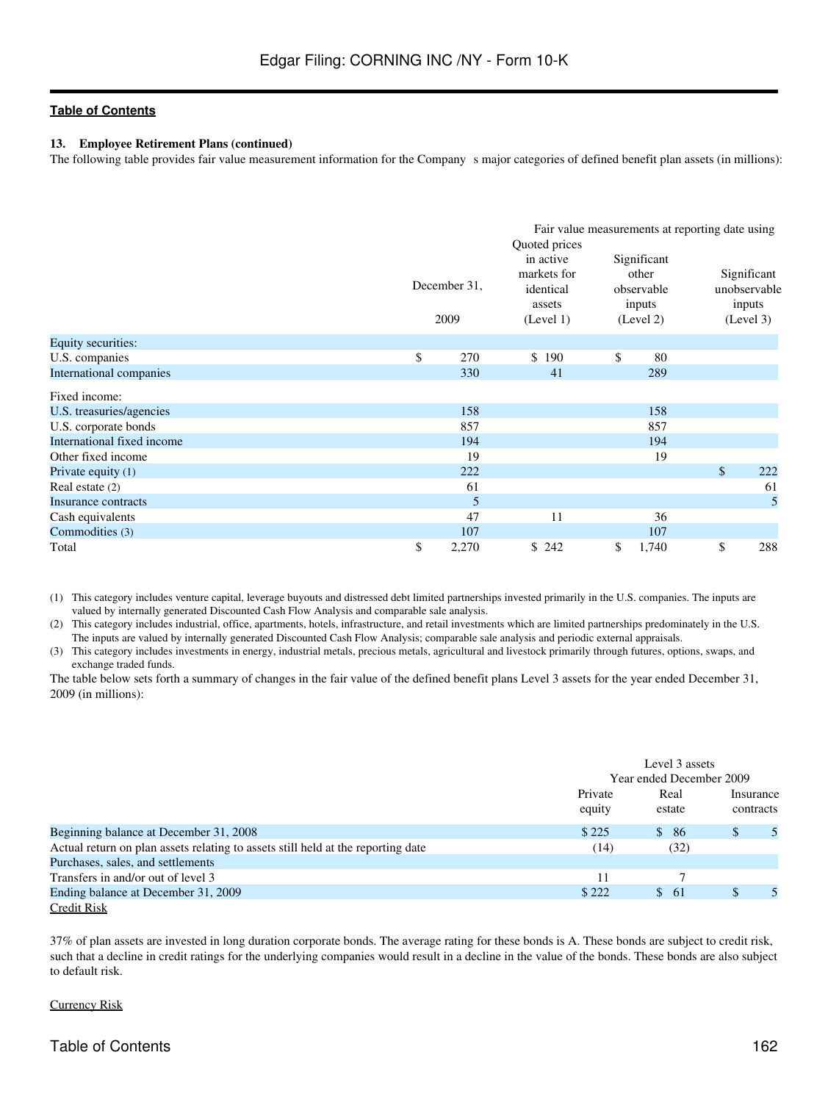### **13. Employee Retirement Plans (continued)**

The following table provides fair value measurement information for the Company s major categories of defined benefit plan assets (in millions):

|                            | December 31,<br>2009 |           | Significant<br>other<br>observable<br>inputs<br>(Level 2) | Fair value measurements at reporting date using<br>Significant<br>unobservable<br>inputs<br>(Level 3) |     |
|----------------------------|----------------------|-----------|-----------------------------------------------------------|-------------------------------------------------------------------------------------------------------|-----|
| Equity securities:         |                      |           |                                                           |                                                                                                       |     |
| U.S. companies             | \$<br>270            | \$<br>190 | \$<br>80                                                  |                                                                                                       |     |
| International companies    | 330                  | 41        | 289                                                       |                                                                                                       |     |
| Fixed income:              |                      |           |                                                           |                                                                                                       |     |
| U.S. treasuries/agencies   | 158                  |           | 158                                                       |                                                                                                       |     |
| U.S. corporate bonds       | 857                  |           | 857                                                       |                                                                                                       |     |
| International fixed income | 194                  |           | 194                                                       |                                                                                                       |     |
| Other fixed income         | 19                   |           | 19                                                        |                                                                                                       |     |
| Private equity (1)         | 222                  |           |                                                           | $\mathbf{\$}$                                                                                         | 222 |
| Real estate (2)            | 61                   |           |                                                           |                                                                                                       | 61  |
| Insurance contracts        | 5                    |           |                                                           |                                                                                                       | 5   |
| Cash equivalents           | 47                   | 11        | 36                                                        |                                                                                                       |     |
| Commodities (3)            | 107                  |           | 107                                                       |                                                                                                       |     |
| Total                      | \$<br>2,270          | \$242     | \$<br>1,740                                               | \$                                                                                                    | 288 |

(1) This category includes venture capital, leverage buyouts and distressed debt limited partnerships invested primarily in the U.S. companies. The inputs are valued by internally generated Discounted Cash Flow Analysis and comparable sale analysis.

(2) This category includes industrial, office, apartments, hotels, infrastructure, and retail investments which are limited partnerships predominately in the U.S. The inputs are valued by internally generated Discounted Cash Flow Analysis; comparable sale analysis and periodic external appraisals.

(3) This category includes investments in energy, industrial metals, precious metals, agricultural and livestock primarily through futures, options, swaps, and exchange traded funds.

The table below sets forth a summary of changes in the fair value of the defined benefit plans Level 3 assets for the year ended December 31, 2009 (in millions):

|                                                                                  |                   | Level 3 assets<br>Year ended December 2009 |                        |    |  |  |
|----------------------------------------------------------------------------------|-------------------|--------------------------------------------|------------------------|----|--|--|
|                                                                                  | Private<br>equity | Real<br>estate                             | Insurance<br>contracts |    |  |  |
| Beginning balance at December 31, 2008                                           | \$225             | \$86                                       | <sup>\$</sup>          | -5 |  |  |
| Actual return on plan assets relating to assets still held at the reporting date | (14)              | (32)                                       |                        |    |  |  |
| Purchases, sales, and settlements                                                |                   |                                            |                        |    |  |  |
| Transfers in and/or out of level 3                                               | 11                |                                            |                        |    |  |  |
| Ending balance at December 31, 2009                                              | \$222             | \$61                                       |                        |    |  |  |
| Credit Risk                                                                      |                   |                                            |                        |    |  |  |

37% of plan assets are invested in long duration corporate bonds. The average rating for these bonds is A. These bonds are subject to credit risk, such that a decline in credit ratings for the underlying companies would result in a decline in the value of the bonds. These bonds are also subject to default risk.

### Currency Risk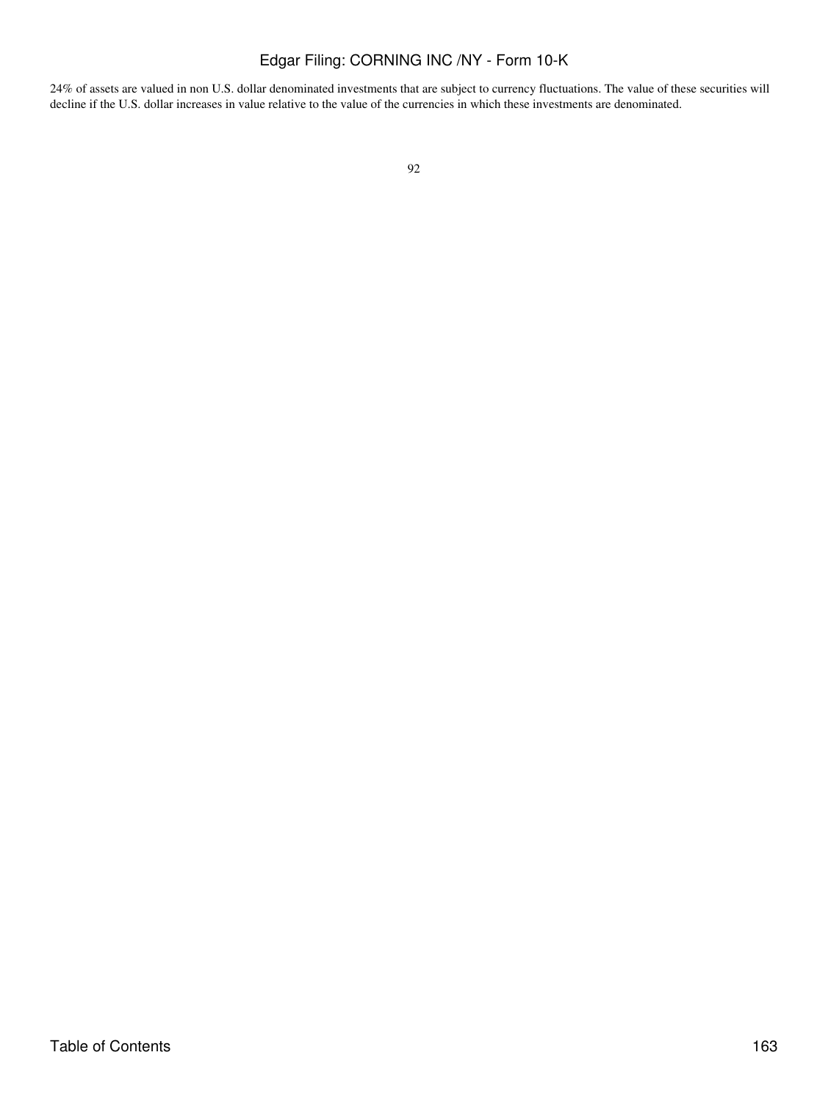24% of assets are valued in non U.S. dollar denominated investments that are subject to currency fluctuations. The value of these securities will decline if the U.S. dollar increases in value relative to the value of the currencies in which these investments are denominated.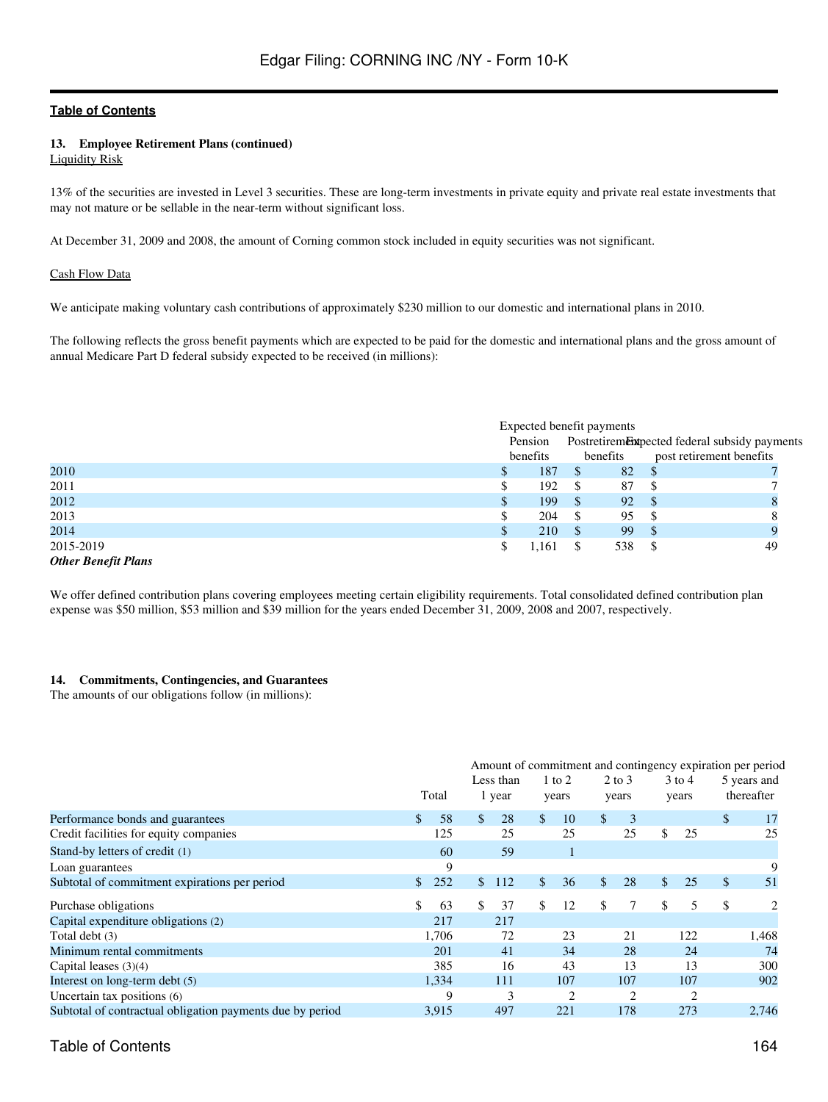## **13. Employee Retirement Plans (continued)**

Liquidity Risk

13% of the securities are invested in Level 3 securities. These are long-term investments in private equity and private real estate investments that may not mature or be sellable in the near-term without significant loss.

At December 31, 2009 and 2008, the amount of Corning common stock included in equity securities was not significant.

### Cash Flow Data

We anticipate making voluntary cash contributions of approximately \$230 million to our domestic and international plans in 2010.

The following reflects the gross benefit payments which are expected to be paid for the domestic and international plans and the gross amount of annual Medicare Part D federal subsidy expected to be received (in millions):

|                            | Expected benefit payments |    |            |      |                                                       |  |  |  |  |
|----------------------------|---------------------------|----|------------|------|-------------------------------------------------------|--|--|--|--|
|                            |                           |    |            |      | Pension PostretiremEntpected federal subsidy payments |  |  |  |  |
|                            | benefits                  |    | benefits   |      | post retirement benefits                              |  |  |  |  |
| 2010                       | 187                       |    | 82         |      |                                                       |  |  |  |  |
| 2011                       | 192                       |    | 87         |      |                                                       |  |  |  |  |
| 2012                       | 199                       |    | $92 \quad$ |      |                                                       |  |  |  |  |
| 2013                       | 204                       | -S | 95         |      |                                                       |  |  |  |  |
| 2014                       | 210                       |    | 99         | - \$ |                                                       |  |  |  |  |
| 2015-2019                  | 1.161                     |    | 538        |      | 49                                                    |  |  |  |  |
| <b>Other Benefit Plans</b> |                           |    |            |      |                                                       |  |  |  |  |

We offer defined contribution plans covering employees meeting certain eligibility requirements. Total consolidated defined contribution plan expense was \$50 million, \$53 million and \$39 million for the years ended December 31, 2009, 2008 and 2007, respectively.

#### **14. Commitments, Contingencies, and Guarantees**

The amounts of our obligations follow (in millions):

|                                                           |       |     | Amount of commitment and contingency expiration per period |           |    |            |    |            |              |          |              |             |  |
|-----------------------------------------------------------|-------|-----|------------------------------------------------------------|-----------|----|------------|----|------------|--------------|----------|--------------|-------------|--|
|                                                           |       |     |                                                            | Less than |    | $1$ to $2$ |    | $2$ to $3$ |              | $3$ to 4 |              | 5 years and |  |
|                                                           | Total |     |                                                            | 1 year    |    | years      |    | years      |              | years    |              | thereafter  |  |
| Performance bonds and guarantees                          | \$    | 58  | \$                                                         | 28        | \$ | 10         | \$ | 3          |              |          | $\mathbb{S}$ | 17          |  |
| Credit facilities for equity companies                    |       | 125 |                                                            | 25        |    | 25         |    | 25         | \$           | 25       |              | 25          |  |
| Stand-by letters of credit (1)                            |       | 60  |                                                            | 59        |    |            |    |            |              |          |              |             |  |
| Loan guarantees                                           |       | 9   |                                                            |           |    |            |    |            |              |          |              | 9           |  |
| Subtotal of commitment expirations per period             | \$    | 252 | \$.                                                        | 112       | \$ | 36         | \$ | 28         | $\mathbb{S}$ | 25       | \$.          | 51          |  |
| Purchase obligations                                      | \$    | 63  | \$                                                         | 37        | \$ | 12         | \$ |            | \$           | 5        | \$.          | 2           |  |
| Capital expenditure obligations (2)                       |       | 217 |                                                            | 217       |    |            |    |            |              |          |              |             |  |
| Total debt (3)                                            | 1,706 |     |                                                            | 72        |    | 23         |    | 21         |              | 122      |              | 1,468       |  |
| Minimum rental commitments                                |       | 201 |                                                            | 41        |    | 34         |    | 28         |              | 24       |              | 74          |  |
| Capital leases $(3)(4)$                                   |       | 385 |                                                            | 16        |    | 43         |    | 13         |              | 13       |              | 300         |  |
| Interest on long-term debt (5)                            | 1,334 |     |                                                            | 111       |    | 107        |    | 107        |              | 107      |              | 902         |  |
| Uncertain tax positions (6)                               |       | 9   |                                                            | 3         |    | 2          |    | 2          |              | C        |              |             |  |
| Subtotal of contractual obligation payments due by period | 3,915 |     |                                                            | 497       |    | 221        |    | 178        |              | 273      |              | 2.746       |  |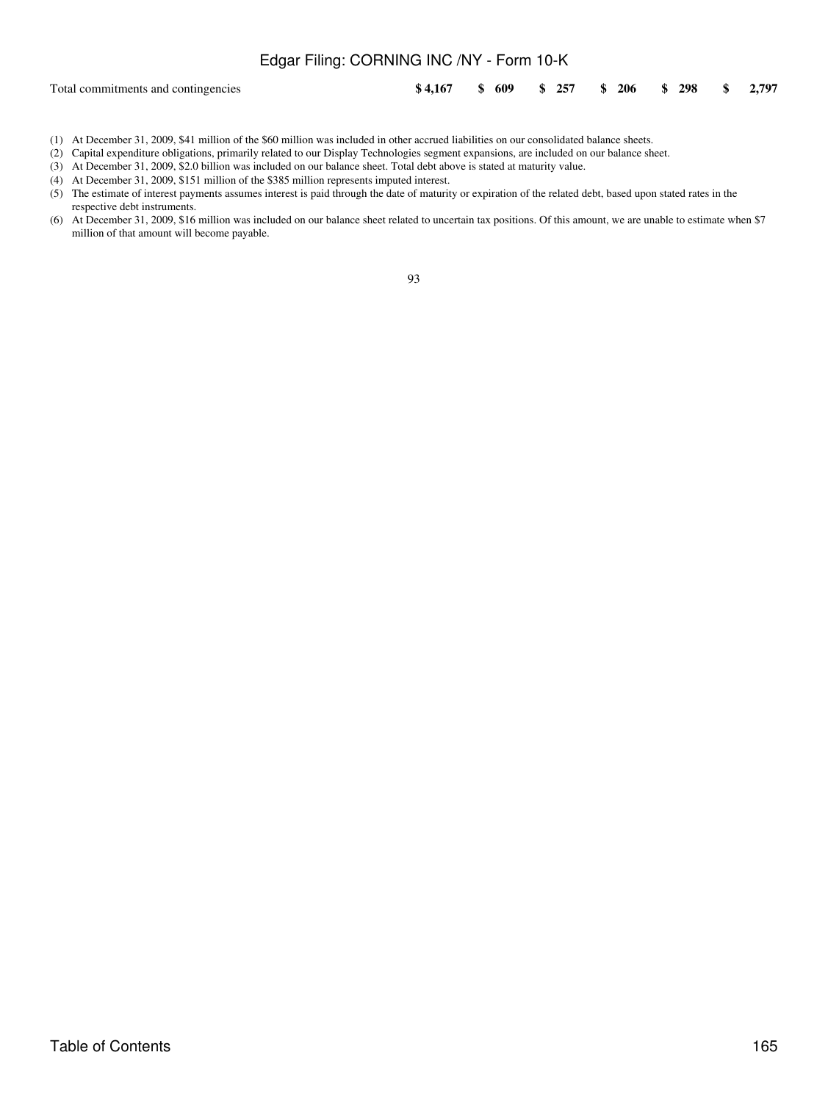| Total commitments and contingencies |  |  |  | \$4,167 \$609 \$257 \$206 \$298 \$2,797 |  |  |  |
|-------------------------------------|--|--|--|-----------------------------------------|--|--|--|
|-------------------------------------|--|--|--|-----------------------------------------|--|--|--|

(1) At December 31, 2009, \$41 million of the \$60 million was included in other accrued liabilities on our consolidated balance sheets.

(2) Capital expenditure obligations, primarily related to our Display Technologies segment expansions, are included on our balance sheet.

- (3) At December 31, 2009, \$2.0 billion was included on our balance sheet. Total debt above is stated at maturity value.
- (4) At December 31, 2009, \$151 million of the \$385 million represents imputed interest.
- (5) The estimate of interest payments assumes interest is paid through the date of maturity or expiration of the related debt, based upon stated rates in the respective debt instruments.
- (6) At December 31, 2009, \$16 million was included on our balance sheet related to uncertain tax positions. Of this amount, we are unable to estimate when \$7 million of that amount will become payable.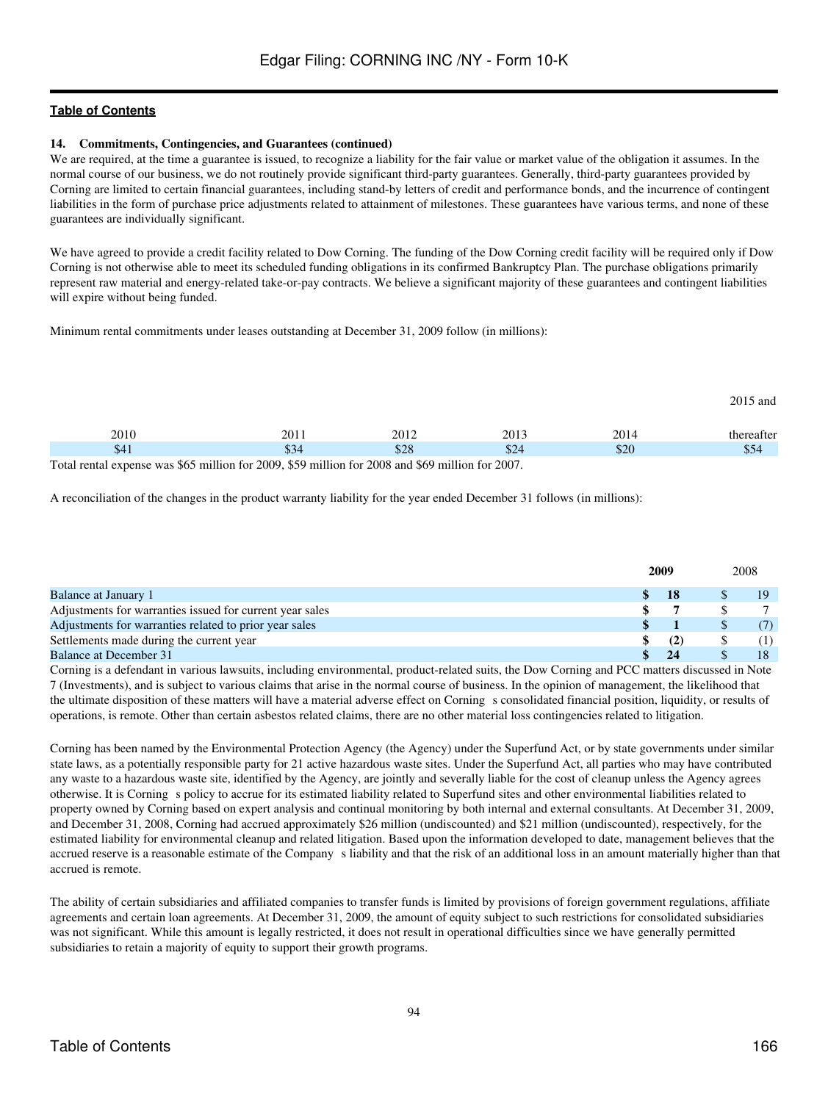### **14. Commitments, Contingencies, and Guarantees (continued)**

We are required, at the time a guarantee is issued, to recognize a liability for the fair value or market value of the obligation it assumes. In the normal course of our business, we do not routinely provide significant third-party guarantees. Generally, third-party guarantees provided by Corning are limited to certain financial guarantees, including stand-by letters of credit and performance bonds, and the incurrence of contingent liabilities in the form of purchase price adjustments related to attainment of milestones. These guarantees have various terms, and none of these guarantees are individually significant.

We have agreed to provide a credit facility related to Dow Corning. The funding of the Dow Corning credit facility will be required only if Dow Corning is not otherwise able to meet its scheduled funding obligations in its confirmed Bankruptcy Plan. The purchase obligations primarily represent raw material and energy-related take-or-pay contracts. We believe a significant majority of these guarantees and contingent liabilities will expire without being funded.

Minimum rental commitments under leases outstanding at December 31, 2009 follow (in millions):

| zulu allu  |      |                      |      |                               |                 |
|------------|------|----------------------|------|-------------------------------|-----------------|
| thereafter | 2014 | 2013                 | 2012 | 2011                          | 2010            |
| \$54       | \$20 | $\mathcal{L}$<br>Ψ∠⊣ | \$28 | $\uparrow$ $\uparrow$<br>∸ر ⊄ | 34 <sub>1</sub> |

Total rental expense was \$65 million for 2009, \$59 million for 2008 and \$69 million for 2007.

A reconciliation of the changes in the product warranty liability for the year ended December 31 follows (in millions):

|                                                          | 2009 |     |  | 2008 |  |  |
|----------------------------------------------------------|------|-----|--|------|--|--|
| <b>Balance at January 1</b>                              |      |     |  |      |  |  |
| Adjustments for warranties issued for current year sales |      |     |  |      |  |  |
| Adjustments for warranties related to prior year sales   |      |     |  |      |  |  |
| Settlements made during the current year                 |      | (2) |  | (1)  |  |  |
| <b>Balance at December 31</b>                            |      |     |  |      |  |  |

Corning is a defendant in various lawsuits, including environmental, product-related suits, the Dow Corning and PCC matters discussed in Note 7 (Investments), and is subject to various claims that arise in the normal course of business. In the opinion of management, the likelihood that the ultimate disposition of these matters will have a material adverse effect on Cornings consolidated financial position, liquidity, or results of operations, is remote. Other than certain asbestos related claims, there are no other material loss contingencies related to litigation.

Corning has been named by the Environmental Protection Agency (the Agency) under the Superfund Act, or by state governments under similar state laws, as a potentially responsible party for 21 active hazardous waste sites. Under the Superfund Act, all parties who may have contributed any waste to a hazardous waste site, identified by the Agency, are jointly and severally liable for the cost of cleanup unless the Agency agrees otherwise. It is Corning s policy to accrue for its estimated liability related to Superfund sites and other environmental liabilities related to property owned by Corning based on expert analysis and continual monitoring by both internal and external consultants. At December 31, 2009, and December 31, 2008, Corning had accrued approximately \$26 million (undiscounted) and \$21 million (undiscounted), respectively, for the estimated liability for environmental cleanup and related litigation. Based upon the information developed to date, management believes that the accrued reserve is a reasonable estimate of the Company s liability and that the risk of an additional loss in an amount materially higher than that accrued is remote.

The ability of certain subsidiaries and affiliated companies to transfer funds is limited by provisions of foreign government regulations, affiliate agreements and certain loan agreements. At December 31, 2009, the amount of equity subject to such restrictions for consolidated subsidiaries was not significant. While this amount is legally restricted, it does not result in operational difficulties since we have generally permitted subsidiaries to retain a majority of equity to support their growth programs.

 $2015$  and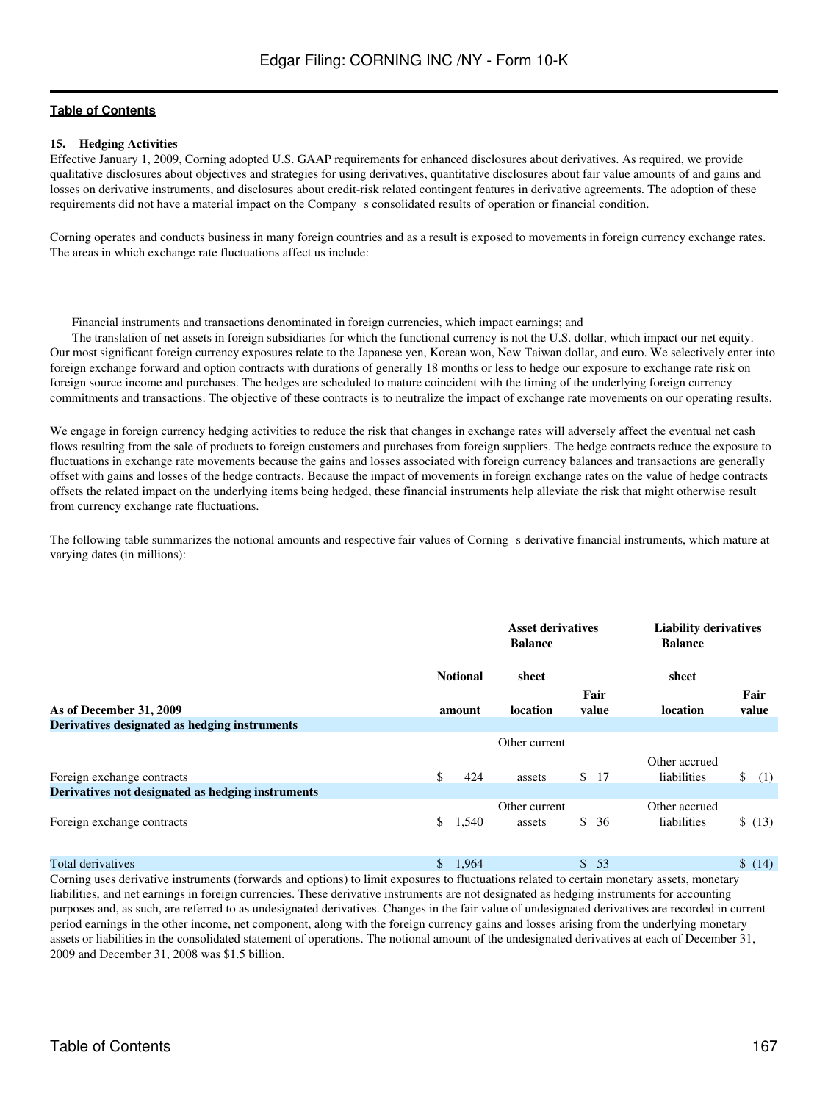### **15. Hedging Activities**

Effective January 1, 2009, Corning adopted U.S. GAAP requirements for enhanced disclosures about derivatives. As required, we provide qualitative disclosures about objectives and strategies for using derivatives, quantitative disclosures about fair value amounts of and gains and losses on derivative instruments, and disclosures about credit-risk related contingent features in derivative agreements. The adoption of these requirements did not have a material impact on the Companys consolidated results of operation or financial condition.

Corning operates and conducts business in many foreign countries and as a result is exposed to movements in foreign currency exchange rates. The areas in which exchange rate fluctuations affect us include:

Financial instruments and transactions denominated in foreign currencies, which impact earnings; and

The translation of net assets in foreign subsidiaries for which the functional currency is not the U.S. dollar, which impact our net equity. Our most significant foreign currency exposures relate to the Japanese yen, Korean won, New Taiwan dollar, and euro. We selectively enter into foreign exchange forward and option contracts with durations of generally 18 months or less to hedge our exposure to exchange rate risk on foreign source income and purchases. The hedges are scheduled to mature coincident with the timing of the underlying foreign currency commitments and transactions. The objective of these contracts is to neutralize the impact of exchange rate movements on our operating results.

We engage in foreign currency hedging activities to reduce the risk that changes in exchange rates will adversely affect the eventual net cash flows resulting from the sale of products to foreign customers and purchases from foreign suppliers. The hedge contracts reduce the exposure to fluctuations in exchange rate movements because the gains and losses associated with foreign currency balances and transactions are generally offset with gains and losses of the hedge contracts. Because the impact of movements in foreign exchange rates on the value of hedge contracts offsets the related impact on the underlying items being hedged, these financial instruments help alleviate the risk that might otherwise result from currency exchange rate fluctuations.

The following table summarizes the notional amounts and respective fair values of Corning s derivative financial instruments, which mature at varying dates (in millions):

|                                                   | <b>Asset derivatives</b><br><b>Balance</b> |                 |                         |               |      | <b>Liability derivatives</b><br><b>Balance</b> |               |         |
|---------------------------------------------------|--------------------------------------------|-----------------|-------------------------|---------------|------|------------------------------------------------|---------------|---------|
|                                                   |                                            | <b>Notional</b> | sheet                   |               |      | sheet                                          |               |         |
| As of December 31, 2009                           | amount                                     |                 | location                | Fair<br>value |      | location                                       | Fair<br>value |         |
| Derivatives designated as hedging instruments     |                                            |                 |                         |               |      |                                                |               |         |
|                                                   |                                            |                 | Other current           |               |      |                                                |               |         |
| Foreign exchange contracts                        | \$                                         | 424             | assets                  |               | \$17 | Other accrued<br>liabilities                   | \$            | (1)     |
| Derivatives not designated as hedging instruments |                                            |                 |                         |               |      |                                                |               |         |
| Foreign exchange contracts                        | \$                                         | 1,540           | Other current<br>assets | \$            | 36   | Other accrued<br>liabilities                   |               | \$ (13) |

Total derivatives  $$ 1,964$   $$ 53$   $$ (14)$ Corning uses derivative instruments (forwards and options) to limit exposures to fluctuations related to certain monetary assets, monetary liabilities, and net earnings in foreign currencies. These derivative instruments are not designated as hedging instruments for accounting purposes and, as such, are referred to as undesignated derivatives. Changes in the fair value of undesignated derivatives are recorded in current period earnings in the other income, net component, along with the foreign currency gains and losses arising from the underlying monetary assets or liabilities in the consolidated statement of operations. The notional amount of the undesignated derivatives at each of December 31, 2009 and December 31, 2008 was \$1.5 billion.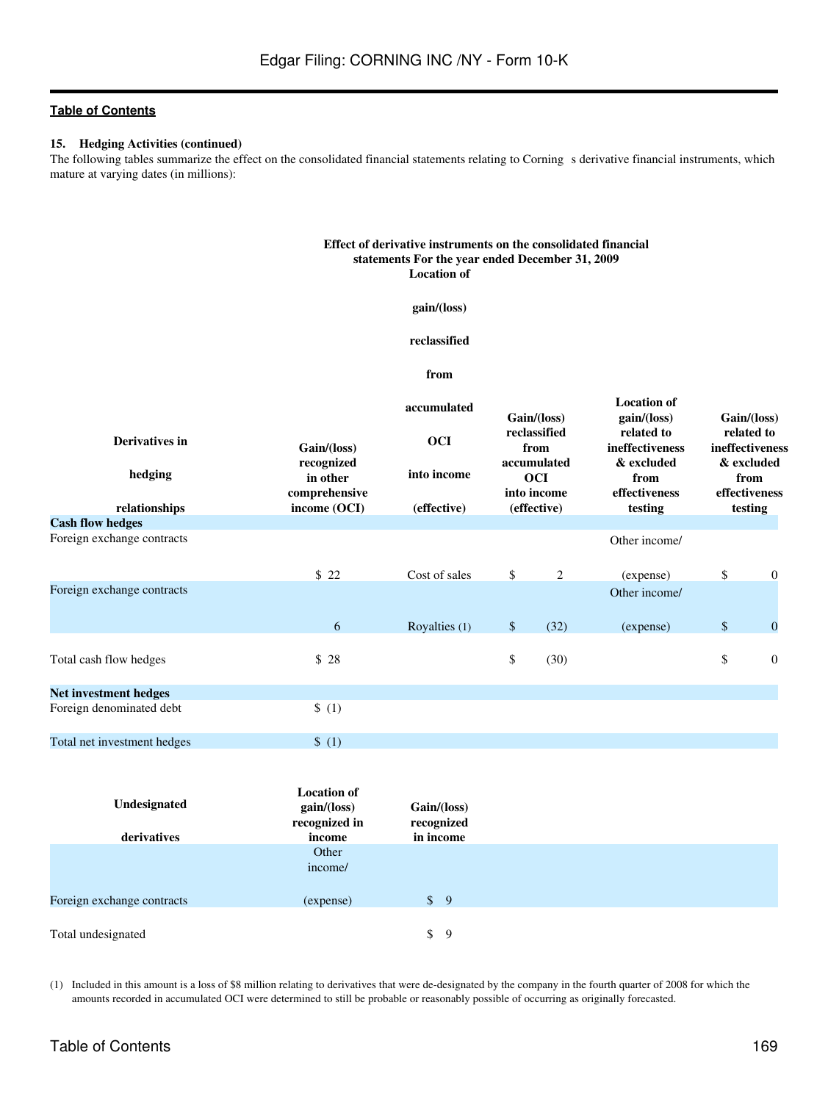### **15. Hedging Activities (continued)**

The following tables summarize the effect on the consolidated financial statements relating to Corning s derivative financial instruments, which mature at varying dates (in millions):

### **Effect of derivative instruments on the consolidated financial statements For the year ended December 31, 2009 Location of**

**gain/(loss)**

**reclassified**

**from**

| Derivatives in<br>hedging<br>relationships | Gain/(loss)<br>recognized<br>in other<br>comprehensive<br>income (OCI) | accumulated<br><b>OCI</b><br>into income<br>(effective) | Gain/(loss)<br>reclassified<br>from<br>accumulated<br><b>OCI</b><br>into income<br>(effective) |      | <b>Location of</b><br>gain/(loss)<br>related to<br><i>ineffectiveness</i><br>& excluded<br>from<br>effectiveness<br>testing | ineffectiveness | Gain/(loss)<br>related to<br>& excluded<br>from<br>effectiveness<br>testing |
|--------------------------------------------|------------------------------------------------------------------------|---------------------------------------------------------|------------------------------------------------------------------------------------------------|------|-----------------------------------------------------------------------------------------------------------------------------|-----------------|-----------------------------------------------------------------------------|
| <b>Cash flow hedges</b>                    |                                                                        |                                                         |                                                                                                |      |                                                                                                                             |                 |                                                                             |
| Foreign exchange contracts                 |                                                                        |                                                         |                                                                                                |      | Other income/                                                                                                               |                 |                                                                             |
|                                            | \$22                                                                   | Cost of sales                                           | \$                                                                                             | 2    | (expense)                                                                                                                   | \$              | $\theta$                                                                    |
| Foreign exchange contracts                 |                                                                        |                                                         |                                                                                                |      | Other income/                                                                                                               |                 |                                                                             |
|                                            | 6                                                                      | Royalties $(1)$                                         | $\mathbb{S}$                                                                                   | (32) | (expense)                                                                                                                   | \$              | $\mathbf{0}$                                                                |
|                                            |                                                                        |                                                         |                                                                                                |      |                                                                                                                             |                 |                                                                             |
| Total cash flow hedges                     | \$28                                                                   |                                                         | \$                                                                                             | (30) |                                                                                                                             | \$              | $\theta$                                                                    |
| Net investment hedges                      |                                                                        |                                                         |                                                                                                |      |                                                                                                                             |                 |                                                                             |
| Foreign denominated debt                   | \$(1)                                                                  |                                                         |                                                                                                |      |                                                                                                                             |                 |                                                                             |
| Total net investment hedges                | \$(1)                                                                  |                                                         |                                                                                                |      |                                                                                                                             |                 |                                                                             |

| Undesignated               | <b>Location of</b><br>gain/(loss)<br>recognized in | Gain/(loss)<br>recognized |
|----------------------------|----------------------------------------------------|---------------------------|
| derivatives                | income                                             | in income                 |
|                            | Other<br>income/                                   |                           |
| Foreign exchange contracts | (expense)                                          | $\frac{1}{2}$             |
| Total undesignated         |                                                    | $\frac{1}{2}$             |

(1) Included in this amount is a loss of \$8 million relating to derivatives that were de-designated by the company in the fourth quarter of 2008 for which the amounts recorded in accumulated OCI were determined to still be probable or reasonably possible of occurring as originally forecasted.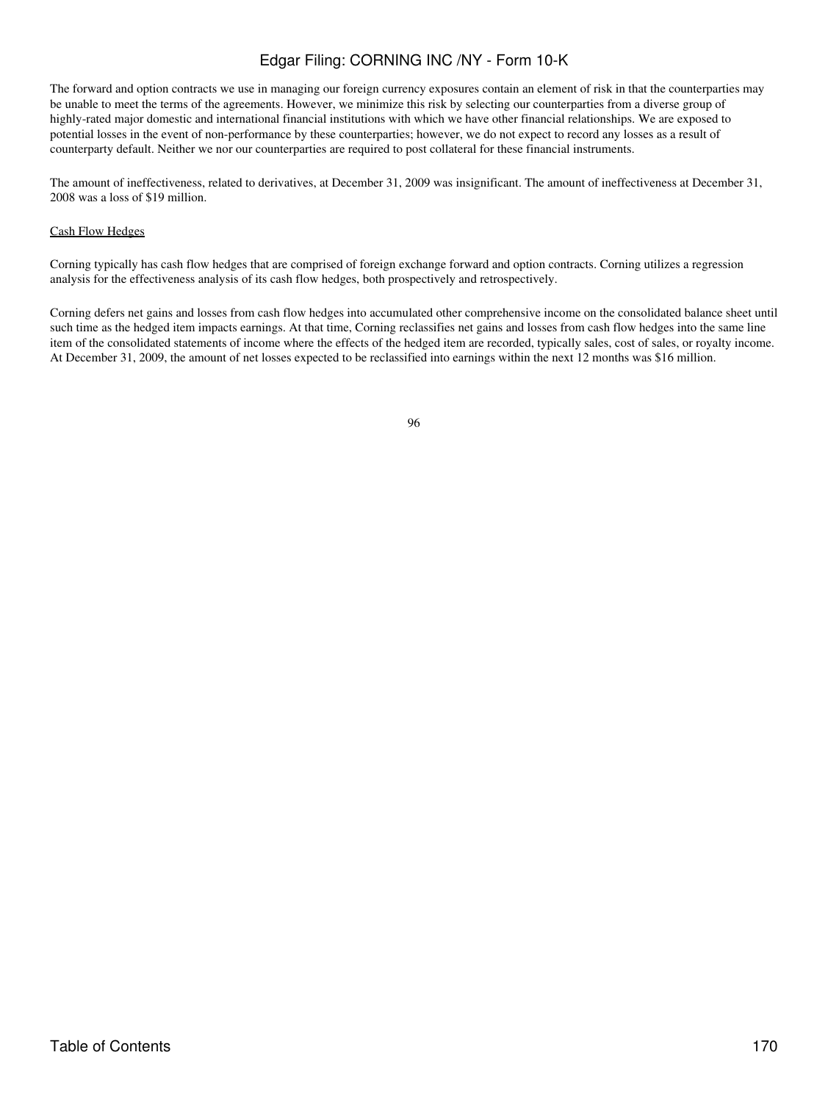The forward and option contracts we use in managing our foreign currency exposures contain an element of risk in that the counterparties may be unable to meet the terms of the agreements. However, we minimize this risk by selecting our counterparties from a diverse group of highly-rated major domestic and international financial institutions with which we have other financial relationships. We are exposed to potential losses in the event of non-performance by these counterparties; however, we do not expect to record any losses as a result of counterparty default. Neither we nor our counterparties are required to post collateral for these financial instruments.

The amount of ineffectiveness, related to derivatives, at December 31, 2009 was insignificant. The amount of ineffectiveness at December 31, 2008 was a loss of \$19 million.

### Cash Flow Hedges

Corning typically has cash flow hedges that are comprised of foreign exchange forward and option contracts. Corning utilizes a regression analysis for the effectiveness analysis of its cash flow hedges, both prospectively and retrospectively.

Corning defers net gains and losses from cash flow hedges into accumulated other comprehensive income on the consolidated balance sheet until such time as the hedged item impacts earnings. At that time, Corning reclassifies net gains and losses from cash flow hedges into the same line item of the consolidated statements of income where the effects of the hedged item are recorded, typically sales, cost of sales, or royalty income. At December 31, 2009, the amount of net losses expected to be reclassified into earnings within the next 12 months was \$16 million.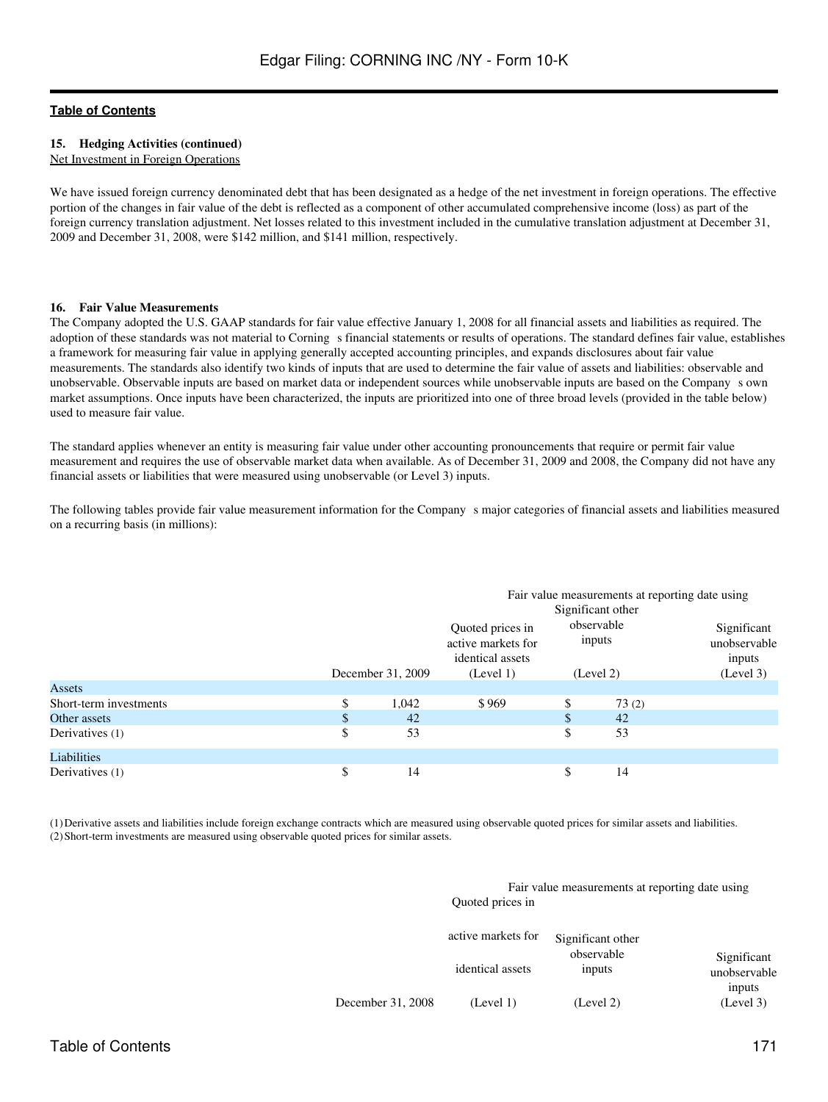## **15. Hedging Activities (continued)**

Net Investment in Foreign Operations

We have issued foreign currency denominated debt that has been designated as a hedge of the net investment in foreign operations. The effective portion of the changes in fair value of the debt is reflected as a component of other accumulated comprehensive income (loss) as part of the foreign currency translation adjustment. Net losses related to this investment included in the cumulative translation adjustment at December 31, 2009 and December 31, 2008, were \$142 million, and \$141 million, respectively.

#### **16. Fair Value Measurements**

The Company adopted the U.S. GAAP standards for fair value effective January 1, 2008 for all financial assets and liabilities as required. The adoption of these standards was not material to Corning s financial statements or results of operations. The standard defines fair value, establishes a framework for measuring fair value in applying generally accepted accounting principles, and expands disclosures about fair value measurements. The standards also identify two kinds of inputs that are used to determine the fair value of assets and liabilities: observable and unobservable. Observable inputs are based on market data or independent sources while unobservable inputs are based on the Companys own market assumptions. Once inputs have been characterized, the inputs are prioritized into one of three broad levels (provided in the table below) used to measure fair value.

The standard applies whenever an entity is measuring fair value under other accounting pronouncements that require or permit fair value measurement and requires the use of observable market data when available. As of December 31, 2009 and 2008, the Company did not have any financial assets or liabilities that were measured using unobservable (or Level 3) inputs.

The following tables provide fair value measurement information for the Company s major categories of financial assets and liabilities measured on a recurring basis (in millions):

|                        |                   | Fair value measurements at reporting date using            |    |                                           |                                       |  |
|------------------------|-------------------|------------------------------------------------------------|----|-------------------------------------------|---------------------------------------|--|
|                        |                   | Quoted prices in<br>active markets for<br>identical assets |    | Significant other<br>observable<br>inputs | Significant<br>unobservable<br>inputs |  |
|                        | December 31, 2009 | (Level 1)                                                  |    | (Level 2)                                 | (Level 3)                             |  |
| Assets                 |                   |                                                            |    |                                           |                                       |  |
| Short-term investments | \$<br>1,042       | \$969                                                      | \$ | 73(2)                                     |                                       |  |
| Other assets           | \$<br>42          |                                                            |    | 42                                        |                                       |  |
| Derivatives (1)        | \$<br>53          |                                                            | J  | 53                                        |                                       |  |
| Liabilities            |                   |                                                            |    |                                           |                                       |  |
| Derivatives (1)        | \$<br>14          |                                                            | \$ | 14                                        |                                       |  |

(1)Derivative assets and liabilities include foreign exchange contracts which are measured using observable quoted prices for similar assets and liabilities. (2)Short-term investments are measured using observable quoted prices for similar assets.

Decer

|                          | Fair value measurements at reporting date using |
|--------------------------|-------------------------------------------------|
| Quoted prices in         |                                                 |
|                          |                                                 |
|                          |                                                 |
| a aktore ne antonko fano |                                                 |

|               | active markets for | Significant other    |                             |
|---------------|--------------------|----------------------|-----------------------------|
|               | identical assets   | observable<br>inputs | Significant<br>unobservable |
|               |                    |                      | inputs                      |
| nber 31, 2008 | (Level 1)          | (Level 2)            | (Level 3)                   |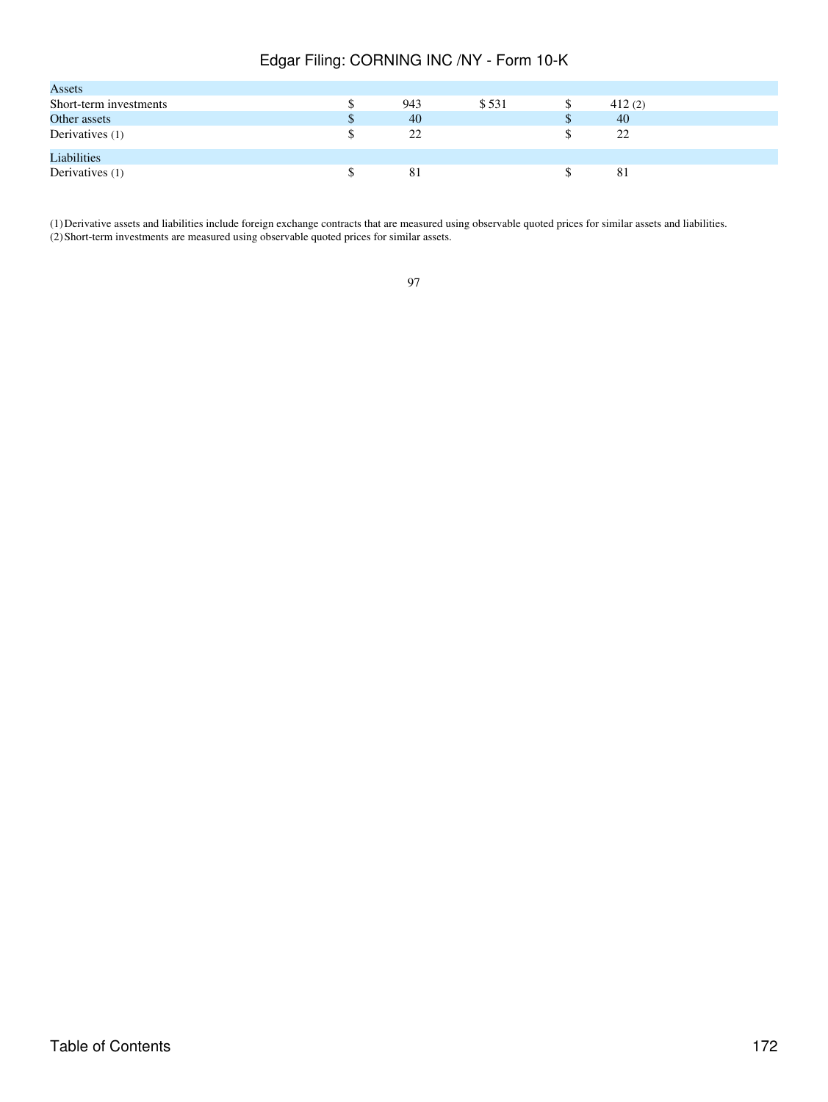| Assets                 |     |       |         |
|------------------------|-----|-------|---------|
| Short-term investments | 943 | \$531 | 412(2)  |
| Other assets           | 40  |       | 40      |
| Derivatives (1)        | 22  |       | 22<br>∼ |
| Liabilities            |     |       |         |
| Derivatives (1)        | 81  |       | 81      |

(1)Derivative assets and liabilities include foreign exchange contracts that are measured using observable quoted prices for similar assets and liabilities. (2)Short-term investments are measured using observable quoted prices for similar assets.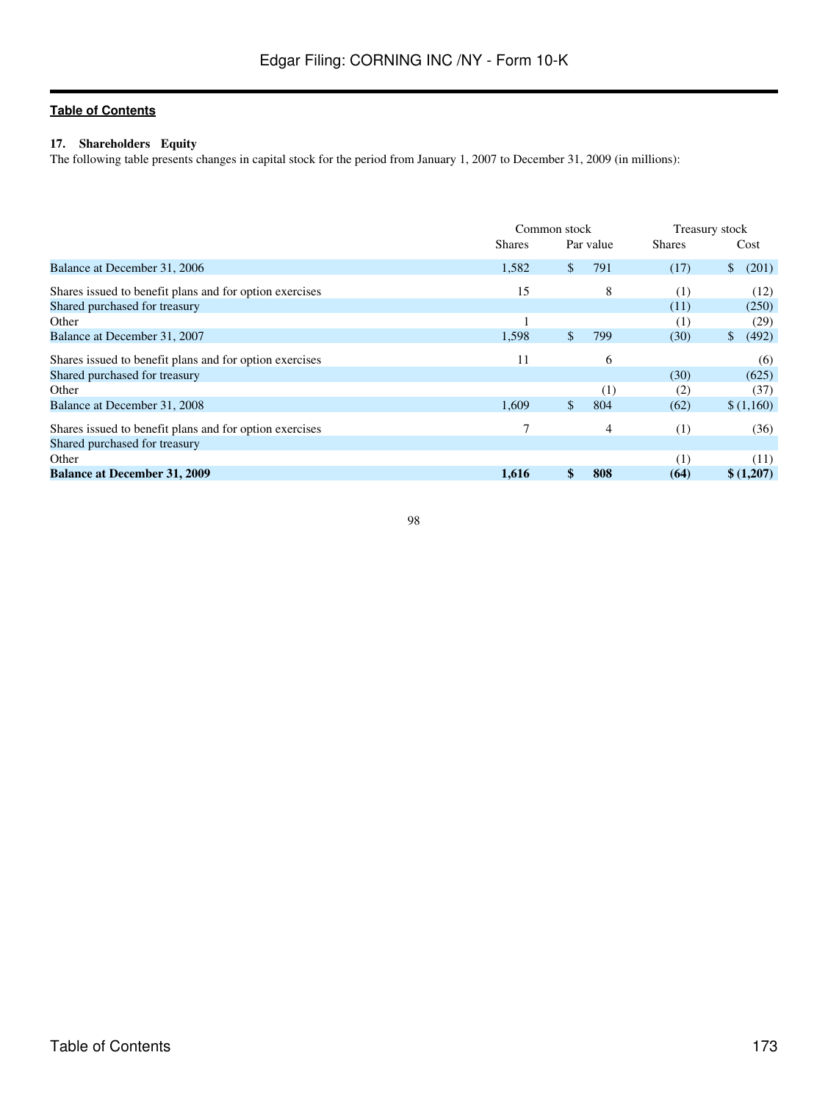## **17. Shareholders Equity**

The following table presents changes in capital stock for the period from January 1, 2007 to December 31, 2009 (in millions):

|                                                         | Common stock  |              |           | Treasury stock |              |           |
|---------------------------------------------------------|---------------|--------------|-----------|----------------|--------------|-----------|
|                                                         | <b>Shares</b> |              | Par value | <b>Shares</b>  |              | Cost      |
| Balance at December 31, 2006                            | 1,582         | \$           | 791       | (17)           | $\mathbb{S}$ | (201)     |
| Shares issued to benefit plans and for option exercises | 15            |              | 8         | (1)            |              | (12)      |
| Shared purchased for treasury                           |               |              |           | (11)           |              | (250)     |
| Other                                                   |               |              |           | (1)            |              | (29)      |
| Balance at December 31, 2007                            | 1,598         | \$           | 799       | (30)           | $\mathbb{S}$ | (492)     |
| Shares issued to benefit plans and for option exercises | 11            |              | 6         |                |              | (6)       |
| Shared purchased for treasury                           |               |              |           | (30)           |              | (625)     |
| Other                                                   |               |              | (1)       | (2)            |              | (37)      |
| Balance at December 31, 2008                            | 1.609         | $\mathbb{S}$ | 804       | (62)           |              | \$(1,160) |
| Shares issued to benefit plans and for option exercises |               |              | 4         | (1)            |              | (36)      |
| Shared purchased for treasury                           |               |              |           |                |              |           |
| Other                                                   |               |              |           | (1)            |              | (11)      |
| <b>Balance at December 31, 2009</b>                     | 1,616         | \$           | 808       | (64)           |              | \$(1,207) |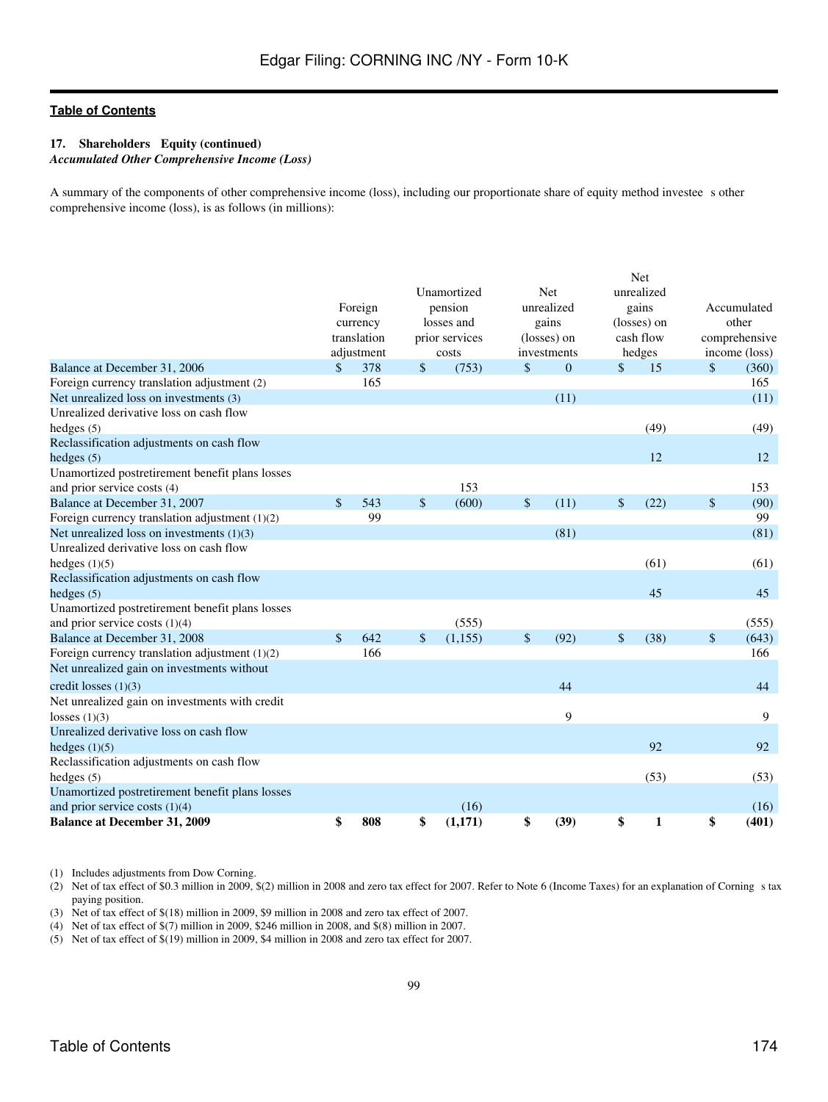### **17. Shareholders Equity (continued)** *Accumulated Other Comprehensive Income (Loss)*

A summary of the components of other comprehensive income (loss), including our proportionate share of equity method investees other comprehensive income (loss), is as follows (in millions):

|                                                           |                    | Foreign<br>currency<br>translation<br>adjustment |              | Unamortized<br>pension<br>losses and<br>prior services<br>costs |              | <b>Net</b><br>unrealized<br>gains<br>(losses) on<br>investments |               | Net<br>unrealized<br>gains<br>(losses) on<br>cash flow<br>hedges |      | Accumulated<br>other<br>comprehensive<br>income (loss) |
|-----------------------------------------------------------|--------------------|--------------------------------------------------|--------------|-----------------------------------------------------------------|--------------|-----------------------------------------------------------------|---------------|------------------------------------------------------------------|------|--------------------------------------------------------|
| Balance at December 31, 2006                              | $\mathbf{\hat{S}}$ | 378                                              | \$           | (753)                                                           | $\mathbb{S}$ | $\mathbf{0}$                                                    | $\mathsf{\$}$ | 15                                                               | \$   | (360)                                                  |
| Foreign currency translation adjustment (2)               |                    | 165                                              |              |                                                                 |              |                                                                 |               |                                                                  |      | 165                                                    |
| Net unrealized loss on investments (3)                    |                    |                                                  |              |                                                                 |              | (11)                                                            |               |                                                                  |      | (11)                                                   |
| Unrealized derivative loss on cash flow<br>hedges $(5)$   |                    |                                                  |              |                                                                 |              |                                                                 |               | (49)                                                             |      | (49)                                                   |
| Reclassification adjustments on cash flow                 |                    |                                                  |              |                                                                 |              |                                                                 |               |                                                                  |      |                                                        |
| hedges $(5)$                                              |                    |                                                  |              |                                                                 |              |                                                                 |               | 12                                                               |      | 12                                                     |
| Unamortized postretirement benefit plans losses           |                    |                                                  |              |                                                                 |              |                                                                 |               |                                                                  |      |                                                        |
| and prior service costs (4)                               |                    |                                                  |              | 153                                                             |              |                                                                 |               |                                                                  |      | 153                                                    |
| Balance at December 31, 2007                              | $\mathbf{\hat{S}}$ | 543                                              | \$           | (600)                                                           | \$           | (11)                                                            | \$            | (22)                                                             | $\$$ | (90)                                                   |
| Foreign currency translation adjustment $(1)(2)$          |                    | 99                                               |              |                                                                 |              |                                                                 |               |                                                                  |      | 99                                                     |
| Net unrealized loss on investments $(1)(3)$               |                    |                                                  |              |                                                                 |              | (81)                                                            |               |                                                                  |      | (81)                                                   |
| Unrealized derivative loss on cash flow                   |                    |                                                  |              |                                                                 |              |                                                                 |               |                                                                  |      |                                                        |
| hedges $(1)(5)$                                           |                    |                                                  |              |                                                                 |              |                                                                 |               | (61)                                                             |      | (61)                                                   |
| Reclassification adjustments on cash flow<br>hedges $(5)$ |                    |                                                  |              |                                                                 |              |                                                                 |               | 45                                                               |      | 45                                                     |
| Unamortized postretirement benefit plans losses           |                    |                                                  |              |                                                                 |              |                                                                 |               |                                                                  |      |                                                        |
| and prior service costs (1)(4)                            |                    |                                                  |              | (555)                                                           |              |                                                                 |               |                                                                  |      | (555)                                                  |
| Balance at December 31, 2008                              | $\mathcal{S}$      | 642                                              | $\mathbb{S}$ | (1, 155)                                                        | \$           | (92)                                                            | $\frac{1}{2}$ | (38)                                                             | \$   | (643)                                                  |
| Foreign currency translation adjustment (1)(2)            |                    | 166                                              |              |                                                                 |              |                                                                 |               |                                                                  |      | 166                                                    |
| Net unrealized gain on investments without                |                    |                                                  |              |                                                                 |              |                                                                 |               |                                                                  |      |                                                        |
| credit losses $(1)(3)$                                    |                    |                                                  |              |                                                                 |              | 44                                                              |               |                                                                  |      | 44                                                     |
| Net unrealized gain on investments with credit            |                    |                                                  |              |                                                                 |              |                                                                 |               |                                                                  |      |                                                        |
| losses $(1)(3)$                                           |                    |                                                  |              |                                                                 |              | 9                                                               |               |                                                                  |      | 9                                                      |
| Unrealized derivative loss on cash flow                   |                    |                                                  |              |                                                                 |              |                                                                 |               |                                                                  |      |                                                        |
| hedges $(1)(5)$                                           |                    |                                                  |              |                                                                 |              |                                                                 |               | 92                                                               |      | 92                                                     |
| Reclassification adjustments on cash flow                 |                    |                                                  |              |                                                                 |              |                                                                 |               |                                                                  |      |                                                        |
| hedges $(5)$                                              |                    |                                                  |              |                                                                 |              |                                                                 |               | (53)                                                             |      | (53)                                                   |
| Unamortized postretirement benefit plans losses           |                    |                                                  |              |                                                                 |              |                                                                 |               |                                                                  |      |                                                        |
| and prior service costs (1)(4)                            |                    |                                                  |              | (16)                                                            |              |                                                                 |               |                                                                  |      | (16)                                                   |
| <b>Balance at December 31, 2009</b>                       | \$                 | 808                                              | \$           | (1,171)                                                         | \$           | (39)                                                            | \$            | $\mathbf{1}$                                                     | \$   | (401)                                                  |
|                                                           |                    |                                                  |              |                                                                 |              |                                                                 |               |                                                                  |      |                                                        |

(1) Includes adjustments from Dow Corning.

(2) Net of tax effect of \$0.3 million in 2009, \$(2) million in 2008 and zero tax effect for 2007. Refer to Note 6 (Income Taxes) for an explanation of Cornings tax paying position.

(3) Net of tax effect of \$(18) million in 2009, \$9 million in 2008 and zero tax effect of 2007.

(4) Net of tax effect of \$(7) million in 2009, \$246 million in 2008, and \$(8) million in 2007.

(5) Net of tax effect of \$(19) million in 2009, \$4 million in 2008 and zero tax effect for 2007.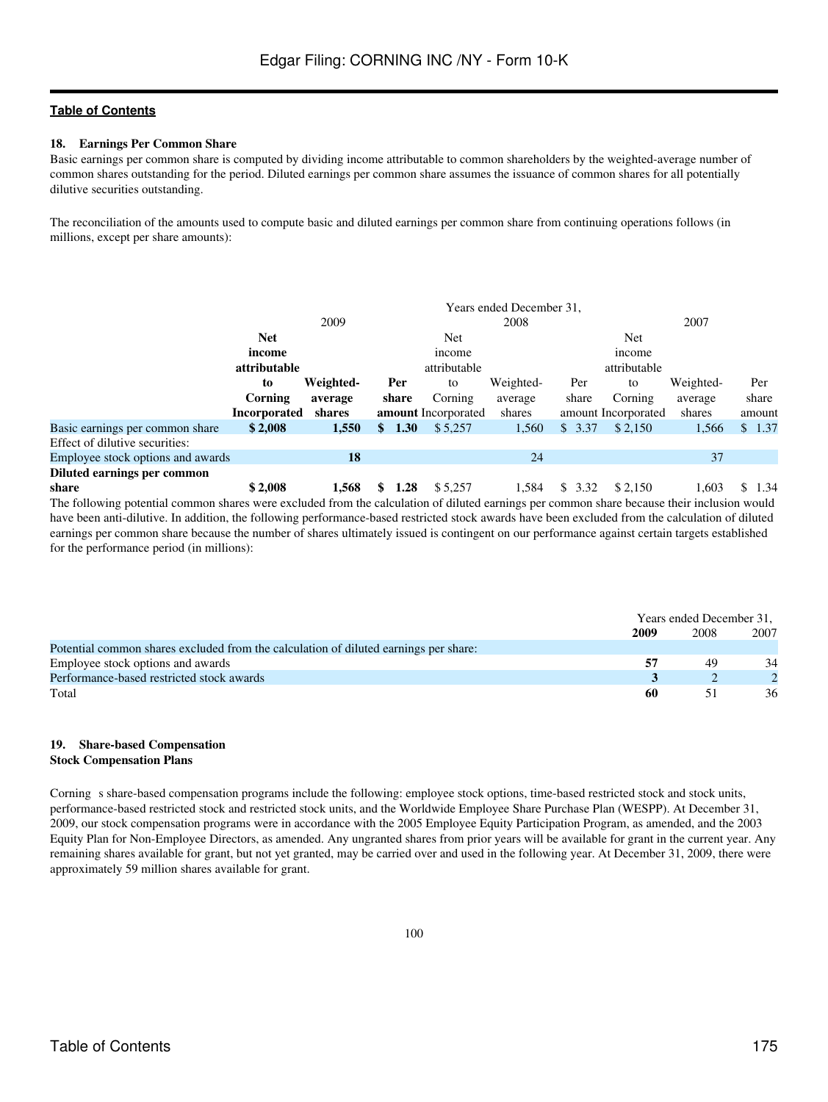### **18. Earnings Per Common Share**

Basic earnings per common share is computed by dividing income attributable to common shareholders by the weighted-average number of common shares outstanding for the period. Diluted earnings per common share assumes the issuance of common shares for all potentially dilutive securities outstanding.

The reconciliation of the amounts used to compute basic and diluted earnings per common share from continuing operations follows (in millions, except per share amounts):

|                                   |                     | Years ended December 31, |            |                     |           |              |                     |               |        |  |  |
|-----------------------------------|---------------------|--------------------------|------------|---------------------|-----------|--------------|---------------------|---------------|--------|--|--|
|                                   | 2009                |                          |            |                     | 2008      |              | 2007                |               |        |  |  |
|                                   | <b>Net</b>          |                          |            | Net                 |           |              | Net                 |               |        |  |  |
|                                   | income              |                          |            | <i>n</i> come       |           |              |                     | <i>n</i> come |        |  |  |
|                                   | attributable        |                          |            | attributable        |           | attributable |                     |               |        |  |  |
|                                   | to                  | Weighted-                | Per        | to                  | Weighted- | Per          | to                  | Weighted-     | Per    |  |  |
|                                   | Corning             | average                  | share      | Corning             | average   | share        | Corning             | average       | share  |  |  |
|                                   | <b>Incorporated</b> | shares                   |            | amount Incorporated | shares    |              | amount Incorporated | shares        | amount |  |  |
| Basic earnings per common share   | \$2,008             | 1,550                    | 1.30<br>\$ | \$5,257             | 1,560     | \$3.37       | \$2,150             | 1,566         | \$1.37 |  |  |
| Effect of dilutive securities:    |                     |                          |            |                     |           |              |                     |               |        |  |  |
| Employee stock options and awards |                     | 18                       |            |                     | 24        |              |                     | 37            |        |  |  |
| Diluted earnings per common       |                     |                          |            |                     |           |              |                     |               |        |  |  |
| share                             | \$2,008             | 1.568                    | 1.28       | \$5.257             | 1,584     | \$3.32       | \$2.150             | 1.603         | 1.34   |  |  |

The following potential common shares were excluded from the calculation of diluted earnings per common share because their inclusion would have been anti-dilutive. In addition, the following performance-based restricted stock awards have been excluded from the calculation of diluted earnings per common share because the number of shares ultimately issued is contingent on our performance against certain targets established for the performance period (in millions):

|                                                                                      |      | Years ended December 31, |      |
|--------------------------------------------------------------------------------------|------|--------------------------|------|
|                                                                                      | 2009 | 2008                     | 2007 |
| Potential common shares excluded from the calculation of diluted earnings per share: |      |                          |      |
| Employee stock options and awards                                                    | 57   | 49                       | 34   |
| Performance-based restricted stock awards                                            |      |                          |      |
| Total                                                                                | 60   | 51                       | 36   |

#### **19. Share-based Compensation Stock Compensation Plans**

Corning s share-based compensation programs include the following: employee stock options, time-based restricted stock and stock units, performance-based restricted stock and restricted stock units, and the Worldwide Employee Share Purchase Plan (WESPP). At December 31, 2009, our stock compensation programs were in accordance with the 2005 Employee Equity Participation Program, as amended, and the 2003 Equity Plan for Non-Employee Directors, as amended. Any ungranted shares from prior years will be available for grant in the current year. Any remaining shares available for grant, but not yet granted, may be carried over and used in the following year. At December 31, 2009, there were approximately 59 million shares available for grant.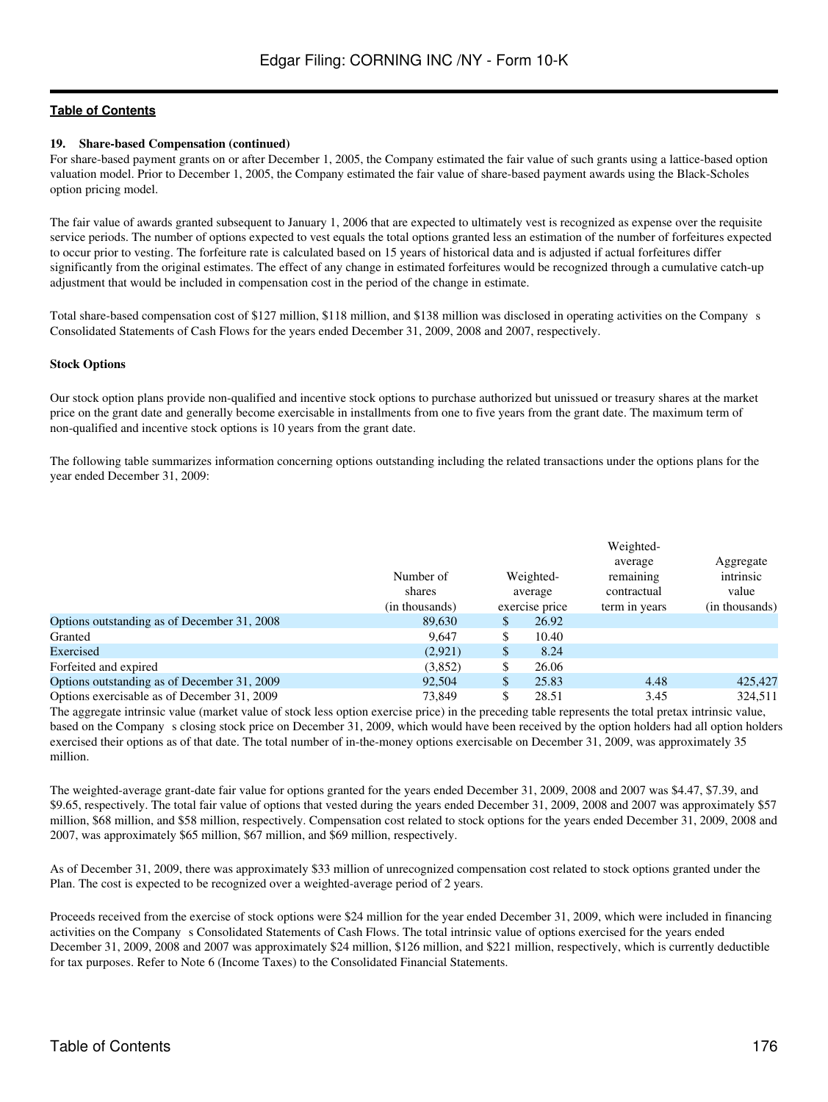### **19. Share-based Compensation (continued)**

For share-based payment grants on or after December 1, 2005, the Company estimated the fair value of such grants using a lattice-based option valuation model. Prior to December 1, 2005, the Company estimated the fair value of share-based payment awards using the Black-Scholes option pricing model.

The fair value of awards granted subsequent to January 1, 2006 that are expected to ultimately vest is recognized as expense over the requisite service periods. The number of options expected to vest equals the total options granted less an estimation of the number of forfeitures expected to occur prior to vesting. The forfeiture rate is calculated based on 15 years of historical data and is adjusted if actual forfeitures differ significantly from the original estimates. The effect of any change in estimated forfeitures would be recognized through a cumulative catch-up adjustment that would be included in compensation cost in the period of the change in estimate.

Total share-based compensation cost of \$127 million, \$118 million, and \$138 million was disclosed in operating activities on the Companys Consolidated Statements of Cash Flows for the years ended December 31, 2009, 2008 and 2007, respectively.

#### **Stock Options**

Our stock option plans provide non-qualified and incentive stock options to purchase authorized but unissued or treasury shares at the market price on the grant date and generally become exercisable in installments from one to five years from the grant date. The maximum term of non-qualified and incentive stock options is 10 years from the grant date.

The following table summarizes information concerning options outstanding including the related transactions under the options plans for the year ended December 31, 2009:

|                                             | Number of<br>shares |    | Weighted-<br>average | Weighted-<br>average<br>remaining<br>contractual | Aggregate<br>intrinsic<br>value |
|---------------------------------------------|---------------------|----|----------------------|--------------------------------------------------|---------------------------------|
|                                             | (in thousands)      |    | exercise price       | term in years                                    | (in thousands)                  |
| Options outstanding as of December 31, 2008 | 89.630              | \$ | 26.92                |                                                  |                                 |
| Granted                                     | 9.647               |    | 10.40                |                                                  |                                 |
| Exercised                                   | (2,921)             | S  | 8.24                 |                                                  |                                 |
| Forfeited and expired                       | (3,852)             | \$ | 26.06                |                                                  |                                 |
| Options outstanding as of December 31, 2009 | 92,504              | \$ | 25.83                | 4.48                                             | 425,427                         |
| Options exercisable as of December 31, 2009 | 73,849              | S  | 28.51                | 3.45                                             | 324.511                         |

The aggregate intrinsic value (market value of stock less option exercise price) in the preceding table represents the total pretax intrinsic value, based on the Company s closing stock price on December 31, 2009, which would have been received by the option holders had all option holders exercised their options as of that date. The total number of in-the-money options exercisable on December 31, 2009, was approximately 35 million.

The weighted-average grant-date fair value for options granted for the years ended December 31, 2009, 2008 and 2007 was \$4.47, \$7.39, and \$9.65, respectively. The total fair value of options that vested during the years ended December 31, 2009, 2008 and 2007 was approximately \$57 million, \$68 million, and \$58 million, respectively. Compensation cost related to stock options for the years ended December 31, 2009, 2008 and 2007, was approximately \$65 million, \$67 million, and \$69 million, respectively.

As of December 31, 2009, there was approximately \$33 million of unrecognized compensation cost related to stock options granted under the Plan. The cost is expected to be recognized over a weighted-average period of 2 years.

Proceeds received from the exercise of stock options were \$24 million for the year ended December 31, 2009, which were included in financing activities on the Company s Consolidated Statements of Cash Flows. The total intrinsic value of options exercised for the years ended December 31, 2009, 2008 and 2007 was approximately \$24 million, \$126 million, and \$221 million, respectively, which is currently deductible for tax purposes. Refer to Note 6 (Income Taxes) to the Consolidated Financial Statements.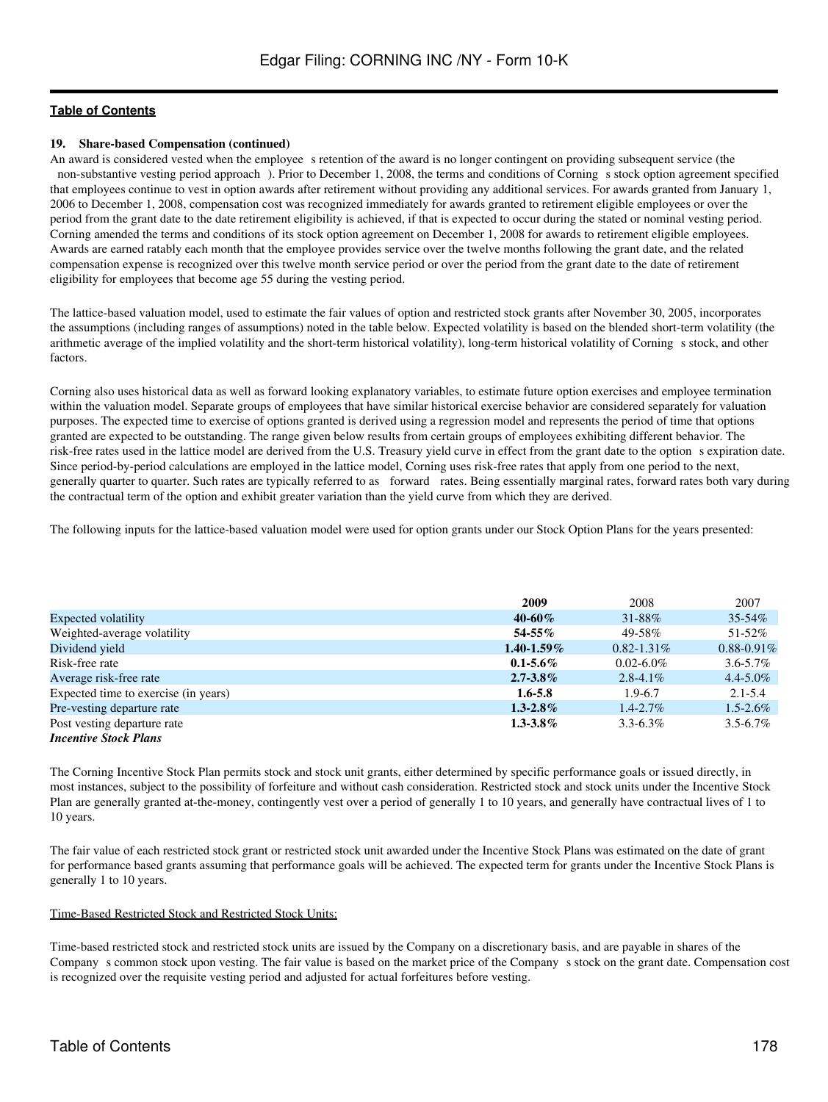### **19. Share-based Compensation (continued)**

An award is considered vested when the employee s retention of the award is no longer contingent on providing subsequent service (the non-substantive vesting period approach). Prior to December 1, 2008, the terms and conditions of Cornings stock option agreement specified that employees continue to vest in option awards after retirement without providing any additional services. For awards granted from January 1, 2006 to December 1, 2008, compensation cost was recognized immediately for awards granted to retirement eligible employees or over the period from the grant date to the date retirement eligibility is achieved, if that is expected to occur during the stated or nominal vesting period. Corning amended the terms and conditions of its stock option agreement on December 1, 2008 for awards to retirement eligible employees. Awards are earned ratably each month that the employee provides service over the twelve months following the grant date, and the related compensation expense is recognized over this twelve month service period or over the period from the grant date to the date of retirement eligibility for employees that become age 55 during the vesting period.

The lattice-based valuation model, used to estimate the fair values of option and restricted stock grants after November 30, 2005, incorporates the assumptions (including ranges of assumptions) noted in the table below. Expected volatility is based on the blended short-term volatility (the arithmetic average of the implied volatility and the short-term historical volatility), long-term historical volatility of Corning s stock, and other factors.

Corning also uses historical data as well as forward looking explanatory variables, to estimate future option exercises and employee termination within the valuation model. Separate groups of employees that have similar historical exercise behavior are considered separately for valuation purposes. The expected time to exercise of options granted is derived using a regression model and represents the period of time that options granted are expected to be outstanding. The range given below results from certain groups of employees exhibiting different behavior. The risk-free rates used in the lattice model are derived from the U.S. Treasury yield curve in effect from the grant date to the options expiration date. Since period-by-period calculations are employed in the lattice model, Corning uses risk-free rates that apply from one period to the next, generally quarter to quarter. Such rates are typically referred to as forward rates. Being essentially marginal rates, forward rates both vary during the contractual term of the option and exhibit greater variation than the yield curve from which they are derived.

The following inputs for the lattice-based valuation model were used for option grants under our Stock Option Plans for the years presented:

|                                      | 2009            | 2008            | 2007            |
|--------------------------------------|-----------------|-----------------|-----------------|
| Expected volatility                  | $40 - 60\%$     | $31 - 88\%$     | $35 - 54\%$     |
| Weighted-average volatility          | $54 - 55\%$     | 49-58%          | 51-52%          |
| Dividend yield                       | $1.40 - 1.59\%$ | $0.82 - 1.31\%$ | $0.88 - 0.91\%$ |
| Risk-free rate                       | $0.1 - 5.6\%$   | $0.02 - 6.0\%$  | $3.6 - 5.7\%$   |
| Average risk-free rate               | $2.7 - 3.8\%$   | $2.8 - 4.1\%$   | $4.4 - 5.0\%$   |
| Expected time to exercise (in years) | $1.6 - 5.8$     | $1.9 - 6.7$     | $2.1 - 5.4$     |
| Pre-vesting departure rate           | $1.3 - 2.8\%$   | $1.4 - 2.7\%$   | $1.5 - 2.6\%$   |
| Post vesting departure rate          | $1.3 - 3.8\%$   | $3.3 - 6.3\%$   | $3.5 - 6.7\%$   |
| <b>Incentive Stock Plans</b>         |                 |                 |                 |

The Corning Incentive Stock Plan permits stock and stock unit grants, either determined by specific performance goals or issued directly, in most instances, subject to the possibility of forfeiture and without cash consideration. Restricted stock and stock units under the Incentive Stock Plan are generally granted at-the-money, contingently vest over a period of generally 1 to 10 years, and generally have contractual lives of 1 to 10 years.

The fair value of each restricted stock grant or restricted stock unit awarded under the Incentive Stock Plans was estimated on the date of grant for performance based grants assuming that performance goals will be achieved. The expected term for grants under the Incentive Stock Plans is generally 1 to 10 years.

### Time-Based Restricted Stock and Restricted Stock Units:

Time-based restricted stock and restricted stock units are issued by the Company on a discretionary basis, and are payable in shares of the Company s common stock upon vesting. The fair value is based on the market price of the Company s stock on the grant date. Compensation cost is recognized over the requisite vesting period and adjusted for actual forfeitures before vesting.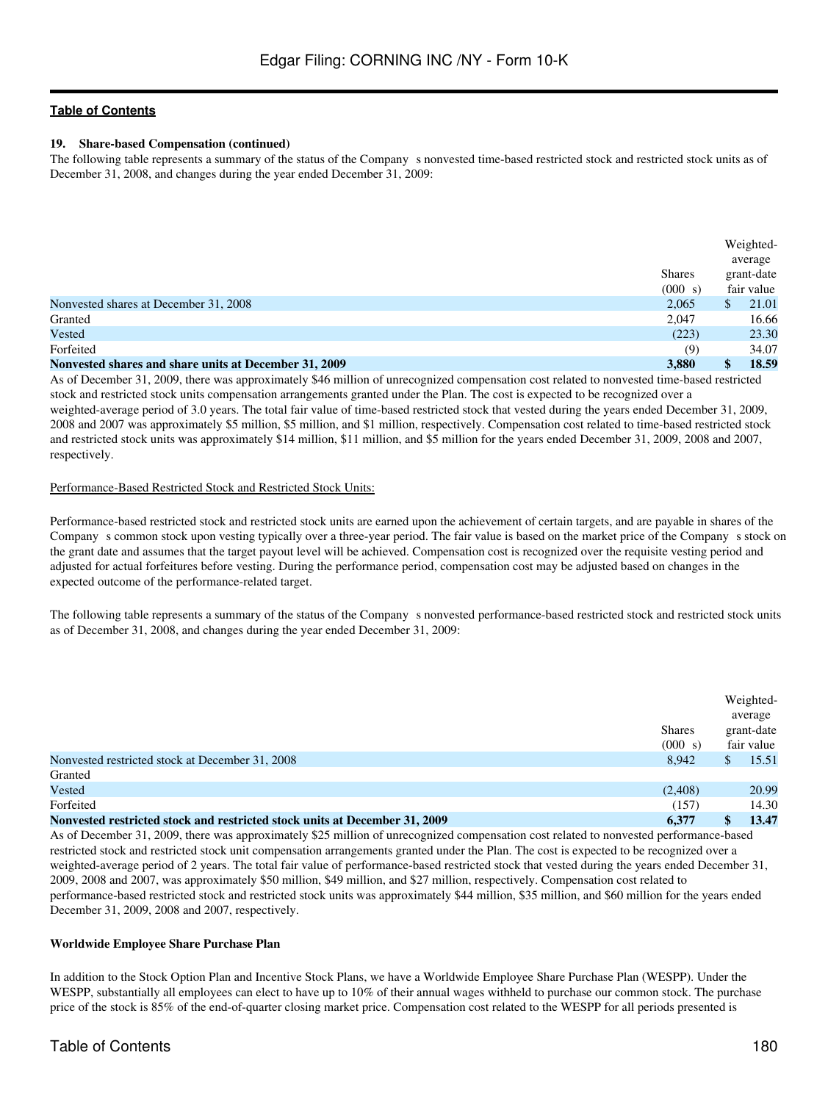### **19. Share-based Compensation (continued)**

The following table represents a summary of the status of the Company s nonvested time-based restricted stock and restricted stock units as of December 31, 2008, and changes during the year ended December 31, 2009:

|                                                       | <b>Shares</b><br>(000 s) | Weighted-<br>average<br>grant-date<br>fair value |       |
|-------------------------------------------------------|--------------------------|--------------------------------------------------|-------|
| Nonvested shares at December 31, 2008                 | 2.065                    | S                                                | 21.01 |
| Granted                                               | 2.047                    |                                                  | 16.66 |
| Vested                                                | (223)                    |                                                  | 23.30 |
| Forfeited                                             | (9)                      |                                                  | 34.07 |
| Nonvested shares and share units at December 31, 2009 | 3,880                    |                                                  | 18.59 |

As of December 31, 2009, there was approximately \$46 million of unrecognized compensation cost related to nonvested time-based restricted stock and restricted stock units compensation arrangements granted under the Plan. The cost is expected to be recognized over a weighted-average period of 3.0 years. The total fair value of time-based restricted stock that vested during the years ended December 31, 2009, 2008 and 2007 was approximately \$5 million, \$5 million, and \$1 million, respectively. Compensation cost related to time-based restricted stock and restricted stock units was approximately \$14 million, \$11 million, and \$5 million for the years ended December 31, 2009, 2008 and 2007, respectively.

### Performance-Based Restricted Stock and Restricted Stock Units:

Performance-based restricted stock and restricted stock units are earned upon the achievement of certain targets, and are payable in shares of the Company s common stock upon vesting typically over a three-year period. The fair value is based on the market price of the Company s stock on the grant date and assumes that the target payout level will be achieved. Compensation cost is recognized over the requisite vesting period and adjusted for actual forfeitures before vesting. During the performance period, compensation cost may be adjusted based on changes in the expected outcome of the performance-related target.

The following table represents a summary of the status of the Company s nonvested performance-based restricted stock and restricted stock units as of December 31, 2008, and changes during the year ended December 31, 2009:

| Nonvested restricted stock at December 31, 2008                            | <b>Shares</b><br>(000 s)<br>8.942 | \$. | Weighted-<br>average<br>grant-date<br>fair value<br>15.51 |
|----------------------------------------------------------------------------|-----------------------------------|-----|-----------------------------------------------------------|
| Granted                                                                    |                                   |     |                                                           |
| Vested                                                                     | (2,408)                           |     | 20.99                                                     |
| Forfeited                                                                  | (157)                             |     | 14.30                                                     |
| Nonvested restricted stock and restricted stock units at December 31, 2009 | 6,377                             |     | 13.47                                                     |

As of December 31, 2009, there was approximately \$25 million of unrecognized compensation cost related to nonvested performance-based restricted stock and restricted stock unit compensation arrangements granted under the Plan. The cost is expected to be recognized over a weighted-average period of 2 years. The total fair value of performance-based restricted stock that vested during the years ended December 31, 2009, 2008 and 2007, was approximately \$50 million, \$49 million, and \$27 million, respectively. Compensation cost related to performance-based restricted stock and restricted stock units was approximately \$44 million, \$35 million, and \$60 million for the years ended December 31, 2009, 2008 and 2007, respectively.

### **Worldwide Employee Share Purchase Plan**

In addition to the Stock Option Plan and Incentive Stock Plans, we have a Worldwide Employee Share Purchase Plan (WESPP). Under the WESPP, substantially all employees can elect to have up to 10% of their annual wages withheld to purchase our common stock. The purchase price of the stock is 85% of the end-of-quarter closing market price. Compensation cost related to the WESPP for all periods presented is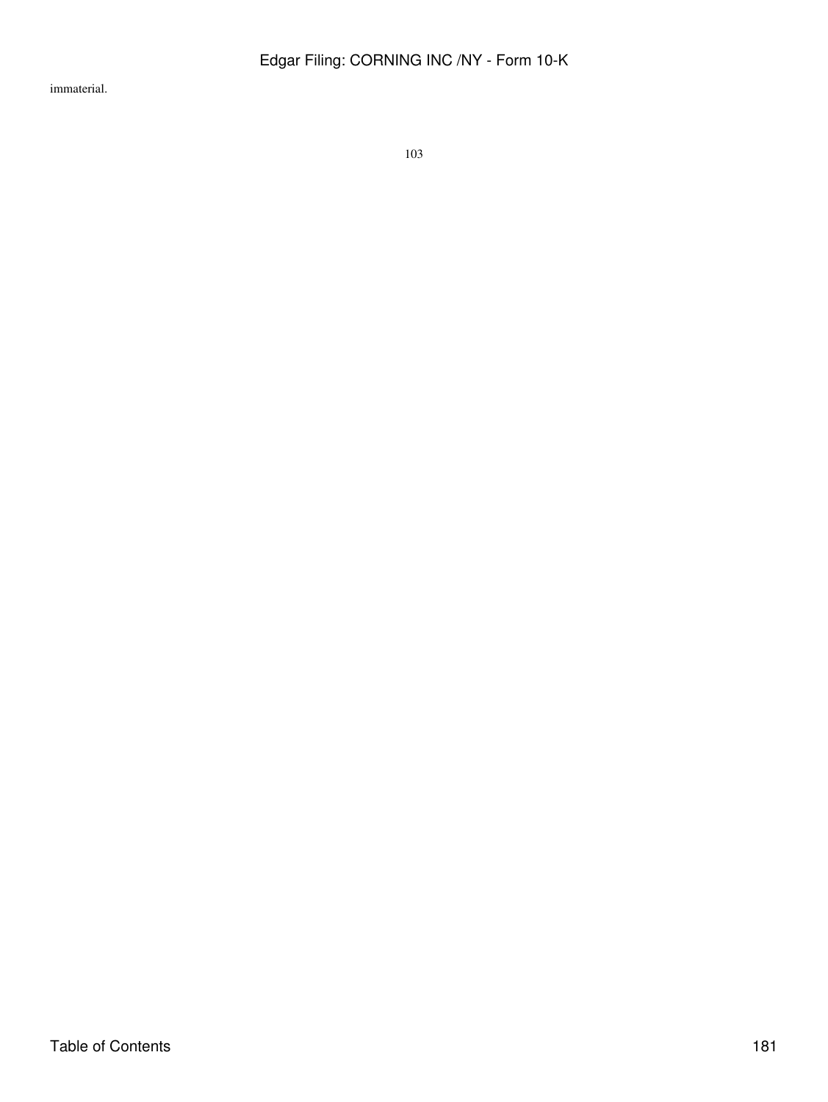immaterial.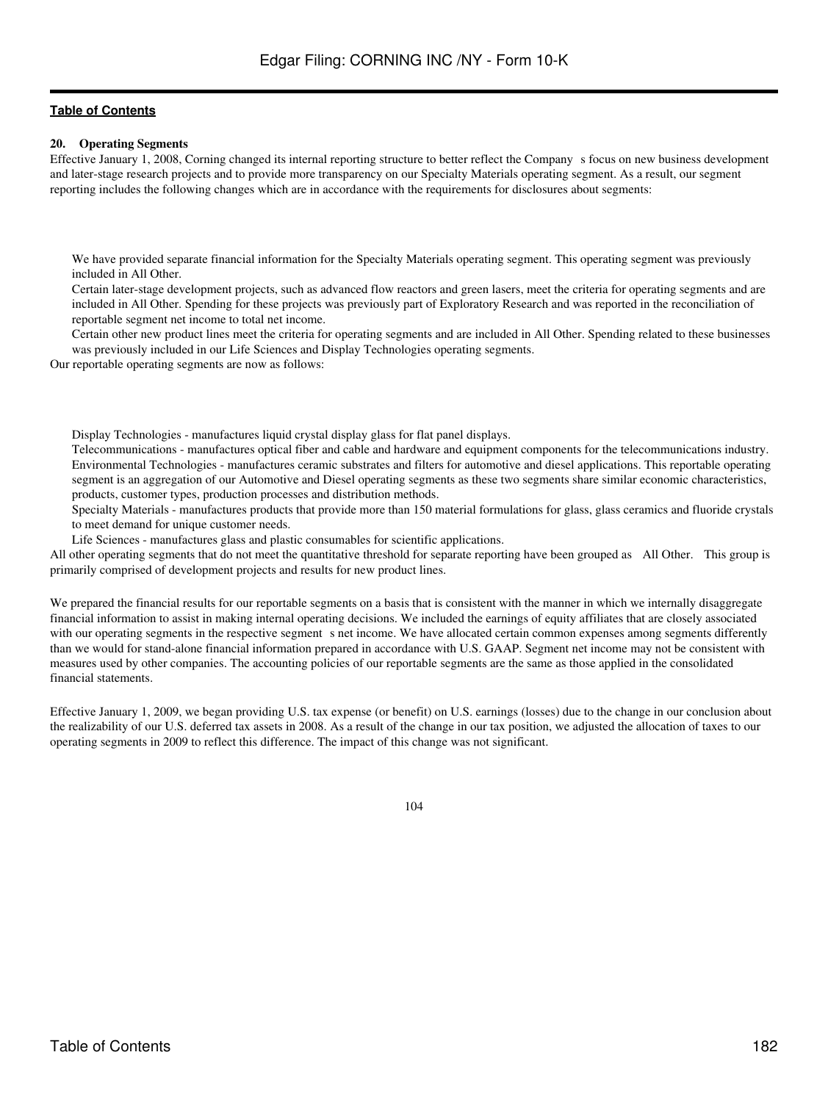#### **20. Operating Segments**

Effective January 1, 2008, Corning changed its internal reporting structure to better reflect the Companys focus on new business development and later-stage research projects and to provide more transparency on our Specialty Materials operating segment. As a result, our segment reporting includes the following changes which are in accordance with the requirements for disclosures about segments:

We have provided separate financial information for the Specialty Materials operating segment. This operating segment was previously included in All Other.

Certain later-stage development projects, such as advanced flow reactors and green lasers, meet the criteria for operating segments and are included in All Other. Spending for these projects was previously part of Exploratory Research and was reported in the reconciliation of reportable segment net income to total net income.

Certain other new product lines meet the criteria for operating segments and are included in All Other. Spending related to these businesses was previously included in our Life Sciences and Display Technologies operating segments.

Our reportable operating segments are now as follows:

Display Technologies - manufactures liquid crystal display glass for flat panel displays.

Telecommunications - manufactures optical fiber and cable and hardware and equipment components for the telecommunications industry. Environmental Technologies - manufactures ceramic substrates and filters for automotive and diesel applications. This reportable operating segment is an aggregation of our Automotive and Diesel operating segments as these two segments share similar economic characteristics, products, customer types, production processes and distribution methods.

Specialty Materials - manufactures products that provide more than 150 material formulations for glass, glass ceramics and fluoride crystals to meet demand for unique customer needs.

Life Sciences - manufactures glass and plastic consumables for scientific applications.

All other operating segments that do not meet the quantitative threshold for separate reporting have been grouped as All Other. This group is primarily comprised of development projects and results for new product lines.

We prepared the financial results for our reportable segments on a basis that is consistent with the manner in which we internally disaggregate financial information to assist in making internal operating decisions. We included the earnings of equity affiliates that are closely associated with our operating segments in the respective segment s net income. We have allocated certain common expenses among segments differently than we would for stand-alone financial information prepared in accordance with U.S. GAAP. Segment net income may not be consistent with measures used by other companies. The accounting policies of our reportable segments are the same as those applied in the consolidated financial statements.

Effective January 1, 2009, we began providing U.S. tax expense (or benefit) on U.S. earnings (losses) due to the change in our conclusion about the realizability of our U.S. deferred tax assets in 2008. As a result of the change in our tax position, we adjusted the allocation of taxes to our operating segments in 2009 to reflect this difference. The impact of this change was not significant.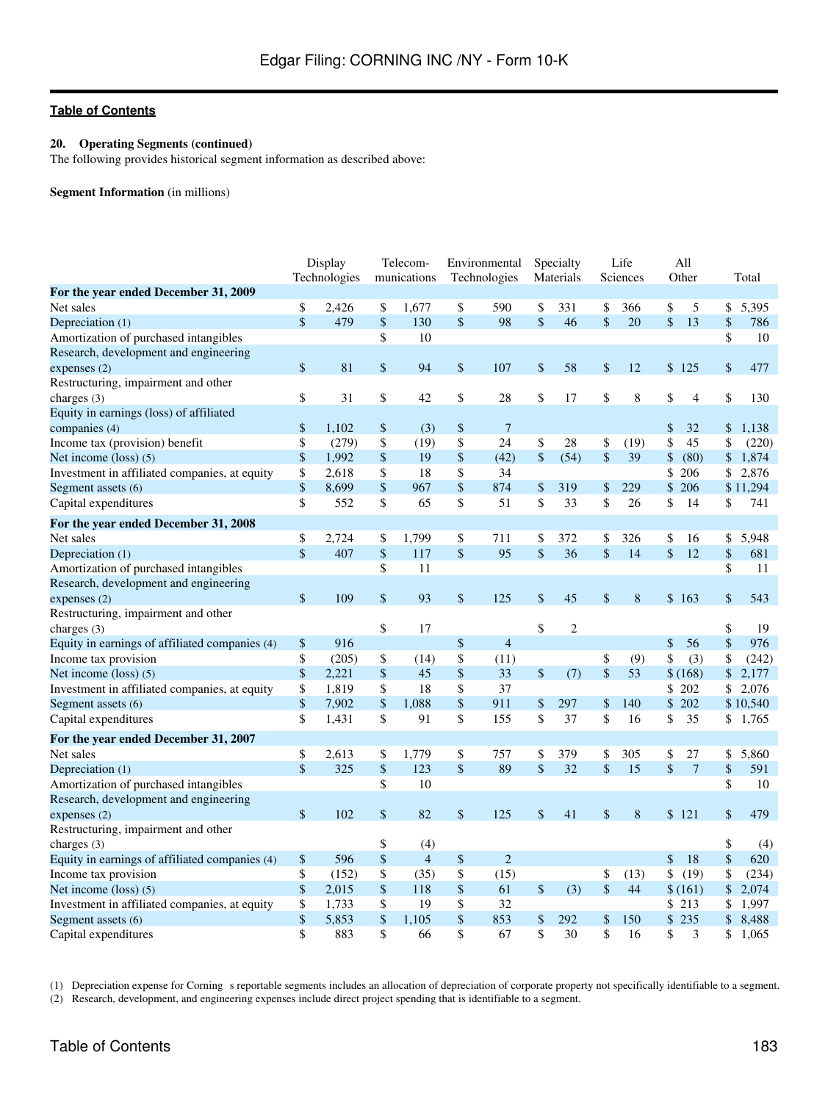# **20. Operating Segments (continued)**

The following provides historical segment information as described above:

#### **Segment Information** (in millions)

|                                                |              | Display      |      | Telecom-       |        | Environmental    |                           | Specialty |               | Life        |              | All            |             |
|------------------------------------------------|--------------|--------------|------|----------------|--------|------------------|---------------------------|-----------|---------------|-------------|--------------|----------------|-------------|
|                                                |              | Technologies |      | munications    |        | Technologies     |                           | Materials |               | Sciences    |              | Other          | Total       |
| For the year ended December 31, 2009           |              |              |      |                |        |                  |                           |           |               |             |              |                |             |
| Net sales                                      | \$           | 2,426        | \$   | 1,677          | \$     | 590              | \$                        | 331       | \$            | 366         | \$           | 5              | \$<br>5,395 |
| Depreciation (1)                               | $\mathbb{S}$ | 479          | $\$$ | 130            | \$     | 98               | \$                        | 46        | $\$$          | 20          | $\mathbb{S}$ | 13             | \$<br>786   |
| Amortization of purchased intangibles          |              |              | \$   | 10             |        |                  |                           |           |               |             |              |                | \$<br>10    |
| Research, development and engineering          |              |              |      |                |        |                  |                           |           |               |             |              |                |             |
| expenses (2)                                   | $\$$         | 81           | $\$$ | 94             | $\$$   | 107              | $\$$                      | 58        | \$            | 12          |              | \$125          | \$<br>477   |
| Restructuring, impairment and other            |              |              |      |                |        |                  |                           |           |               |             |              |                |             |
| charges $(3)$                                  | \$           | 31           | \$   | 42             | \$     | 28               | \$                        | 17        | \$            | 8           | \$           | 4              | \$<br>130   |
| Equity in earnings (loss) of affiliated        |              |              |      |                |        |                  |                           |           |               |             |              |                |             |
| companies (4)                                  | \$           | 1,102        | \$   | (3)            | $\$\,$ | $\boldsymbol{7}$ |                           |           |               |             | \$           | 32             | \$<br>1,138 |
| Income tax (provision) benefit                 | \$           | (279)        | \$   | (19)           | \$     | 24               | \$                        | $28\,$    | \$            | (19)        | \$           | 45             | \$<br>(220) |
| Net income $(\text{loss})$ (5)                 | \$           | 1,992        | $\$$ | 19             | $\$\,$ | (42)             | $\sqrt{\ }$               | (54)      | $\frac{1}{2}$ | 39          | \$           | (80)           | \$<br>1,874 |
| Investment in affiliated companies, at equity  | \$           | 2,618        | \$   | 18             | \$     | 34               |                           |           |               |             | \$           | 206            | \$<br>2,876 |
| Segment assets (6)                             | \$           | 8,699        | \$   | 967            | \$     | 874              | \$                        | 319       | \$            | 229         | \$           | 206            | \$11,294    |
| Capital expenditures                           | \$           | 552          | \$   | 65             | \$     | 51               | \$                        | 33        | \$            | 26          | \$           | 14             | \$<br>741   |
| For the year ended December 31, 2008           |              |              |      |                |        |                  |                           |           |               |             |              |                |             |
| Net sales                                      | \$           | 2,724        | \$   | 1,799          | \$     | 711              | \$                        | 372       | \$            | 326         | \$           | 16             | \$<br>5.948 |
| Depreciation (1)                               | \$           | 407          | $\$$ | 117            | $\$$   | 95               | \$                        | 36        | \$            | 14          | \$           | 12             | \$<br>681   |
| Amortization of purchased intangibles          |              |              | \$   | 11             |        |                  |                           |           |               |             |              |                | \$<br>11    |
| Research, development and engineering          |              |              |      |                |        |                  |                           |           |               |             |              |                |             |
| expenses (2)                                   | $\$$         | 109          | $\$$ | 93             | $\$$   | 125              | $\$\,$                    | 45        | \$            | $\,$ 8 $\,$ |              | \$163          | \$<br>543   |
| Restructuring, impairment and other            |              |              |      |                |        |                  |                           |           |               |             |              |                |             |
| charges $(3)$                                  |              |              | \$   | 17             |        |                  | \$                        | 2         |               |             |              |                | \$<br>19    |
| Equity in earnings of affiliated companies (4) | \$           | 916          |      |                | $\$$   | 4                |                           |           |               |             | \$           | 56             | \$<br>976   |
| Income tax provision                           | \$           | (205)        | \$   | (14)           | \$     | (11)             |                           |           | \$            | (9)         | \$           | (3)            | \$<br>(242) |
| Net income $(\text{loss})$ (5)                 | \$           | 2,221        | $\$$ | 45             | $\$\,$ | 33               | $\$$                      | (7)       | $\$$          | 53          |              | \$(168)        | \$<br>2,177 |
| Investment in affiliated companies, at equity  | \$           | 1,819        | \$   | 18             | \$     | 37               |                           |           |               |             | \$           | 202            | \$2.076     |
| Segment assets (6)                             | \$           | 7,902        | $\$$ | 1,088          | \$     | 911              | \$                        | 297       | \$            | 140         | \$           | 202            | \$10,540    |
| Capital expenditures                           | \$           | 1,431        | \$   | 91             | \$     | 155              | \$                        | 37        | \$            | 16          | \$           | 35             | \$<br>1,765 |
| For the year ended December 31, 2007           |              |              |      |                |        |                  |                           |           |               |             |              |                |             |
| Net sales                                      | \$           | 2,613        | \$   | 1,779          | \$     | 757              | \$                        | 379       | \$            | 305         | \$           | 27             | \$<br>5,860 |
| Depreciation (1)                               | \$           | 325          | \$   | 123            | \$     | 89               | \$                        | 32        | \$            | 15          | \$           | $\overline{7}$ | \$<br>591   |
| Amortization of purchased intangibles          |              |              | \$   | 10             |        |                  |                           |           |               |             |              |                | \$<br>10    |
| Research, development and engineering          |              |              |      |                |        |                  |                           |           |               |             |              |                |             |
| expenses (2)                                   | \$           | 102          | \$   | 82             | \$     | 125              | $\mathcal{S}$             | 41        | \$            | 8           |              | \$121          | \$<br>479   |
| Restructuring, impairment and other            |              |              |      |                |        |                  |                           |           |               |             |              |                |             |
| charges $(3)$                                  |              |              | \$   | (4)            |        |                  |                           |           |               |             |              |                | \$<br>(4)   |
| Equity in earnings of affiliated companies (4) | \$           | 596          | $\$$ | $\overline{4}$ | $\$\,$ | $\overline{c}$   |                           |           |               |             | \$           | 18             | \$<br>620   |
| Income tax provision                           | \$           | (152)        | \$   | (35)           | \$     | (15)             |                           |           | \$            | (13)        | \$           | (19)           | \$<br>(234) |
| Net income (loss) (5)                          | \$           | 2,015        | \$   | 118            | \$     | 61               | $\boldsymbol{\mathsf{S}}$ | (3)       | $\frac{1}{2}$ | 44          |              | \$(161)        | \$<br>2,074 |
| Investment in affiliated companies, at equity  | \$           | 1,733        | \$   | 19             | \$     | 32               |                           |           |               |             | \$           | 213            | \$<br>1,997 |
| Segment assets (6)                             | \$           | 5,853        | \$   | 1,105          | \$     | 853              | \$                        | 292       | \$            | 150         | $\mathbb{S}$ | 235            | \$<br>8,488 |
| Capital expenditures                           | \$           | 883          | \$   | 66             | \$     | 67               | \$                        | 30        | \$            | 16          | \$           | 3              | \$<br>1.065 |

(1) Depreciation expense for Corning s reportable segments includes an allocation of depreciation of corporate property not specifically identifiable to a segment.

(2) Research, development, and engineering expenses include direct project spending that is identifiable to a segment.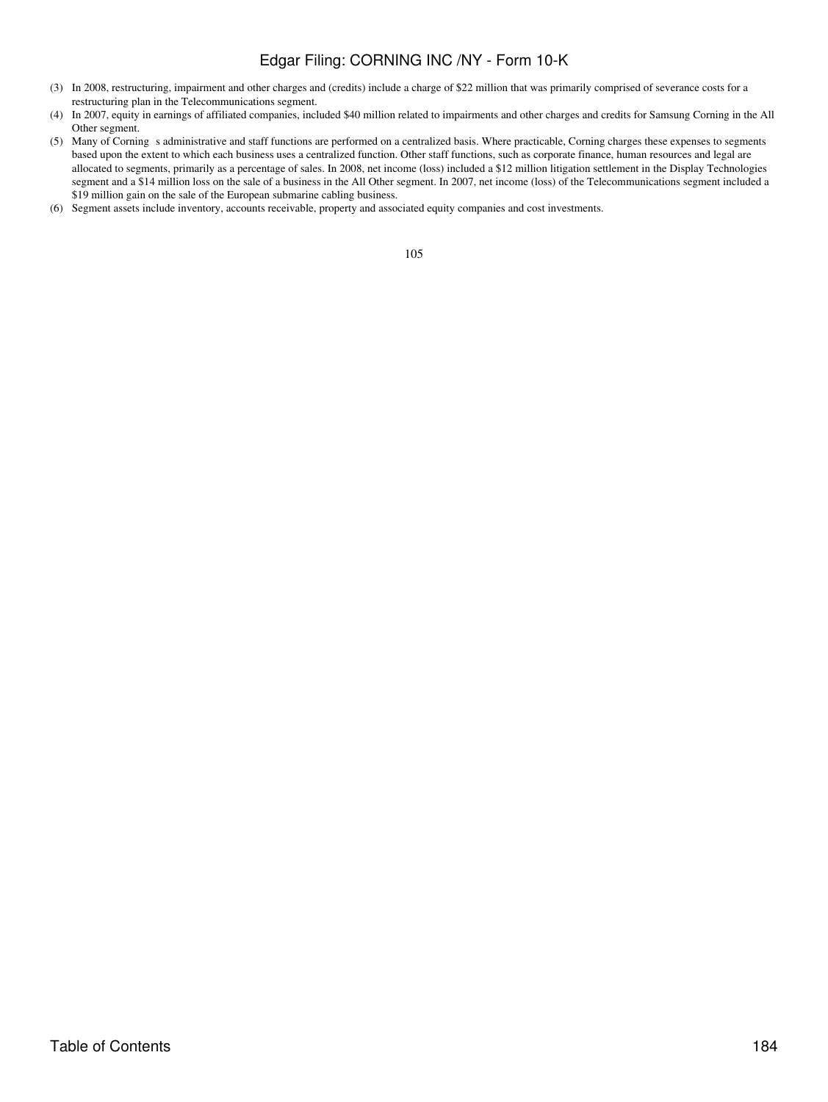- (3) In 2008, restructuring, impairment and other charges and (credits) include a charge of \$22 million that was primarily comprised of severance costs for a restructuring plan in the Telecommunications segment.
- (4) In 2007, equity in earnings of affiliated companies, included \$40 million related to impairments and other charges and credits for Samsung Corning in the All Other segment.
- (5) Many of Corning s administrative and staff functions are performed on a centralized basis. Where practicable, Corning charges these expenses to segments based upon the extent to which each business uses a centralized function. Other staff functions, such as corporate finance, human resources and legal are allocated to segments, primarily as a percentage of sales. In 2008, net income (loss) included a \$12 million litigation settlement in the Display Technologies segment and a \$14 million loss on the sale of a business in the All Other segment. In 2007, net income (loss) of the Telecommunications segment included a \$19 million gain on the sale of the European submarine cabling business.
- (6) Segment assets include inventory, accounts receivable, property and associated equity companies and cost investments.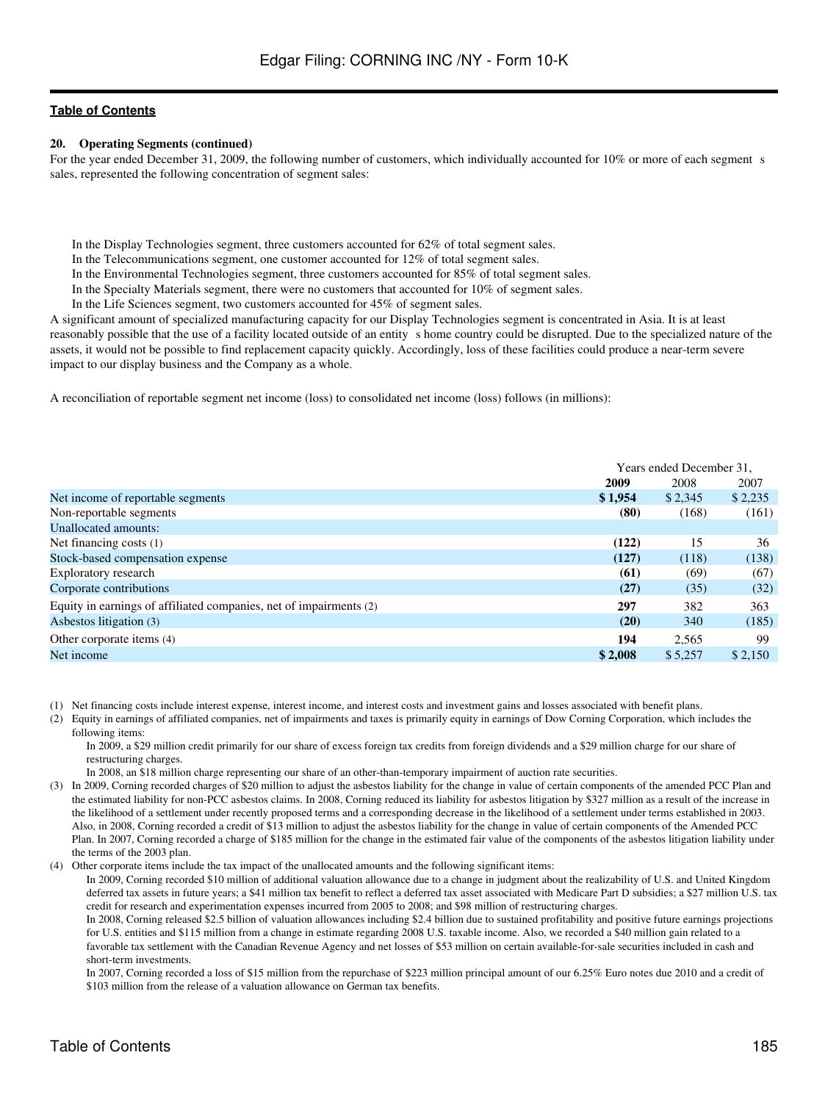#### **20. Operating Segments (continued)**

For the year ended December 31, 2009, the following number of customers, which individually accounted for 10% or more of each segment s sales, represented the following concentration of segment sales:

In the Display Technologies segment, three customers accounted for 62% of total segment sales.

In the Telecommunications segment, one customer accounted for 12% of total segment sales.

In the Environmental Technologies segment, three customers accounted for 85% of total segment sales.

In the Specialty Materials segment, there were no customers that accounted for 10% of segment sales.

In the Life Sciences segment, two customers accounted for 45% of segment sales.

A significant amount of specialized manufacturing capacity for our Display Technologies segment is concentrated in Asia. It is at least reasonably possible that the use of a facility located outside of an entity s home country could be disrupted. Due to the specialized nature of the assets, it would not be possible to find replacement capacity quickly. Accordingly, loss of these facilities could produce a near-term severe impact to our display business and the Company as a whole.

A reconciliation of reportable segment net income (loss) to consolidated net income (loss) follows (in millions):

|                                                                    | Years ended December 31. |         |         |
|--------------------------------------------------------------------|--------------------------|---------|---------|
|                                                                    | 2009                     | 2008    | 2007    |
| Net income of reportable segments                                  | \$1.954                  | \$2,345 | \$2,235 |
| Non-reportable segments                                            | (80)                     | (168)   | (161)   |
| Unallocated amounts:                                               |                          |         |         |
| Net financing costs $(1)$                                          | (122)                    | 15      | 36      |
| Stock-based compensation expense                                   | (127)                    | (118)   | (138)   |
| Exploratory research                                               | (61)                     | (69)    | (67)    |
| Corporate contributions                                            | (27)                     | (35)    | (32)    |
| Equity in earnings of affiliated companies, net of impairments (2) | 297                      | 382     | 363     |
| Asbestos litigation (3)                                            | (20)                     | 340     | (185)   |
| Other corporate items (4)                                          | 194                      | 2,565   | 99      |
| Net income                                                         | \$2,008                  | \$5,257 | \$2,150 |

- (1) Net financing costs include interest expense, interest income, and interest costs and investment gains and losses associated with benefit plans.
- (2) Equity in earnings of affiliated companies, net of impairments and taxes is primarily equity in earnings of Dow Corning Corporation, which includes the following items:

In 2009, a \$29 million credit primarily for our share of excess foreign tax credits from foreign dividends and a \$29 million charge for our share of restructuring charges.

In 2008, an \$18 million charge representing our share of an other-than-temporary impairment of auction rate securities.

(3) In 2009, Corning recorded charges of \$20 million to adjust the asbestos liability for the change in value of certain components of the amended PCC Plan and the estimated liability for non-PCC asbestos claims. In 2008, Corning reduced its liability for asbestos litigation by \$327 million as a result of the increase in the likelihood of a settlement under recently proposed terms and a corresponding decrease in the likelihood of a settlement under terms established in 2003. Also, in 2008, Corning recorded a credit of \$13 million to adjust the asbestos liability for the change in value of certain components of the Amended PCC Plan. In 2007, Corning recorded a charge of \$185 million for the change in the estimated fair value of the components of the asbestos litigation liability under the terms of the 2003 plan.

(4) Other corporate items include the tax impact of the unallocated amounts and the following significant items: In 2009, Corning recorded \$10 million of additional valuation allowance due to a change in judgment about the realizability of U.S. and United Kingdom deferred tax assets in future years; a \$41 million tax benefit to reflect a deferred tax asset associated with Medicare Part D subsidies; a \$27 million U.S. tax credit for research and experimentation expenses incurred from 2005 to 2008; and \$98 million of restructuring charges.

In 2008, Corning released \$2.5 billion of valuation allowances including \$2.4 billion due to sustained profitability and positive future earnings projections for U.S. entities and \$115 million from a change in estimate regarding 2008 U.S. taxable income. Also, we recorded a \$40 million gain related to a favorable tax settlement with the Canadian Revenue Agency and net losses of \$53 million on certain available-for-sale securities included in cash and short-term investments.

In 2007, Corning recorded a loss of \$15 million from the repurchase of \$223 million principal amount of our 6.25% Euro notes due 2010 and a credit of \$103 million from the release of a valuation allowance on German tax benefits.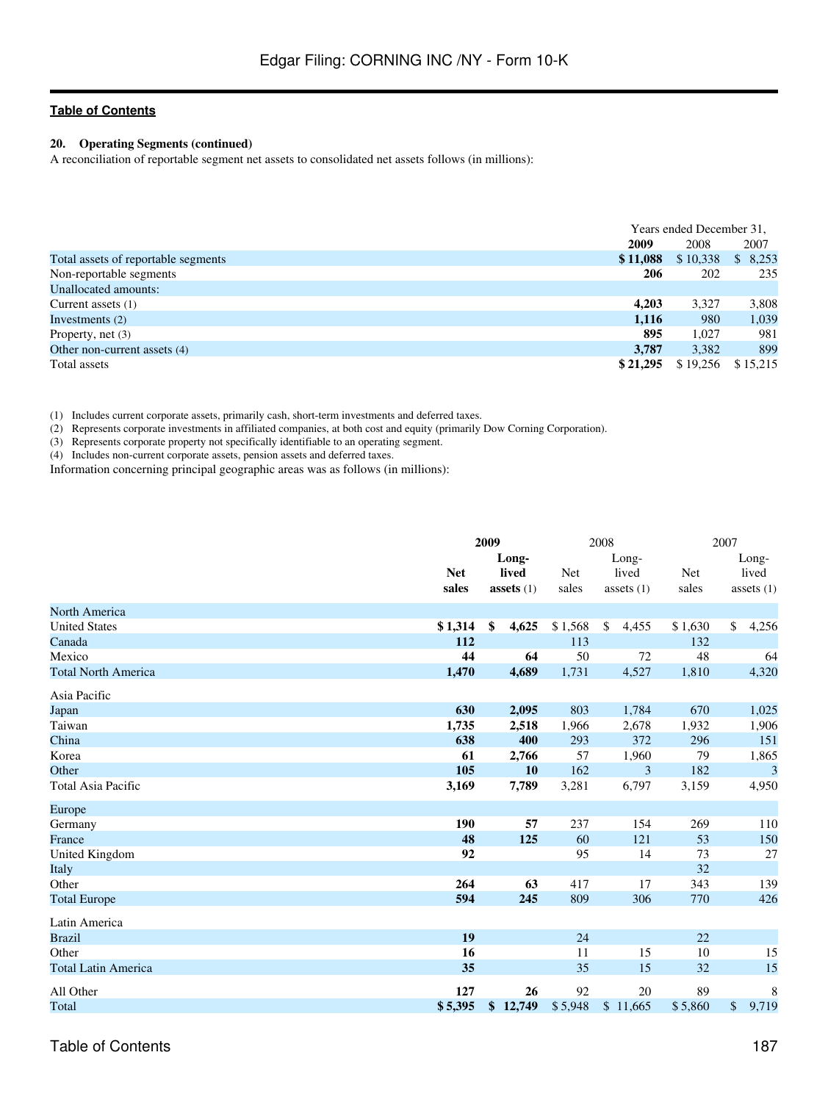# **20. Operating Segments (continued)**

A reconciliation of reportable segment net assets to consolidated net assets follows (in millions):

|                                     | Years ended December 31, |          |          |  |
|-------------------------------------|--------------------------|----------|----------|--|
|                                     | 2009                     | 2008     | 2007     |  |
| Total assets of reportable segments | \$11,088                 | \$10,338 | \$8,253  |  |
| Non-reportable segments             | 206                      | 202      | 235      |  |
| Unallocated amounts:                |                          |          |          |  |
| Current assets $(1)$                | 4.203                    | 3.327    | 3,808    |  |
| Investments $(2)$                   | 1.116                    | 980      | 1,039    |  |
| Property, net (3)                   | 895                      | 1.027    | 981      |  |
| Other non-current assets (4)        | 3.787                    | 3.382    | 899      |  |
| Total assets                        | \$21,295                 | \$19,256 | \$15.215 |  |

(1) Includes current corporate assets, primarily cash, short-term investments and deferred taxes.

(2) Represents corporate investments in affiliated companies, at both cost and equity (primarily Dow Corning Corporation).

(3) Represents corporate property not specifically identifiable to an operating segment.

(4) Includes non-current corporate assets, pension assets and deferred taxes.

Information concerning principal geographic areas was as follows (in millions):

|                            |                     | 2009 |                                | 2008         |    |                                | 2007         |                                |         |
|----------------------------|---------------------|------|--------------------------------|--------------|----|--------------------------------|--------------|--------------------------------|---------|
|                            | <b>Net</b><br>sales |      | Long-<br>lived<br>assets $(1)$ | Net<br>sales |    | Long-<br>lived<br>assets $(1)$ | Net<br>sales | Long-<br>lived<br>assets $(1)$ |         |
| <b>North America</b>       |                     |      |                                |              |    |                                |              |                                |         |
| <b>United States</b>       | \$1,314             | \$   | 4,625                          | \$1,568      | \$ | 4,455                          | \$1,630      | \$                             | 4,256   |
| Canada                     | 112                 |      |                                | 113          |    |                                | 132          |                                |         |
| Mexico                     | 44                  |      | 64                             | 50           |    | 72                             | 48           |                                | 64      |
| <b>Total North America</b> | 1,470               |      | 4,689                          | 1,731        |    | 4,527                          | 1,810        |                                | 4,320   |
| Asia Pacific               |                     |      |                                |              |    |                                |              |                                |         |
| Japan                      | 630                 |      | 2,095                          | 803          |    | 1,784                          | 670          |                                | 1,025   |
| Taiwan                     | 1,735               |      | 2,518                          | 1,966        |    | 2,678                          | 1,932        |                                | 1,906   |
| China                      | 638                 |      | 400                            | 293          |    | 372                            | 296          |                                | 151     |
| Korea                      | 61                  |      | 2,766                          | 57           |    | 1,960                          | 79           |                                | 1,865   |
| Other                      | 105                 |      | 10                             | 162          |    | 3                              | 182          |                                | 3       |
| <b>Total Asia Pacific</b>  | 3,169               |      | 7,789                          | 3,281        |    | 6,797                          | 3,159        |                                | 4,950   |
| Europe                     |                     |      |                                |              |    |                                |              |                                |         |
| Germany                    | 190                 |      | 57                             | 237          |    | 154                            | 269          |                                | 110     |
| France                     | 48                  |      | 125                            | 60           |    | 121                            | 53           |                                | 150     |
| United Kingdom             | 92                  |      |                                | 95           |    | 14                             | 73           |                                | 27      |
| Italy                      |                     |      |                                |              |    |                                | 32           |                                |         |
| Other                      | 264                 |      | 63                             | 417          |    | 17                             | 343          |                                | 139     |
| <b>Total Europe</b>        | 594                 |      | 245                            | 809          |    | 306                            | 770          |                                | 426     |
| Latin America              |                     |      |                                |              |    |                                |              |                                |         |
| <b>Brazil</b>              | 19                  |      |                                | 24           |    |                                | 22           |                                |         |
| Other                      | 16                  |      |                                | 11           |    | 15                             | 10           |                                | 15      |
| <b>Total Latin America</b> | 35                  |      |                                | 35           |    | 15                             | 32           |                                | 15      |
| All Other                  | 127                 |      | 26                             | 92           |    | 20                             | 89           |                                | $\,8\,$ |
| Total                      | \$5,395             |      | \$12,749                       | \$5,948      |    | \$11,665                       | \$5,860      | \$                             | 9,719   |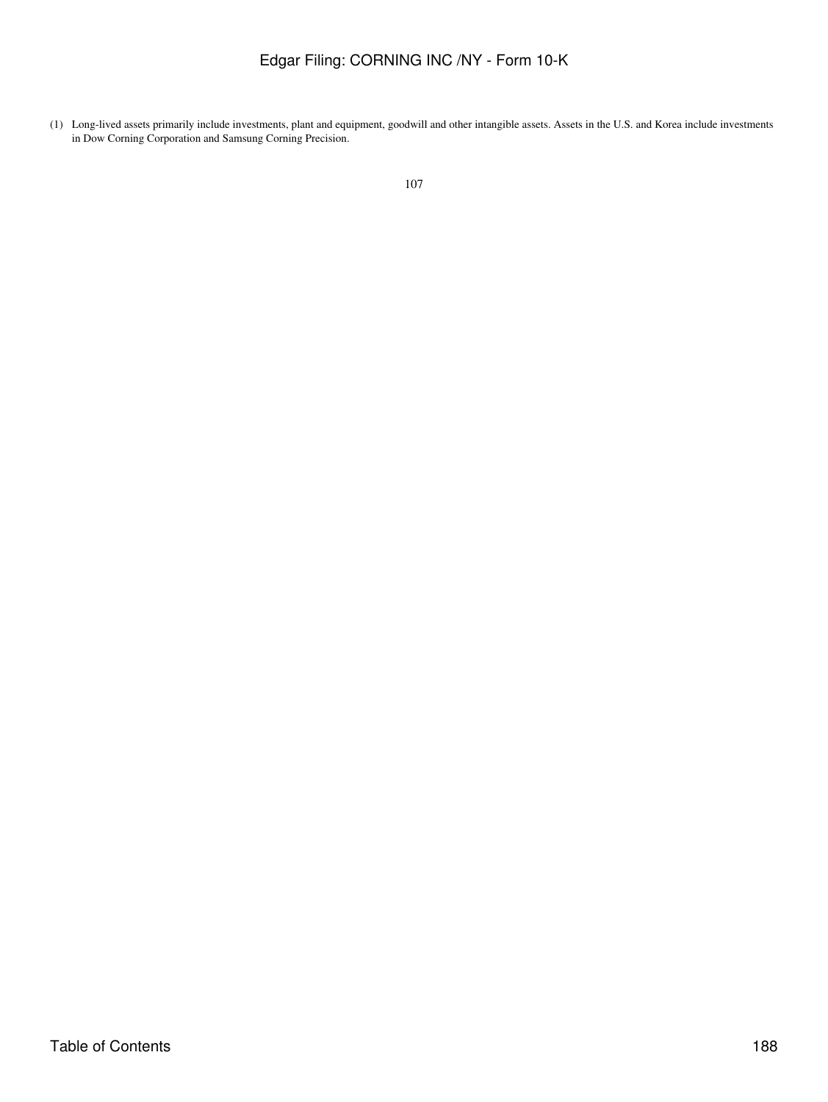(1) Long-lived assets primarily include investments, plant and equipment, goodwill and other intangible assets. Assets in the U.S. and Korea include investments in Dow Corning Corporation and Samsung Corning Precision.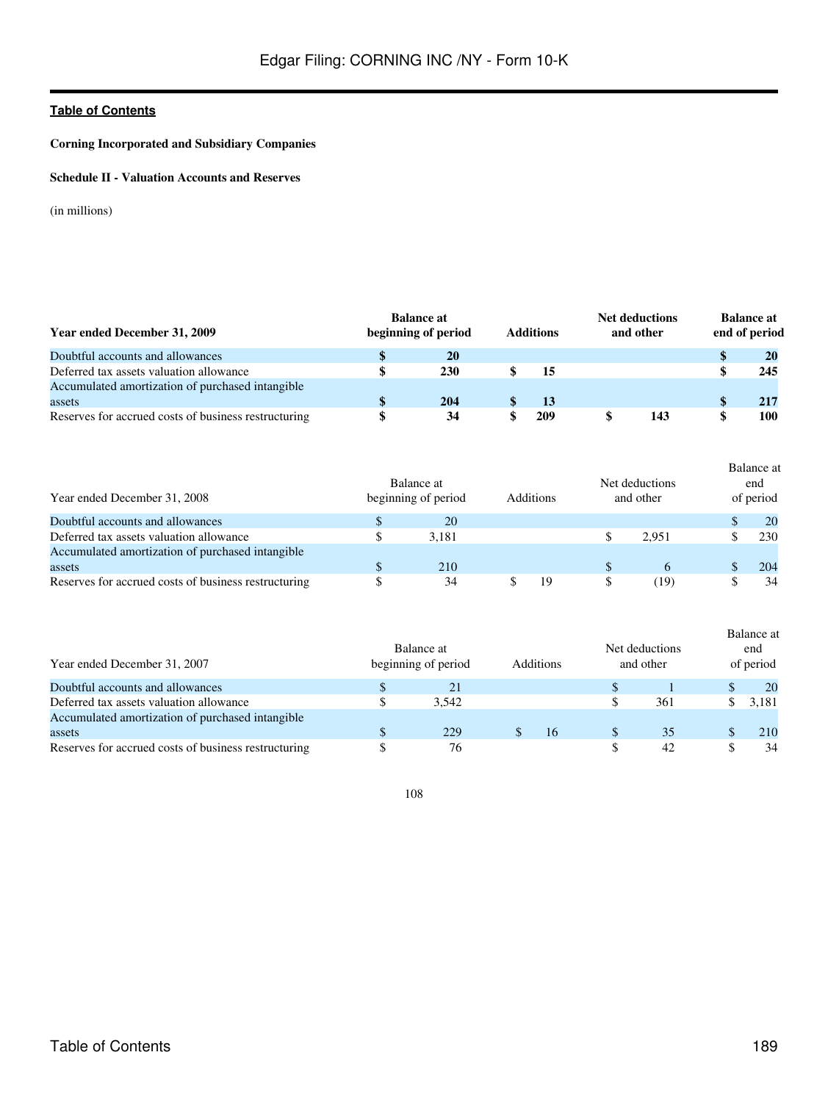**Corning Incorporated and Subsidiary Companies**

#### **Schedule II - Valuation Accounts and Reserves**

(in millions)

| Year ended December 31, 2009                         |    | <b>Balance at</b><br>beginning of period | <b>Additions</b> | <b>Net deductions</b><br>and other |   | <b>Balance at</b><br>end of period |
|------------------------------------------------------|----|------------------------------------------|------------------|------------------------------------|---|------------------------------------|
| Doubtful accounts and allowances                     | S. | <b>20</b>                                |                  |                                    | S | 20                                 |
| Deferred tax assets valuation allowance              |    | 230                                      | 15               |                                    |   | 245                                |
| Accumulated amortization of purchased intangible     |    |                                          |                  |                                    |   |                                    |
| assets                                               |    | 204                                      | 13               |                                    | æ | 217                                |
| Reserves for accrued costs of business restructuring |    | 34                                       | 209              | 143                                | S | 100                                |

| Year ended December 31, 2008                         | Balance at<br>beginning of period |       |  | <b>Additions</b> | Net deductions<br>and other | Balance at<br>end<br>of period |     |
|------------------------------------------------------|-----------------------------------|-------|--|------------------|-----------------------------|--------------------------------|-----|
| Doubtful accounts and allowances                     |                                   | 20    |  |                  |                             |                                | 20  |
| Deferred tax assets valuation allowance              |                                   | 3.181 |  |                  | 2.951                       |                                | 230 |
| Accumulated amortization of purchased intangible     |                                   |       |  |                  |                             |                                |     |
| assets                                               |                                   | 210   |  |                  |                             |                                | 204 |
| Reserves for accrued costs of business restructuring |                                   | 34    |  | 19               | (19)                        |                                | 34  |

| Year ended December 31, 2007                         | Balance at<br>beginning of period | <b>Additions</b> | Net deductions<br>and other | Balance at<br>end<br>of period |
|------------------------------------------------------|-----------------------------------|------------------|-----------------------------|--------------------------------|
| Doubtful accounts and allowances                     | 21                                |                  |                             | 20                             |
| Deferred tax assets valuation allowance              | 3.542                             |                  | 361                         | 3.181                          |
| Accumulated amortization of purchased intangible     |                                   |                  |                             |                                |
| assets                                               | \$<br>229                         | 16               | 35                          | 210                            |
| Reserves for accrued costs of business restructuring | 76                                |                  | 42                          | 34                             |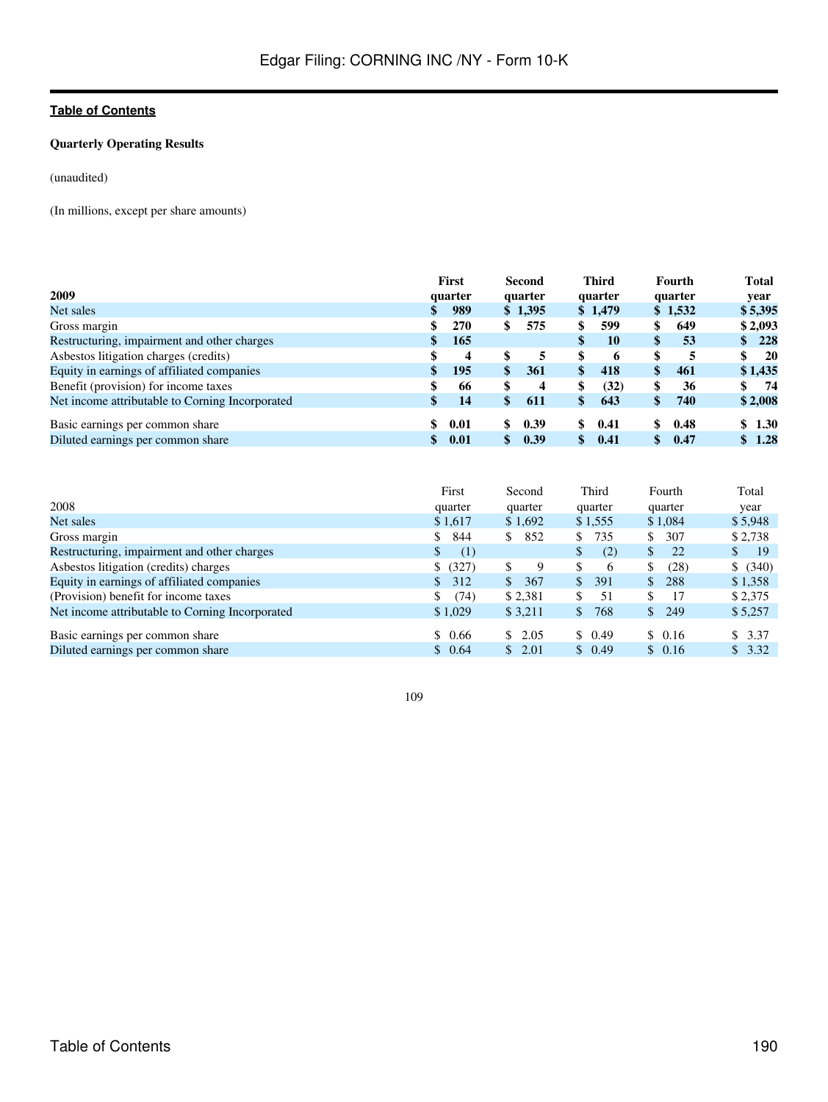# **Quarterly Operating Results**

### (unaudited)

(In millions, except per share amounts)

|    |      |                  |      |                              |      |                                    |      | <b>Total</b>                 |
|----|------|------------------|------|------------------------------|------|------------------------------------|------|------------------------------|
|    |      |                  |      |                              |      |                                    |      | year                         |
| \$ | 989  |                  |      |                              |      |                                    |      | \$5,395                      |
| \$ | 270  | \$               | 575  | \$                           | 599  | \$                                 | 649  | \$2,093                      |
|    | 165  |                  |      | \$                           | 10   | \$                                 | 53   | 228<br>\$                    |
|    | 4    | \$               | 5    | \$                           | 6    | \$                                 | 5    | <b>20</b><br>\$              |
| \$ | 195  | \$               | 361  | \$                           | 418  | \$                                 | 461  | \$1,435                      |
| æ  | -66  | S                | 4    | \$                           | (32) | \$                                 | 36   | \$<br>- 74                   |
|    | 14   | \$.              | 611  | \$                           | 643  | \$                                 | 740  | \$2,008                      |
| \$ | 0.01 | \$               | 0.39 | \$                           | 0.41 | \$                                 | 0.48 | 1.30<br>\$.                  |
|    | 0.01 | \$               | 0.39 | \$                           | 0.41 | \$.                                | 0.47 | \$1.28                       |
|    |      | First<br>quarter |      | Second<br>quarter<br>\$1,395 |      | <b>Third</b><br>quarter<br>\$1,479 |      | Fourth<br>quarter<br>\$1,532 |

|                                                 | First       | Second    | Third     | Fourth                | Total     |
|-------------------------------------------------|-------------|-----------|-----------|-----------------------|-----------|
| 2008                                            | quarter     | quarter   | quarter   | quarter               | year      |
| Net sales                                       | \$1,617     | \$1,692   | \$1,555   | \$1,084               | \$5,948   |
| Gross margin                                    | 844<br>S.   | 852<br>\$ | 735<br>S. | 307<br>\$             | \$2,738   |
| Restructuring, impairment and other charges     | S.<br>(1)   |           | (2)<br>\$ | -22<br><sup>\$</sup>  | -19<br>\$ |
| Asbestos litigation (credits) charges           | \$ (327)    | 9         | \$<br>6   | \$.<br>(28)           | \$ (340)  |
| Equity in earnings of affiliated companies      | \$312       | 367<br>S. | \$<br>391 | $\mathbb{S}$<br>- 288 | \$1,358   |
| (Provision) benefit for income taxes            | \$.<br>(74) | \$2.381   | \$<br>-51 | S.<br>-17             | \$2,375   |
| Net income attributable to Corning Incorporated | \$1.029     | \$3,211   | \$<br>768 | $\frac{1}{249}$       | \$5,257   |
| Basic earnings per common share                 | \$0.66      | \$2.05    | \$0.49    | \$0.16                | \$3.37    |
| Diluted earnings per common share               | \$0.64      | \$2.01    | \$0.49    | \$0.16                | \$3.32    |
|                                                 |             |           |           |                       |           |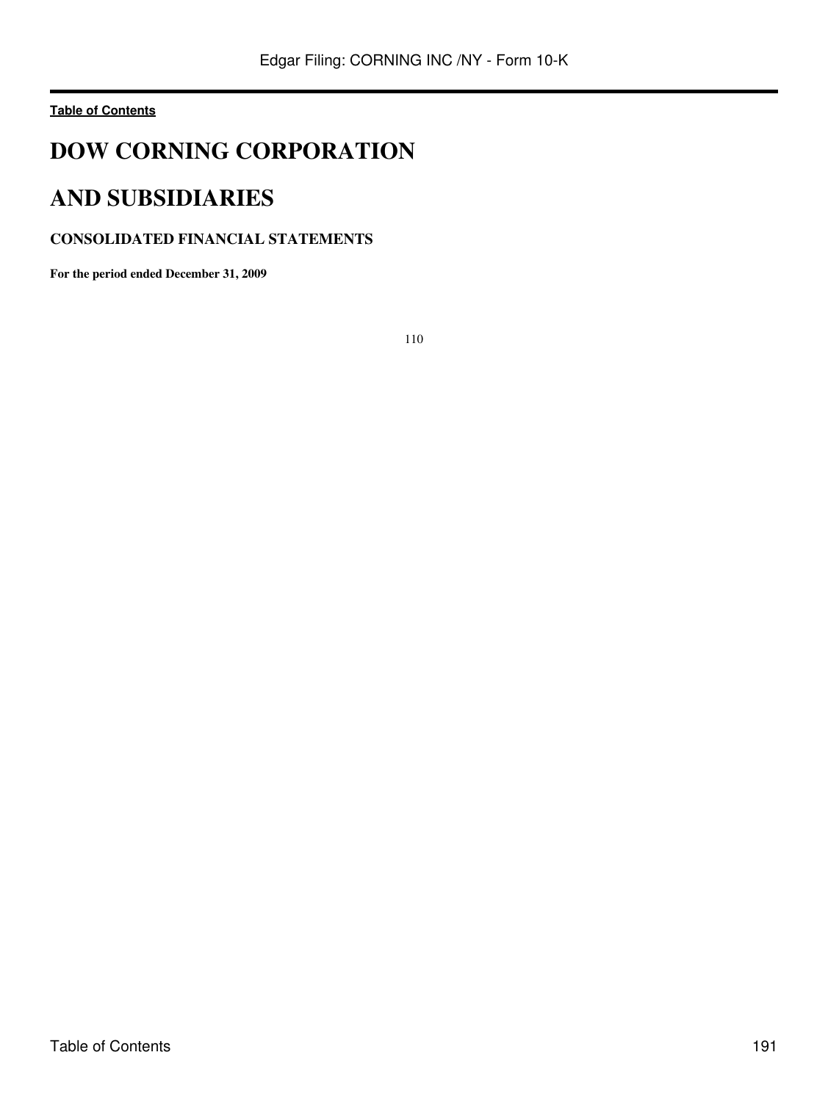# **DOW CORNING CORPORATION**

# **AND SUBSIDIARIES**

# **CONSOLIDATED FINANCIAL STATEMENTS**

**For the period ended December 31, 2009**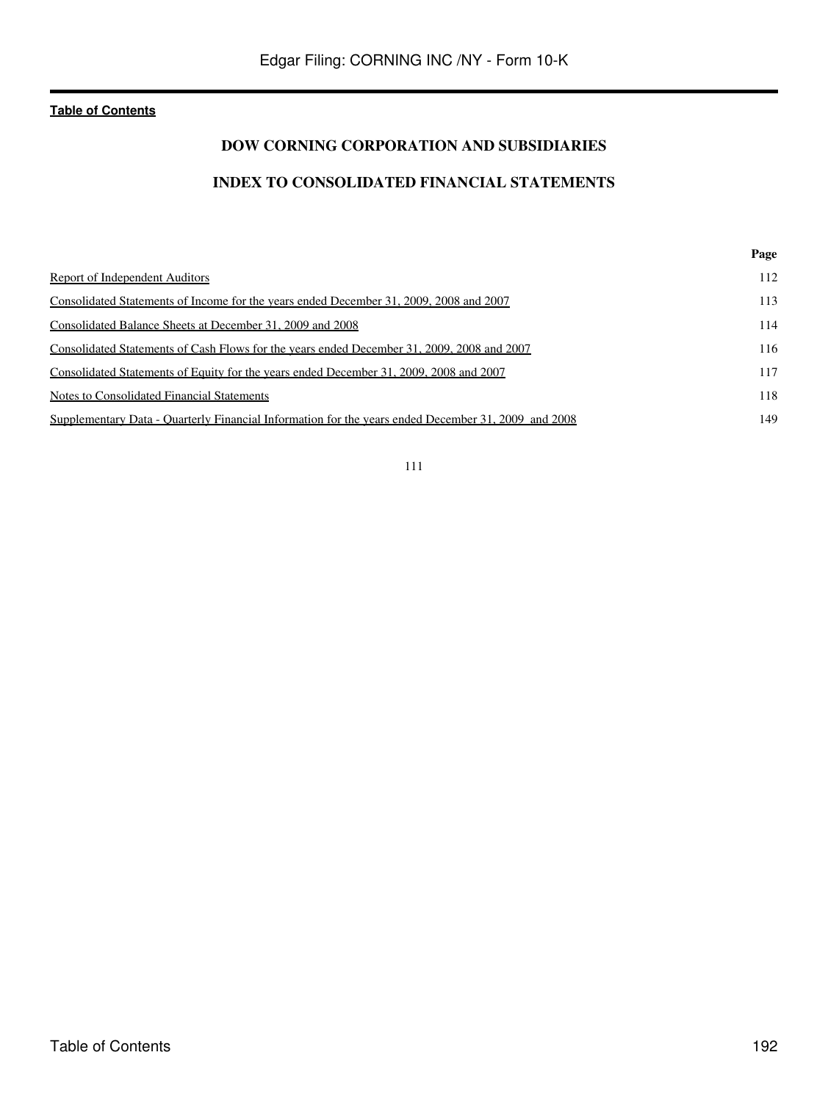# **DOW CORNING CORPORATION AND SUBSIDIARIES**

# **INDEX TO CONSOLIDATED FINANCIAL STATEMENTS**

|                                                                                                     | Page |
|-----------------------------------------------------------------------------------------------------|------|
| Report of Independent Auditors                                                                      | 112  |
| Consolidated Statements of Income for the years ended December 31, 2009, 2008 and 2007              | 113  |
| Consolidated Balance Sheets at December 31, 2009 and 2008                                           | 114  |
| Consolidated Statements of Cash Flows for the years ended December 31, 2009, 2008 and 2007          | 116  |
| Consolidated Statements of Equity for the years ended December 31, 2009, 2008 and 2007              | 117  |
| Notes to Consolidated Financial Statements                                                          | 118  |
| Supplementary Data - Quarterly Financial Information for the years ended December 31, 2009 and 2008 | 149  |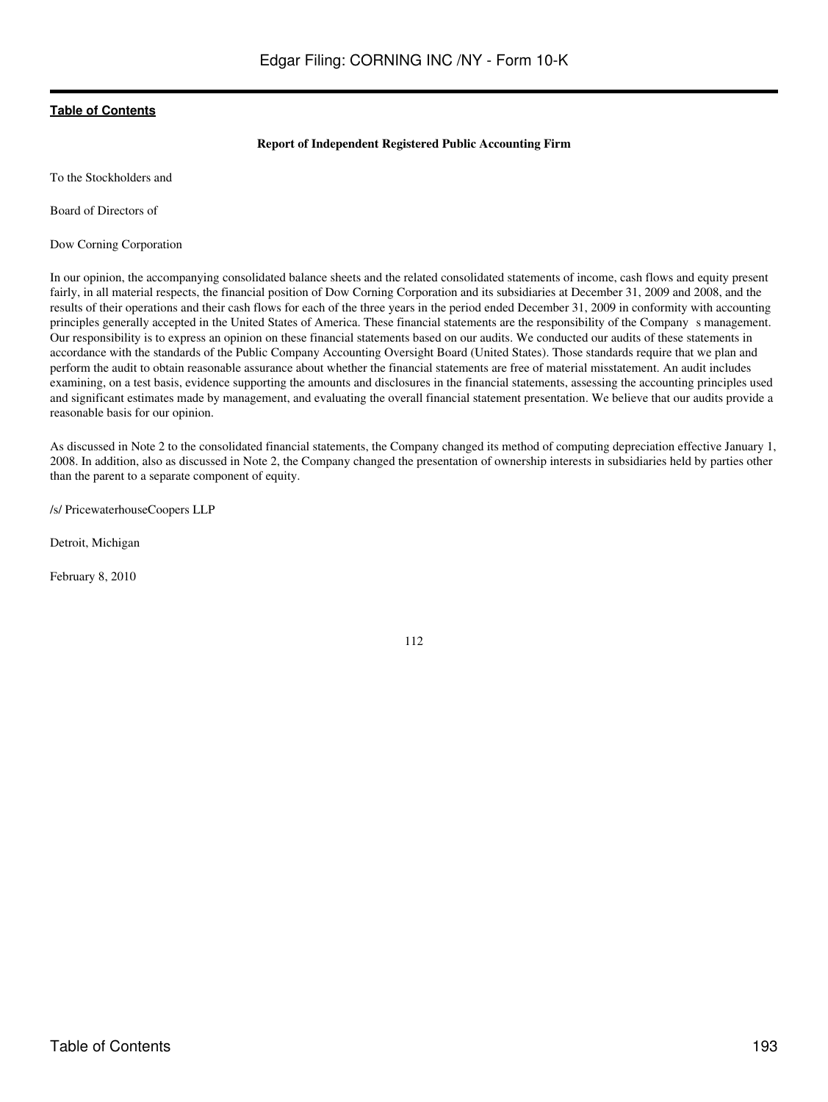#### **Report of Independent Registered Public Accounting Firm**

<span id="page-192-0"></span>To the Stockholders and

Board of Directors of

Dow Corning Corporation

In our opinion, the accompanying consolidated balance sheets and the related consolidated statements of income, cash flows and equity present fairly, in all material respects, the financial position of Dow Corning Corporation and its subsidiaries at December 31, 2009 and 2008, and the results of their operations and their cash flows for each of the three years in the period ended December 31, 2009 in conformity with accounting principles generally accepted in the United States of America. These financial statements are the responsibility of the Companys management. Our responsibility is to express an opinion on these financial statements based on our audits. We conducted our audits of these statements in accordance with the standards of the Public Company Accounting Oversight Board (United States). Those standards require that we plan and perform the audit to obtain reasonable assurance about whether the financial statements are free of material misstatement. An audit includes examining, on a test basis, evidence supporting the amounts and disclosures in the financial statements, assessing the accounting principles used and significant estimates made by management, and evaluating the overall financial statement presentation. We believe that our audits provide a reasonable basis for our opinion.

As discussed in Note 2 to the consolidated financial statements, the Company changed its method of computing depreciation effective January 1, 2008. In addition, also as discussed in Note 2, the Company changed the presentation of ownership interests in subsidiaries held by parties other than the parent to a separate component of equity.

/s/ PricewaterhouseCoopers LLP

Detroit, Michigan

February 8, 2010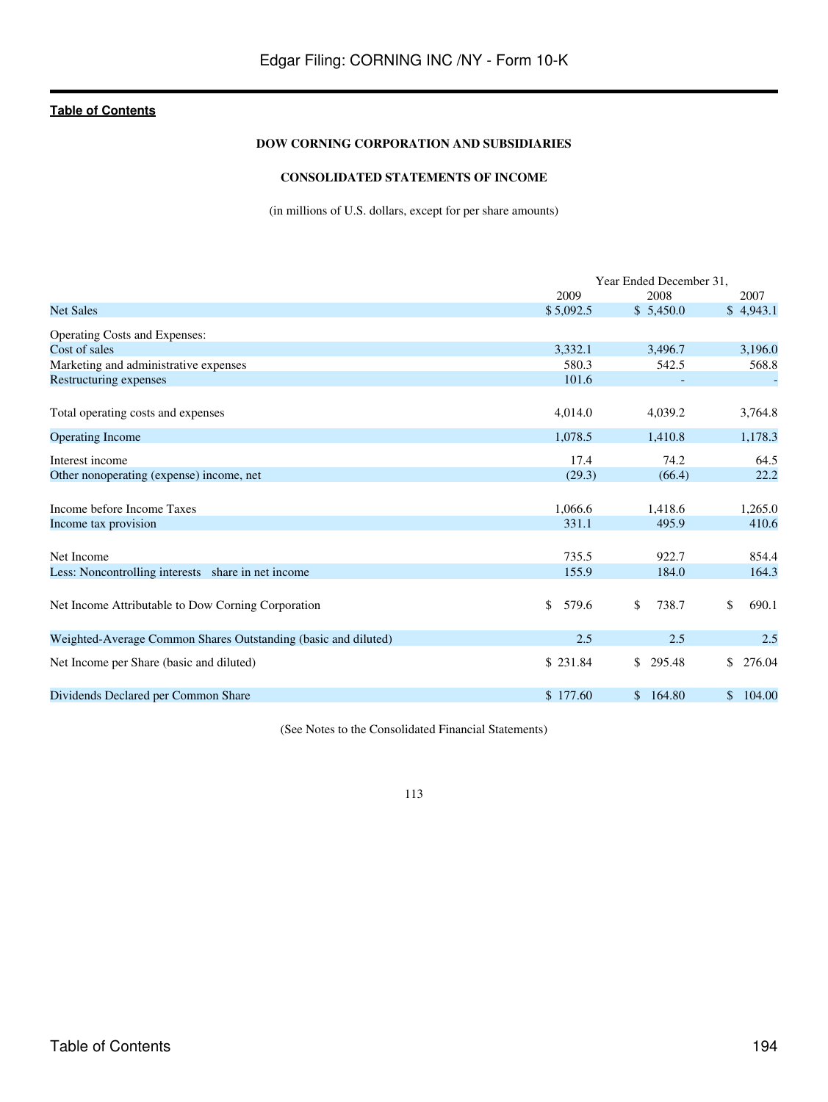### **DOW CORNING CORPORATION AND SUBSIDIARIES**

## **CONSOLIDATED STATEMENTS OF INCOME**

(in millions of U.S. dollars, except for per share amounts)

<span id="page-193-0"></span>

|                                                                  | Year Ended December 31, |                  |                  |  |  |
|------------------------------------------------------------------|-------------------------|------------------|------------------|--|--|
|                                                                  | 2009                    | 2008             | 2007             |  |  |
| <b>Net Sales</b>                                                 | \$5,092.5               | \$5,450.0        | \$4,943.1        |  |  |
| Operating Costs and Expenses:                                    |                         |                  |                  |  |  |
| Cost of sales                                                    | 3,332.1                 | 3,496.7          | 3,196.0          |  |  |
| Marketing and administrative expenses                            | 580.3                   | 542.5            | 568.8            |  |  |
| Restructuring expenses                                           | 101.6                   |                  |                  |  |  |
| Total operating costs and expenses                               | 4,014.0                 | 4,039.2          | 3,764.8          |  |  |
| <b>Operating Income</b>                                          | 1,078.5                 | 1,410.8          | 1,178.3          |  |  |
| Interest income                                                  | 17.4                    | 74.2             | 64.5             |  |  |
| Other nonoperating (expense) income, net                         | (29.3)                  | (66.4)           | 22.2             |  |  |
| Income before Income Taxes<br>Income tax provision               | 1,066.6<br>331.1        | 1,418.6<br>495.9 | 1,265.0<br>410.6 |  |  |
| Net Income<br>Less: Noncontrolling interests share in net income | 735.5<br>155.9          | 922.7<br>184.0   | 854.4<br>164.3   |  |  |
| Net Income Attributable to Dow Corning Corporation               | 579.6<br>\$             | \$<br>738.7      | \$<br>690.1      |  |  |
| Weighted-Average Common Shares Outstanding (basic and diluted)   | 2.5                     | 2.5              | 2.5              |  |  |
| Net Income per Share (basic and diluted)                         | \$231.84                | 295.48<br>\$     | \$<br>276.04     |  |  |
| Dividends Declared per Common Share                              | \$177.60                | \$164.80         | 104.00<br>\$     |  |  |

(See Notes to the Consolidated Financial Statements)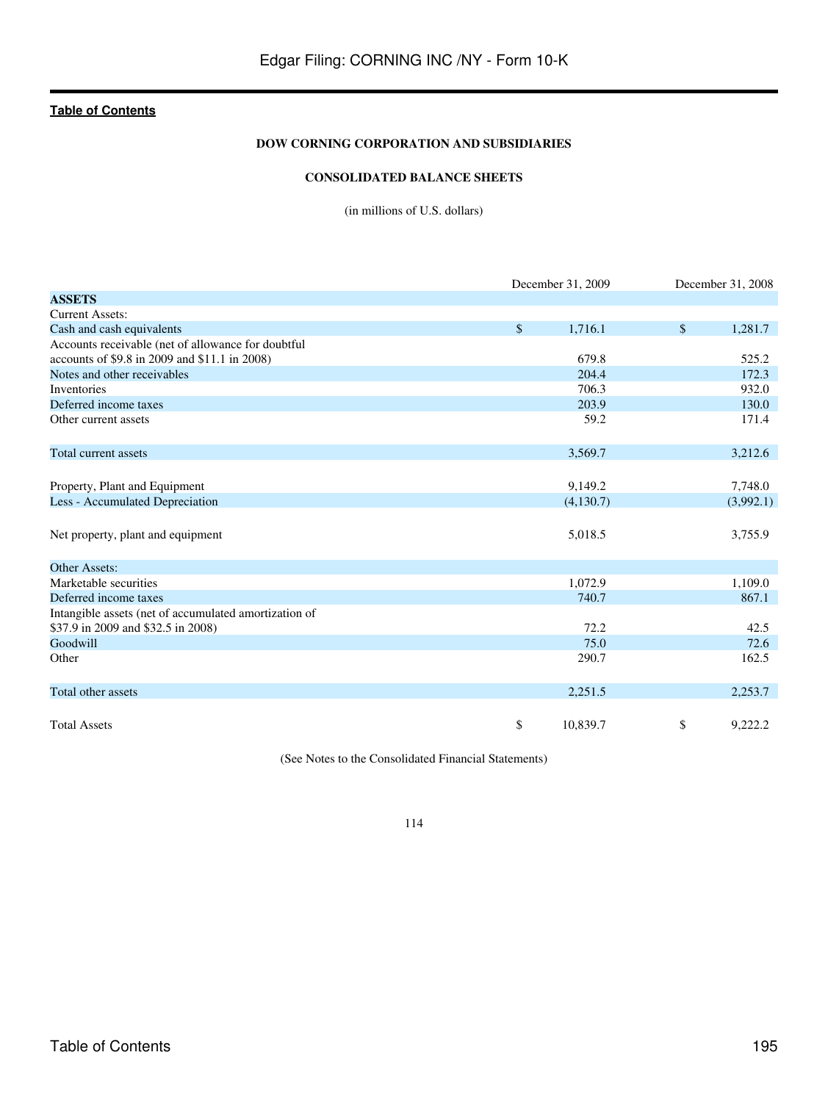# **DOW CORNING CORPORATION AND SUBSIDIARIES**

# **CONSOLIDATED BALANCE SHEETS**

(in millions of U.S. dollars)

<span id="page-194-0"></span>

|                                                       | December 31, 2009 | December 31, 2008       |
|-------------------------------------------------------|-------------------|-------------------------|
| <b>ASSETS</b>                                         |                   |                         |
| <b>Current Assets:</b>                                |                   |                         |
| Cash and cash equivalents                             | \$<br>1,716.1     | $\mathbb{S}$<br>1,281.7 |
| Accounts receivable (net of allowance for doubtful    |                   |                         |
| accounts of \$9.8 in 2009 and \$11.1 in 2008)         | 679.8             | 525.2                   |
| Notes and other receivables                           | 204.4             | 172.3                   |
| Inventories                                           | 706.3             | 932.0                   |
| Deferred income taxes                                 | 203.9             | 130.0                   |
| Other current assets                                  | 59.2              | 171.4                   |
| Total current assets                                  | 3,569.7           | 3,212.6                 |
|                                                       |                   |                         |
| Property, Plant and Equipment                         | 9,149.2           | 7,748.0                 |
| Less - Accumulated Depreciation                       | (4,130.7)         | (3,992.1)               |
| Net property, plant and equipment                     | 5,018.5           | 3,755.9                 |
| Other Assets:                                         |                   |                         |
| Marketable securities                                 | 1,072.9           | 1,109.0                 |
| Deferred income taxes                                 | 740.7             | 867.1                   |
| Intangible assets (net of accumulated amortization of |                   |                         |
| \$37.9 in 2009 and \$32.5 in 2008)                    | 72.2              | 42.5                    |
| Goodwill                                              | 75.0              | 72.6                    |
| Other                                                 | 290.7             | 162.5                   |
| Total other assets                                    | 2,251.5           | 2,253.7                 |
|                                                       |                   |                         |
| <b>Total Assets</b>                                   | \$<br>10,839.7    | \$<br>9,222.2           |

(See Notes to the Consolidated Financial Statements)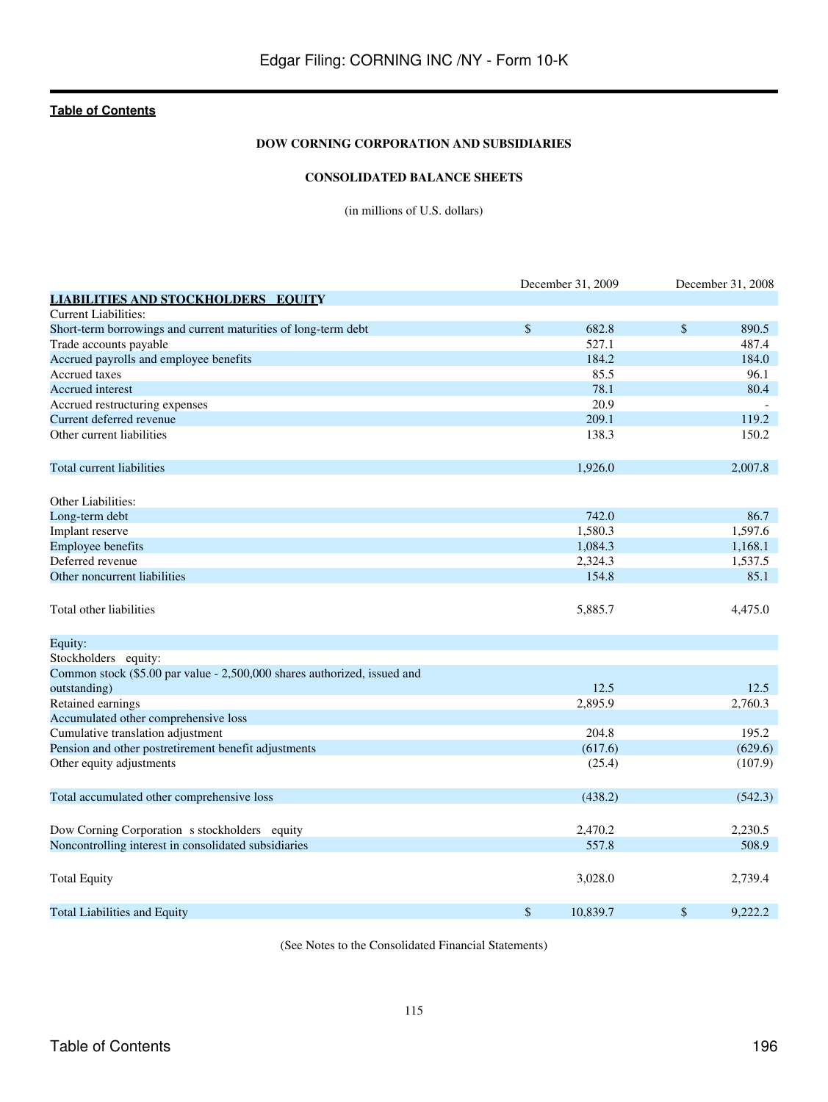# **DOW CORNING CORPORATION AND SUBSIDIARIES**

# **CONSOLIDATED BALANCE SHEETS**

(in millions of U.S. dollars)

|                                                                          | December 31, 2009 |    | December 31, 2008 |  |
|--------------------------------------------------------------------------|-------------------|----|-------------------|--|
| <b>LIABILITIES AND STOCKHOLDERS EQUITY</b>                               |                   |    |                   |  |
| <b>Current Liabilities:</b>                                              |                   |    |                   |  |
| Short-term borrowings and current maturities of long-term debt           | \$<br>682.8       | \$ | 890.5             |  |
| Trade accounts payable                                                   | 527.1             |    | 487.4             |  |
| Accrued payrolls and employee benefits                                   | 184.2             |    | 184.0             |  |
| <b>Accrued</b> taxes                                                     | 85.5              |    | 96.1              |  |
| Accrued interest                                                         | 78.1              |    | 80.4              |  |
| Accrued restructuring expenses                                           | 20.9              |    |                   |  |
| Current deferred revenue                                                 | 209.1             |    | 119.2             |  |
| Other current liabilities                                                | 138.3             |    | 150.2             |  |
| Total current liabilities                                                | 1,926.0           |    | 2,007.8           |  |
| Other Liabilities:                                                       |                   |    |                   |  |
| Long-term debt                                                           | 742.0             |    | 86.7              |  |
| Implant reserve                                                          | 1,580.3           |    | 1,597.6           |  |
| <b>Employee benefits</b>                                                 | 1,084.3           |    | 1,168.1           |  |
| Deferred revenue                                                         | 2,324.3           |    | 1,537.5           |  |
| Other noncurrent liabilities                                             | 154.8             |    | 85.1              |  |
| Total other liabilities                                                  | 5,885.7           |    | 4,475.0           |  |
| Equity:                                                                  |                   |    |                   |  |
| Stockholders equity:                                                     |                   |    |                   |  |
| Common stock (\$5.00 par value - 2,500,000 shares authorized, issued and |                   |    |                   |  |
| outstanding)                                                             | 12.5              |    | 12.5              |  |
| Retained earnings                                                        | 2,895.9           |    | 2,760.3           |  |
| Accumulated other comprehensive loss                                     |                   |    |                   |  |
| Cumulative translation adjustment                                        | 204.8             |    | 195.2             |  |
| Pension and other postretirement benefit adjustments                     | (617.6)           |    | (629.6)           |  |
| Other equity adjustments                                                 | (25.4)            |    | (107.9)           |  |
| Total accumulated other comprehensive loss                               | (438.2)           |    | (542.3)           |  |
| Dow Corning Corporation s stockholders equity                            | 2,470.2           |    | 2,230.5           |  |
| Noncontrolling interest in consolidated subsidiaries                     | 557.8             |    | 508.9             |  |
|                                                                          |                   |    |                   |  |
| <b>Total Equity</b>                                                      | 3,028.0           |    | 2,739.4           |  |
| <b>Total Liabilities and Equity</b>                                      | \$<br>10,839.7    | \$ | 9,222.2           |  |

(See Notes to the Consolidated Financial Statements)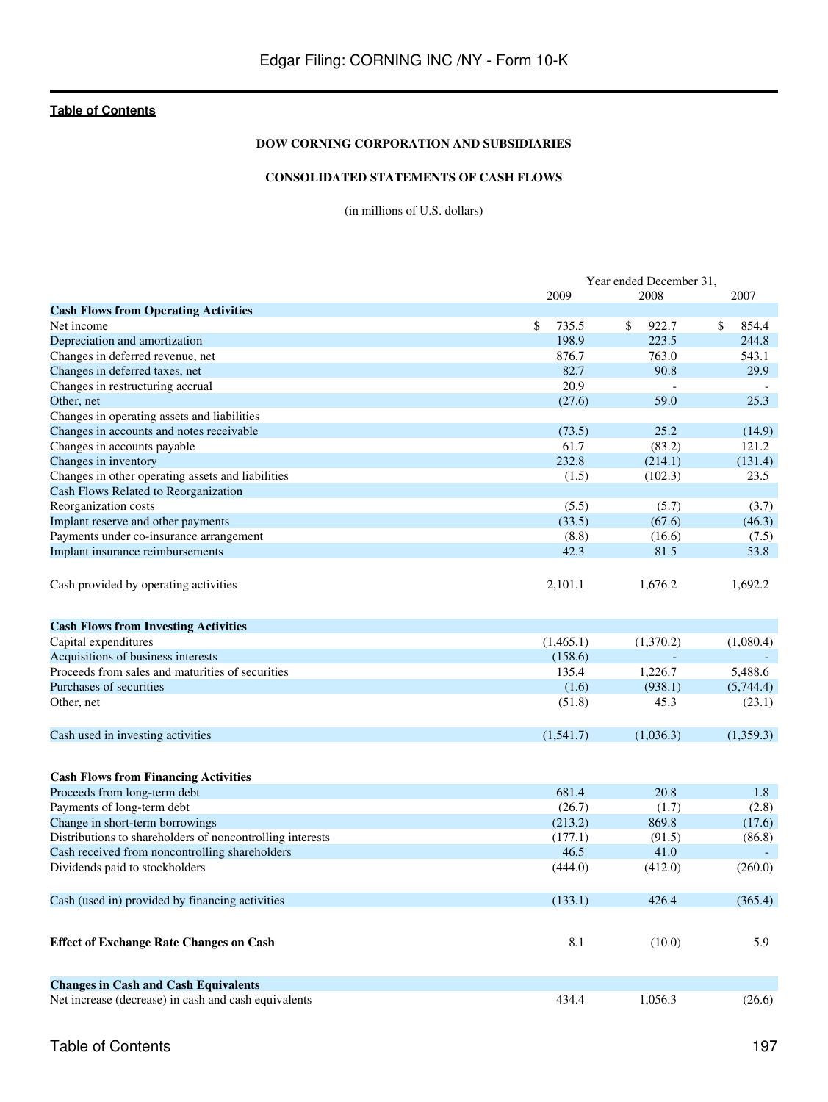# **DOW CORNING CORPORATION AND SUBSIDIARIES**

# **CONSOLIDATED STATEMENTS OF CASH FLOWS**

(in millions of U.S. dollars)

<span id="page-196-0"></span>

|                                                           |             | Year ended December 31, |             |  |  |  |
|-----------------------------------------------------------|-------------|-------------------------|-------------|--|--|--|
|                                                           | 2009        | 2008                    | 2007        |  |  |  |
| <b>Cash Flows from Operating Activities</b>               |             |                         |             |  |  |  |
| Net income                                                | \$<br>735.5 | \$<br>922.7             | \$<br>854.4 |  |  |  |
| Depreciation and amortization                             | 198.9       | 223.5                   | 244.8       |  |  |  |
| Changes in deferred revenue, net                          | 876.7       | 763.0                   | 543.1       |  |  |  |
| Changes in deferred taxes, net                            | 82.7        | 90.8                    | 29.9        |  |  |  |
| Changes in restructuring accrual                          | 20.9        |                         |             |  |  |  |
| Other, net                                                | (27.6)      | 59.0                    | 25.3        |  |  |  |
| Changes in operating assets and liabilities               |             |                         |             |  |  |  |
| Changes in accounts and notes receivable                  | (73.5)      | 25.2                    | (14.9)      |  |  |  |
| Changes in accounts payable                               | 61.7        | (83.2)                  | 121.2       |  |  |  |
| Changes in inventory                                      | 232.8       | (214.1)                 | (131.4)     |  |  |  |
| Changes in other operating assets and liabilities         | (1.5)       | (102.3)                 | 23.5        |  |  |  |
| Cash Flows Related to Reorganization                      |             |                         |             |  |  |  |
| Reorganization costs                                      | (5.5)       | (5.7)                   | (3.7)       |  |  |  |
| Implant reserve and other payments                        | (33.5)      | (67.6)                  | (46.3)      |  |  |  |
| Payments under co-insurance arrangement                   | (8.8)       | (16.6)                  | (7.5)       |  |  |  |
| Implant insurance reimbursements                          | 42.3        | 81.5                    | 53.8        |  |  |  |
|                                                           |             |                         |             |  |  |  |
| Cash provided by operating activities                     | 2,101.1     | 1,676.2                 | 1,692.2     |  |  |  |
| <b>Cash Flows from Investing Activities</b>               |             |                         |             |  |  |  |
| Capital expenditures                                      | (1,465.1)   | (1,370.2)               | (1,080.4)   |  |  |  |
| Acquisitions of business interests                        | (158.6)     |                         |             |  |  |  |
| Proceeds from sales and maturities of securities          | 135.4       | 1,226.7                 | 5,488.6     |  |  |  |
| Purchases of securities                                   | (1.6)       | (938.1)                 | (5,744.4)   |  |  |  |
| Other, net                                                | (51.8)      | 45.3                    | (23.1)      |  |  |  |
| Cash used in investing activities                         | (1, 541.7)  | (1,036.3)               | (1,359.3)   |  |  |  |
| <b>Cash Flows from Financing Activities</b>               |             |                         |             |  |  |  |
| Proceeds from long-term debt                              | 681.4       | 20.8                    | 1.8         |  |  |  |
| Payments of long-term debt                                | (26.7)      | (1.7)                   | (2.8)       |  |  |  |
| Change in short-term borrowings                           | (213.2)     | 869.8                   | (17.6)      |  |  |  |
| Distributions to shareholders of noncontrolling interests | (177.1)     | (91.5)                  | (86.8)      |  |  |  |
| Cash received from noncontrolling shareholders            | 46.5        | 41.0                    |             |  |  |  |
| Dividends paid to stockholders                            | (444.0)     | (412.0)                 | (260.0)     |  |  |  |
| Cash (used in) provided by financing activities           | (133.1)     | 426.4                   | (365.4)     |  |  |  |
| <b>Effect of Exchange Rate Changes on Cash</b>            | 8.1         | (10.0)                  | 5.9         |  |  |  |
| <b>Changes in Cash and Cash Equivalents</b>               |             |                         |             |  |  |  |
| Net increase (decrease) in cash and cash equivalents      | 434.4       | 1,056.3                 | (26.6)      |  |  |  |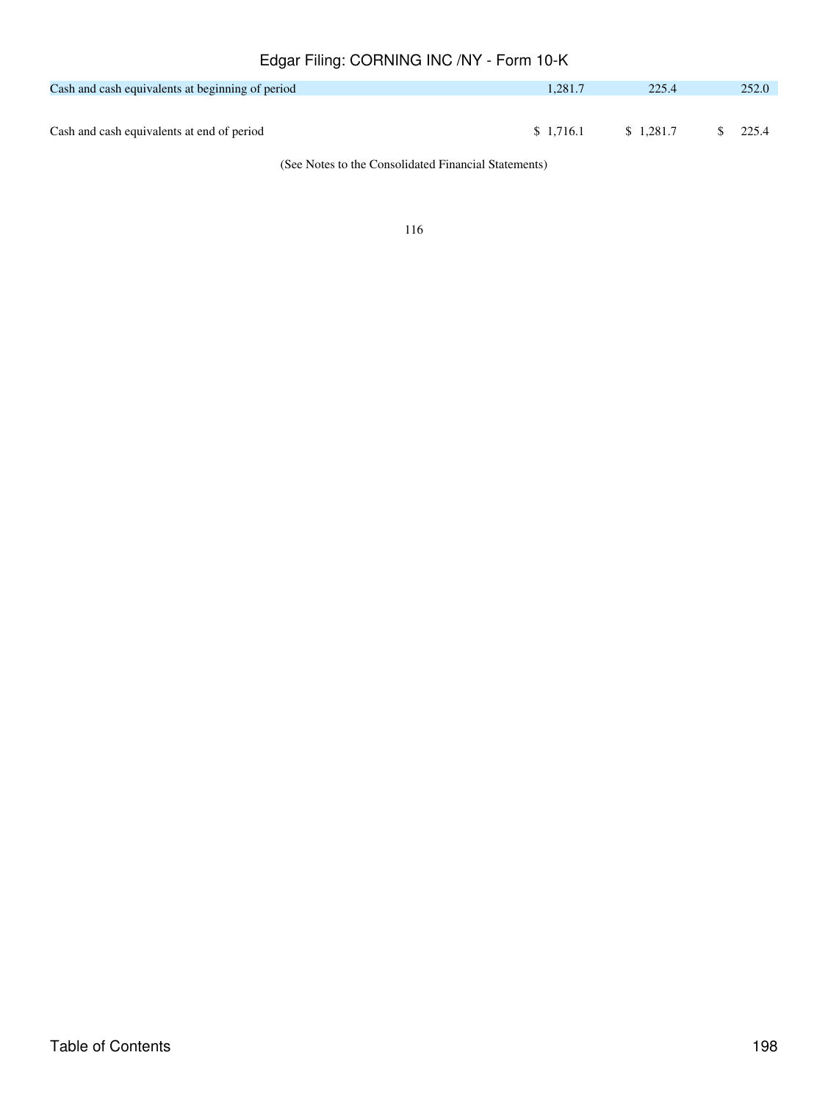| Edgar Filing: CORNING INC /NY - Form 10-K |  |
|-------------------------------------------|--|
|                                           |  |

| Cash and cash equivalents at beginning of period | 1.281.7   | 225.4     | 252.0 |
|--------------------------------------------------|-----------|-----------|-------|
|                                                  |           |           |       |
| Cash and cash equivalents at end of period       | \$1.716.1 | \$1.281.7 | 225.4 |

(See Notes to the Consolidated Financial Statements)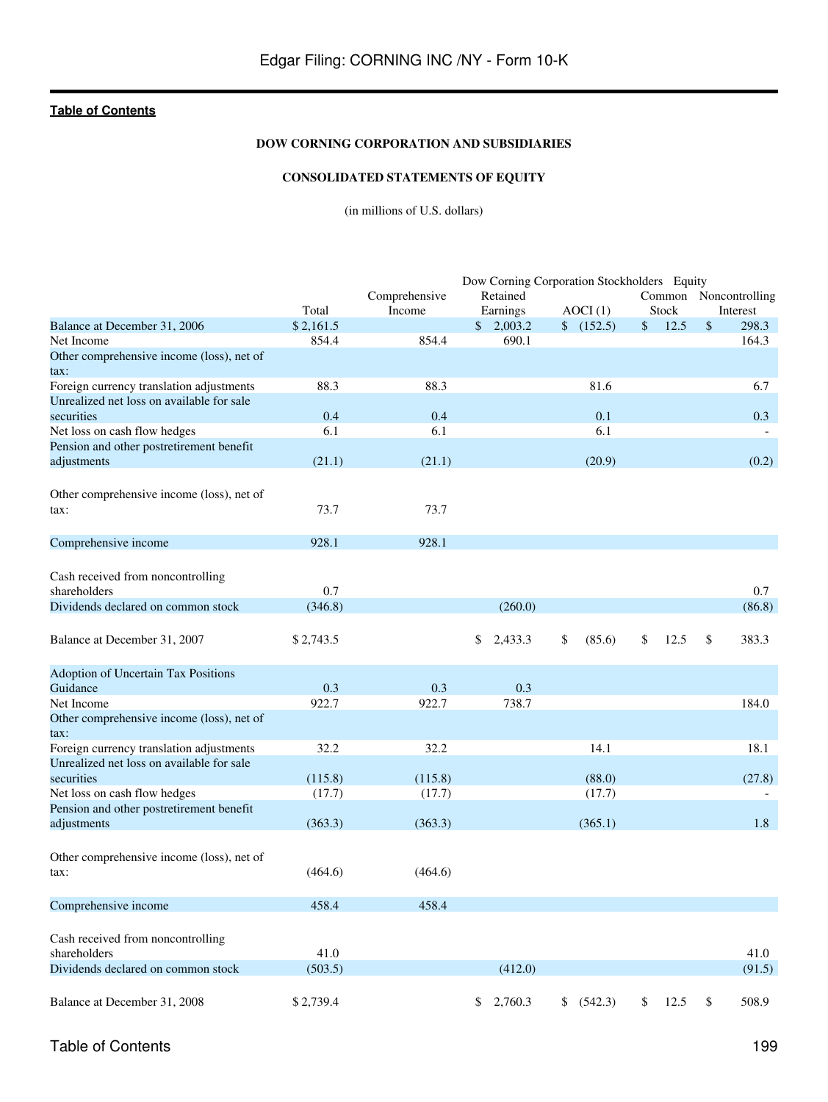# **DOW CORNING CORPORATION AND SUBSIDIARIES**

# **CONSOLIDATED STATEMENTS OF EQUITY**

(in millions of U.S. dollars)

<span id="page-198-0"></span>

|                                           |           |               |               | Dow Corning Corporation Stockholders Equity |                      |                       |
|-------------------------------------------|-----------|---------------|---------------|---------------------------------------------|----------------------|-----------------------|
|                                           |           | Comprehensive | Retained      |                                             |                      | Common Noncontrolling |
|                                           | Total     | Income        | Earnings      | AOCI(1)                                     | Stock                | Interest              |
| Balance at December 31, 2006              | \$2,161.5 |               | \$2,003.2     | \$ (152.5)                                  | $\mathbb{S}$<br>12.5 | \$<br>298.3           |
| Net Income                                | 854.4     | 854.4         | 690.1         |                                             |                      | 164.3                 |
| Other comprehensive income (loss), net of |           |               |               |                                             |                      |                       |
| tax:                                      |           |               |               |                                             |                      |                       |
| Foreign currency translation adjustments  | 88.3      | 88.3          |               | 81.6                                        |                      | 6.7                   |
| Unrealized net loss on available for sale |           |               |               |                                             |                      |                       |
| securities                                | 0.4       | 0.4           |               | 0.1                                         |                      | 0.3                   |
| Net loss on cash flow hedges              | 6.1       | 6.1           |               | 6.1                                         |                      |                       |
| Pension and other postretirement benefit  |           |               |               |                                             |                      |                       |
| adjustments                               | (21.1)    | (21.1)        |               | (20.9)                                      |                      | (0.2)                 |
|                                           |           |               |               |                                             |                      |                       |
| Other comprehensive income (loss), net of |           |               |               |                                             |                      |                       |
| tax:                                      | 73.7      | 73.7          |               |                                             |                      |                       |
|                                           |           |               |               |                                             |                      |                       |
|                                           |           |               |               |                                             |                      |                       |
| Comprehensive income                      | 928.1     | 928.1         |               |                                             |                      |                       |
|                                           |           |               |               |                                             |                      |                       |
| Cash received from noncontrolling         |           |               |               |                                             |                      |                       |
| shareholders                              | 0.7       |               |               |                                             |                      | 0.7                   |
| Dividends declared on common stock        | (346.8)   |               | (260.0)       |                                             |                      | (86.8)                |
|                                           |           |               |               |                                             |                      |                       |
| Balance at December 31, 2007              | \$2,743.5 |               | \$<br>2,433.3 | \$<br>(85.6)                                | \$<br>12.5           | \$<br>383.3           |
|                                           |           |               |               |                                             |                      |                       |
| Adoption of Uncertain Tax Positions       |           |               |               |                                             |                      |                       |
| Guidance                                  | 0.3       | 0.3           | 0.3           |                                             |                      |                       |
| Net Income                                | 922.7     | 922.7         | 738.7         |                                             |                      | 184.0                 |
| Other comprehensive income (loss), net of |           |               |               |                                             |                      |                       |
| tax:                                      |           |               |               |                                             |                      |                       |
| Foreign currency translation adjustments  | 32.2      | 32.2          |               | 14.1                                        |                      | 18.1                  |
| Unrealized net loss on available for sale |           |               |               |                                             |                      |                       |
| securities                                | (115.8)   | (115.8)       |               | (88.0)                                      |                      | (27.8)                |
| Net loss on cash flow hedges              | (17.7)    | (17.7)        |               | (17.7)                                      |                      |                       |
| Pension and other postretirement benefit  |           |               |               |                                             |                      |                       |
| adjustments                               | (363.3)   | (363.3)       |               | (365.1)                                     |                      | 1.8                   |
|                                           |           |               |               |                                             |                      |                       |
| Other comprehensive income (loss), net of |           |               |               |                                             |                      |                       |
| tax:                                      | (464.6)   | (464.6)       |               |                                             |                      |                       |
|                                           |           |               |               |                                             |                      |                       |
| Comprehensive income                      | 458.4     | 458.4         |               |                                             |                      |                       |
|                                           |           |               |               |                                             |                      |                       |
|                                           |           |               |               |                                             |                      |                       |
| Cash received from noncontrolling         |           |               |               |                                             |                      |                       |
| shareholders                              | 41.0      |               |               |                                             |                      | 41.0                  |
| Dividends declared on common stock        | (503.5)   |               | (412.0)       |                                             |                      | (91.5)                |
|                                           |           |               |               |                                             |                      |                       |
| Balance at December 31, 2008              | \$2,739.4 |               | 2,760.3<br>\$ | \$ (542.3)                                  | \$<br>12.5           | \$<br>508.9           |
|                                           |           |               |               |                                             |                      |                       |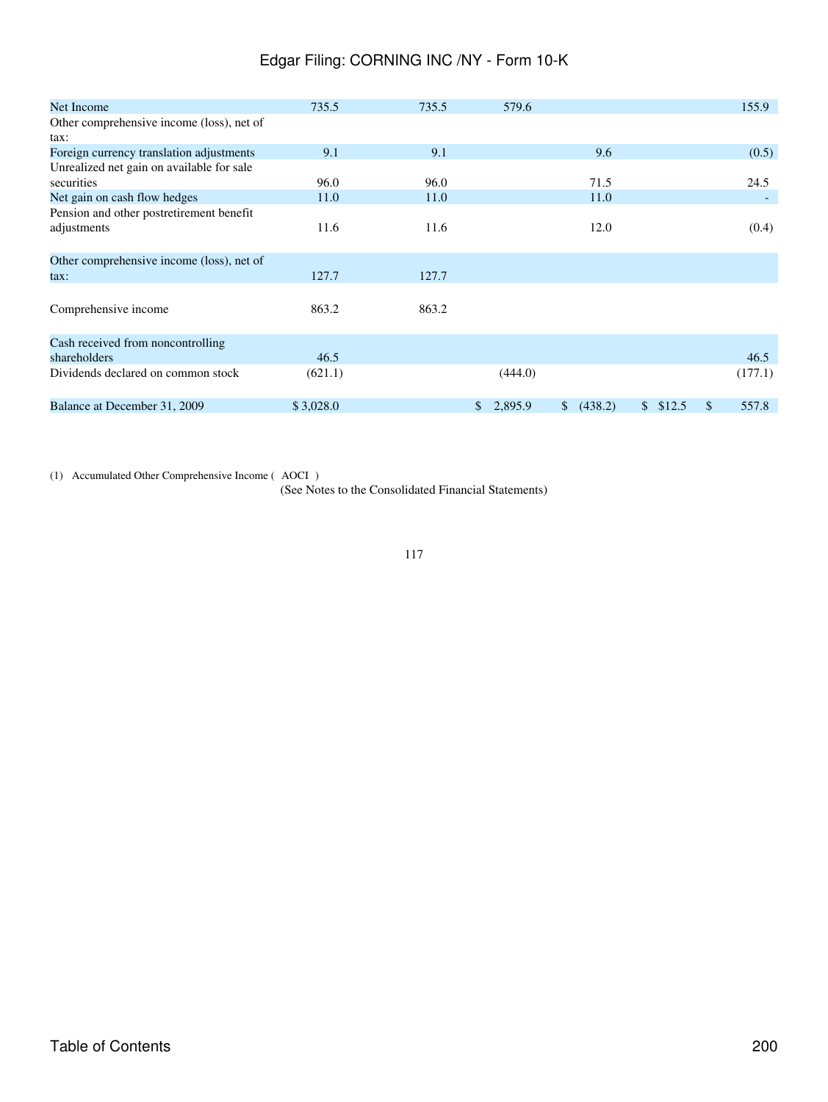| Net Income                                | 735.5     | 735.5 | 579.6                     |                         |        |              | 155.9   |
|-------------------------------------------|-----------|-------|---------------------------|-------------------------|--------|--------------|---------|
| Other comprehensive income (loss), net of |           |       |                           |                         |        |              |         |
| tax:                                      |           |       |                           |                         |        |              |         |
| Foreign currency translation adjustments  | 9.1       | 9.1   |                           | 9.6                     |        |              | (0.5)   |
| Unrealized net gain on available for sale |           |       |                           |                         |        |              |         |
| securities                                | 96.0      | 96.0  |                           | 71.5                    |        |              | 24.5    |
| Net gain on cash flow hedges              | 11.0      | 11.0  |                           | 11.0                    |        |              |         |
| Pension and other postretirement benefit  |           |       |                           |                         |        |              |         |
| adjustments                               | 11.6      | 11.6  |                           | 12.0                    |        |              | (0.4)   |
|                                           |           |       |                           |                         |        |              |         |
| Other comprehensive income (loss), net of |           |       |                           |                         |        |              |         |
| tax:                                      | 127.7     | 127.7 |                           |                         |        |              |         |
|                                           |           |       |                           |                         |        |              |         |
| Comprehensive income                      | 863.2     | 863.2 |                           |                         |        |              |         |
|                                           |           |       |                           |                         |        |              |         |
| Cash received from noncontrolling         |           |       |                           |                         |        |              |         |
| shareholders                              | 46.5      |       |                           |                         |        |              | 46.5    |
|                                           |           |       |                           |                         |        |              |         |
| Dividends declared on common stock        | (621.1)   |       | (444.0)                   |                         |        |              | (177.1) |
|                                           |           |       |                           |                         |        |              |         |
| Balance at December 31, 2009              | \$3,028.0 |       | 2,895.9<br>$\mathbb{S}^-$ | (438.2)<br>$\mathbb{S}$ | \$12.5 | $\mathbb{S}$ | 557.8   |

(1) Accumulated Other Comprehensive Income (AOCI)

(See Notes to the Consolidated Financial Statements)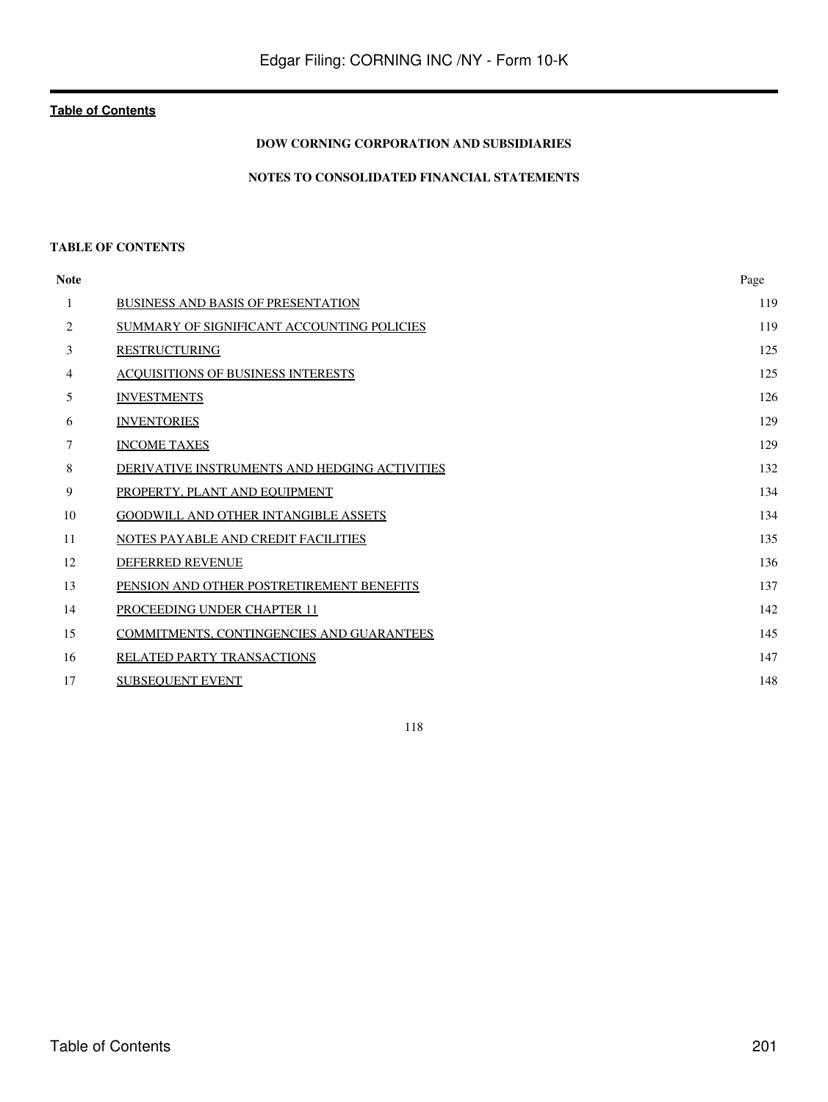# **DOW CORNING CORPORATION AND SUBSIDIARIES**

# **NOTES TO CONSOLIDATED FINANCIAL STATEMENTS**

#### **TABLE OF CONTENTS**

| <b>Note</b> |                                                  | Page |
|-------------|--------------------------------------------------|------|
| 1           | <b>BUSINESS AND BASIS OF PRESENTATION</b>        | 119  |
| 2           | SUMMARY OF SIGNIFICANT ACCOUNTING POLICIES       | 119  |
| 3           | <b>RESTRUCTURING</b>                             | 125  |
| 4           | <b>ACOUISITIONS OF BUSINESS INTERESTS</b>        | 125  |
| 5           | <b>INVESTMENTS</b>                               | 126  |
| 6           | <b>INVENTORIES</b>                               | 129  |
| 7           | <b>INCOME TAXES</b>                              | 129  |
| 8           | DERIVATIVE INSTRUMENTS AND HEDGING ACTIVITIES    | 132  |
| 9           | PROPERTY, PLANT AND EQUIPMENT                    | 134  |
| 10          | <b>GOODWILL AND OTHER INTANGIBLE ASSETS</b>      | 134  |
| 11          | NOTES PAYABLE AND CREDIT FACILITIES              | 135  |
| 12          | DEFERRED REVENUE                                 | 136  |
| 13          | PENSION AND OTHER POSTRETIREMENT BENEFITS        | 137  |
| 14          | PROCEEDING UNDER CHAPTER 11                      | 142  |
| 15          | <b>COMMITMENTS, CONTINGENCIES AND GUARANTEES</b> | 145  |
| 16          | RELATED PARTY TRANSACTIONS                       | 147  |
| 17          | <b>SUBSEQUENT EVENT</b>                          | 148  |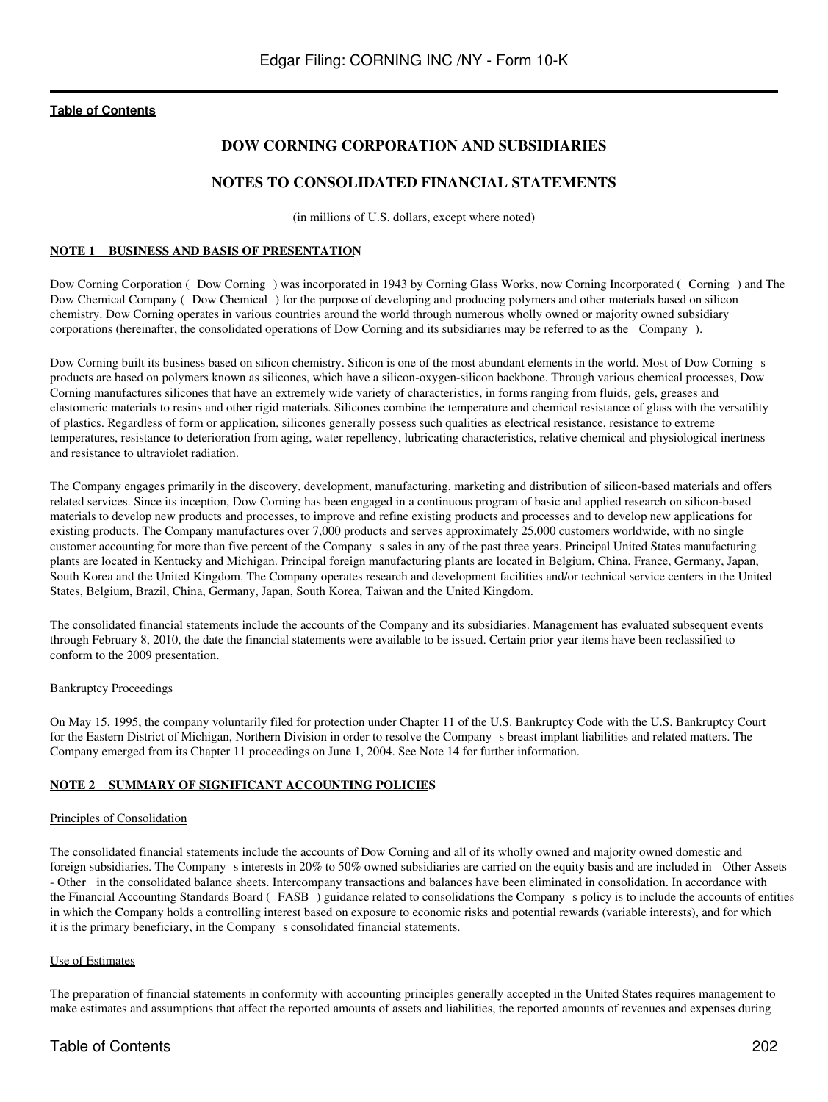# **DOW CORNING CORPORATION AND SUBSIDIARIES**

# **NOTES TO CONSOLIDATED FINANCIAL STATEMENTS**

(in millions of U.S. dollars, except where noted)

#### <span id="page-201-1"></span><span id="page-201-0"></span>**NOTE 1 BUSINESS AND BASIS OF PRESENTATION**

Dow Corning Corporation (Dow Corning) was incorporated in 1943 by Corning Glass Works, now Corning Incorporated (Corning) and The Dow Chemical Company (Dow Chemical) for the purpose of developing and producing polymers and other materials based on silicon chemistry. Dow Corning operates in various countries around the world through numerous wholly owned or majority owned subsidiary corporations (hereinafter, the consolidated operations of Dow Corning and its subsidiaries may be referred to as the Company).

Dow Corning built its business based on silicon chemistry. Silicon is one of the most abundant elements in the world. Most of Dow Corning s products are based on polymers known as silicones, which have a silicon-oxygen-silicon backbone. Through various chemical processes, Dow Corning manufactures silicones that have an extremely wide variety of characteristics, in forms ranging from fluids, gels, greases and elastomeric materials to resins and other rigid materials. Silicones combine the temperature and chemical resistance of glass with the versatility of plastics. Regardless of form or application, silicones generally possess such qualities as electrical resistance, resistance to extreme temperatures, resistance to deterioration from aging, water repellency, lubricating characteristics, relative chemical and physiological inertness and resistance to ultraviolet radiation.

The Company engages primarily in the discovery, development, manufacturing, marketing and distribution of silicon-based materials and offers related services. Since its inception, Dow Corning has been engaged in a continuous program of basic and applied research on silicon-based materials to develop new products and processes, to improve and refine existing products and processes and to develop new applications for existing products. The Company manufactures over 7,000 products and serves approximately 25,000 customers worldwide, with no single customer accounting for more than five percent of the Companys sales in any of the past three years. Principal United States manufacturing plants are located in Kentucky and Michigan. Principal foreign manufacturing plants are located in Belgium, China, France, Germany, Japan, South Korea and the United Kingdom. The Company operates research and development facilities and/or technical service centers in the United States, Belgium, Brazil, China, Germany, Japan, South Korea, Taiwan and the United Kingdom.

The consolidated financial statements include the accounts of the Company and its subsidiaries. Management has evaluated subsequent events through February 8, 2010, the date the financial statements were available to be issued. Certain prior year items have been reclassified to conform to the 2009 presentation.

#### Bankruptcy Proceedings

On May 15, 1995, the company voluntarily filed for protection under Chapter 11 of the U.S. Bankruptcy Code with the U.S. Bankruptcy Court for the Eastern District of Michigan, Northern Division in order to resolve the Company s breast implant liabilities and related matters. The Company emerged from its Chapter 11 proceedings on June 1, 2004. See Note 14 for further information.

#### <span id="page-201-2"></span>**NOTE 2 SUMMARY OF SIGNIFICANT ACCOUNTING POLICIES**

#### Principles of Consolidation

The consolidated financial statements include the accounts of Dow Corning and all of its wholly owned and majority owned domestic and foreign subsidiaries. The Company s interests in 20% to 50% owned subsidiaries are carried on the equity basis and are included in Other Assets - Other in the consolidated balance sheets. Intercompany transactions and balances have been eliminated in consolidation. In accordance with the Financial Accounting Standards Board (FASB) guidance related to consolidations the Companys policy is to include the accounts of entities in which the Company holds a controlling interest based on exposure to economic risks and potential rewards (variable interests), and for which it is the primary beneficiary, in the Company s consolidated financial statements.

#### Use of Estimates

The preparation of financial statements in conformity with accounting principles generally accepted in the United States requires management to make estimates and assumptions that affect the reported amounts of assets and liabilities, the reported amounts of revenues and expenses during

# Table of Contents 202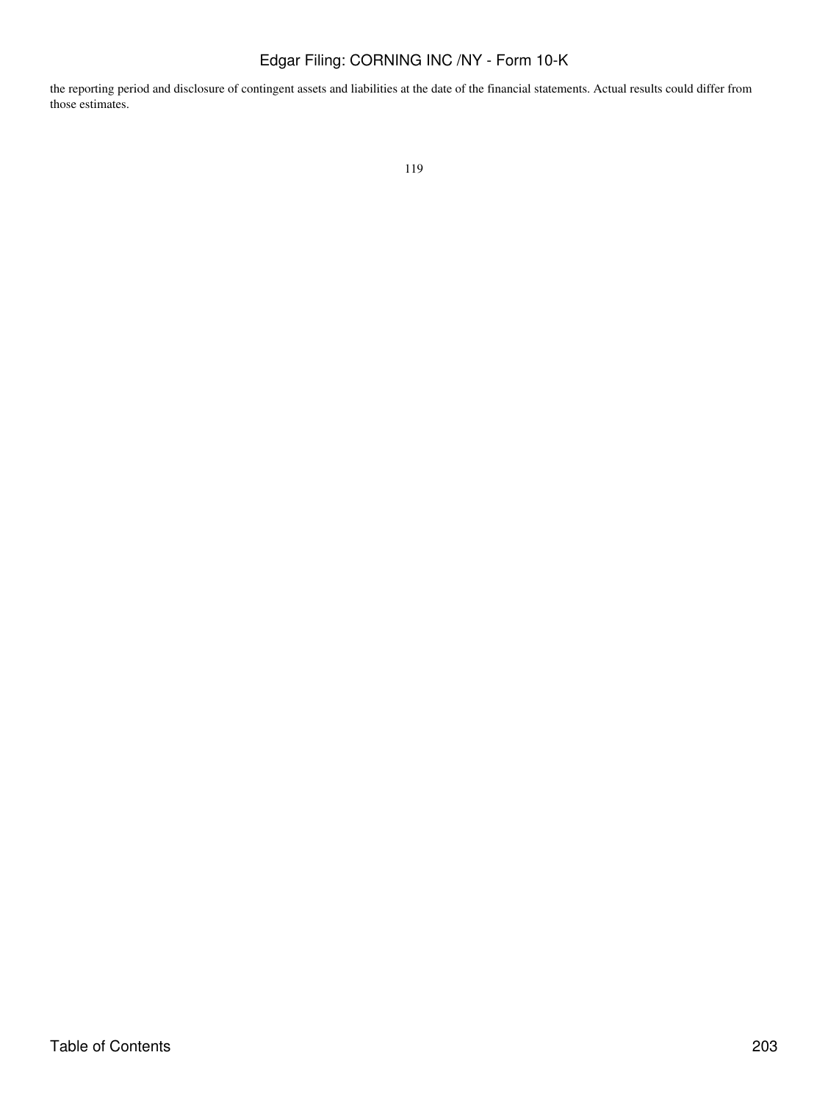the reporting period and disclosure of contingent assets and liabilities at the date of the financial statements. Actual results could differ from those estimates.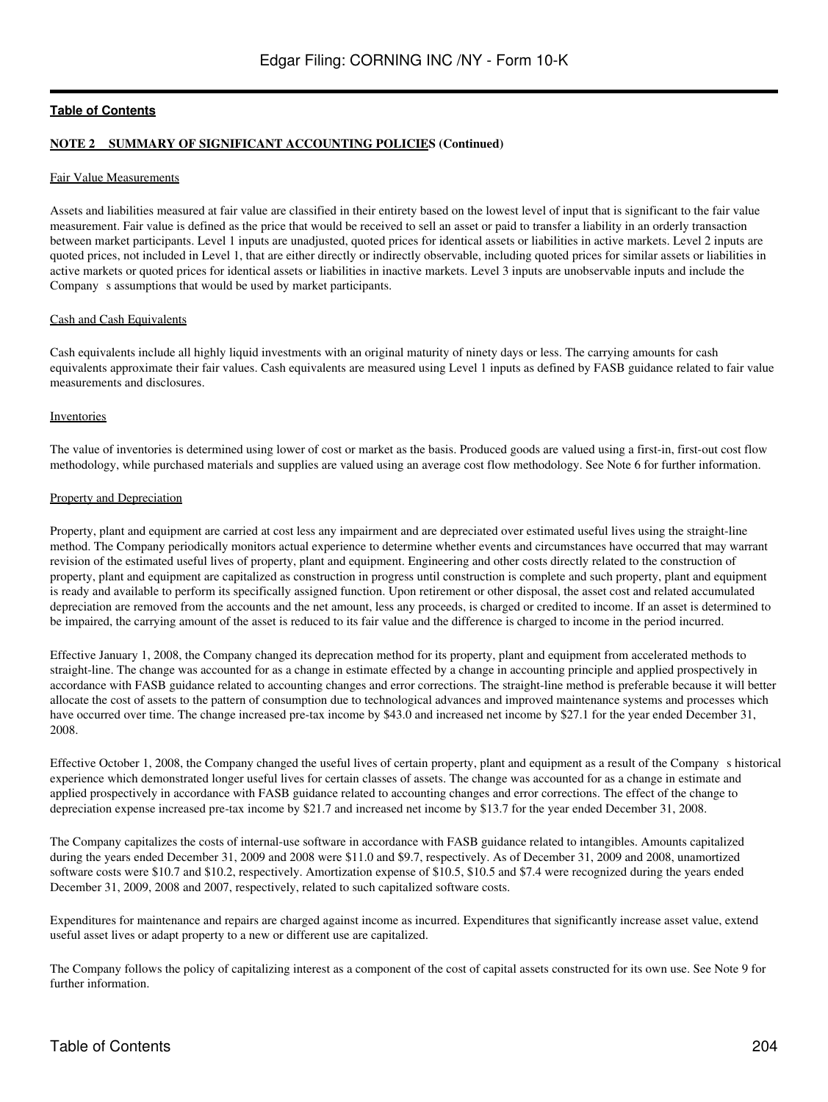#### **NOTE 2 SUMMARY OF SIGNIFICANT ACCOUNTING POLICIES (Continued)**

#### Fair Value Measurements

Assets and liabilities measured at fair value are classified in their entirety based on the lowest level of input that is significant to the fair value measurement. Fair value is defined as the price that would be received to sell an asset or paid to transfer a liability in an orderly transaction between market participants. Level 1 inputs are unadjusted, quoted prices for identical assets or liabilities in active markets. Level 2 inputs are quoted prices, not included in Level 1, that are either directly or indirectly observable, including quoted prices for similar assets or liabilities in active markets or quoted prices for identical assets or liabilities in inactive markets. Level 3 inputs are unobservable inputs and include the Company s assumptions that would be used by market participants.

#### Cash and Cash Equivalents

Cash equivalents include all highly liquid investments with an original maturity of ninety days or less. The carrying amounts for cash equivalents approximate their fair values. Cash equivalents are measured using Level 1 inputs as defined by FASB guidance related to fair value measurements and disclosures.

#### Inventories

The value of inventories is determined using lower of cost or market as the basis. Produced goods are valued using a first-in, first-out cost flow methodology, while purchased materials and supplies are valued using an average cost flow methodology. See Note 6 for further information.

#### Property and Depreciation

Property, plant and equipment are carried at cost less any impairment and are depreciated over estimated useful lives using the straight-line method. The Company periodically monitors actual experience to determine whether events and circumstances have occurred that may warrant revision of the estimated useful lives of property, plant and equipment. Engineering and other costs directly related to the construction of property, plant and equipment are capitalized as construction in progress until construction is complete and such property, plant and equipment is ready and available to perform its specifically assigned function. Upon retirement or other disposal, the asset cost and related accumulated depreciation are removed from the accounts and the net amount, less any proceeds, is charged or credited to income. If an asset is determined to be impaired, the carrying amount of the asset is reduced to its fair value and the difference is charged to income in the period incurred.

Effective January 1, 2008, the Company changed its deprecation method for its property, plant and equipment from accelerated methods to straight-line. The change was accounted for as a change in estimate effected by a change in accounting principle and applied prospectively in accordance with FASB guidance related to accounting changes and error corrections. The straight-line method is preferable because it will better allocate the cost of assets to the pattern of consumption due to technological advances and improved maintenance systems and processes which have occurred over time. The change increased pre-tax income by \$43.0 and increased net income by \$27.1 for the year ended December 31, 2008.

Effective October 1, 2008, the Company changed the useful lives of certain property, plant and equipment as a result of the Companys historical experience which demonstrated longer useful lives for certain classes of assets. The change was accounted for as a change in estimate and applied prospectively in accordance with FASB guidance related to accounting changes and error corrections. The effect of the change to depreciation expense increased pre-tax income by \$21.7 and increased net income by \$13.7 for the year ended December 31, 2008.

The Company capitalizes the costs of internal-use software in accordance with FASB guidance related to intangibles. Amounts capitalized during the years ended December 31, 2009 and 2008 were \$11.0 and \$9.7, respectively. As of December 31, 2009 and 2008, unamortized software costs were \$10.7 and \$10.2, respectively. Amortization expense of \$10.5, \$10.5 and \$7.4 were recognized during the years ended December 31, 2009, 2008 and 2007, respectively, related to such capitalized software costs.

Expenditures for maintenance and repairs are charged against income as incurred. Expenditures that significantly increase asset value, extend useful asset lives or adapt property to a new or different use are capitalized.

The Company follows the policy of capitalizing interest as a component of the cost of capital assets constructed for its own use. See Note 9 for further information.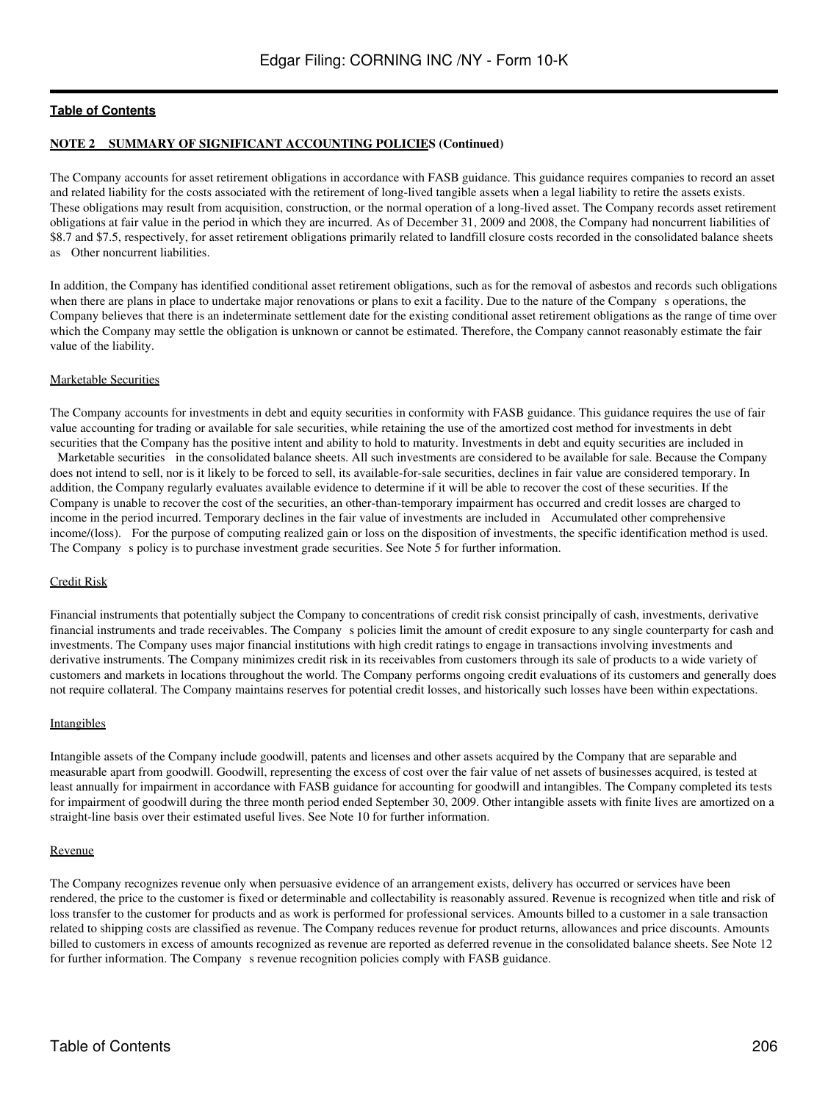#### **NOTE 2 SUMMARY OF SIGNIFICANT ACCOUNTING POLICIES (Continued)**

The Company accounts for asset retirement obligations in accordance with FASB guidance. This guidance requires companies to record an asset and related liability for the costs associated with the retirement of long-lived tangible assets when a legal liability to retire the assets exists. These obligations may result from acquisition, construction, or the normal operation of a long-lived asset. The Company records asset retirement obligations at fair value in the period in which they are incurred. As of December 31, 2009 and 2008, the Company had noncurrent liabilities of \$8.7 and \$7.5, respectively, for asset retirement obligations primarily related to landfill closure costs recorded in the consolidated balance sheets as Other noncurrent liabilities.

In addition, the Company has identified conditional asset retirement obligations, such as for the removal of asbestos and records such obligations when there are plans in place to undertake major renovations or plans to exit a facility. Due to the nature of the Company s operations, the Company believes that there is an indeterminate settlement date for the existing conditional asset retirement obligations as the range of time over which the Company may settle the obligation is unknown or cannot be estimated. Therefore, the Company cannot reasonably estimate the fair value of the liability.

#### Marketable Securities

The Company accounts for investments in debt and equity securities in conformity with FASB guidance. This guidance requires the use of fair value accounting for trading or available for sale securities, while retaining the use of the amortized cost method for investments in debt securities that the Company has the positive intent and ability to hold to maturity. Investments in debt and equity securities are included in Marketable securities in the consolidated balance sheets. All such investments are considered to be available for sale. Because the Company does not intend to sell, nor is it likely to be forced to sell, its available-for-sale securities, declines in fair value are considered temporary. In addition, the Company regularly evaluates available evidence to determine if it will be able to recover the cost of these securities. If the Company is unable to recover the cost of the securities, an other-than-temporary impairment has occurred and credit losses are charged to income in the period incurred. Temporary declines in the fair value of investments are included in Accumulated other comprehensive income/(loss). For the purpose of computing realized gain or loss on the disposition of investments, the specific identification method is used. The Company s policy is to purchase investment grade securities. See Note 5 for further information.

#### Credit Risk

Financial instruments that potentially subject the Company to concentrations of credit risk consist principally of cash, investments, derivative financial instruments and trade receivables. The Company s policies limit the amount of credit exposure to any single counterparty for cash and investments. The Company uses major financial institutions with high credit ratings to engage in transactions involving investments and derivative instruments. The Company minimizes credit risk in its receivables from customers through its sale of products to a wide variety of customers and markets in locations throughout the world. The Company performs ongoing credit evaluations of its customers and generally does not require collateral. The Company maintains reserves for potential credit losses, and historically such losses have been within expectations.

#### Intangibles

Intangible assets of the Company include goodwill, patents and licenses and other assets acquired by the Company that are separable and measurable apart from goodwill. Goodwill, representing the excess of cost over the fair value of net assets of businesses acquired, is tested at least annually for impairment in accordance with FASB guidance for accounting for goodwill and intangibles. The Company completed its tests for impairment of goodwill during the three month period ended September 30, 2009. Other intangible assets with finite lives are amortized on a straight-line basis over their estimated useful lives. See Note 10 for further information.

#### **Revenue**

The Company recognizes revenue only when persuasive evidence of an arrangement exists, delivery has occurred or services have been rendered, the price to the customer is fixed or determinable and collectability is reasonably assured. Revenue is recognized when title and risk of loss transfer to the customer for products and as work is performed for professional services. Amounts billed to a customer in a sale transaction related to shipping costs are classified as revenue. The Company reduces revenue for product returns, allowances and price discounts. Amounts billed to customers in excess of amounts recognized as revenue are reported as deferred revenue in the consolidated balance sheets. See Note 12 for further information. The Company s revenue recognition policies comply with FASB guidance.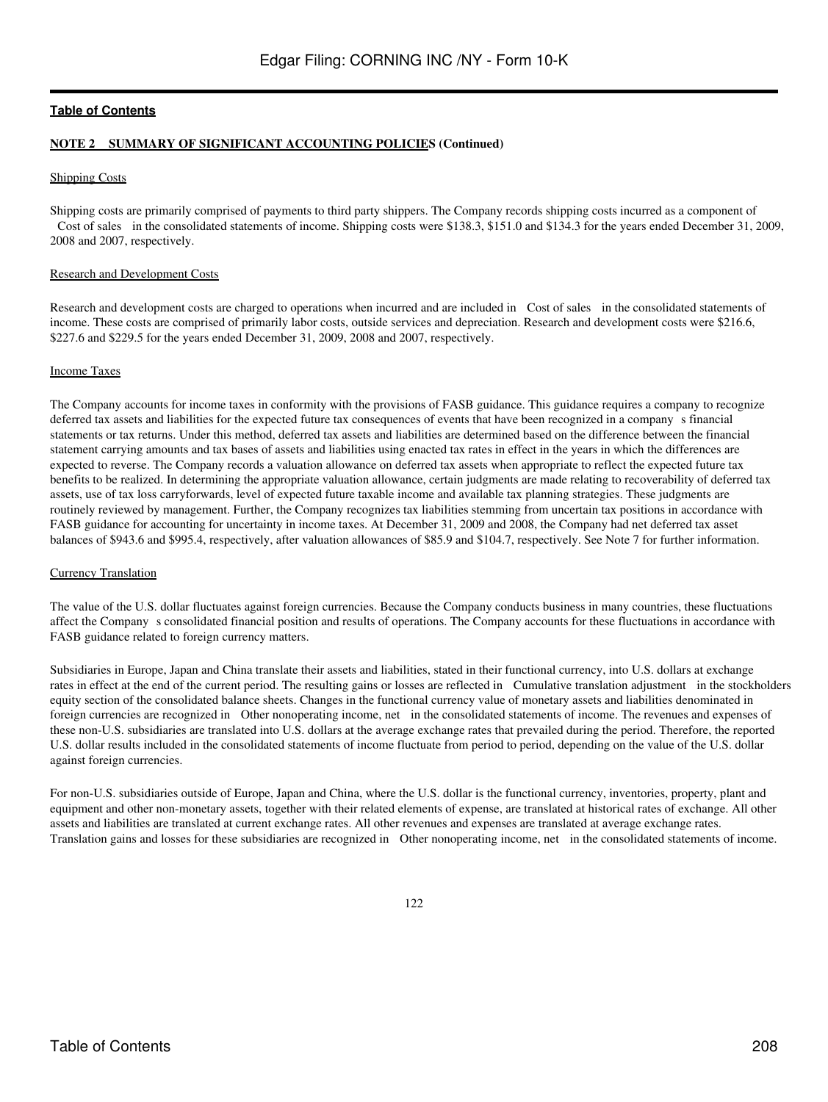#### **NOTE 2 SUMMARY OF SIGNIFICANT ACCOUNTING POLICIES (Continued)**

#### Shipping Costs

Shipping costs are primarily comprised of payments to third party shippers. The Company records shipping costs incurred as a component of Cost of sales in the consolidated statements of income. Shipping costs were \$138.3, \$151.0 and \$134.3 for the years ended December 31, 2009, 2008 and 2007, respectively.

#### Research and Development Costs

Research and development costs are charged to operations when incurred and are included in Cost of sales in the consolidated statements of income. These costs are comprised of primarily labor costs, outside services and depreciation. Research and development costs were \$216.6, \$227.6 and \$229.5 for the years ended December 31, 2009, 2008 and 2007, respectively.

#### Income Taxes

The Company accounts for income taxes in conformity with the provisions of FASB guidance. This guidance requires a company to recognize deferred tax assets and liabilities for the expected future tax consequences of events that have been recognized in a companys financial statements or tax returns. Under this method, deferred tax assets and liabilities are determined based on the difference between the financial statement carrying amounts and tax bases of assets and liabilities using enacted tax rates in effect in the years in which the differences are expected to reverse. The Company records a valuation allowance on deferred tax assets when appropriate to reflect the expected future tax benefits to be realized. In determining the appropriate valuation allowance, certain judgments are made relating to recoverability of deferred tax assets, use of tax loss carryforwards, level of expected future taxable income and available tax planning strategies. These judgments are routinely reviewed by management. Further, the Company recognizes tax liabilities stemming from uncertain tax positions in accordance with FASB guidance for accounting for uncertainty in income taxes. At December 31, 2009 and 2008, the Company had net deferred tax asset balances of \$943.6 and \$995.4, respectively, after valuation allowances of \$85.9 and \$104.7, respectively. See Note 7 for further information.

#### Currency Translation

The value of the U.S. dollar fluctuates against foreign currencies. Because the Company conducts business in many countries, these fluctuations affect the Company s consolidated financial position and results of operations. The Company accounts for these fluctuations in accordance with FASB guidance related to foreign currency matters.

Subsidiaries in Europe, Japan and China translate their assets and liabilities, stated in their functional currency, into U.S. dollars at exchange rates in effect at the end of the current period. The resulting gains or losses are reflected in Cumulative translation adjustment in the stockholders equity section of the consolidated balance sheets. Changes in the functional currency value of monetary assets and liabilities denominated in foreign currencies are recognized in Other nonoperating income, net in the consolidated statements of income. The revenues and expenses of these non-U.S. subsidiaries are translated into U.S. dollars at the average exchange rates that prevailed during the period. Therefore, the reported U.S. dollar results included in the consolidated statements of income fluctuate from period to period, depending on the value of the U.S. dollar against foreign currencies.

For non-U.S. subsidiaries outside of Europe, Japan and China, where the U.S. dollar is the functional currency, inventories, property, plant and equipment and other non-monetary assets, together with their related elements of expense, are translated at historical rates of exchange. All other assets and liabilities are translated at current exchange rates. All other revenues and expenses are translated at average exchange rates. Translation gains and losses for these subsidiaries are recognized in Other nonoperating income, net in the consolidated statements of income.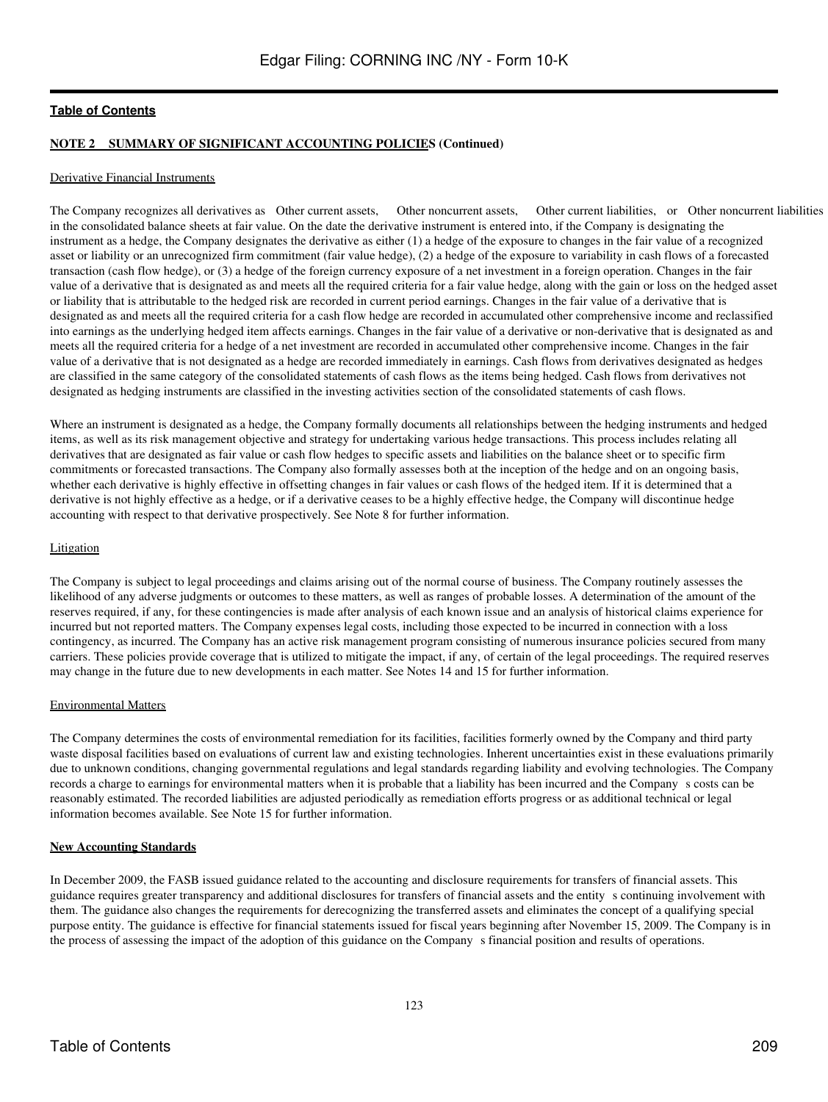#### **NOTE 2 SUMMARY OF SIGNIFICANT ACCOUNTING POLICIES (Continued)**

#### Derivative Financial Instruments

The Company recognizes all derivatives as Other current assets, Other noncurrent assets, Other current liabilities, or Other noncurrent liabilities in the consolidated balance sheets at fair value. On the date the derivative instrument is entered into, if the Company is designating the instrument as a hedge, the Company designates the derivative as either (1) a hedge of the exposure to changes in the fair value of a recognized asset or liability or an unrecognized firm commitment (fair value hedge), (2) a hedge of the exposure to variability in cash flows of a forecasted transaction (cash flow hedge), or (3) a hedge of the foreign currency exposure of a net investment in a foreign operation. Changes in the fair value of a derivative that is designated as and meets all the required criteria for a fair value hedge, along with the gain or loss on the hedged asset or liability that is attributable to the hedged risk are recorded in current period earnings. Changes in the fair value of a derivative that is designated as and meets all the required criteria for a cash flow hedge are recorded in accumulated other comprehensive income and reclassified into earnings as the underlying hedged item affects earnings. Changes in the fair value of a derivative or non-derivative that is designated as and meets all the required criteria for a hedge of a net investment are recorded in accumulated other comprehensive income. Changes in the fair value of a derivative that is not designated as a hedge are recorded immediately in earnings. Cash flows from derivatives designated as hedges are classified in the same category of the consolidated statements of cash flows as the items being hedged. Cash flows from derivatives not designated as hedging instruments are classified in the investing activities section of the consolidated statements of cash flows.

Where an instrument is designated as a hedge, the Company formally documents all relationships between the hedging instruments and hedged items, as well as its risk management objective and strategy for undertaking various hedge transactions. This process includes relating all derivatives that are designated as fair value or cash flow hedges to specific assets and liabilities on the balance sheet or to specific firm commitments or forecasted transactions. The Company also formally assesses both at the inception of the hedge and on an ongoing basis, whether each derivative is highly effective in offsetting changes in fair values or cash flows of the hedged item. If it is determined that a derivative is not highly effective as a hedge, or if a derivative ceases to be a highly effective hedge, the Company will discontinue hedge accounting with respect to that derivative prospectively. See Note 8 for further information.

#### Litigation

The Company is subject to legal proceedings and claims arising out of the normal course of business. The Company routinely assesses the likelihood of any adverse judgments or outcomes to these matters, as well as ranges of probable losses. A determination of the amount of the reserves required, if any, for these contingencies is made after analysis of each known issue and an analysis of historical claims experience for incurred but not reported matters. The Company expenses legal costs, including those expected to be incurred in connection with a loss contingency, as incurred. The Company has an active risk management program consisting of numerous insurance policies secured from many carriers. These policies provide coverage that is utilized to mitigate the impact, if any, of certain of the legal proceedings. The required reserves may change in the future due to new developments in each matter. See Notes 14 and 15 for further information.

#### Environmental Matters

The Company determines the costs of environmental remediation for its facilities, facilities formerly owned by the Company and third party waste disposal facilities based on evaluations of current law and existing technologies. Inherent uncertainties exist in these evaluations primarily due to unknown conditions, changing governmental regulations and legal standards regarding liability and evolving technologies. The Company records a charge to earnings for environmental matters when it is probable that a liability has been incurred and the Companys costs can be reasonably estimated. The recorded liabilities are adjusted periodically as remediation efforts progress or as additional technical or legal information becomes available. See Note 15 for further information.

#### **New Accounting Standards**

In December 2009, the FASB issued guidance related to the accounting and disclosure requirements for transfers of financial assets. This guidance requires greater transparency and additional disclosures for transfers of financial assets and the entitys continuing involvement with them. The guidance also changes the requirements for derecognizing the transferred assets and eliminates the concept of a qualifying special purpose entity. The guidance is effective for financial statements issued for fiscal years beginning after November 15, 2009. The Company is in the process of assessing the impact of the adoption of this guidance on the Company s financial position and results of operations.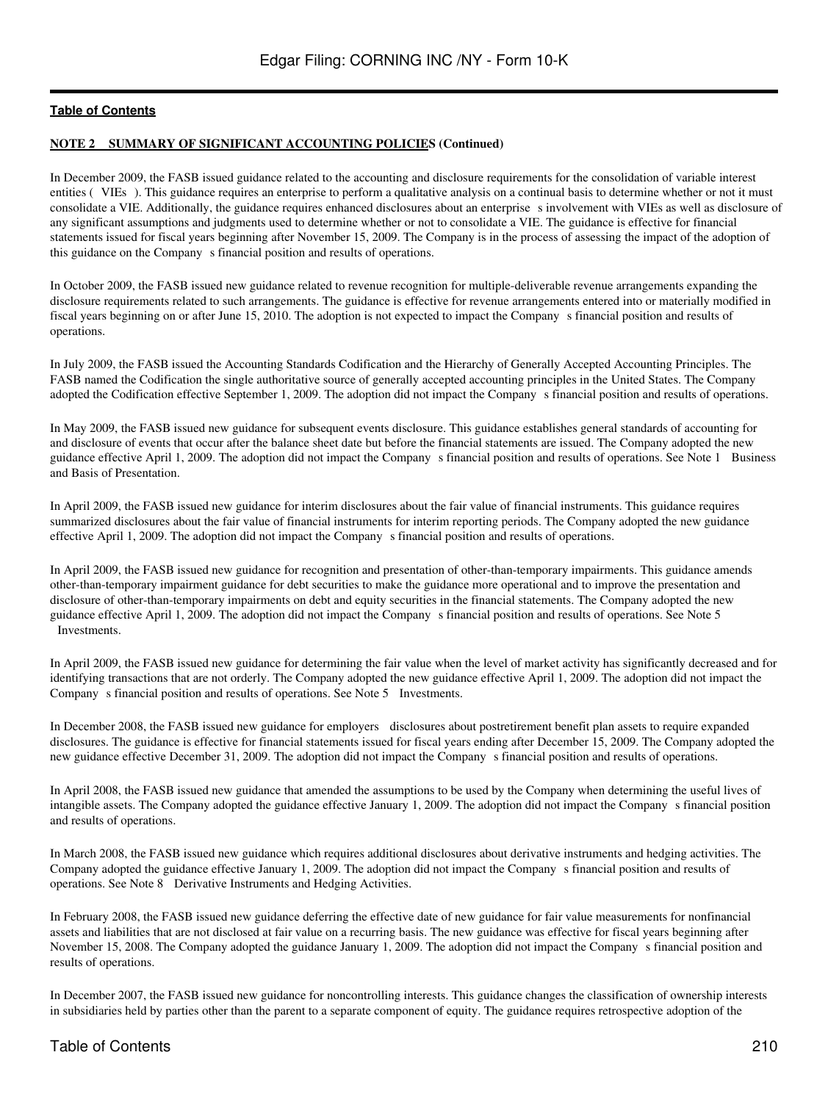#### **NOTE 2 SUMMARY OF SIGNIFICANT ACCOUNTING POLICIES (Continued)**

In December 2009, the FASB issued guidance related to the accounting and disclosure requirements for the consolidation of variable interest entities (VIEs). This guidance requires an enterprise to perform a qualitative analysis on a continual basis to determine whether or not it must consolidate a VIE. Additionally, the guidance requires enhanced disclosures about an enterprises involvement with VIEs as well as disclosure of any significant assumptions and judgments used to determine whether or not to consolidate a VIE. The guidance is effective for financial statements issued for fiscal years beginning after November 15, 2009. The Company is in the process of assessing the impact of the adoption of this guidance on the Company s financial position and results of operations.

In October 2009, the FASB issued new guidance related to revenue recognition for multiple-deliverable revenue arrangements expanding the disclosure requirements related to such arrangements. The guidance is effective for revenue arrangements entered into or materially modified in fiscal years beginning on or after June 15, 2010. The adoption is not expected to impact the Companys financial position and results of operations.

In July 2009, the FASB issued the Accounting Standards Codification and the Hierarchy of Generally Accepted Accounting Principles. The FASB named the Codification the single authoritative source of generally accepted accounting principles in the United States. The Company adopted the Codification effective September 1, 2009. The adoption did not impact the Companys financial position and results of operations.

In May 2009, the FASB issued new guidance for subsequent events disclosure. This guidance establishes general standards of accounting for and disclosure of events that occur after the balance sheet date but before the financial statements are issued. The Company adopted the new guidance effective April 1, 2009. The adoption did not impact the Companys financial position and results of operations. See Note 1 Business and Basis of Presentation.

In April 2009, the FASB issued new guidance for interim disclosures about the fair value of financial instruments. This guidance requires summarized disclosures about the fair value of financial instruments for interim reporting periods. The Company adopted the new guidance effective April 1, 2009. The adoption did not impact the Company s financial position and results of operations.

In April 2009, the FASB issued new guidance for recognition and presentation of other-than-temporary impairments. This guidance amends other-than-temporary impairment guidance for debt securities to make the guidance more operational and to improve the presentation and disclosure of other-than-temporary impairments on debt and equity securities in the financial statements. The Company adopted the new guidance effective April 1, 2009. The adoption did not impact the Companys financial position and results of operations. See Note 5 Investments.

In April 2009, the FASB issued new guidance for determining the fair value when the level of market activity has significantly decreased and for identifying transactions that are not orderly. The Company adopted the new guidance effective April 1, 2009. The adoption did not impact the Company s financial position and results of operations. See Note 5 Investments.

In December 2008, the FASB issued new guidance for employers disclosures about postretirement benefit plan assets to require expanded disclosures. The guidance is effective for financial statements issued for fiscal years ending after December 15, 2009. The Company adopted the new guidance effective December 31, 2009. The adoption did not impact the Companys financial position and results of operations.

In April 2008, the FASB issued new guidance that amended the assumptions to be used by the Company when determining the useful lives of intangible assets. The Company adopted the guidance effective January 1, 2009. The adoption did not impact the Company s financial position and results of operations.

In March 2008, the FASB issued new guidance which requires additional disclosures about derivative instruments and hedging activities. The Company adopted the guidance effective January 1, 2009. The adoption did not impact the Company s financial position and results of operations. See Note 8 Derivative Instruments and Hedging Activities.

In February 2008, the FASB issued new guidance deferring the effective date of new guidance for fair value measurements for nonfinancial assets and liabilities that are not disclosed at fair value on a recurring basis. The new guidance was effective for fiscal years beginning after November 15, 2008. The Company adopted the guidance January 1, 2009. The adoption did not impact the Company s financial position and results of operations.

In December 2007, the FASB issued new guidance for noncontrolling interests. This guidance changes the classification of ownership interests in subsidiaries held by parties other than the parent to a separate component of equity. The guidance requires retrospective adoption of the

# Table of Contents 210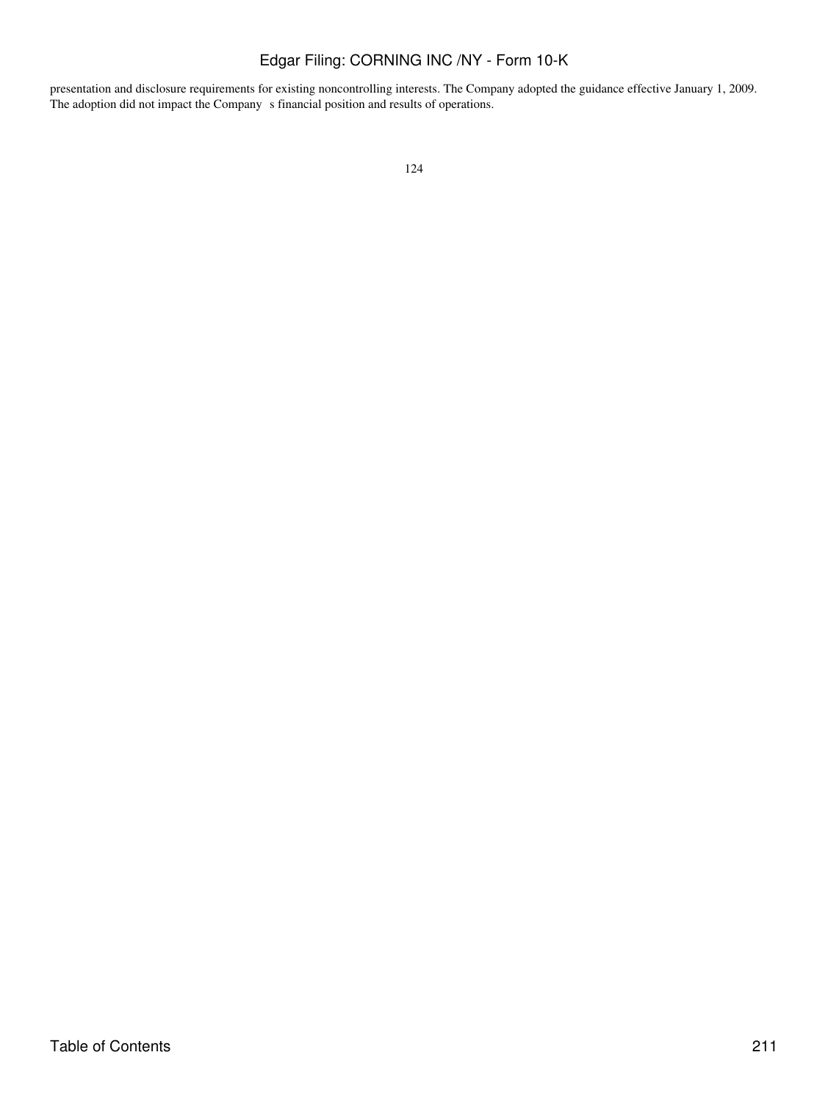presentation and disclosure requirements for existing noncontrolling interests. The Company adopted the guidance effective January 1, 2009. The adoption did not impact the Company s financial position and results of operations.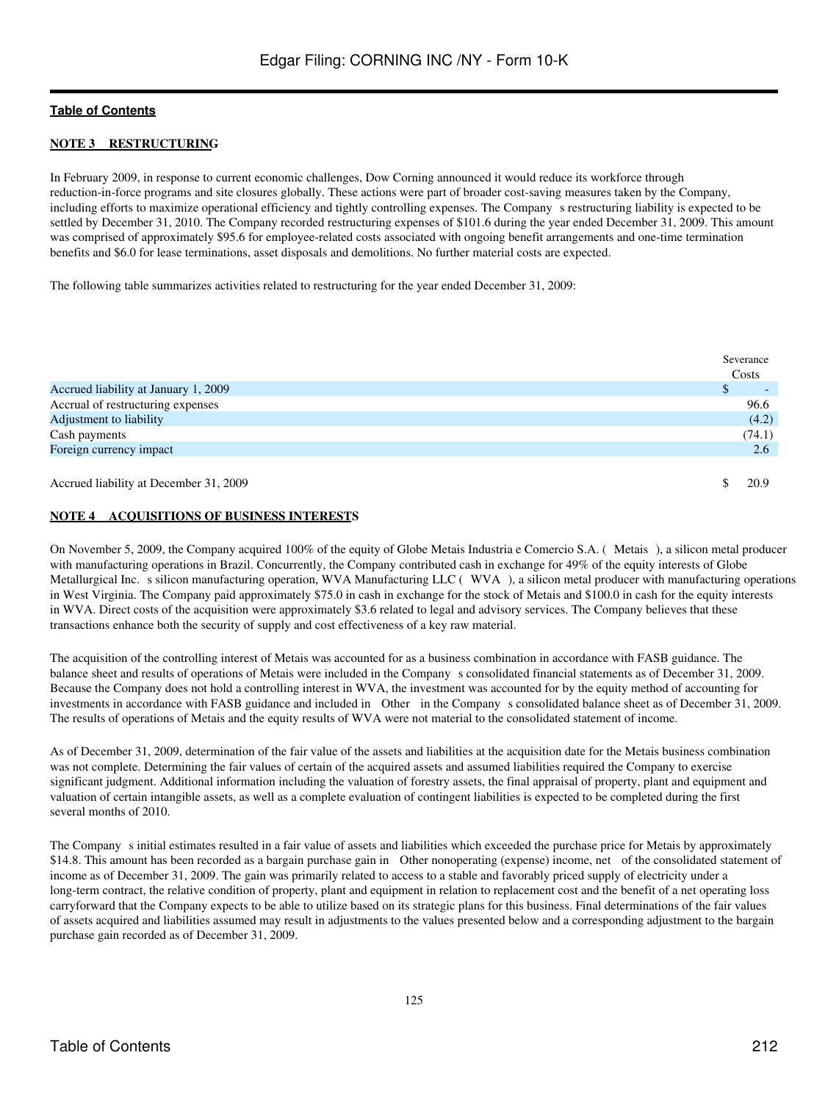### <span id="page-211-0"></span>**NOTE 3 RESTRUCTURING**

In February 2009, in response to current economic challenges, Dow Corning announced it would reduce its workforce through reduction-in-force programs and site closures globally. These actions were part of broader cost-saving measures taken by the Company, including efforts to maximize operational efficiency and tightly controlling expenses. The Companys restructuring liability is expected to be settled by December 31, 2010. The Company recorded restructuring expenses of \$101.6 during the year ended December 31, 2009. This amount was comprised of approximately \$95.6 for employee-related costs associated with ongoing benefit arrangements and one-time termination benefits and \$6.0 for lease terminations, asset disposals and demolitions. No further material costs are expected.

The following table summarizes activities related to restructuring for the year ended December 31, 2009:

|                                        | Severance |
|----------------------------------------|-----------|
|                                        | Costs     |
| Accrued liability at January 1, 2009   |           |
| Accrual of restructuring expenses      | 96.6      |
| Adjustment to liability                | (4.2)     |
| Cash payments                          | (74.1)    |
| Foreign currency impact                | 2.6       |
|                                        |           |
| Accrued liability at December 31, 2009 | 20.9      |

#### <span id="page-211-1"></span>**NOTE 4 ACQUISITIONS OF BUSINESS INTERESTS**

On November 5, 2009, the Company acquired 100% of the equity of Globe Metais Industria e Comercio S.A. (Metais), a silicon metal producer with manufacturing operations in Brazil. Concurrently, the Company contributed cash in exchange for 49% of the equity interests of Globe Metallurgical Inc. s silicon manufacturing operation, WVA Manufacturing LLC (WVA), a silicon metal producer with manufacturing operations in West Virginia. The Company paid approximately \$75.0 in cash in exchange for the stock of Metais and \$100.0 in cash for the equity interests in WVA. Direct costs of the acquisition were approximately \$3.6 related to legal and advisory services. The Company believes that these transactions enhance both the security of supply and cost effectiveness of a key raw material.

The acquisition of the controlling interest of Metais was accounted for as a business combination in accordance with FASB guidance. The balance sheet and results of operations of Metais were included in the Company s consolidated financial statements as of December 31, 2009. Because the Company does not hold a controlling interest in WVA, the investment was accounted for by the equity method of accounting for investments in accordance with FASB guidance and included in Other in the Companys consolidated balance sheet as of December 31, 2009. The results of operations of Metais and the equity results of WVA were not material to the consolidated statement of income.

As of December 31, 2009, determination of the fair value of the assets and liabilities at the acquisition date for the Metais business combination was not complete. Determining the fair values of certain of the acquired assets and assumed liabilities required the Company to exercise significant judgment. Additional information including the valuation of forestry assets, the final appraisal of property, plant and equipment and valuation of certain intangible assets, as well as a complete evaluation of contingent liabilities is expected to be completed during the first several months of 2010.

The Company s initial estimates resulted in a fair value of assets and liabilities which exceeded the purchase price for Metais by approximately \$14.8. This amount has been recorded as a bargain purchase gain in Other nonoperating (expense) income, net of the consolidated statement of income as of December 31, 2009. The gain was primarily related to access to a stable and favorably priced supply of electricity under a long-term contract, the relative condition of property, plant and equipment in relation to replacement cost and the benefit of a net operating loss carryforward that the Company expects to be able to utilize based on its strategic plans for this business. Final determinations of the fair values of assets acquired and liabilities assumed may result in adjustments to the values presented below and a corresponding adjustment to the bargain purchase gain recorded as of December 31, 2009.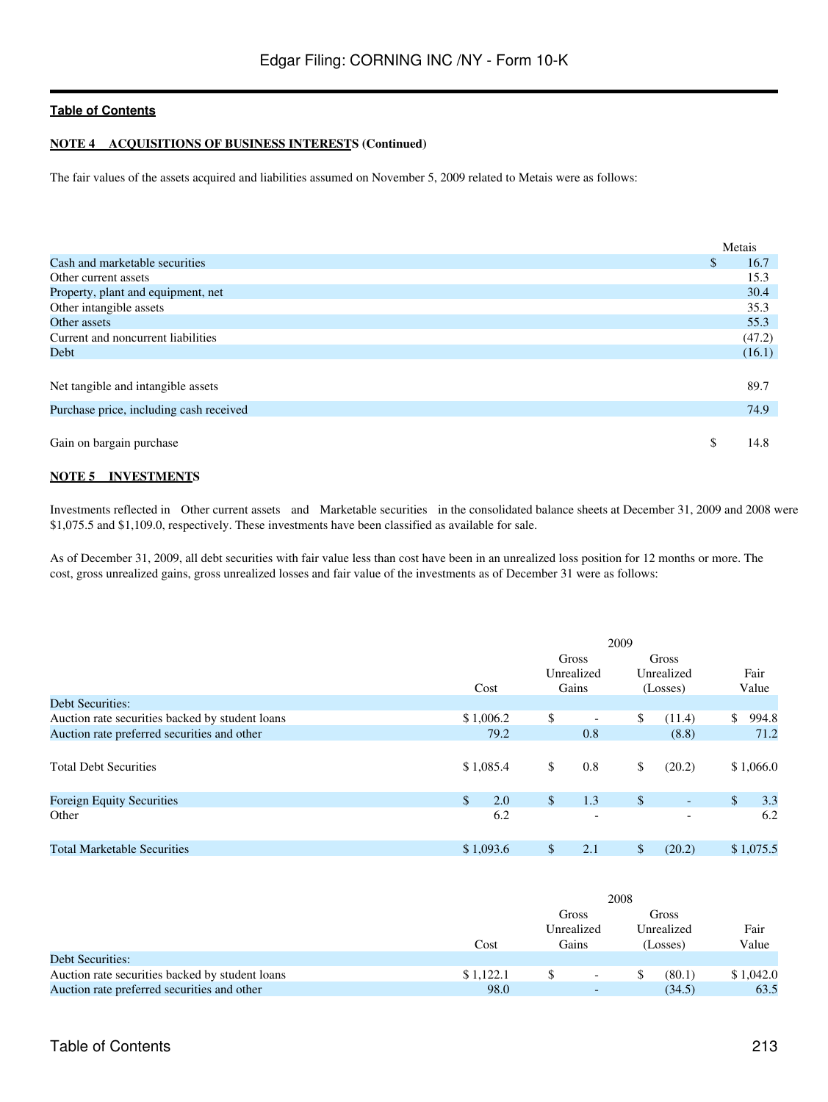#### **NOTE 4 ACQUISITIONS OF BUSINESS INTERESTS (Continued)**

The fair values of the assets acquired and liabilities assumed on November 5, 2009 related to Metais were as follows:

|                                         | Metais        |        |
|-----------------------------------------|---------------|--------|
| Cash and marketable securities          | <sup>\$</sup> | 16.7   |
| Other current assets                    |               | 15.3   |
| Property, plant and equipment, net      |               | 30.4   |
| Other intangible assets                 |               | 35.3   |
| Other assets                            |               | 55.3   |
| Current and noncurrent liabilities      |               | (47.2) |
| Debt                                    |               | (16.1) |
|                                         |               |        |
| Net tangible and intangible assets      |               | 89.7   |
| Purchase price, including cash received |               | 74.9   |
| Gain on bargain purchase                | \$            | 14.8   |

#### <span id="page-212-0"></span>**NOTE 5 INVESTMENTS**

Investments reflected in Other current assets and Marketable securities in the consolidated balance sheets at December 31, 2009 and 2008 were \$1,075.5 and \$1,109.0, respectively. These investments have been classified as available for sale.

As of December 31, 2009, all debt securities with fair value less than cost have been in an unrealized loss position for 12 months or more. The cost, gross unrealized gains, gross unrealized losses and fair value of the investments as of December 31 were as follows:

|                                                 |                     | 2009                |                          |                     |                          |              |           |  |  |
|-------------------------------------------------|---------------------|---------------------|--------------------------|---------------------|--------------------------|--------------|-----------|--|--|
|                                                 |                     | Gross<br>Unrealized |                          | Gross<br>Unrealized |                          |              | Fair      |  |  |
|                                                 | Cost                |                     | Gains                    |                     | (Losses)                 |              | Value     |  |  |
| <b>Debt Securities:</b>                         |                     |                     |                          |                     |                          |              |           |  |  |
| Auction rate securities backed by student loans | \$1,006.2           | \$                  | $\overline{\phantom{0}}$ | \$                  | (11.4)                   | \$.          | 994.8     |  |  |
| Auction rate preferred securities and other     | 79.2                |                     | 0.8                      |                     | (8.8)                    |              | 71.2      |  |  |
| <b>Total Debt Securities</b>                    | \$1,085.4           | \$                  | 0.8                      | \$                  | (20.2)                   |              | \$1,066.0 |  |  |
| <b>Foreign Equity Securities</b>                | $\mathbb{S}$<br>2.0 | $\sqrt{\ }$         | 1.3                      | \$                  | $\overline{\phantom{a}}$ | $\mathbb{S}$ | 3.3       |  |  |
| Other                                           | 6.2                 |                     | -                        |                     | $\overline{\phantom{a}}$ |              | 6.2       |  |  |
| <b>Total Marketable Securities</b>              | \$1,093.6           | $\mathbb{S}$        | 2.1                      | \$                  | (20.2)                   |              | \$1,075.5 |  |  |

|                                                 |           | 2008                     |              |           |  |  |  |  |
|-------------------------------------------------|-----------|--------------------------|--------------|-----------|--|--|--|--|
|                                                 |           | Gross                    | Gross        |           |  |  |  |  |
|                                                 |           | Unrealized               | Unrealized   | Fair      |  |  |  |  |
|                                                 | Cost      | Gains                    | (Losses)     | Value     |  |  |  |  |
| <b>Debt Securities:</b>                         |           |                          |              |           |  |  |  |  |
| Auction rate securities backed by student loans | \$1,122.1 | $\overline{\phantom{a}}$ | (80.1)<br>\$ | \$1,042.0 |  |  |  |  |
| Auction rate preferred securities and other     | 98.0      | $\overline{\phantom{0}}$ | (34.5)       | 63.5      |  |  |  |  |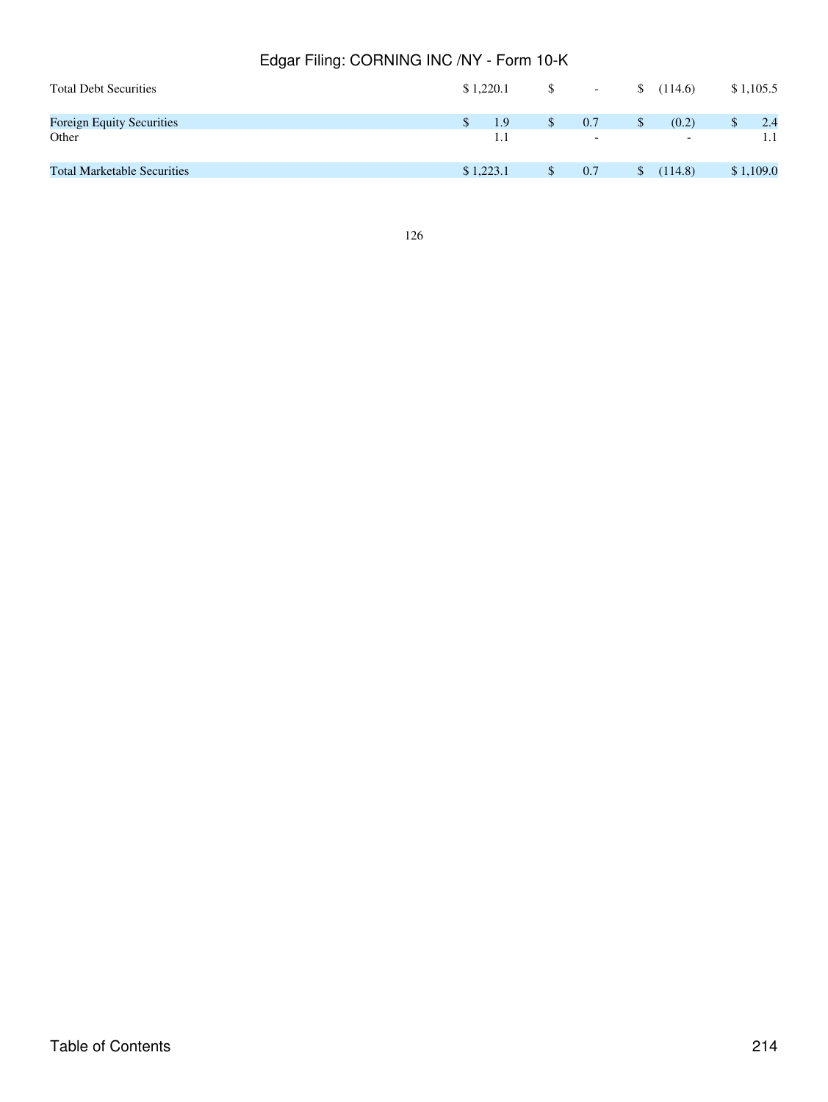| <b>Total Debt Securities</b>              | \$1,220.1 |            | <sup>\$</sup> | $\overline{\phantom{a}}$ | \$<br>(114.6)                           | \$1,105.5 |            |
|-------------------------------------------|-----------|------------|---------------|--------------------------|-----------------------------------------|-----------|------------|
| <b>Foreign Equity Securities</b><br>Other |           | 1.9<br>1.1 |               | 0.7<br>-                 | \$<br>(0.2)<br>$\overline{\phantom{0}}$ |           | 2.4<br>1.1 |
| <b>Total Marketable Securities</b>        | \$1,223.1 |            |               | 0.7                      | (114.8)                                 | \$1,109.0 |            |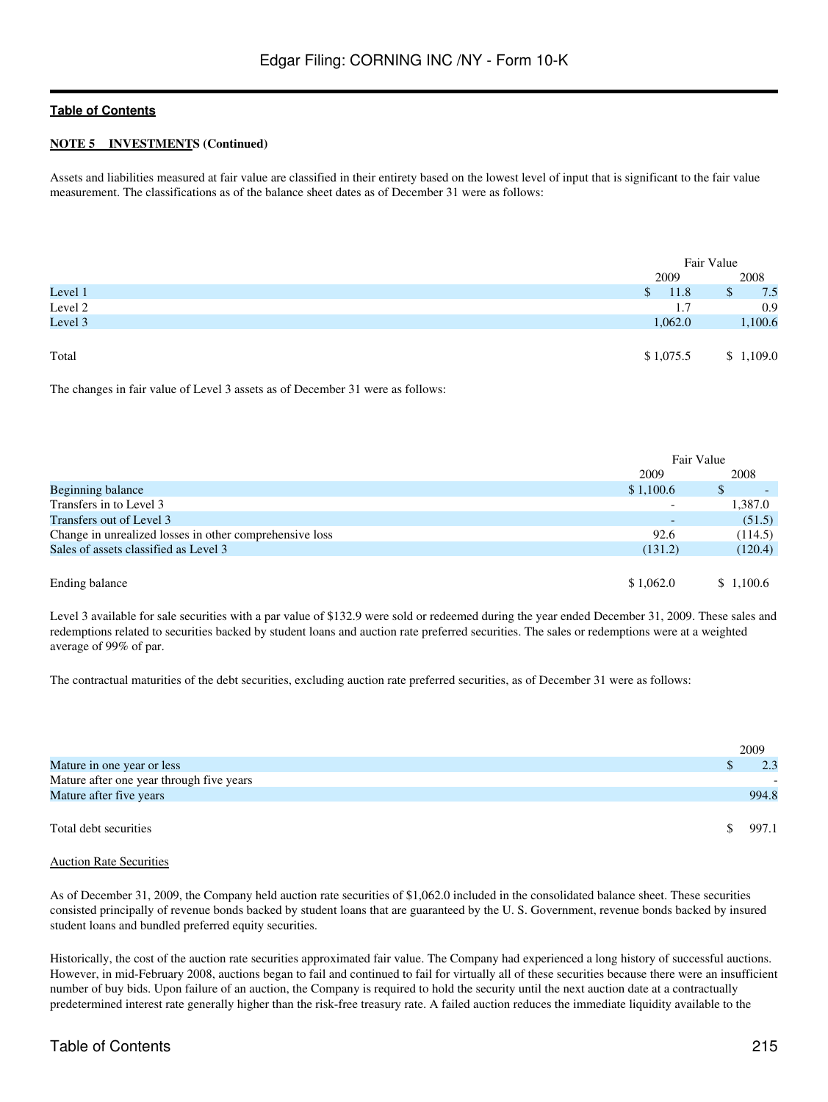#### **NOTE 5 INVESTMENTS (Continued)**

Assets and liabilities measured at fair value are classified in their entirety based on the lowest level of input that is significant to the fair value measurement. The classifications as of the balance sheet dates as of December 31 were as follows:

|         |            | Fair Value |  |
|---------|------------|------------|--|
|         | 2009       | 2008       |  |
| Level 1 | 11.8<br>\$ | 7.5<br>\$  |  |
| Level 2 | 1.7        | 0.9        |  |
| Level 3 | 1,062.0    | 1,100.6    |  |
|         |            |            |  |
| Total   | \$1,075.5  | \$1,109.0  |  |

The changes in fair value of Level 3 assets as of December 31 were as follows:

|                                                         |           | Fair Value |  |
|---------------------------------------------------------|-----------|------------|--|
|                                                         | 2009      | 2008       |  |
| Beginning balance                                       | \$1,100.6 |            |  |
| Transfers in to Level 3                                 |           | 1,387.0    |  |
| Transfers out of Level 3                                |           | (51.5)     |  |
| Change in unrealized losses in other comprehensive loss | 92.6      | (114.5)    |  |
| Sales of assets classified as Level 3                   | (131.2)   | (120.4)    |  |
|                                                         |           |            |  |
| Ending balance                                          | \$1.062.0 | \$1.100.6  |  |

Level 3 available for sale securities with a par value of \$132.9 were sold or redeemed during the year ended December 31, 2009. These sales and redemptions related to securities backed by student loans and auction rate preferred securities. The sales or redemptions were at a weighted average of 99% of par.

The contractual maturities of the debt securities, excluding auction rate preferred securities, as of December 31 were as follows:

|                                          | 2009                     |
|------------------------------------------|--------------------------|
| Mature in one year or less               | 2.3                      |
| Mature after one year through five years | $\overline{\phantom{0}}$ |
| Mature after five years                  | 994.8                    |
|                                          |                          |
| Total debt securities                    | 997.1                    |

#### **Auction Rate Securities**

As of December 31, 2009, the Company held auction rate securities of \$1,062.0 included in the consolidated balance sheet. These securities consisted principally of revenue bonds backed by student loans that are guaranteed by the U. S. Government, revenue bonds backed by insured student loans and bundled preferred equity securities.

Historically, the cost of the auction rate securities approximated fair value. The Company had experienced a long history of successful auctions. However, in mid-February 2008, auctions began to fail and continued to fail for virtually all of these securities because there were an insufficient number of buy bids. Upon failure of an auction, the Company is required to hold the security until the next auction date at a contractually predetermined interest rate generally higher than the risk-free treasury rate. A failed auction reduces the immediate liquidity available to the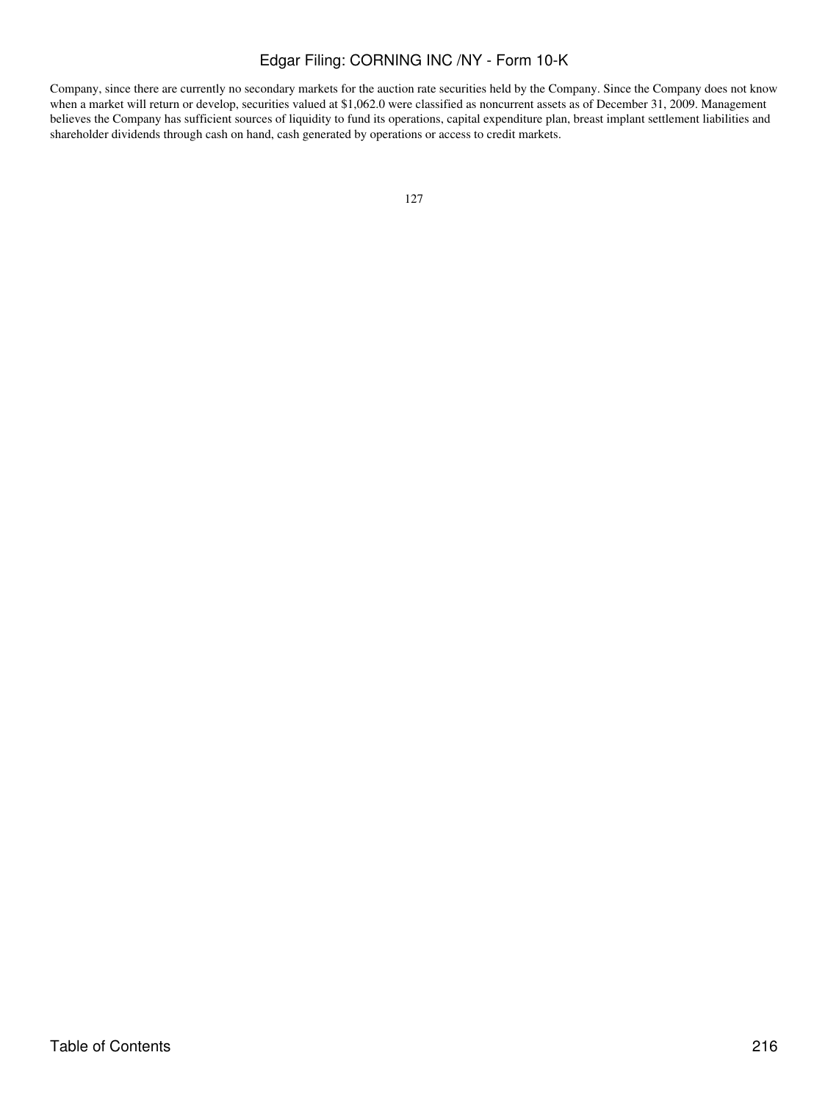Company, since there are currently no secondary markets for the auction rate securities held by the Company. Since the Company does not know when a market will return or develop, securities valued at \$1,062.0 were classified as noncurrent assets as of December 31, 2009. Management believes the Company has sufficient sources of liquidity to fund its operations, capital expenditure plan, breast implant settlement liabilities and shareholder dividends through cash on hand, cash generated by operations or access to credit markets.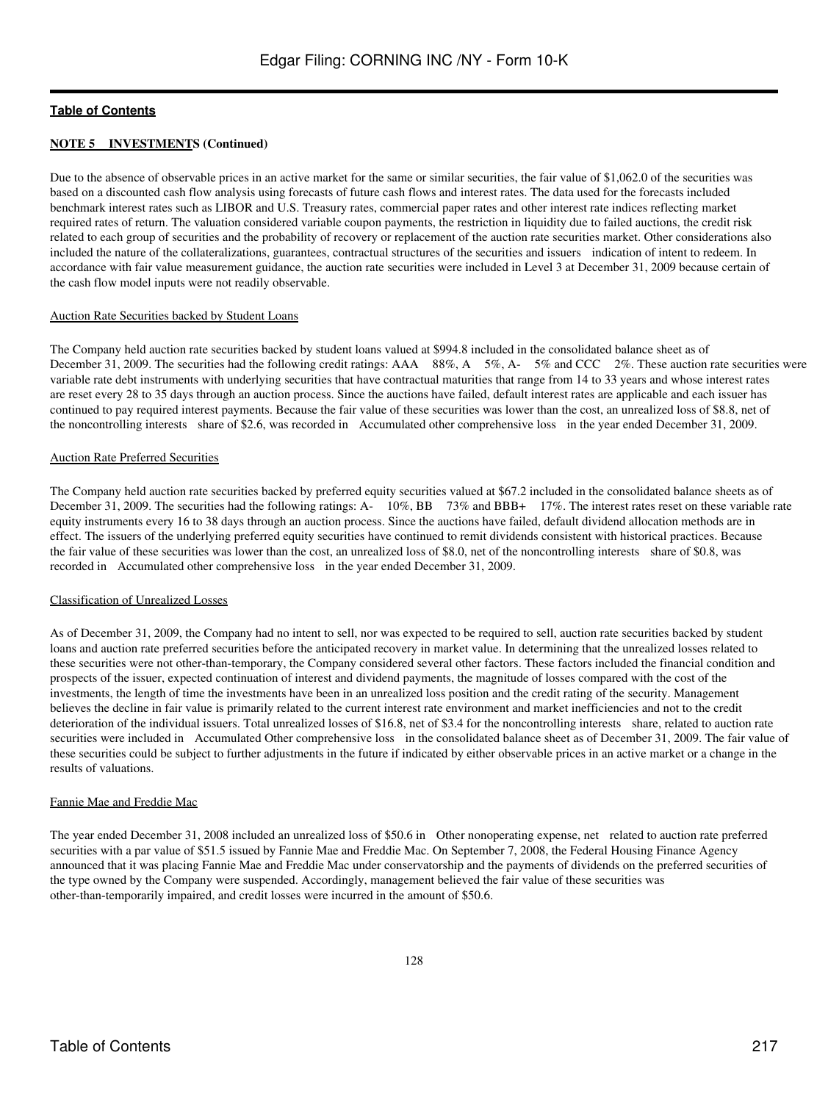## **NOTE 5 INVESTMENTS (Continued)**

Due to the absence of observable prices in an active market for the same or similar securities, the fair value of \$1,062.0 of the securities was based on a discounted cash flow analysis using forecasts of future cash flows and interest rates. The data used for the forecasts included benchmark interest rates such as LIBOR and U.S. Treasury rates, commercial paper rates and other interest rate indices reflecting market required rates of return. The valuation considered variable coupon payments, the restriction in liquidity due to failed auctions, the credit risk related to each group of securities and the probability of recovery or replacement of the auction rate securities market. Other considerations also included the nature of the collateralizations, guarantees, contractual structures of the securities and issuers indication of intent to redeem. In accordance with fair value measurement guidance, the auction rate securities were included in Level 3 at December 31, 2009 because certain of the cash flow model inputs were not readily observable.

### Auction Rate Securities backed by Student Loans

The Company held auction rate securities backed by student loans valued at \$994.8 included in the consolidated balance sheet as of December 31, 2009. The securities had the following credit ratings: AAA 88%, A 5%, A-5% and CCC 2%. These auction rate securities were variable rate debt instruments with underlying securities that have contractual maturities that range from 14 to 33 years and whose interest rates are reset every 28 to 35 days through an auction process. Since the auctions have failed, default interest rates are applicable and each issuer has continued to pay required interest payments. Because the fair value of these securities was lower than the cost, an unrealized loss of \$8.8, net of the noncontrolling interests share of \$2.6, was recorded in Accumulated other comprehensive loss in the year ended December 31, 2009.

## Auction Rate Preferred Securities

The Company held auction rate securities backed by preferred equity securities valued at \$67.2 included in the consolidated balance sheets as of December 31, 2009. The securities had the following ratings: A-  $10\%$ , BB 73% and BBB+ 17%. The interest rates reset on these variable rate equity instruments every 16 to 38 days through an auction process. Since the auctions have failed, default dividend allocation methods are in effect. The issuers of the underlying preferred equity securities have continued to remit dividends consistent with historical practices. Because the fair value of these securities was lower than the cost, an unrealized loss of \$8.0, net of the noncontrolling interests share of \$0.8, was recorded in Accumulated other comprehensive loss in the year ended December 31, 2009.

#### Classification of Unrealized Losses

As of December 31, 2009, the Company had no intent to sell, nor was expected to be required to sell, auction rate securities backed by student loans and auction rate preferred securities before the anticipated recovery in market value. In determining that the unrealized losses related to these securities were not other-than-temporary, the Company considered several other factors. These factors included the financial condition and prospects of the issuer, expected continuation of interest and dividend payments, the magnitude of losses compared with the cost of the investments, the length of time the investments have been in an unrealized loss position and the credit rating of the security. Management believes the decline in fair value is primarily related to the current interest rate environment and market inefficiencies and not to the credit deterioration of the individual issuers. Total unrealized losses of \$16.8, net of \$3.4 for the noncontrolling interests share, related to auction rate securities were included in Accumulated Other comprehensive loss in the consolidated balance sheet as of December 31, 2009. The fair value of these securities could be subject to further adjustments in the future if indicated by either observable prices in an active market or a change in the results of valuations.

## Fannie Mae and Freddie Mac

The year ended December 31, 2008 included an unrealized loss of \$50.6 in Other nonoperating expense, net related to auction rate preferred securities with a par value of \$51.5 issued by Fannie Mae and Freddie Mac. On September 7, 2008, the Federal Housing Finance Agency announced that it was placing Fannie Mae and Freddie Mac under conservatorship and the payments of dividends on the preferred securities of the type owned by the Company were suspended. Accordingly, management believed the fair value of these securities was other-than-temporarily impaired, and credit losses were incurred in the amount of \$50.6.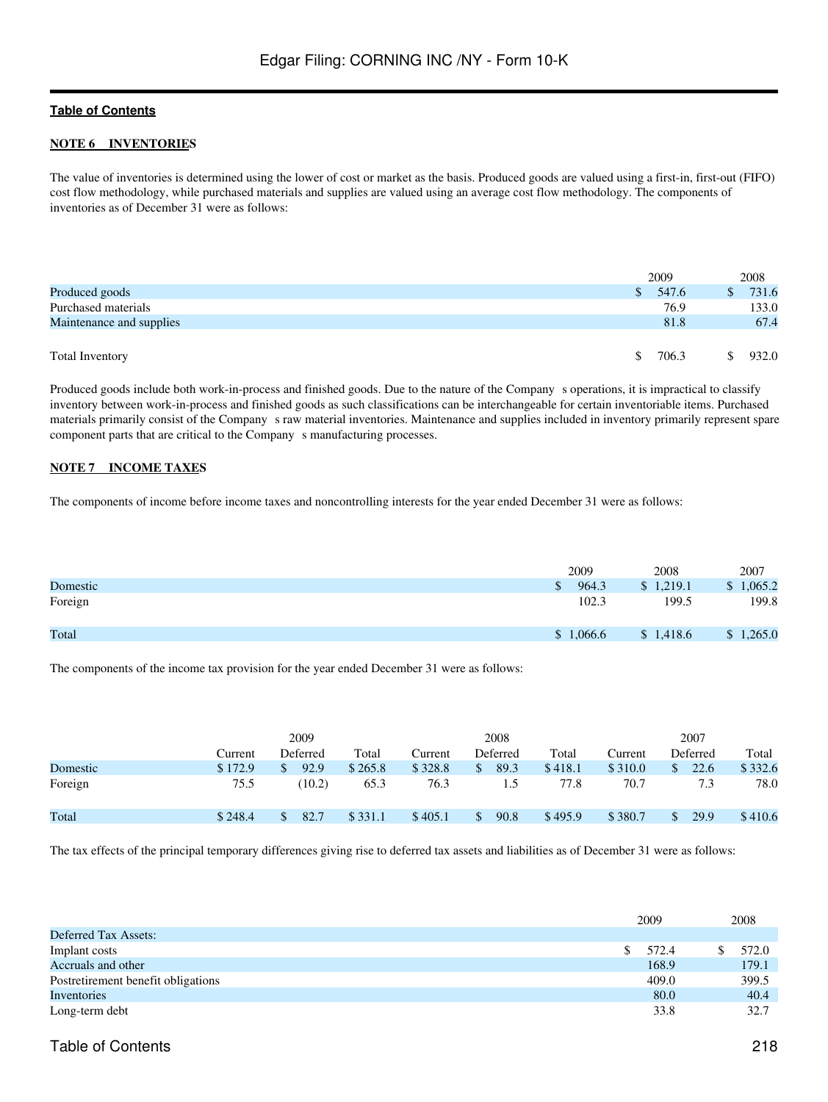## **NOTE 6 INVENTORIES**

The value of inventories is determined using the lower of cost or market as the basis. Produced goods are valued using a first-in, first-out (FIFO) cost flow methodology, while purchased materials and supplies are valued using an average cost flow methodology. The components of inventories as of December 31 were as follows:

|                          |     | 2009  | 2008  |
|--------------------------|-----|-------|-------|
| Produced goods           | S.  | 547.6 | 731.6 |
| Purchased materials      |     | 76.9  | 133.0 |
| Maintenance and supplies |     | 81.8  | 67.4  |
|                          |     |       |       |
| <b>Total Inventory</b>   | \$. | 706.3 | 932.0 |

Produced goods include both work-in-process and finished goods. Due to the nature of the Company s operations, it is impractical to classify inventory between work-in-process and finished goods as such classifications can be interchangeable for certain inventoriable items. Purchased materials primarily consist of the Company s raw material inventories. Maintenance and supplies included in inventory primarily represent spare component parts that are critical to the Company s manufacturing processes.

## **NOTE 7 INCOME TAXES**

The components of income before income taxes and noncontrolling interests for the year ended December 31 were as follows:

|          | 2009        | 2008      | 2007      |
|----------|-------------|-----------|-----------|
| Domestic | 964.3<br>\$ | \$1,219.1 | \$1,065.2 |
| Foreign  | 102.3       | 199.5     | 199.8     |
| Total    | \$1,066.6   | \$1,418.6 | \$1,265.0 |

The components of the income tax provision for the year ended December 31 were as follows:

|          |         | 2009     |         |         | 2008       |         |         | 2007     |         |
|----------|---------|----------|---------|---------|------------|---------|---------|----------|---------|
|          | Current | Deferred | Total   | Current | Deferred   | Total   | Current | Deferred | Total   |
| Domestic | \$172.9 | 92.9     | \$265.8 | \$328.8 | 89.3<br>\$ | \$418.1 | \$310.0 | 22.6     | \$332.6 |
| Foreign  | 75.5    | (10.2)   | 65.3    | 76.3    |            | 77.8    | 70.7    | 7.3      | 78.0    |
| Total    | \$248.4 | 82.7     | \$331.1 | \$405.1 | 90.8       | \$495.9 | \$380.7 | 29.9     | \$410.6 |

The tax effects of the principal temporary differences giving rise to deferred tax assets and liabilities as of December 31 were as follows:

|                                    | 2009  | 2008  |
|------------------------------------|-------|-------|
| Deferred Tax Assets:               |       |       |
| Implant costs                      | 572.4 | 572.0 |
| Accruals and other                 | 168.9 | 179.1 |
| Postretirement benefit obligations | 409.0 | 399.5 |
| Inventories                        | 80.0  | 40.4  |
| Long-term debt                     | 33.8  | 32.7  |

## Table of Contents 218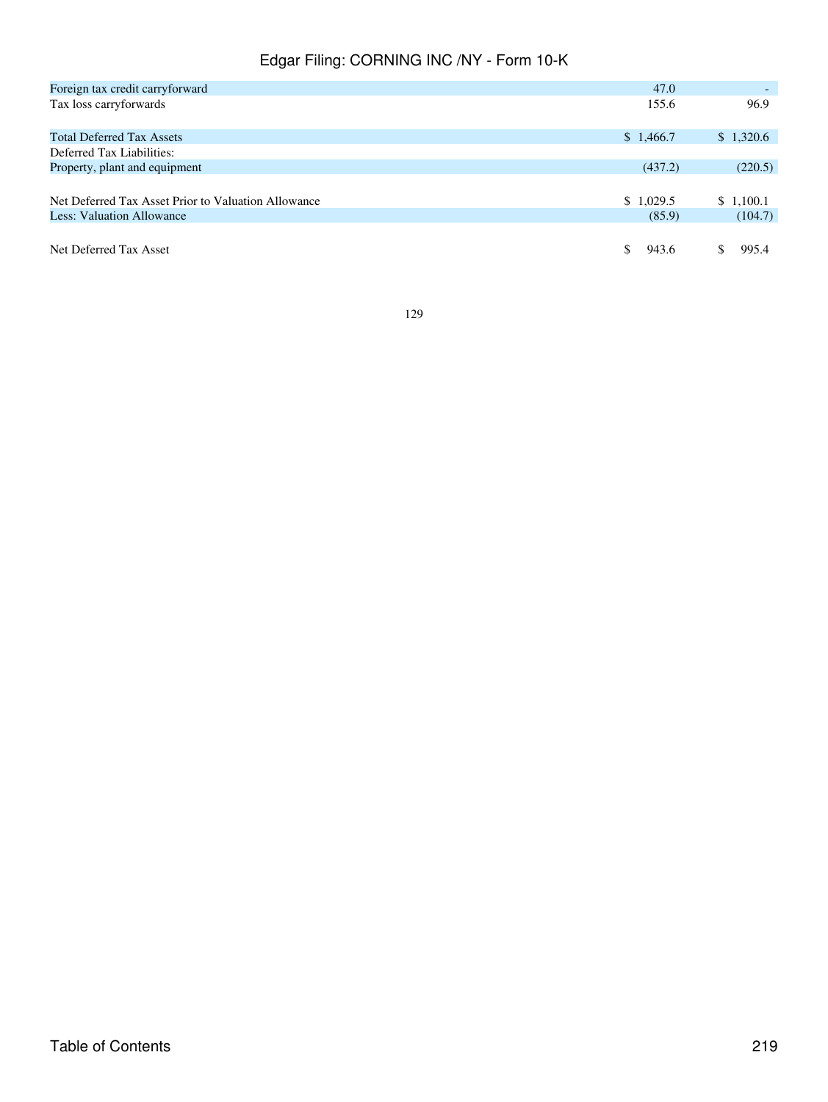| Foreign tax credit carryforward                     | 47.0         |           |
|-----------------------------------------------------|--------------|-----------|
| Tax loss carryforwards                              | 155.6        | 96.9      |
|                                                     |              |           |
| <b>Total Deferred Tax Assets</b>                    | \$1,466.7    | \$1,320.6 |
| Deferred Tax Liabilities:                           |              |           |
| Property, plant and equipment                       | (437.2)      | (220.5)   |
|                                                     |              |           |
| Net Deferred Tax Asset Prior to Valuation Allowance | \$1,029.5    | \$1,100.1 |
| Less: Valuation Allowance                           | (85.9)       | (104.7)   |
|                                                     |              |           |
| Net Deferred Tax Asset                              | \$.<br>943.6 | 995.4     |
|                                                     |              |           |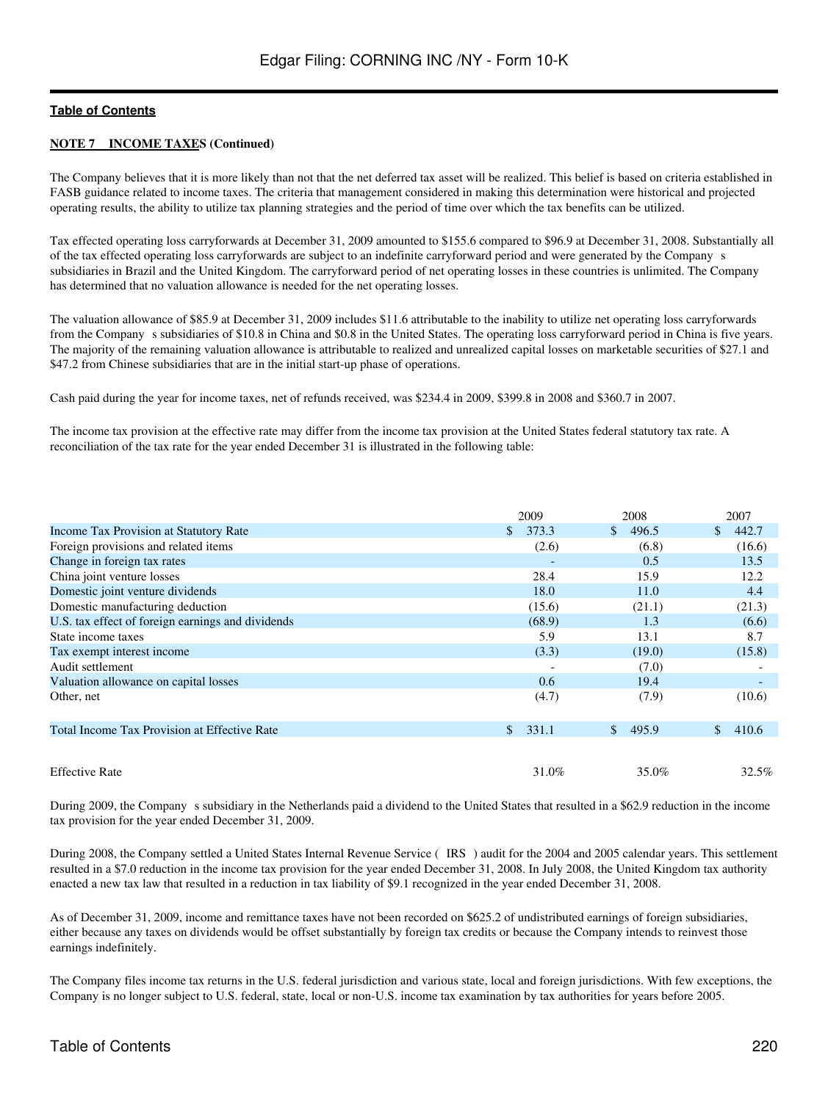## **NOTE 7 INCOME TAXES (Continued)**

The Company believes that it is more likely than not that the net deferred tax asset will be realized. This belief is based on criteria established in FASB guidance related to income taxes. The criteria that management considered in making this determination were historical and projected operating results, the ability to utilize tax planning strategies and the period of time over which the tax benefits can be utilized.

Tax effected operating loss carryforwards at December 31, 2009 amounted to \$155.6 compared to \$96.9 at December 31, 2008. Substantially all of the tax effected operating loss carryforwards are subject to an indefinite carryforward period and were generated by the Companys subsidiaries in Brazil and the United Kingdom. The carryforward period of net operating losses in these countries is unlimited. The Company has determined that no valuation allowance is needed for the net operating losses.

The valuation allowance of \$85.9 at December 31, 2009 includes \$11.6 attributable to the inability to utilize net operating loss carryforwards from the Company s subsidiaries of \$10.8 in China and \$0.8 in the United States. The operating loss carryforward period in China is five years. The majority of the remaining valuation allowance is attributable to realized and unrealized capital losses on marketable securities of \$27.1 and \$47.2 from Chinese subsidiaries that are in the initial start-up phase of operations.

Cash paid during the year for income taxes, net of refunds received, was \$234.4 in 2009, \$399.8 in 2008 and \$360.7 in 2007.

The income tax provision at the effective rate may differ from the income tax provision at the United States federal statutory tax rate. A reconciliation of the tax rate for the year ended December 31 is illustrated in the following table:

|                                                   | 2009         | 2008                   | 2007                  |
|---------------------------------------------------|--------------|------------------------|-----------------------|
| Income Tax Provision at Statutory Rate            | 373.3<br>\$  | $\mathcal{S}$<br>496.5 | $\mathbb{S}$<br>442.7 |
| Foreign provisions and related items              | (2.6)        | (6.8)                  | (16.6)                |
| Change in foreign tax rates                       |              | 0.5                    | 13.5                  |
| China joint venture losses                        | 28.4         | 15.9                   | 12.2                  |
| Domestic joint venture dividends                  | 18.0         | 11.0                   | 4.4                   |
| Domestic manufacturing deduction                  | (15.6)       | (21.1)                 | (21.3)                |
| U.S. tax effect of foreign earnings and dividends | (68.9)       | 1.3                    | (6.6)                 |
| State income taxes                                | 5.9          | 13.1                   | 8.7                   |
| Tax exempt interest income                        | (3.3)        | (19.0)                 | (15.8)                |
| Audit settlement                                  |              | (7.0)                  |                       |
| Valuation allowance on capital losses             | 0.6          | 19.4                   |                       |
| Other, net                                        | (4.7)        | (7.9)                  | (10.6)                |
| Total Income Tax Provision at Effective Rate      | 331.1<br>\$. | $\mathcal{S}$<br>495.9 | \$<br>410.6           |
| <b>Effective Rate</b>                             | 31.0%        | 35.0%                  | 32.5%                 |

During 2009, the Company s subsidiary in the Netherlands paid a dividend to the United States that resulted in a \$62.9 reduction in the income tax provision for the year ended December 31, 2009.

During 2008, the Company settled a United States Internal Revenue Service (IRS ) audit for the 2004 and 2005 calendar years. This settlement resulted in a \$7.0 reduction in the income tax provision for the year ended December 31, 2008. In July 2008, the United Kingdom tax authority enacted a new tax law that resulted in a reduction in tax liability of \$9.1 recognized in the year ended December 31, 2008.

As of December 31, 2009, income and remittance taxes have not been recorded on \$625.2 of undistributed earnings of foreign subsidiaries, either because any taxes on dividends would be offset substantially by foreign tax credits or because the Company intends to reinvest those earnings indefinitely.

The Company files income tax returns in the U.S. federal jurisdiction and various state, local and foreign jurisdictions. With few exceptions, the Company is no longer subject to U.S. federal, state, local or non-U.S. income tax examination by tax authorities for years before 2005.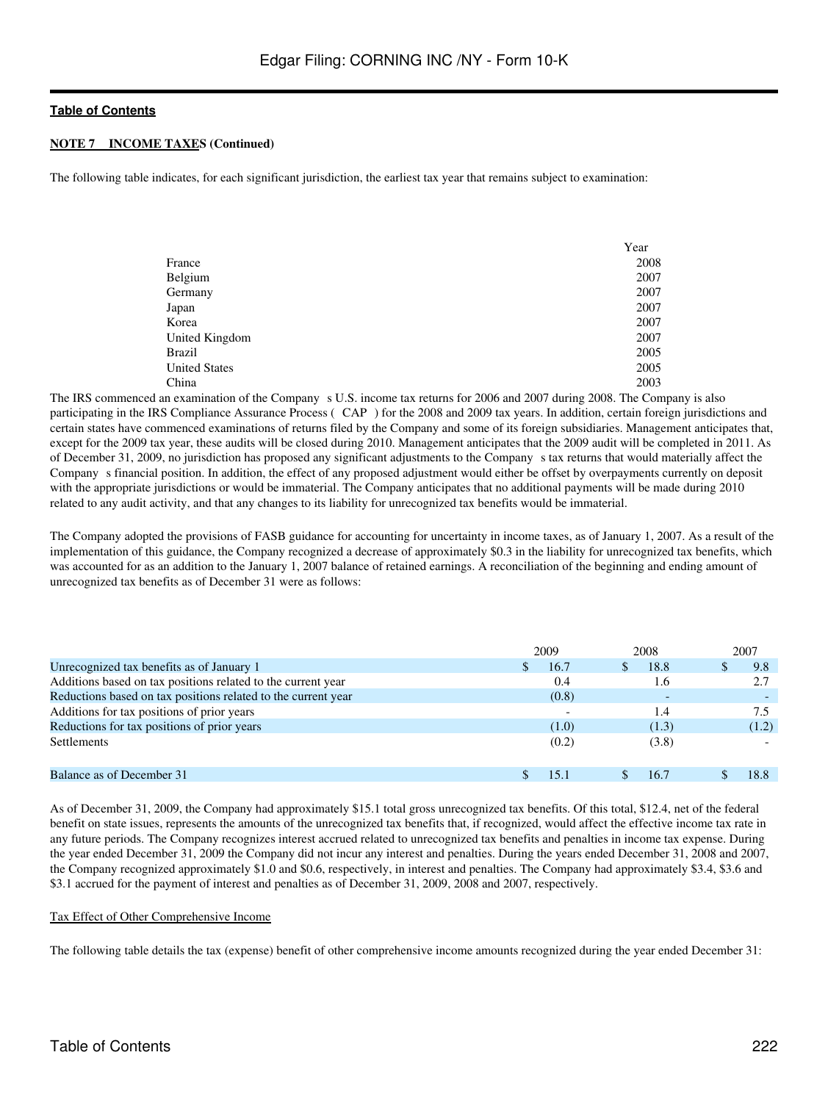## **NOTE 7 INCOME TAXES (Continued)**

The following table indicates, for each significant jurisdiction, the earliest tax year that remains subject to examination:

|                      | Year |
|----------------------|------|
| France               | 2008 |
| Belgium              | 2007 |
| Germany              | 2007 |
| Japan                | 2007 |
| Korea                | 2007 |
| United Kingdom       | 2007 |
| <b>Brazil</b>        | 2005 |
| <b>United States</b> | 2005 |
| China                | 2003 |

The IRS commenced an examination of the Company s U.S. income tax returns for 2006 and 2007 during 2008. The Company is also participating in the IRS Compliance Assurance Process (CAP) for the 2008 and 2009 tax years. In addition, certain foreign jurisdictions and certain states have commenced examinations of returns filed by the Company and some of its foreign subsidiaries. Management anticipates that, except for the 2009 tax year, these audits will be closed during 2010. Management anticipates that the 2009 audit will be completed in 2011. As of December 31, 2009, no jurisdiction has proposed any significant adjustments to the Companys tax returns that would materially affect the Companys financial position. In addition, the effect of any proposed adjustment would either be offset by overpayments currently on deposit with the appropriate jurisdictions or would be immaterial. The Company anticipates that no additional payments will be made during 2010 related to any audit activity, and that any changes to its liability for unrecognized tax benefits would be immaterial.

The Company adopted the provisions of FASB guidance for accounting for uncertainty in income taxes, as of January 1, 2007. As a result of the implementation of this guidance, the Company recognized a decrease of approximately \$0.3 in the liability for unrecognized tax benefits, which was accounted for as an addition to the January 1, 2007 balance of retained earnings. A reconciliation of the beginning and ending amount of unrecognized tax benefits as of December 31 were as follows:

|                                                               | 2009  | 2008  | 2007  |
|---------------------------------------------------------------|-------|-------|-------|
| Unrecognized tax benefits as of January 1                     | 16.7  | 18.8  | 9.8   |
| Additions based on tax positions related to the current year  | 0.4   | 1.6   |       |
| Reductions based on tax positions related to the current year | (0.8) |       |       |
| Additions for tax positions of prior years                    |       | 1.4   | 7.5   |
| Reductions for tax positions of prior years                   | (1.0) | (1.3) | (1.2) |
| <b>Settlements</b>                                            | (0.2) | (3.8) |       |
|                                                               |       |       |       |
| Balance as of December 31                                     |       | 16.7  |       |

As of December 31, 2009, the Company had approximately \$15.1 total gross unrecognized tax benefits. Of this total, \$12.4, net of the federal benefit on state issues, represents the amounts of the unrecognized tax benefits that, if recognized, would affect the effective income tax rate in any future periods. The Company recognizes interest accrued related to unrecognized tax benefits and penalties in income tax expense. During the year ended December 31, 2009 the Company did not incur any interest and penalties. During the years ended December 31, 2008 and 2007, the Company recognized approximately \$1.0 and \$0.6, respectively, in interest and penalties. The Company had approximately \$3.4, \$3.6 and \$3.1 accrued for the payment of interest and penalties as of December 31, 2009, 2008 and 2007, respectively.

## Tax Effect of Other Comprehensive Income

The following table details the tax (expense) benefit of other comprehensive income amounts recognized during the year ended December 31: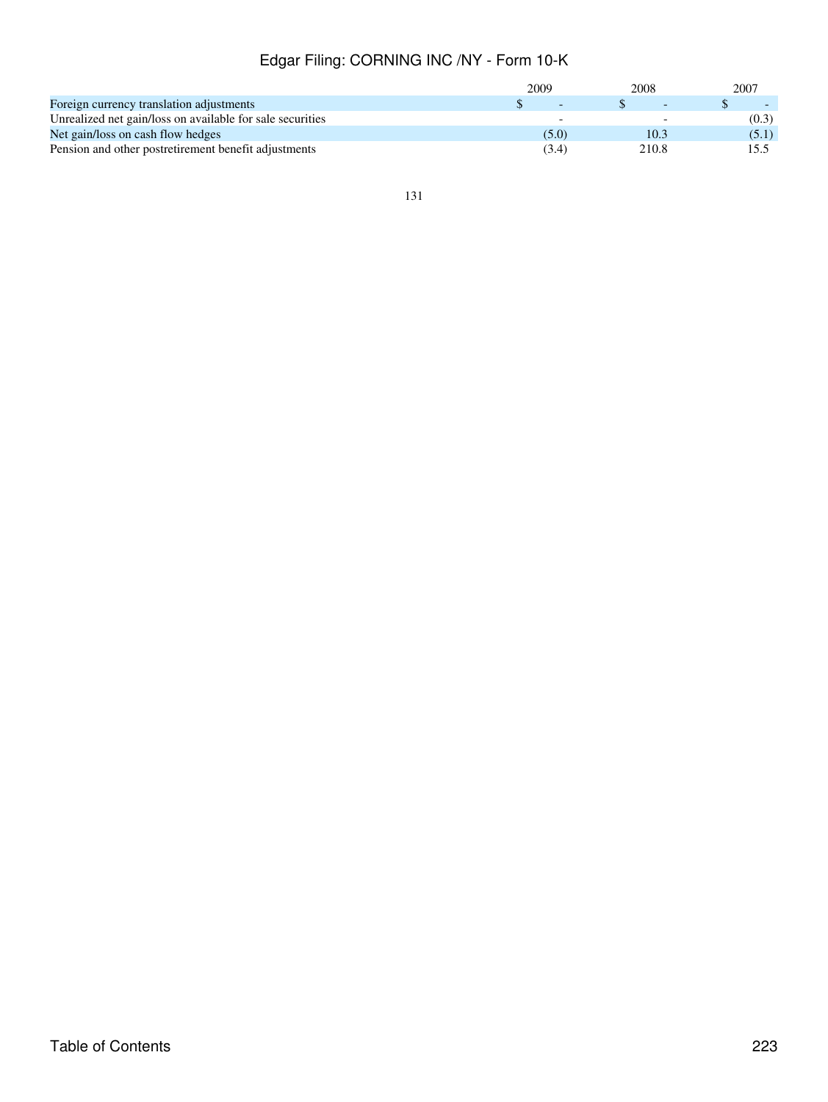|                                                           | 2009  |       | 2008  |                          | 2007 |       |
|-----------------------------------------------------------|-------|-------|-------|--------------------------|------|-------|
| Foreign currency translation adjustments                  |       |       |       | $\overline{\phantom{0}}$ |      |       |
| Unrealized net gain/loss on available for sale securities |       | -     |       |                          |      | (0.3) |
| Net gain/loss on cash flow hedges                         | (5.0) |       | 10.3  |                          |      | (5.1) |
| Pension and other postretirement benefit adjustments      |       | (3.4) | 210.8 |                          |      |       |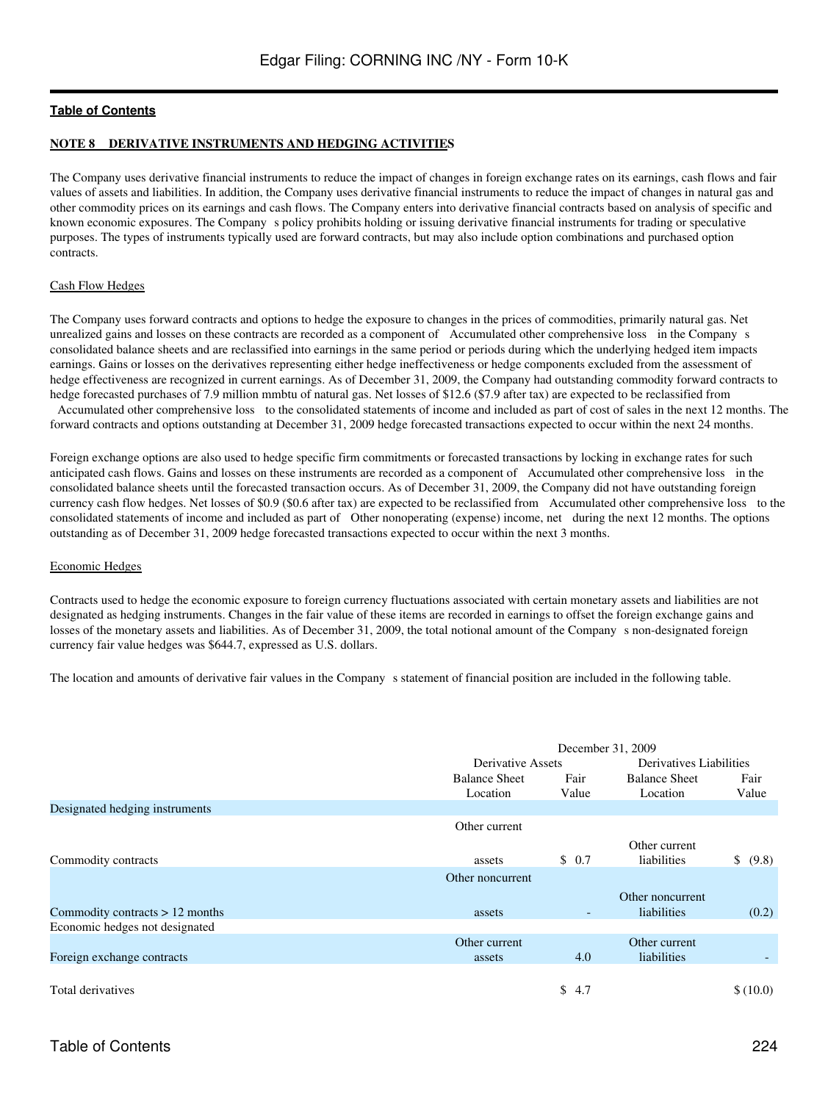## **NOTE 8 DERIVATIVE INSTRUMENTS AND HEDGING ACTIVITIES**

The Company uses derivative financial instruments to reduce the impact of changes in foreign exchange rates on its earnings, cash flows and fair values of assets and liabilities. In addition, the Company uses derivative financial instruments to reduce the impact of changes in natural gas and other commodity prices on its earnings and cash flows. The Company enters into derivative financial contracts based on analysis of specific and known economic exposures. The Company s policy prohibits holding or issuing derivative financial instruments for trading or speculative purposes. The types of instruments typically used are forward contracts, but may also include option combinations and purchased option contracts.

## Cash Flow Hedges

The Company uses forward contracts and options to hedge the exposure to changes in the prices of commodities, primarily natural gas. Net unrealized gains and losses on these contracts are recorded as a component of Accumulated other comprehensive loss in the Companys consolidated balance sheets and are reclassified into earnings in the same period or periods during which the underlying hedged item impacts earnings. Gains or losses on the derivatives representing either hedge ineffectiveness or hedge components excluded from the assessment of hedge effectiveness are recognized in current earnings. As of December 31, 2009, the Company had outstanding commodity forward contracts to hedge forecasted purchases of 7.9 million mmbtu of natural gas. Net losses of \$12.6 (\$7.9 after tax) are expected to be reclassified from Accumulated other comprehensive loss to the consolidated statements of income and included as part of cost of sales in the next 12 months. The

forward contracts and options outstanding at December 31, 2009 hedge forecasted transactions expected to occur within the next 24 months.

Foreign exchange options are also used to hedge specific firm commitments or forecasted transactions by locking in exchange rates for such anticipated cash flows. Gains and losses on these instruments are recorded as a component of Accumulated other comprehensive loss in the consolidated balance sheets until the forecasted transaction occurs. As of December 31, 2009, the Company did not have outstanding foreign currency cash flow hedges. Net losses of \$0.9 (\$0.6 after tax) are expected to be reclassified from Accumulated other comprehensive loss to the consolidated statements of income and included as part of Other nonoperating (expense) income, net during the next 12 months. The options outstanding as of December 31, 2009 hedge forecasted transactions expected to occur within the next 3 months.

## Economic Hedges

Contracts used to hedge the economic exposure to foreign currency fluctuations associated with certain monetary assets and liabilities are not designated as hedging instruments. Changes in the fair value of these items are recorded in earnings to offset the foreign exchange gains and losses of the monetary assets and liabilities. As of December 31, 2009, the total notional amount of the Company s non-designated foreign currency fair value hedges was \$644.7, expressed as U.S. dollars.

The location and amounts of derivative fair values in the Company s statement of financial position are included in the following table.

|                                   | December 31, 2009    |           |                         |                       |  |
|-----------------------------------|----------------------|-----------|-------------------------|-----------------------|--|
|                                   | Derivative Assets    |           | Derivatives Liabilities |                       |  |
|                                   | <b>Balance Sheet</b> | Fair      | <b>Balance Sheet</b>    | Fair                  |  |
|                                   | Location             | Value     | Location                | Value                 |  |
| Designated hedging instruments    |                      |           |                         |                       |  |
|                                   | Other current        |           |                         |                       |  |
|                                   |                      |           | Other current           |                       |  |
| Commodity contracts               | assets               | \$0.7     | liabilities             | $\mathbb{S}$<br>(9.8) |  |
|                                   | Other noncurrent     |           |                         |                       |  |
|                                   |                      |           | Other noncurrent        |                       |  |
| Commodity contracts $> 12$ months | assets               | -         | liabilities             | (0.2)                 |  |
| Economic hedges not designated    |                      |           |                         |                       |  |
|                                   | Other current        |           | Other current           |                       |  |
| Foreign exchange contracts        | assets               | 4.0       | liabilities             |                       |  |
|                                   |                      |           |                         |                       |  |
| Total derivatives                 |                      | \$<br>4.7 |                         | \$(10.0)              |  |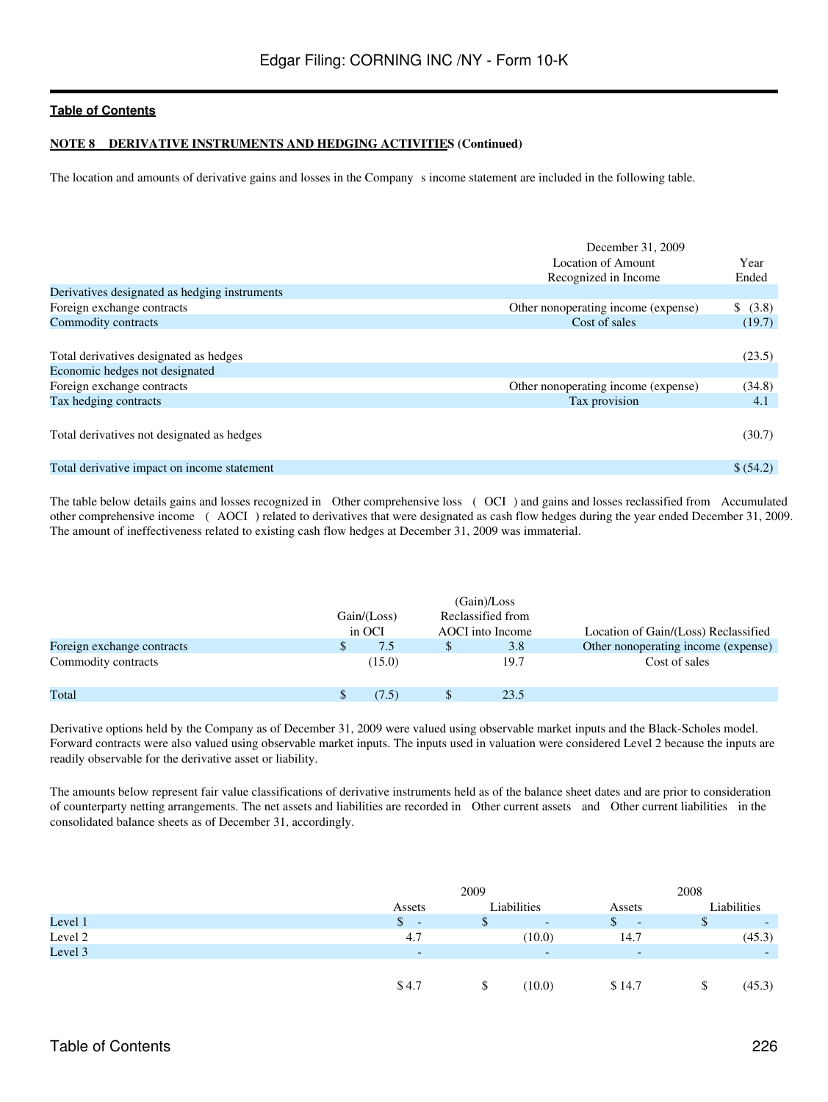## **NOTE 8 DERIVATIVE INSTRUMENTS AND HEDGING ACTIVITIES (Continued)**

The location and amounts of derivative gains and losses in the Company s income statement are included in the following table.

|                                               | December 31, 2009                   |           |
|-----------------------------------------------|-------------------------------------|-----------|
|                                               | Location of Amount                  | Year      |
|                                               | Recognized in Income                | Ended     |
| Derivatives designated as hedging instruments |                                     |           |
| Foreign exchange contracts                    | Other nonoperating income (expense) | \$ (3.8)  |
| Commodity contracts                           | Cost of sales                       | (19.7)    |
|                                               |                                     |           |
| Total derivatives designated as hedges        |                                     | (23.5)    |
| Economic hedges not designated                |                                     |           |
| Foreign exchange contracts                    | Other nonoperating income (expense) | (34.8)    |
| Tax hedging contracts                         | Tax provision                       | 4.1       |
|                                               |                                     |           |
| Total derivatives not designated as hedges    |                                     | (30.7)    |
|                                               |                                     |           |
| Total derivative impact on income statement   |                                     | \$ (54.2) |

The table below details gains and losses recognized in Other comprehensive loss (OCI) and gains and losses reclassified from Accumulated other comprehensive income (AOCI) related to derivatives that were designated as cash flow hedges during the year ended December 31, 2009. The amount of ineffectiveness related to existing cash flow hedges at December 31, 2009 was immaterial.

|                            | (Gain)/Loss<br>Gain / (Loss)<br>Reclassified from<br>in OCI<br>AOCI into Income |        |  | Location of Gain/(Loss) Reclassified |                                     |
|----------------------------|---------------------------------------------------------------------------------|--------|--|--------------------------------------|-------------------------------------|
| Foreign exchange contracts | \$                                                                              | 7.5    |  | 3.8                                  | Other nonoperating income (expense) |
| Commodity contracts        |                                                                                 | (15.0) |  | 19.7                                 | Cost of sales                       |
| Total                      |                                                                                 | (7.5)  |  | 23.5                                 |                                     |

Derivative options held by the Company as of December 31, 2009 were valued using observable market inputs and the Black-Scholes model. Forward contracts were also valued using observable market inputs. The inputs used in valuation were considered Level 2 because the inputs are readily observable for the derivative asset or liability.

The amounts below represent fair value classifications of derivative instruments held as of the balance sheet dates and are prior to consideration of counterparty netting arrangements. The net assets and liabilities are recorded in Other current assets and Other current liabilities in the consolidated balance sheets as of December 31, accordingly.

|         |                                 | 2009 |                          |                                          | 2008             |                          |
|---------|---------------------------------|------|--------------------------|------------------------------------------|------------------|--------------------------|
|         | Assets                          |      | Liabilities              | Assets                                   |                  | Liabilities              |
| Level 1 | \$.<br>$\overline{\phantom{0}}$ | D    | $\overline{\phantom{0}}$ | $\mathbb{S}$<br>$\overline{\phantom{a}}$ | $\triangle$<br>ъ | $\overline{\phantom{0}}$ |
| Level 2 | 4.7                             |      | (10.0)                   | 14.7                                     |                  | (45.3)                   |
| Level 3 | $\overline{\phantom{a}}$        |      |                          | $\overline{\phantom{0}}$                 |                  |                          |
|         |                                 |      |                          |                                          |                  |                          |
|         | \$4.7                           |      | (10.0)                   | \$14.7                                   | \$               | (45.3)                   |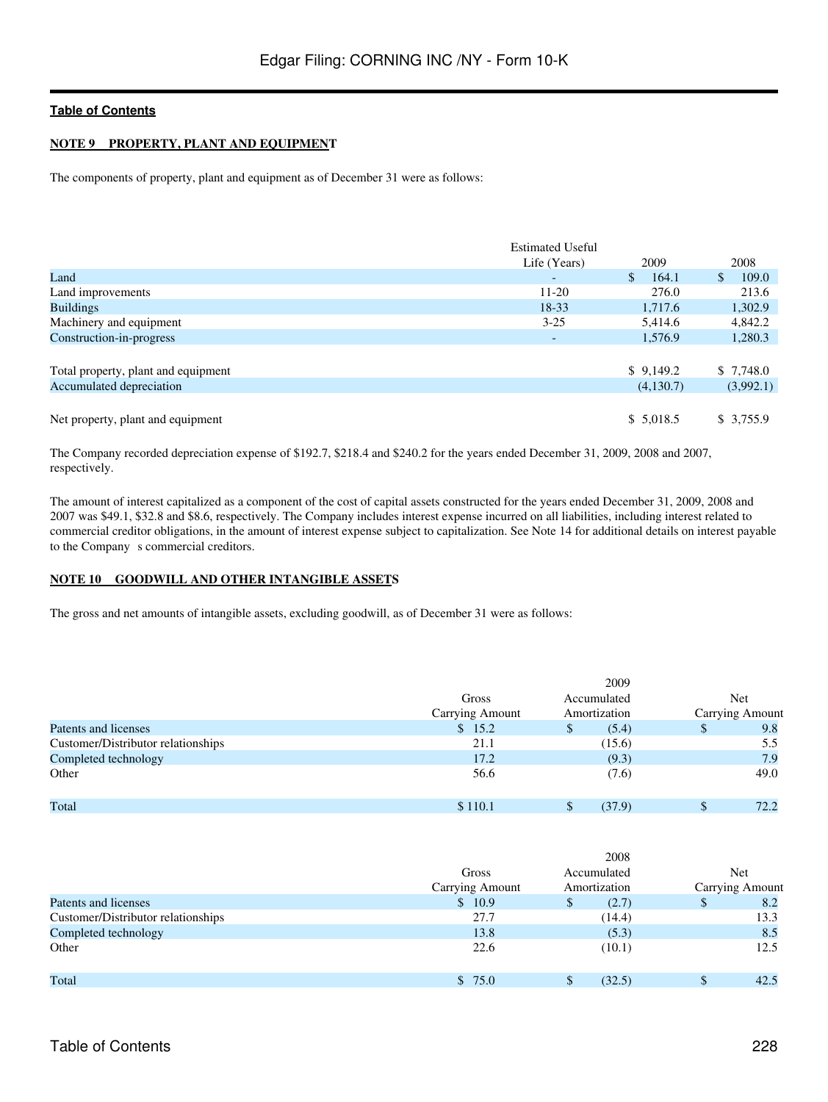## **NOTE 9 PROPERTY, PLANT AND EQUIPMENT**

The components of property, plant and equipment as of December 31 were as follows:

|                                     | <b>Estimated Useful</b> |              |             |
|-------------------------------------|-------------------------|--------------|-------------|
|                                     | Life (Years)            | 2009         | 2008        |
| Land                                |                         | 164.1<br>\$. | 109.0<br>\$ |
| Land improvements                   | $11-20$                 | 276.0        | 213.6       |
| <b>Buildings</b>                    | 18-33                   | 1,717.6      | 1,302.9     |
| Machinery and equipment             | $3 - 25$                | 5,414.6      | 4,842.2     |
| Construction-in-progress            |                         | 1,576.9      | 1,280.3     |
|                                     |                         |              |             |
| Total property, plant and equipment |                         | \$9,149.2    | \$7,748.0   |
| Accumulated depreciation            |                         | (4,130.7)    | (3,992.1)   |
|                                     |                         |              |             |
| Net property, plant and equipment   |                         | \$5,018.5    | \$3,755.9   |

The Company recorded depreciation expense of \$192.7, \$218.4 and \$240.2 for the years ended December 31, 2009, 2008 and 2007, respectively.

The amount of interest capitalized as a component of the cost of capital assets constructed for the years ended December 31, 2009, 2008 and 2007 was \$49.1, \$32.8 and \$8.6, respectively. The Company includes interest expense incurred on all liabilities, including interest related to commercial creditor obligations, in the amount of interest expense subject to capitalization. See Note 14 for additional details on interest payable to the Company s commercial creditors.

## **NOTE 10 GOODWILL AND OTHER INTANGIBLE ASSETS**

The gross and net amounts of intangible assets, excluding goodwill, as of December 31 were as follows:

|                                    |                 | 2009         |  |                        |  |
|------------------------------------|-----------------|--------------|--|------------------------|--|
|                                    | Gross           | Accumulated  |  | Net                    |  |
|                                    | Carrying Amount | Amortization |  | <b>Carrying Amount</b> |  |
| Patents and licenses               | \$15.2          | (5.4)        |  | 9.8                    |  |
| Customer/Distributor relationships | 21.1            | (15.6)       |  | 5.5                    |  |
| Completed technology               | 17.2            | (9.3)        |  | 7.9                    |  |
| Other                              | 56.6            | (7.6)        |  | 49.0                   |  |
|                                    |                 |              |  |                        |  |
| Total                              | \$110.1         | (37.9)       |  | 72.2                   |  |

|                                    |                 |              | 2008   |                        |
|------------------------------------|-----------------|--------------|--------|------------------------|
|                                    | Gross           | Accumulated  |        | <b>Net</b>             |
|                                    | Carrying Amount | Amortization |        | <b>Carrying Amount</b> |
| Patents and licenses               | \$10.9          |              | (2.7)  | \$<br>8.2              |
| Customer/Distributor relationships | 27.7            |              | (14.4) | 13.3                   |
| Completed technology               | 13.8            |              | (5.3)  | 8.5                    |
| Other                              | 22.6            |              | (10.1) | 12.5                   |
|                                    |                 |              |        |                        |
| Total                              | \$75.0          |              | (32.5) | 42.5                   |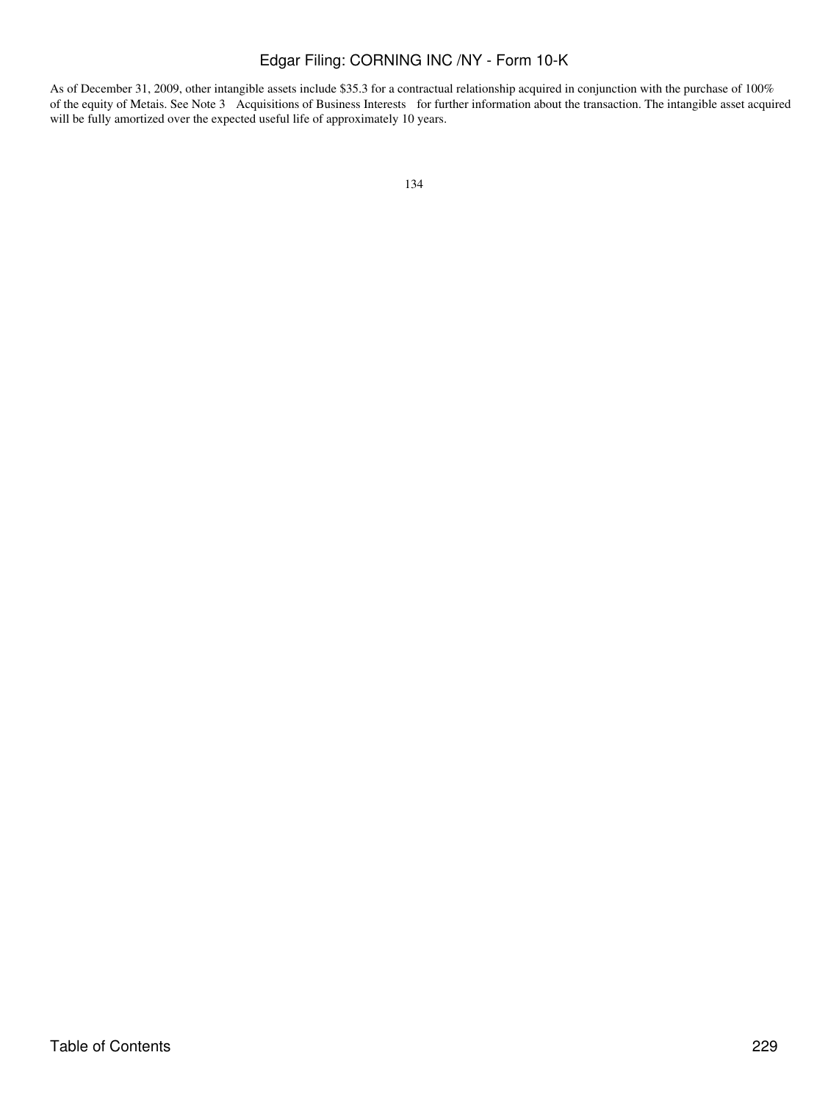As of December 31, 2009, other intangible assets include \$35.3 for a contractual relationship acquired in conjunction with the purchase of 100% of the equity of Metais. See Note 3 Acquisitions of Business Interests for further information about the transaction. The intangible asset acquired will be fully amortized over the expected useful life of approximately 10 years.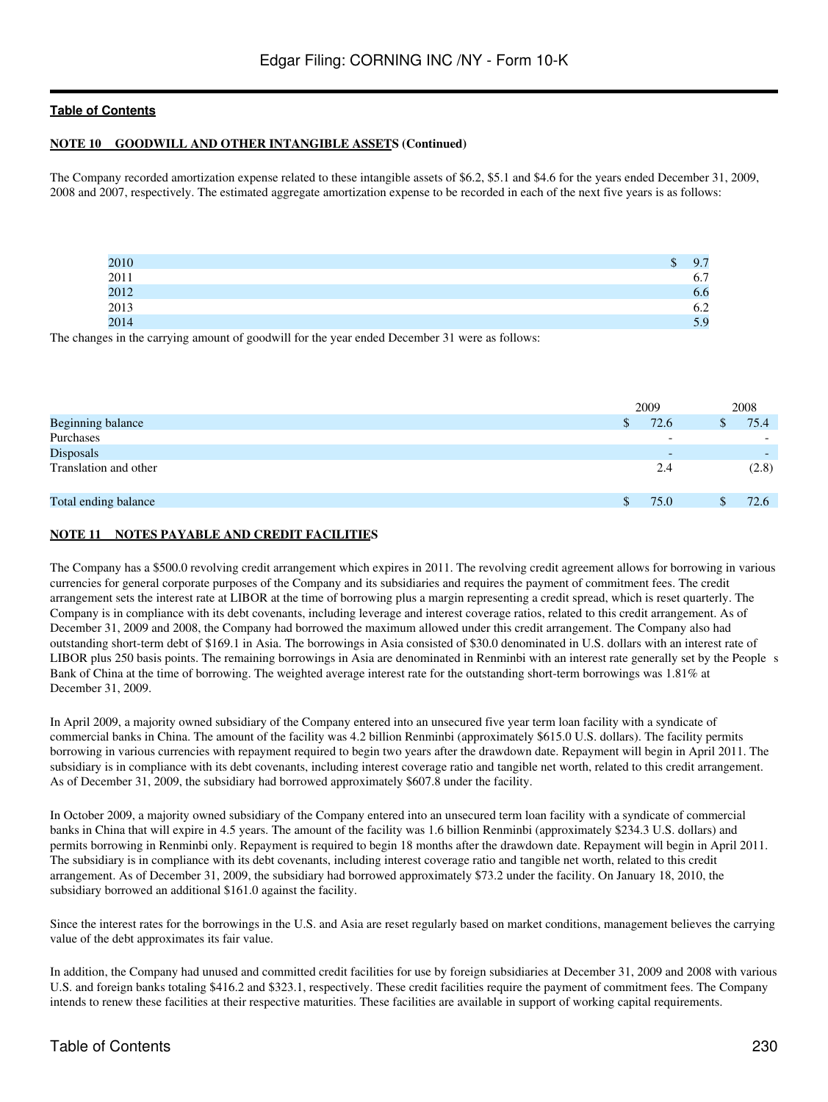## **NOTE 10 GOODWILL AND OTHER INTANGIBLE ASSETS (Continued)**

The Company recorded amortization expense related to these intangible assets of \$6.2, \$5.1 and \$4.6 for the years ended December 31, 2009, 2008 and 2007, respectively. The estimated aggregate amortization expense to be recorded in each of the next five years is as follows:

| 2010 | \$<br>9.7 |
|------|-----------|
| 2011 | 6.7       |
| 2012 | 6.6       |
| 2013 | 6.2       |
| 2014 | 5.9       |

The changes in the carrying amount of goodwill for the year ended December 31 were as follows:

|                       | 2009 | 2008                     |
|-----------------------|------|--------------------------|
| Beginning balance     | 72.6 | 75.4                     |
| Purchases             |      |                          |
| Disposals             |      | $\overline{\phantom{0}}$ |
| Translation and other | 2.4  | (2.8)                    |
| Total ending balance  | 75.0 | 72.6                     |

## **NOTE 11 NOTES PAYABLE AND CREDIT FACILITIES**

The Company has a \$500.0 revolving credit arrangement which expires in 2011. The revolving credit agreement allows for borrowing in various currencies for general corporate purposes of the Company and its subsidiaries and requires the payment of commitment fees. The credit arrangement sets the interest rate at LIBOR at the time of borrowing plus a margin representing a credit spread, which is reset quarterly. The Company is in compliance with its debt covenants, including leverage and interest coverage ratios, related to this credit arrangement. As of December 31, 2009 and 2008, the Company had borrowed the maximum allowed under this credit arrangement. The Company also had outstanding short-term debt of \$169.1 in Asia. The borrowings in Asia consisted of \$30.0 denominated in U.S. dollars with an interest rate of LIBOR plus 250 basis points. The remaining borrowings in Asia are denominated in Renminbi with an interest rate generally set by the People s Bank of China at the time of borrowing. The weighted average interest rate for the outstanding short-term borrowings was 1.81% at December 31, 2009.

In April 2009, a majority owned subsidiary of the Company entered into an unsecured five year term loan facility with a syndicate of commercial banks in China. The amount of the facility was 4.2 billion Renminbi (approximately \$615.0 U.S. dollars). The facility permits borrowing in various currencies with repayment required to begin two years after the drawdown date. Repayment will begin in April 2011. The subsidiary is in compliance with its debt covenants, including interest coverage ratio and tangible net worth, related to this credit arrangement. As of December 31, 2009, the subsidiary had borrowed approximately \$607.8 under the facility.

In October 2009, a majority owned subsidiary of the Company entered into an unsecured term loan facility with a syndicate of commercial banks in China that will expire in 4.5 years. The amount of the facility was 1.6 billion Renminbi (approximately \$234.3 U.S. dollars) and permits borrowing in Renminbi only. Repayment is required to begin 18 months after the drawdown date. Repayment will begin in April 2011. The subsidiary is in compliance with its debt covenants, including interest coverage ratio and tangible net worth, related to this credit arrangement. As of December 31, 2009, the subsidiary had borrowed approximately \$73.2 under the facility. On January 18, 2010, the subsidiary borrowed an additional \$161.0 against the facility.

Since the interest rates for the borrowings in the U.S. and Asia are reset regularly based on market conditions, management believes the carrying value of the debt approximates its fair value.

In addition, the Company had unused and committed credit facilities for use by foreign subsidiaries at December 31, 2009 and 2008 with various U.S. and foreign banks totaling \$416.2 and \$323.1, respectively. These credit facilities require the payment of commitment fees. The Company intends to renew these facilities at their respective maturities. These facilities are available in support of working capital requirements.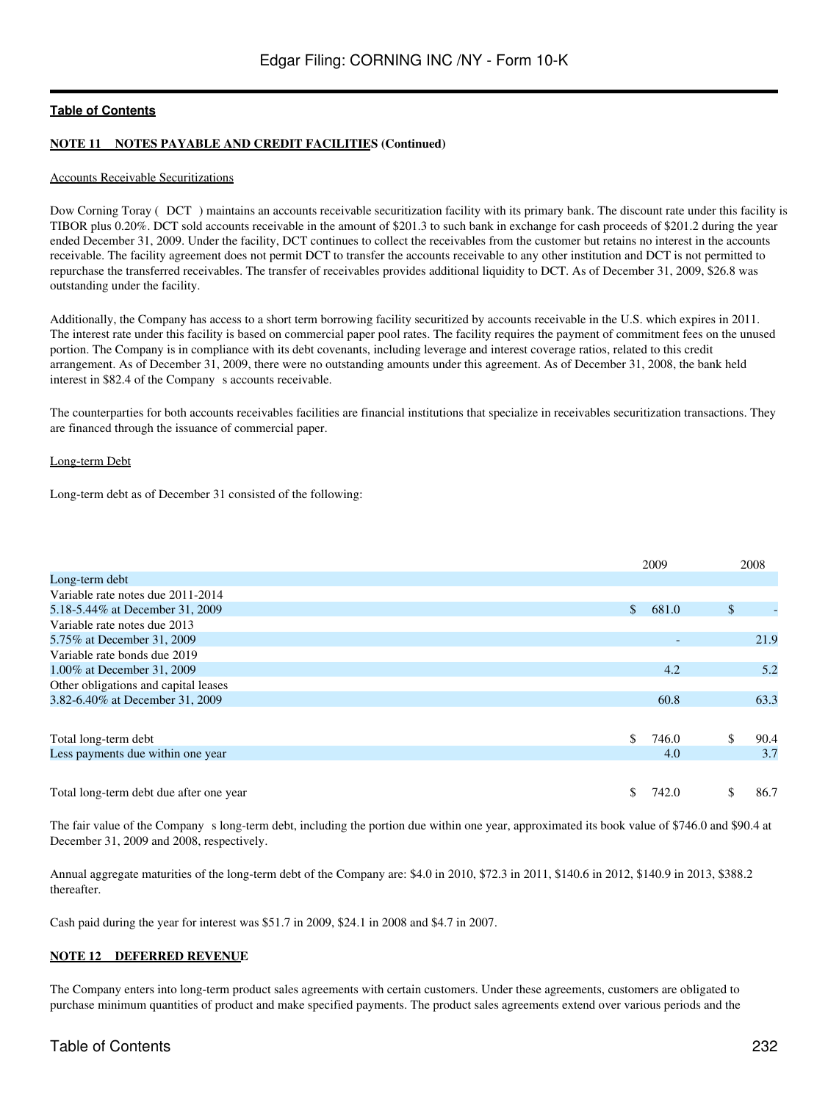## **NOTE 11 NOTES PAYABLE AND CREDIT FACILITIES (Continued)**

#### Accounts Receivable Securitizations

Dow Corning Toray (DCT) maintains an accounts receivable securitization facility with its primary bank. The discount rate under this facility is TIBOR plus 0.20%. DCT sold accounts receivable in the amount of \$201.3 to such bank in exchange for cash proceeds of \$201.2 during the year ended December 31, 2009. Under the facility, DCT continues to collect the receivables from the customer but retains no interest in the accounts receivable. The facility agreement does not permit DCT to transfer the accounts receivable to any other institution and DCT is not permitted to repurchase the transferred receivables. The transfer of receivables provides additional liquidity to DCT. As of December 31, 2009, \$26.8 was outstanding under the facility.

Additionally, the Company has access to a short term borrowing facility securitized by accounts receivable in the U.S. which expires in 2011. The interest rate under this facility is based on commercial paper pool rates. The facility requires the payment of commitment fees on the unused portion. The Company is in compliance with its debt covenants, including leverage and interest coverage ratios, related to this credit arrangement. As of December 31, 2009, there were no outstanding amounts under this agreement. As of December 31, 2008, the bank held interest in \$82.4 of the Company s accounts receivable.

The counterparties for both accounts receivables facilities are financial institutions that specialize in receivables securitization transactions. They are financed through the issuance of commercial paper.

#### Long-term Debt

Long-term debt as of December 31 consisted of the following:

|                                         | 2009         | 2008         |
|-----------------------------------------|--------------|--------------|
| Long-term debt                          |              |              |
| Variable rate notes due 2011-2014       |              |              |
| 5.18-5.44% at December 31, 2009         | \$.<br>681.0 | $\mathbb{S}$ |
| Variable rate notes due 2013            |              |              |
| 5.75% at December 31, 2009              |              | 21.9         |
| Variable rate bonds due 2019            |              |              |
| 1.00% at December 31, 2009              | 4.2          | 5.2          |
| Other obligations and capital leases    |              |              |
| 3.82-6.40% at December 31, 2009         | 60.8         | 63.3         |
|                                         |              |              |
| Total long-term debt                    | \$<br>746.0  | \$<br>90.4   |
| Less payments due within one year       | 4.0          | 3.7          |
|                                         |              |              |
| Total long-term debt due after one year | 742.0        | 86.7         |

The fair value of the Company s long-term debt, including the portion due within one year, approximated its book value of \$746.0 and \$90.4 at December 31, 2009 and 2008, respectively.

Annual aggregate maturities of the long-term debt of the Company are: \$4.0 in 2010, \$72.3 in 2011, \$140.6 in 2012, \$140.9 in 2013, \$388.2 thereafter.

Cash paid during the year for interest was \$51.7 in 2009, \$24.1 in 2008 and \$4.7 in 2007.

## **NOTE 12 DEFERRED REVENUE**

The Company enters into long-term product sales agreements with certain customers. Under these agreements, customers are obligated to purchase minimum quantities of product and make specified payments. The product sales agreements extend over various periods and the

## Table of Contents 232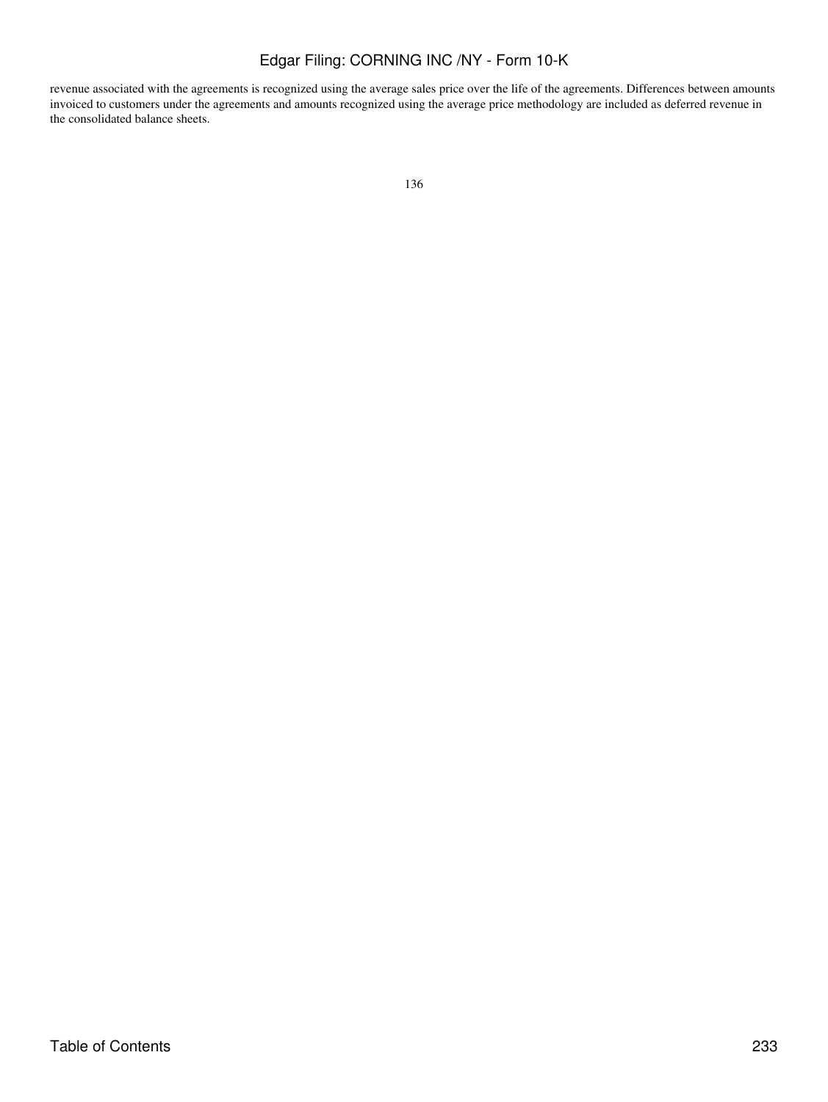revenue associated with the agreements is recognized using the average sales price over the life of the agreements. Differences between amounts invoiced to customers under the agreements and amounts recognized using the average price methodology are included as deferred revenue in the consolidated balance sheets.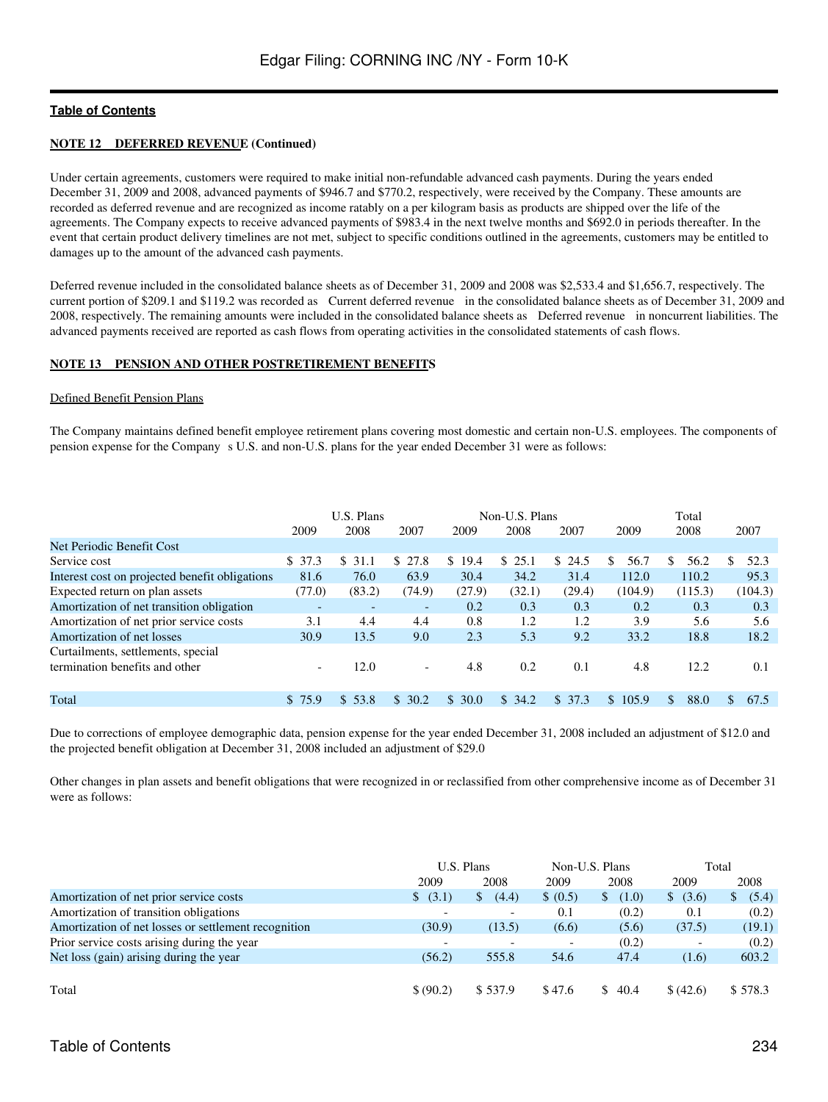## **NOTE 12 DEFERRED REVENUE (Continued)**

Under certain agreements, customers were required to make initial non-refundable advanced cash payments. During the years ended December 31, 2009 and 2008, advanced payments of \$946.7 and \$770.2, respectively, were received by the Company. These amounts are recorded as deferred revenue and are recognized as income ratably on a per kilogram basis as products are shipped over the life of the agreements. The Company expects to receive advanced payments of \$983.4 in the next twelve months and \$692.0 in periods thereafter. In the event that certain product delivery timelines are not met, subject to specific conditions outlined in the agreements, customers may be entitled to damages up to the amount of the advanced cash payments.

Deferred revenue included in the consolidated balance sheets as of December 31, 2009 and 2008 was \$2,533.4 and \$1,656.7, respectively. The current portion of \$209.1 and \$119.2 was recorded as Current deferred revenue in the consolidated balance sheets as of December 31, 2009 and 2008, respectively. The remaining amounts were included in the consolidated balance sheets as Deferred revenue in noncurrent liabilities. The advanced payments received are reported as cash flows from operating activities in the consolidated statements of cash flows.

## **NOTE 13 PENSION AND OTHER POSTRETIREMENT BENEFITS**

#### Defined Benefit Pension Plans

The Company maintains defined benefit employee retirement plans covering most domestic and certain non-U.S. employees. The components of pension expense for the Companys U.S. and non-U.S. plans for the year ended December 31 were as follows:

|                                                |                          | U.S. Plans               |                          |        | Non-U.S. Plans |        |           | Total       |            |
|------------------------------------------------|--------------------------|--------------------------|--------------------------|--------|----------------|--------|-----------|-------------|------------|
|                                                | 2009                     | 2008                     | 2007                     | 2009   | 2008           | 2007   | 2009      | 2008        | 2007       |
| Net Periodic Benefit Cost                      |                          |                          |                          |        |                |        |           |             |            |
| Service cost                                   | \$37.3                   | \$31.1                   | \$27.8                   | \$19.4 | \$25.1         | \$24.5 | 56.7<br>S | 56.2<br>S.  | 52.3       |
| Interest cost on projected benefit obligations | 81.6                     | 76.0                     | 63.9                     | 30.4   | 34.2           | 31.4   | 112.0     | 110.2       | 95.3       |
| Expected return on plan assets                 | (77.0)                   | (83.2)                   | (74.9)                   | (27.9) | (32.1)         | (29.4) | (104.9)   | (115.3)     | (104.3)    |
| Amortization of net transition obligation      | $\overline{\phantom{0}}$ | $\overline{\phantom{a}}$ | $\overline{\phantom{a}}$ | 0.2    | 0.3            | 0.3    | 0.2       | 0.3         | 0.3        |
| Amortization of net prior service costs        | 3.1                      | 4.4                      | 4.4                      | 0.8    | 1.2            | 1.2    | 3.9       | 5.6         | 5.6        |
| Amortization of net losses                     | 30.9                     | 13.5                     | 9.0                      | 2.3    | 5.3            | 9.2    | 33.2      | 18.8        | 18.2       |
| Curtailments, settlements, special             |                          |                          |                          |        |                |        |           |             |            |
| termination benefits and other                 | $\overline{\phantom{0}}$ | 12.0                     | $\overline{\phantom{0}}$ | 4.8    | 0.2            | 0.1    | 4.8       | 12.2        | 0.1        |
|                                                |                          |                          |                          |        |                |        |           |             |            |
| Total                                          | \$75.9                   | \$53.8                   | \$30.2                   | \$30.0 | \$34.2         | \$37.3 | \$105.9   | 88.0<br>\$. | 67.5<br>S. |

Due to corrections of employee demographic data, pension expense for the year ended December 31, 2008 included an adjustment of \$12.0 and the projected benefit obligation at December 31, 2008 included an adjustment of \$29.0

Other changes in plan assets and benefit obligations that were recognized in or reclassified from other comprehensive income as of December 31 were as follows:

|                                                      | U.S. Plans               |                          | Non-U.S. Plans           |             | Total                    |             |
|------------------------------------------------------|--------------------------|--------------------------|--------------------------|-------------|--------------------------|-------------|
|                                                      | 2009                     | 2008                     | 2009                     | 2008        | 2009                     | 2008        |
| Amortization of net prior service costs              | \$ (3.1)                 | $\mathbb{S}$<br>(4.4)    | \$ (0.5)                 | (1.0)<br>\$ | (3.6)<br>S               | (5.4)<br>\$ |
| Amortization of transition obligations               |                          | $\overline{\phantom{a}}$ | 0.1                      | (0.2)       | 0.1                      | (0.2)       |
| Amortization of net losses or settlement recognition | (30.9)                   | (13.5)                   | (6.6)                    | (5.6)       | (37.5)                   | (19.1)      |
| Prior service costs arising during the year          | $\overline{\phantom{a}}$ | $\overline{\phantom{0}}$ | $\overline{\phantom{0}}$ | (0.2)       | $\overline{\phantom{0}}$ | (0.2)       |
| Net loss (gain) arising during the year              | (56.2)                   | 555.8                    | 54.6                     | 47.4        | (1.6)                    | 603.2       |
|                                                      |                          |                          |                          |             |                          |             |
| Total                                                | \$ (90.2)                | \$537.9                  | \$47.6                   | \$40.4      | \$(42.6)                 | \$578.3     |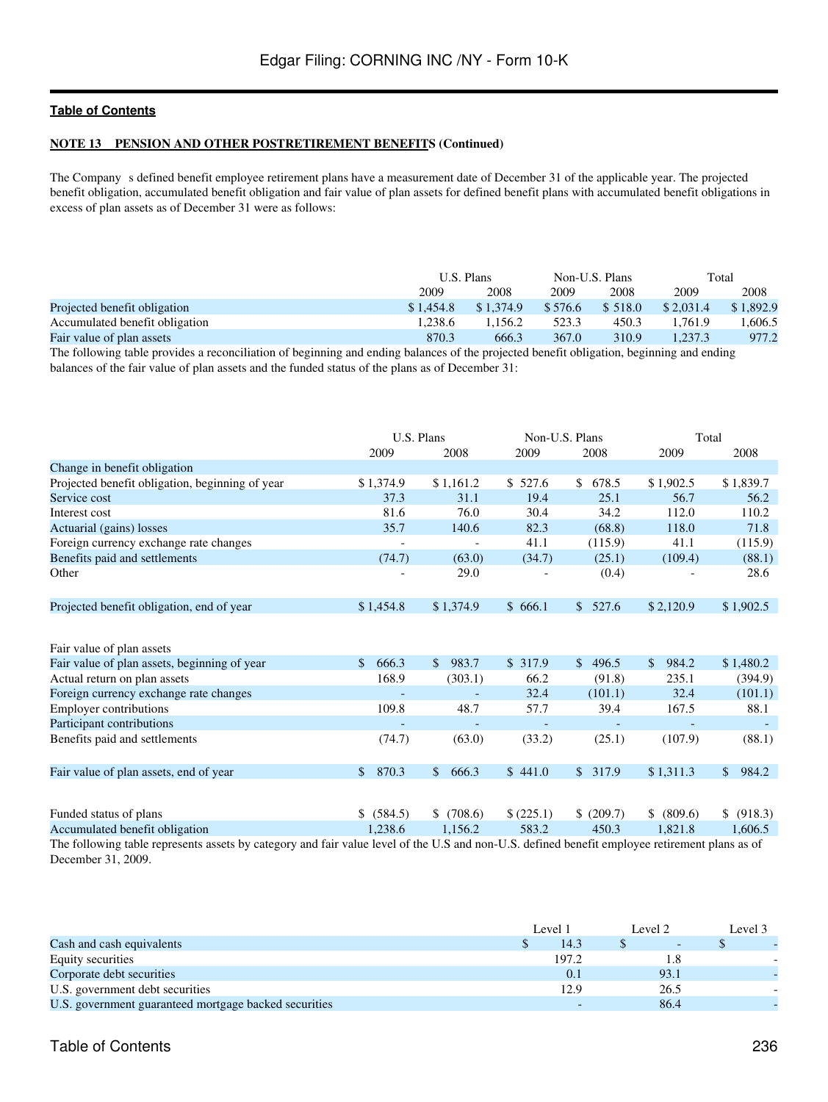## **NOTE 13 PENSION AND OTHER POSTRETIREMENT BENEFITS (Continued)**

The Company s defined benefit employee retirement plans have a measurement date of December 31 of the applicable year. The projected benefit obligation, accumulated benefit obligation and fair value of plan assets for defined benefit plans with accumulated benefit obligations in excess of plan assets as of December 31 were as follows:

|                                |           | U.S. Plans |         | Non-U.S. Plans |           | Total     |
|--------------------------------|-----------|------------|---------|----------------|-----------|-----------|
|                                | 2009      | 2008       | 2009    | 2008           | 2009      | 2008      |
| Projected benefit obligation   | \$1.454.8 | \$1,374.9  | \$576.6 | \$518.0        | \$2,031.4 | \$1,892.9 |
| Accumulated benefit obligation | 1.238.6   | 1.156.2    | 523.3   | 450.3          | 1.761.9   | .606.5    |
| Fair value of plan assets      | 870.3     | 666.3      | 367.0   | 310.9          | 1.237.3   | 977.2     |

The following table provides a reconciliation of beginning and ending balances of the projected benefit obligation, beginning and ending balances of the fair value of plan assets and the funded status of the plans as of December 31:

|                                                                                                                                                 | U.S. Plans            |                        | Non-U.S. Plans |             | Total       |              |
|-------------------------------------------------------------------------------------------------------------------------------------------------|-----------------------|------------------------|----------------|-------------|-------------|--------------|
|                                                                                                                                                 | 2009                  | 2008                   | 2009           | 2008        | 2009        | 2008         |
| Change in benefit obligation                                                                                                                    |                       |                        |                |             |             |              |
| Projected benefit obligation, beginning of year                                                                                                 | \$1,374.9             | \$1,161.2              | \$527.6        | 678.5<br>\$ | \$1,902.5   | \$1,839.7    |
| Service cost                                                                                                                                    | 37.3                  | 31.1                   | 19.4           | 25.1        | 56.7        | 56.2         |
| Interest cost                                                                                                                                   | 81.6                  | 76.0                   | 30.4           | 34.2        | 112.0       | 110.2        |
| Actuarial (gains) losses                                                                                                                        | 35.7                  | 140.6                  | 82.3           | (68.8)      | 118.0       | 71.8         |
| Foreign currency exchange rate changes                                                                                                          |                       |                        | 41.1           | (115.9)     | 41.1        | (115.9)      |
| Benefits paid and settlements                                                                                                                   | (74.7)                | (63.0)                 | (34.7)         | (25.1)      | (109.4)     | (88.1)       |
| Other                                                                                                                                           |                       | 29.0                   |                | (0.4)       |             | 28.6         |
|                                                                                                                                                 |                       |                        |                |             |             |              |
| Projected benefit obligation, end of year                                                                                                       | \$1,454.8             | \$1,374.9              | \$666.1        | \$527.6     | \$2,120.9   | \$1,902.5    |
|                                                                                                                                                 |                       |                        |                |             |             |              |
| Fair value of plan assets                                                                                                                       |                       |                        |                |             |             |              |
| Fair value of plan assets, beginning of year                                                                                                    | $\mathbb{S}$<br>666.3 | 983.7<br><sup>\$</sup> | \$317.9        | \$496.5     | 984.2<br>\$ | \$1,480.2    |
| Actual return on plan assets                                                                                                                    | 168.9                 | (303.1)                | 66.2           | (91.8)      | 235.1       | (394.9)      |
| Foreign currency exchange rate changes                                                                                                          |                       |                        | 32.4           | (101.1)     | 32.4        | (101.1)      |
| <b>Employer contributions</b>                                                                                                                   | 109.8                 | 48.7                   | 57.7           | 39.4        | 167.5       | 88.1         |
| Participant contributions                                                                                                                       |                       |                        |                |             |             |              |
| Benefits paid and settlements                                                                                                                   | (74.7)                | (63.0)                 | (33.2)         | (25.1)      | (107.9)     | (88.1)       |
|                                                                                                                                                 |                       |                        |                |             |             |              |
| Fair value of plan assets, end of year                                                                                                          | 870.3<br>$\mathbb{S}$ | 666.3<br>\$.           | \$441.0        | \$317.9     | \$1,311.3   | 984.2<br>\$. |
|                                                                                                                                                 |                       |                        |                |             |             |              |
| Funded status of plans                                                                                                                          | \$ (584.5)            | \$ (708.6)             | \$(225.1)      | \$ (209.7)  | \$ (809.6)  | \$ (918.3)   |
| Accumulated benefit obligation                                                                                                                  | 1.238.6               | 1,156.2                | 583.2          | 450.3       | 1.821.8     | 1,606.5      |
| The following table represents assets by estageny and fair value lavel of the U.S. and non U.S. defined benefit employee retirement plans as of |                       |                        |                |             |             |              |

The following table represents assets by category and fair value level of the U.S and non-U.S. defined benefit employee retirement plans as of December 31, 2009.

|                                                       |  | Level 1 |  | Level 2 |  | Level 3 |
|-------------------------------------------------------|--|---------|--|---------|--|---------|
| Cash and cash equivalents                             |  | 14.3    |  |         |  |         |
| Equity securities                                     |  | 197.2   |  |         |  |         |
| Corporate debt securities                             |  | (0.1)   |  | 93.1    |  |         |
| U.S. government debt securities                       |  | 12.9    |  | 26.5    |  |         |
| U.S. government guaranteed mortgage backed securities |  |         |  | 86.4    |  |         |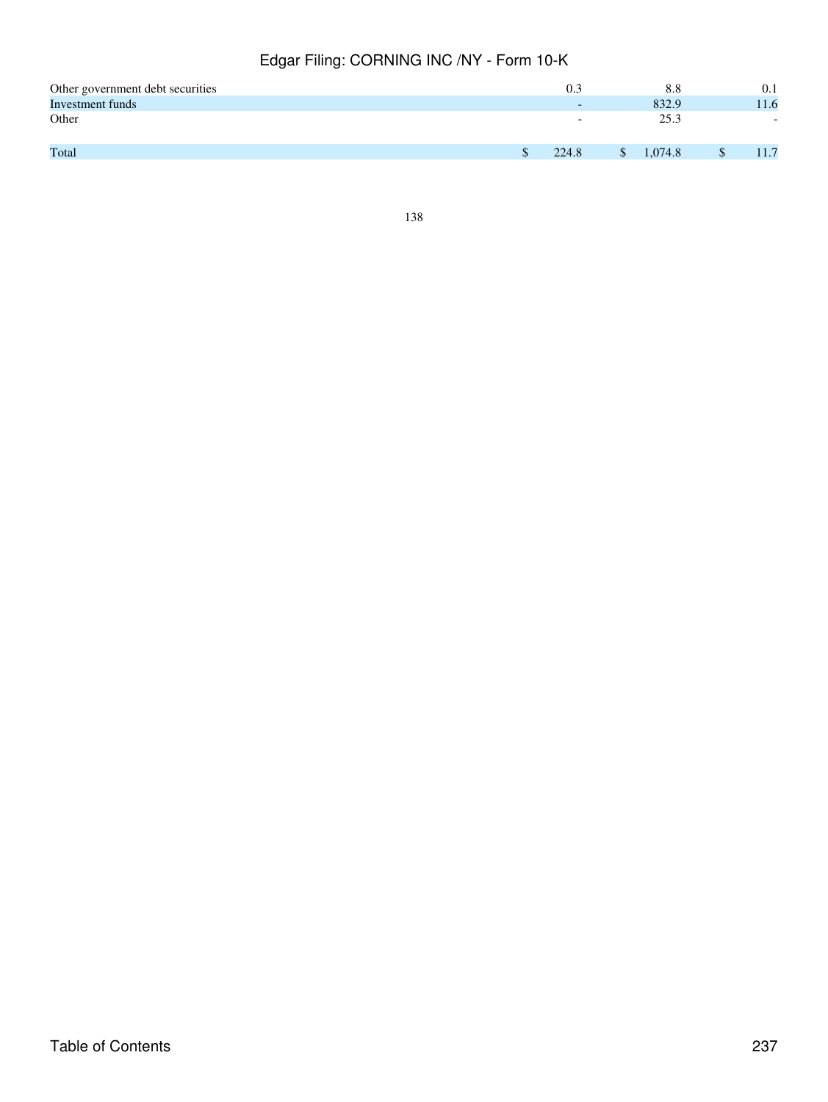| Other government debt securities |                          |               |         | 0.1  |
|----------------------------------|--------------------------|---------------|---------|------|
| Investment funds                 | -                        |               | 832.9   | 11.6 |
| Other                            | $\overline{\phantom{0}}$ |               | 25.3    |      |
| Total                            | 224.8                    | <sup>\$</sup> | 1.074.8 | 11.7 |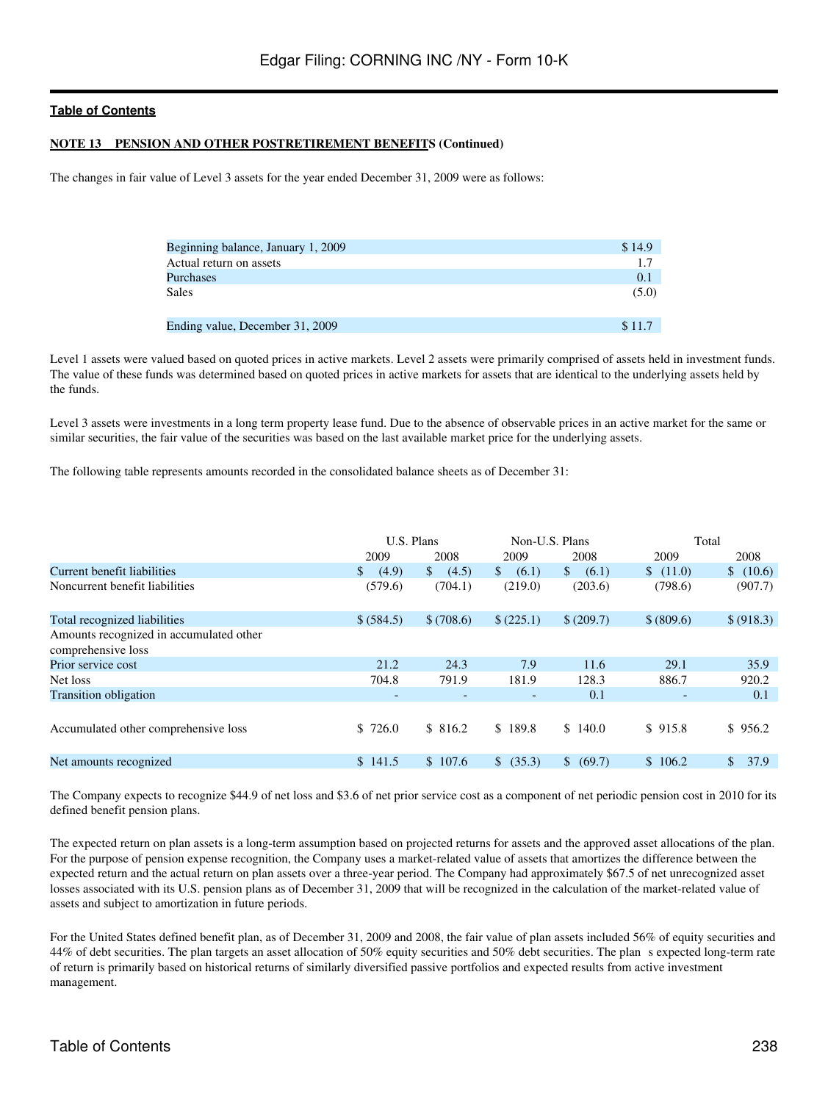## **NOTE 13 PENSION AND OTHER POSTRETIREMENT BENEFITS (Continued)**

The changes in fair value of Level 3 assets for the year ended December 31, 2009 were as follows:

| Beginning balance, January 1, 2009 | \$14.9 |
|------------------------------------|--------|
| Actual return on assets            | 1.7    |
| Purchases                          | 0.1    |
| <b>Sales</b>                       | (5.0)  |
|                                    |        |
| Ending value, December 31, 2009    | \$11.7 |

Level 1 assets were valued based on quoted prices in active markets. Level 2 assets were primarily comprised of assets held in investment funds. The value of these funds was determined based on quoted prices in active markets for assets that are identical to the underlying assets held by the funds.

Level 3 assets were investments in a long term property lease fund. Due to the absence of observable prices in an active market for the same or similar securities, the fair value of the securities was based on the last available market price for the underlying assets.

The following table represents amounts recorded in the consolidated balance sheets as of December 31:

|                                                               | U.S. Plans               |                          | Non-U.S. Plans          |                          | Total                    |                      |
|---------------------------------------------------------------|--------------------------|--------------------------|-------------------------|--------------------------|--------------------------|----------------------|
|                                                               | 2009                     | 2008                     | 2009                    | 2008                     | 2009                     | 2008                 |
| Current benefit liabilities                                   | $\mathbb{S}$<br>(4.9)    | (4.5)<br>$\mathbb{S}^-$  | (6.1)<br>$\mathbb{S}^-$ | (6.1)<br>$\mathbb{S}^-$  | \$(11.0)                 | (10.6)               |
| Noncurrent benefit liabilities                                | (579.6)                  | (704.1)                  | (219.0)                 | (203.6)                  | (798.6)                  | (907.7)              |
| Total recognized liabilities                                  | \$ (584.5)               | \$(708.6)                | \$(225.1)               | \$ (209.7)               | \$ (809.6)               | \$ (918.3)           |
| Amounts recognized in accumulated other<br>comprehensive loss |                          |                          |                         |                          |                          |                      |
| Prior service cost                                            | 21.2                     | 24.3                     | 7.9                     | 11.6                     | 29.1                     | 35.9                 |
| Net loss                                                      | 704.8                    | 791.9                    | 181.9                   | 128.3                    | 886.7                    | 920.2                |
| <b>Transition obligation</b>                                  | $\overline{\phantom{0}}$ | $\overline{\phantom{0}}$ |                         | 0.1                      | $\overline{\phantom{0}}$ | 0.1                  |
| Accumulated other comprehensive loss                          | \$726.0                  | \$ 816.2                 | \$189.8                 | \$140.0                  | \$915.8                  | \$956.2              |
| Net amounts recognized                                        | \$141.5                  | \$107.6                  | \$ (35.3)               | (69.7)<br>$\mathbb{S}^-$ | \$106.2                  | $\mathbb{S}$<br>37.9 |
|                                                               |                          |                          |                         |                          |                          |                      |

The Company expects to recognize \$44.9 of net loss and \$3.6 of net prior service cost as a component of net periodic pension cost in 2010 for its defined benefit pension plans.

The expected return on plan assets is a long-term assumption based on projected returns for assets and the approved asset allocations of the plan. For the purpose of pension expense recognition, the Company uses a market-related value of assets that amortizes the difference between the expected return and the actual return on plan assets over a three-year period. The Company had approximately \$67.5 of net unrecognized asset losses associated with its U.S. pension plans as of December 31, 2009 that will be recognized in the calculation of the market-related value of assets and subject to amortization in future periods.

For the United States defined benefit plan, as of December 31, 2009 and 2008, the fair value of plan assets included 56% of equity securities and 44% of debt securities. The plan targets an asset allocation of 50% equity securities and 50% debt securities. The plan s expected long-term rate of return is primarily based on historical returns of similarly diversified passive portfolios and expected results from active investment management.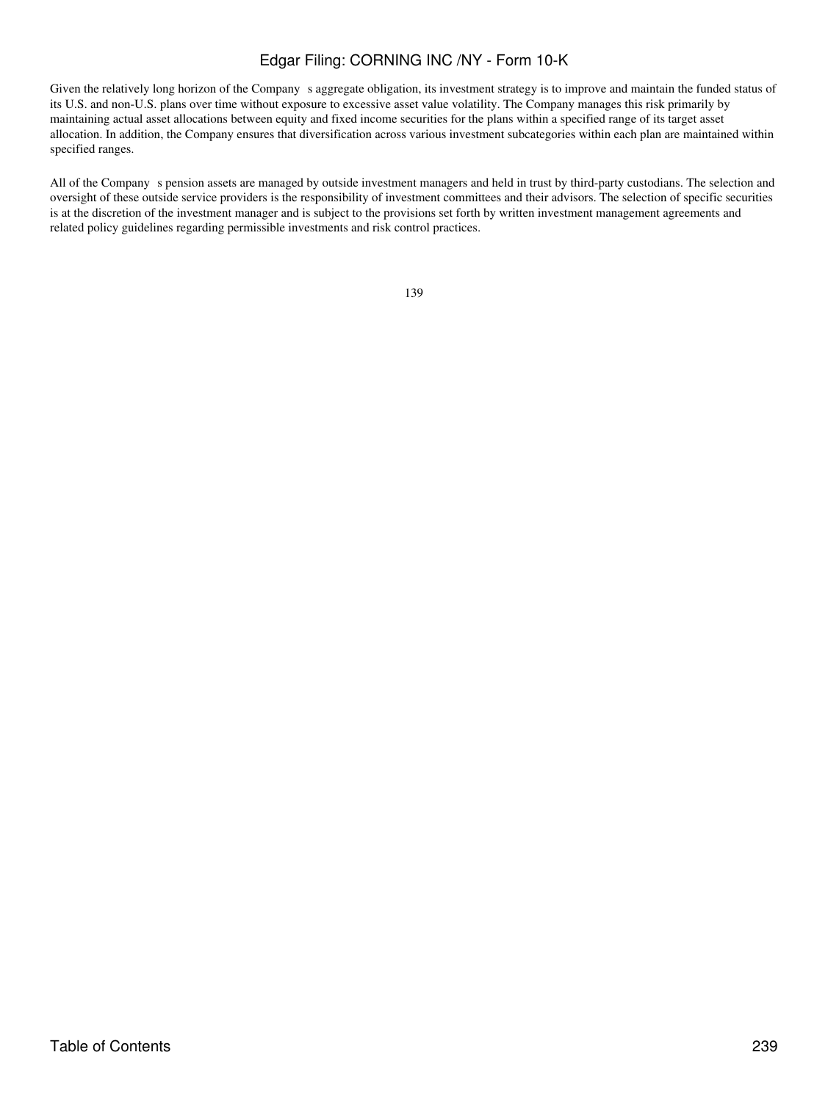Given the relatively long horizon of the Company s aggregate obligation, its investment strategy is to improve and maintain the funded status of its U.S. and non-U.S. plans over time without exposure to excessive asset value volatility. The Company manages this risk primarily by maintaining actual asset allocations between equity and fixed income securities for the plans within a specified range of its target asset allocation. In addition, the Company ensures that diversification across various investment subcategories within each plan are maintained within specified ranges.

All of the Company s pension assets are managed by outside investment managers and held in trust by third-party custodians. The selection and oversight of these outside service providers is the responsibility of investment committees and their advisors. The selection of specific securities is at the discretion of the investment manager and is subject to the provisions set forth by written investment management agreements and related policy guidelines regarding permissible investments and risk control practices.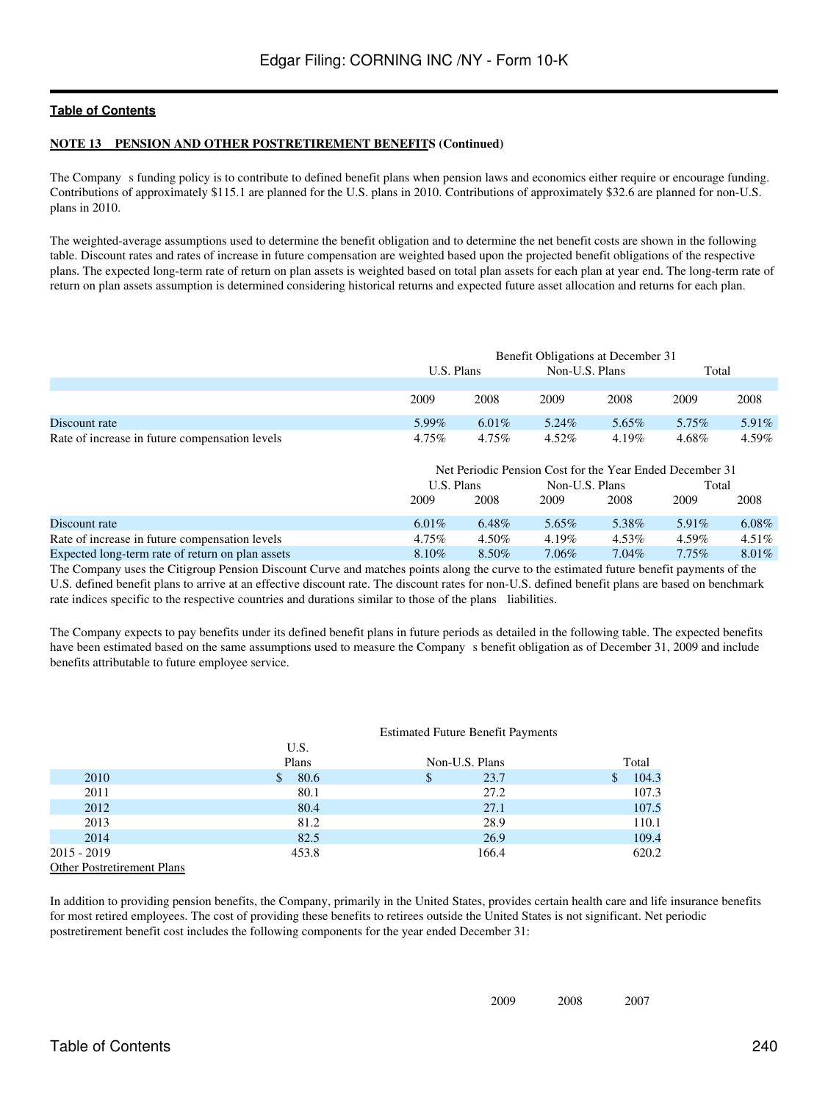## **NOTE 13 PENSION AND OTHER POSTRETIREMENT BENEFITS (Continued)**

The Company s funding policy is to contribute to defined benefit plans when pension laws and economics either require or encourage funding. Contributions of approximately \$115.1 are planned for the U.S. plans in 2010. Contributions of approximately \$32.6 are planned for non-U.S. plans in 2010.

The weighted-average assumptions used to determine the benefit obligation and to determine the net benefit costs are shown in the following table. Discount rates and rates of increase in future compensation are weighted based upon the projected benefit obligations of the respective plans. The expected long-term rate of return on plan assets is weighted based on total plan assets for each plan at year end. The long-term rate of return on plan assets assumption is determined considering historical returns and expected future asset allocation and returns for each plan.

|                                                |          | Benefit Obligations at December 31    |          |          |       |          |  |
|------------------------------------------------|----------|---------------------------------------|----------|----------|-------|----------|--|
|                                                |          | Total<br>U.S. Plans<br>Non-U.S. Plans |          |          |       |          |  |
|                                                |          |                                       |          |          |       |          |  |
|                                                | 2009     | 2008                                  | 2009     | 2008     | 2009  | 2008     |  |
| Discount rate                                  | 5.99%    | $6.01\%$                              | $5.24\%$ | 5.65%    | 5.75% | $5.91\%$ |  |
| Rate of increase in future compensation levels | $4.75\%$ | $4.75\%$                              | $4.52\%$ | $4.19\%$ | 4.68% | 4.59%    |  |

|                                                  | Net Periodic Pension Cost for the Year Ended December 31 |       |       |          |          |          |
|--------------------------------------------------|----------------------------------------------------------|-------|-------|----------|----------|----------|
|                                                  | Non-U.S. Plans<br>U.S. Plans                             |       |       | Total    |          |          |
|                                                  | 2009                                                     | 2008  | 2009  | 2008     | 2009     | 2008     |
| Discount rate                                    | 6.01\%                                                   | 6.48% | 5.65% | 5.38%    | $5.91\%$ | $6.08\%$ |
| Rate of increase in future compensation levels   | $4.75\%$                                                 | 4.50% | 4.19% | 4.53%    | 4.59%    | $4.51\%$ |
| Expected long-term rate of return on plan assets | 8.10%                                                    | 8.50% | 7.06% | $7.04\%$ | $7.75\%$ | $8.01\%$ |

The Company uses the Citigroup Pension Discount Curve and matches points along the curve to the estimated future benefit payments of the U.S. defined benefit plans to arrive at an effective discount rate. The discount rates for non-U.S. defined benefit plans are based on benchmark rate indices specific to the respective countries and durations similar to those of the plans liabilities.

The Company expects to pay benefits under its defined benefit plans in future periods as detailed in the following table. The expected benefits have been estimated based on the same assumptions used to measure the Company s benefit obligation as of December 31, 2009 and include benefits attributable to future employee service.

#### Estimated Future Benefit Payments

|               | ----                 |                |       |
|---------------|----------------------|----------------|-------|
|               | Plans                | Non-U.S. Plans | Total |
| 2010          | 80.6<br><sup>S</sup> | 23.7<br>\$     | 104.3 |
| 2011          | 80.1                 | 27.2           | 107.3 |
| 2012          | 80.4                 | 27.1           | 107.5 |
| 2013          | 81.2                 | 28.9           | 110.1 |
| 2014          | 82.5                 | 26.9           | 109.4 |
| $2015 - 2019$ | 453.8                | 166.4          | 620.2 |
| .<br>$ -$     |                      |                |       |

U.S.

**Other Postretirement Plans** 

In addition to providing pension benefits, the Company, primarily in the United States, provides certain health care and life insurance benefits for most retired employees. The cost of providing these benefits to retirees outside the United States is not significant. Net periodic postretirement benefit cost includes the following components for the year ended December 31: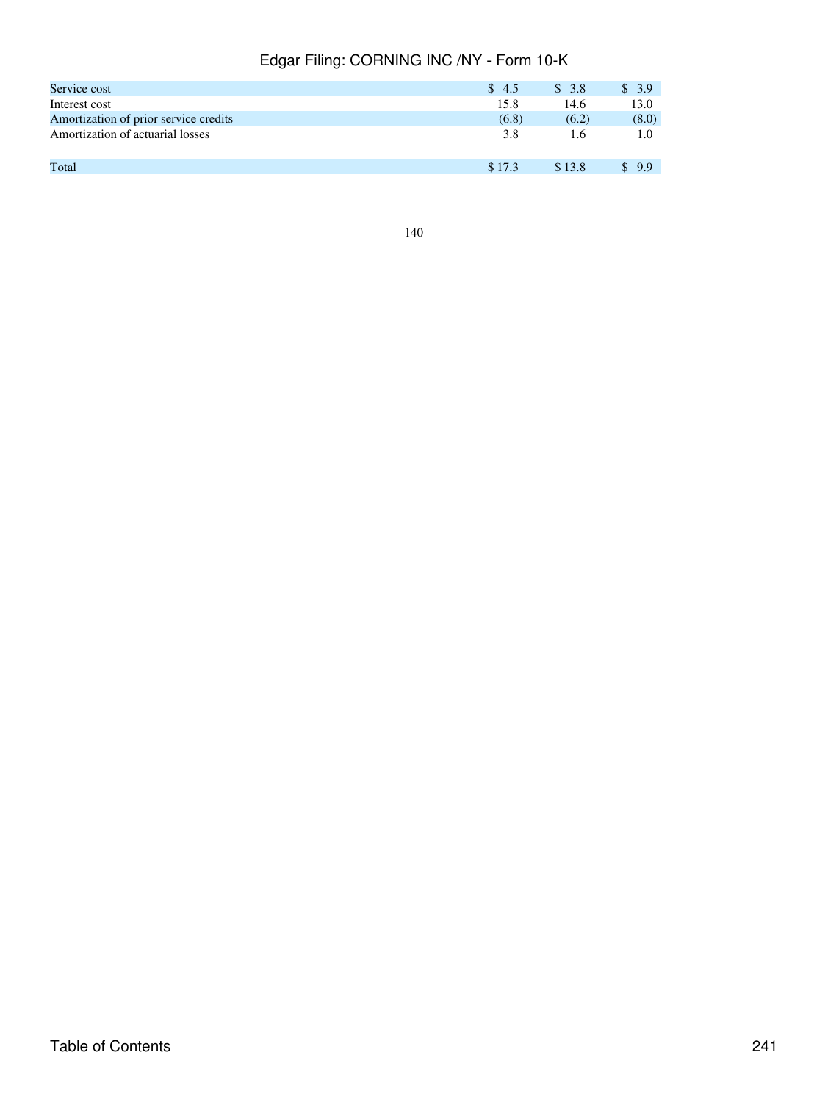| Service cost                          | \$4.5  | \$3.8  | \$3.9 |
|---------------------------------------|--------|--------|-------|
| Interest cost                         | 15.8   | 14.6   | 13.0  |
| Amortization of prior service credits | (6.8)  | (6.2)  | (8.0) |
| Amortization of actuarial losses      | 3.8    | 1.6    | 1.0   |
|                                       |        |        |       |
| Total                                 | \$17.3 | \$13.8 | \$9.9 |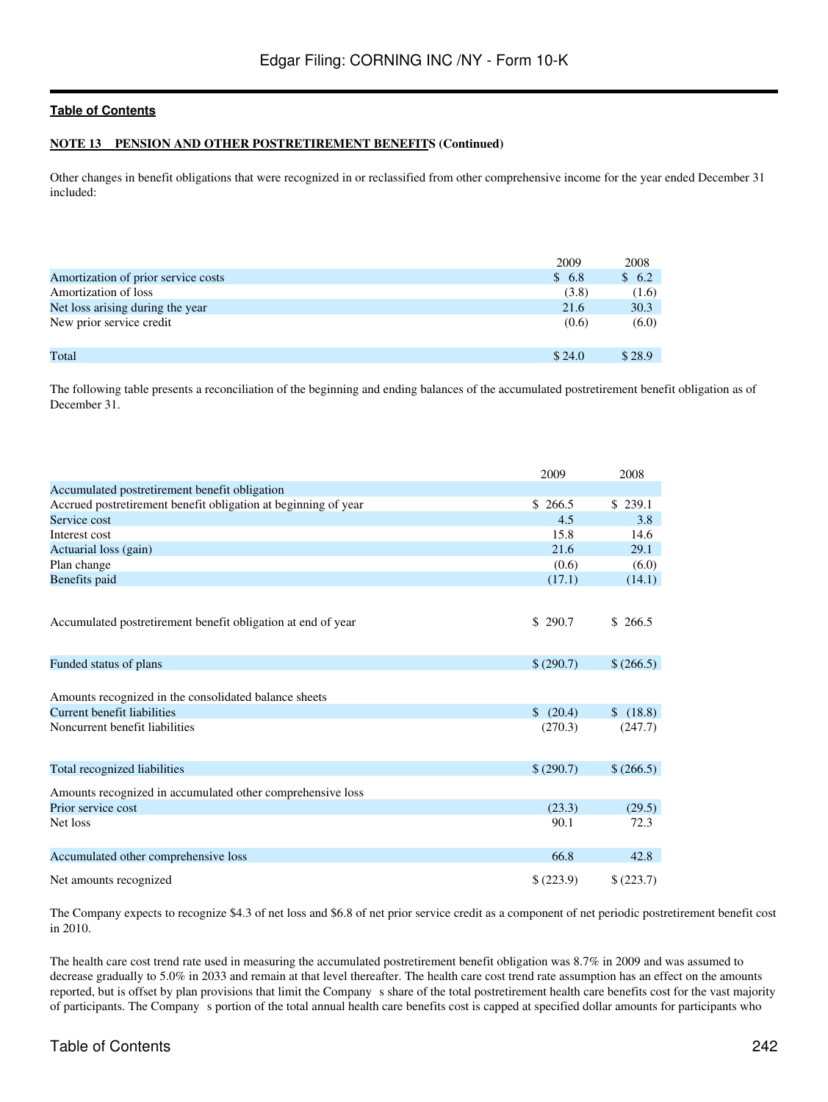## **NOTE 13 PENSION AND OTHER POSTRETIREMENT BENEFITS (Continued)**

Other changes in benefit obligations that were recognized in or reclassified from other comprehensive income for the year ended December 31 included:

|                                     | 2009   | 2008   |
|-------------------------------------|--------|--------|
| Amortization of prior service costs | \$6.8  | \$6.2  |
| Amortization of loss                | (3.8)  | (1.6)  |
| Net loss arising during the year    | 21.6   | 30.3   |
| New prior service credit            | (0.6)  | (6.0)  |
|                                     |        |        |
| Total                               | \$24.0 | \$28.9 |

The following table presents a reconciliation of the beginning and ending balances of the accumulated postretirement benefit obligation as of December 31.

|                                                                | 2009       | 2008       |
|----------------------------------------------------------------|------------|------------|
| Accumulated postretirement benefit obligation                  |            |            |
| Accrued postretirement benefit obligation at beginning of year | \$266.5    | \$239.1    |
| Service cost                                                   | 4.5        | 3.8        |
| Interest cost                                                  | 15.8       | 14.6       |
| Actuarial loss (gain)                                          | 21.6       | 29.1       |
| Plan change                                                    | (0.6)      | (6.0)      |
| Benefits paid                                                  | (17.1)     | (14.1)     |
|                                                                |            |            |
| Accumulated postretirement benefit obligation at end of year   | \$290.7    | \$266.5    |
|                                                                |            |            |
| Funded status of plans                                         | \$ (290.7) | \$ (266.5) |
|                                                                |            |            |
| Amounts recognized in the consolidated balance sheets          |            |            |
| Current benefit liabilities                                    | (20.4)     | \$(18.8)   |
| Noncurrent benefit liabilities                                 | (270.3)    | (247.7)    |
|                                                                |            |            |
| Total recognized liabilities                                   | \$(290.7)  | \$(266.5)  |
| Amounts recognized in accumulated other comprehensive loss     |            |            |
| Prior service cost                                             | (23.3)     | (29.5)     |
| Net loss                                                       | 90.1       | 72.3       |
|                                                                |            |            |
| Accumulated other comprehensive loss                           | 66.8       | 42.8       |
| Net amounts recognized                                         | \$(223.9)  | \$(223.7)  |

The Company expects to recognize \$4.3 of net loss and \$6.8 of net prior service credit as a component of net periodic postretirement benefit cost in 2010.

The health care cost trend rate used in measuring the accumulated postretirement benefit obligation was 8.7% in 2009 and was assumed to decrease gradually to 5.0% in 2033 and remain at that level thereafter. The health care cost trend rate assumption has an effect on the amounts reported, but is offset by plan provisions that limit the Company s share of the total postretirement health care benefits cost for the vast majority of participants. The Companys portion of the total annual health care benefits cost is capped at specified dollar amounts for participants who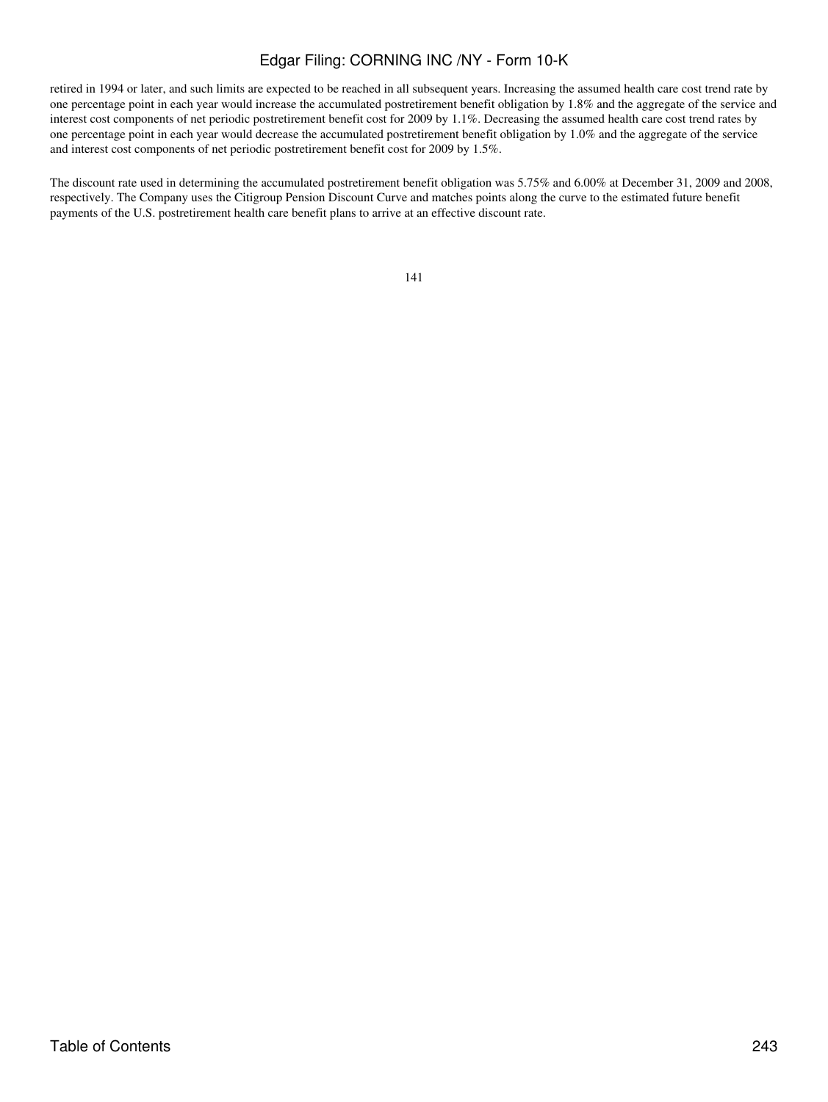retired in 1994 or later, and such limits are expected to be reached in all subsequent years. Increasing the assumed health care cost trend rate by one percentage point in each year would increase the accumulated postretirement benefit obligation by 1.8% and the aggregate of the service and interest cost components of net periodic postretirement benefit cost for 2009 by 1.1%. Decreasing the assumed health care cost trend rates by one percentage point in each year would decrease the accumulated postretirement benefit obligation by 1.0% and the aggregate of the service and interest cost components of net periodic postretirement benefit cost for 2009 by 1.5%.

The discount rate used in determining the accumulated postretirement benefit obligation was 5.75% and 6.00% at December 31, 2009 and 2008, respectively. The Company uses the Citigroup Pension Discount Curve and matches points along the curve to the estimated future benefit payments of the U.S. postretirement health care benefit plans to arrive at an effective discount rate.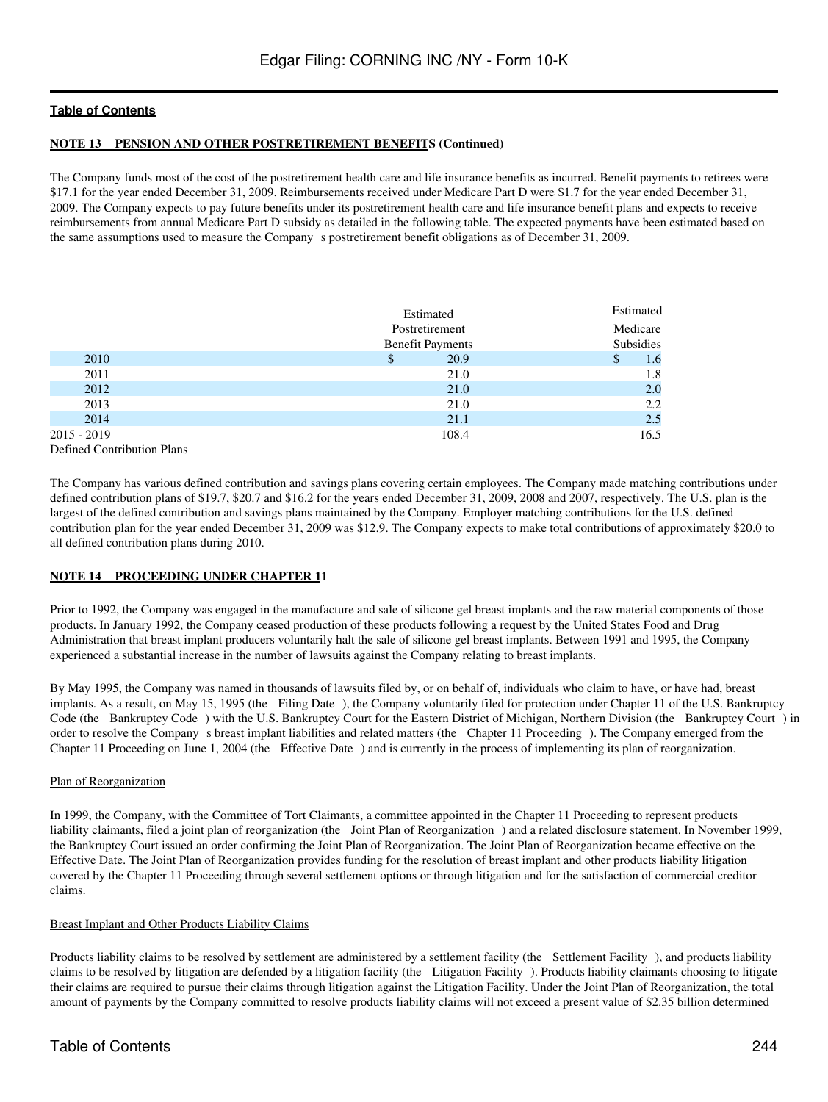## **NOTE 13 PENSION AND OTHER POSTRETIREMENT BENEFITS (Continued)**

The Company funds most of the cost of the postretirement health care and life insurance benefits as incurred. Benefit payments to retirees were \$17.1 for the year ended December 31, 2009. Reimbursements received under Medicare Part D were \$1.7 for the year ended December 31, 2009. The Company expects to pay future benefits under its postretirement health care and life insurance benefit plans and expects to receive reimbursements from annual Medicare Part D subsidy as detailed in the following table. The expected payments have been estimated based on the same assumptions used to measure the Company s postretirement benefit obligations as of December 31, 2009.

| Postretirement<br><b>Benefit Payments</b><br>2010<br>20.9<br>\$<br>S<br>2011<br>21.0<br>2012<br>21.0<br>2013<br>21.0<br>2014<br>21.1 | Estimated | Estimated |
|--------------------------------------------------------------------------------------------------------------------------------------|-----------|-----------|
|                                                                                                                                      |           | Medicare  |
|                                                                                                                                      |           | Subsidies |
|                                                                                                                                      |           | 1.6       |
|                                                                                                                                      |           | 1.8       |
|                                                                                                                                      |           | 2.0       |
|                                                                                                                                      |           | 2.2       |
|                                                                                                                                      |           | 2.5       |
| $2015 - 2019$<br>108.4                                                                                                               |           | 16.5      |

Defined Contribution Plans

The Company has various defined contribution and savings plans covering certain employees. The Company made matching contributions under defined contribution plans of \$19.7, \$20.7 and \$16.2 for the years ended December 31, 2009, 2008 and 2007, respectively. The U.S. plan is the largest of the defined contribution and savings plans maintained by the Company. Employer matching contributions for the U.S. defined contribution plan for the year ended December 31, 2009 was \$12.9. The Company expects to make total contributions of approximately \$20.0 to all defined contribution plans during 2010.

## **NOTE 14 PROCEEDING UNDER CHAPTER 11**

Prior to 1992, the Company was engaged in the manufacture and sale of silicone gel breast implants and the raw material components of those products. In January 1992, the Company ceased production of these products following a request by the United States Food and Drug Administration that breast implant producers voluntarily halt the sale of silicone gel breast implants. Between 1991 and 1995, the Company experienced a substantial increase in the number of lawsuits against the Company relating to breast implants.

By May 1995, the Company was named in thousands of lawsuits filed by, or on behalf of, individuals who claim to have, or have had, breast implants. As a result, on May 15, 1995 (the Filing Date), the Company voluntarily filed for protection under Chapter 11 of the U.S. Bankruptcy Code (the Bankruptcy Code) with the U.S. Bankruptcy Court for the Eastern District of Michigan, Northern Division (the Bankruptcy Court) in order to resolve the Companys breast implant liabilities and related matters (the Chapter 11 Proceeding). The Company emerged from the Chapter 11 Proceeding on June 1, 2004 (the Effective Date) and is currently in the process of implementing its plan of reorganization.

## Plan of Reorganization

In 1999, the Company, with the Committee of Tort Claimants, a committee appointed in the Chapter 11 Proceeding to represent products liability claimants, filed a joint plan of reorganization (the Joint Plan of Reorganization) and a related disclosure statement. In November 1999, the Bankruptcy Court issued an order confirming the Joint Plan of Reorganization. The Joint Plan of Reorganization became effective on the Effective Date. The Joint Plan of Reorganization provides funding for the resolution of breast implant and other products liability litigation covered by the Chapter 11 Proceeding through several settlement options or through litigation and for the satisfaction of commercial creditor claims.

## Breast Implant and Other Products Liability Claims

Products liability claims to be resolved by settlement are administered by a settlement facility (the Settlement Facility), and products liability claims to be resolved by litigation are defended by a litigation facility (the Litigation Facility). Products liability claimants choosing to litigate their claims are required to pursue their claims through litigation against the Litigation Facility. Under the Joint Plan of Reorganization, the total amount of payments by the Company committed to resolve products liability claims will not exceed a present value of \$2.35 billion determined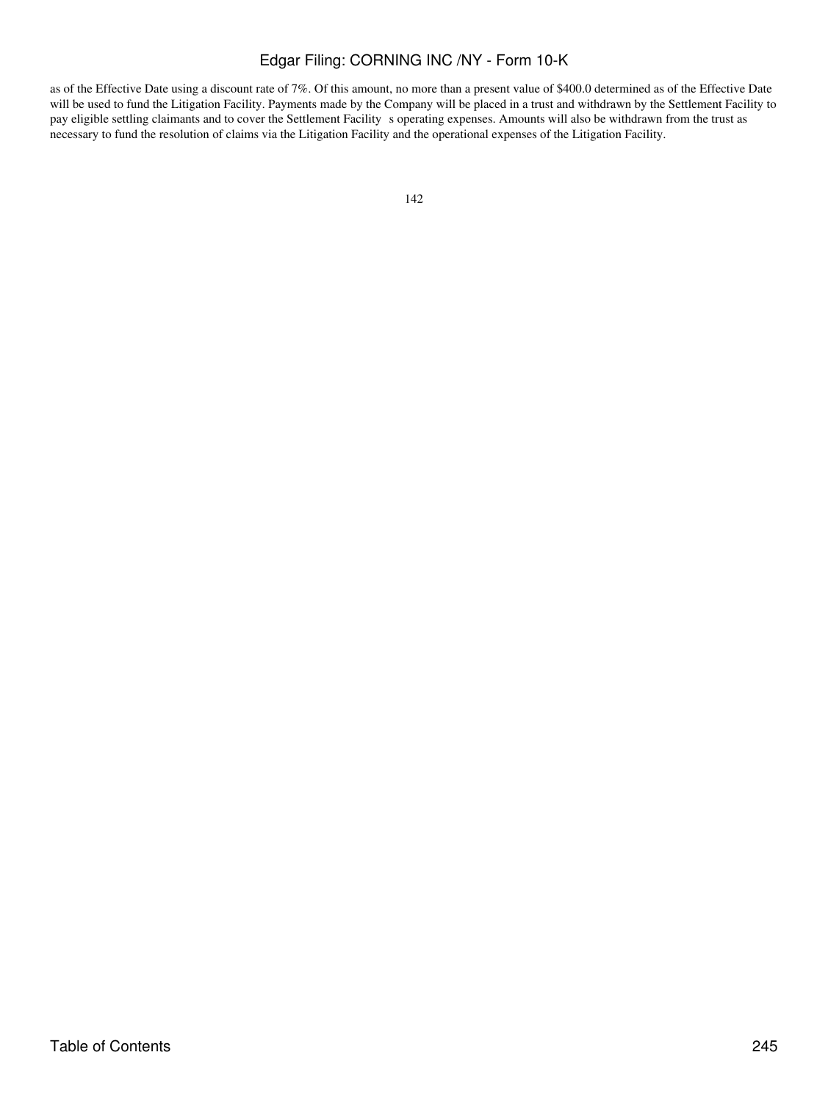as of the Effective Date using a discount rate of 7%. Of this amount, no more than a present value of \$400.0 determined as of the Effective Date will be used to fund the Litigation Facility. Payments made by the Company will be placed in a trust and withdrawn by the Settlement Facility to pay eligible settling claimants and to cover the Settlement Facility s operating expenses. Amounts will also be withdrawn from the trust as necessary to fund the resolution of claims via the Litigation Facility and the operational expenses of the Litigation Facility.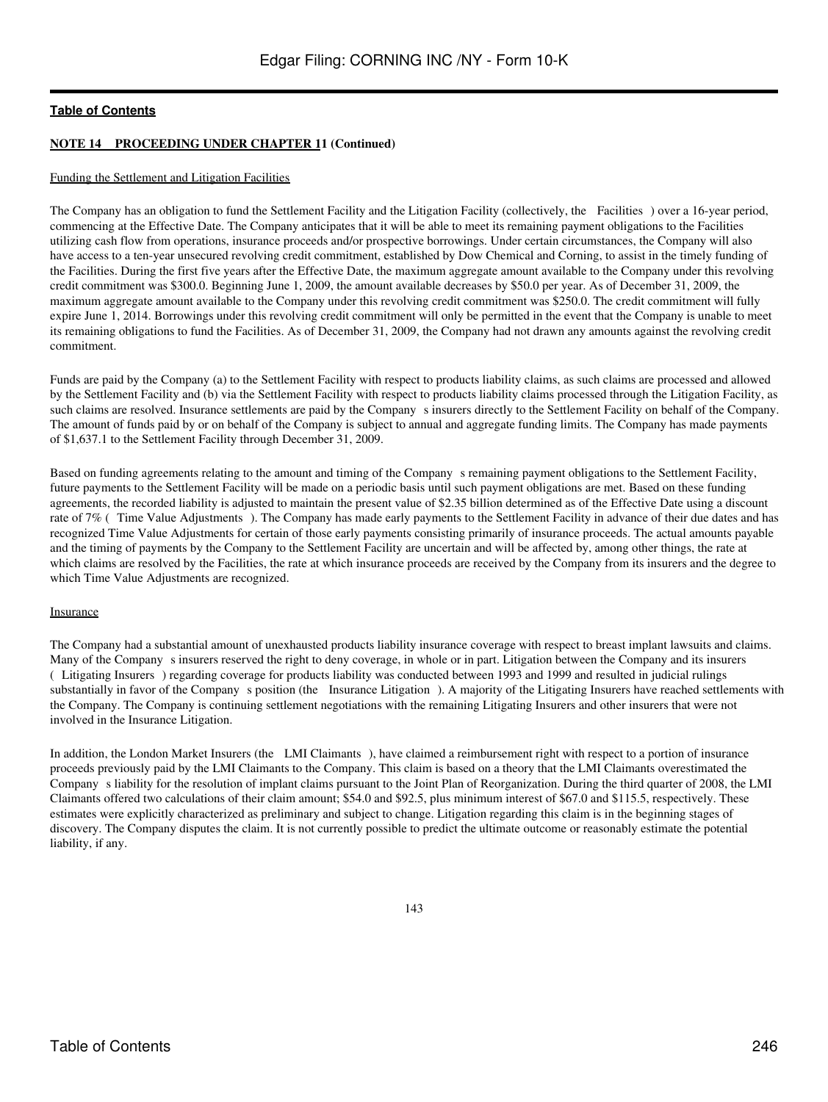## **NOTE 14 PROCEEDING UNDER CHAPTER 11 (Continued)**

#### Funding the Settlement and Litigation Facilities

The Company has an obligation to fund the Settlement Facility and the Litigation Facility (collectively, the Facilities) over a 16-year period, commencing at the Effective Date. The Company anticipates that it will be able to meet its remaining payment obligations to the Facilities utilizing cash flow from operations, insurance proceeds and/or prospective borrowings. Under certain circumstances, the Company will also have access to a ten-year unsecured revolving credit commitment, established by Dow Chemical and Corning, to assist in the timely funding of the Facilities. During the first five years after the Effective Date, the maximum aggregate amount available to the Company under this revolving credit commitment was \$300.0. Beginning June 1, 2009, the amount available decreases by \$50.0 per year. As of December 31, 2009, the maximum aggregate amount available to the Company under this revolving credit commitment was \$250.0. The credit commitment will fully expire June 1, 2014. Borrowings under this revolving credit commitment will only be permitted in the event that the Company is unable to meet its remaining obligations to fund the Facilities. As of December 31, 2009, the Company had not drawn any amounts against the revolving credit commitment.

Funds are paid by the Company (a) to the Settlement Facility with respect to products liability claims, as such claims are processed and allowed by the Settlement Facility and (b) via the Settlement Facility with respect to products liability claims processed through the Litigation Facility, as such claims are resolved. Insurance settlements are paid by the Company s insurers directly to the Settlement Facility on behalf of the Company. The amount of funds paid by or on behalf of the Company is subject to annual and aggregate funding limits. The Company has made payments of \$1,637.1 to the Settlement Facility through December 31, 2009.

Based on funding agreements relating to the amount and timing of the Company s remaining payment obligations to the Settlement Facility, future payments to the Settlement Facility will be made on a periodic basis until such payment obligations are met. Based on these funding agreements, the recorded liability is adjusted to maintain the present value of \$2.35 billion determined as of the Effective Date using a discount rate of 7% (Time Value Adjustments). The Company has made early payments to the Settlement Facility in advance of their due dates and has recognized Time Value Adjustments for certain of those early payments consisting primarily of insurance proceeds. The actual amounts payable and the timing of payments by the Company to the Settlement Facility are uncertain and will be affected by, among other things, the rate at which claims are resolved by the Facilities, the rate at which insurance proceeds are received by the Company from its insurers and the degree to which Time Value Adjustments are recognized.

#### **Insurance**

The Company had a substantial amount of unexhausted products liability insurance coverage with respect to breast implant lawsuits and claims. Many of the Company s insurers reserved the right to deny coverage, in whole or in part. Litigation between the Company and its insurers (Litigating Insurers) regarding coverage for products liability was conducted between 1993 and 1999 and resulted in judicial rulings substantially in favor of the Company s position (the Insurance Litigation). A majority of the Litigating Insurers have reached settlements with the Company. The Company is continuing settlement negotiations with the remaining Litigating Insurers and other insurers that were not involved in the Insurance Litigation.

In addition, the London Market Insurers (the LMI Claimants), have claimed a reimbursement right with respect to a portion of insurance proceeds previously paid by the LMI Claimants to the Company. This claim is based on a theory that the LMI Claimants overestimated the Companys liability for the resolution of implant claims pursuant to the Joint Plan of Reorganization. During the third quarter of 2008, the LMI Claimants offered two calculations of their claim amount; \$54.0 and \$92.5, plus minimum interest of \$67.0 and \$115.5, respectively. These estimates were explicitly characterized as preliminary and subject to change. Litigation regarding this claim is in the beginning stages of discovery. The Company disputes the claim. It is not currently possible to predict the ultimate outcome or reasonably estimate the potential liability, if any.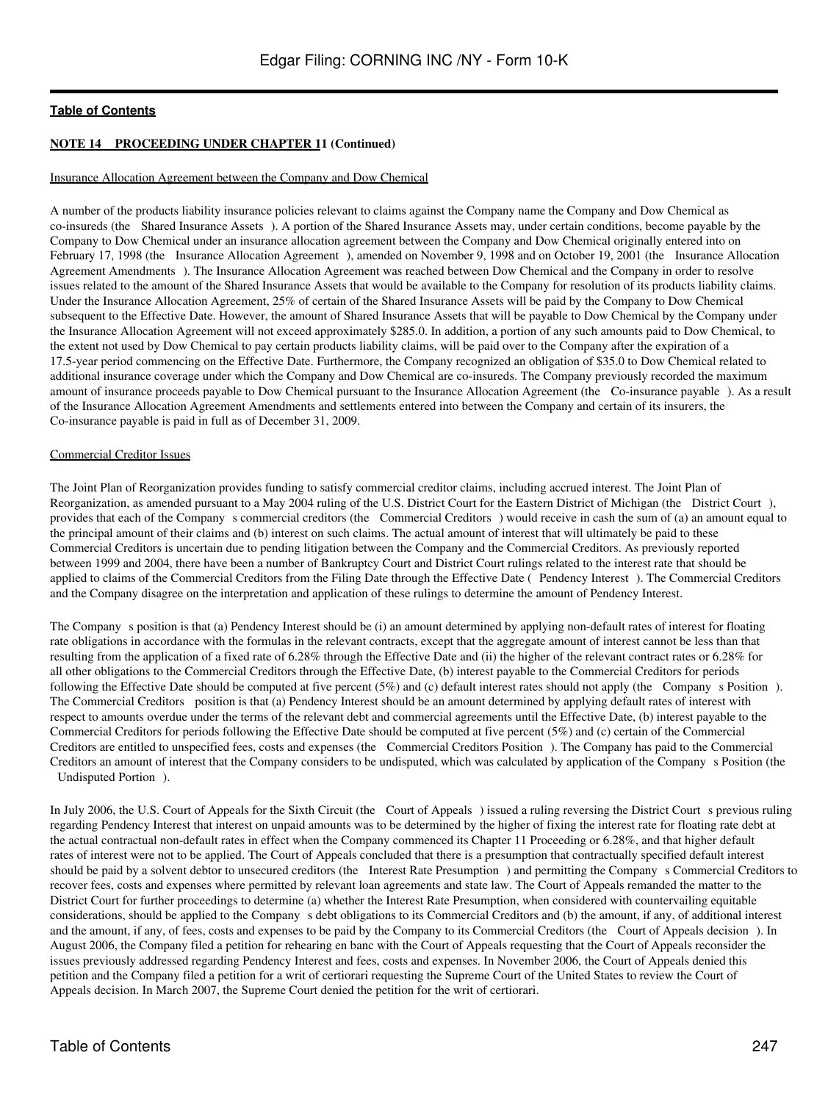## **NOTE 14 PROCEEDING UNDER CHAPTER 11 (Continued)**

#### Insurance Allocation Agreement between the Company and Dow Chemical

A number of the products liability insurance policies relevant to claims against the Company name the Company and Dow Chemical as co-insureds (the Shared Insurance Assets). A portion of the Shared Insurance Assets may, under certain conditions, become payable by the Company to Dow Chemical under an insurance allocation agreement between the Company and Dow Chemical originally entered into on February 17, 1998 (the Insurance Allocation Agreement), amended on November 9, 1998 and on October 19, 2001 (the Insurance Allocation Agreement Amendments). The Insurance Allocation Agreement was reached between Dow Chemical and the Company in order to resolve issues related to the amount of the Shared Insurance Assets that would be available to the Company for resolution of its products liability claims. Under the Insurance Allocation Agreement, 25% of certain of the Shared Insurance Assets will be paid by the Company to Dow Chemical subsequent to the Effective Date. However, the amount of Shared Insurance Assets that will be payable to Dow Chemical by the Company under the Insurance Allocation Agreement will not exceed approximately \$285.0. In addition, a portion of any such amounts paid to Dow Chemical, to the extent not used by Dow Chemical to pay certain products liability claims, will be paid over to the Company after the expiration of a 17.5-year period commencing on the Effective Date. Furthermore, the Company recognized an obligation of \$35.0 to Dow Chemical related to additional insurance coverage under which the Company and Dow Chemical are co-insureds. The Company previously recorded the maximum amount of insurance proceeds payable to Dow Chemical pursuant to the Insurance Allocation Agreement (the Co-insurance payable). As a result of the Insurance Allocation Agreement Amendments and settlements entered into between the Company and certain of its insurers, the Co-insurance payable is paid in full as of December 31, 2009.

#### Commercial Creditor Issues

The Joint Plan of Reorganization provides funding to satisfy commercial creditor claims, including accrued interest. The Joint Plan of Reorganization, as amended pursuant to a May 2004 ruling of the U.S. District Court for the Eastern District of Michigan (the District Court), provides that each of the Companys commercial creditors (the Commercial Creditors) would receive in cash the sum of (a) an amount equal to the principal amount of their claims and (b) interest on such claims. The actual amount of interest that will ultimately be paid to these Commercial Creditors is uncertain due to pending litigation between the Company and the Commercial Creditors. As previously reported between 1999 and 2004, there have been a number of Bankruptcy Court and District Court rulings related to the interest rate that should be applied to claims of the Commercial Creditors from the Filing Date through the Effective Date (Pendency Interest). The Commercial Creditors and the Company disagree on the interpretation and application of these rulings to determine the amount of Pendency Interest.

The Company s position is that (a) Pendency Interest should be (i) an amount determined by applying non-default rates of interest for floating rate obligations in accordance with the formulas in the relevant contracts, except that the aggregate amount of interest cannot be less than that resulting from the application of a fixed rate of 6.28% through the Effective Date and (ii) the higher of the relevant contract rates or 6.28% for all other obligations to the Commercial Creditors through the Effective Date, (b) interest payable to the Commercial Creditors for periods following the Effective Date should be computed at five percent (5%) and (c) default interest rates should not apply (the Company s Position). The Commercial Creditors position is that (a) Pendency Interest should be an amount determined by applying default rates of interest with respect to amounts overdue under the terms of the relevant debt and commercial agreements until the Effective Date, (b) interest payable to the Commercial Creditors for periods following the Effective Date should be computed at five percent (5%) and (c) certain of the Commercial Creditors are entitled to unspecified fees, costs and expenses (the Commercial Creditors Position). The Company has paid to the Commercial Creditors an amount of interest that the Company considers to be undisputed, which was calculated by application of the Companys Position (the Undisputed Portion).

In July 2006, the U.S. Court of Appeals for the Sixth Circuit (the Court of Appeals) issued a ruling reversing the District Court s previous ruling regarding Pendency Interest that interest on unpaid amounts was to be determined by the higher of fixing the interest rate for floating rate debt at the actual contractual non-default rates in effect when the Company commenced its Chapter 11 Proceeding or 6.28%, and that higher default rates of interest were not to be applied. The Court of Appeals concluded that there is a presumption that contractually specified default interest should be paid by a solvent debtor to unsecured creditors (the Interest Rate Presumption) and permitting the Company s Commercial Creditors to recover fees, costs and expenses where permitted by relevant loan agreements and state law. The Court of Appeals remanded the matter to the District Court for further proceedings to determine (a) whether the Interest Rate Presumption, when considered with countervailing equitable considerations, should be applied to the Companys debt obligations to its Commercial Creditors and (b) the amount, if any, of additional interest and the amount, if any, of fees, costs and expenses to be paid by the Company to its Commercial Creditors (the Court of Appeals decision). In August 2006, the Company filed a petition for rehearing en banc with the Court of Appeals requesting that the Court of Appeals reconsider the issues previously addressed regarding Pendency Interest and fees, costs and expenses. In November 2006, the Court of Appeals denied this petition and the Company filed a petition for a writ of certiorari requesting the Supreme Court of the United States to review the Court of Appeals decision. In March 2007, the Supreme Court denied the petition for the writ of certiorari.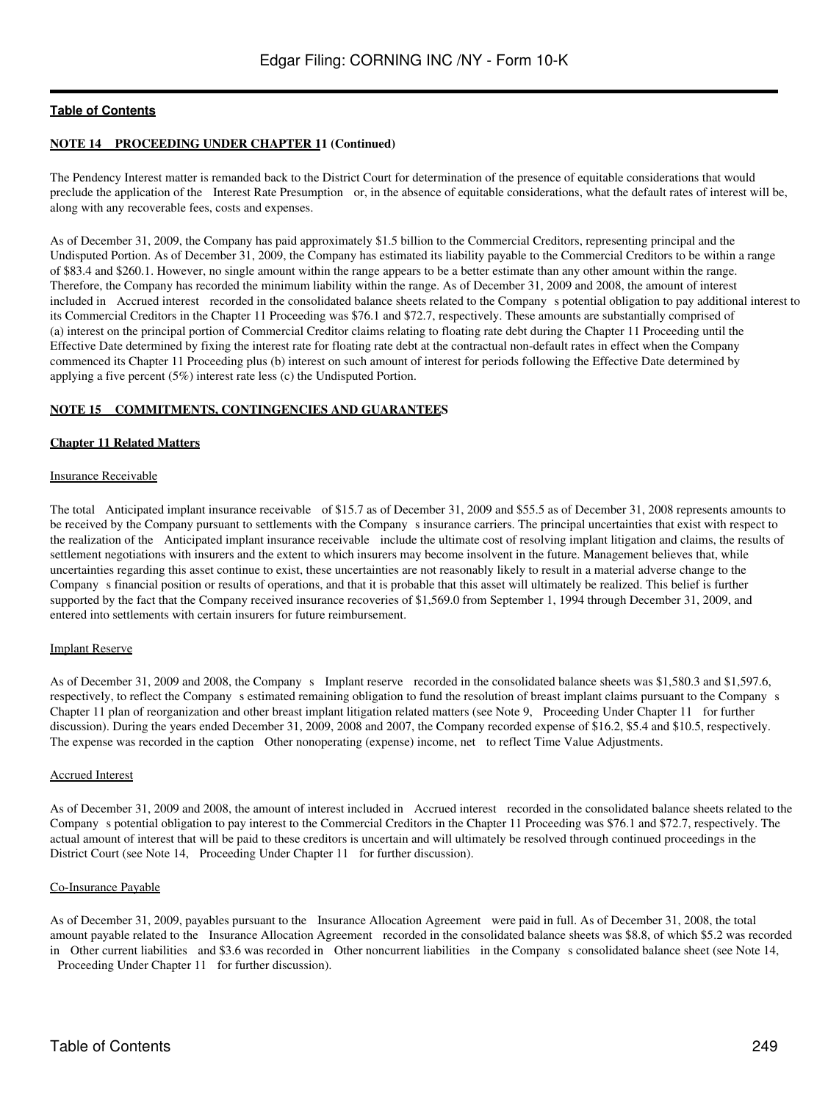### **NOTE 14 PROCEEDING UNDER CHAPTER 11 (Continued)**

The Pendency Interest matter is remanded back to the District Court for determination of the presence of equitable considerations that would preclude the application of the Interest Rate Presumption or, in the absence of equitable considerations, what the default rates of interest will be, along with any recoverable fees, costs and expenses.

As of December 31, 2009, the Company has paid approximately \$1.5 billion to the Commercial Creditors, representing principal and the Undisputed Portion. As of December 31, 2009, the Company has estimated its liability payable to the Commercial Creditors to be within a range of \$83.4 and \$260.1. However, no single amount within the range appears to be a better estimate than any other amount within the range. Therefore, the Company has recorded the minimum liability within the range. As of December 31, 2009 and 2008, the amount of interest included in Accrued interest recorded in the consolidated balance sheets related to the Companys potential obligation to pay additional interest to its Commercial Creditors in the Chapter 11 Proceeding was \$76.1 and \$72.7, respectively. These amounts are substantially comprised of (a) interest on the principal portion of Commercial Creditor claims relating to floating rate debt during the Chapter 11 Proceeding until the Effective Date determined by fixing the interest rate for floating rate debt at the contractual non-default rates in effect when the Company commenced its Chapter 11 Proceeding plus (b) interest on such amount of interest for periods following the Effective Date determined by applying a five percent (5%) interest rate less (c) the Undisputed Portion.

## **NOTE 15 COMMITMENTS, CONTINGENCIES AND GUARANTEES**

## **Chapter 11 Related Matters**

#### Insurance Receivable

The total Anticipated implant insurance receivable of \$15.7 as of December 31, 2009 and \$55.5 as of December 31, 2008 represents amounts to be received by the Company pursuant to settlements with the Company s insurance carriers. The principal uncertainties that exist with respect to the realization of the Anticipated implant insurance receivable include the ultimate cost of resolving implant litigation and claims, the results of settlement negotiations with insurers and the extent to which insurers may become insolvent in the future. Management believes that, while uncertainties regarding this asset continue to exist, these uncertainties are not reasonably likely to result in a material adverse change to the Companys financial position or results of operations, and that it is probable that this asset will ultimately be realized. This belief is further supported by the fact that the Company received insurance recoveries of \$1,569.0 from September 1, 1994 through December 31, 2009, and entered into settlements with certain insurers for future reimbursement.

#### Implant Reserve

As of December 31, 2009 and 2008, the Company s Implant reserve recorded in the consolidated balance sheets was \$1,580.3 and \$1,597.6, respectively, to reflect the Company s estimated remaining obligation to fund the resolution of breast implant claims pursuant to the Company s Chapter 11 plan of reorganization and other breast implant litigation related matters (see Note 9, Proceeding Under Chapter 11 for further discussion). During the years ended December 31, 2009, 2008 and 2007, the Company recorded expense of \$16.2, \$5.4 and \$10.5, respectively. The expense was recorded in the caption Other nonoperating (expense) income, net to reflect Time Value Adjustments.

#### Accrued Interest

As of December 31, 2009 and 2008, the amount of interest included in Accrued interest recorded in the consolidated balance sheets related to the Companys potential obligation to pay interest to the Commercial Creditors in the Chapter 11 Proceeding was \$76.1 and \$72.7, respectively. The actual amount of interest that will be paid to these creditors is uncertain and will ultimately be resolved through continued proceedings in the District Court (see Note 14, Proceeding Under Chapter 11 for further discussion).

## Co-Insurance Payable

As of December 31, 2009, payables pursuant to the Insurance Allocation Agreement were paid in full. As of December 31, 2008, the total amount payable related to the Insurance Allocation Agreement recorded in the consolidated balance sheets was \$8.8, of which \$5.2 was recorded in Other current liabilities and \$3.6 was recorded in Other noncurrent liabilities in the Company s consolidated balance sheet (see Note 14, Proceeding Under Chapter 11 for further discussion).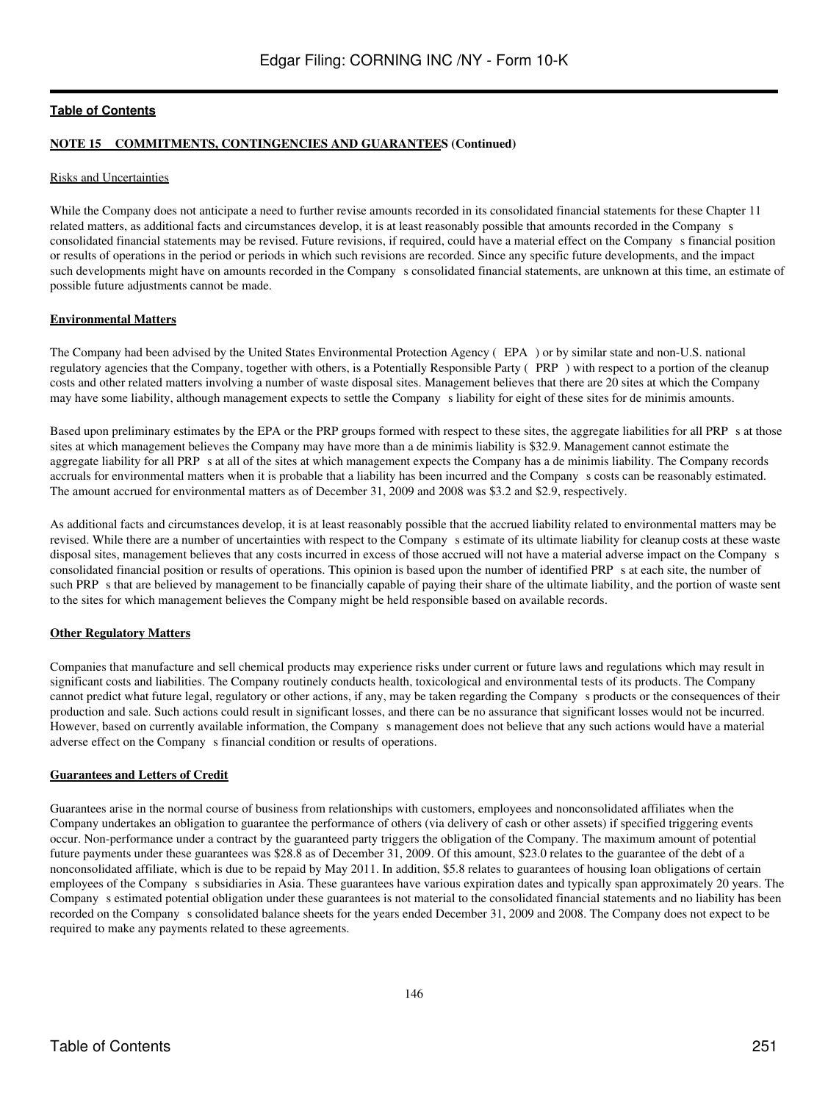## **NOTE 15 COMMITMENTS, CONTINGENCIES AND GUARANTEES (Continued)**

#### Risks and Uncertainties

While the Company does not anticipate a need to further revise amounts recorded in its consolidated financial statements for these Chapter 11 related matters, as additional facts and circumstances develop, it is at least reasonably possible that amounts recorded in the Companys consolidated financial statements may be revised. Future revisions, if required, could have a material effect on the Companys financial position or results of operations in the period or periods in which such revisions are recorded. Since any specific future developments, and the impact such developments might have on amounts recorded in the Company s consolidated financial statements, are unknown at this time, an estimate of possible future adjustments cannot be made.

## **Environmental Matters**

The Company had been advised by the United States Environmental Protection Agency (EPA) or by similar state and non-U.S. national regulatory agencies that the Company, together with others, is a Potentially Responsible Party (PRP) with respect to a portion of the cleanup costs and other related matters involving a number of waste disposal sites. Management believes that there are 20 sites at which the Company may have some liability, although management expects to settle the Companys liability for eight of these sites for de minimis amounts.

Based upon preliminary estimates by the EPA or the PRP groups formed with respect to these sites, the aggregate liabilities for all PRP s at those sites at which management believes the Company may have more than a de minimis liability is \$32.9. Management cannot estimate the aggregate liability for all PRP s at all of the sites at which management expects the Company has a de minimis liability. The Company records accruals for environmental matters when it is probable that a liability has been incurred and the Company s costs can be reasonably estimated. The amount accrued for environmental matters as of December 31, 2009 and 2008 was \$3.2 and \$2.9, respectively.

As additional facts and circumstances develop, it is at least reasonably possible that the accrued liability related to environmental matters may be revised. While there are a number of uncertainties with respect to the Company s estimate of its ultimate liability for cleanup costs at these waste disposal sites, management believes that any costs incurred in excess of those accrued will not have a material adverse impact on the Companys consolidated financial position or results of operations. This opinion is based upon the number of identified PRP s at each site, the number of such PRP s that are believed by management to be financially capable of paying their share of the ultimate liability, and the portion of waste sent to the sites for which management believes the Company might be held responsible based on available records.

## **Other Regulatory Matters**

Companies that manufacture and sell chemical products may experience risks under current or future laws and regulations which may result in significant costs and liabilities. The Company routinely conducts health, toxicological and environmental tests of its products. The Company cannot predict what future legal, regulatory or other actions, if any, may be taken regarding the Companys products or the consequences of their production and sale. Such actions could result in significant losses, and there can be no assurance that significant losses would not be incurred. However, based on currently available information, the Companys management does not believe that any such actions would have a material adverse effect on the Company s financial condition or results of operations.

## **Guarantees and Letters of Credit**

Guarantees arise in the normal course of business from relationships with customers, employees and nonconsolidated affiliates when the Company undertakes an obligation to guarantee the performance of others (via delivery of cash or other assets) if specified triggering events occur. Non-performance under a contract by the guaranteed party triggers the obligation of the Company. The maximum amount of potential future payments under these guarantees was \$28.8 as of December 31, 2009. Of this amount, \$23.0 relates to the guarantee of the debt of a nonconsolidated affiliate, which is due to be repaid by May 2011. In addition, \$5.8 relates to guarantees of housing loan obligations of certain employees of the Company s subsidiaries in Asia. These guarantees have various expiration dates and typically span approximately 20 years. The Companys estimated potential obligation under these guarantees is not material to the consolidated financial statements and no liability has been recorded on the Company s consolidated balance sheets for the years ended December 31, 2009 and 2008. The Company does not expect to be required to make any payments related to these agreements.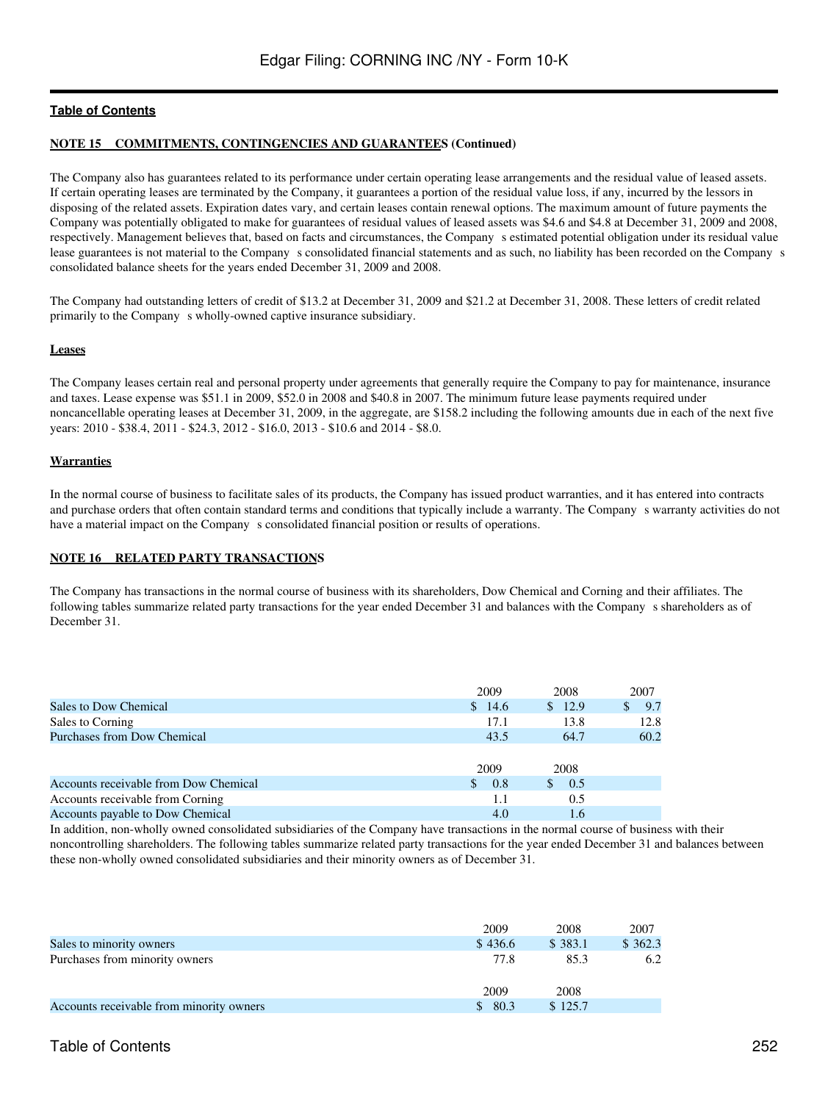## **NOTE 15 COMMITMENTS, CONTINGENCIES AND GUARANTEES (Continued)**

The Company also has guarantees related to its performance under certain operating lease arrangements and the residual value of leased assets. If certain operating leases are terminated by the Company, it guarantees a portion of the residual value loss, if any, incurred by the lessors in disposing of the related assets. Expiration dates vary, and certain leases contain renewal options. The maximum amount of future payments the Company was potentially obligated to make for guarantees of residual values of leased assets was \$4.6 and \$4.8 at December 31, 2009 and 2008, respectively. Management believes that, based on facts and circumstances, the Companys estimated potential obligation under its residual value lease guarantees is not material to the Company s consolidated financial statements and as such, no liability has been recorded on the Company s consolidated balance sheets for the years ended December 31, 2009 and 2008.

The Company had outstanding letters of credit of \$13.2 at December 31, 2009 and \$21.2 at December 31, 2008. These letters of credit related primarily to the Company s wholly-owned captive insurance subsidiary.

#### **Leases**

The Company leases certain real and personal property under agreements that generally require the Company to pay for maintenance, insurance and taxes. Lease expense was \$51.1 in 2009, \$52.0 in 2008 and \$40.8 in 2007. The minimum future lease payments required under noncancellable operating leases at December 31, 2009, in the aggregate, are \$158.2 including the following amounts due in each of the next five years: 2010 - \$38.4, 2011 - \$24.3, 2012 - \$16.0, 2013 - \$10.6 and 2014 - \$8.0.

## **Warranties**

In the normal course of business to facilitate sales of its products, the Company has issued product warranties, and it has entered into contracts and purchase orders that often contain standard terms and conditions that typically include a warranty. The Company s warranty activities do not have a material impact on the Company s consolidated financial position or results of operations.

#### **NOTE 16 RELATED PARTY TRANSACTIONS**

The Company has transactions in the normal course of business with its shareholders, Dow Chemical and Corning and their affiliates. The following tables summarize related party transactions for the year ended December 31 and balances with the Company s shareholders as of December 31.

|                                       | 2009         | 2008      | 2007 |
|---------------------------------------|--------------|-----------|------|
| Sales to Dow Chemical                 | -14.6<br>\$. | \$12.9    | 9.7  |
| Sales to Corning                      | 17.1         | 13.8      | 12.8 |
| Purchases from Dow Chemical           | 43.5         | 64.7      | 60.2 |
|                                       |              |           |      |
|                                       | 2009         | 2008      |      |
| Accounts receivable from Dow Chemical | 0.8<br>S     | 0.5<br>S. |      |
| Accounts receivable from Corning      | 1.1          | 0.5       |      |
| Accounts payable to Dow Chemical      | 4.0          | 1.6       |      |

In addition, non-wholly owned consolidated subsidiaries of the Company have transactions in the normal course of business with their noncontrolling shareholders. The following tables summarize related party transactions for the year ended December 31 and balances between these non-wholly owned consolidated subsidiaries and their minority owners as of December 31.

|                                          | 2009         | 2008         | 2007    |
|------------------------------------------|--------------|--------------|---------|
| Sales to minority owners                 | \$436.6      | \$383.1      | \$362.3 |
| Purchases from minority owners           | 77.8<br>2009 | 85.3<br>2008 | 6.2     |
|                                          |              |              |         |
| Accounts receivable from minority owners | \$80.3       | \$125.7      |         |

## Table of Contents 252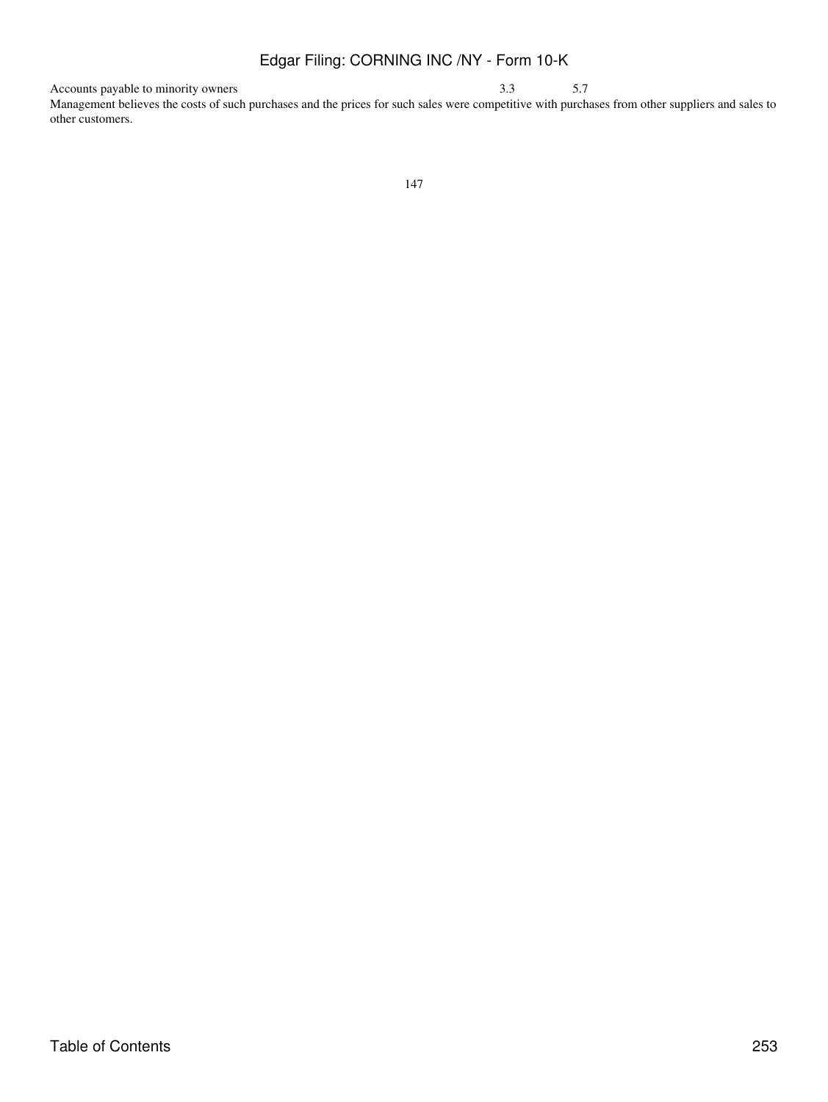Accounts payable to minority owners 3.3 5.7 5.7 Management believes the costs of such purchases and the prices for such sales were competitive with purchases from other suppliers and sales to other customers.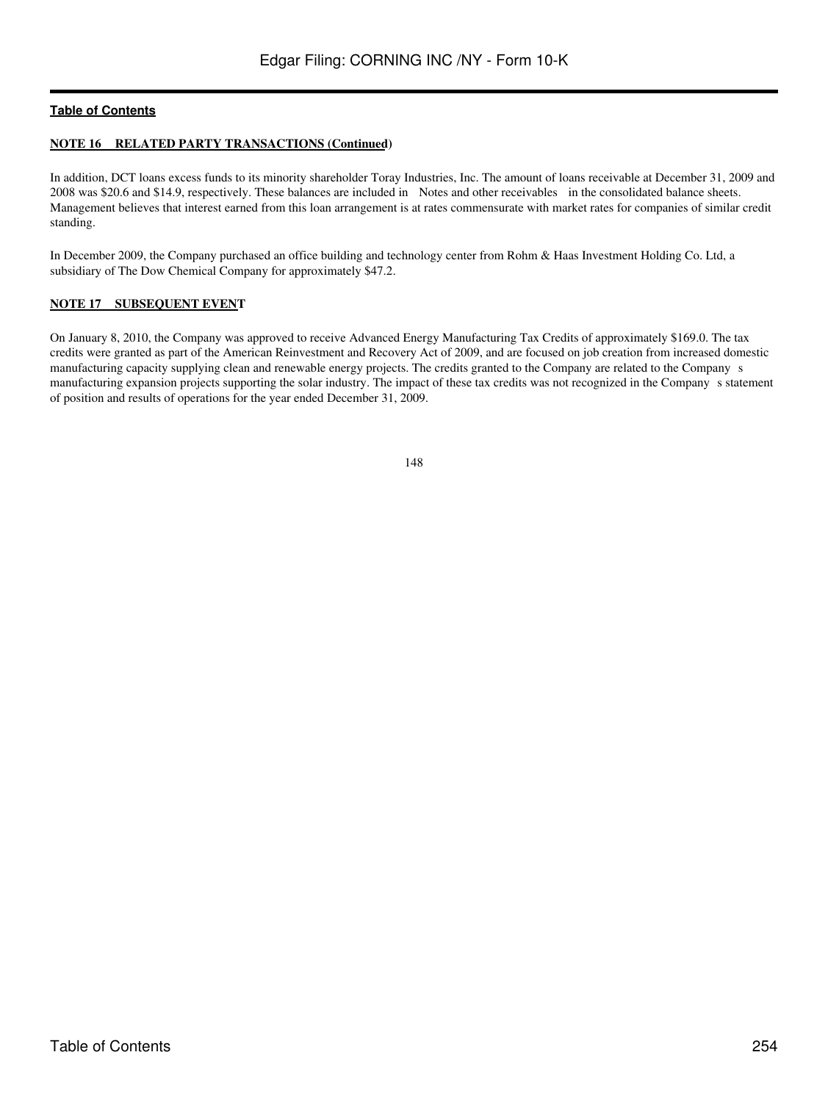### **NOTE 16 RELATED PARTY TRANSACTIONS (Continued)**

In addition, DCT loans excess funds to its minority shareholder Toray Industries, Inc. The amount of loans receivable at December 31, 2009 and 2008 was \$20.6 and \$14.9, respectively. These balances are included in Notes and other receivables in the consolidated balance sheets. Management believes that interest earned from this loan arrangement is at rates commensurate with market rates for companies of similar credit standing.

In December 2009, the Company purchased an office building and technology center from Rohm & Haas Investment Holding Co. Ltd, a subsidiary of The Dow Chemical Company for approximately \$47.2.

### **NOTE 17 SUBSEQUENT EVENT**

On January 8, 2010, the Company was approved to receive Advanced Energy Manufacturing Tax Credits of approximately \$169.0. The tax credits were granted as part of the American Reinvestment and Recovery Act of 2009, and are focused on job creation from increased domestic manufacturing capacity supplying clean and renewable energy projects. The credits granted to the Company are related to the Companys manufacturing expansion projects supporting the solar industry. The impact of these tax credits was not recognized in the Companys statement of position and results of operations for the year ended December 31, 2009.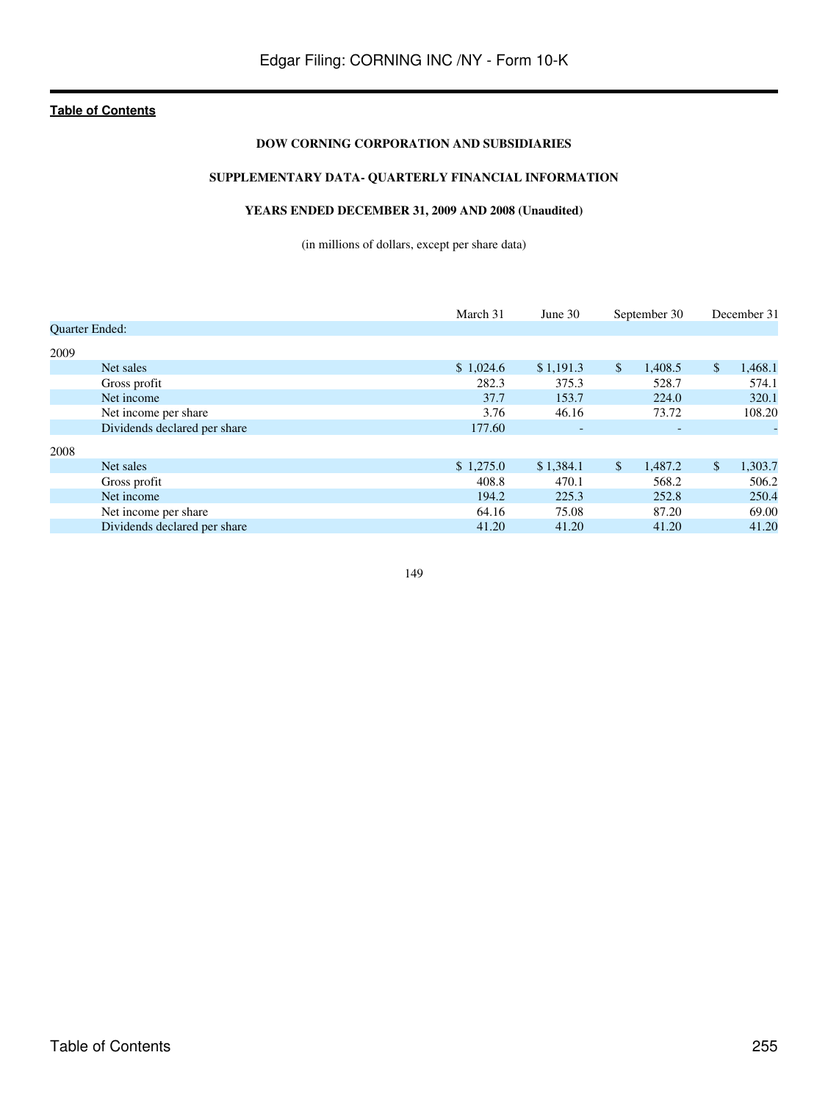### **DOW CORNING CORPORATION AND SUBSIDIARIES**

### **SUPPLEMENTARY DATA- QUARTERLY FINANCIAL INFORMATION**

### **YEARS ENDED DECEMBER 31, 2009 AND 2008 (Unaudited)**

(in millions of dollars, except per share data)

|                       |                              | March 31  | June $30$                |              | September 30             |              | December 31 |
|-----------------------|------------------------------|-----------|--------------------------|--------------|--------------------------|--------------|-------------|
| <b>Ouarter Ended:</b> |                              |           |                          |              |                          |              |             |
| 2009                  |                              |           |                          |              |                          |              |             |
|                       | Net sales                    | \$1,024.6 | \$1,191.3                | $\mathbb{S}$ | 1,408.5                  | $\mathbb{S}$ | 1,468.1     |
|                       | Gross profit                 | 282.3     | 375.3                    |              | 528.7                    |              | 574.1       |
|                       | Net income                   | 37.7      | 153.7                    |              | 224.0                    |              | 320.1       |
|                       | Net income per share         | 3.76      | 46.16                    |              | 73.72                    |              | 108.20      |
|                       | Dividends declared per share | 177.60    | $\overline{\phantom{a}}$ |              | $\overline{\phantom{a}}$ |              |             |
| 2008                  |                              |           |                          |              |                          |              |             |
|                       | Net sales                    | \$1,275.0 | \$1,384.1                | $\mathbb{S}$ | 1,487.2                  | $\mathbb{S}$ | 1,303.7     |
|                       | Gross profit                 | 408.8     | 470.1                    |              | 568.2                    |              | 506.2       |
|                       | Net income                   | 194.2     | 225.3                    |              | 252.8                    |              | 250.4       |
|                       | Net income per share         | 64.16     | 75.08                    |              | 87.20                    |              | 69.00       |
|                       | Dividends declared per share | 41.20     | 41.20                    |              | 41.20                    |              | 41.20       |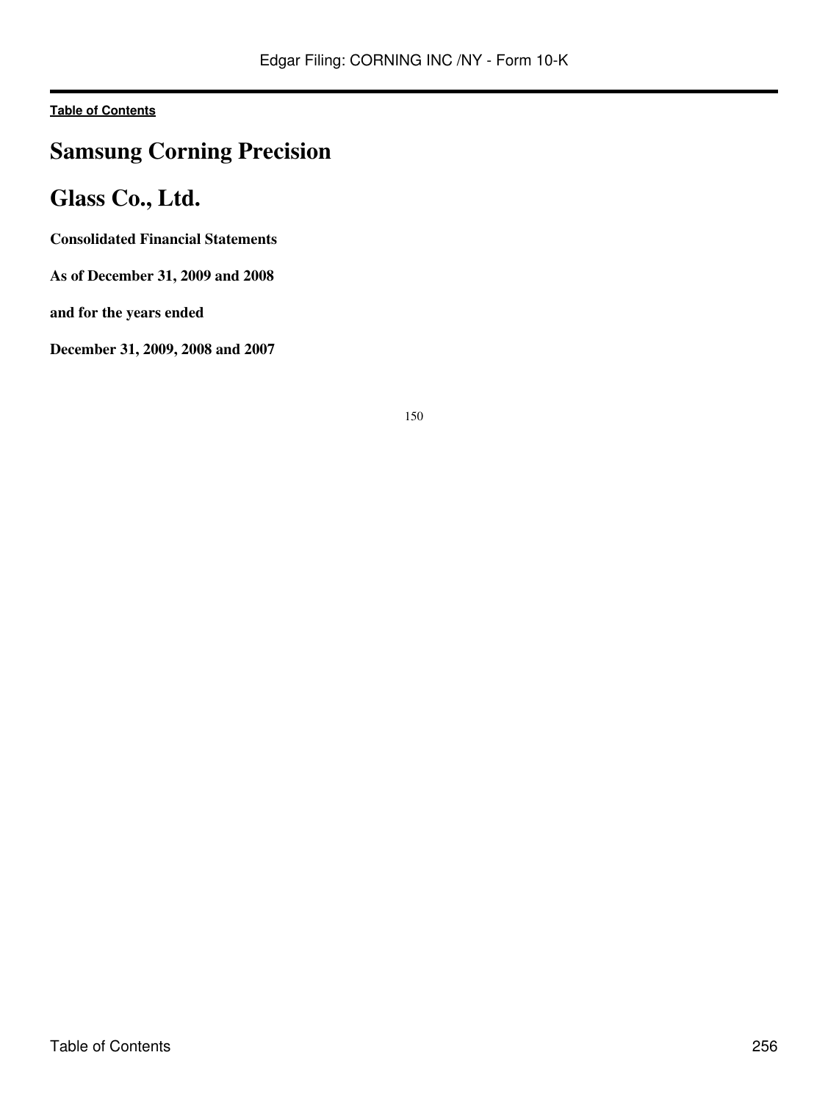# **Samsung Corning Precision**

# **Glass Co., Ltd.**

**Consolidated Financial Statements**

**As of December 31, 2009 and 2008**

**and for the years ended**

**December 31, 2009, 2008 and 2007**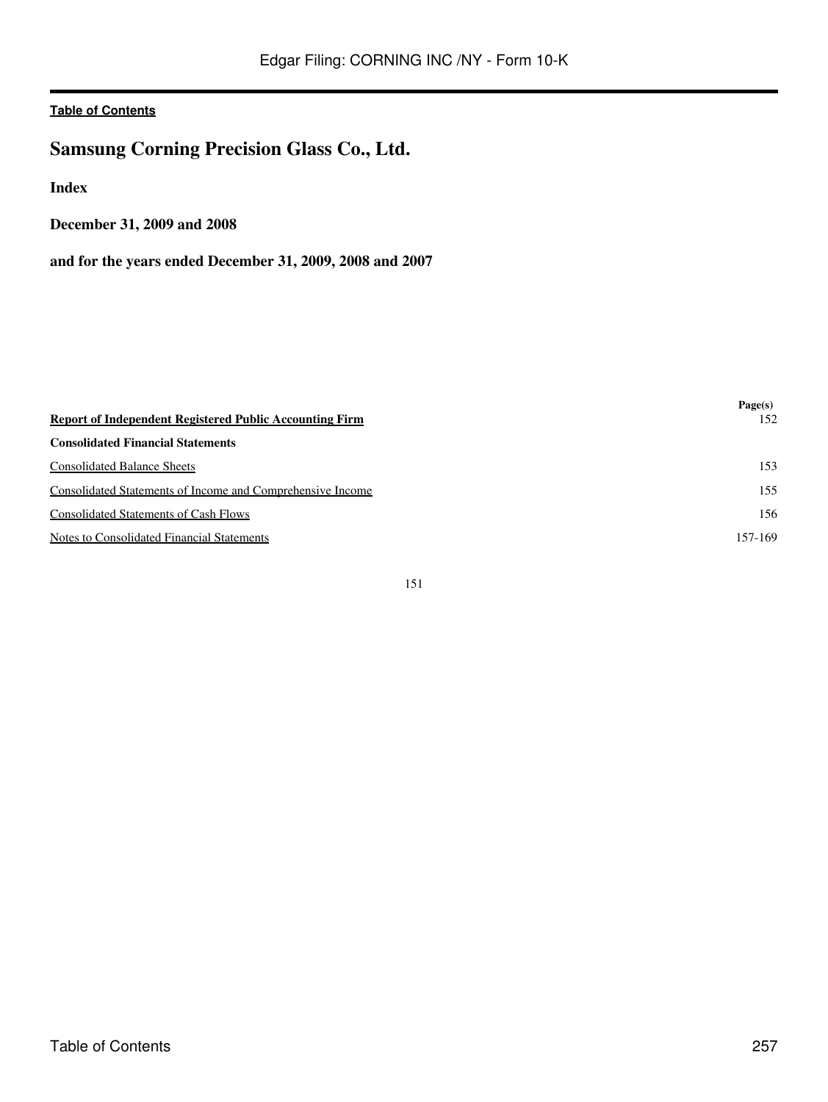# **Samsung Corning Precision Glass Co., Ltd.**

**Index**

**December 31, 2009 and 2008**

**and for the years ended December 31, 2009, 2008 and 2007**

| <b>Report of Independent Registered Public Accounting Firm</b> | Page(s)<br>152 |
|----------------------------------------------------------------|----------------|
| <b>Consolidated Financial Statements</b>                       |                |
| <b>Consolidated Balance Sheets</b>                             | 153            |
| Consolidated Statements of Income and Comprehensive Income     | 155            |
| <b>Consolidated Statements of Cash Flows</b>                   | 156            |
| Notes to Consolidated Financial Statements                     | 157-169        |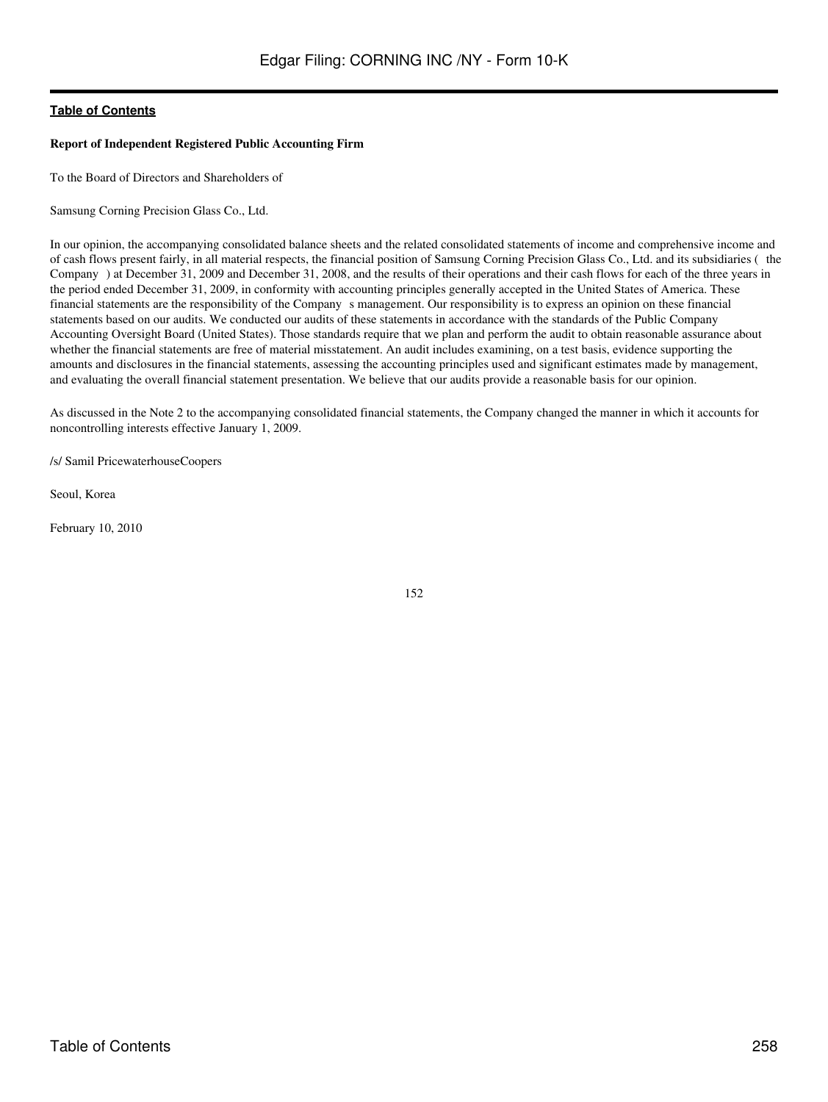### <span id="page-257-0"></span>**Report of Independent Registered Public Accounting Firm**

To the Board of Directors and Shareholders of

Samsung Corning Precision Glass Co., Ltd.

In our opinion, the accompanying consolidated balance sheets and the related consolidated statements of income and comprehensive income and of cash flows present fairly, in all material respects, the financial position of Samsung Corning Precision Glass Co., Ltd. and its subsidiaries (the Company) at December 31, 2009 and December 31, 2008, and the results of their operations and their cash flows for each of the three years in the period ended December 31, 2009, in conformity with accounting principles generally accepted in the United States of America. These financial statements are the responsibility of the Company s management. Our responsibility is to express an opinion on these financial statements based on our audits. We conducted our audits of these statements in accordance with the standards of the Public Company Accounting Oversight Board (United States). Those standards require that we plan and perform the audit to obtain reasonable assurance about whether the financial statements are free of material misstatement. An audit includes examining, on a test basis, evidence supporting the amounts and disclosures in the financial statements, assessing the accounting principles used and significant estimates made by management, and evaluating the overall financial statement presentation. We believe that our audits provide a reasonable basis for our opinion.

As discussed in the Note 2 to the accompanying consolidated financial statements, the Company changed the manner in which it accounts for noncontrolling interests effective January 1, 2009.

/s/ Samil PricewaterhouseCoopers

Seoul, Korea

February 10, 2010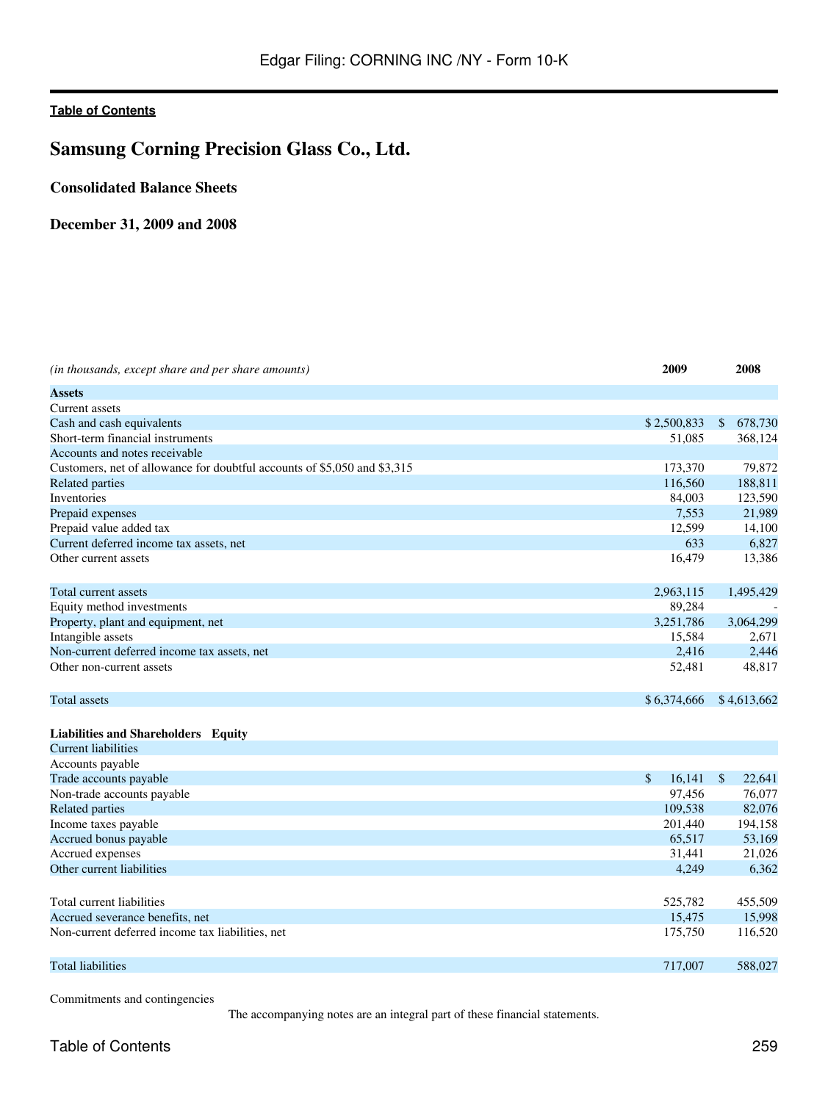# <span id="page-258-0"></span>**Samsung Corning Precision Glass Co., Ltd.**

**Consolidated Balance Sheets**

### **December 31, 2009 and 2008**

| (in thousands, except share and per share amounts)                       | 2009                   | 2008                    |
|--------------------------------------------------------------------------|------------------------|-------------------------|
| <b>Assets</b>                                                            |                        |                         |
| Current assets                                                           |                        |                         |
| Cash and cash equivalents                                                | \$2,500,833            | 678,730<br>$\mathbb{S}$ |
| Short-term financial instruments                                         | 51,085                 | 368,124                 |
| Accounts and notes receivable                                            |                        |                         |
| Customers, net of allowance for doubtful accounts of \$5,050 and \$3,315 | 173,370                | 79,872                  |
| <b>Related parties</b>                                                   | 116,560                | 188,811                 |
| Inventories                                                              | 84,003                 | 123,590                 |
| Prepaid expenses                                                         | 7,553                  | 21,989                  |
| Prepaid value added tax                                                  | 12,599                 | 14,100                  |
| Current deferred income tax assets, net                                  | 633                    | 6,827                   |
| Other current assets                                                     | 16,479                 | 13,386                  |
| Total current assets                                                     | 2,963,115              | 1,495,429               |
| Equity method investments                                                | 89,284                 |                         |
| Property, plant and equipment, net                                       | 3,251,786              | 3,064,299               |
| Intangible assets                                                        | 15,584                 | 2,671                   |
| Non-current deferred income tax assets, net                              | 2,416                  | 2,446                   |
| Other non-current assets                                                 | 52,481                 | 48,817                  |
| Total assets                                                             | \$6,374,666            | \$4,613,662             |
| Liabilities and Shareholders Equity                                      |                        |                         |
| <b>Current liabilities</b>                                               |                        |                         |
| Accounts payable                                                         |                        |                         |
| Trade accounts payable                                                   | $\mathbb{S}$<br>16,141 | $\mathbb{S}$<br>22,641  |
| Non-trade accounts payable                                               | 97,456                 | 76,077                  |
| <b>Related parties</b>                                                   | 109.538                | 82,076                  |
| Income taxes payable                                                     | 201,440                | 194,158                 |
| Accrued bonus payable                                                    | 65,517                 | 53,169                  |
| Accrued expenses                                                         | 31,441                 | 21,026                  |
| Other current liabilities                                                | 4,249                  | 6,362                   |
| Total current liabilities                                                | 525,782                | 455,509                 |
| Accrued severance benefits, net                                          | 15,475                 | 15,998                  |
| Non-current deferred income tax liabilities, net                         | 175,750                | 116,520                 |
| <b>Total liabilities</b>                                                 | 717,007                | 588,027                 |

Commitments and contingencies

The accompanying notes are an integral part of these financial statements.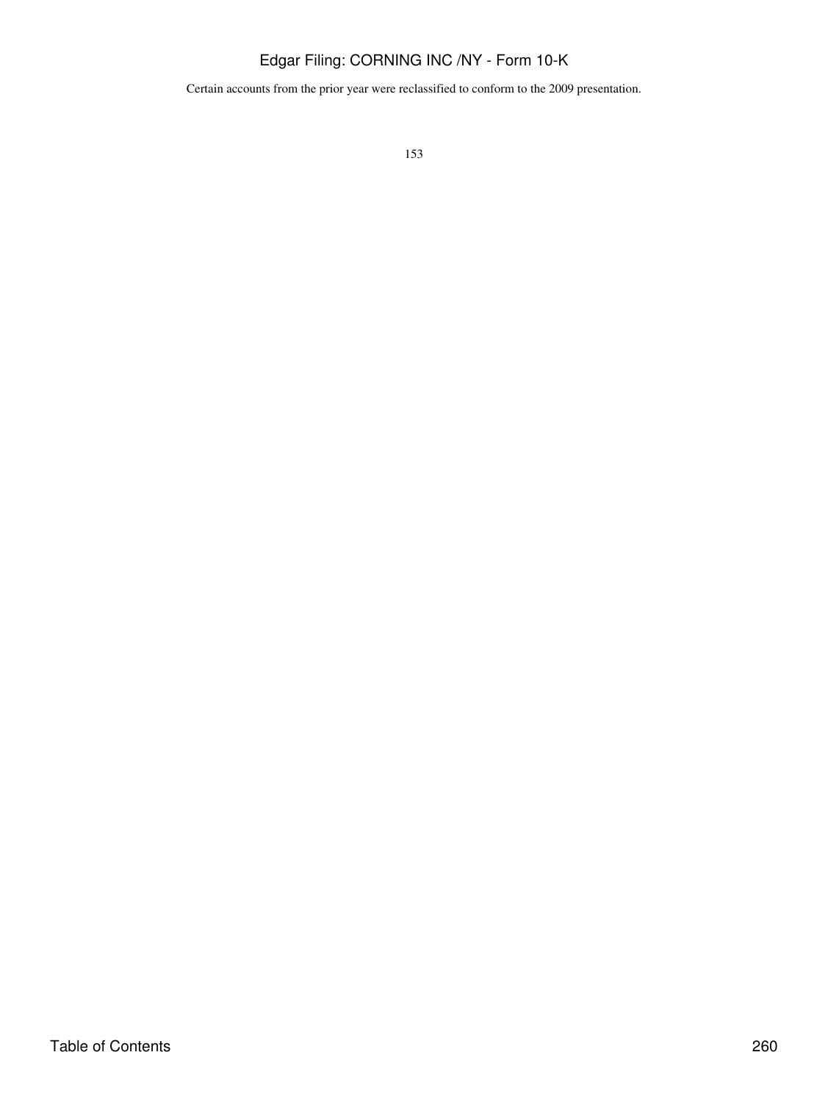Certain accounts from the prior year were reclassified to conform to the 2009 presentation.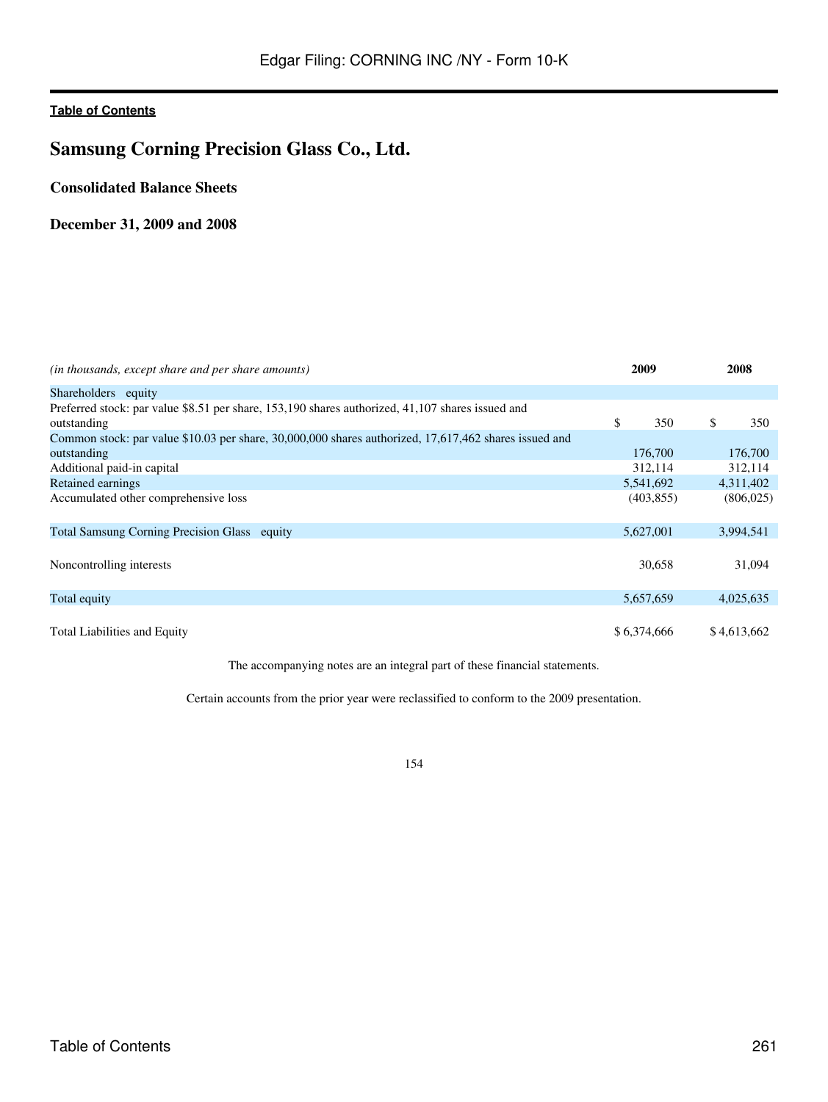# **Samsung Corning Precision Glass Co., Ltd.**

**Consolidated Balance Sheets**

**December 31, 2009 and 2008**

| (in thousands, except share and per share amounts)                                                                   | 2009 |             | 2008 |             |
|----------------------------------------------------------------------------------------------------------------------|------|-------------|------|-------------|
| Shareholders equity                                                                                                  |      |             |      |             |
| Preferred stock: par value \$8.51 per share, 153,190 shares authorized, 41,107 shares issued and<br>outstanding      | \$   | 350         | \$   | 350         |
| Common stock: par value \$10.03 per share, 30,000,000 shares authorized, 17,617,462 shares issued and<br>outstanding |      | 176,700     |      | 176,700     |
| Additional paid-in capital                                                                                           |      | 312,114     |      | 312,114     |
| Retained earnings                                                                                                    |      | 5,541,692   |      | 4,311,402   |
| Accumulated other comprehensive loss                                                                                 |      | (403, 855)  |      | (806, 025)  |
| Total Samsung Corning Precision Glass equity                                                                         |      | 5,627,001   |      | 3,994,541   |
| Noncontrolling interests                                                                                             |      | 30,658      |      | 31,094      |
| Total equity                                                                                                         |      | 5,657,659   |      | 4,025,635   |
| Total Liabilities and Equity                                                                                         |      | \$6,374,666 |      | \$4,613,662 |

The accompanying notes are an integral part of these financial statements.

Certain accounts from the prior year were reclassified to conform to the 2009 presentation.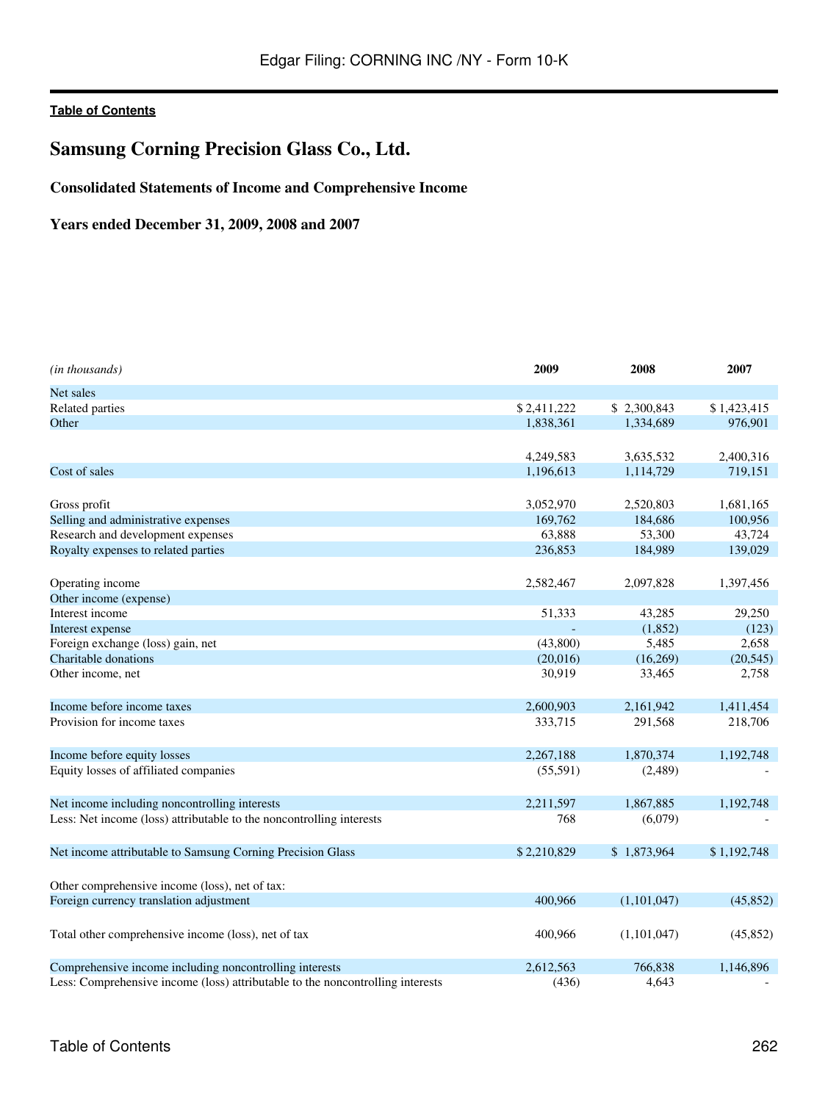# <span id="page-261-0"></span>**Samsung Corning Precision Glass Co., Ltd.**

### **Consolidated Statements of Income and Comprehensive Income**

### **Years ended December 31, 2009, 2008 and 2007**

| (in thousands)                                                                 | 2009        | 2008        | 2007        |
|--------------------------------------------------------------------------------|-------------|-------------|-------------|
| Net sales                                                                      |             |             |             |
| Related parties                                                                | \$2,411,222 | \$2,300,843 | \$1,423,415 |
| Other                                                                          | 1,838,361   | 1,334,689   | 976,901     |
|                                                                                |             |             |             |
|                                                                                | 4,249,583   | 3,635,532   | 2,400,316   |
| Cost of sales                                                                  | 1,196,613   | 1,114,729   | 719,151     |
|                                                                                |             |             |             |
| Gross profit                                                                   | 3,052,970   | 2,520,803   | 1,681,165   |
| Selling and administrative expenses                                            | 169,762     | 184,686     | 100,956     |
| Research and development expenses                                              | 63,888      | 53,300      | 43,724      |
| Royalty expenses to related parties                                            | 236,853     | 184,989     | 139,029     |
|                                                                                |             |             |             |
| Operating income                                                               | 2,582,467   | 2,097,828   | 1,397,456   |
| Other income (expense)                                                         |             |             |             |
| Interest income                                                                | 51,333      | 43,285      | 29,250      |
| Interest expense                                                               |             | (1,852)     | (123)       |
| Foreign exchange (loss) gain, net                                              | (43,800)    | 5,485       | 2,658       |
| Charitable donations                                                           | (20,016)    | (16,269)    | (20, 545)   |
| Other income, net                                                              | 30,919      | 33,465      | 2,758       |
|                                                                                |             |             |             |
| Income before income taxes                                                     | 2,600,903   | 2,161,942   | 1,411,454   |
| Provision for income taxes                                                     | 333,715     | 291,568     | 218,706     |
|                                                                                |             |             |             |
| Income before equity losses                                                    | 2,267,188   | 1,870,374   | 1,192,748   |
| Equity losses of affiliated companies                                          | (55,591)    | (2,489)     |             |
|                                                                                |             |             |             |
| Net income including noncontrolling interests                                  | 2,211,597   | 1,867,885   | 1,192,748   |
| Less: Net income (loss) attributable to the noncontrolling interests           | 768         | (6,079)     |             |
|                                                                                |             |             |             |
| Net income attributable to Samsung Corning Precision Glass                     | \$2,210,829 | \$1,873,964 | \$1,192,748 |
|                                                                                |             |             |             |
| Other comprehensive income (loss), net of tax:                                 |             |             |             |
| Foreign currency translation adjustment                                        | 400,966     | (1,101,047) | (45, 852)   |
|                                                                                |             |             |             |
|                                                                                |             |             |             |
| Total other comprehensive income (loss), net of tax                            | 400,966     | (1,101,047) | (45, 852)   |
|                                                                                |             |             |             |
| Comprehensive income including noncontrolling interests                        | 2,612,563   | 766,838     | 1,146,896   |
| Less: Comprehensive income (loss) attributable to the noncontrolling interests | (436)       | 4.643       |             |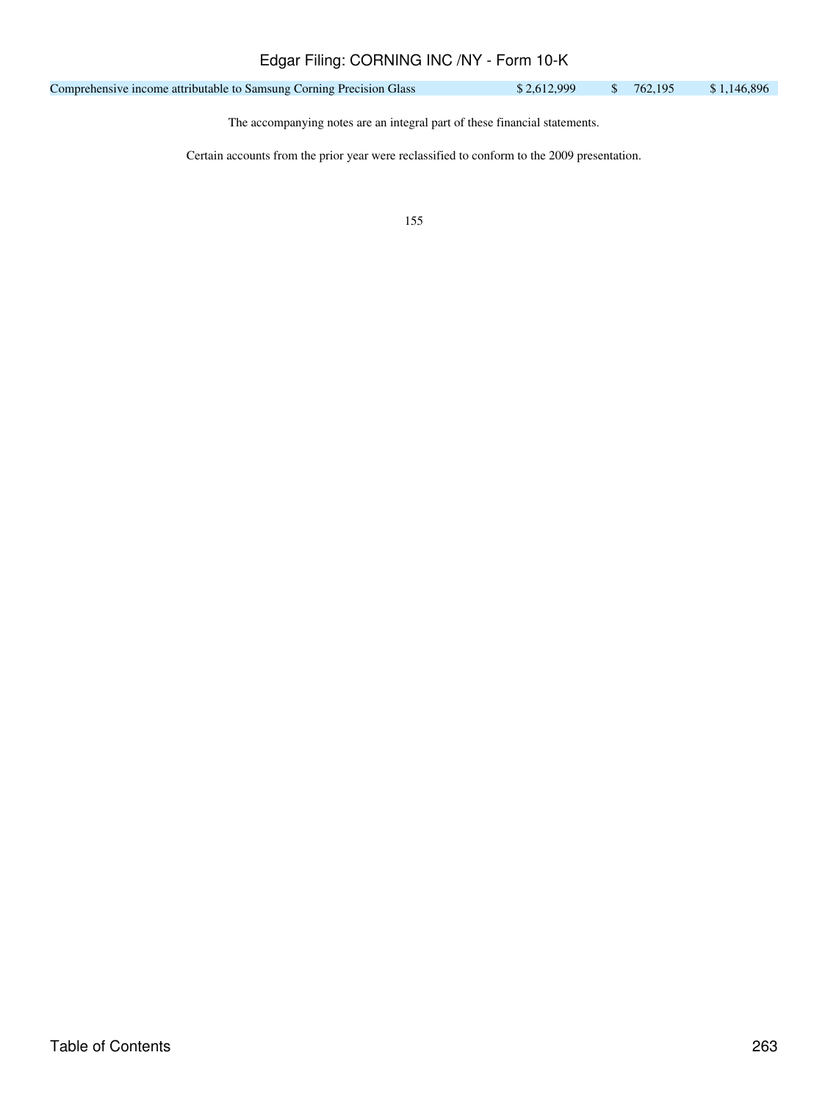Comprehensive income attributable to Samsung Corning Precision Glass \$2,612,999 \$ 762,195 \$1,146,896

The accompanying notes are an integral part of these financial statements.

Certain accounts from the prior year were reclassified to conform to the 2009 presentation.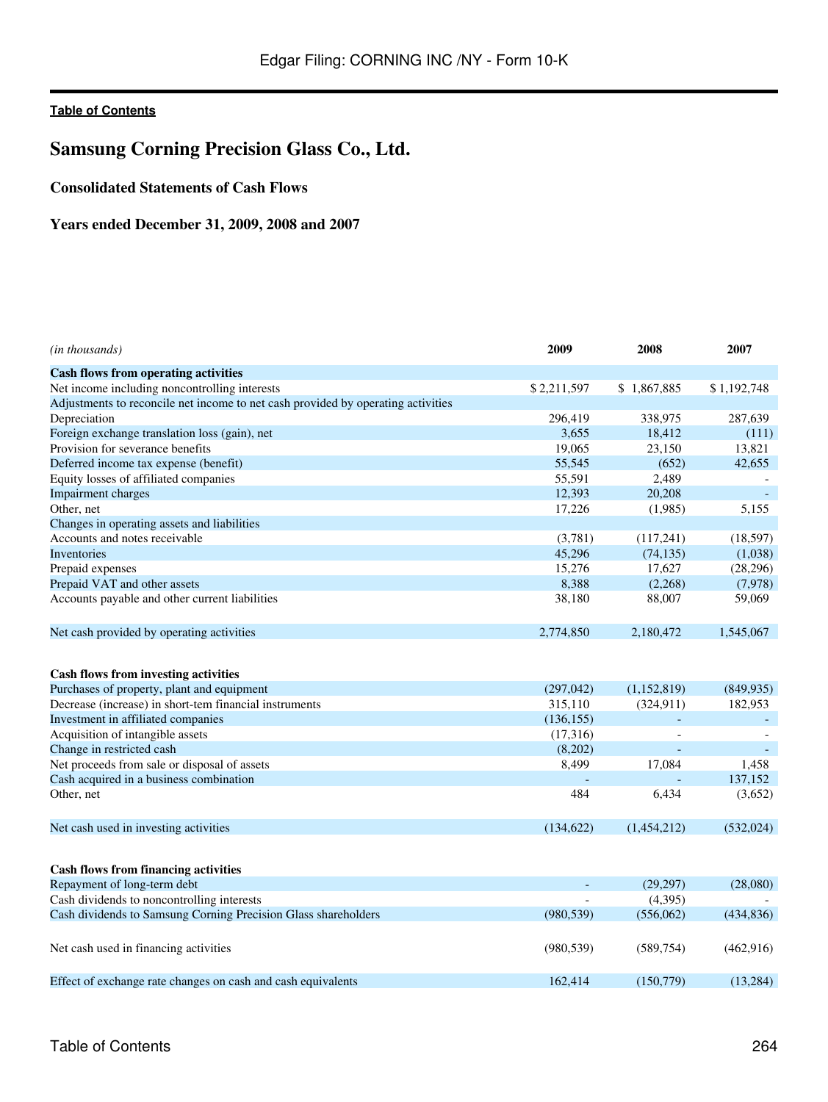# <span id="page-263-0"></span>**Samsung Corning Precision Glass Co., Ltd.**

### **Consolidated Statements of Cash Flows**

### **Years ended December 31, 2009, 2008 and 2007**

| (in thousands)                                                                   | 2009        | 2008                     | 2007        |
|----------------------------------------------------------------------------------|-------------|--------------------------|-------------|
| <b>Cash flows from operating activities</b>                                      |             |                          |             |
| Net income including noncontrolling interests                                    | \$2,211,597 | \$1,867,885              | \$1,192,748 |
| Adjustments to reconcile net income to net cash provided by operating activities |             |                          |             |
| Depreciation                                                                     | 296,419     | 338,975                  | 287,639     |
| Foreign exchange translation loss (gain), net                                    | 3,655       | 18,412                   | (111)       |
| Provision for severance benefits                                                 | 19,065      | 23,150                   | 13,821      |
| Deferred income tax expense (benefit)                                            | 55,545      | (652)                    | 42,655      |
| Equity losses of affiliated companies                                            | 55,591      | 2,489                    |             |
| Impairment charges                                                               | 12,393      | 20,208                   |             |
| Other, net                                                                       | 17,226      | (1,985)                  | 5,155       |
| Changes in operating assets and liabilities                                      |             |                          |             |
| Accounts and notes receivable                                                    | (3,781)     | (117,241)                | (18, 597)   |
| Inventories                                                                      | 45,296      | (74, 135)                | (1,038)     |
| Prepaid expenses                                                                 | 15,276      | 17,627                   | (28, 296)   |
| Prepaid VAT and other assets                                                     | 8,388       | (2,268)                  | (7,978)     |
| Accounts payable and other current liabilities                                   | 38,180      | 88,007                   | 59,069      |
|                                                                                  |             |                          |             |
| Net cash provided by operating activities                                        | 2,774,850   | 2,180,472                | 1,545,067   |
| <b>Cash flows from investing activities</b>                                      |             |                          |             |
| Purchases of property, plant and equipment                                       | (297, 042)  | (1,152,819)              | (849, 935)  |
| Decrease (increase) in short-tem financial instruments                           | 315,110     | (324, 911)               | 182,953     |
| Investment in affiliated companies                                               | (136, 155)  | $\overline{\phantom{a}}$ |             |
| Acquisition of intangible assets                                                 | (17,316)    |                          |             |
| Change in restricted cash                                                        | (8,202)     | L,                       |             |
| Net proceeds from sale or disposal of assets                                     | 8,499       | 17,084                   | 1,458       |
| Cash acquired in a business combination                                          |             |                          | 137,152     |
| Other, net                                                                       | 484         | 6,434                    | (3,652)     |
| Net cash used in investing activities                                            | (134, 622)  | (1,454,212)              | (532, 024)  |
|                                                                                  |             |                          |             |
| <b>Cash flows from financing activities</b>                                      |             |                          |             |
| Repayment of long-term debt                                                      |             | (29, 297)                | (28,080)    |
| Cash dividends to noncontrolling interests                                       |             | (4, 395)                 |             |
| Cash dividends to Samsung Corning Precision Glass shareholders                   | (980, 539)  | (556,062)                | (434, 836)  |
| Net cash used in financing activities                                            | (980, 539)  | (589, 754)               | (462, 916)  |
| Effect of exchange rate changes on cash and cash equivalents                     | 162.414     | (150,779)                | (13, 284)   |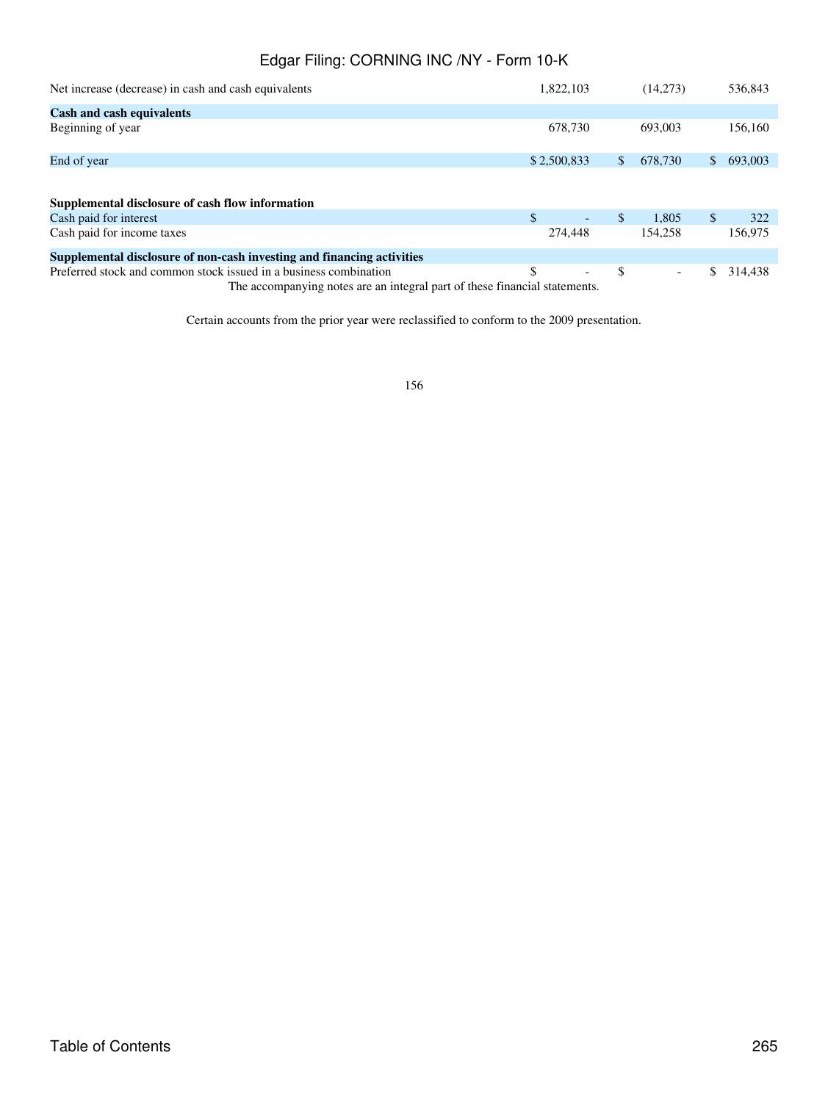| Net increase (decrease) in cash and cash equivalents                                                                                            | 1,822,103                      |     | (14,273)                 | 536,843   |
|-------------------------------------------------------------------------------------------------------------------------------------------------|--------------------------------|-----|--------------------------|-----------|
| <b>Cash and cash equivalents</b>                                                                                                                |                                |     |                          |           |
| Beginning of year                                                                                                                               | 678.730                        |     | 693,003                  | 156,160   |
| End of year                                                                                                                                     | \$2,500,833                    | \$. | 678,730                  | 693,003   |
| Supplemental disclosure of cash flow information                                                                                                |                                |     |                          |           |
| Cash paid for interest                                                                                                                          |                                | \$. | 1.805                    | \$<br>322 |
| Cash paid for income taxes                                                                                                                      | 274,448                        |     | 154.258                  | 156,975   |
| Supplemental disclosure of non-cash investing and financing activities                                                                          |                                |     |                          |           |
| Preferred stock and common stock issued in a business combination<br>The accompanying notes are an integral part of these financial statements. | \$<br>$\overline{\phantom{a}}$ | -S  | $\overline{\phantom{a}}$ | 314,438   |

Certain accounts from the prior year were reclassified to conform to the 2009 presentation.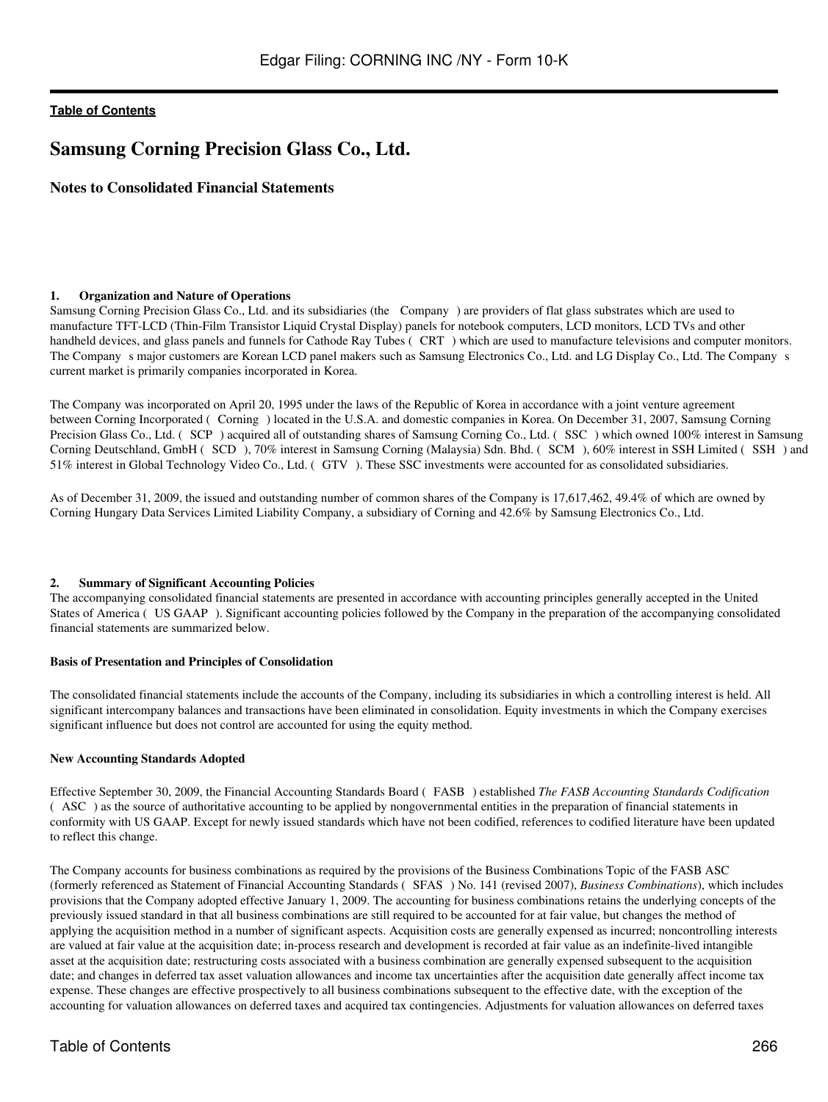# **Samsung Corning Precision Glass Co., Ltd.**

### **Notes to Consolidated Financial Statements**

### **1. Organization and Nature of Operations**

Samsung Corning Precision Glass Co., Ltd. and its subsidiaries (the Company) are providers of flat glass substrates which are used to manufacture TFT-LCD (Thin-Film Transistor Liquid Crystal Display) panels for notebook computers, LCD monitors, LCD TVs and other handheld devices, and glass panels and funnels for Cathode Ray Tubes (CRT) which are used to manufacture televisions and computer monitors. The Company s major customers are Korean LCD panel makers such as Samsung Electronics Co., Ltd. and LG Display Co., Ltd. The Company s current market is primarily companies incorporated in Korea.

The Company was incorporated on April 20, 1995 under the laws of the Republic of Korea in accordance with a joint venture agreement between Corning Incorporated (Corning) located in the U.S.A. and domestic companies in Korea. On December 31, 2007, Samsung Corning Precision Glass Co., Ltd. (SCP) acquired all of outstanding shares of Samsung Corning Co., Ltd. (SSC) which owned 100% interest in Samsung Corning Deutschland, GmbH (SCD), 70% interest in Samsung Corning (Malaysia) Sdn. Bhd. (SCM), 60% interest in SSH Limited (SSH) and 51% interest in Global Technology Video Co., Ltd. (GTV). These SSC investments were accounted for as consolidated subsidiaries.

As of December 31, 2009, the issued and outstanding number of common shares of the Company is 17,617,462, 49.4% of which are owned by Corning Hungary Data Services Limited Liability Company, a subsidiary of Corning and 42.6% by Samsung Electronics Co., Ltd.

### **2. Summary of Significant Accounting Policies**

The accompanying consolidated financial statements are presented in accordance with accounting principles generally accepted in the United States of America (US GAAP). Significant accounting policies followed by the Company in the preparation of the accompanying consolidated financial statements are summarized below.

### **Basis of Presentation and Principles of Consolidation**

The consolidated financial statements include the accounts of the Company, including its subsidiaries in which a controlling interest is held. All significant intercompany balances and transactions have been eliminated in consolidation. Equity investments in which the Company exercises significant influence but does not control are accounted for using the equity method.

### **New Accounting Standards Adopted**

Effective September 30, 2009, the Financial Accounting Standards Board (FASB) established *The FASB Accounting Standards Codification* (ASC) as the source of authoritative accounting to be applied by nongovernmental entities in the preparation of financial statements in conformity with US GAAP. Except for newly issued standards which have not been codified, references to codified literature have been updated to reflect this change.

The Company accounts for business combinations as required by the provisions of the Business Combinations Topic of the FASB ASC (formerly referenced as Statement of Financial Accounting Standards (SFAS) No. 141 (revised 2007), *Business Combinations*), which includes provisions that the Company adopted effective January 1, 2009. The accounting for business combinations retains the underlying concepts of the previously issued standard in that all business combinations are still required to be accounted for at fair value, but changes the method of applying the acquisition method in a number of significant aspects. Acquisition costs are generally expensed as incurred; noncontrolling interests are valued at fair value at the acquisition date; in-process research and development is recorded at fair value as an indefinite-lived intangible asset at the acquisition date; restructuring costs associated with a business combination are generally expensed subsequent to the acquisition date; and changes in deferred tax asset valuation allowances and income tax uncertainties after the acquisition date generally affect income tax expense. These changes are effective prospectively to all business combinations subsequent to the effective date, with the exception of the accounting for valuation allowances on deferred taxes and acquired tax contingencies. Adjustments for valuation allowances on deferred taxes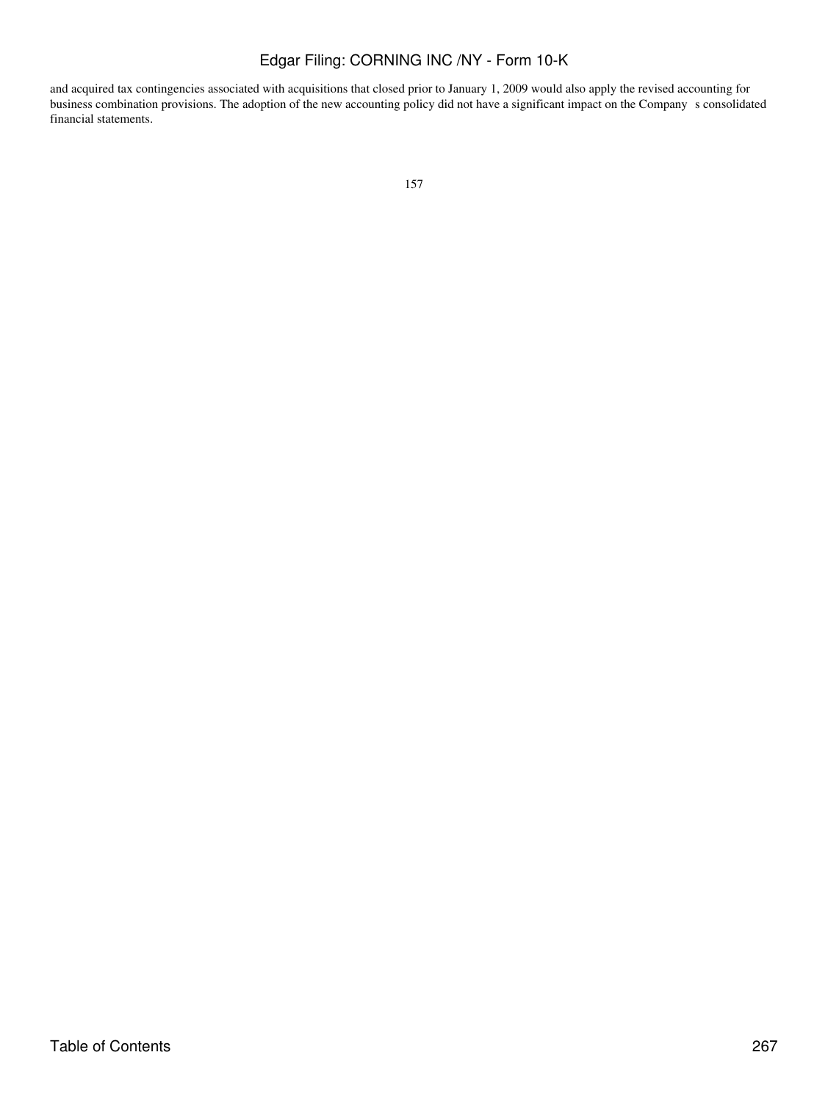and acquired tax contingencies associated with acquisitions that closed prior to January 1, 2009 would also apply the revised accounting for business combination provisions. The adoption of the new accounting policy did not have a significant impact on the Company s consolidated financial statements.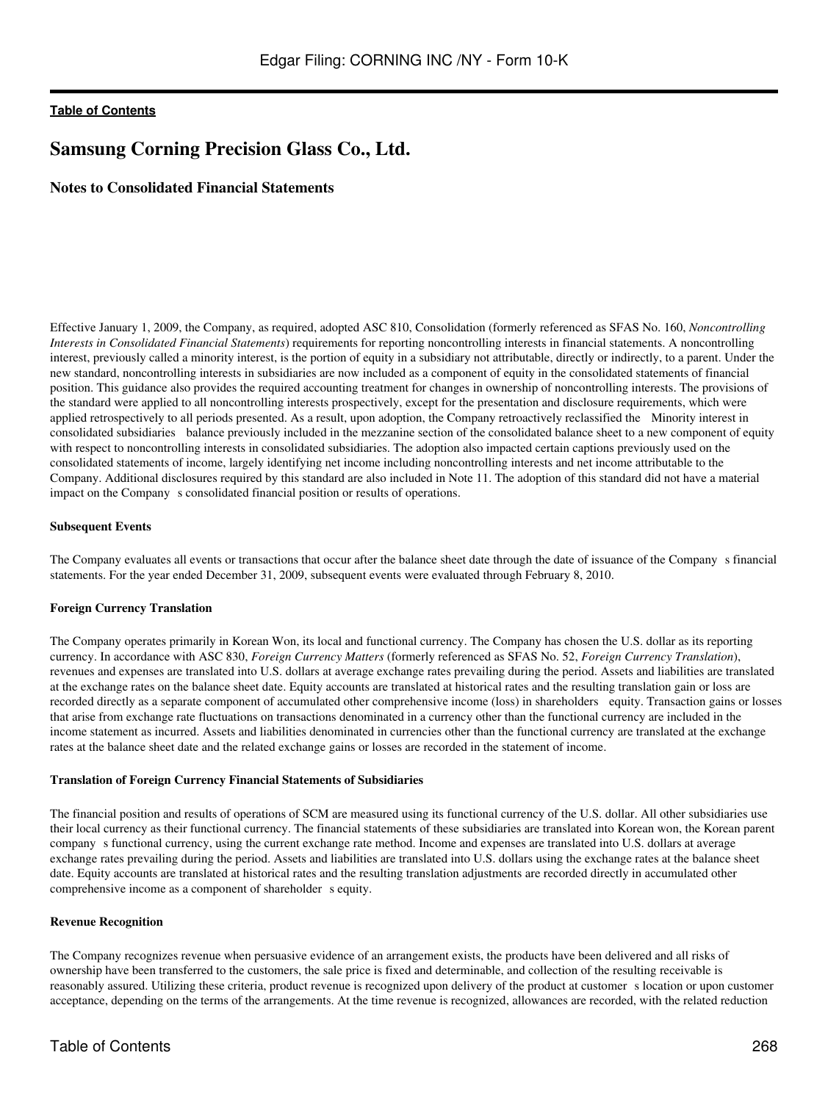# **Samsung Corning Precision Glass Co., Ltd.**

### **Notes to Consolidated Financial Statements**

Effective January 1, 2009, the Company, as required, adopted ASC 810, Consolidation (formerly referenced as SFAS No. 160, *Noncontrolling Interests in Consolidated Financial Statements*) requirements for reporting noncontrolling interests in financial statements. A noncontrolling interest, previously called a minority interest, is the portion of equity in a subsidiary not attributable, directly or indirectly, to a parent. Under the new standard, noncontrolling interests in subsidiaries are now included as a component of equity in the consolidated statements of financial position. This guidance also provides the required accounting treatment for changes in ownership of noncontrolling interests. The provisions of the standard were applied to all noncontrolling interests prospectively, except for the presentation and disclosure requirements, which were applied retrospectively to all periods presented. As a result, upon adoption, the Company retroactively reclassified the Minority interest in consolidated subsidiaries balance previously included in the mezzanine section of the consolidated balance sheet to a new component of equity with respect to noncontrolling interests in consolidated subsidiaries. The adoption also impacted certain captions previously used on the consolidated statements of income, largely identifying net income including noncontrolling interests and net income attributable to the Company. Additional disclosures required by this standard are also included in Note 11. The adoption of this standard did not have a material impact on the Company s consolidated financial position or results of operations.

#### **Subsequent Events**

The Company evaluates all events or transactions that occur after the balance sheet date through the date of issuance of the Company s financial statements. For the year ended December 31, 2009, subsequent events were evaluated through February 8, 2010.

#### **Foreign Currency Translation**

The Company operates primarily in Korean Won, its local and functional currency. The Company has chosen the U.S. dollar as its reporting currency. In accordance with ASC 830, *Foreign Currency Matters* (formerly referenced as SFAS No. 52, *Foreign Currency Translation*), revenues and expenses are translated into U.S. dollars at average exchange rates prevailing during the period. Assets and liabilities are translated at the exchange rates on the balance sheet date. Equity accounts are translated at historical rates and the resulting translation gain or loss are recorded directly as a separate component of accumulated other comprehensive income (loss) in shareholders equity. Transaction gains or losses that arise from exchange rate fluctuations on transactions denominated in a currency other than the functional currency are included in the income statement as incurred. Assets and liabilities denominated in currencies other than the functional currency are translated at the exchange rates at the balance sheet date and the related exchange gains or losses are recorded in the statement of income.

#### **Translation of Foreign Currency Financial Statements of Subsidiaries**

The financial position and results of operations of SCM are measured using its functional currency of the U.S. dollar. All other subsidiaries use their local currency as their functional currency. The financial statements of these subsidiaries are translated into Korean won, the Korean parent companys functional currency, using the current exchange rate method. Income and expenses are translated into U.S. dollars at average exchange rates prevailing during the period. Assets and liabilities are translated into U.S. dollars using the exchange rates at the balance sheet date. Equity accounts are translated at historical rates and the resulting translation adjustments are recorded directly in accumulated other comprehensive income as a component of shareholder s equity.

#### **Revenue Recognition**

The Company recognizes revenue when persuasive evidence of an arrangement exists, the products have been delivered and all risks of ownership have been transferred to the customers, the sale price is fixed and determinable, and collection of the resulting receivable is reasonably assured. Utilizing these criteria, product revenue is recognized upon delivery of the product at customer s location or upon customer acceptance, depending on the terms of the arrangements. At the time revenue is recognized, allowances are recorded, with the related reduction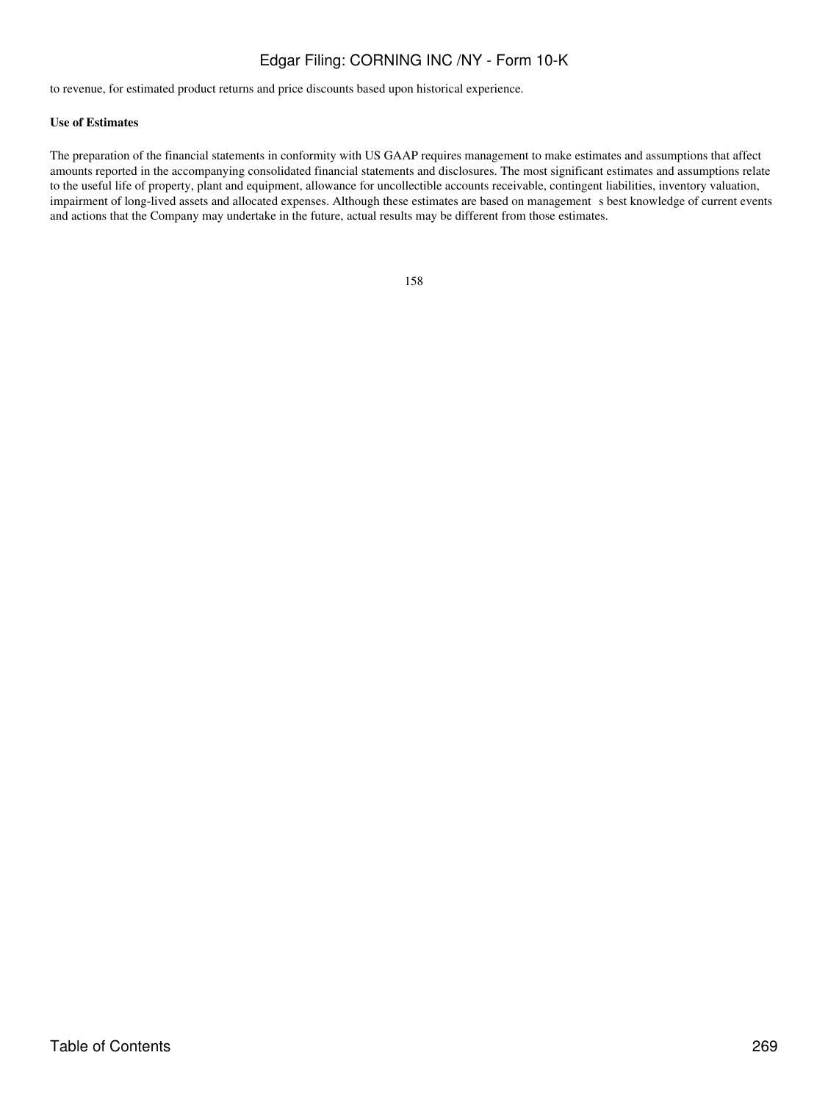to revenue, for estimated product returns and price discounts based upon historical experience.

### **Use of Estimates**

The preparation of the financial statements in conformity with US GAAP requires management to make estimates and assumptions that affect amounts reported in the accompanying consolidated financial statements and disclosures. The most significant estimates and assumptions relate to the useful life of property, plant and equipment, allowance for uncollectible accounts receivable, contingent liabilities, inventory valuation, impairment of long-lived assets and allocated expenses. Although these estimates are based on management s best knowledge of current events and actions that the Company may undertake in the future, actual results may be different from those estimates.

| __ | n sa<br>I<br>I<br>۰. | I<br>. .<br>۰. |
|----|----------------------|----------------|
|----|----------------------|----------------|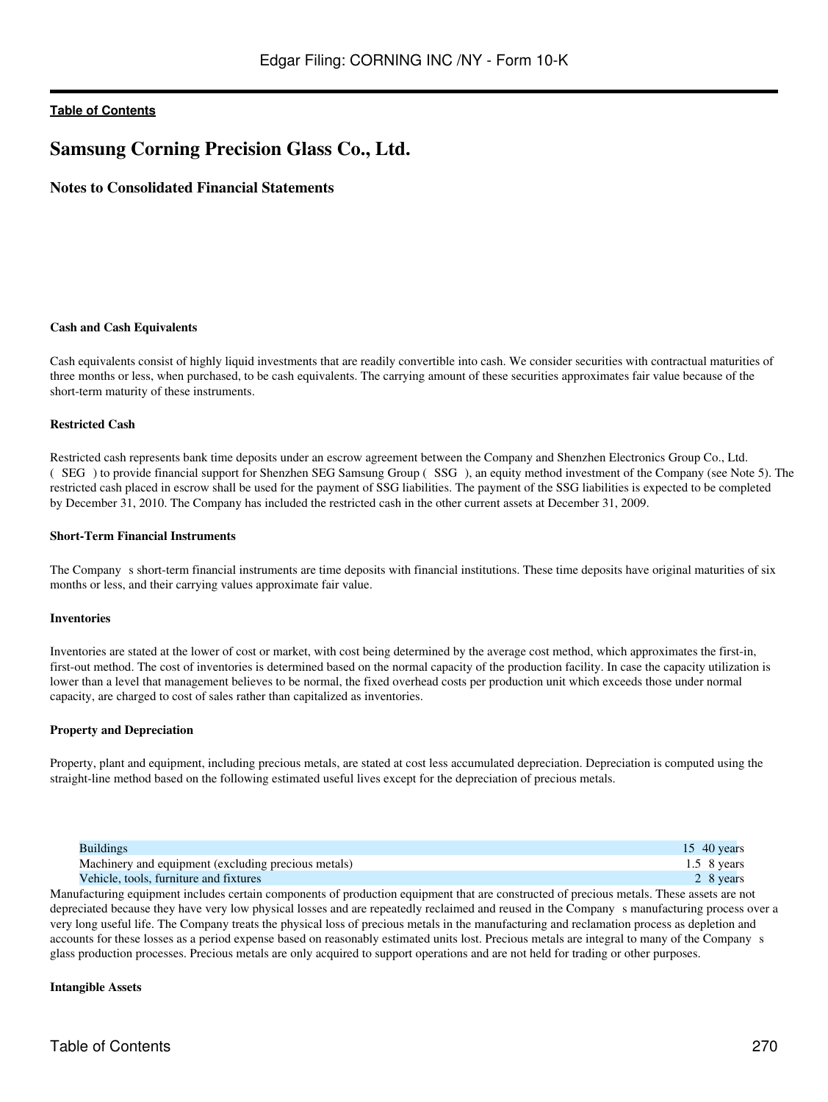## **Samsung Corning Precision Glass Co., Ltd.**

**Notes to Consolidated Financial Statements**

#### **Cash and Cash Equivalents**

Cash equivalents consist of highly liquid investments that are readily convertible into cash. We consider securities with contractual maturities of three months or less, when purchased, to be cash equivalents. The carrying amount of these securities approximates fair value because of the short-term maturity of these instruments.

#### **Restricted Cash**

Restricted cash represents bank time deposits under an escrow agreement between the Company and Shenzhen Electronics Group Co., Ltd. (SEG) to provide financial support for Shenzhen SEG Samsung Group (SSG), an equity method investment of the Company (see Note 5). The restricted cash placed in escrow shall be used for the payment of SSG liabilities. The payment of the SSG liabilities is expected to be completed by December 31, 2010. The Company has included the restricted cash in the other current assets at December 31, 2009.

### **Short-Term Financial Instruments**

The Company s short-term financial instruments are time deposits with financial institutions. These time deposits have original maturities of six months or less, and their carrying values approximate fair value.

#### **Inventories**

Inventories are stated at the lower of cost or market, with cost being determined by the average cost method, which approximates the first-in, first-out method. The cost of inventories is determined based on the normal capacity of the production facility. In case the capacity utilization is lower than a level that management believes to be normal, the fixed overhead costs per production unit which exceeds those under normal capacity, are charged to cost of sales rather than capitalized as inventories.

### **Property and Depreciation**

Property, plant and equipment, including precious metals, are stated at cost less accumulated depreciation. Depreciation is computed using the straight-line method based on the following estimated useful lives except for the depreciation of precious metals.

| <b>Buildings</b>                                    | $15\,40$ years |
|-----------------------------------------------------|----------------|
| Machinery and equipment (excluding precious metals) | 1.5 $8$ years  |
| Vehicle, tools, furniture and fixtures              | 2 8 years      |

Manufacturing equipment includes certain components of production equipment that are constructed of precious metals. These assets are not depreciated because they have very low physical losses and are repeatedly reclaimed and reused in the Company s manufacturing process over a very long useful life. The Company treats the physical loss of precious metals in the manufacturing and reclamation process as depletion and accounts for these losses as a period expense based on reasonably estimated units lost. Precious metals are integral to many of the Companys glass production processes. Precious metals are only acquired to support operations and are not held for trading or other purposes.

**Intangible Assets**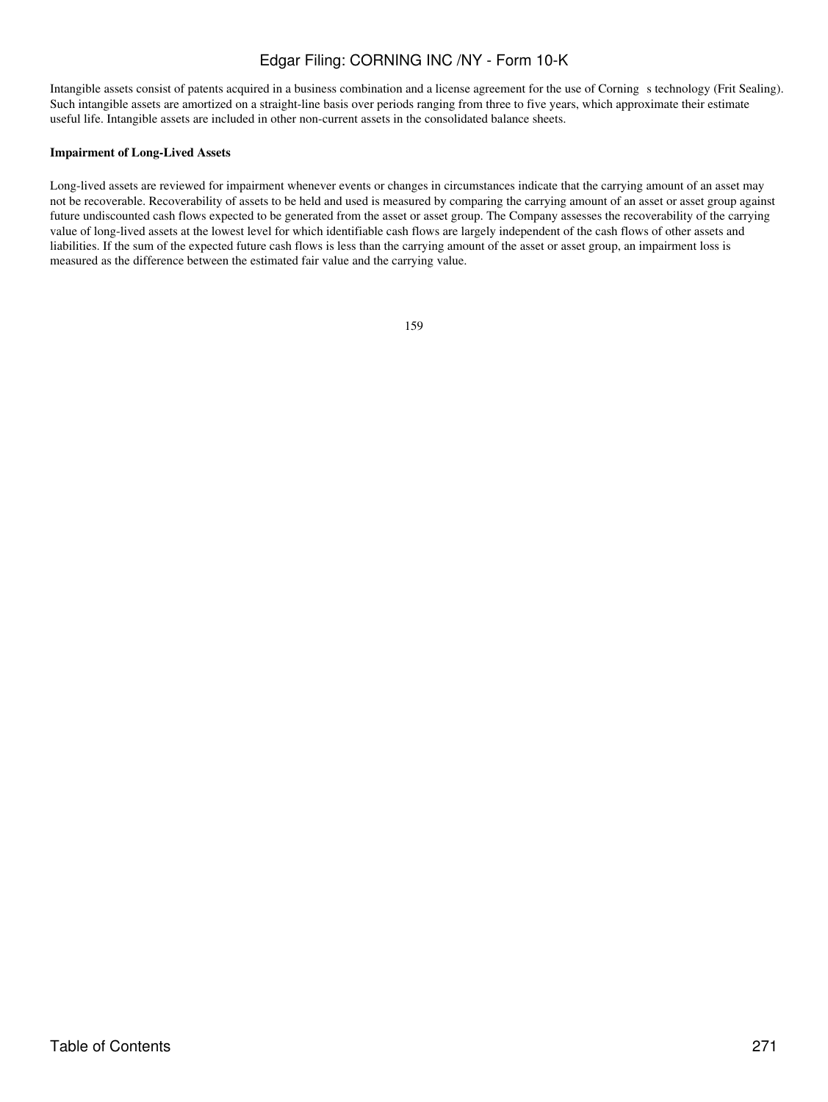Intangible assets consist of patents acquired in a business combination and a license agreement for the use of Corning s technology (Frit Sealing). Such intangible assets are amortized on a straight-line basis over periods ranging from three to five years, which approximate their estimate useful life. Intangible assets are included in other non-current assets in the consolidated balance sheets.

#### **Impairment of Long-Lived Assets**

Long-lived assets are reviewed for impairment whenever events or changes in circumstances indicate that the carrying amount of an asset may not be recoverable. Recoverability of assets to be held and used is measured by comparing the carrying amount of an asset or asset group against future undiscounted cash flows expected to be generated from the asset or asset group. The Company assesses the recoverability of the carrying value of long-lived assets at the lowest level for which identifiable cash flows are largely independent of the cash flows of other assets and liabilities. If the sum of the expected future cash flows is less than the carrying amount of the asset or asset group, an impairment loss is measured as the difference between the estimated fair value and the carrying value.

```
159
```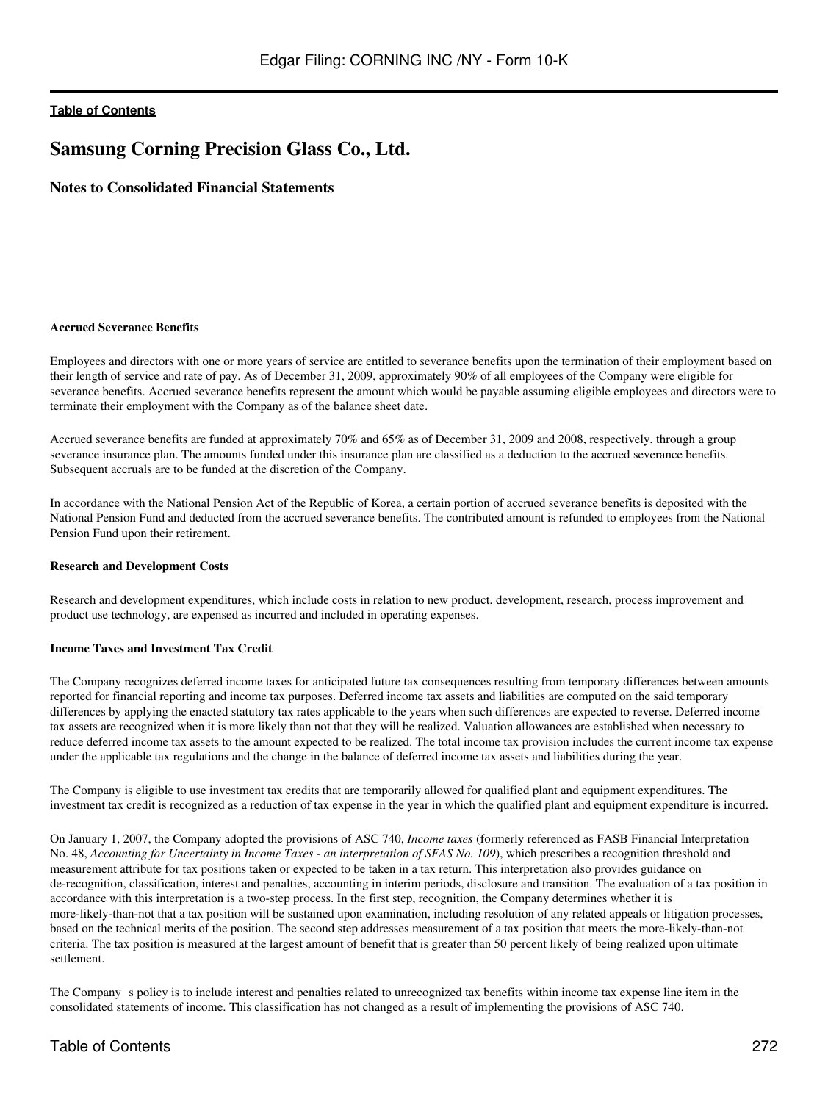# **Samsung Corning Precision Glass Co., Ltd.**

### **Notes to Consolidated Financial Statements**

#### **Accrued Severance Benefits**

Employees and directors with one or more years of service are entitled to severance benefits upon the termination of their employment based on their length of service and rate of pay. As of December 31, 2009, approximately 90% of all employees of the Company were eligible for severance benefits. Accrued severance benefits represent the amount which would be payable assuming eligible employees and directors were to terminate their employment with the Company as of the balance sheet date.

Accrued severance benefits are funded at approximately 70% and 65% as of December 31, 2009 and 2008, respectively, through a group severance insurance plan. The amounts funded under this insurance plan are classified as a deduction to the accrued severance benefits. Subsequent accruals are to be funded at the discretion of the Company.

In accordance with the National Pension Act of the Republic of Korea, a certain portion of accrued severance benefits is deposited with the National Pension Fund and deducted from the accrued severance benefits. The contributed amount is refunded to employees from the National Pension Fund upon their retirement.

#### **Research and Development Costs**

Research and development expenditures, which include costs in relation to new product, development, research, process improvement and product use technology, are expensed as incurred and included in operating expenses.

### **Income Taxes and Investment Tax Credit**

The Company recognizes deferred income taxes for anticipated future tax consequences resulting from temporary differences between amounts reported for financial reporting and income tax purposes. Deferred income tax assets and liabilities are computed on the said temporary differences by applying the enacted statutory tax rates applicable to the years when such differences are expected to reverse. Deferred income tax assets are recognized when it is more likely than not that they will be realized. Valuation allowances are established when necessary to reduce deferred income tax assets to the amount expected to be realized. The total income tax provision includes the current income tax expense under the applicable tax regulations and the change in the balance of deferred income tax assets and liabilities during the year.

The Company is eligible to use investment tax credits that are temporarily allowed for qualified plant and equipment expenditures. The investment tax credit is recognized as a reduction of tax expense in the year in which the qualified plant and equipment expenditure is incurred.

On January 1, 2007, the Company adopted the provisions of ASC 740, *Income taxes* (formerly referenced as FASB Financial Interpretation No. 48, *Accounting for Uncertainty in Income Taxes - an interpretation of SFAS No. 109*), which prescribes a recognition threshold and measurement attribute for tax positions taken or expected to be taken in a tax return. This interpretation also provides guidance on de-recognition, classification, interest and penalties, accounting in interim periods, disclosure and transition. The evaluation of a tax position in accordance with this interpretation is a two-step process. In the first step, recognition, the Company determines whether it is more-likely-than-not that a tax position will be sustained upon examination, including resolution of any related appeals or litigation processes, based on the technical merits of the position. The second step addresses measurement of a tax position that meets the more-likely-than-not criteria. The tax position is measured at the largest amount of benefit that is greater than 50 percent likely of being realized upon ultimate settlement.

The Company s policy is to include interest and penalties related to unrecognized tax benefits within income tax expense line item in the consolidated statements of income. This classification has not changed as a result of implementing the provisions of ASC 740.

### Table of Contents 272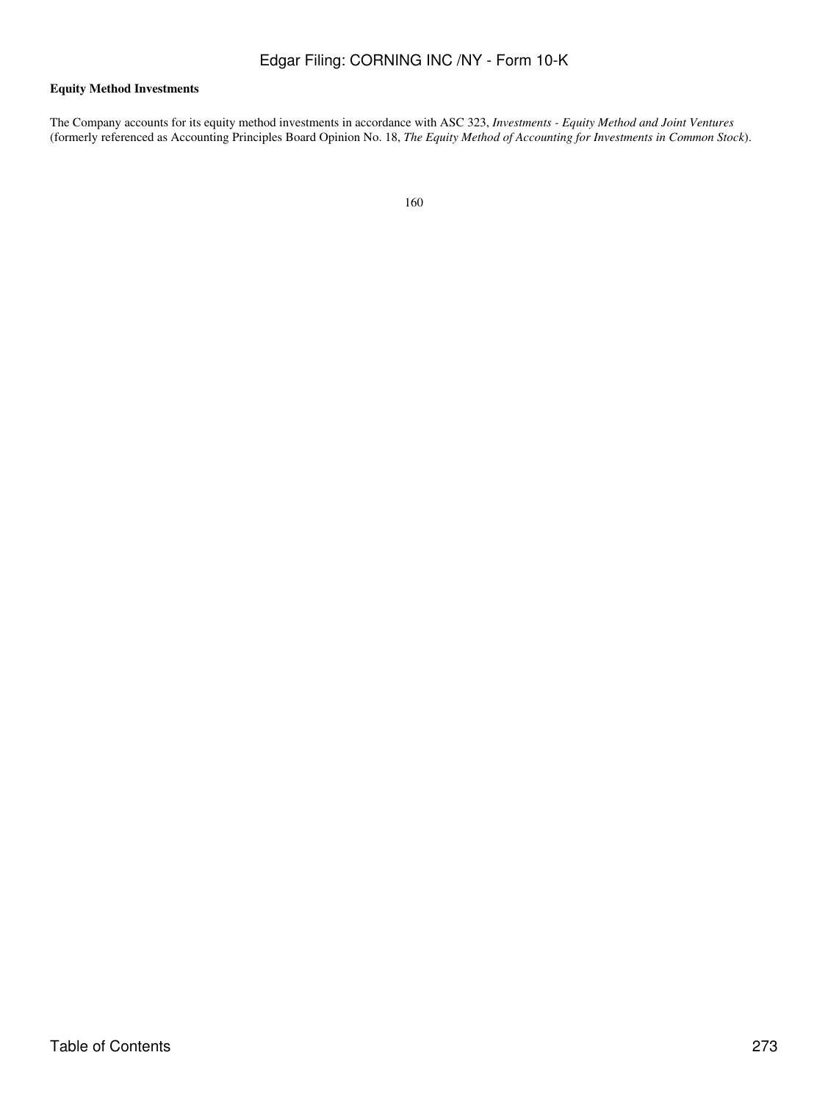### **Equity Method Investments**

The Company accounts for its equity method investments in accordance with ASC 323, *Investments - Equity Method and Joint Ventures* (formerly referenced as Accounting Principles Board Opinion No. 18, *The Equity Method of Accounting for Investments in Common Stock*).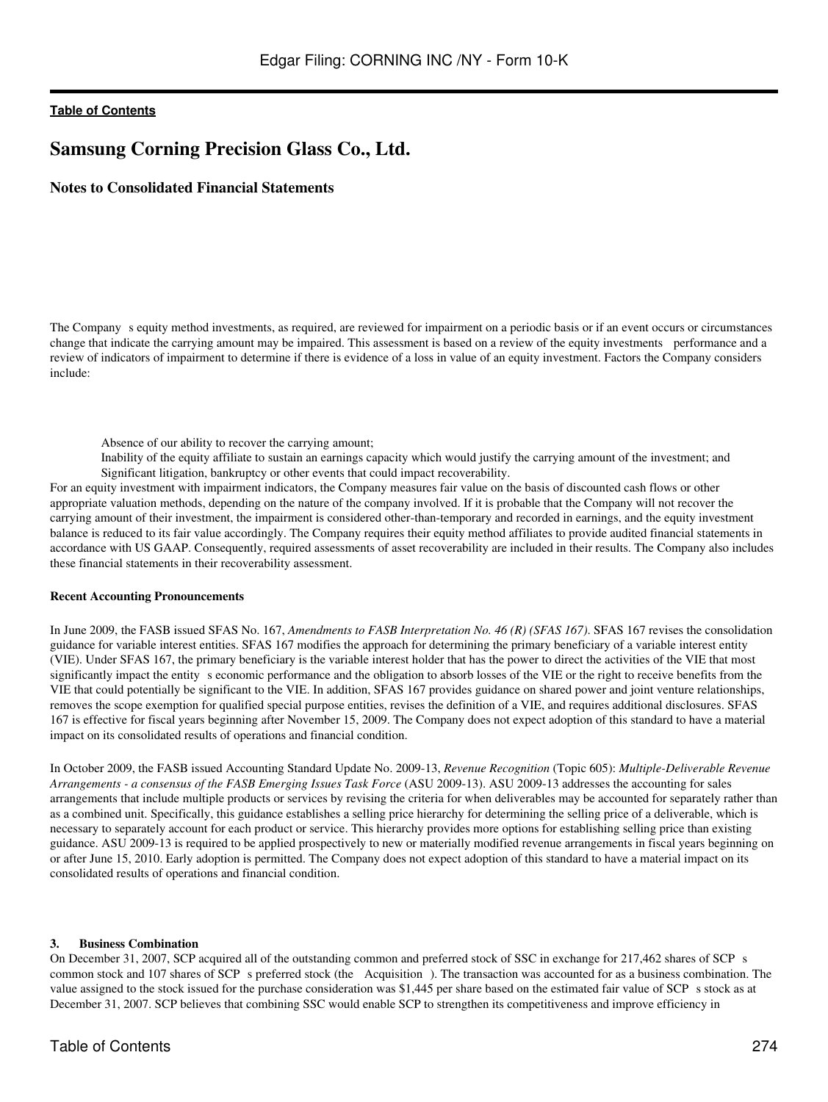# **Samsung Corning Precision Glass Co., Ltd.**

### **Notes to Consolidated Financial Statements**

The Company s equity method investments, as required, are reviewed for impairment on a periodic basis or if an event occurs or circumstances change that indicate the carrying amount may be impaired. This assessment is based on a review of the equity investments performance and a review of indicators of impairment to determine if there is evidence of a loss in value of an equity investment. Factors the Company considers include:

Absence of our ability to recover the carrying amount;

Inability of the equity affiliate to sustain an earnings capacity which would justify the carrying amount of the investment; and Significant litigation, bankruptcy or other events that could impact recoverability.

For an equity investment with impairment indicators, the Company measures fair value on the basis of discounted cash flows or other appropriate valuation methods, depending on the nature of the company involved. If it is probable that the Company will not recover the carrying amount of their investment, the impairment is considered other-than-temporary and recorded in earnings, and the equity investment balance is reduced to its fair value accordingly. The Company requires their equity method affiliates to provide audited financial statements in accordance with US GAAP. Consequently, required assessments of asset recoverability are included in their results. The Company also includes these financial statements in their recoverability assessment.

### **Recent Accounting Pronouncements**

In June 2009, the FASB issued SFAS No. 167, *Amendments to FASB Interpretation No. 46 (R) (SFAS 167)*. SFAS 167 revises the consolidation guidance for variable interest entities. SFAS 167 modifies the approach for determining the primary beneficiary of a variable interest entity (VIE). Under SFAS 167, the primary beneficiary is the variable interest holder that has the power to direct the activities of the VIE that most significantly impact the entity s economic performance and the obligation to absorb losses of the VIE or the right to receive benefits from the VIE that could potentially be significant to the VIE. In addition, SFAS 167 provides guidance on shared power and joint venture relationships, removes the scope exemption for qualified special purpose entities, revises the definition of a VIE, and requires additional disclosures. SFAS 167 is effective for fiscal years beginning after November 15, 2009. The Company does not expect adoption of this standard to have a material impact on its consolidated results of operations and financial condition.

In October 2009, the FASB issued Accounting Standard Update No. 2009-13, *Revenue Recognition* (Topic 605): *Multiple-Deliverable Revenue Arrangements - a consensus of the FASB Emerging Issues Task Force* (ASU 2009-13). ASU 2009-13 addresses the accounting for sales arrangements that include multiple products or services by revising the criteria for when deliverables may be accounted for separately rather than as a combined unit. Specifically, this guidance establishes a selling price hierarchy for determining the selling price of a deliverable, which is necessary to separately account for each product or service. This hierarchy provides more options for establishing selling price than existing guidance. ASU 2009-13 is required to be applied prospectively to new or materially modified revenue arrangements in fiscal years beginning on or after June 15, 2010. Early adoption is permitted. The Company does not expect adoption of this standard to have a material impact on its consolidated results of operations and financial condition.

### **3. Business Combination**

On December 31, 2007, SCP acquired all of the outstanding common and preferred stock of SSC in exchange for 217,462 shares of SCP s common stock and 107 shares of SCP s preferred stock (the Acquisition). The transaction was accounted for as a business combination. The value assigned to the stock issued for the purchase consideration was \$1,445 per share based on the estimated fair value of SCP s stock as at December 31, 2007. SCP believes that combining SSC would enable SCP to strengthen its competitiveness and improve efficiency in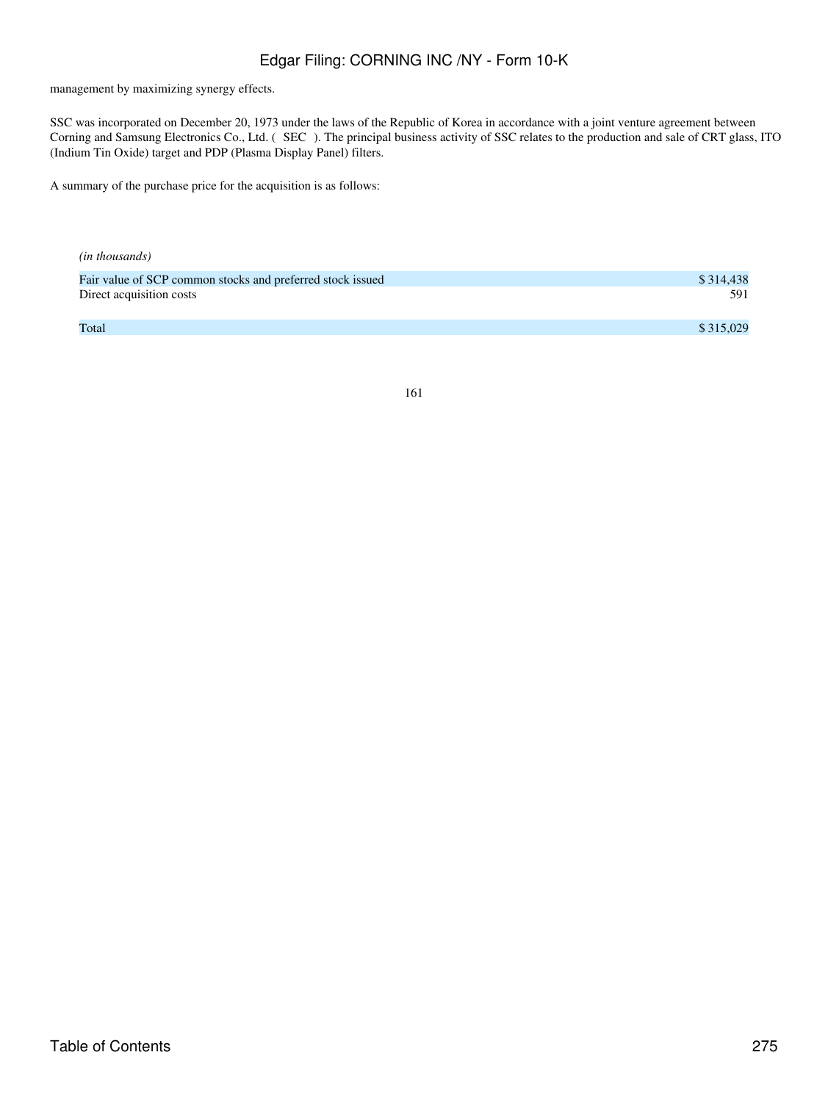management by maximizing synergy effects.

SSC was incorporated on December 20, 1973 under the laws of the Republic of Korea in accordance with a joint venture agreement between Corning and Samsung Electronics Co., Ltd. (SEC). The principal business activity of SSC relates to the production and sale of CRT glass, ITO (Indium Tin Oxide) target and PDP (Plasma Display Panel) filters.

A summary of the purchase price for the acquisition is as follows:

| (in thousands)                                             |           |
|------------------------------------------------------------|-----------|
| Fair value of SCP common stocks and preferred stock issued | \$314,438 |
| Direct acquisition costs                                   | 591       |
|                                                            |           |
| Total                                                      | \$315,029 |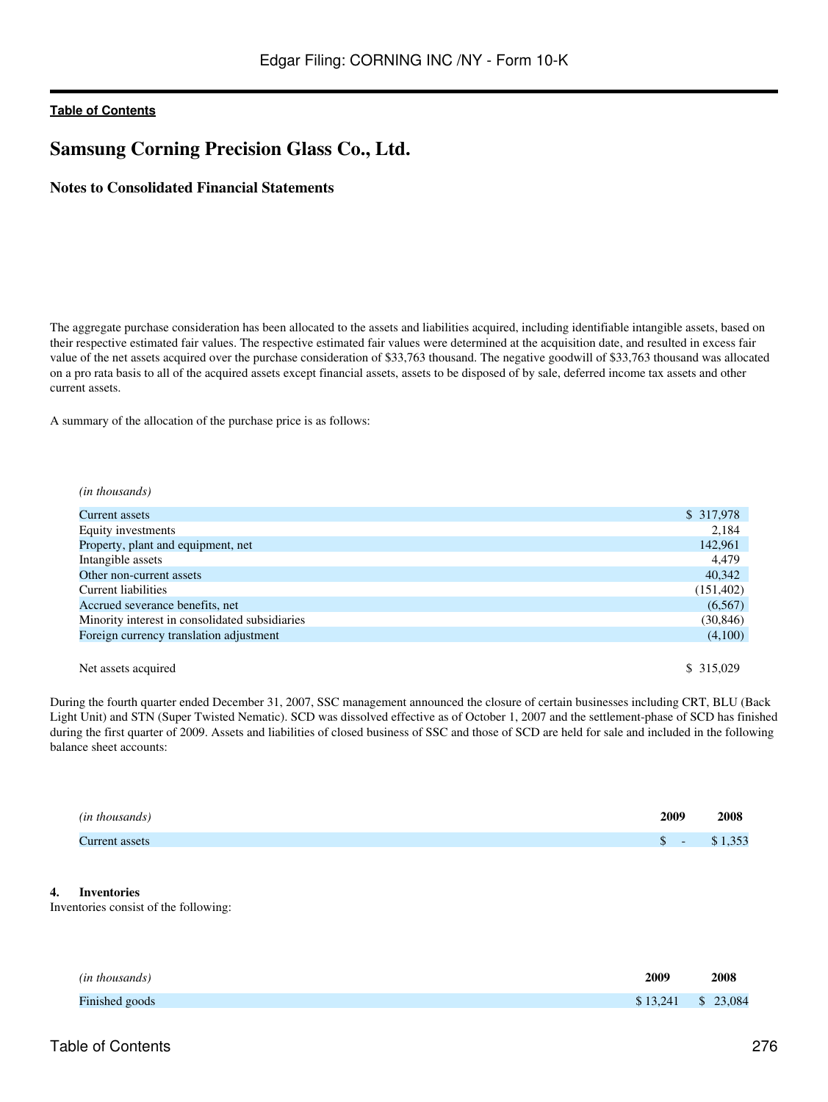# **Samsung Corning Precision Glass Co., Ltd.**

### **Notes to Consolidated Financial Statements**

The aggregate purchase consideration has been allocated to the assets and liabilities acquired, including identifiable intangible assets, based on their respective estimated fair values. The respective estimated fair values were determined at the acquisition date, and resulted in excess fair value of the net assets acquired over the purchase consideration of \$33,763 thousand. The negative goodwill of \$33,763 thousand was allocated on a pro rata basis to all of the acquired assets except financial assets, assets to be disposed of by sale, deferred income tax assets and other current assets.

A summary of the allocation of the purchase price is as follows:

#### *(in thousands)*

| Current assets                                 | \$ 317,978 |
|------------------------------------------------|------------|
| Equity investments                             | 2,184      |
| Property, plant and equipment, net             | 142,961    |
| Intangible assets                              | 4,479      |
| Other non-current assets                       | 40,342     |
| Current liabilities                            | (151, 402) |
| Accrued severance benefits, net                | (6, 567)   |
| Minority interest in consolidated subsidiaries | (30, 846)  |
| Foreign currency translation adjustment        | (4,100)    |
|                                                |            |
| Net assets acquired                            | \$ 315,029 |

During the fourth quarter ended December 31, 2007, SSC management announced the closure of certain businesses including CRT, BLU (Back Light Unit) and STN (Super Twisted Nematic). SCD was dissolved effective as of October 1, 2007 and the settlement-phase of SCD has finished during the first quarter of 2009. Assets and liabilities of closed business of SSC and those of SCD are held for sale and included in the following balance sheet accounts:

| (in thousands) | 2009 | 2008 |
|----------------|------|------|
| Current assets |      |      |

#### **4. Inventories**

Inventories consist of the following:

| (in thousands) | 2009 | 2008                |
|----------------|------|---------------------|
| Finished goods |      | $$13,241$ $$23,084$ |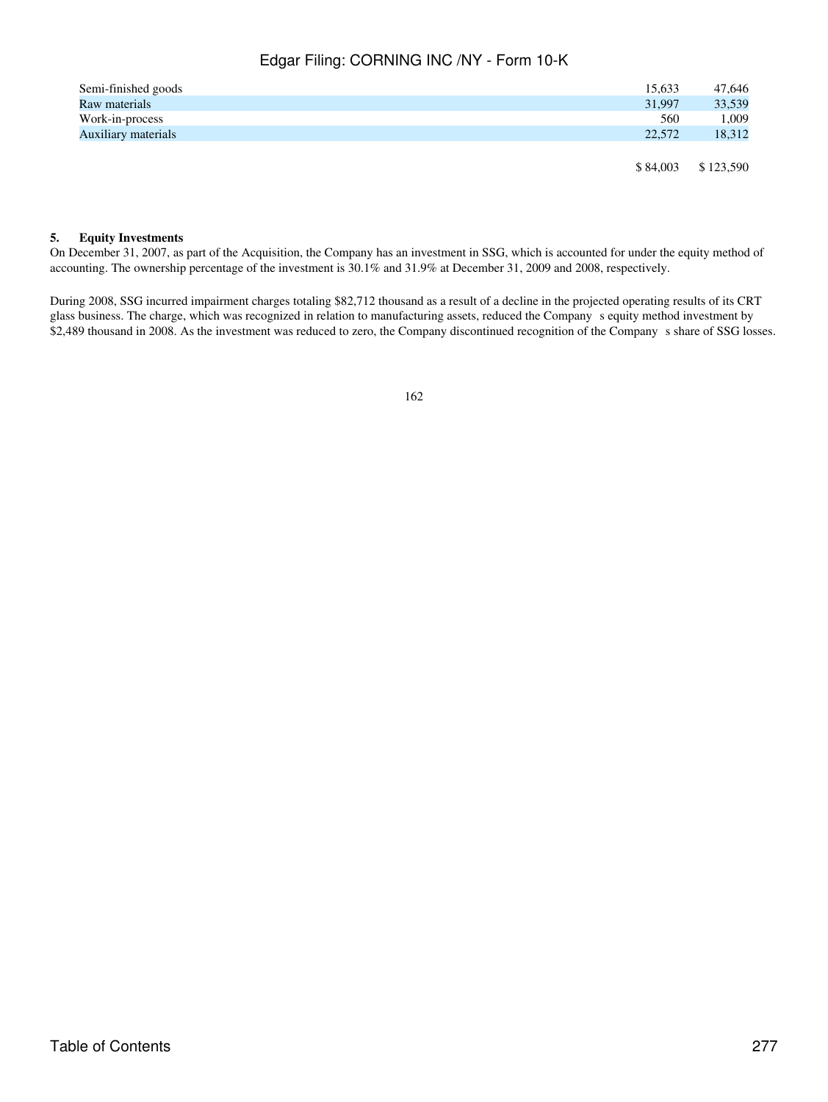| Semi-finished goods        | 15,633   | 47,646    |
|----------------------------|----------|-----------|
| Raw materials              | 31,997   | 33,539    |
| Work-in-process            | 560      | 1.009     |
| <b>Auxiliary materials</b> | 22,572   | 18,312    |
|                            |          |           |
|                            | \$84,003 | \$123,590 |

### **5. Equity Investments**

On December 31, 2007, as part of the Acquisition, the Company has an investment in SSG, which is accounted for under the equity method of accounting. The ownership percentage of the investment is 30.1% and 31.9% at December 31, 2009 and 2008, respectively.

During 2008, SSG incurred impairment charges totaling \$82,712 thousand as a result of a decline in the projected operating results of its CRT glass business. The charge, which was recognized in relation to manufacturing assets, reduced the Company s equity method investment by \$2,489 thousand in 2008. As the investment was reduced to zero, the Company discontinued recognition of the Company s share of SSG losses.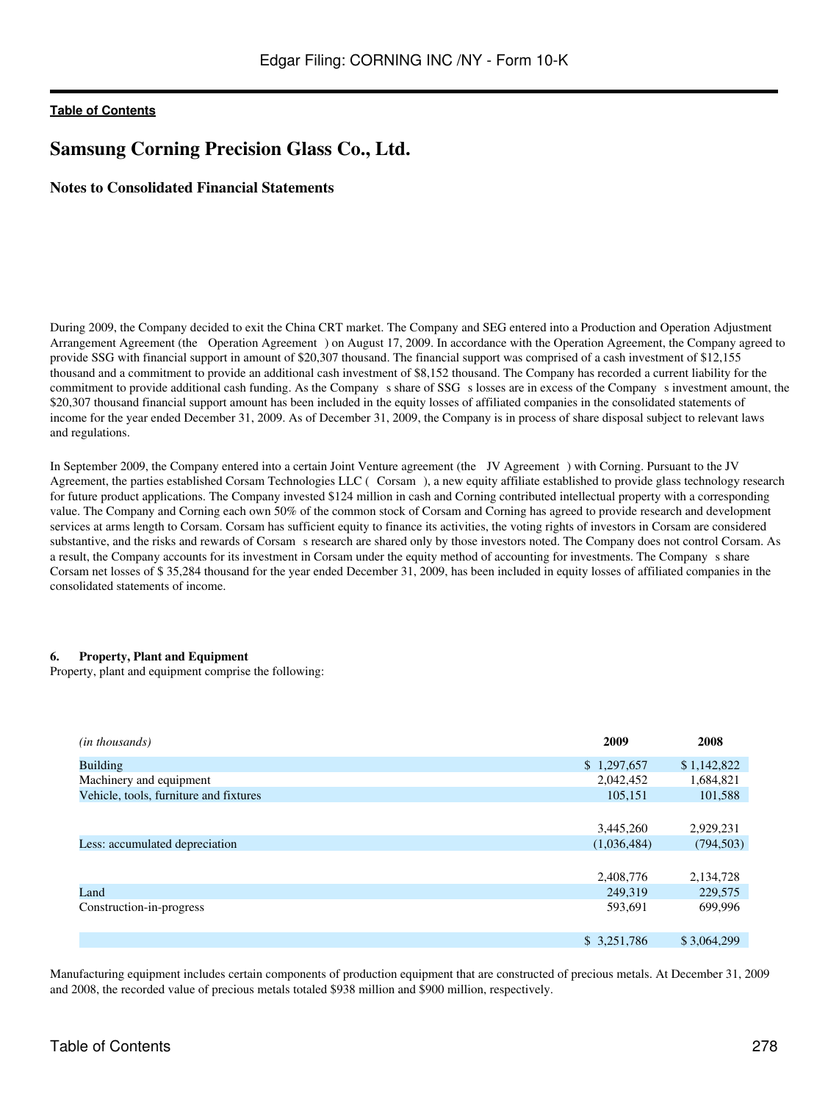# **Samsung Corning Precision Glass Co., Ltd.**

### **Notes to Consolidated Financial Statements**

During 2009, the Company decided to exit the China CRT market. The Company and SEG entered into a Production and Operation Adjustment Arrangement Agreement (the Operation Agreement) on August 17, 2009. In accordance with the Operation Agreement, the Company agreed to provide SSG with financial support in amount of \$20,307 thousand. The financial support was comprised of a cash investment of \$12,155 thousand and a commitment to provide an additional cash investment of \$8,152 thousand. The Company has recorded a current liability for the commitment to provide additional cash funding. As the Company s share of SSG s losses are in excess of the Company s investment amount, the \$20,307 thousand financial support amount has been included in the equity losses of affiliated companies in the consolidated statements of income for the year ended December 31, 2009. As of December 31, 2009, the Company is in process of share disposal subject to relevant laws and regulations.

In September 2009, the Company entered into a certain Joint Venture agreement (the JV Agreement) with Corning. Pursuant to the JV Agreement, the parties established Corsam Technologies LLC (Corsam), a new equity affiliate established to provide glass technology research for future product applications. The Company invested \$124 million in cash and Corning contributed intellectual property with a corresponding value. The Company and Corning each own 50% of the common stock of Corsam and Corning has agreed to provide research and development services at arms length to Corsam. Corsam has sufficient equity to finance its activities, the voting rights of investors in Corsam are considered substantive, and the risks and rewards of Corsam s research are shared only by those investors noted. The Company does not control Corsam. As a result, the Company accounts for its investment in Corsam under the equity method of accounting for investments. The Company s share Corsam net losses of \$ 35,284 thousand for the year ended December 31, 2009, has been included in equity losses of affiliated companies in the consolidated statements of income.

### **6. Property, Plant and Equipment**

Property, plant and equipment comprise the following:

| ( <i>in thousands</i> )                | 2009        | 2008        |
|----------------------------------------|-------------|-------------|
| <b>Building</b>                        | \$1,297,657 | \$1,142,822 |
| Machinery and equipment                | 2,042,452   | 1,684,821   |
| Vehicle, tools, furniture and fixtures | 105,151     | 101,588     |
|                                        |             |             |
|                                        | 3,445,260   | 2,929,231   |
| Less: accumulated depreciation         | (1,036,484) | (794, 503)  |
|                                        |             |             |
|                                        | 2,408,776   | 2,134,728   |
| Land                                   | 249,319     | 229,575     |
| Construction-in-progress               | 593,691     | 699,996     |
|                                        |             |             |
|                                        | \$3,251,786 | \$3,064,299 |

Manufacturing equipment includes certain components of production equipment that are constructed of precious metals. At December 31, 2009 and 2008, the recorded value of precious metals totaled \$938 million and \$900 million, respectively.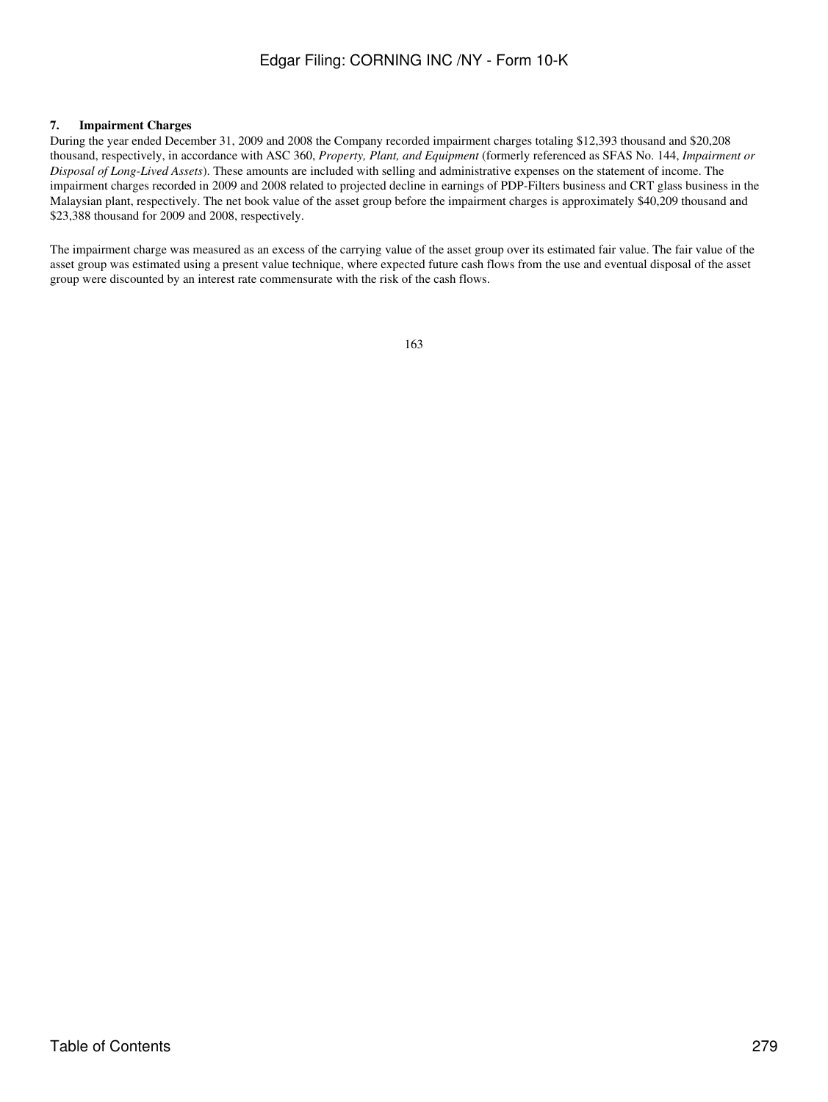#### **7. Impairment Charges**

During the year ended December 31, 2009 and 2008 the Company recorded impairment charges totaling \$12,393 thousand and \$20,208 thousand, respectively, in accordance with ASC 360, *Property, Plant, and Equipment* (formerly referenced as SFAS No. 144, *Impairment or Disposal of Long-Lived Assets*). These amounts are included with selling and administrative expenses on the statement of income. The impairment charges recorded in 2009 and 2008 related to projected decline in earnings of PDP-Filters business and CRT glass business in the Malaysian plant, respectively. The net book value of the asset group before the impairment charges is approximately \$40,209 thousand and \$23,388 thousand for 2009 and 2008, respectively.

The impairment charge was measured as an excess of the carrying value of the asset group over its estimated fair value. The fair value of the asset group was estimated using a present value technique, where expected future cash flows from the use and eventual disposal of the asset group were discounted by an interest rate commensurate with the risk of the cash flows.

| ٩<br>۰.<br>٦<br>×<br>۰.<br>M.<br>$\sim$ |
|-----------------------------------------|
|-----------------------------------------|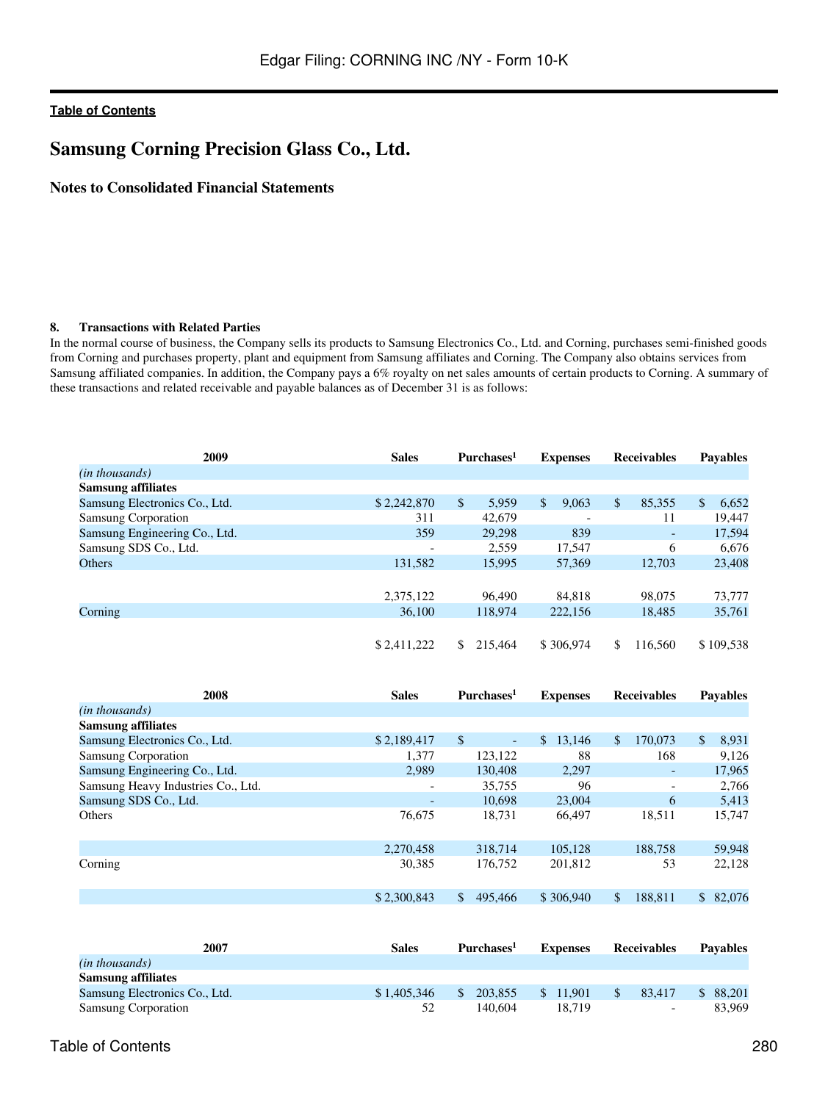# **Samsung Corning Precision Glass Co., Ltd.**

### **Notes to Consolidated Financial Statements**

### **8. Transactions with Related Parties**

In the normal course of business, the Company sells its products to Samsung Electronics Co., Ltd. and Corning, purchases semi-finished goods from Corning and purchases property, plant and equipment from Samsung affiliates and Corning. The Company also obtains services from Samsung affiliated companies. In addition, the Company pays a 6% royalty on net sales amounts of certain products to Corning. A summary of these transactions and related receivable and payable balances as of December 31 is as follows:

| 2009                          | <b>Sales</b>             |              | Purchases <sup>1</sup><br><b>Expenses</b> |           | <b>Receivables</b> |     | <b>Payables</b> |    |           |
|-------------------------------|--------------------------|--------------|-------------------------------------------|-----------|--------------------|-----|-----------------|----|-----------|
| ( <i>in thousands</i> )       |                          |              |                                           |           |                    |     |                 |    |           |
| <b>Samsung affiliates</b>     |                          |              |                                           |           |                    |     |                 |    |           |
| Samsung Electronics Co., Ltd. | \$2,242,870              | $\mathbb{S}$ | 5,959                                     | \$.       | 9,063              | \$  | 85,355          | \$ | 6,652     |
| <b>Samsung Corporation</b>    | 311                      |              | 42,679                                    |           |                    |     | 11              |    | 19.447    |
| Samsung Engineering Co., Ltd. | 359                      |              | 29,298                                    |           | 839                |     | -               |    | 17,594    |
| Samsung SDS Co., Ltd.         | $\overline{\phantom{a}}$ |              | 2,559                                     |           | 17,547             |     | 6               |    | 6,676     |
| <b>Others</b>                 | 131,582                  |              | 15,995                                    |           | 57,369             |     | 12.703          |    | 23,408    |
|                               |                          |              |                                           |           |                    |     |                 |    |           |
|                               | 2,375,122                |              | 96.490                                    |           | 84,818             |     | 98,075          |    | 73,777    |
| Corning                       | 36,100                   |              | 118,974                                   |           | 222,156            |     | 18.485          |    | 35,761    |
|                               |                          |              |                                           |           |                    |     |                 |    |           |
|                               | \$2,411,222              | \$           | 215.464                                   | \$306,974 |                    | \$. | 116,560         |    | \$109,538 |

| 2008                                  | <b>Sales</b>             | Purchases <sup>1</sup>                   | <b>Expenses</b>        | <b>Receivables</b>      | <b>Payables</b>         |
|---------------------------------------|--------------------------|------------------------------------------|------------------------|-------------------------|-------------------------|
| (in thousands)                        |                          |                                          |                        |                         |                         |
| <b>Samsung affiliates</b>             |                          |                                          |                        |                         |                         |
| Samsung Electronics Co., Ltd.         | \$2,189,417              | $\mathbb{S}$<br>$\overline{\phantom{a}}$ | $\mathbb{S}$<br>13,146 | \$<br>170,073           | \$<br>8,931             |
| <b>Samsung Corporation</b>            | 1,377                    | 123,122                                  | 88                     | 168                     | 9,126                   |
| Samsung Engineering Co., Ltd.         | 2,989                    | 130,408                                  | 2,297                  | -                       | 17,965                  |
| Samsung Heavy Industries Co., Ltd.    |                          | 35,755                                   | 96                     |                         | 2,766                   |
| Samsung SDS Co., Ltd.                 | $\overline{\phantom{a}}$ | 10,698                                   | 23,004                 | 6                       | 5,413                   |
| Others                                | 76,675                   | 18,731                                   | 66,497                 | 18,511                  | 15,747                  |
|                                       |                          |                                          |                        |                         |                         |
|                                       | 2,270,458                | 318,714                                  | 105,128                | 188,758                 | 59,948                  |
| Corning                               | 30,385                   | 176,752                                  | 201,812                | 53                      | 22,128                  |
|                                       |                          |                                          |                        |                         |                         |
|                                       | \$2,300,843              | $\mathbb{S}$<br>495,466                  | \$306,940              | $\mathbb{S}$<br>188.811 | 82,076<br>$\mathcal{S}$ |
|                                       |                          |                                          |                        |                         |                         |
|                                       |                          |                                          |                        |                         |                         |
| 2007                                  | <b>Sales</b>             | Purchases <sup>1</sup>                   | <b>Expenses</b>        | <b>Receivables</b>      | <b>Payables</b>         |
| $\lim_{n \to \infty}$ the concern del |                          |                                          |                        |                         |                         |

| ( <i>in thousands</i> )       |             |           |           |              |        |           |
|-------------------------------|-------------|-----------|-----------|--------------|--------|-----------|
| <b>Samsung affiliates</b>     |             |           |           |              |        |           |
| Samsung Electronics Co., Ltd. | \$1,405,346 | \$203,855 | \$ 11.901 | $\mathbb{S}$ | 83.417 | \$ 88,201 |
| <b>Samsung Corporation</b>    |             | 140.604   | 18.719    |              |        | 83.969    |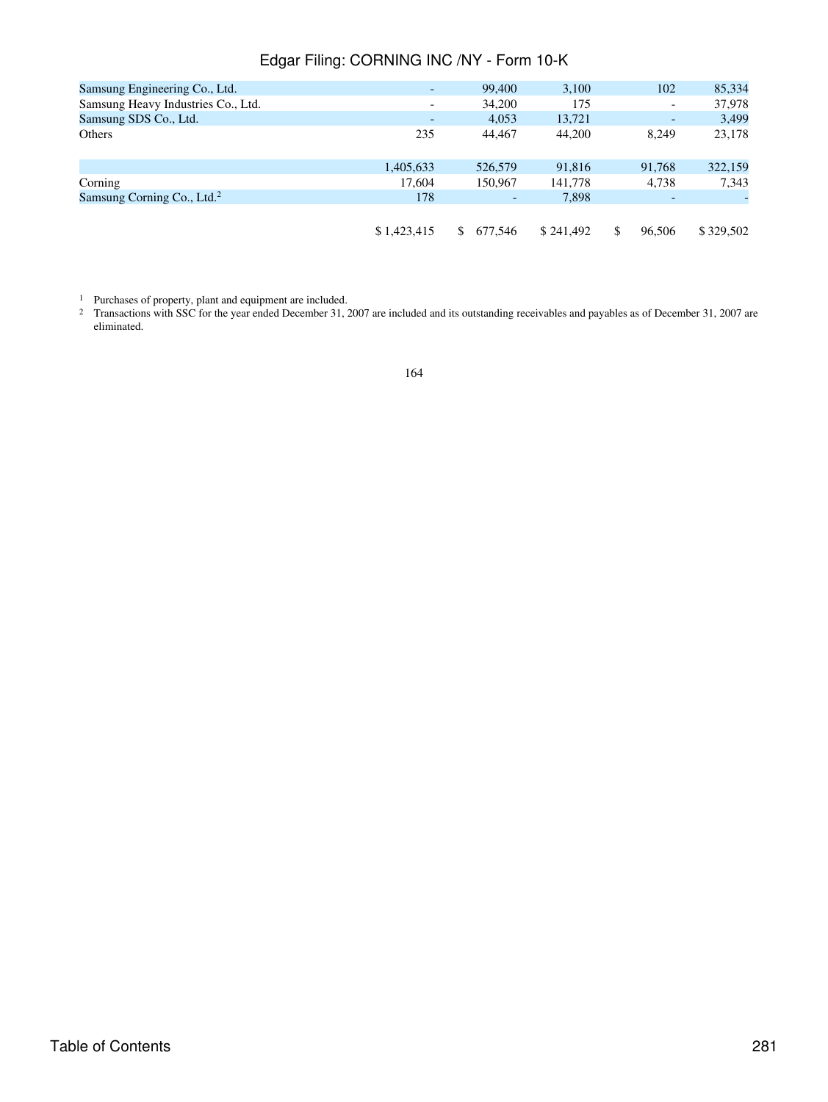| Edgar Filing: CORNING INC /NY - Form 10-K |
|-------------------------------------------|
|-------------------------------------------|

| Samsung Engineering Co., Ltd.          | ٠                        | 99,400        | 3,100     | 102          | 85,334    |
|----------------------------------------|--------------------------|---------------|-----------|--------------|-----------|
| Samsung Heavy Industries Co., Ltd.     | $\overline{\phantom{0}}$ | 34,200        | 175       | -            | 37,978    |
| Samsung SDS Co., Ltd.                  | $\overline{\phantom{0}}$ | 4,053         | 13,721    |              | 3,499     |
| Others                                 | 235                      | 44.467        | 44,200    | 8.249        | 23,178    |
|                                        | 1,405,633                | 526,579       | 91.816    | 91.768       | 322,159   |
| Corning                                | 17.604                   | 150,967       | 141,778   | 4,738        | 7,343     |
| Samsung Corning Co., Ltd. <sup>2</sup> | 178                      | -             | 7,898     | -            |           |
|                                        |                          |               |           |              |           |
|                                        | \$1,423,415              | 677.546<br>\$ | \$241,492 | \$<br>96.506 | \$329,502 |

<sup>1</sup> Purchases of property, plant and equipment are included.

<sup>2</sup> Transactions with SSC for the year ended December 31, 2007 are included and its outstanding receivables and payables as of December 31, 2007 are eliminated.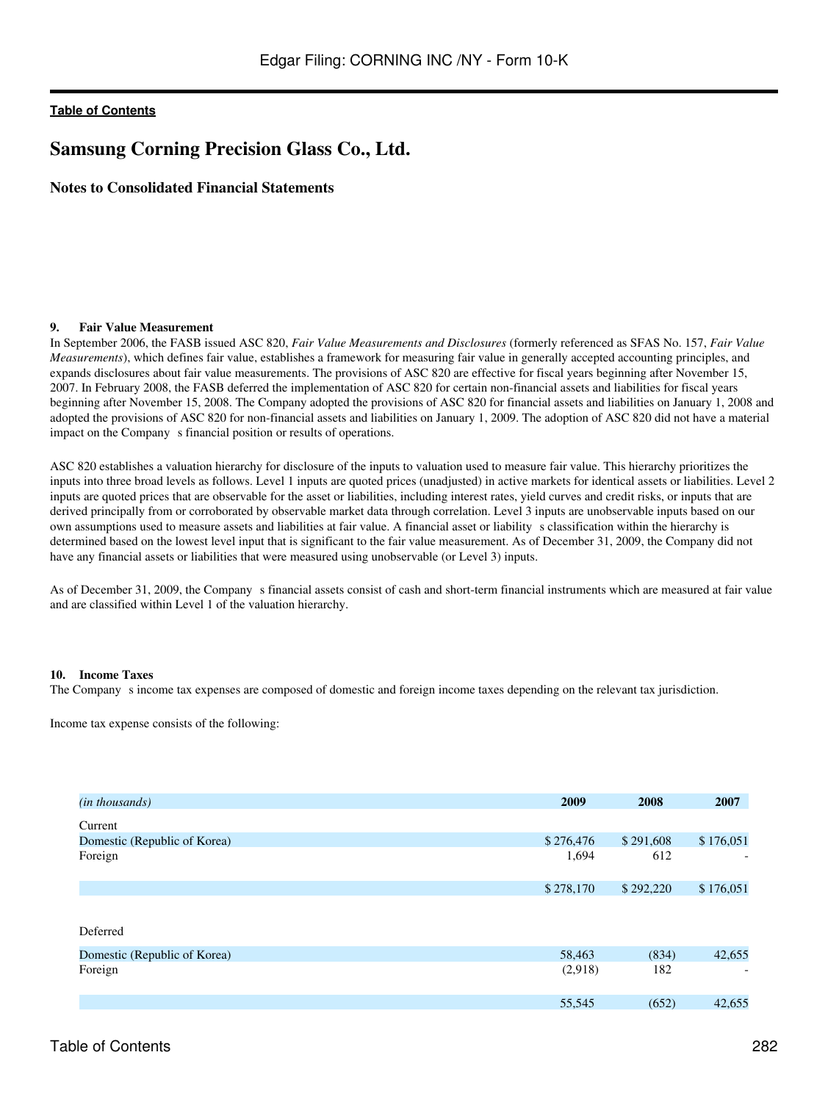# **Samsung Corning Precision Glass Co., Ltd.**

**Notes to Consolidated Financial Statements**

### **9. Fair Value Measurement**

In September 2006, the FASB issued ASC 820, *Fair Value Measurements and Disclosures* (formerly referenced as SFAS No. 157, *Fair Value Measurements*), which defines fair value, establishes a framework for measuring fair value in generally accepted accounting principles, and expands disclosures about fair value measurements. The provisions of ASC 820 are effective for fiscal years beginning after November 15, 2007. In February 2008, the FASB deferred the implementation of ASC 820 for certain non-financial assets and liabilities for fiscal years beginning after November 15, 2008. The Company adopted the provisions of ASC 820 for financial assets and liabilities on January 1, 2008 and adopted the provisions of ASC 820 for non-financial assets and liabilities on January 1, 2009. The adoption of ASC 820 did not have a material impact on the Company s financial position or results of operations.

ASC 820 establishes a valuation hierarchy for disclosure of the inputs to valuation used to measure fair value. This hierarchy prioritizes the inputs into three broad levels as follows. Level 1 inputs are quoted prices (unadjusted) in active markets for identical assets or liabilities. Level 2 inputs are quoted prices that are observable for the asset or liabilities, including interest rates, yield curves and credit risks, or inputs that are derived principally from or corroborated by observable market data through correlation. Level 3 inputs are unobservable inputs based on our own assumptions used to measure assets and liabilities at fair value. A financial asset or liabilitys classification within the hierarchy is determined based on the lowest level input that is significant to the fair value measurement. As of December 31, 2009, the Company did not have any financial assets or liabilities that were measured using unobservable (or Level 3) inputs.

As of December 31, 2009, the Company s financial assets consist of cash and short-term financial instruments which are measured at fair value and are classified within Level 1 of the valuation hierarchy.

### **10. Income Taxes**

The Company s income tax expenses are composed of domestic and foreign income taxes depending on the relevant tax jurisdiction.

Income tax expense consists of the following:

| ( <i>in thousands</i> )      | 2009      | 2008      | 2007                     |
|------------------------------|-----------|-----------|--------------------------|
| Current                      |           |           |                          |
| Domestic (Republic of Korea) | \$276,476 | \$291,608 | \$176,051                |
| Foreign                      | 1,694     | 612       | $\overline{\phantom{a}}$ |
|                              | \$278,170 | \$292,220 | \$176,051                |
|                              |           |           |                          |
| Deferred                     |           |           |                          |
| Domestic (Republic of Korea) | 58,463    | (834)     | 42,655                   |
| Foreign                      | (2,918)   | 182       | $\overline{\phantom{a}}$ |
|                              | 55,545    | (652)     | 42,655                   |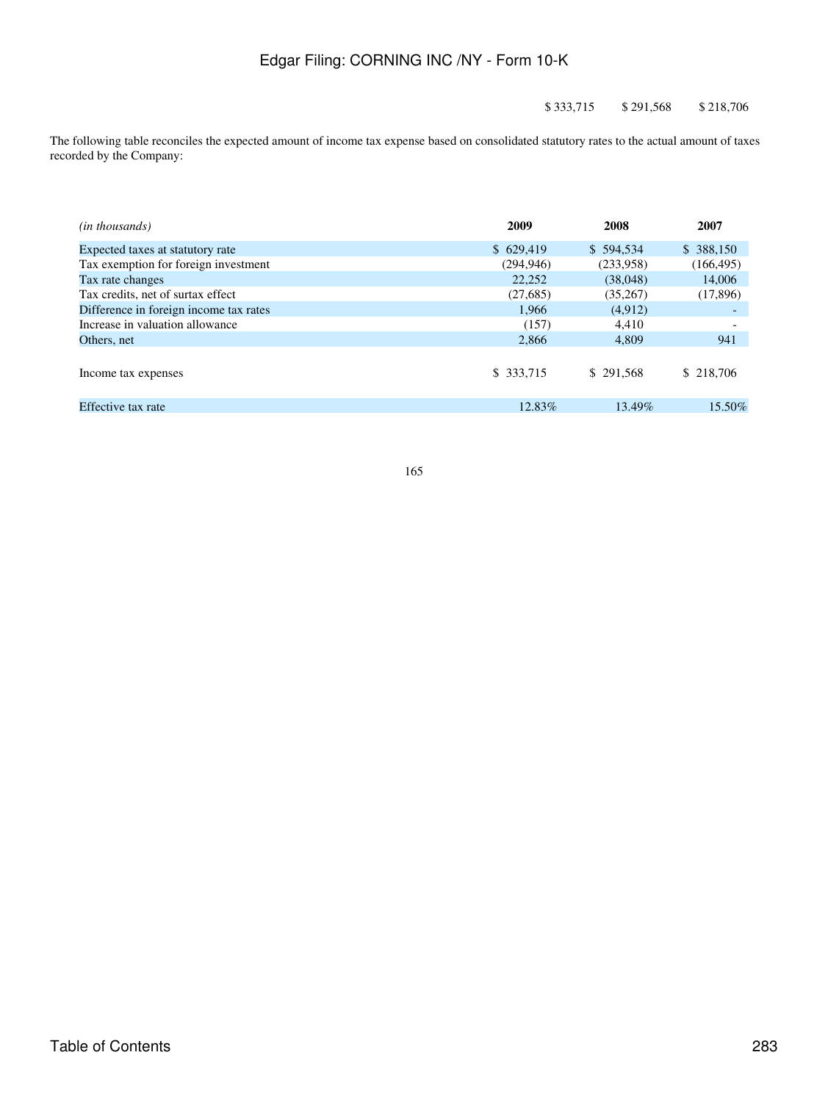### \$ 333,715 \$ 291,568 \$ 218,706

The following table reconciles the expected amount of income tax expense based on consolidated statutory rates to the actual amount of taxes recorded by the Company:

| (in thousands)                         | 2009       | 2008      | 2007       |
|----------------------------------------|------------|-----------|------------|
| Expected taxes at statutory rate       | \$629,419  | \$594,534 | \$ 388,150 |
| Tax exemption for foreign investment   | (294, 946) | (233,958) | (166, 495) |
| Tax rate changes                       | 22,252     | (38,048)  | 14,006     |
| Tax credits, net of surtax effect      | (27,685)   | (35,267)  | (17, 896)  |
| Difference in foreign income tax rates | 1,966      | (4,912)   |            |
| Increase in valuation allowance        | (157)      | 4.410     |            |
| Others, net                            | 2,866      | 4.809     | 941        |
| Income tax expenses                    | \$ 333,715 | \$291,568 | \$218,706  |
| Effective tax rate                     | 12.83%     | 13.49%    | 15.50%     |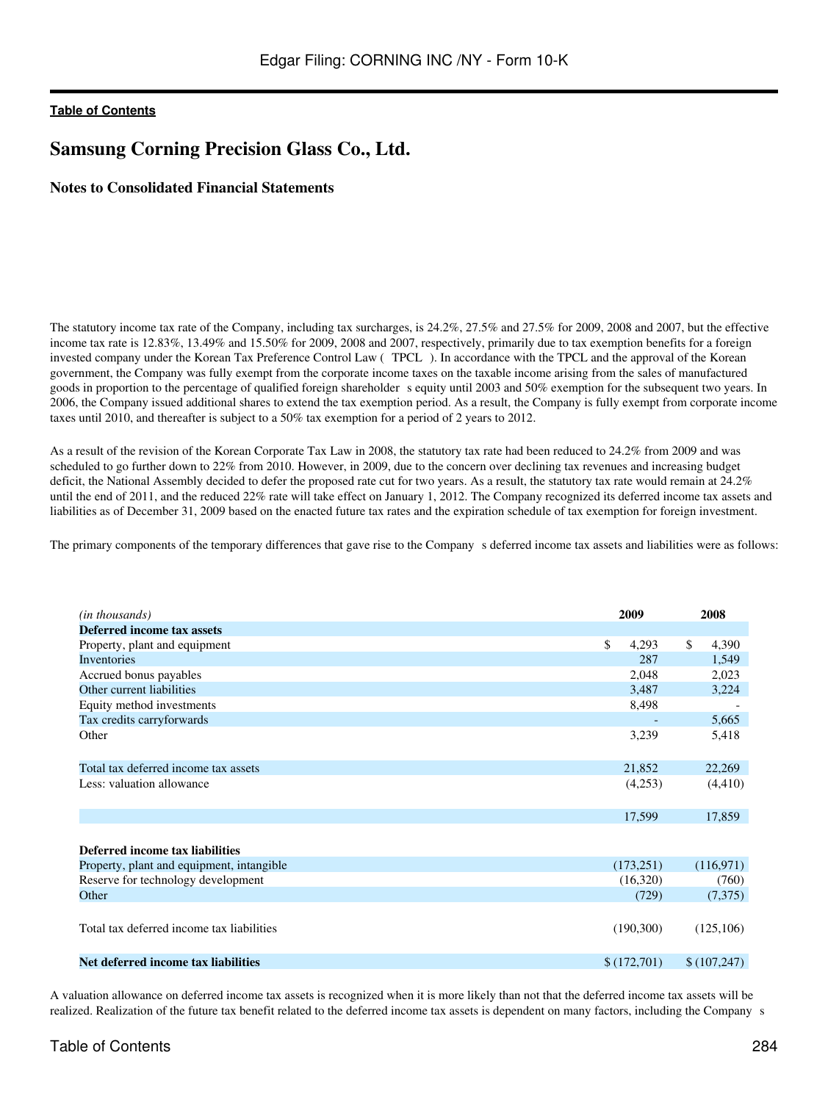# **Samsung Corning Precision Glass Co., Ltd.**

### **Notes to Consolidated Financial Statements**

The statutory income tax rate of the Company, including tax surcharges, is 24.2%, 27.5% and 27.5% for 2009, 2008 and 2007, but the effective income tax rate is 12.83%, 13.49% and 15.50% for 2009, 2008 and 2007, respectively, primarily due to tax exemption benefits for a foreign invested company under the Korean Tax Preference Control Law (TPCL). In accordance with the TPCL and the approval of the Korean government, the Company was fully exempt from the corporate income taxes on the taxable income arising from the sales of manufactured goods in proportion to the percentage of qualified foreign shareholder s equity until 2003 and 50% exemption for the subsequent two years. In 2006, the Company issued additional shares to extend the tax exemption period. As a result, the Company is fully exempt from corporate income taxes until 2010, and thereafter is subject to a 50% tax exemption for a period of 2 years to 2012.

As a result of the revision of the Korean Corporate Tax Law in 2008, the statutory tax rate had been reduced to 24.2% from 2009 and was scheduled to go further down to 22% from 2010. However, in 2009, due to the concern over declining tax revenues and increasing budget deficit, the National Assembly decided to defer the proposed rate cut for two years. As a result, the statutory tax rate would remain at 24.2% until the end of 2011, and the reduced 22% rate will take effect on January 1, 2012. The Company recognized its deferred income tax assets and liabilities as of December 31, 2009 based on the enacted future tax rates and the expiration schedule of tax exemption for foreign investment.

The primary components of the temporary differences that gave rise to the Company s deferred income tax assets and liabilities were as follows:

| ( <i>in thousands</i> )                   | 2009 |             | 2008        |
|-------------------------------------------|------|-------------|-------------|
| <b>Deferred income tax assets</b>         |      |             |             |
| Property, plant and equipment             | \$   | 4,293       | \$<br>4,390 |
| Inventories                               |      | 287         | 1,549       |
| Accrued bonus payables                    |      | 2,048       | 2,023       |
| Other current liabilities                 |      | 3,487       | 3,224       |
| Equity method investments                 |      | 8,498       |             |
| Tax credits carryforwards                 |      |             | 5,665       |
| Other                                     |      | 3,239       | 5,418       |
|                                           |      |             |             |
| Total tax deferred income tax assets      |      | 21,852      | 22,269      |
| Less: valuation allowance                 |      | (4,253)     | (4, 410)    |
|                                           |      |             |             |
|                                           |      | 17,599      | 17,859      |
|                                           |      |             |             |
| Deferred income tax liabilities           |      |             |             |
| Property, plant and equipment, intangible |      | (173, 251)  | (116,971)   |
| Reserve for technology development        |      | (16,320)    | (760)       |
| Other                                     |      | (729)       | (7,375)     |
|                                           |      |             |             |
| Total tax deferred income tax liabilities |      | (190, 300)  | (125, 106)  |
|                                           |      |             |             |
| Net deferred income tax liabilities       |      | \$(172,701) | \$(107,247) |

A valuation allowance on deferred income tax assets is recognized when it is more likely than not that the deferred income tax assets will be realized. Realization of the future tax benefit related to the deferred income tax assets is dependent on many factors, including the Companys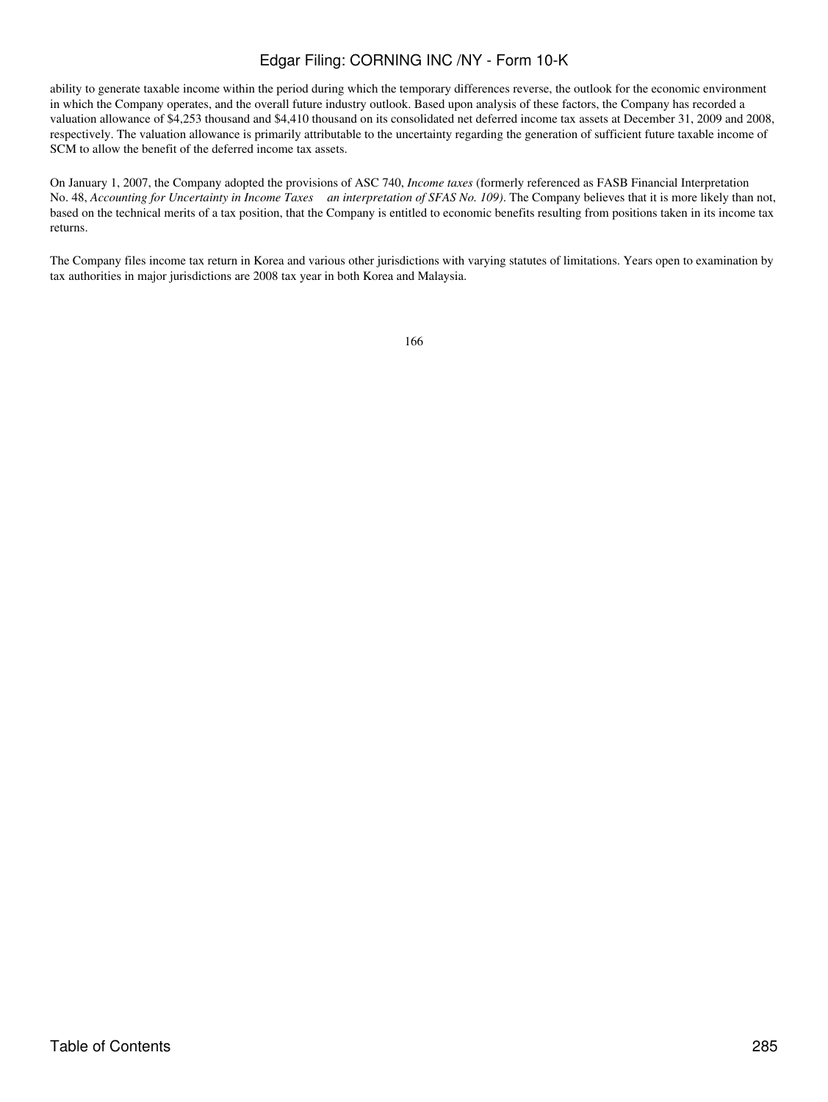ability to generate taxable income within the period during which the temporary differences reverse, the outlook for the economic environment in which the Company operates, and the overall future industry outlook. Based upon analysis of these factors, the Company has recorded a valuation allowance of \$4,253 thousand and \$4,410 thousand on its consolidated net deferred income tax assets at December 31, 2009 and 2008, respectively. The valuation allowance is primarily attributable to the uncertainty regarding the generation of sufficient future taxable income of SCM to allow the benefit of the deferred income tax assets.

On January 1, 2007, the Company adopted the provisions of ASC 740, *Income taxes* (formerly referenced as FASB Financial Interpretation No. 48, *Accounting for Uncertainty in Income Taxes an interpretation of SFAS No. 109)*. The Company believes that it is more likely than not, based on the technical merits of a tax position, that the Company is entitled to economic benefits resulting from positions taken in its income tax returns.

The Company files income tax return in Korea and various other jurisdictions with varying statutes of limitations. Years open to examination by tax authorities in major jurisdictions are 2008 tax year in both Korea and Malaysia.

| ۰.<br>×<br>۰.<br>×<br>M.<br>M.<br>۰.<br>۰. |
|--------------------------------------------|
|--------------------------------------------|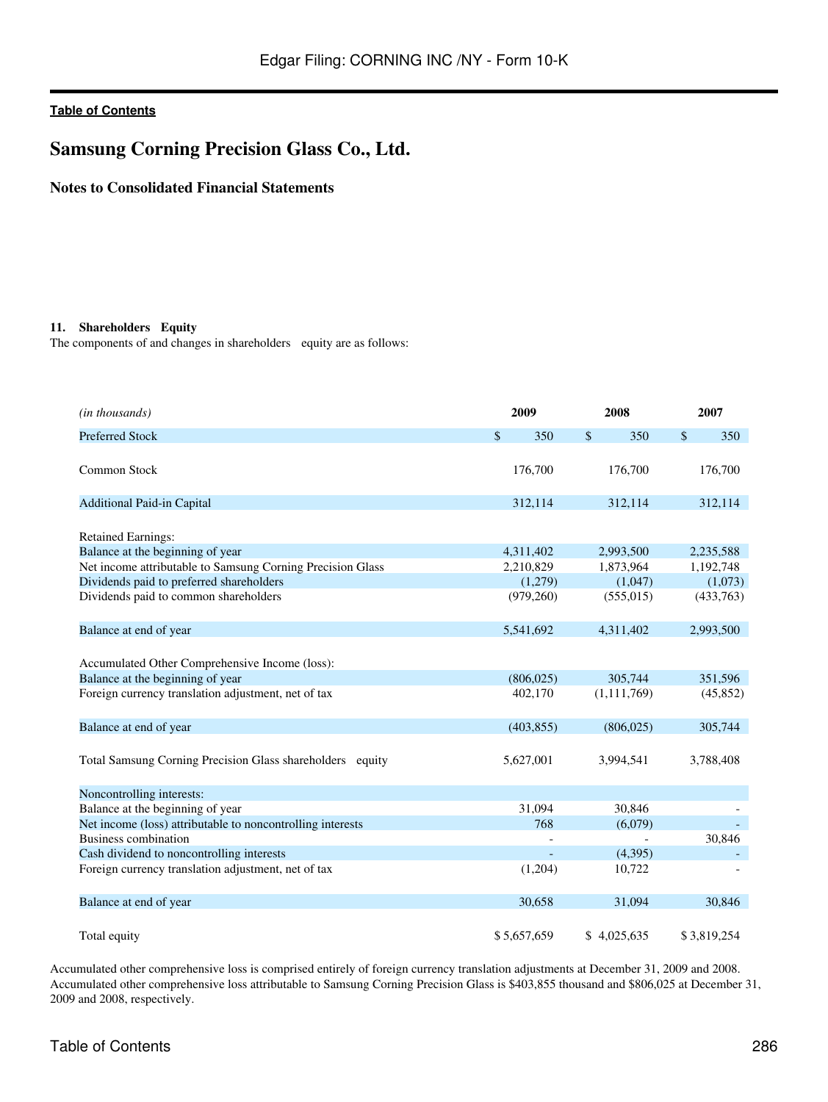# **Samsung Corning Precision Glass Co., Ltd.**

### **Notes to Consolidated Financial Statements**

### **11. Shareholders Equity**

The components of and changes in shareholders equity are as follows:

| (in thousands)                                             | 2009        | 2008                      | 2007                      |  |
|------------------------------------------------------------|-------------|---------------------------|---------------------------|--|
| <b>Preferred Stock</b>                                     | \$<br>350   | $\mathbf{\hat{S}}$<br>350 | $\mathbf{\hat{S}}$<br>350 |  |
|                                                            |             |                           |                           |  |
| Common Stock                                               | 176,700     | 176,700                   | 176,700                   |  |
| <b>Additional Paid-in Capital</b>                          | 312,114     | 312,114                   | 312,114                   |  |
| <b>Retained Earnings:</b>                                  |             |                           |                           |  |
| Balance at the beginning of year                           | 4,311,402   | 2,993,500                 | 2,235,588                 |  |
| Net income attributable to Samsung Corning Precision Glass | 2,210,829   | 1,873,964                 | 1,192,748                 |  |
| Dividends paid to preferred shareholders                   | (1,279)     | (1,047)                   | (1,073)                   |  |
| Dividends paid to common shareholders                      | (979,260)   | (555, 015)                | (433,763)                 |  |
| Balance at end of year                                     | 5,541,692   | 4,311,402                 | 2,993,500                 |  |
| Accumulated Other Comprehensive Income (loss):             |             |                           |                           |  |
| Balance at the beginning of year                           | (806, 025)  | 305,744                   | 351,596                   |  |
| Foreign currency translation adjustment, net of tax        | 402,170     | (1, 111, 769)             | (45, 852)                 |  |
| Balance at end of year                                     | (403, 855)  | (806, 025)                | 305,744                   |  |
| Total Samsung Corning Precision Glass shareholders equity  | 5,627,001   | 3,994,541                 | 3,788,408                 |  |
| Noncontrolling interests:                                  |             |                           |                           |  |
| Balance at the beginning of year                           | 31,094      | 30,846                    |                           |  |
| Net income (loss) attributable to noncontrolling interests | 768         | (6,079)                   |                           |  |
| <b>Business combination</b>                                |             |                           | 30,846                    |  |
| Cash dividend to noncontrolling interests                  |             | (4,395)                   |                           |  |
| Foreign currency translation adjustment, net of tax        | (1,204)     | 10,722                    |                           |  |
| Balance at end of year                                     | 30,658      | 31,094                    | 30,846                    |  |
| Total equity                                               | \$5,657,659 | \$4,025,635               | \$3,819,254               |  |

Accumulated other comprehensive loss is comprised entirely of foreign currency translation adjustments at December 31, 2009 and 2008. Accumulated other comprehensive loss attributable to Samsung Corning Precision Glass is \$403,855 thousand and \$806,025 at December 31, 2009 and 2008, respectively.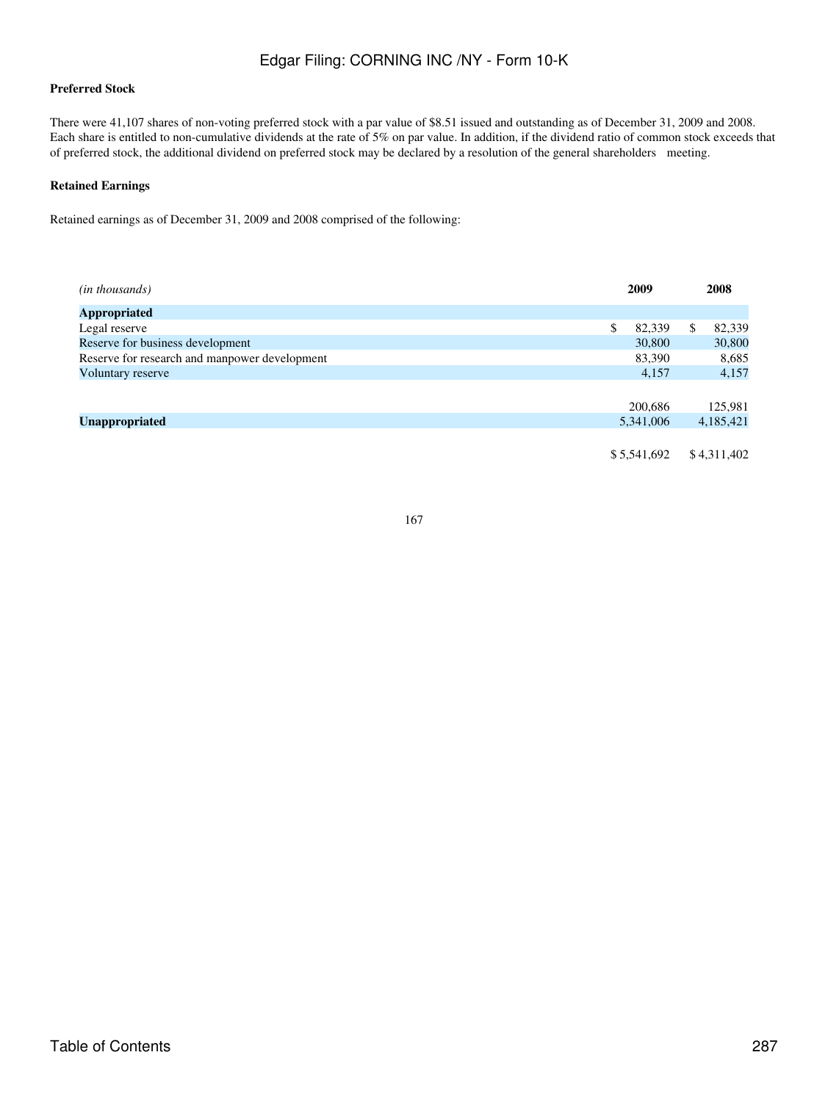### **Preferred Stock**

There were 41,107 shares of non-voting preferred stock with a par value of \$8.51 issued and outstanding as of December 31, 2009 and 2008. Each share is entitled to non-cumulative dividends at the rate of 5% on par value. In addition, if the dividend ratio of common stock exceeds that of preferred stock, the additional dividend on preferred stock may be declared by a resolution of the general shareholders meeting.

#### **Retained Earnings**

Retained earnings as of December 31, 2009 and 2008 comprised of the following:

| ( <i>in thousands</i> )                       | 2009         | 2008         |
|-----------------------------------------------|--------------|--------------|
| <b>Appropriated</b>                           |              |              |
| Legal reserve                                 | \$<br>82,339 | \$<br>82,339 |
| Reserve for business development              | 30,800       | 30,800       |
| Reserve for research and manpower development | 83,390       | 8,685        |
| Voluntary reserve                             | 4,157        | 4,157        |
|                                               |              |              |
|                                               | 200,686      | 125,981      |
| <b>Unappropriated</b>                         | 5,341,006    | 4,185,421    |
|                                               |              |              |
|                                               | \$5,541,692  | \$4,311,402  |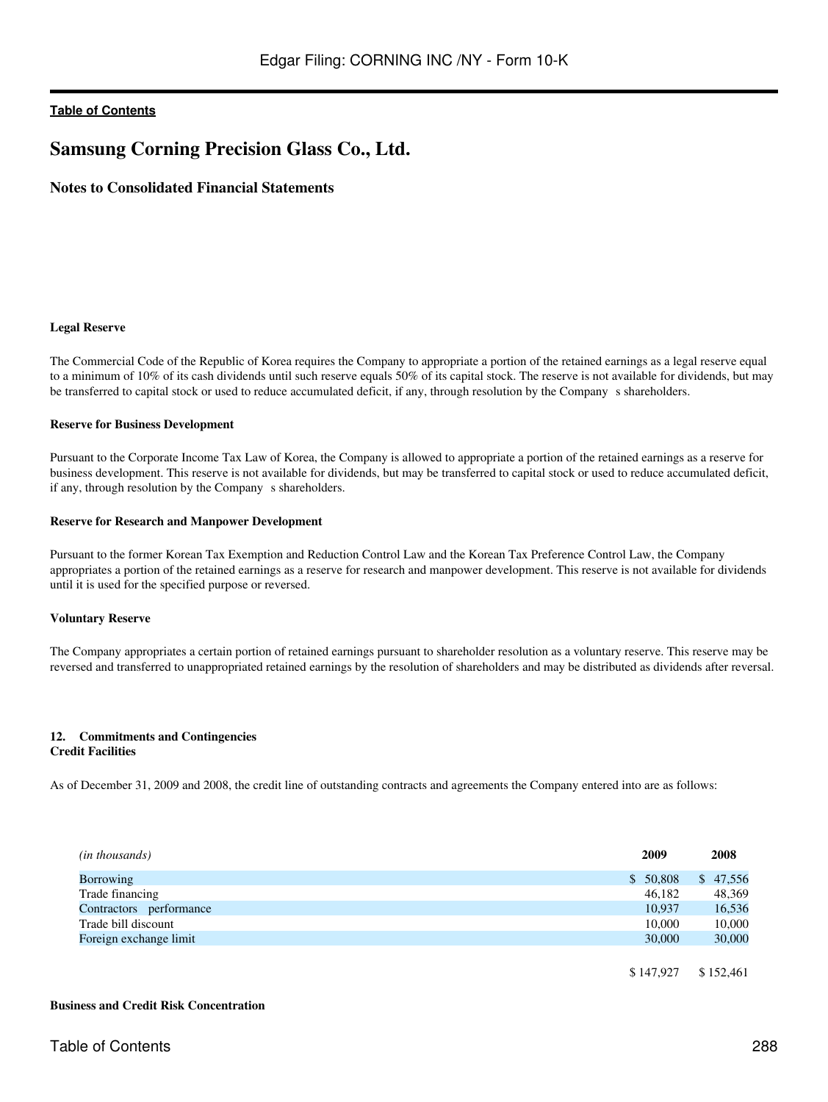## **Samsung Corning Precision Glass Co., Ltd.**

### **Notes to Consolidated Financial Statements**

#### **Legal Reserve**

The Commercial Code of the Republic of Korea requires the Company to appropriate a portion of the retained earnings as a legal reserve equal to a minimum of 10% of its cash dividends until such reserve equals 50% of its capital stock. The reserve is not available for dividends, but may be transferred to capital stock or used to reduce accumulated deficit, if any, through resolution by the Company s shareholders.

#### **Reserve for Business Development**

Pursuant to the Corporate Income Tax Law of Korea, the Company is allowed to appropriate a portion of the retained earnings as a reserve for business development. This reserve is not available for dividends, but may be transferred to capital stock or used to reduce accumulated deficit, if any, through resolution by the Company s shareholders.

#### **Reserve for Research and Manpower Development**

Pursuant to the former Korean Tax Exemption and Reduction Control Law and the Korean Tax Preference Control Law, the Company appropriates a portion of the retained earnings as a reserve for research and manpower development. This reserve is not available for dividends until it is used for the specified purpose or reversed.

#### **Voluntary Reserve**

The Company appropriates a certain portion of retained earnings pursuant to shareholder resolution as a voluntary reserve. This reserve may be reversed and transferred to unappropriated retained earnings by the resolution of shareholders and may be distributed as dividends after reversal.

#### **12. Commitments and Contingencies Credit Facilities**

As of December 31, 2009 and 2008, the credit line of outstanding contracts and agreements the Company entered into are as follows:

| ( <i>in thousands</i> ) | 2009      | 2008                    |
|-------------------------|-----------|-------------------------|
| <b>Borrowing</b>        | \$50,808  | 47,556<br><sup>\$</sup> |
| Trade financing         | 46,182    | 48,369                  |
| Contractors performance | 10,937    | 16,536                  |
| Trade bill discount     | 10,000    | 10,000                  |
| Foreign exchange limit  | 30,000    | 30,000                  |
|                         |           |                         |
|                         | \$147,927 | \$152,461               |

#### **Business and Credit Risk Concentration**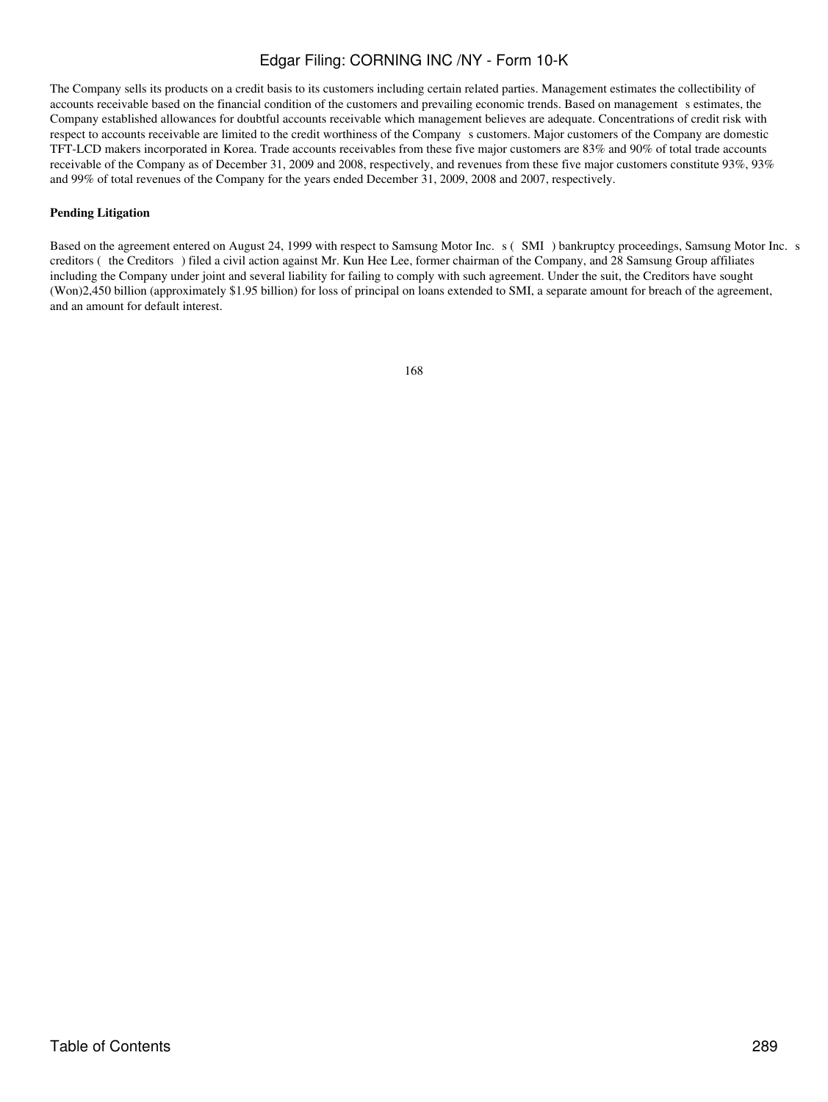## Edgar Filing: CORNING INC /NY - Form 10-K

The Company sells its products on a credit basis to its customers including certain related parties. Management estimates the collectibility of accounts receivable based on the financial condition of the customers and prevailing economic trends. Based on management s estimates, the Company established allowances for doubtful accounts receivable which management believes are adequate. Concentrations of credit risk with respect to accounts receivable are limited to the credit worthiness of the Company s customers. Major customers of the Company are domestic TFT-LCD makers incorporated in Korea. Trade accounts receivables from these five major customers are 83% and 90% of total trade accounts receivable of the Company as of December 31, 2009 and 2008, respectively, and revenues from these five major customers constitute 93%, 93% and 99% of total revenues of the Company for the years ended December 31, 2009, 2008 and 2007, respectively.

#### **Pending Litigation**

Based on the agreement entered on August 24, 1999 with respect to Samsung Motor Inc. s (SMI) bankruptcy proceedings, Samsung Motor Inc. s creditors (the Creditors) filed a civil action against Mr. Kun Hee Lee, former chairman of the Company, and 28 Samsung Group affiliates including the Company under joint and several liability for failing to comply with such agreement. Under the suit, the Creditors have sought (Won)2,450 billion (approximately \$1.95 billion) for loss of principal on loans extended to SMI, a separate amount for breach of the agreement, and an amount for default interest.

168